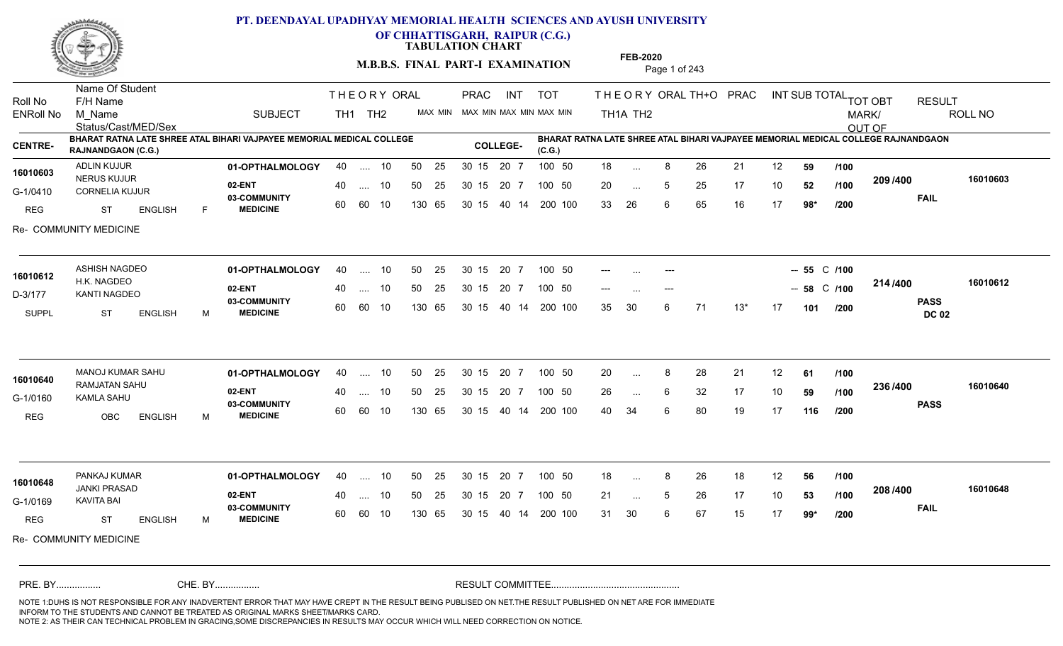

**OF CHHATTISGARH, RAIPUR (C.G.)**

**TABULATION CHART** 

**M.B.B.S. FINAL PART-I EXAMINATION** Page 1 of 243

Status/Cast/MED/Sex Name Of Student Roll No F/H Name M\_Name SUBJECT TH1 TH2 <sup>MAX\_MIN</sup> N PRAC INT TOT THEORY ORAL TH+O PRAC INT TH<sub>1</sub>A TH<sub>2</sub> ORAL TH+ODPRACD INT SUB TOTAL <sub>TOT OBT</sub> RESULT ROLL NO MARK/ OUT OF ENRoll No M Name  $\,$  SUBJECT TH1 TH2 MAX MIN MAX MIN MAX MIN MAX MIN TH1A TH2 **BHARAT RATNA LATE SHREE ATAL BIHARI VAJPAYEE MEMORIAL MEDICAL COLLEGE RAJNANDGAON (C.G.) BHARAT RATNA LATE SHREE ATAL BIHARI VAJPAYEE MEMORIAL MEDICAL COLLEGE RAJNANDGAON (C.G.) CENTRE- COLLEGE-**THE ORY ORAL PRAC INT PRAC **01-OPTHALMOLOGY** ADLIN KUJUR 40 .... 10 30 15 20 7 **02-ENT** 03-COMMUNITY 60  **MEDICINE** G-1/0410 CORNELIA KUJUR NERUS KUJUR REG ST ENGLISH F 18 ... 8 26 21 12 **59 /100** 20 ... 5 25 17 10 **52 /100 <sup>2097</sup> 400** 33 26 6 65 16 17 **98\* 209 FAIL 16010603 /400** Re- COMMUNITY MEDICINE 40 .... 10 50 25 30 15 60 60 10 130 65 30 15 20 7 100 50 40 14 200 100 50 25 30 15 20 7 100 50 18 ... **16010603**<br>1910/10/10/10/10 ... ... **/100 /100 /200 01-OPTHALMOLOGY** ASHISH NAGDEO 40 .... 10 30 15 20 7 **02-ENT** 03-COMMUNITY 60  **MEDICINE** D-3/177 KANTI NAGDEO H.K. NAGDEO SUPPL ST ENGLISH M --- .... --- **--- --- --- --- --- 55** C /100 -- ... --- -- 58 C /100 <sup>214 /400</sup> 35 30 6 71 13\* 17 **101 214 PASS DC 02 /400 16010612** 40 .... 10 50 25 30 15 60 60 10 130 65 30 15 40 14 200 100 20 7 100 50 50 25 30 15 20 7 100 50 --- ... ---**16010612** ... ... **/200** MANOJ KUMAR SAHU **01-OPTHALMOLOGY** 40 .... 10 50 25 30 15 20 7 100 50 20 **02-ENT** 03-COMMUNITY 60  **MEDICINE** G-1/0160 KAMLA SAHU RAMJATAN SAHU **16010640** REG OBC ENGLISH M 20 8 28 21 12 **61** 26 6 32 17 10 **59** 40 34 6 80 19 17 **116 236 PASS /400 16010640** 40 .... 10 50 25 30 15 60 60 10 130 65 30 15 40 14 200 100 20 7 100 50 50 25 30 15 20 7 100 50 20 ... ... ... **/100 /100 /200 01-OPTHALMOLOGY** PANKAJ KUMAR 40 .... 10 30 15 20 7 **02-ENT** 03-COMMUNITY 60  **MEDICINE** G-1/0169 KAVITA BAI JANKI PRASAD **16010648** REG ST ENGLISH M 18 ... 8 26 18 12 **56 /100** 21 ... 5 26 17 10 **53 /100 <sup>2007</sup>** 31 30 6 67 15 17 **99\* 208 FAIL 16010648 /400** Re- COMMUNITY MEDICINE 40 .... 10 50 25 30 15 60 60 10 130 65 30 15 20 7 100 50 40 14 200 100 50 25 30 15 20 7 100 50 18 ... 8 ... ... **/100 /100 /200** NOTE 1:DUHS IS NOT RESPONSIBLE FOR ANY INADVERTENT ERROR THAT MAY HAVE CREPT IN THE RESULT BEING PUBLISED ON NET.THE RESULT PUBLISHED ON NET ARE FOR IMMEDIATE INFORM TO THE STUDENTS AND CANNOT BE TREATED AS ORIGINAL MARKS SHEET/MARKS CARD. CHE. BY WAREL BY WARE AND THE AVEC THE AVEC THE THE RESULT COMMITTEE AND MULTIME MOTE 1:DUHS IS NOT RESPONSIBLE FOR ANY INADVERTENT ERROR THAT MAY HAVE CREPT IN THE RESULT BEING PUBLISED ON NET.THE RESULT PUBLISHED ON NET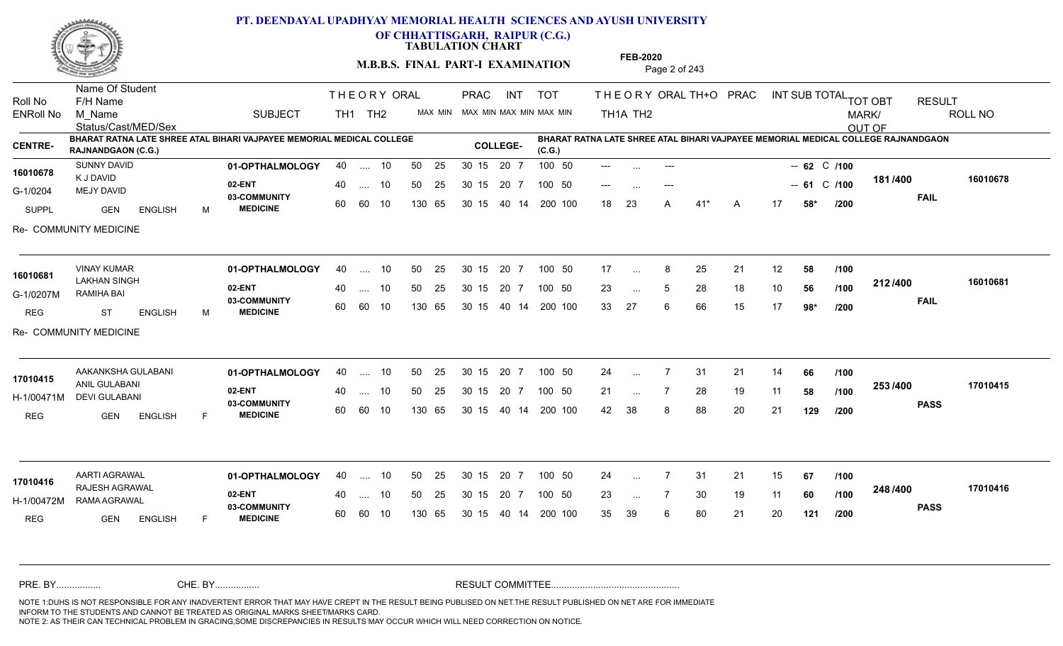

**OF CHHATTISGARH, RAIPUR (C.G.)**

**TABULATION CHART** 

**FEB-2020**

|                             |                                                                        |                                                                       |    | M.B.B.S. FINAL PART-I EXAMINATION |          |          |                                                 |                 |  |        |                  | 1 LD-2020<br>Page 2 of 243 |               |              |       |                                             |                   |       |                                |                                                                                   |               |          |
|-----------------------------|------------------------------------------------------------------------|-----------------------------------------------------------------------|----|-----------------------------------|----------|----------|-------------------------------------------------|-----------------|--|--------|------------------|----------------------------|---------------|--------------|-------|---------------------------------------------|-------------------|-------|--------------------------------|-----------------------------------------------------------------------------------|---------------|----------|
| Roll No<br><b>ENRoll No</b> | Name Of Student<br>F/H Name<br>M Name<br>Status/Cast/MED/Sex           | <b>SUBJECT</b>                                                        |    | THEORY ORAL<br>TH1 TH2            |          |          | PRAC INT TOT<br>MAX MIN MAX MIN MAX MIN MAX MIN |                 |  |        |                  |                            | TH1A TH2      |              |       | THEORY ORAL TH+O PRAC INT SUB TOTAL TOT OBT |                   |       |                                | MARK/<br>OUT OF                                                                   | <b>RESULT</b> | ROLL NO  |
| <b>CENTRE-</b>              | <b>RAJNANDGAON (C.G.)</b>                                              | BHARAT RATNA LATE SHREE ATAL BIHARI VAJPAYEE MEMORIAL MEDICAL COLLEGE |    |                                   |          |          |                                                 | <b>COLLEGE-</b> |  | (C.G.) |                  |                            |               |              |       |                                             |                   |       |                                | BHARAT RATNA LATE SHREE ATAL BIHARI VAJPAYEE MEMORIAL MEDICAL COLLEGE RAJNANDGAON |               |          |
| 16010678                    | SUNNY DAVID<br>K J DAVID<br><b>MEJY DAVID</b><br>GEN<br><b>ENGLISH</b> | 01-OPTHALMOLOGY<br>02-ENT                                             |    | 40  10<br>40  10                  | 50<br>50 | 25<br>25 | 30 15 20 7<br>30 15 20 7                        |                 |  |        | 100 50<br>100 50 | $---$                      |               |              |       |                                             |                   |       | $-62$ C /100<br>$-61$ C $/100$ | 181/400                                                                           |               | 16010678 |
| G-1/0204<br>SUPPL           |                                                                        | 03-COMMUNITY<br><b>MEDICINE</b><br>M                                  |    | 60 60 10                          |          | 130 65   | 30 15 40 14 200 100                             |                 |  |        |                  | 18                         | - 23          | $\mathsf{A}$ | $41*$ | A                                           | 17                | 58*   | /200                           |                                                                                   | <b>FAIL</b>   |          |
|                             | Re- COMMUNITY MEDICINE                                                 |                                                                       |    |                                   |          |          |                                                 |                 |  |        |                  |                            |               |              |       |                                             |                   |       |                                |                                                                                   |               |          |
| 16010681                    | <b>VINAY KUMAR</b>                                                     | 01-OPTHALMOLOGY                                                       |    | 40  10                            |          | 50 25    | 30 15 20 7 100 50                               |                 |  |        |                  | 17                         | $\ddotsc$     | 8            | 25    | 21                                          | $12 \overline{ }$ | 58    | /100                           |                                                                                   |               |          |
| G-1/0207M                   | <b>LAKHAN SINGH</b><br>RAMIHA BAI                                      | 02-ENT                                                                | 40 | … 10                              | 50       | - 25     | 30 15 20 7                                      |                 |  | 100 50 |                  | 23                         | $\ddotsc$     | 5            | 28    | 18                                          | 10                | 56    | 1100                           | 212/400<br><b>FAIL</b>                                                            |               | 16010681 |
| REG                         | <b>ENGLISH</b><br>ST                                                   | 03-COMMUNITY<br><b>MEDICINE</b><br>M                                  |    | 60 60 10                          |          | 130 65   | 30 15 40 14 200 100                             |                 |  |        |                  | 33                         | 27            | 6            | 66    | 15                                          | 17                | $98*$ | /200                           |                                                                                   |               |          |
|                             | Re- COMMUNITY MEDICINE                                                 |                                                                       |    |                                   |          |          |                                                 |                 |  |        |                  |                            |               |              |       |                                             |                   |       |                                |                                                                                   |               |          |
| 17010415                    | AAKANKSHA GULABANI<br><b>ANIL GULABANI</b><br>DEVI GULABANI            | 01-OPTHALMOLOGY                                                       |    | 40  10                            |          | 50 25    | 30 15 20 7                                      |                 |  | 100 50 |                  | 24                         | $\sim$        | 7            | -31   | 21                                          | 14                | 66    | /100                           | 253/400                                                                           |               |          |
| H-1/00471M                  |                                                                        | 02-ENT                                                                |    | 40  10                            |          | 50 25    | 30 15 20 7                                      |                 |  | 100 50 |                  | 21                         | $\sim$        | 7            | 28    | 19                                          | 11                | 58    | /100                           |                                                                                   |               | 17010415 |
| REG                         | GEN<br><b>ENGLISH</b>                                                  | 03-COMMUNITY<br><b>MEDICINE</b><br>F                                  |    | 60 60 10                          |          | 130 65   | 30 15 40 14 200 100                             |                 |  |        |                  | 42 38                      |               | 8            | 88    | 20                                          | 21                | 129   | /200                           |                                                                                   | <b>PASS</b>   |          |
|                             |                                                                        |                                                                       |    |                                   |          |          |                                                 |                 |  |        |                  |                            |               |              |       |                                             |                   |       |                                |                                                                                   |               |          |
| 17010416                    | AARTI AGRAWAL<br>RAJESH AGRAWAL<br>RAMA AGRAWAL                        | 01-OPTHALMOLOGY<br>02-ENT<br>03-COMMUNITY                             |    | 40  10                            |          | 50 25    | 30 15 20 7                                      |                 |  | 100 50 |                  | 24                         | $\sim$ $\sim$ | 7            | -31   | 21                                          | 15                | 67    | /100                           | 248 / 400                                                                         |               | 17010416 |
| H-1/00472M                  |                                                                        |                                                                       |    | 40  10                            | 50       | - 25     | 30 15 20 7                                      |                 |  | 100 50 |                  | 23                         | $\ddotsc$     | 7            | 30    | 19                                          | 11                | 60    | /100                           |                                                                                   | <b>PASS</b>   |          |
| REG                         | <b>GEN</b><br><b>ENGLISH</b>                                           | <b>MEDICINE</b><br>F                                                  |    | 60 60 10                          |          | 130 65   | 30 15 40 14 200 100                             |                 |  |        |                  | 35                         | -39           | 6            | 80    | 21                                          | 20                | 121   | /200                           |                                                                                   |               |          |
| PRE. BY                     |                                                                        | CHE. BY                                                               |    |                                   |          |          |                                                 |                 |  |        |                  |                            |               |              |       |                                             |                   |       |                                |                                                                                   |               |          |

NOTE 1:DUHS IS NOT RESPONSIBLE FOR ANY INADVERTENT ERROR THAT MAY HAVE CREPT IN THE RESULT BEING PUBLISED ON NET.THE RESULT PUBLISHED ON NET ARE FOR IMMEDIATE INFORM TO THE STUDENTS AND CANNOT BE TREATED AS ORIGINAL MARKS SHEET/MARKS CARD.<br>NOTE 2: AS THEIR CAN TECHNICAL PROBLEM IN GRACING,SOME DISCREPANCIES IN RESULTS MAY OCCUR WHICH WILL NEED CORRECTION ON NOTICE. CHE. BY WAREL BY WARE AND THE AVEC THE AVEC THE THE RESULT COMMITTEE AND MULTIME MOTE 1:DUHS IS NOT RESPONSIBLE FOR ANY INADVERTENT ERROR THAT MAY HAVE CREPT IN THE RESULT BEING PUBLISED ON NET.THE RESULT PUBLISHED ON NET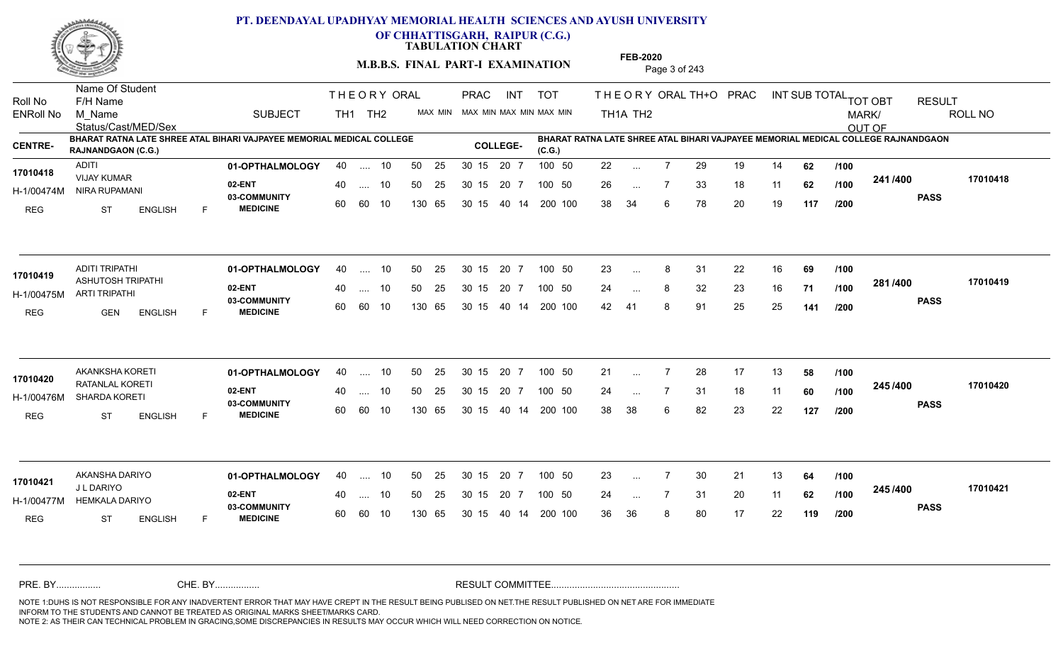

**OF CHHATTISGARH, RAIPUR (C.G.)**

**TABULATION CHART** 

**M.B.B.S. FINAL PART-I EXAMINATION** Page 3 of 243

Status/Cast/MED/Sex Name Of Student Roll No F/H Name M\_Name SUBJECT TH1 TH2 <sup>MAX\_MIN</sup> N PRAC INT TOT THEORY ORAL TH+O PRAC INT TH<sub>1</sub>A TH<sub>2</sub> ORAL TH+ODPRACD INT SUB TOTAL <sub>TOT OBT</sub> RESULT ROLL NO MARK/ OUT OF ENRoll No M Name  $\,$  SUBJECT TH1 TH2 MAX MIN MAX MIN MAX MIN MAX MIN TH1A TH2 **BHARAT RATNA LATE SHREE ATAL BIHARI VAJPAYEE MEMORIAL MEDICAL COLLEGE RAJNANDGAON (C.G.) (C.G.) CENTRE- COLLEGE-BHARAT RATNA LATE SHREE ATAL BIHARI VAJPAYEE MEMORIAL MEDICAL COLLEGE RAJNANDGAON**  THE ORY ORAL PRAC INT PRAC **01-OPTHALMOLOGY** ADITI 40 .... 10 30 15 20 7 **02-ENT 03-COMMUNITY MEDICINE** H-1/00474M NIRA RUPAMANI VIJAY KUMAR **17010418** REG ST ENGLISH F 22 7 29 19 14 **62** 26 7 33 18 11 **62** 38 34 6 78 20 19 **117 241 PASS /400 17010418** .... 10 50 25 60 60 10 50 25 30 15 130 65 30 15 20 7 100 50 40 14 200 100 50 25 30 15 20 7 100 50 22 ... ... ... **/100 /100 /200 01-OPTHALMOLOGY** ADITI TRIPATHI 40 .... 10 30 15 20 7 **02-ENT** 03-COMMUNITY 60  **MEDICINE** H-1/00475M ARTI TRIPATHI ASHUTOSH TRIPATHI **17010419** REG GEN ENGLISH F 23 8 31 22 16 **69** 24 ... 8 32 23 16 **71 /100 <sup>2017</sup> 700** 42 41 8 91 25 25 **141 281 PASS /400 17010419** .... 10 50 25 60 60 10 30 15 20 7 130 65 30 15 40 14 200 100 30 15 20 7 100 50 50 25 30 15 20 7 100 50 23 ... 8 ... ... **/100 /100 /200 01-OPTHALMOLOGY** AKANKSHA KORETI 40 .... 10 30 15 20 7 **02-ENT** 03-COMMUNITY 60  **MEDICINE** H-1/00476M SHARDA KORETI RATANLAL KORETI **17010420** REG ST ENGLISH F 21 ... 7 28 17 13 **58** /**100** 24 7 31 18 11 **60** 38 38 6 82 23 22 **127 245 PASS /400 17010420** .... 10 50 25 60 60 10 50 25 30 15 130 65 30 15 20 7 100 50 40 14 200 100 50 25 30 15 20 7 100 50 21 ... ... ... **/100 /100 /200 01-OPTHALMOLOGY** AKANSHA DARIYO 40 .... 10 30 15 20 7 **02-ENT** 03-COMMUNITY 60 MEDICINE 60 60 10 H-1/00477M HEMKALA DARIYO J L DARIYO REG ST ENGLISH F 23 ... 7 30 21 13 **64 /100** 24 7 31 20 11 **62** 36 36 8 80 17 22 **119 245 PASS /400 17010421** 40 .... 10 50 25 130 65 130 65 30 15 30 15 20 7 100 50 40 14 200 100 50 25 30 15 20 7 100 50 23 ... **17010421** AKANSHA DARIYO ... ... **/100 /100 /200** NOTE 1:DUHS IS NOT RESPONSIBLE FOR ANY INADVERTENT ERROR THAT MAY HAVE CREPT IN THE RESULT BEING PUBLISED ON NET.THE RESULT PUBLISHED ON NET ARE FOR IMMEDIATE INFORM TO THE STUDENTS AND CANNOT BE TREATED AS ORIGINAL MARKS SHEET/MARKS CARD. CHE. BY WAREL BY WARE AND THE AVEC THE AVEC THE THE RESULT COMMITTEE AND MULTIME MOTE 1:DUHS IS NOT RESPONSIBLE FOR ANY INADVERTENT ERROR THAT MAY HAVE CREPT IN THE RESULT BEING PUBLISED ON NET.THE RESULT PUBLISHED ON NET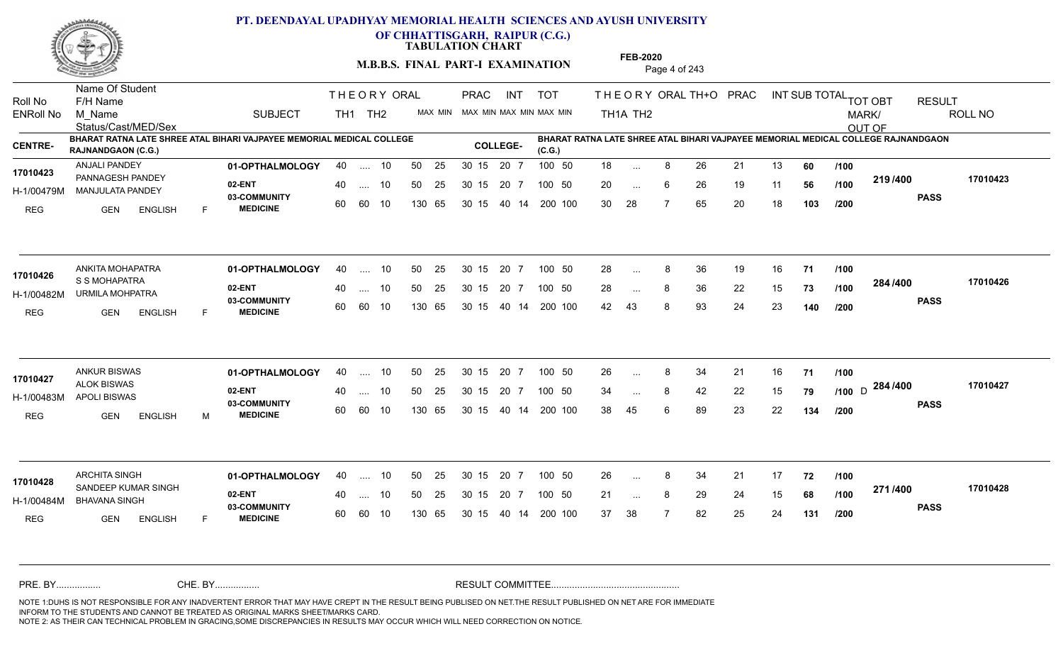

**OF CHHATTISGARH, RAIPUR (C.G.)**

**TABULATION CHART** 

**M.B.B.S. FINAL PART-I EXAMINATION** Page 4 of 243

Status/Cast/MED/Sex Name Of Student Roll No F/H Name M\_Name SUBJECT TH1 TH2 <sup>MAX\_MIN</sup> N PRAC INT TOT THEORY ORAL TH+O PRAC INT TH<sub>1</sub>A TH<sub>2</sub> ORAL TH+ODPRACD INT SUB TOTAL <sub>TOT OBT</sub> RESULT ROLL NO MARK/ OUT OF ENRoll No M Name  $\,$  SUBJECT TH1 TH2 MAX MIN MAX MIN MAX MIN MAX MIN TH1A TH2 **BHARAT RATNA LATE SHREE ATAL BIHARI VAJPAYEE MEMORIAL MEDICAL COLLEGE RAJNANDGAON (C.G.) BHARAT RATNA LATE SHREE ATAL BIHARI VAJPAYEE MEMORIAL MEDICAL COLLEGE RAJNANDGAON (C.G.) CENTRE- COLLEGE-**THE ORY ORAL PRAC INT PRAC **01-OPTHALMOLOGY** ANJALI PANDEY 40 .... 10 30 15 20 7 **02-ENT** 03-COMMUNITY 60  **MEDICINE** H-1/00479M MANJULATA PANDEY 17010423 PANNAGESH PANDEY REG **GEN ENGLISH** F 18 ... 8 26 21 13 **60** /**100** 20 ... 6 26 19 11 **56 /100 <sup>2137400</sup>** 30 28 7 65 20 18 **103 219 PASS /400 17010423** .... 10 50 25 60 60 10 50 25 30 15 130 65 30 15 20 7 100 50 40 14 200 100 50 25 30 15 20 7 100 50 18 ... 8 ... ... 6 **/100 /100 /200 01-OPTHALMOLOGY** ANKITA MOHAPATRA 40 .... 10 30 15 20 7 **02-ENT** 03-COMMUNITY 60  **MEDICINE** H-1/00482M URMILA MOHPATRA **1999 - 1999** S S MOHAPATRA REG GEN ENGLISH F 28 8 36 19 16 **71** 28 ... 8 36 22 15 **73 /100 <sup>2047</sup> 1** 42 43 8 93 24 23 **140 284 PASS /400 17010426** 40 .... 10 50 25 60 60 10 130 65 30 15 40 14 200 100 30 15 20 7 100 50 50 25 30 15 20 7 100 50 28 ... 8 **17010426**<br> **17010426**<br> **COMOUADATDA** ... ... **/100 /100 /200** ANKUR BISWAS **01-OPTHALMOLOGY** 40 .... 10 50 25 30 15 20 7 100 50 26 **02-ENT** 03-COMMUNITY 60 **MEDICINE** 60 60 10 H-1/00483M APOLI BISWAS ALOK BISWAS **17010427** REG GEN ENGLISH M 26 8 34 21 16 **71** 34 ... 8 42 22 15 **79** /1**00** D <sup>2047</sup> 38 45 6 89 23 22 **134** <sub>D</sub> 284 /400 170104 **PASS /400 17010427** .... 10 50 25 30 15 130 65 20 7 130 65 30 15 30 15 20 7 100 50 40 14 200 100 50 25 30 15 20 7 100 50 26 ... 8 ... ... 8 **/100 /100 /200** ARCHITA SINGH **01-OPTHALMOLOGY** 40 .... 10 50 25 30 15 20 7 100 50 26 **02-ENT** 03-COMMUNITY 60 **MEDICINE** 60 60 10 H-1/00484M BHAVANA SINGH 17010428 SANDEEP KUMAR SINGH REG **GEN ENGLISH** F 26 8 34 21 17 **72** 21 ... 8 29 24 15 **68 /100 <del>1111</del>** 37 38 7 82 25 24 **131 271 PASS /400 17010428** 40 .... 10 50 25 130 65 130 65 30 15 30 15 20 7 100 50 40 14 200 100 50 25 30 15 20 7 100 50 26 ... 8 ... ... **/100 /100 /200** NOTE 1:DUHS IS NOT RESPONSIBLE FOR ANY INADVERTENT ERROR THAT MAY HAVE CREPT IN THE RESULT BEING PUBLISED ON NET.THE RESULT PUBLISHED ON NET ARE FOR IMMEDIATE INFORM TO THE STUDENTS AND CANNOT BE TREATED AS ORIGINAL MARKS SHEET/MARKS CARD. CHE. BY WAREL BY WARE AND THE AVEC THE AVEC THE THE RESULT COMMITTEE AND MULTIME MOTE 1:DUHS IS NOT RESPONSIBLE FOR ANY INADVERTENT ERROR THAT MAY HAVE CREPT IN THE RESULT BEING PUBLISED ON NET.THE RESULT PUBLISHED ON NET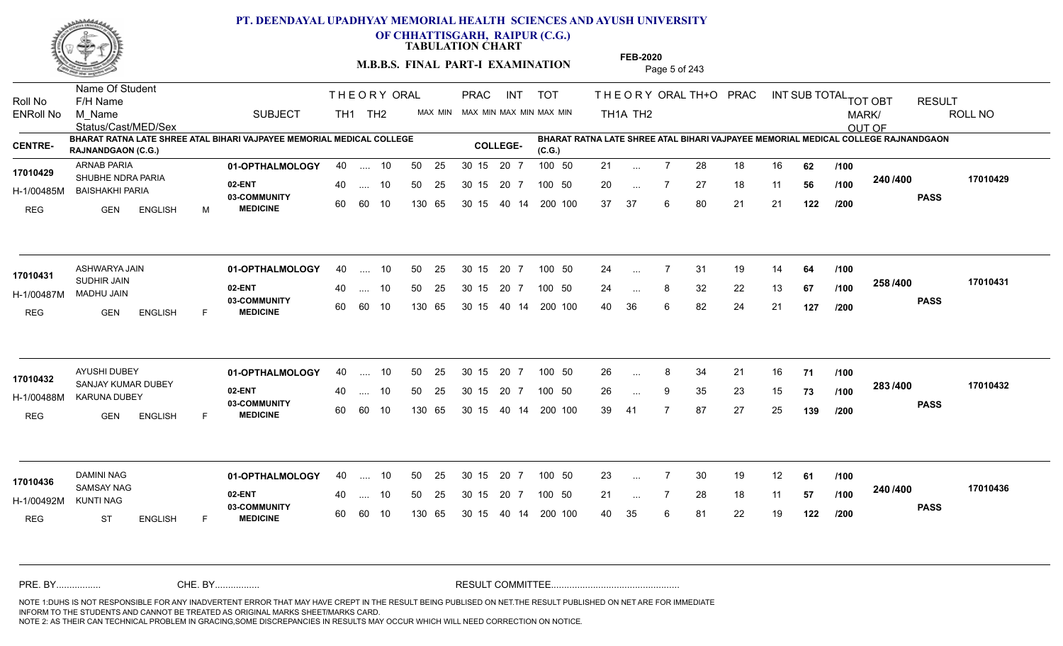

**OF CHHATTISGARH, RAIPUR (C.G.)**

**TABULATION CHART** 

**M.B.B.S. FINAL PART-I EXAMINATION** Page 5 of 243

Status/Cast/MED/Sex Name Of Student Roll No F/H Name M\_Name SUBJECT TH1 TH2 <sup>MAX\_MIN</sup> N PRAC INT TOT THEORY ORAL TH+O PRAC INT TH<sub>1</sub>A TH<sub>2</sub> ORAL TH+ODPRACD INT SUB TOTAL <sub>TOT OBT</sub> RESULT ROLL NO MARK/ OUT OF ENRoll No M Name  $\,$  SUBJECT TH1 TH2 MAX MIN MAX MIN MAX MIN MAX MIN TH1A TH2 **BHARAT RATNA LATE SHREE ATAL BIHARI VAJPAYEE MEMORIAL MEDICAL COLLEGE RAJNANDGAON (C.G.) BHARAT RATNA LATE SHREE ATAL BIHARI VAJPAYEE MEMORIAL MEDICAL COLLEGE RAJNANDGAON (C.G.) CENTRE- COLLEGE-**THE ORY ORAL PRAC INT PRAC **01-OPTHALMOLOGY** ARNAB PARIA 40 .... 10 30 15 20 7 **02-ENT** 03-COMMUNITY 60  **MEDICINE** H-1/00485M BAISHAKHI PARIA 17010429 SHUBHE NDRA PARIA REG GEN ENGLISH M 21 7 28 18 16 **62** 20 7 27 18 11 **56** 37 37 6 80 21 21 **122 240 PASS /400 17010429** .... 10 50 25 60 60 10 50 25 30 15 130 65 30 15 20 7 100 50 40 14 200 100 50 25 30 15 20 7 100 50 21 ... ... ... 7 **/100 /100 /200 01-OPTHALMOLOGY** ASHWARYA JAIN 40 .... 10 30 15 20 7 **02-ENT** 03-COMMUNITY 60  **MEDICINE** H-1/00487M MADHU JAIN SUDHIR JAIN REG GEN ENGLISH F 24 7 31 19 14 **64** 24 ... 8 32 22 13 **67 /100 <sup>2007</sup> 700** 40 36 6 82 24 21 **127 258 PASS /400 17010431** 40 .... 10 50 25 60 60 10 130 65 30 15 40 14 200 100 30 15 20 7 100 50 50 25 30 15 20 7 100 50 24 ... ASHWARYA JAIN ... ... **/100 /100 /200 01-OPTHALMOLOGY** AYUSHI DUBEY 40 .... 10 30 15 20 7 **02-ENT** 03-COMMUNITY 60 **MEDICINE** 60 60 10 H-1/00488M KARUNA DUBEY 22 BM **17010432** SANJAY KUMAR DUBEY REG GEN ENGLISH F 26 8 34 21 16 **71** 26 ... 9 35 23 15 **73 /100 <sup>2007</sup> 700** 39 41 7 87 27 25 **139 283 PASS /400 17010432** .... 10 50 25 30 15 130 65 20 7 130 65 30 15 30 15 20 7 100 50 40 14 200 100 50 25 30 15 20 7 100 50 26 ... 8 ... ... 9 **/100 /100 /200** 01-**OPTHALMOLOGY** 40 .... 10 50 25 30 15 20 7 100 50 23 **02-ENT** 03-COMMUNITY 60 **MEDICINE** 60 60 10 H-1/00492M SAMSAY NAG **17010436** KUNTI NAG REG ST ENGLISH F 23 7 30 19 12 **61** 21 ... 7 28 18 11 **57 /100 <sup>2467466</sup>** 40 35 6 81 22 19 **122 240 PASS /400 17010436** 40 .... 10 50 25 130 65 130 65 30 15 30 15 20 7 100 50 40 14 200 100 50 25 30 15 20 7 100 50 23 ... ... ... **/100 /100 /200** NOTE 1:DUHS IS NOT RESPONSIBLE FOR ANY INADVERTENT ERROR THAT MAY HAVE CREPT IN THE RESULT BEING PUBLISED ON NET.THE RESULT PUBLISHED ON NET ARE FOR IMMEDIATE INFORM TO THE STUDENTS AND CANNOT BE TREATED AS ORIGINAL MARKS SHEET/MARKS CARD. CHE. BY WAREL BY WARE AND THE AVEC THE AVEC THE THE RESULT COMMITTEE AND MULTIME MOTE 1:DUHS IS NOT RESPONSIBLE FOR ANY INADVERTENT ERROR THAT MAY HAVE CREPT IN THE RESULT BEING PUBLISED ON NET.THE RESULT PUBLISHED ON NET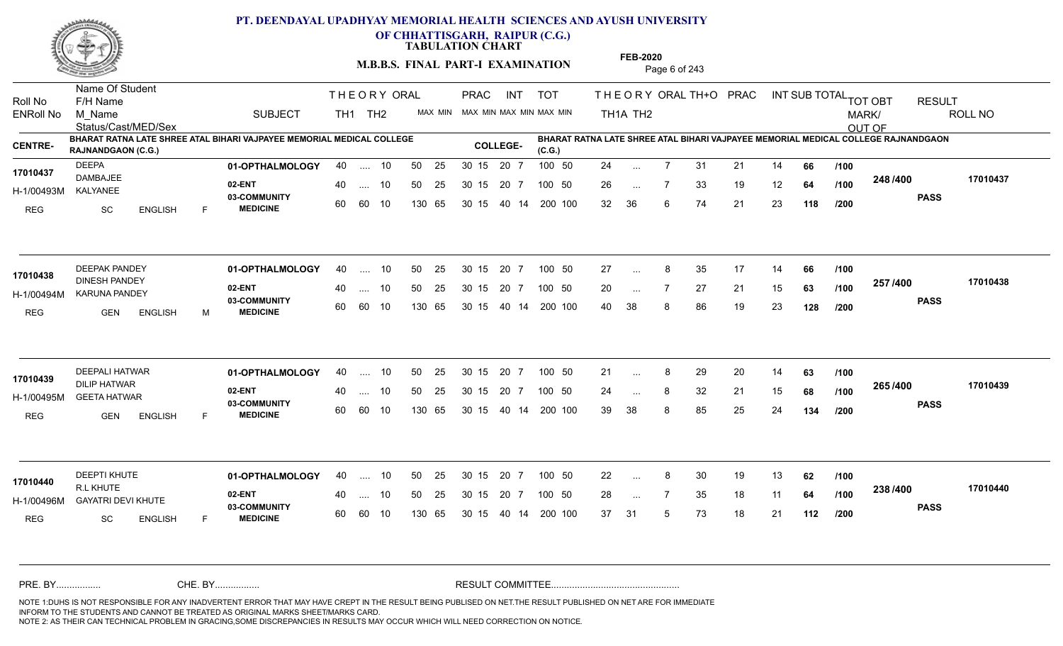

**OF CHHATTISGARH, RAIPUR (C.G.)**

**TABULATION CHART** 

**M.B.B.S. FINAL PART-I EXAMINATION** Page 6 of 243

Status/Cast/MED/Sex Name Of Student Roll No F/H Name M\_Name SUBJECT TH1 TH2 <sup>MAX\_MIN</sup> N PRAC INT TOT THEORY ORAL TH+O PRAC INT TH<sub>1</sub>A TH<sub>2</sub> ORAL TH+ODPRACD INT SUB TOTAL <sub>TOT OBT</sub> RESULT ROLL NO MARK/ OUT OF ENRoll No M Name  $\,$  SUBJECT TH1 TH2 MAX MIN MAX MIN MAX MIN MAX MIN TH1A TH2 **BHARAT RATNA LATE SHREE ATAL BIHARI VAJPAYEE MEMORIAL MEDICAL COLLEGE RAJNANDGAON (C.G.) (C.G.) CENTRE- COLLEGE-BHARAT RATNA LATE SHREE ATAL BIHARI VAJPAYEE MEMORIAL MEDICAL COLLEGE RAJNANDGAON**  THE ORY ORAL PRAC INT PRAC **01-OPTHALMOLOGY** DEEPA 40 .... 10 30 15 20 7 **02-ENT** 03-COMMUNITY 60  **MEDICINE** H-1/00493M DAMBAJEE KALYANEE REG SC ENGLISH F 24 7 31 21 14 **66** 26 7 33 19 12 **64** 32 36 6 74 21 23 **118 248 PASS /400 17010437** .... 10 50 25 60 60 10 50 25 30 15 130 65 30 15 20 7 100 50 40 14 200 100 50 25 30 15 20 7 100 50 24 ... **17010437** ... ... **/100 /100 /200 01-OPTHALMOLOGY** DEEPAK PANDEY 40 .... 10 30 15 20 7 **02-ENT** 03-COMMUNITY 60  **MEDICINE** H-1/00494M KARUNA PANDEY DINESH PANDEY REG GEN ENGLISH M 27 ... 8 35 17 14 **66 /100** 20 ... 7 27 21 15 **63 /100 <sup>201 /400</sup>** 40 38 8 86 19 23 **128 257 PASS /400 17010438**  $\ldots$  10 50 25 30 15 60 60 10 20 7 130 65 30 15 40 14 200 100 30 15 20 7 100 50 50 25 30 15 20 7 100 50 27 ... **17010438** ... ... **/100 /100 /200 01-OPTHALMOLOGY** DEEPALI HATWAR 40 .... 10 30 15 20 7 **02-ENT** 03-COMMUNITY 60  **MEDICINE** H-1/00495M GEETA HATWAR DILIP HATWAR **17010439** REG GEN ENGLISH F 21 ... 8 29 20 14 **63** /**100** 24 ... 8 32 21 15 **68 /100 <sup>2007</sup> 700** 39 38 8 85 25 24 **134 265 PASS /400 17010439** .... 10 50 25 30 15 60 60 10 20 7 130 65 30 15 30 15 20 7 100 50 40 14 200 100 50 25 30 15 20 7 100 50 21 ... ... ... **/100 /100 /200 01-OPTHALMOLOGY** DEEPTI KHUTE 40 .... 10 30 15 20 7 **02-ENT** 03-COMMUNITY 60 **MEDICINE** 60 60 10 H-1/00496M GAYATRI DEVI KHUTE **1998 - 1999 MWAMBI 1999 AGAMA** R.L KHUTE REG SC ENGLISH F 22 8 30 19 13 **62** 28 ... 7 35 18 11 **64 /100 <sup>2307+00</sup>** 37 31 5 73 18 21 **112 238 PASS /400 17010440** 40 .... 10 50 25 130 65 130 65 30 15 30 15 20 7 100 50 40 14 200 100 50 25 30 15 20 7 100 50 22 ... 8 **17010440** ... ... **/100 /100 /200** NOTE 1:DUHS IS NOT RESPONSIBLE FOR ANY INADVERTENT ERROR THAT MAY HAVE CREPT IN THE RESULT BEING PUBLISED ON NET.THE RESULT PUBLISHED ON NET ARE FOR IMMEDIATE INFORM TO THE STUDENTS AND CANNOT BE TREATED AS ORIGINAL MARKS SHEET/MARKS CARD. CHE. BY WAREL BY WARE AND THE AVEC THE AVEC THE THE RESULT COMMITTEE AND MULTIME MOTE 1:DUHS IS NOT RESPONSIBLE FOR ANY INADVERTENT ERROR THAT MAY HAVE CREPT IN THE RESULT BEING PUBLISED ON NET.THE RESULT PUBLISHED ON NET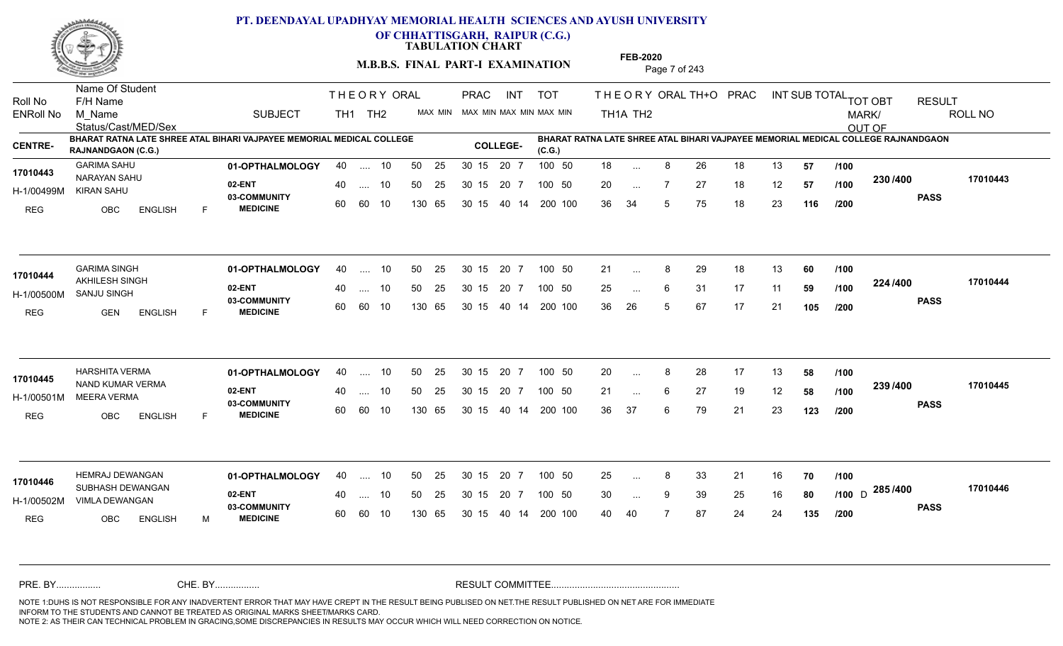

**OF CHHATTISGARH, RAIPUR (C.G.)**

**TABULATION CHART** 

**M.B.B.S. FINAL PART-I EXAMINATION** Page 7 of 243

Status/Cast/MED/Sex Name Of Student Roll No F/H Name M\_Name SUBJECT TH1 TH2 <sup>MAX\_MIN</sup> N PRAC INT TOT THEORY ORAL TH+O PRAC INT TH<sub>1</sub>A TH<sub>2</sub> ORAL TH+ODPRACD INT SUB TOTAL <sub>TOT OBT</sub> RESULT ROLL NO MARK/ OUT OF ENRoll No M Name  $\,$  SUBJECT TH1 TH2 MAX MIN MAX MIN MAX MIN MAX MIN TH1A TH2 **BHARAT RATNA LATE SHREE ATAL BIHARI VAJPAYEE MEMORIAL MEDICAL COLLEGE RAJNANDGAON (C.G.) BHARAT RATNA LATE SHREE ATAL BIHARI VAJPAYEE MEMORIAL MEDICAL COLLEGE RAJNANDGAON (C.G.) CENTRE- COLLEGE-**THE ORY ORAL PRAC INT PRAC **01-OPTHALMOLOGY** GARIMA SAHU 40 .... 10 30 15 20 7 **02-ENT** 03-COMMUNITY 60  **MEDICINE** H-1/00499M KIRAN SAHU NARAYAN SAHU **17010443** REG OBC ENGLISH F 18 ... 8 26 18 13 **57 /100** 20 ... 7 27 18 12 **57 /100 <sup>2007</sup> 7** 36 34 5 75 18 23 **116 230 PASS /400 17010443** .... 10 50 25 60 60 10 50 25 30 15 130 65 30 15 20 7 100 50 40 14 200 100 50 25 30 15 20 7 100 50 18 ... ... ... **/100 /100 /200 01-OPTHALMOLOGY** GARIMA SINGH 40 .... 10 30 15 20 7 **02-ENT** 03-COMMUNITY 60  **MEDICINE** H-1/00500M SANJU SINGH 17010444 AKHILESH SINGH REG GEN ENGLISH F 21 ... 8 29 18 13 **60** /**100** 25 ... 6 31 17 11 **59 /100 <sup>22=11=00</sup>** 36 26 5 67 17 21 **105 224 PASS /400 17010444** .... 10 50 25 60 60 10 30 15 20 7 130 65 30 15 40 14 200 100 30 15 20 7 100 50 50 25 30 15 20 7 100 50 21 ... 8 ...  $\overline{\phantom{a}}$ . 6 **/100 /100 /200 01-OPTHALMOLOGY** HARSHITA VERMA 40 .... 10 30 15 20 7 **02-ENT** 03-COMMUNITY 60 **MEDICINE** 60 60 10 H-1/00501M MEERA VERMA 17010445 NAND KUMAR VERMA REG OBC ENGLISH F 20 8 28 17 13 **58** 21 ... 6 27 19 12 **58 /100 <sup>2007/400</sup>** 36 37 6 79 21 23 **123 239 /100 PASS /400 17010445** .... 10 50 25 30 15 130 65 20 7 130 65 30 15 30 15 20 7 100 50 40 14 200 100 50 25 30 15 20 7 100 50 20 ... 8 ... ... 6 **/100 /200 01-OPTHALMOLOGY** HEMRAJ DEWANGAN 40 .... 10 30 15 20 7 **02-ENT** 03-COMMUNITY 60 **MEDICINE** 60 60 10 H-1/00502M VIMLA DEWANGAN 32 ENT 17010446 SUBHASH DEWANGAN REG OBC ENGLISH M 25 8 33 21 16 **70** 30 9 39 25 16 **80 /100** 40 40 7 87 24 24 **135 285** D **PASS /400 17010446** 40 .... 10 50 25 130 65 130 65 30 15 30 15 20 7 100 50 40 14 200 100 50 25 30 15 20 7 100 50 25 ... 8 ... ... 9 **/100 /200** NOTE 1:DUHS IS NOT RESPONSIBLE FOR ANY INADVERTENT ERROR THAT MAY HAVE CREPT IN THE RESULT BEING PUBLISED ON NET.THE RESULT PUBLISHED ON NET ARE FOR IMMEDIATE INFORM TO THE STUDENTS AND CANNOT BE TREATED AS ORIGINAL MARKS SHEET/MARKS CARD. CHE. BY WAREL BY WARE AND THE AVEC THE AVEC THE THE RESULT COMMITTEE AND MULTIME MOTE 1:DUHS IS NOT RESPONSIBLE FOR ANY INADVERTENT ERROR THAT MAY HAVE CREPT IN THE RESULT BEING PUBLISED ON NET.THE RESULT PUBLISHED ON NET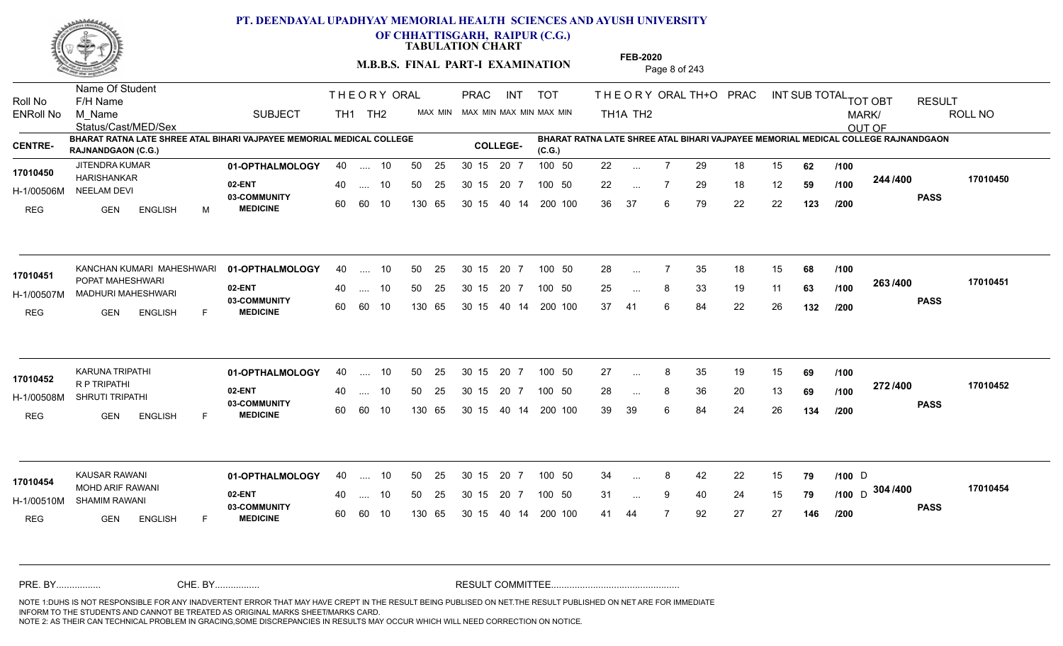

**OF CHHATTISGARH, RAIPUR (C.G.)**

**TABULATION CHART** 

**M.B.B.S. FINAL PART-I EXAMINATION** Page 8 of 243

Status/Cast/MED/Sex Name Of Student Roll No F/H Name M\_Name SUBJECT TH1 TH2 <sup>MAX\_MIN</sup> N PRAC INT TOT THEORY ORAL TH+O PRAC INT TH<sub>1</sub>A TH<sub>2</sub> ORAL TH+ODPRACD INT SUB TOTAL <sub>TOT OBT</sub> RESULT ROLL NO MARK/ OUT OF ENRoll No M Name  $\,$  SUBJECT TH1 TH2 MAX MIN MAX MIN MAX MIN MAX MIN TH1A TH2 **BHARAT RATNA LATE SHREE ATAL BIHARI VAJPAYEE MEMORIAL MEDICAL COLLEGE RAJNANDGAON (C.G.) BHARAT RATNA LATE SHREE ATAL BIHARI VAJPAYEE MEMORIAL MEDICAL COLLEGE RAJNANDGAON (C.G.) CENTRE- COLLEGE-**THE ORY ORAL PRAC INT PRAC **01-OPTHALMOLOGY** JITENDRA KUMAR 40 .... 10 30 15 20 7 **02-ENT 03-COMMUNITY MEDICINE** H-1/00506M NEELAM DEVI HARISHANKAR **17010450** REG GEN ENGLISH M 22 7 29 18 15 **62** 22 ... 7 29 18 12 **59 /100 <sup>244 /400</sup>** 36 37 6 79 22 22 **123 244 PASS /400 17010450** .... 10 50 25 60 60 10 50 25 30 15 130 65 30 15 20 7 100 50 40 14 200 100 50 25 30 15 20 7 100 50 22 ... ... ... 7 **/100 /100 /200 01-OPTHALMOLOGY 02-ENT** 03-COMMUNITY 60  **MEDICINE** H-1/00507M MADHURI MAHESHWARI 17010451 POPAT MAHESHWARI REG GEN ENGLISH F 28 7 35 18 15 **68** 25 ... 8 33 19 11 **63 /100 <sup>2007</sup> 700** 37 41 6 84 22 26 **132 263 PASS /400 17010451** KANCHAN KUMARI MAHESHWARI 01-OPTHALMOLOGY 40 .... 10 50 25 30 15 20 7 100 50 28 .... 10 50 25 60 60 10 30 15 20 7 130 65 30 15 40 14 200 100 30 15 20 7 100 50 30 15 20 7 100 50 28 ... ... ... **/100 /100 /200 01-OPTHALMOLOGY** KARUNA TRIPATHI 40 .... 10 30 15 20 7 **02-ENT** 03-COMMUNITY 60  **MEDICINE** H-1/00508M SHRUTI TRIPATHI R P TRIPATHI REG GEN ENGLISH F 27 ... 8 35 19 15 **69** /**100** 28 ... 8 36 20 13 **69 /100 <sup>212/+00</sup>** 39 39 6 84 24 26 **134 272 PASS /400 17010452** .... 10 50 25 30 15 60 60 10 20 7 130 65 30 15 30 15 20 7 100 50 40 14 200 100 50 25 30 15 20 7 100 50 27 ... **17010452 17010452** ... ... **/100 /100 /200 01-OPTHALMOLOGY** KAUSAR RAWANI 40 .... 10 30 15 20 7 **02-ENT** 03-COMMUNITY 60 **MEDICINE** 60 60 10 H-1/00510M SHAMIM RAWANI MOHD ARIF RAWANI **17010454** REG **GEN ENGLISH** F 34 ... 8 42 22 15 **79** /100 D 31 9 40 24 15 **79 /100** 41 44 7 92 27 27 **146** <sub>D</sub> 304 /400 170104 **PASS /400 17010454** 40 .... 10 50 25 130 65 130 65 30 15 30 15 20 7 100 50 40 14 200 100 50 25 30 15 20 7 100 50 34 ... 8 42 22 15 **79** /**100** D ... ... 9 **/100 /200** NOTE 1:DUHS IS NOT RESPONSIBLE FOR ANY INADVERTENT ERROR THAT MAY HAVE CREPT IN THE RESULT BEING PUBLISED ON NET.THE RESULT PUBLISHED ON NET ARE FOR IMMEDIATE INFORM TO THE STUDENTS AND CANNOT BE TREATED AS ORIGINAL MARKS SHEET/MARKS CARD. CHE. BY WAREL BY WARE AND THE AVEC THE AVEC THE THE RESULT COMMITTEE AND MULTIME MOTE 1:DUHS IS NOT RESPONSIBLE FOR ANY INADVERTENT ERROR THAT MAY HAVE CREPT IN THE RESULT BEING PUBLISED ON NET.THE RESULT PUBLISHED ON NET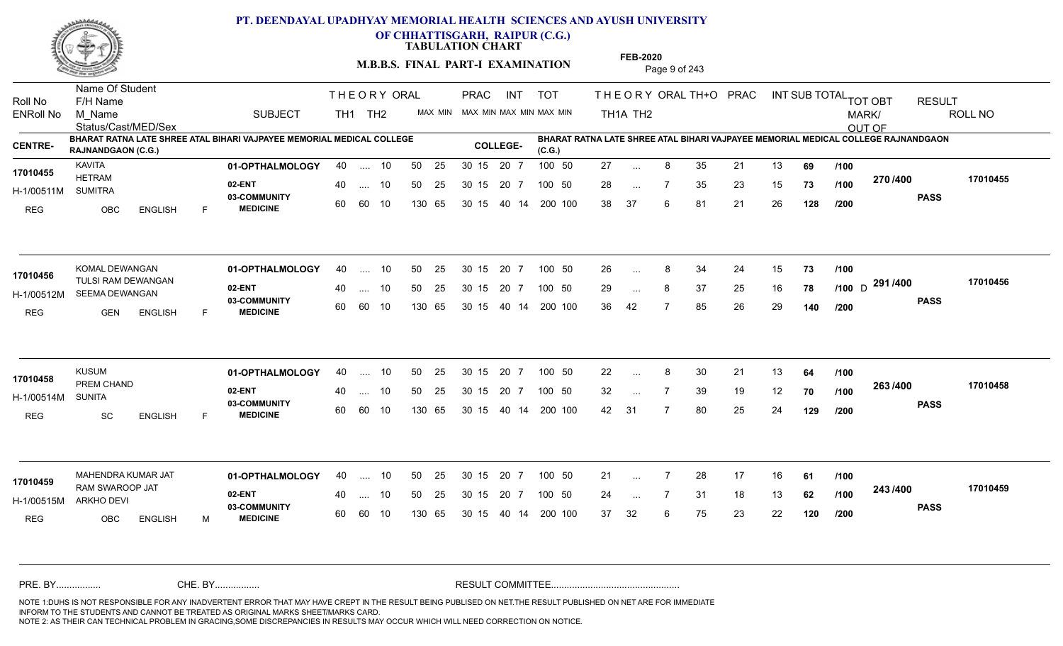

**OF CHHATTISGARH, RAIPUR (C.G.)**

**TABULATION CHART** 

**M.B.B.S. FINAL PART-I EXAMINATION** Page 9 of 243

Status/Cast/MED/Sex Name Of Student Roll No F/H Name M\_Name SUBJECT TH1 TH2 <sup>MAX\_MIN</sup> N PRAC INT TOT THEORY ORAL TH+O PRAC INT TH<sub>1</sub>A TH<sub>2</sub> ORAL TH+ODPRACD INT SUB TOTAL <sub>TOT OBT</sub> RESULT ROLL NO MARK/ OUT OF ENRoll No M Name  $\,$  SUBJECT TH1 TH2 MAX MIN MAX MIN MAX MIN MAX MIN TH1A TH2 **BHARAT RATNA LATE SHREE ATAL BIHARI VAJPAYEE MEMORIAL MEDICAL COLLEGE RAJNANDGAON (C.G.) (C.G.) CENTRE- COLLEGE-BHARAT RATNA LATE SHREE ATAL BIHARI VAJPAYEE MEMORIAL MEDICAL COLLEGE RAJNANDGAON**  THE ORY ORAL PRAC INT PRAC **01-OPTHALMOLOGY** KAVITA 40 .... 10 30 15 20 7 **02-ENT** 03-COMMUNITY 60  **MEDICINE** H-1/00511M HETRAM SUMITRA REG OBC ENGLISH F 27 ... 8 35 21 13 **69** /**100** 28 ... 7 35 23 15 **73 /100 <sup>21 01</sup> 7** 38 37 6 81 21 26 **128 270 PASS /400 17010455** .... 10 50 25 60 60 10 50 25 30 15 130 65 30 15 20 7 100 50 40 14 200 100 50 25 30 15 20 7 100 50 27 ... **17010455 17010455** ... ... **/100 /100 /200 01-OPTHALMOLOGY** KOMAL DEWANGAN 40 .... 10 30 15 20 7 **02-ENT** 03-COMMUNITY 60  **MEDICINE** H-1/00512M SEEMA DEWANGAN 17010456 TULSI RAM DEWANGAN REG GEN ENGLISH F 26 8 34 24 15 **73** 29 ... 8 37 25 16 **78 /100** D <sup>29 17</sup> 790 36 42 7 85 26 29 **140 291** D **PASS /400 17010456** .... 10 50 25 60 60 10 30 15 20 7 130 65 30 15 40 14 200 100 30 15 20 7 100 50 50 25 30 15 20 7 100 50 26 ... 8 ... ... **/100 /200 01-OPTHALMOLOGY** KUSUM 40 .... 10 30 15 20 7 **02-ENT** 03-COMMUNITY 60  **MEDICINE** H-1/00514M 17010458 PREM CHAND SUNITA REG SC ENGLISH F 22 ... 8 30 21 13 **64 /100** 32 ... 7 39 19 12 **70** /1**00 <sup>2007</sup> 70** 42 31 7 80 25 24 **129 263 PASS /400 17010458** .... 10 50 25 30 15 60 60 10 20 7 130 65 30 15 30 15 20 7 100 50 40 14 200 100 50 25 30 15 20 7 100 50 22 ... 8 ... ... **/100 /100 /200** MAHENDRA KUMAR JAT **01-OPTHALMOLOGY** 40 .... 10 50 25 30 15 20 7 100 50 21 **02-ENT** 03-COMMUNITY 60 **MEDICINE** 60 60 10 H-1/00515M RAM SWAROOP JAT **17010459** ARKHO DEVI REG OBC ENGLISH M 21 ... 7 28 17 16 **61** /**100** 24 7 31 18 13 **62** 37 32 6 75 23 22 **120 243 PASS /400 17010459** 40 .... 10 50 25 130 65 130 65 30 15 30 15 20 7 100 50 40 14 200 100 50 25 30 15 20 7 100 50 21 ... ... ... **/100 /100 /200** NOTE 1:DUHS IS NOT RESPONSIBLE FOR ANY INADVERTENT ERROR THAT MAY HAVE CREPT IN THE RESULT BEING PUBLISED ON NET.THE RESULT PUBLISHED ON NET ARE FOR IMMEDIATE INFORM TO THE STUDENTS AND CANNOT BE TREATED AS ORIGINAL MARKS SHEET/MARKS CARD. CHE. BY WAREL BY WARE AND THE AVEC THE AVEC THE THE RESULT COMMITTEE AND MULTIME MOTE 1:DUHS IS NOT RESPONSIBLE FOR ANY INADVERTENT ERROR THAT MAY HAVE CREPT IN THE RESULT BEING PUBLISED ON NET.THE RESULT PUBLISHED ON NET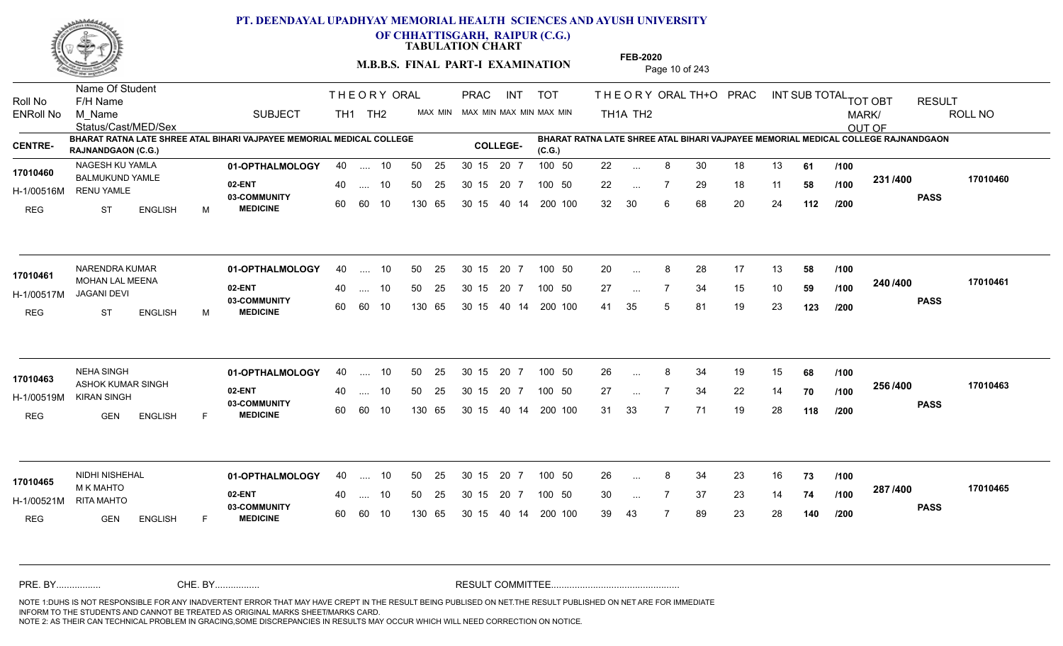

**OF CHHATTISGARH, RAIPUR (C.G.)**

**TABULATION CHART** 

**M.B.B.S. FINAL PART-I EXAMINATION** Page 10 of 243

Status/Cast/MED/Sex Name Of Student Roll No F/H Name M\_Name SUBJECT TH1 TH2 <sup>MAX\_MIN</sup> N PRAC INT TOT THEORY ORAL TH+O PRAC INT TH<sub>1</sub>A TH<sub>2</sub> ORAL TH+ODPRACD INT SUB TOTAL <sub>TOT OBT</sub> RESULT ROLL NO MARK/ OUT OF ENRoll No M Name  $\,$  SUBJECT TH1 TH2 MAX MIN MAX MIN MAX MIN MAX MIN TH1A TH2 **BHARAT RATNA LATE SHREE ATAL BIHARI VAJPAYEE MEMORIAL MEDICAL COLLEGE RAJNANDGAON (C.G.) BHARAT RATNA LATE SHREE ATAL BIHARI VAJPAYEE MEMORIAL MEDICAL COLLEGE RAJNANDGAON (C.G.) CENTRE- COLLEGE-**THE ORY ORAL PRAC INT PRAC **01-OPTHALMOLOGY** NAGESH KU YAMLA 40 .... 10 30 15 20 7 **02-ENT** 03-COMMUNITY 60  **MEDICINE** H-1/00516M RENU YAMLE 17010460 BALMUKUND YAMLE REG ST ENGLISH M 22 ... 8 30 18 13 **61 /100** 22 ... 7 29 18 11 **58 /100 <sup>2017</sup> 7** 32 30 6 68 20 24 **112 231 PASS /400 17010460** .... 10 50 25 60 60 10 50 25 30 15 130 65 30 15 20 7 100 50 40 14 200 100 50 25 30 15 20 7 100 50 22 ... ... ... **/100 /100 /200 01-OPTHALMOLOGY** NARENDRA KUMAR 40 .... 10 30 15 20 7 **02-ENT** 03-COMMUNITY 60  **MEDICINE** H-1/00517M JAGANI DEVI 17010461 MOHAN LAL MEENA<br>**MOHAN LAL MEENA** REG ST ENGLISH M 20 8 28 17 13 **58** 27 ... 7 34 15 10 **59 /100 <sup>2467466</sup>** 41 35 5 81 19 23 **123 240 PASS /400 17010461** 40 .... 10 50 25 60 60 10 130 65 30 15 40 14 200 100 30 15 20 7 100 50 50 25 30 15 20 7 100 50 20 ... 8 ... ... **/100 /100 /200 01-OPTHALMOLOGY** NEHA SINGH 40 .... 10 30 15 20 7 **02-ENT** 03-COMMUNITY 60 **MEDICINE** 60 60 10 H-1/00519M KIRAN SINGH 17010463 ASHOK KUMAR SINGH REG GEN ENGLISH F 26 8 34 19 15 **68** 27 7 34 22 14 **70** 31 33 7 71 19 28 **118 256 PASS /400 17010463** .... 10 50 25 30 15 130 65 20 7 130 65 30 15 30 15 20 7 100 50 40 14 200 100 50 25 30 15 20 7 100 50 26 ... 8 ... ... **/100 /100 /200 01-OPTHALMOLOGY** NIDHI NISHEHAL 40 .... 10 30 15 20 7 **02-ENT** 03-COMMUNITY 60 **MEDICINE** 60 60 10 H-1/00521M M K MAHTO RITA MAHTO REG GEN ENGLISH F 26 8 34 23 16 **73** 30 ... 7 37 23 14 **74 /100 <sup>207</sup> 1<del>-</del>00** 39 43 7 89 23 28 **140 287 PASS /400 17010465** 40 .... 10 50 25 130 65 130 65 30 15 30 15 20 7 100 50 40 14 200 100 50 25 30 15 20 7 100 50 26 ... 8 **17010465** NIDHI NISHEHAL ... ... **/100 /100 /200** NOTE 1:DUHS IS NOT RESPONSIBLE FOR ANY INADVERTENT ERROR THAT MAY HAVE CREPT IN THE RESULT BEING PUBLISED ON NET.THE RESULT PUBLISHED ON NET ARE FOR IMMEDIATE INFORM TO THE STUDENTS AND CANNOT BE TREATED AS ORIGINAL MARKS SHEET/MARKS CARD. CHE. BY WAREL BY WARE AND THE AVEC THE AVEC THE THE RESULT COMMITTEE AND MULTIME MOTE 1:DUHS IS NOT RESPONSIBLE FOR ANY INADVERTENT ERROR THAT MAY HAVE CREPT IN THE RESULT BEING PUBLISED ON NET.THE RESULT PUBLISHED ON NET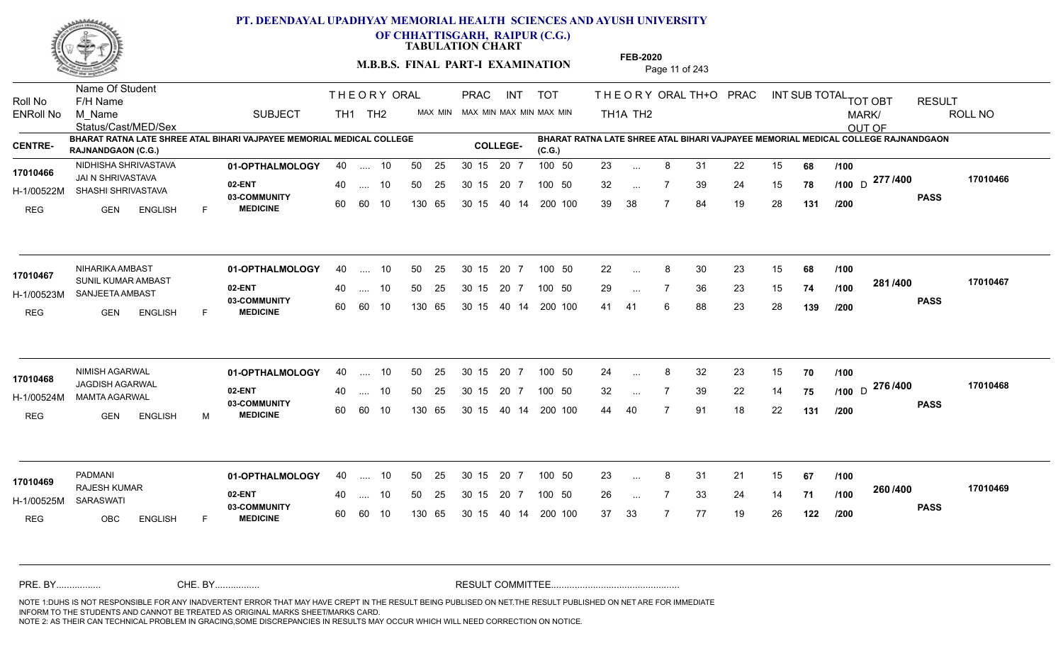

**OF CHHATTISGARH, RAIPUR (C.G.)**

**TABULATION CHART** 

**M.B.B.S. FINAL PART-I EXAMINATION** Page 11 of 243

Status/Cast/MED/Sex Name Of Student Roll No F/H Name M\_Name SUBJECT TH1 TH2 <sup>MAX\_MIN</sup> N PRAC INT TOT THEORY ORAL TH+O PRAC INT TH<sub>1</sub>A TH<sub>2</sub> ORAL TH+ODPRACD INT SUB TOTAL <sub>TOT OBT</sub> RESULT ROLL NO MARK/ OUT OF ENRoll No M Name  $\,$  SUBJECT TH1 TH2 MAX MIN MAX MIN MAX MIN MAX MIN TH1A TH2 **BHARAT RATNA LATE SHREE ATAL BIHARI VAJPAYEE MEMORIAL MEDICAL COLLEGE RAJNANDGAON (C.G.) BHARAT RATNA LATE SHREE ATAL BIHARI VAJPAYEE MEMORIAL MEDICAL COLLEGE RAJNANDGAON (C.G.) CENTRE- COLLEGE-**THE ORY ORAL PRAC INT PRAC **01-OPTHALMOLOGY** NIDHISHA SHRIVASTAVA 40 .... 10 30 15 20 7 **02-ENT** 03-COMMUNITY 60  **MEDICINE** H-1/00522M SHASHI SHRIVASTAVA JAI N SHRIVASTAVA **17010466** REG GEN ENGLISH F 23 8 31 22 15 **68** 32 ... 7 39 24 15 **78 /100** D <del>Arriva</del> 39 38 7 84 19 28 **131** <sub>D</sub> 277 /400 170104 **PASS /400 17010466** .... 10 50 25 60 60 10 50 25 30 15 130 65 30 15 20 7 100 50 40 14 200 100 50 25 30 15 20 7 100 50 23 ... ... ... **/100 /100 /200 01-OPTHALMOLOGY** NIHARIKA AMBAST 40 .... 10 30 15 20 7 **02-ENT** 03-COMMUNITY 60  **MEDICINE** H-1/00523M SANJEETA AMBAST 17010467 SUNIL KUMAR AMBAST REG GEN ENGLISH F 22 8 30 23 15 **68** 29 ... 7 36 23 15 **74 /100 <sup>2017–00</sup>** 41 41 6 88 23 28 **139 281 PASS /400 17010467** .... 10 50 25 60 60 10 30 15 20 7 130 65 30 15 40 14 200 100 30 15 20 7 100 50 50 25 30 15 20 7 100 50 22 ... 8 ... ... **/100 /100 /200 01-OPTHALMOLOGY** NIMISH AGARWAL 40 .... 10 30 15 20 7 **02-ENT** 03-COMMUNITY 60 **MEDICINE** 60 60 10 H-1/00524M MAMTA AGARWAL JAGDISH AGARWAL **17010468** REG GEN ENGLISH M 24 ... 8 32 23 15 **70** /**100** 32 ... 7 39 22 14 **75 /100** D <sup>21 07</sup> 79 1 44 40 7 91 18 22 **131 276** D **PASS /400 17010468** .... 10 50 25 30 15 130 65 20 7 130 65 30 15 30 15 20 7 100 50 40 14 200 100 50 25 30 15 20 7 100 50 24 ... 8 ... ... **/100 /100 /200 01-OPTHALMOLOGY** PADMANI 40 .... 10 30 15 20 7 **02-ENT** 03-COMMUNITY 60  **MEDICINE** H-1/00525M SARASWATI RAJESH KUMAR **17010469** REG OBC ENGLISH F 23 8 31 21 15 **67** 26 7 33 24 14 **71** 37 33 7 77 19 26 **122 260 PASS /400 17010469** 40 .... 10 50 25 60 60 10 130 65 30 15 30 15 20 7 100 50 40 14 200 100 50 25 30 15 20 7 100 50 23 ... 8 ... ... **/100 /100 /200** NOTE 1:DUHS IS NOT RESPONSIBLE FOR ANY INADVERTENT ERROR THAT MAY HAVE CREPT IN THE RESULT BEING PUBLISED ON NET.THE RESULT PUBLISHED ON NET ARE FOR IMMEDIATE INFORM TO THE STUDENTS AND CANNOT BE TREATED AS ORIGINAL MARKS SHEET/MARKS CARD. CHE. BY WAREL BY WARE AND THE AVEC THE AVEC THE THE RESULT COMMITTEE AND MULTIME MOTE 1:DUHS IS NOT RESPONSIBLE FOR ANY INADVERTENT ERROR THAT MAY HAVE CREPT IN THE RESULT BEING PUBLISED ON NET.THE RESULT PUBLISHED ON NET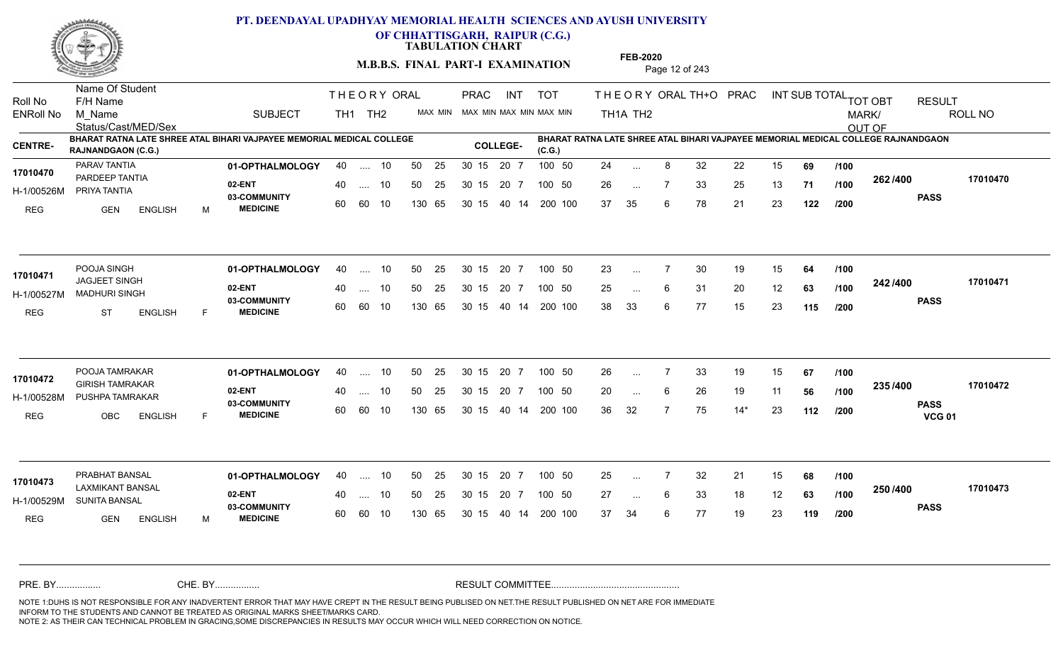

**OF CHHATTISGARH, RAIPUR (C.G.)**

**TABULATION CHART** 

**M.B.B.S. FINAL PART-I EXAMINATION** Page 12 of 243

Status/Cast/MED/Sex Name Of Student Roll No F/H Name M\_Name SUBJECT TH1 TH2 <sup>MAX\_MIN</sup> N PRAC INT TOT THEORY ORAL TH+O PRAC INT TH<sub>1</sub>A TH<sub>2</sub> ORAL TH+ODPRACD INT SUB TOTAL <sub>TOT OBT</sub> RESULT ROLL NO MARK/ OUT OF ENRoll No M Name  $\,$  SUBJECT TH1 TH2 MAX MIN MAX MIN MAX MIN MAX MIN TH1A TH2 **BHARAT RATNA LATE SHREE ATAL BIHARI VAJPAYEE MEMORIAL MEDICAL COLLEGE RAJNANDGAON (C.G.) BHARAT RATNA LATE SHREE ATAL BIHARI VAJPAYEE MEMORIAL MEDICAL COLLEGE RAJNANDGAON (C.G.) CENTRE- COLLEGE-**THE ORY ORAL PRAC INT PRAC **01-OPTHALMOLOGY** PARAV TANTIA 40 .... 10 30 15 20 7 **02-ENT** 03-COMMUNITY 60  **MEDICINE** H-1/00526M PRIYA TANTIA 17010470 PARDEEP TANTIA REG GEN ENGLISH M 24 ... 8 32 22 15 **69** /**100** 26 ... 7 33 25 13 **71 /100 <sup>2027–00</sup>** 37 35 6 78 21 23 **122 262 PASS /400 17010470** .... 10 50 25 60 60 10 50 25 30 15 130 65 30 15 20 7 100 50 40 14 200 100 50 25 30 15 20 7 100 50 24 ... ... ... **/100 /100 /200 01-OPTHALMOLOGY** POOJA SINGH 40 .... 10 30 15 20 7 **02-ENT** 03-COMMUNITY 60  **MEDICINE** H-1/00527M MADHURI SINGH JAGJEET SINGH **17010471** REG ST ENGLISH F 23 ... 7 30 19 15 **64 /100** 25 ... 6 31 20 12 **63 /100 <sup>292/9</sup>00** 38 33 6 77 15 23 **115 242 PASS /400 17010471** 40 .... 10 50 25 60 60 10 130 65 30 15 40 14 200 100 30 15 20 7 100 50 50 25 30 15 20 7 100 50 23 ... ... ... **/100 /100 /200 01-OPTHALMOLOGY** POOJA TAMRAKAR 40 .... 10 30 15 20 7 **02-ENT** 03-COMMUNITY 60  **MEDICINE** H-1/00528M PUSHPA TAMRAKAR **ANG TANGGARA TANG BASA DI PADA BA** GIRISH TAMRAKAR **17010472** REG OBC ENGLISH F 26 7 33 19 15 **67** 20 ... 6 26 19 11 **56 /100 <sup>2337-400</sup>** 36 32 7 75 14\* 23 **112 235 PASS VCG 01 /400 17010472** .... 10 50 25 30 15 60 60 10 20 7 130 65 30 15 30 15 20 7 100 50 40 14 200 100 50 25 30 15 20 7 100 50 26 ... 7 ... ... 6 **/100 /100 /200 01-OPTHALMOLOGY** PRABHAT BANSAL 40 .... 10 30 15 20 7 **02-ENT** 03-COMMUNITY 60 **MEDICINE** 60 60 10 H-1/00529M SUNITA BANSAL LAXMIKANT BANSAL **17010473** REG GEN ENGLISH M 25 7 32 21 15 **68** 27 ... 6 33 18 12 **63 /100 <sup>2007–00</sup>** 37 34 6 77 19 23 **119 250 PASS /400 17010473** 40 .... 10 50 25 130 65 130 65 30 15 30 15 20 7 100 50 40 14 200 100 50 25 30 15 20 7 100 50 25 ... ... ... 6 **/100 /100 /200** NOTE 1:DUHS IS NOT RESPONSIBLE FOR ANY INADVERTENT ERROR THAT MAY HAVE CREPT IN THE RESULT BEING PUBLISED ON NET.THE RESULT PUBLISHED ON NET ARE FOR IMMEDIATE INFORM TO THE STUDENTS AND CANNOT BE TREATED AS ORIGINAL MARKS SHEET/MARKS CARD. CHE. BY WAREL BY WARE AND THE AVEC THE AVEC THE THE RESULT COMMITTEE AND MULTIME MOTE 1:DUHS IS NOT RESPONSIBLE FOR ANY INADVERTENT ERROR THAT MAY HAVE CREPT IN THE RESULT BEING PUBLISED ON NET.THE RESULT PUBLISHED ON NET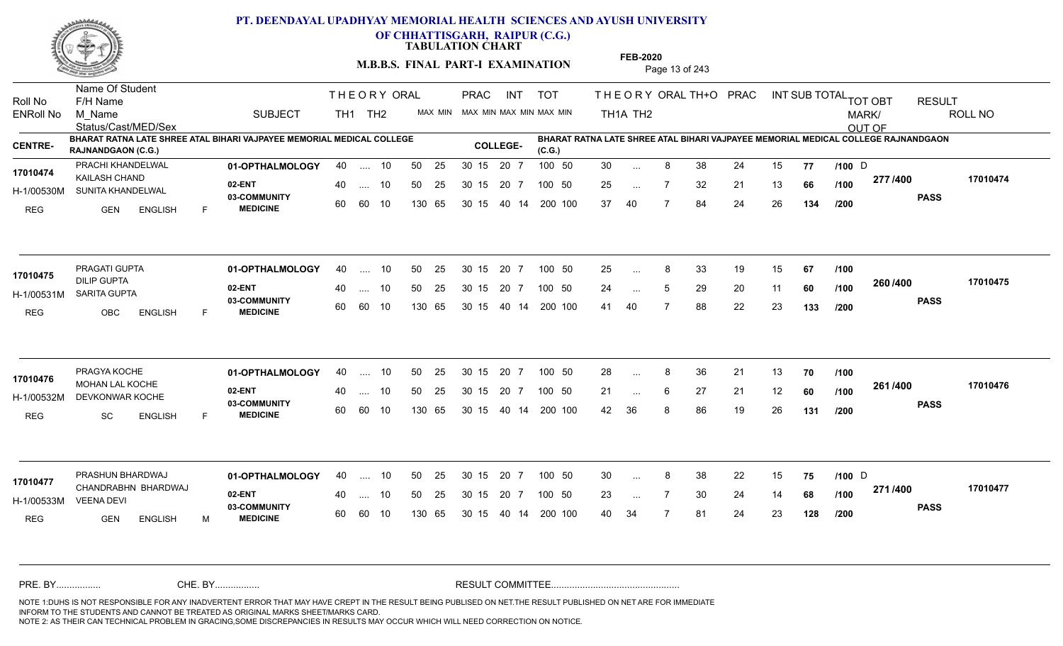

**OF CHHATTISGARH, RAIPUR (C.G.)**

**TABULATION CHART** 

**M.B.B.S. FINAL PART-I EXAMINATION** Page 13 of 243

Status/Cast/MED/Sex Name Of Student Roll No F/H Name M\_Name SUBJECT TH1 TH2 <sup>MAX\_MIN</sup> N PRAC INT TOT THEORY ORAL TH+O PRAC INT TH<sub>1</sub>A TH<sub>2</sub> ORAL TH+ODPRACD INT SUB TOTAL <sub>TOT OBT</sub> RESULT ROLL NO MARK/ OUT OF ENRoll No M Name  $\,$  SUBJECT TH1 TH2 MAX MIN MAX MIN MAX MIN MAX MIN TH1A TH2 **BHARAT RATNA LATE SHREE ATAL BIHARI VAJPAYEE MEMORIAL MEDICAL COLLEGE RAJNANDGAON (C.G.) BHARAT RATNA LATE SHREE ATAL BIHARI VAJPAYEE MEMORIAL MEDICAL COLLEGE RAJNANDGAON (C.G.) CENTRE- COLLEGE-**THE ORY ORAL PRAC INT PRAC **01-OPTHALMOLOGY** PRACHI KHANDELWAL 40 .... 10 30 15 20 7 **02-ENT** 03-COMMUNITY 60  **MEDICINE** H-1/00530M SUNITA KHANDELWAL **SELFER** 17010474 **KAILASH CHAND** REG GEN ENGLISH F 30 ... 8 38 24 15 **77 /100** D 25 ... 7 32 21 13 **66 /100 <del>1111</del>-00** 37 40 7 84 24 26 **134 277 PASS /400 17010474** .... 10 50 25 60 60 10 50 25 30 15 130 65 30 15 20 7 100 50 40 14 200 100 50 25 30 15 20 7 100 50 30 ... 8 38 24 15 **77 /100** D ... 8 ... **/100 /100 /200 01-OPTHALMOLOGY** PRAGATI GUPTA 40 .... 10 30 15 20 7 **02-ENT** 03-COMMUNITY 60  **MEDICINE** H-1/00531M SARITA GUPTA DILIP GUPTA REG OBC ENGLISH F 25 8 33 19 15 **67** 24 ... 5 29 20 11 **60 /100 <sup>2007–00</sup>** 41 40 7 88 22 23 **133 260 PASS /400 17010475** .... 10 50 25 60 60 10 30 15 20 7 130 65 30 15 40 14 200 100 30 15 20 7 100 50 50 25 30 15 20 7 100 50 25 ... 8 **17010475** PRAGATI GUPTA ... ... **/100 /100 /200 01-OPTHALMOLOGY** PRAGYA KOCHE 40 .... 10 30 15 20 7 **02-ENT** 03-COMMUNITY 60  **MEDICINE** H-1/00532M DEVKONWAR KOCHE 17010476 MOHAN LAL KOCHE **17010476** REG SC ENGLISH F 28 8 36 21 13 **70** 21 ... 6 27 21 12 **60** /1**00 <sup>2017</sup> 700** 42 36 8 86 19 26 **131 261 PASS /400 17010476** .... 10 50 25 30 15 60 60 10 20 7 130 65 30 15 30 15 20 7 100 50 40 14 200 100 50 25 30 15 20 7 100 50 28 ... ... ... 6 **/100 /100 /200 01-OPTHALMOLOGY** PRASHUN BHARDWAJ 40 .... 10 30 15 20 7 **02-ENT** 03-COMMUNITY 60 **MEDICINE** 60 60 10 H-1/00533M CHANDRABHN BHARDWAJ **17010477** VEENA DEVI REG GEN ENGLISH M 30 ... 8 38 22 15 **75 /100** D 23 ... 7 30 24 14 **68 /100 <del>1111</del>** 40 34 7 81 24 23 **128 271 PASS /400 17010477** 40 .... 10 50 25 130 65 130 65 30 15 30 15 20 7 100 50 40 14 200 100 50 25 30 15 20 7 100 50 30 ... 8 38 22 15 **75 /100** D ... ... **/100 /200** NOTE 1:DUHS IS NOT RESPONSIBLE FOR ANY INADVERTENT ERROR THAT MAY HAVE CREPT IN THE RESULT BEING PUBLISED ON NET.THE RESULT PUBLISHED ON NET ARE FOR IMMEDIATE INFORM TO THE STUDENTS AND CANNOT BE TREATED AS ORIGINAL MARKS SHEET/MARKS CARD. CHE. BY WAREL BY WARE AND THE AVEC THE AVEC THE THE RESULT COMMITTEE AND MULTIME MOTE 1:DUHS IS NOT RESPONSIBLE FOR ANY INADVERTENT ERROR THAT MAY HAVE CREPT IN THE RESULT BEING PUBLISED ON NET.THE RESULT PUBLISHED ON NET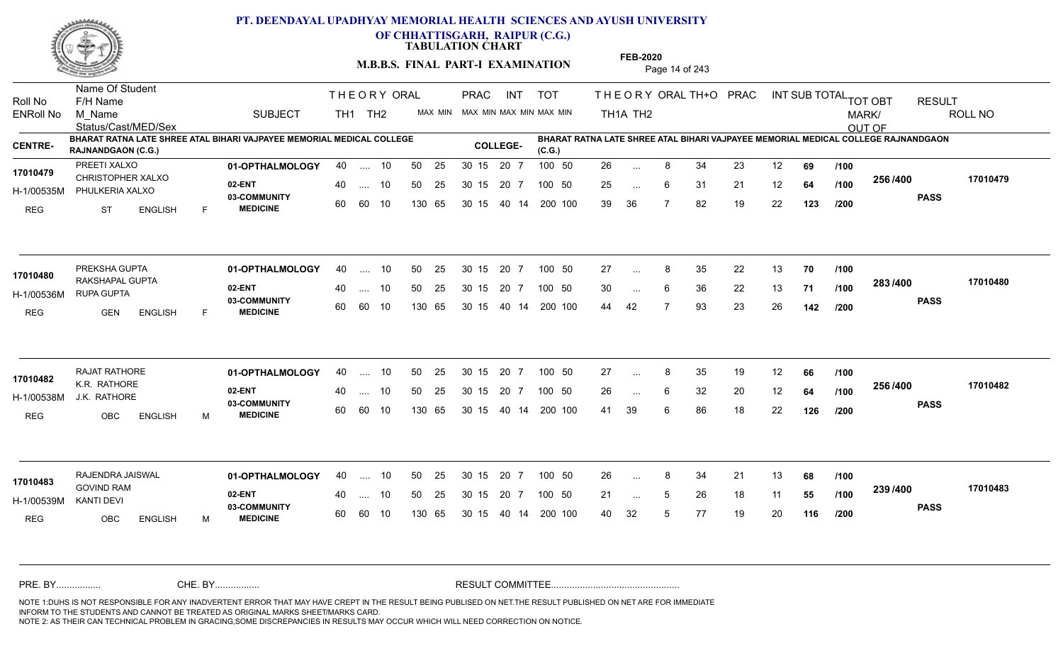

**OF CHHATTISGARH, RAIPUR (C.G.)**

**TABULATION CHART** 

**M.B.B.S. FINAL PART-I EXAMINATION** Page 14 of 243

Status/Cast/MED/Sex Name Of Student Roll No F/H Name M\_Name SUBJECT TH1 TH2 <sup>MAX\_MIN</sup> N PRAC INT TOT THEORY ORAL TH+O PRAC INT TH<sub>1</sub>A TH<sub>2</sub> ORAL TH+ODPRACD INT SUB TOTAL <sub>TOT OBT</sub> RESULT ROLL NO MARK/ OUT OF ENRoll No M Name  $\,$  SUBJECT TH1 TH2 MAX MIN MAX MIN MAX MIN MAX MIN TH1A TH2 **BHARAT RATNA LATE SHREE ATAL BIHARI VAJPAYEE MEMORIAL MEDICAL COLLEGE RAJNANDGAON (C.G.) BHARAT RATNA LATE SHREE ATAL BIHARI VAJPAYEE MEMORIAL MEDICAL COLLEGE RAJNANDGAON (C.G.) CENTRE- COLLEGE-**THE ORY ORAL PRAC INT PRAC **01-OPTHALMOLOGY** PREETI XALXO 40 .... 10 30 15 20 7 **02-ENT** 03-COMMUNITY 60  **MEDICINE** H-1/00535M PHULKERIA XALXO 17010479 CHRISTOPHER XALXO REG ST ENGLISH F 26 8 34 23 12 **69** 25 ... 6 31 21 12 **64 /100 <sup>2007</sup> 1** 39 36 7 82 19 22 **123 256 PASS /400 17010479** .... 10 50 25 60 60 10 50 25 30 15 130 65 30 15 20 7 100 50 40 14 200 100 50 25 30 15 20 7 100 50 26 ... 8 ... ... 6 **/100 /100 /200 01-OPTHALMOLOGY** PREKSHA GUPTA 40 .... 10 30 15 20 7 **02-ENT** 03-COMMUNITY 60  **MEDICINE** H-1/00536M RUPA GUPTA 17010480 RAKSHAPAL GUPTA REG GEN ENGLISH F 27 ... 8 35 22 13 **70 /100** 30 ... 6 36 22 13 **71 /100 <sup>2007</sup> 700** 44 42 7 93 23 26 **142 283 PASS /400 17010480** 40 .... 10 50 25 60 60 10 130 65 30 15 40 14 200 100 30 15 20 7 100 50 50 25 30 15 20 7 100 50 27 ... 8 ...  $\overline{\phantom{a}}$ . 6 **/100 /100 /200 01-OPTHALMOLOGY** RAJAT RATHORE 40 .... 10 30 15 20 7 **02-ENT** 03-COMMUNITY 60  **MEDICINE** H-1/00538M J.K. RATHORE K.R. RATHORE **17010482** REG OBC ENGLISH M 27 ... 8 35 19 12 **66** /**100** 26 ... 6 32 20 12 **64 /100 <sup>2007</sup> 1** 41 39 6 86 18 22 **126 256 PASS /400 17010482** .... 10 50 25 30 15 60 60 10 20 7 130 65 30 15 30 15 20 7 100 50 40 14 200 100 50 25 30 15 20 7 100 50 27 ... ... ... **/100 /100 /200 01-OPTHALMOLOGY** RAJENDRA JAISWAL 40 .... 10 30 15 20 7 **02-ENT** 03-COMMUNITY 60 **MEDICINE** 60 60 10 H-1/00539M GOVIND RAM KANTI DEVI REG OBC ENGLISH M 26 8 34 21 13 **68** 21 ... 5 26 18 11 **55 /100 <sup>2007/400</sup>** 40 32 5 77 19 20 **116 239 PASS /400 17010483** 40 .... 10 50 25 130 65 130 65 30 15 30 15 20 7 100 50 40 14 200 100 50 25 30 15 20 7 100 50 26 ... 8 **17010483 17010483** ... ... **/100 /100 /200** NOTE 1:DUHS IS NOT RESPONSIBLE FOR ANY INADVERTENT ERROR THAT MAY HAVE CREPT IN THE RESULT BEING PUBLISED ON NET.THE RESULT PUBLISHED ON NET ARE FOR IMMEDIATE INFORM TO THE STUDENTS AND CANNOT BE TREATED AS ORIGINAL MARKS SHEET/MARKS CARD. CHE. BY WAREL BY WARE AND THE AVEC THE AVEC THE THE RESULT COMMITTEE AND MULTIME MOTE 1:DUHS IS NOT RESPONSIBLE FOR ANY INADVERTENT ERROR THAT MAY HAVE CREPT IN THE RESULT BEING PUBLISED ON NET.THE RESULT PUBLISHED ON NET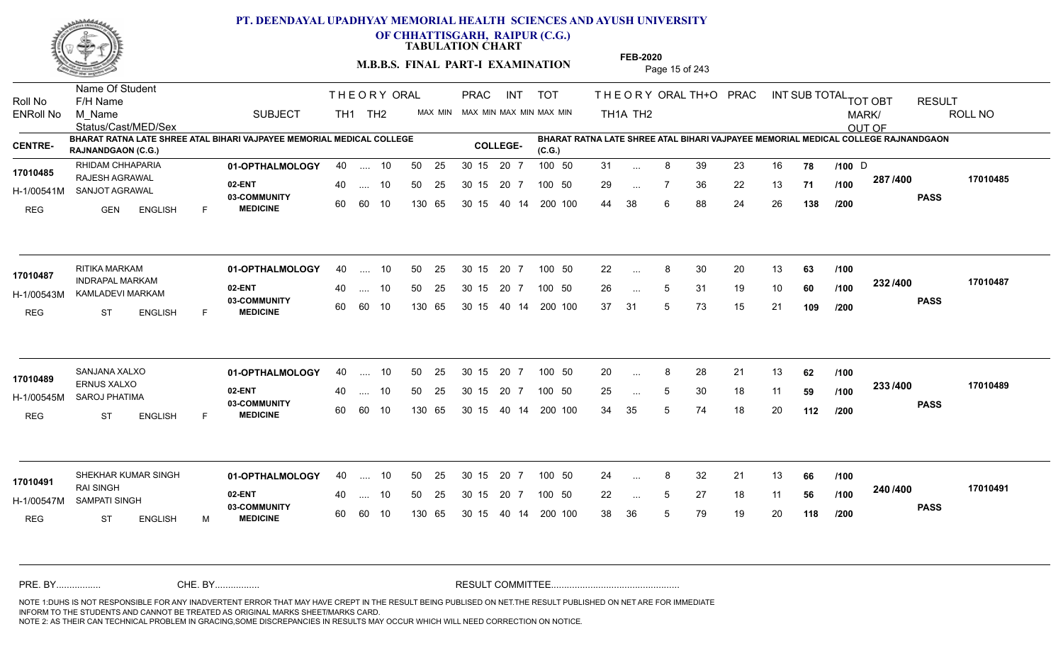

**OF CHHATTISGARH, RAIPUR (C.G.)**

**TABULATION CHART** 

**M.B.B.S. FINAL PART-I EXAMINATION** Page 15 of 243

Status/Cast/MED/Sex Name Of Student Roll No F/H Name M\_Name SUBJECT TH1 TH2 <sup>MAX\_MIN</sup> N PRAC INT TOT THEORY ORAL TH+O PRAC INT TH<sub>1</sub>A TH<sub>2</sub> ORAL TH+ODPRACD INT SUB TOTAL <sub>TOT OBT</sub> RESULT ROLL NO MARK/ OUT OF ENRoll No M Name  $\,$  SUBJECT TH1 TH2 MAX MIN MAX MIN MAX MIN MAX MIN TH1A TH2 **BHARAT RATNA LATE SHREE ATAL BIHARI VAJPAYEE MEMORIAL MEDICAL COLLEGE RAJNANDGAON (C.G.) BHARAT RATNA LATE SHREE ATAL BIHARI VAJPAYEE MEMORIAL MEDICAL COLLEGE RAJNANDGAON (C.G.) CENTRE- COLLEGE-**THE ORY ORAL PRAC INT PRAC **01-OPTHALMOLOGY** RHIDAM CHHAPARIA 40 .... 10 30 15 20 7 **02-ENT** 03-COMMUNITY 60  **MEDICINE** H-1/00541M SANJOT AGRAWAL 17010485 **RAJESH AGRAWAL** REG GEN ENGLISH F 31 ... 8 39 23 16 **78 /100** D 29 ... 7 36 22 13 **71 /100 <sup>201 /400</sup>** 44 38 6 88 24 26 **138 287 PASS /400 17010485** .... 10 50 25 60 60 10 50 25 30 15 130 65 30 15 20 7 100 50 40 14 200 100 50 25 30 15 20 7 100 50 31 ... 8 39 23 16 **78 /100** D ... 8 ... **/100 /100 /200 01-OPTHALMOLOGY** RITIKA MARKAM 40 .... 10 30 15 20 7 **02-ENT** 03-COMMUNITY 60  **MEDICINE** H-1/00543M KAMLADEVI MARKAM 17010487 INDRAPAL MARKAM REG ST ENGLISH F 22 8 30 20 13 **63** 26 ... 5 31 19 10 **60 /100 <sup>2027–00</sup>** 37 31 5 73 15 21 **109 232 PASS /400 17010487** .... 10 50 25 60 60 10 30 15 20 7 130 65 30 15 40 14 200 100 30 15 20 7 100 50 50 25 30 15 20 7 100 50 22 ... 8 ... ... **/100 /100 /200 01-OPTHALMOLOGY** SANJANA XALXO 40 .... 10 30 15 20 7 **02-ENT** 03-COMMUNITY 60  **MEDICINE** H-1/00545M SAROJ PHATIMA ERNUS XALXO **17010489** REG ST ENGLISH F 20 8 28 21 13 **62** 25 ... 5 30 18 11 **59 /100 <sup>2007</sup> 700** 34 35 5 74 18 20 **112 233 PASS /400 17010489** .... 10 50 25 30 15 60 60 10 20 7 130 65 30 15 30 15 20 7 100 50 40 14 200 100 50 25 30 15 20 7 100 50 20 ... 8 ... ... 5 **/100 /100 /200 01-OPTHALMOLOGY 02-ENT** 03-COMMUNITY 60 **MEDICINE** 60 60 10 H-1/00547M SAMPATI SINGH 22 BALL RAI SINGH REG ST ENGLISH M 24 ... 8 32 21 13 **66 /100** 22 ... 5 27 18 11 **56 /100 <sup>246</sup>/\*<sup>00</sup>** 38 36 5 79 19 20 **118 240 PASS /400 17010491** SHEKHAR KUMAR SINGH **01-OPTHALMOLOGY** 40 .... 10 50 25 30 15 20 7 100 50 24 40 .... 10 50 25 130 65 130 65 30 15 30 15 20 7 100 50 40 14 200 100 100 50 24 ... 8 **17010491** ... ... **/100 /100 /200** NOTE 1:DUHS IS NOT RESPONSIBLE FOR ANY INADVERTENT ERROR THAT MAY HAVE CREPT IN THE RESULT BEING PUBLISED ON NET.THE RESULT PUBLISHED ON NET ARE FOR IMMEDIATE INFORM TO THE STUDENTS AND CANNOT BE TREATED AS ORIGINAL MARKS SHEET/MARKS CARD. CHE. BY WAREL BY WARE AND THE AVEC THE AVEC THE THE RESULT COMMITTEE AND MULTIME MOTE 1:DUHS IS NOT RESPONSIBLE FOR ANY INADVERTENT ERROR THAT MAY HAVE CREPT IN THE RESULT BEING PUBLISED ON NET.THE RESULT PUBLISHED ON NET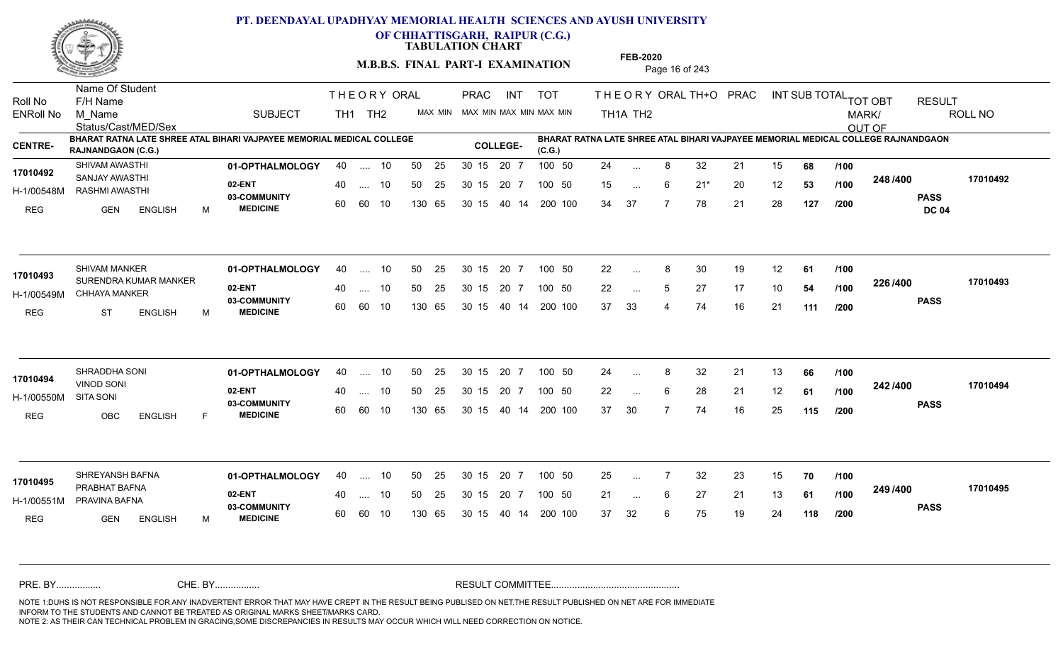

**OF CHHATTISGARH, RAIPUR (C.G.)**

**TABULATION CHART** 

**M.B.B.S. FINAL PART-I EXAMINATION** Page 16 of 243

Status/Cast/MED/Sex Name Of Student Roll No F/H Name M\_Name SUBJECT TH1 TH2 <sup>MAX\_MIN</sup> N PRAC INT TOT THEORY ORAL TH+O PRAC INT TH<sub>1</sub>A TH<sub>2</sub> ORAL TH+ODPRACD INT SUB TOTAL <sub>TOT OBT</sub> RESULT ROLL NO MARK/ OUT OF ENRoll No M Name  $\,$  SUBJECT TH1 TH2 MAX MIN MAX MIN MAX MIN MAX MIN TH1A TH2 **BHARAT RATNA LATE SHREE ATAL BIHARI VAJPAYEE MEMORIAL MEDICAL COLLEGE RAJNANDGAON (C.G.) BHARAT RATNA LATE SHREE ATAL BIHARI VAJPAYEE MEMORIAL MEDICAL COLLEGE RAJNANDGAON (C.G.) CENTRE- COLLEGE-**THE ORY ORAL PRAC INT PRAC **01-OPTHALMOLOGY** SHIVAM AWASTHI 40 .... 10 30 15 20 7 **02-ENT** 03-COMMUNITY 60  **MEDICINE** H-1/00548M RASHMI AWASTHI SANJAY AWASTHI **17010492** REG GEN ENGLISH M 24 ... 8 32 21 15 **68 /100** 15 ... 6 21<sup>\*</sup> 20 12 **53 /100 <sup>2407400</sup>** 34 37 7 78 21 28 **127 248 PASS DC 04 /400 17010492** .... 10 50 25 60 60 10 50 25 30 15 130 65 30 15 20 7 100 50 40 14 200 100 50 25 30 15 20 7 100 50 24 ... ... ... 6 **/100 /100 /200 01-OPTHALMOLOGY** SHIVAM MANKER 40 .... 10 30 15 20 7 **02-ENT** 03-COMMUNITY 60 **MEDICINE** 60 60 10 H-1/00549M CHHAYA MANKER **AND SELLER THAT A SOLINE** 17010493 SURENDRA KUMAR MANKER REG ST ENGLISH M 22 8 30 19 12 **61** 22 ... 5 27 17 10 **54 /100 <sup>2207400</sup>** 37 33 4 74 16 21 **111 226 PASS /400 17010493** 40 .... 10 50 25 130 65 130 65 30 15 40 14 200 100 30 15 20 7 100 50 50 25 30 15 20 7 100 50 22 ... 8 ... ... **/100 /100 /200 01-OPTHALMOLOGY** SHRADDHA SONI 40 .... 10 30 15 20 7 **02-ENT** 03-COMMUNITY 60 **MEDICINE** 60 60 10 H-1/00550M VINOD SONI SITA SONI REG OBC ENGLISH F 24 ... 8 32 21 13 **66** /**100** 22 ... 6 28 21 12 **61 /100 <sup>242 /400</sup>** 37 30 7 74 16 25 **115 242 PASS /400 17010494** .... 10 50 25 30 15 130 65 20 7 130 65 30 15 30 15 20 7 100 50 40 14 200 100 50 25 30 15 20 7 100 50 24 ... 8 **17010494 17010494** ... ... 6 **/100 /100 /200 01-OPTHALMOLOGY** SHREYANSH BAFNA 40 .... 10 30 15 20 7 **02-ENT** 03-COMMUNITY 60 **MEDICINE** 60 60 10 H-1/00551M PRAVINA BAFNA CHEAN CHEAN PRABHAT BAFNA **17010495** REG GEN ENGLISH M 25 7 32 23 15 **70** 21 ... 6 27 21 13 **61 /100 <sup>2457/400</sup>** 37 32 6 75 19 24 **118 249 PASS /400 17010495** 40 .... 10 50 25 130 65 130 65 30 15 30 15 20 7 100 50 40 14 200 100 50 25 30 15 20 7 100 50 25 ... ... ... 6 **/100 /100 /200** NOTE 1:DUHS IS NOT RESPONSIBLE FOR ANY INADVERTENT ERROR THAT MAY HAVE CREPT IN THE RESULT BEING PUBLISED ON NET.THE RESULT PUBLISHED ON NET ARE FOR IMMEDIATE INFORM TO THE STUDENTS AND CANNOT BE TREATED AS ORIGINAL MARKS SHEET/MARKS CARD. CHE. BY WAREL BY WARE AND THE AVEC THE AVEC THE THE RESULT COMMITTEE AND MULTIME MOTE 1:DUHS IS NOT RESPONSIBLE FOR ANY INADVERTENT ERROR THAT MAY HAVE CREPT IN THE RESULT BEING PUBLISED ON NET.THE RESULT PUBLISHED ON NET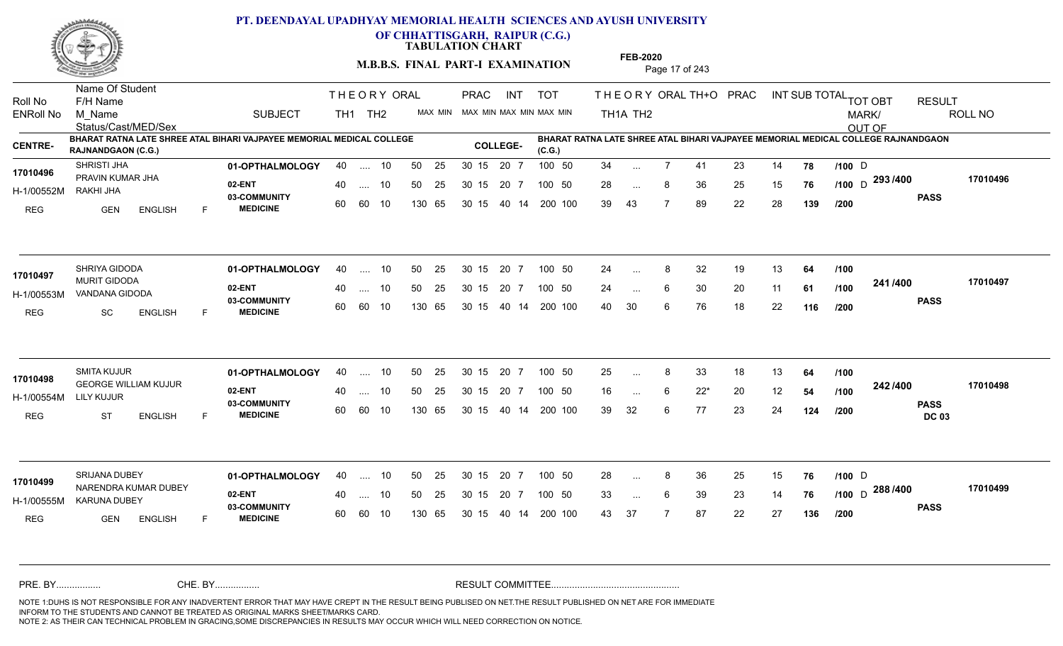

**OF CHHATTISGARH, RAIPUR (C.G.)**

**TABULATION CHART** 

**M.B.B.S. FINAL PART-I EXAMINATION** Page 17 of 243

Status/Cast/MED/Sex Name Of Student Roll No F/H Name M\_Name SUBJECT TH1 TH2 <sup>MAX\_MIN</sup> N PRAC INT TOT THEORY ORAL TH+O PRAC INT TH<sub>1</sub>A TH<sub>2</sub> ORAL TH+ODPRACD INT SUB TOTAL <sub>TOT OBT</sub> RESULT ROLL NO MARK/ OUT OF ENRoll No M Name  $\,$  SUBJECT TH1 TH2 MAX MIN MAX MIN MAX MIN MAX MIN TH1A TH2 **BHARAT RATNA LATE SHREE ATAL BIHARI VAJPAYEE MEMORIAL MEDICAL COLLEGE RAJNANDGAON (C.G.) BHARAT RATNA LATE SHREE ATAL BIHARI VAJPAYEE MEMORIAL MEDICAL COLLEGE RAJNANDGAON (C.G.) CENTRE- COLLEGE-**THE ORY ORAL PRAC INT PRAC **01-OPTHALMOLOGY** SHRISTI JHA 40 .... 10 30 15 20 7 **02-ENT 03-COMMUNITY MEDICINE** H-1/00552M 17010496 PRAVIN KUMAR JHA **17010496** RAKHI JHA REG GEN ENGLISH F 34 ... 7 41 23 14 **78 /100** D 28 ... 8 36 25 15 **76 /100** D <sup>293</sup> /400 170104 39 43 7 89 22 28 **139 PASS /400 17010496** .... 10 50 25 60 60 10 50 25 30 15 130 65 30 15 20 7 100 50 40 14 200 100 50 25 30 15 20 7 100 50 34 ... 7 41 23 14 **78 /100** D ... 7 ... **/100 /200 01-OPTHALMOLOGY** SHRIYA GIDODA 40 .... 10 30 15 20 7 **02-ENT** 03-COMMUNITY 60  **MEDICINE** H-1/00553M VANDANA GIDODA 17010497 MURIT GIDODA **1999 MURIT GIDODA** REG SC ENGLISH F 24 ... 8 32 19 13 **64 /100** 24 ... 6 30 20 11 **61 /100 <sup>2411/400</sup>** 40 30 6 76 18 22 **116 241 PASS /400 17010497** .... 10 50 25 60 60 10 30 15 20 7 130 65 30 15 40 14 200 100 30 15 20 7 100 50 50 25 30 15 20 7 100 50 24 ... 8 ...  $\overline{\phantom{a}}$ . 6 **/100 /100 /200 01-OPTHALMOLOGY** SMITA KUJUR 40 .... 10 30 15 20 7 **02-ENT** 03-COMMUNITY 60  **MEDICINE** H-1/00554M GEORGE WILLIAM KUJUR **17010498** LILY KUJUR REG ST ENGLISH F 25 ... 8 33 18 13 **64 /100** 16 ... 6 22\* 20 12 **54 /100 <sup>242/400</sup>** 39 32 6 77 23 24 **124 242 PASS DC 03 /200 /400 17010498** .... 10 50 25 30 15 60 60 10 20 7 130 65 30 15 30 15 20 7 100 50 40 14 200 100 50 25 30 15 20 7 100 50 25 ... 8 ... ... 6 **/100 /100 01-OPTHALMOLOGY** SRIJANA DUBEY 40 .... 10 30 15 20 7 **02-ENT** 03-COMMUNITY 60  **MEDICINE** H-1/00555M KARUNA DUBEY 22 BM NARENDRA KUMAR DUBEY **17010499** REG GEN ENGLISH F 28 ... 8 36 25 15 **76 /100** D 33 ... 6 39 23 14 **76 /100** D 2007<del>-0</del>0 43 37 7 87 22 27 **136 288** D **PASS /400 17010499** .... 10 50 25 60 60 10 30 15 20 7 130 65 30 15 30 15 20 7 100 50 40 14 200 100 50 25 30 15 20 7 100 50 28 ... 8 36 25 15 **76 /100** D ... ... **/200** NOTE 1:DUHS IS NOT RESPONSIBLE FOR ANY INADVERTENT ERROR THAT MAY HAVE CREPT IN THE RESULT BEING PUBLISED ON NET.THE RESULT PUBLISHED ON NET ARE FOR IMMEDIATE INFORM TO THE STUDENTS AND CANNOT BE TREATED AS ORIGINAL MARKS SHEET/MARKS CARD. CHE. BY WAREL BY WARE AND THE AVEC THE AVEC THE THE RESULT COMMITTEE AND MULTIME MOTE 1:DUHS IS NOT RESPONSIBLE FOR ANY INADVERTENT ERROR THAT MAY HAVE CREPT IN THE RESULT BEING PUBLISED ON NET.THE RESULT PUBLISHED ON NET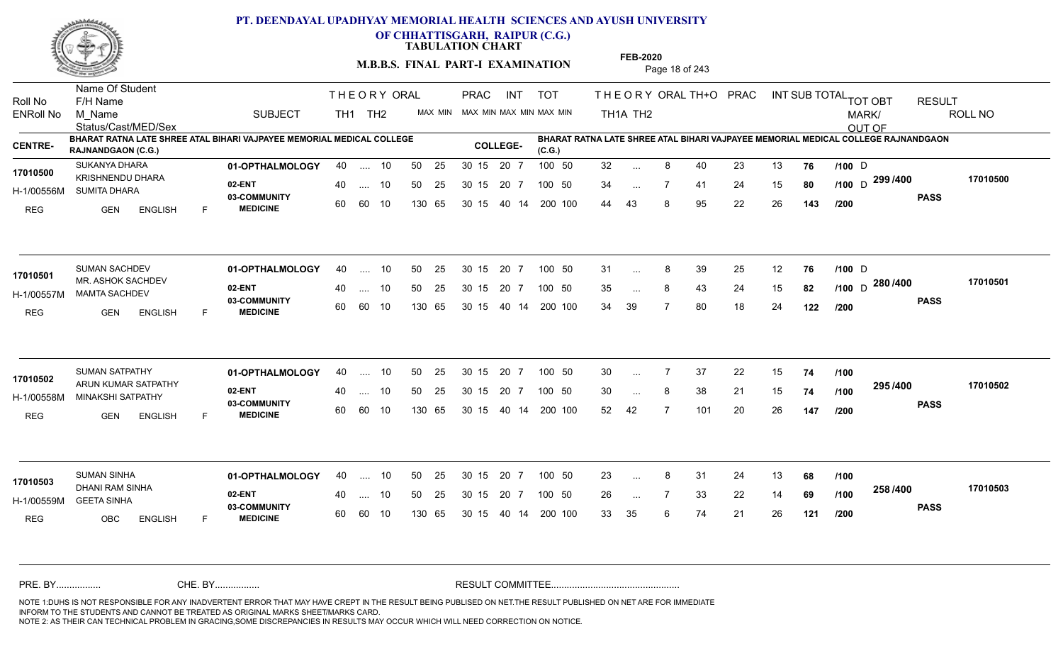

**OF CHHATTISGARH, RAIPUR (C.G.)**

**TABULATION CHART** 

**M.B.B.S. FINAL PART-I EXAMINATION** Page 18 of 243

Status/Cast/MED/Sex Name Of Student Roll No F/H Name M\_Name SUBJECT TH1 TH2 <sup>MAX\_MIN</sup> N PRAC INT TOT THEORY ORAL TH+O PRAC INT TH<sub>1</sub>A TH<sub>2</sub> ORAL TH+ODPRACD INT SUB TOTAL <sub>TOT OBT</sub> RESULT ROLL NO MARK/ OUT OF ENRoll No M Name  $\,$  SUBJECT TH1 TH2 MAX MIN MAX MIN MAX MIN MAX MIN TH1A TH2 **BHARAT RATNA LATE SHREE ATAL BIHARI VAJPAYEE MEMORIAL MEDICAL COLLEGE RAJNANDGAON (C.G.) BHARAT RATNA LATE SHREE ATAL BIHARI VAJPAYEE MEMORIAL MEDICAL COLLEGE RAJNANDGAON (C.G.) CENTRE- COLLEGE-**THE ORY ORAL PRAC INT PRAC **01-OPTHALMOLOGY** SUKANYA DHARA 40 .... 10 30 15 20 7 **02-ENT 03-COMMUNITY MEDICINE** H-1/00556M SUMITA DHARA KRISHNENDU DHARA **17010500** REG GEN ENGLISH F 32 ... 8 40 23 13 **76 /100** D 34 ... 7 41 24 15 **80 /100** D <sup>299 /400 170105</sup> 44 43 8 95 22 26 **143 PASS /400 17010500** .... 10 50 25 60 60 10 50 25 30 15 130 65 30 15 20 7 100 50 40 14 200 100 50 25 30 15 20 7 100 50 32 ... 8 40 23 13 **76 /100** D ... 8 ... **/100 /200 01-OPTHALMOLOGY** SUMAN SACHDEV 40 .... 10 30 15 20 7 **02-ENT** 03-COMMUNITY 60  **MEDICINE** H-1/00557M MAMTA SACHDEV **1999 100 M** MR. ASHOK SACHDEV **17010501** REG GEN ENGLISH F 31 8 39 25 12 **76 /100** 35 ... 8 43 24 15 **82 /100** D <sup>2007</sup> 700 34 39 7 80 18 24 **122 280** D **PASS /400 17010501** .... 10 50 25 60 60 10 30 15 20 7 130 65 30 15 40 14 200 100 30 15 20 7 100 50 50 25 30 15 20 7 100 50 31 ... 8 39 25 12 **76 /100** D ... ... **/200 01-OPTHALMOLOGY** SUMAN SATPATHY 40 .... 10 30 15 20 7 **02-ENT** 03-COMMUNITY 60  **MEDICINE** H-1/00558M MINAKSHI SATPATHY **1996 - 1999 ADMIL** 17010502 ARUN KUMAR SATPATHY REG GEN ENGLISH F 30 7 37 22 15 **74** 30 ... 8 38 21 15 **74 /100 <sup>2337</sup> 700** 52 42 7 101 20 26 **147 295 PASS /400 17010502** .... 10 50 25 30 15 60 60 10 20 7 130 65 30 15 30 15 20 7 100 50 40 14 200 100 50 25 30 15 20 7 100 50 30 ... 7 ... ... **/100 /100 /200 01-OPTHALMOLOGY** SUMAN SINHA 40 .... 10 30 15 20 7 **02-ENT** 03-COMMUNITY 60  **MEDICINE** H-1/00559M GEETA SINHA DHANI RAM SINHA **17010503** REG OBC ENGLISH F 23 8 31 24 13 **68** 26 7 33 22 14 **69** 33 35 6 74 21 26 **121 258 PASS /400 17010503** .... 10 50 25 60 60 10 30 15 20 7 130 65 30 15 30 15 20 7 100 50 40 14 200 100 50 25 30 15 20 7 100 50 23 ... 8 ... ... **/100 /100 /200** NOTE 1:DUHS IS NOT RESPONSIBLE FOR ANY INADVERTENT ERROR THAT MAY HAVE CREPT IN THE RESULT BEING PUBLISED ON NET.THE RESULT PUBLISHED ON NET ARE FOR IMMEDIATE INFORM TO THE STUDENTS AND CANNOT BE TREATED AS ORIGINAL MARKS SHEET/MARKS CARD. CHE. BY WAREL BY WARE AND THE AVEC THE AVEC THE THE RESULT COMMITTEE AND MULTIME MOTE 1:DUHS IS NOT RESPONSIBLE FOR ANY INADVERTENT ERROR THAT MAY HAVE CREPT IN THE RESULT BEING PUBLISED ON NET.THE RESULT PUBLISHED ON NET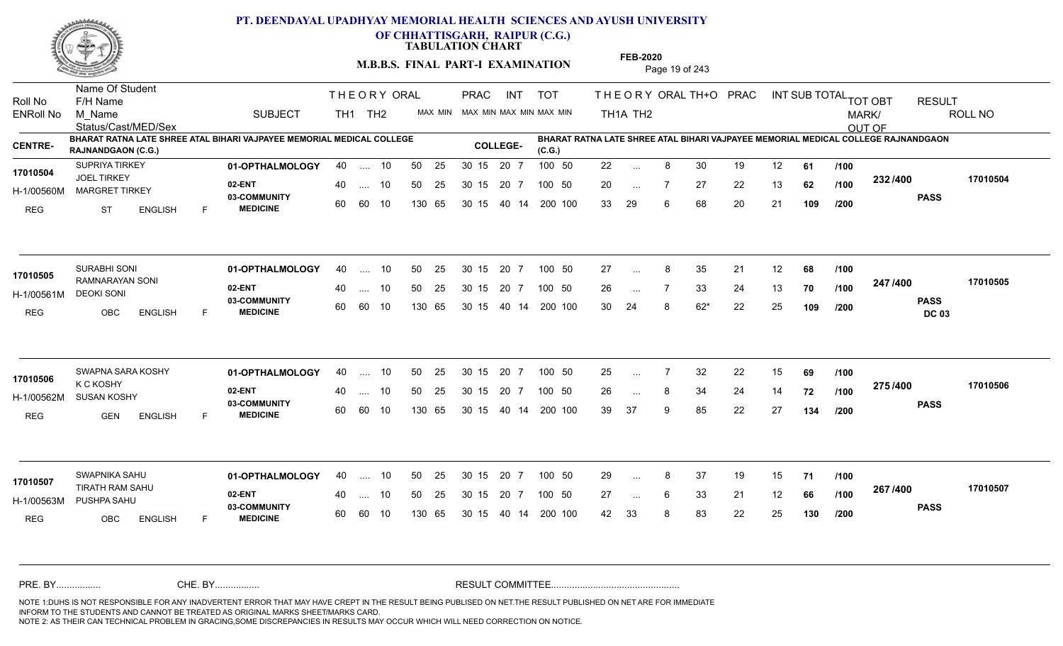

**OF CHHATTISGARH, RAIPUR (C.G.)**

**TABULATION CHART** 

**M.B.B.S. FINAL PART-I EXAMINATION** Page 19 of 243

Status/Cast/MED/Sex Name Of Student Roll No F/H Name M\_Name SUBJECT TH1 TH2 <sup>MAX\_MIN</sup> N PRAC INT TOT THEORY ORAL TH+O PRAC INT TH<sub>1</sub>A TH<sub>2</sub> ORAL TH+ODPRACD INT SUB TOTAL <sub>TOT OBT</sub> RESULT ROLL NO MARK/ OUT OF ENRoll No M Name  $\,$  SUBJECT TH1 TH2 MAX MIN MAX MIN MAX MIN MAX MIN TH1A TH2 **BHARAT RATNA LATE SHREE ATAL BIHARI VAJPAYEE MEMORIAL MEDICAL COLLEGE RAJNANDGAON (C.G.) BHARAT RATNA LATE SHREE ATAL BIHARI VAJPAYEE MEMORIAL MEDICAL COLLEGE RAJNANDGAON (C.G.) CENTRE- COLLEGE-**THE ORY ORAL PRAC INT PRAC **01-OPTHALMOLOGY** SUPRIYA TIRKEY 40 .... 10 30 15 20 7 **02-ENT** 03-COMMUNITY 60  **MEDICINE** H-1/00560M MARGRET TIRKEY JOEL TIRKEY REG ST ENGLISH F 22 8 30 19 12 **61** 20 7 27 22 13 **62** 33 29 6 68 20 21 **109 232 PASS /400 17010504** .... 10 50 25 60 60 10 50 25 30 15 130 65 30 15 20 7 100 50 40 14 200 100 50 25 30 15 20 7 100 50 22 ... **17010504** SUPRIYA TIRKEY ... ... 7 **/100 /100 /200 01-OPTHALMOLOGY** SURABHI SONI 40 .... 10 30 15 20 7 **02-ENT** 03-COMMUNITY 60  **MEDICINE** H-1/00561M DEOKI SONI RAMNARAYAN SONI **17010505** REG OBC ENGLISH F 27 ... 8 35 21 12 **68 /100** 26 ... 7 33 24 13 **70 /100 <del>4 1</del> / 1-00** 30 24 8 62\* 22 25 **109 247 PASS DC 03 /400 17010505** 40 .... 10 50 25 60 60 10 130 65 30 15 40 14 200 100 30 15 20 7 100 50 50 25 30 15 20 7 100 50 27 ... 8 ... ... **/100 /100 /200 01-OPTHALMOLOGY** SWAPNA SARA KOSHY 40 .... 10 30 15 20 7 **02-ENT** 03-COMMUNITY 60 **MEDICINE** 60 60 10 H-1/00562M SUSAN KOSHY K C KOSHY REG GEN ENGLISH F 25 7 32 22 15 **69** 26 ... 8 34 24 14 **72 /100 <sup>21 31 4</sup> 9** 39 37 9 85 22 27 **134 275 PASS /400 17010506** .... 10 50 25 30 15 130 65 20 7 130 65 30 15 30 15 20 7 100 50 40 14 200 100 50 25 30 15 20 7 100 50 25 ... 7 **17010506 17010506 17010506** ... ... **/100 /100 /200 01-OPTHALMOLOGY** SWAPNIKA SAHU 40 .... 10 30 15 20 7 **02-ENT** 03-COMMUNITY 60 **MEDICINE** 60 60 10 H-1/00563M PUSHPA SAHU TIRATH RAM SAHU **17010507** REG OBC ENGLISH F 29 ... 8 37 19 15 **71 /100** 27 ... 6 33 21 12 **66 /100 <sup>207</sup> 1<del>-</del>00** 42 33 8 83 22 25 **130 267 PASS /400 17010507** 40 .... 10 50 25 130 65 130 65 30 15 30 15 20 7 100 50 40 14 200 100 50 25 30 15 20 7 100 50 29 ... 8 ... ... 6 **/100 /100 /200** NOTE 1:DUHS IS NOT RESPONSIBLE FOR ANY INADVERTENT ERROR THAT MAY HAVE CREPT IN THE RESULT BEING PUBLISED ON NET.THE RESULT PUBLISHED ON NET ARE FOR IMMEDIATE INFORM TO THE STUDENTS AND CANNOT BE TREATED AS ORIGINAL MARKS SHEET/MARKS CARD. CHE. BY WAREL BY WARE AND THE AVEC THE AVEC THE THE RESULT COMMITTEE AND MULTIME MOTE 1:DUHS IS NOT RESPONSIBLE FOR ANY INADVERTENT ERROR THAT MAY HAVE CREPT IN THE RESULT BEING PUBLISED ON NET.THE RESULT PUBLISHED ON NET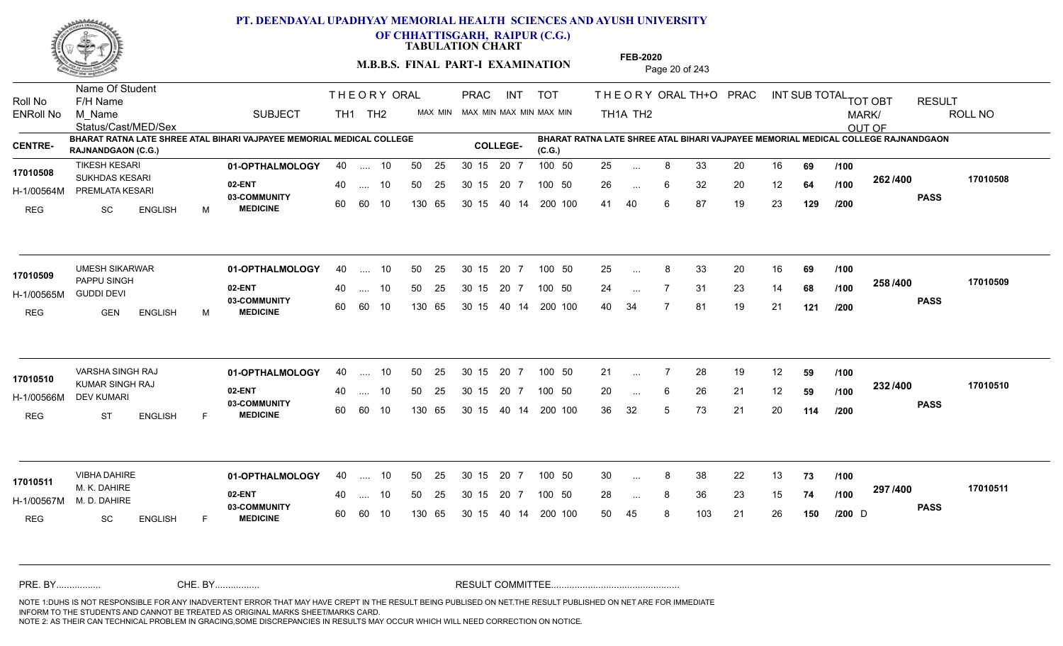

**OF CHHATTISGARH, RAIPUR (C.G.)**

**TABULATION CHART** 

**M.B.B.S. FINAL PART-I EXAMINATION** Page 20 of 243

Status/Cast/MED/Sex Name Of Student Roll No F/H Name M\_Name SUBJECT TH1 TH2 <sup>MAX\_MIN</sup> N PRAC INT TOT THEORY ORAL TH+O PRAC INT TH<sub>1</sub>A TH<sub>2</sub> ORAL TH+ODPRACD INT SUB TOTAL <sub>TOT OBT</sub> RESULT ROLL NO MARK/ OUT OF ENRoll No M Name  $\,$  SUBJECT TH1 TH2 MAX MIN MAX MIN MAX MIN MAX MIN TH1A TH2 **BHARAT RATNA LATE SHREE ATAL BIHARI VAJPAYEE MEMORIAL MEDICAL COLLEGE RAJNANDGAON (C.G.) BHARAT RATNA LATE SHREE ATAL BIHARI VAJPAYEE MEMORIAL MEDICAL COLLEGE RAJNANDGAON (C.G.) CENTRE- COLLEGE-**THE ORY ORAL PRAC INT PRAC **01-OPTHALMOLOGY** TIKESH KESARI 40 .... 10 30 15 20 7 **02-ENT** 03-COMMUNITY 60  **MEDICINE** H-1/00564M PREMLATA KESARI 17010508 SUKHDAS KESARI REG SC ENGLISH M 25 8 33 20 16 **69** 26 ... 6 32 20 12 **64 /100 <sup>2027–00</sup>** 41 40 6 87 19 23 **129 262 PASS /400 17010508** .... 10 50 25 60 60 10 50 25 30 15 130 65 30 15 20 7 100 50 40 14 200 100 50 25 30 15 20 7 100 50 25 ... 8 ... ... 6 **/100 /100 /200 01-OPTHALMOLOGY** UMESH SIKARWAR 40 .... 10 30 15 20 7 **02-ENT** 03-COMMUNITY 60  **MEDICINE** H-1/00565M GUDDI DEVI 17010509 PAPPU SINGH REG GEN ENGLISH M 25 8 33 20 16 **69** 24 7 31 23 14 **68** 40 34 7 81 19 21 **121 258 PASS /400 17010509** 40 .... 10 50 25 60 60 10 130 65 30 15 40 14 200 100 30 15 20 7 100 50 50 25 30 15 20 7 100 50 25 ... 8 ... ... **/100 /100 /200 01-OPTHALMOLOGY** VARSHA SINGH RAJ 40 .... 10 30 15 20 7 **02-ENT** 03-COMMUNITY 60 **MEDICINE** 60 60 10 H-1/00566M KUMAR SINGH RAJ **17010510** DEV KUMARI REG ST ENGLISH F 21 7 28 19 12 **59** 20 ... 6 26 21 12 **59 /100 <sup>2027</sup> 700** 36 32 5 73 21 20 **114 232 PASS /400 17010510** .... 10 50 25 30 15 130 65 20 7 130 65 30 15 30 15 20 7 100 50 40 14 200 100 50 25 30 15 20 7 100 50 21 ... 7 ... ... 6 **/100 /100 /200 01-OPTHALMOLOGY** VIBHA DAHIRE 40 .... 10 30 15 20 7 **02-ENT** 03-COMMUNITY 60 **MEDICINE** 60 60 10 H-1/00567M M. K. DAHIRE M. D. DAHIRE REG SC ENGLISH F 30 8 38 22 13 **73** 28 ... 8 36 23 15 **74 /100 <sup>237</sup> 1** 50 45 8 103 21 26 **150 297 PASS /400 17010511** 40 .... 10 50 25 130 65 130 65 30 15 30 15 20 7 100 50 40 14 200 100 50 25 30 15 20 7 100 50 30 ... 8  $D \qquad \qquad \text{and}$ **17010511** ... ... **/100 /100 /200** NOTE 1:DUHS IS NOT RESPONSIBLE FOR ANY INADVERTENT ERROR THAT MAY HAVE CREPT IN THE RESULT BEING PUBLISED ON NET.THE RESULT PUBLISHED ON NET ARE FOR IMMEDIATE INFORM TO THE STUDENTS AND CANNOT BE TREATED AS ORIGINAL MARKS SHEET/MARKS CARD. CHE. BY WAREL BY WARE AND THE AVEC THE AVEC THE THE RESULT COMMITTEE AND MULTIME MOTE 1:DUHS IS NOT RESPONSIBLE FOR ANY INADVERTENT ERROR THAT MAY HAVE CREPT IN THE RESULT BEING PUBLISED ON NET.THE RESULT PUBLISHED ON NET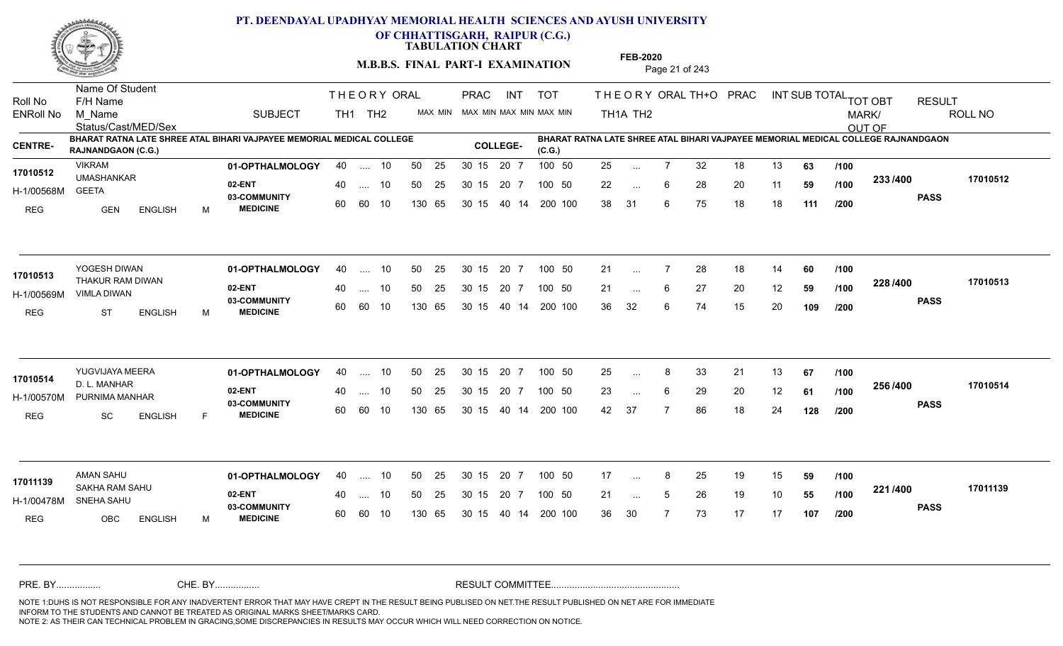

**OF CHHATTISGARH, RAIPUR (C.G.)**

**TABULATION CHART** 

**M.B.B.S. FINAL PART-I EXAMINATION** Page 21 of 243

Status/Cast/MED/Sex Name Of Student Roll No F/H Name M\_Name SUBJECT TH1 TH2 <sup>MAX\_MIN</sup> N PRAC INT TOT THEORY ORAL TH+O PRAC INT TH<sub>1</sub>A TH<sub>2</sub> ORAL TH+ODPRACD INT SUB TOTAL <sub>TOT OBT</sub> RESULT ROLL NO MARK/ OUT OF ENRoll No M Name  $\,$  SUBJECT TH1 TH2 MAX MIN MAX MIN MAX MIN MAX MIN TH1A TH2 **BHARAT RATNA LATE SHREE ATAL BIHARI VAJPAYEE MEMORIAL MEDICAL COLLEGE RAJNANDGAON (C.G.) (C.G.) CENTRE- COLLEGE-BHARAT RATNA LATE SHREE ATAL BIHARI VAJPAYEE MEMORIAL MEDICAL COLLEGE RAJNANDGAON**  THE ORY ORAL PRAC INT PRAC **01-OPTHALMOLOGY** VIKRAM 40 .... 10 30 15 20 7 **02-ENT** 03-COMMUNITY 60  **MEDICINE** H-1/00568M UMASHANKAR **17010512** GEETA REG GEN ENGLISH M 25 7 32 18 13 **63** 22 ... 6 28 20 11 **59 /100 <sup>2007</sup> 700** 38 31 6 75 18 18 **111 233 PASS /400 17010512** .... 10 50 25 60 60 10 50 25 30 15 130 65 30 15 20 7 100 50 40 14 200 100 50 25 30 15 20 7 100 50 25 ... ... ... 6 **/100 /100 /200 01-OPTHALMOLOGY** 40 .... 10 50 25 30 15 20 7 100 50 21 100 50 21 **02-ENT** 03-COMMUNITY 60  **MEDICINE** H-1/00569M VIMLA DIWAN 17010513 THAKUR RAM DIWAN REG ST ENGLISH M 21 ... 7 28 18 14 **60** /**100** 21 ... 6 27 20 12 **59 /100 <sup>220 / 400</mark>**</sup> 36 32 6 74 15 20 **109 228 PASS /400 17010513**  $\ldots$  10 50 25 30 15 60 60 10 20 7 130 65 30 15 40 14 200 100 30 15 20 7 100 50 50 25 30 15 20 7 100 50 21 ... ...  $\overline{\phantom{a}}$ . 6 **/100 /100 /200 01-OPTHALMOLOGY** YUGVIJAYA MEERA 40 .... 10 30 15 20 7 **02-ENT** 03-COMMUNITY 60  **MEDICINE** H-1/00570M PURNIMA MANHAR D. L. MANHAR **17010514** REG SC ENGLISH F 25 8 33 21 13 **67** 23 ... 6 29 20 12 **61 /100 <sup>2007–00</sup>** 42 37 7 86 18 24 **128 256 PASS /400 17010514** .... 10 50 25 30 15 60 60 10 20 7 130 65 30 15 30 15 20 7 100 50 40 14 200 100 50 25 30 15 20 7 100 50 25 ... 8 ... ... 6 **/100 /100 /200 01-OPTHALMOLOGY** AMAN SAHU 40 .... 10 30 15 20 7 **02-ENT** 03-COMMUNITY 60 **MEDICINE** 60 60 10 H-1/00478M SNEHA SAHU SAKHA RAM SAHU **17011139** REG OBC ENGLISH M 17 ... 8 25 19 15 **59 /100** 21 ... 5 26 19 10 **55 /100 <sup>22 /</sup>1=** 36 30 7 73 17 17 **107 221 PASS /400 17011139** 40 .... 10 50 25 130 65 130 65 30 15 30 15 20 7 100 50 40 14 200 100 50 25 30 15 20 7 100 50 17 ... 8 ... ... **/100 /100 /200** NOTE 1:DUHS IS NOT RESPONSIBLE FOR ANY INADVERTENT ERROR THAT MAY HAVE CREPT IN THE RESULT BEING PUBLISED ON NET.THE RESULT PUBLISHED ON NET ARE FOR IMMEDIATE INFORM TO THE STUDENTS AND CANNOT BE TREATED AS ORIGINAL MARKS SHEET/MARKS CARD. CHE. BY WAREL BY WARE AND THE AVEC THE AVEC THE THE RESULT COMMITTEE AND MULTIME MOTE 1:DUHS IS NOT RESPONSIBLE FOR ANY INADVERTENT ERROR THAT MAY HAVE CREPT IN THE RESULT BEING PUBLISED ON NET.THE RESULT PUBLISHED ON NET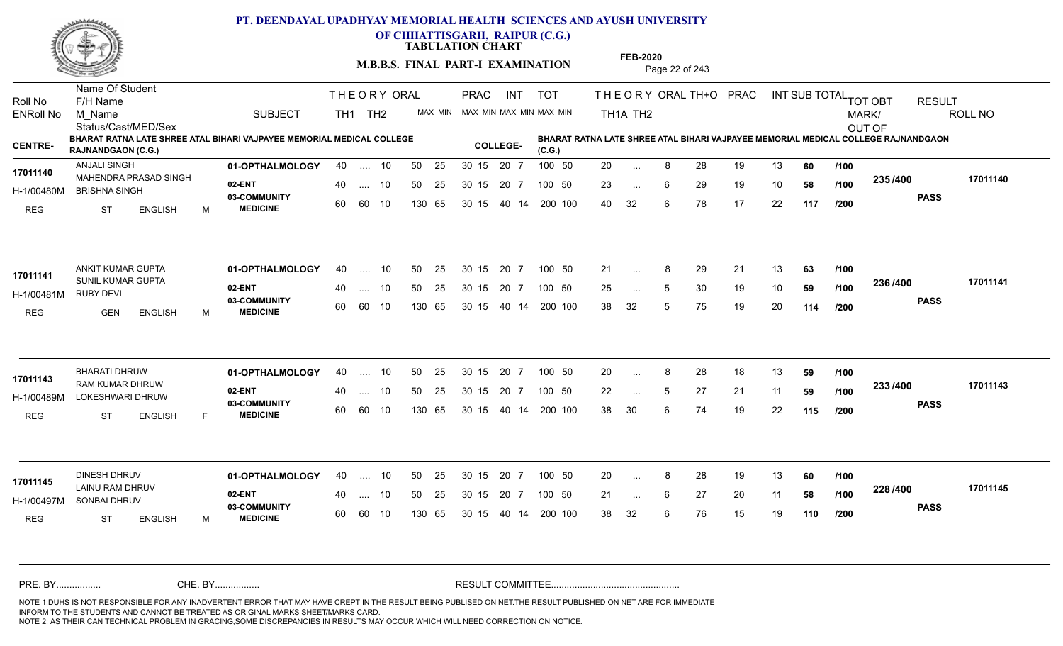

**OF CHHATTISGARH, RAIPUR (C.G.)**

**TABULATION CHART** 

**M.B.B.S. FINAL PART-I EXAMINATION** Page 22 of 243

Status/Cast/MED/Sex Name Of Student Roll No F/H Name M\_Name SUBJECT TH1 TH2 <sup>MAX\_MIN</sup> N PRAC INT TOT THEORY ORAL TH+O PRAC INT TH<sub>1</sub>A TH<sub>2</sub> ORAL TH+ODPRACD INT SUB TOTAL <sub>TOT OBT</sub> RESULT ROLL NO MARK/ OUT OF ENRoll No M Name  $\,$  SUBJECT TH1 TH2 MAX MIN MAX MIN MAX MIN MAX MIN TH1A TH2 **BHARAT RATNA LATE SHREE ATAL BIHARI VAJPAYEE MEMORIAL MEDICAL COLLEGE RAJNANDGAON (C.G.) BHARAT RATNA LATE SHREE ATAL BIHARI VAJPAYEE MEMORIAL MEDICAL COLLEGE RAJNANDGAON (C.G.) CENTRE- COLLEGE-**THE ORY ORAL PRAC INT PRAC **01-OPTHALMOLOGY** ANJALI SINGH 40 .... 10 30 15 20 7 **02-ENT 03-COMMUNITY MEDICINE** H-1/00480M BRISHNA SINGH MAHENDRA PRASAD SINGH **17011140** REG ST ENGLISH M 20 ... 8 28 19 13 **60** /**100** 23 ... 6 29 19 10 **58 /100 <sup>2007</sup> 700** 40 32 6 78 17 22 **117 235 PASS /400 17011140** .... 10 50 25 60 60 10 50 25 30 15 130 65 30 15 20 7 100 50 40 14 200 100 50 25 30 15 20 7 100 50 20 ... ... ... 6 **/100 /100 /200** ANKIT KUMAR GUPTA **01-OPTHALMOLOGY** 40 .... 10 50 25 30 15 20 7 100 50 21 **02-ENT** 03-COMMUNITY 60  **MEDICINE** H-1/00481M 17011141 SUNIL KUMAR GUPTA RUBY DEVI REG GEN ENGLISH M 21 ... 8 29 21 13 **63 /100** 25 ... 5 30 19 10 **59 /100 <sup>2007</sup> 700** 38 32 5 75 19 20 **114 236 PASS /400 17011141**  $\ldots$  10 50 25 30 15 60 60 10 20 7 130 65 30 15 40 14 200 100 30 15 20 7 100 50 50 25 30 15 20 7 100 50 21 ... 8 ... ... 5 **/100 /100 /200 01-OPTHALMOLOGY** BHARATI DHRUW 40 .... 10 30 15 20 7 **02-ENT** 03-COMMUNITY 60  **MEDICINE** H-1/00489M LOKESHWARI DHRUW 20 COMMUNITY 17011143 RAM KUMAR DHRUW REG ST ENGLISH F 20 8 28 18 13 **59** 22 ... 5 27 21 11 **59 /100 <sup>2337400</sup>** 38 30 6 74 19 22 **115 233 PASS /400 17011143** .... 10 50 25 30 15 60 60 10 20 7 130 65 30 15 30 15 20 7 100 50 40 14 200 100 50 25 30 15 20 7 100 50 20 ... 8 ... ... 5 **/100 /100 /200 01-OPTHALMOLOGY** DINESH DHRUV 40 .... 10 30 15 20 7 **02-ENT** 03-COMMUNITY 60  **MEDICINE** H-1/00497M SONBAI DHRUV LAINU RAM DHRUV **17011145** REG ST ENGLISH M 20 8 28 19 13 **60** 21 ... 6 27 20 11 **58 /100 <sup>220</sup> 1** 38 32 6 76 15 19 **110 228 PASS /400 17011145** .... 10 50 25 60 60 10 30 15 20 7 130 65 30 15 30 15 20 7 100 50 40 14 200 100 50 25 30 15 20 7 100 50 20 ... 8 ... ... 6 **/100 /100 /200** NOTE 1:DUHS IS NOT RESPONSIBLE FOR ANY INADVERTENT ERROR THAT MAY HAVE CREPT IN THE RESULT BEING PUBLISED ON NET.THE RESULT PUBLISHED ON NET ARE FOR IMMEDIATE INFORM TO THE STUDENTS AND CANNOT BE TREATED AS ORIGINAL MARKS SHEET/MARKS CARD. CHE. BY WAREL BY WARE AND THE AVEC THE AVEC THE THE RESULT COMMITTEE AND MULTIME MOTE 1:DUHS IS NOT RESPONSIBLE FOR ANY INADVERTENT ERROR THAT MAY HAVE CREPT IN THE RESULT BEING PUBLISED ON NET.THE RESULT PUBLISHED ON NET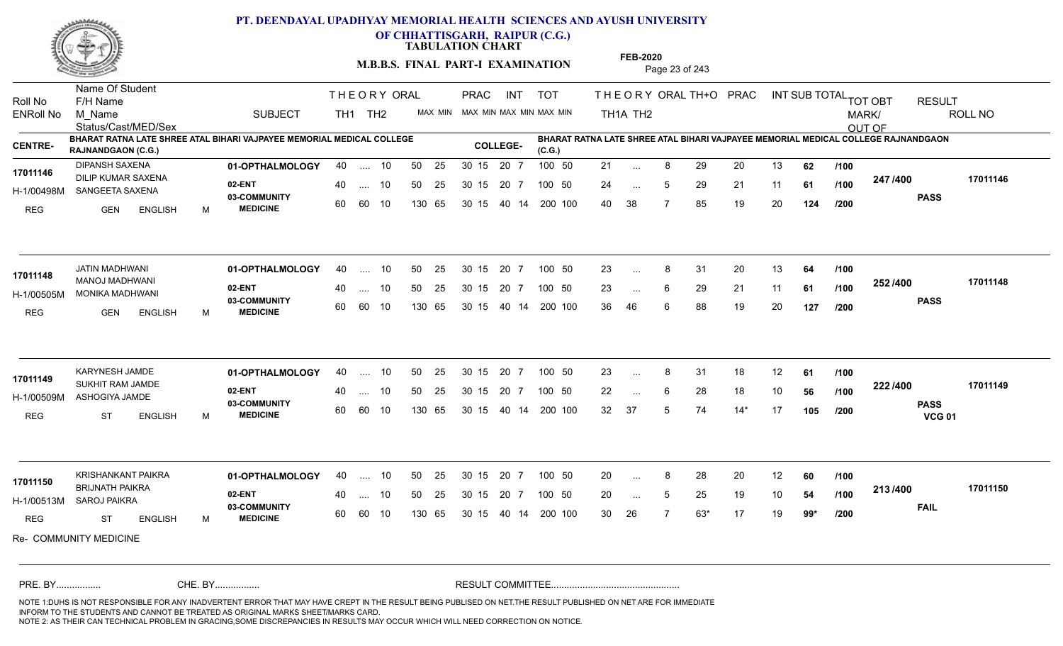

**OF CHHATTISGARH, RAIPUR (C.G.)**

**TABULATION CHART** 

**M.B.B.S. FINAL PART-I EXAMINATION** Page 23 of 243

Status/Cast/MED/Sex Name Of Student Roll No F/H Name M\_Name SUBJECT TH1 TH2 <sup>MAX\_MIN</sup> N PRAC INT TOT THEORY ORAL TH+O PRAC INT TH<sub>1</sub>A TH<sub>2</sub> ORAL TH+ODPRACD INT SUB TOTAL <sub>TOT OBT</sub> RESULT ROLL NO MARK/ OUT OF ENRoll No M Name  $\,$  SUBJECT TH1 TH2 MAX MIN MAX MIN MAX MIN MAX MIN TH1A TH2 **BHARAT RATNA LATE SHREE ATAL BIHARI VAJPAYEE MEMORIAL MEDICAL COLLEGE RAJNANDGAON (C.G.) BHARAT RATNA LATE SHREE ATAL BIHARI VAJPAYEE MEMORIAL MEDICAL COLLEGE RAJNANDGAON (C.G.) CENTRE- COLLEGE-**THE ORY ORAL PRAC INT PRAC **01-OPTHALMOLOGY** DIPANSH SAXENA 40 .... 10 30 15 20 7 **02-ENT 03-COMMUNITY MEDICINE** H-1/00498M SANGEETA SAXENA AND ASSEMBLI 17011146 DILIP KUMAR SAXENA<br>
DILIP KUMAR SAXENA REG GEN ENGLISH M 21 ... 8 29 20 13 **62** /**100** 24 5 29 21 11 **61** 40 38 7 85 19 20 **124 247 PASS /400 17011146** .... 10 50 25 60 60 10 50 25 30 15 130 65 30 15 20 7 100 50 40 14 200 100 50 25 30 15 20 7 100 50 21 ... ... ... 5 **/100 /100 /200 01-OPTHALMOLOGY** JATIN MADHWANI 40 .... 10 30 15 20 7 **02-ENT** 03-COMMUNITY 60  **MEDICINE** H-1/00505M MONIKA MADHWANI MANOJ MADHWANI **17011148** REG GEN ENGLISH M 23 ... 8 31 20 13 **64 /100** 23 ... 6 29 21 11 **61 /100 <sup>2027–00</sup>** 36 46 6 88 19 20 **127 252 PASS /400 17011148** .... 10 50 25 60 60 10 30 15 20 7 130 65 30 15 40 14 200 100 30 15 20 7 100 50 50 25 30 15 20 7 100 50 23 ... 8 ...  $\overline{\phantom{a}}$ . 6 **/100 /100 /200 01-OPTHALMOLOGY** KARYNESH JAMDE 40 .... 10 30 15 20 7 **02-ENT** 03-COMMUNITY 60  **MEDICINE** H-1/00509M ASHOGIYA JAMDE SUKHIT RAM JAMDE **17011149** REG ST ENGLISH M 23 ... 8 31 18 12 **61 /100** 22 ... 6 28 18 10 **56 /100 <sup>222 /+00</sup>** 32 37 5 74 14\* 17 **105 222 PASS VCG 01 /400 17011149** .... 10 50 25 30 15 60 60 10 20 7 130 65 30 15 30 15 20 7 100 50 40 14 200 100 50 25 30 15 20 7 100 50 23 ... 8 ... ... 6 **/100 /100 /200** KRISHANKANT PAIKRA **01-OPTHALMOLOGY** 40 .... 10 50 25 30 15 20 7 100 50 20 **02-ENT** 03-COMMUNITY 60 **MEDICINE** 60 60 10 H-1/00513M SAROJ PAIKRA BRIJNATH PAIKRA **17011150** REG ST ENGLISH M 20 8 28 20 12 **60** 20 ... 5 25 19 10 **54 /100 <sup>2137400</sup>** 30 26 7 63\* 17 19 **99\* 213 FAIL 17011150 /400** Re- COMMUNITY MEDICINE 40 .... 10 50 25 130 65 130 65 30 15 30 15 20 7 100 50 40 14 200 100 50 25 30 15 20 7 100 50 20 ... 8 ... ... **/100 /100 /200** NOTE 1:DUHS IS NOT RESPONSIBLE FOR ANY INADVERTENT ERROR THAT MAY HAVE CREPT IN THE RESULT BEING PUBLISED ON NET.THE RESULT PUBLISHED ON NET ARE FOR IMMEDIATE INFORM TO THE STUDENTS AND CANNOT BE TREATED AS ORIGINAL MARKS SHEET/MARKS CARD. CHE. BY WAREL BY WARE AND THE AVEC THE AVEC THE THE RESULT COMMITTEE AND MULTIME MOTE 1:DUHS IS NOT RESPONSIBLE FOR ANY INADVERTENT ERROR THAT MAY HAVE CREPT IN THE RESULT BEING PUBLISED ON NET.THE RESULT PUBLISHED ON NET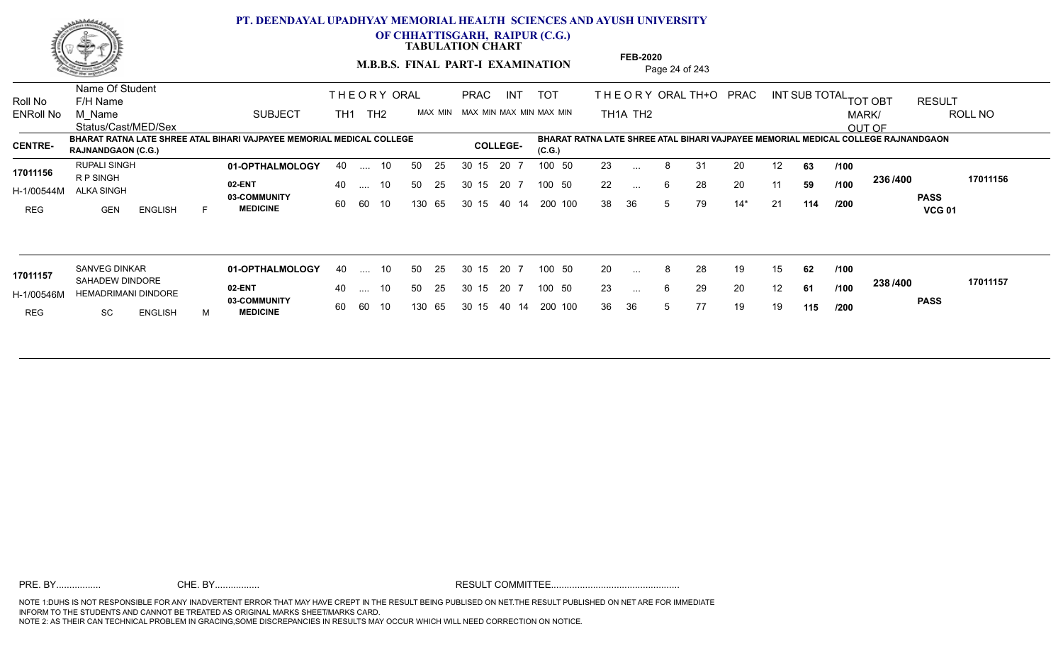

**OF CHHATTISGARH, RAIPUR (C.G.)**

**TABULATION CHART** 

**M.B.B.S. FINAL PART-I EXAMINATION** Page 24 of 243

Status/Cast/MED/Sex Name Of Student Roll No F/H Name M\_Name SUBJECT TOT THE OR YORAL TH+O PRAC INT TH<sub>1</sub>A TH<sub>2</sub> ORAL TH+ODPRACD INT SUB TOTAL <sub>TOT OBT</sub> RESULT ROLL NO MARK/ OUT OF ENRoll No M Name  $\,$  SUBJECT TH1 TH2 MAX MIN MAX MIN MAX MIN MAX MIN TH1A TH2 **BHARAT RATNA LATE SHREE ATAL BIHARI VAJPAYEE MEMORIAL MEDICAL COLLEGE RAJNANDGAON (C.G.) (C.G.) CENTRE- COLLEGE-BHARAT RATNA LATE SHREE ATAL BIHARI VAJPAYEE MEMORIAL MEDICAL COLLEGE RAJNANDGAON**  THE ORY ORAL TH<sub>1</sub> TH<sub>2</sub> PRAC INT TOT THEOR PRAC **01-OPTHALMOLOGY** RUPALI SINGH 40 .... 10 30 15 20 7 **02-ENT 03-COMMUNITY MEDICINE** H-1/00544M ALKA SINGH R P SINGH REG GEN ENGLISH F 23 ... 8 31 20 12 **63** /**100** 22 ... 6 28 20 11 **59 /100 <sup>2007</sup> 700** 38 36 5 79 14\* 21 **114 236 PASS VCG 01 /400 17011156** .... 10 50 25 60 60 10 50 25 30 15 130 65 30 15 40 14 200 100 20 7 100 50 50 25 30 15 20 7 100 50 23 ... **17011156** RUPALI SINGH ... ... **/100 /100 /200 01-OPTHALMOLOGY** SANVEG DINKAR 40 .... 10 30 15 20 7 **02-ENT 03-COMMUNITY MEDICINE** H-1/00546M HEMADRIMANI DINDORE 17011157 SAHADEW DINDORE REG SC ENGLISH M 20 8 28 19 15 **62** 23 ... 6 29 20 12 **61 /100 <sup>2007</sup> 1** 36 36 5 77 19 19 **115 238 PASS /400 17011157** .... 10 50 25 60 60 10 50 25 30 15 130 65 30 15 40 14 200 100 20 7 100 50 50 25 30 15 20 7 100 50 20 ... ... ... 6 **/100 /100 /200**

**FEB-2020**

NOTE 1:DUHS IS NOT RESPONSIBLE FOR ANY INADVERTENT ERROR THAT MAY HAVE CREPT IN THE RESULT BEING PUBLISED ON NET.THE RESULT PUBLISHED ON NET ARE FOR IMMEDIATE INFORM TO THE STUDENTS AND CANNOT BE TREATED AS ORIGINAL MARKS SHEET/MARKS CARD. CHE. BY WAREL BY WARE AND THE AVEC THE AVEC THE THE RESULT COMMITTEE AND MULTIME MOTE 1:DUHS IS NOT RESPONSIBLE FOR ANY INADVERTENT ERROR THAT MAY HAVE CREPT IN THE RESULT BEING PUBLISED ON NET.THE RESULT PUBLISHED ON NET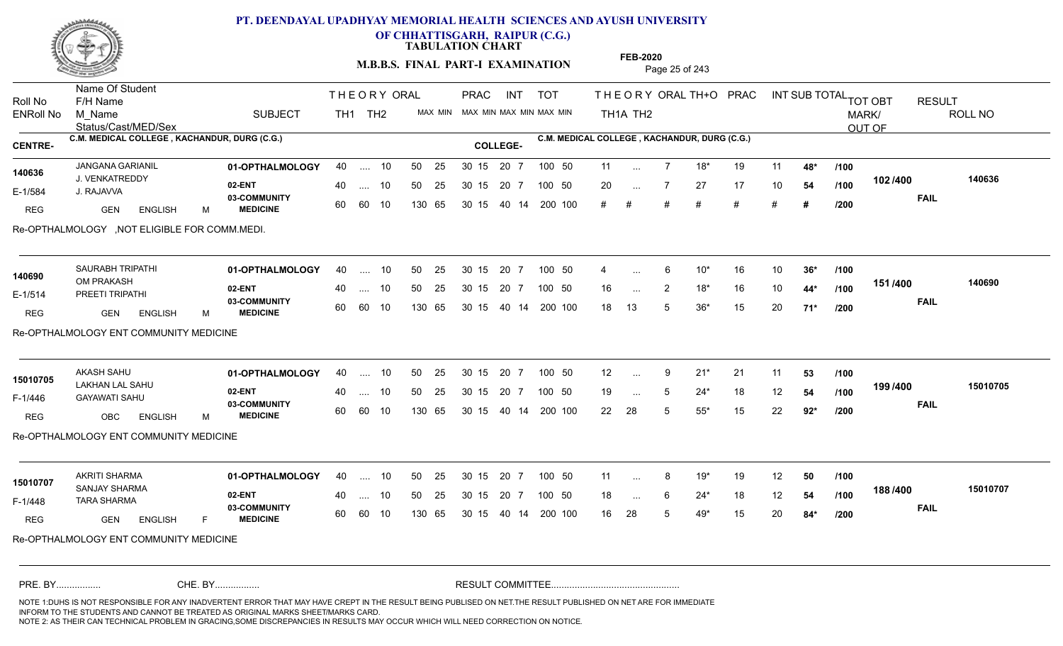

**OF CHHATTISGARH, RAIPUR (C.G.)**

**TABULATION CHART** 

**M.B.B.S. FINAL PART-I EXAMINATION** Page 25 of 243

Status/Cast/MED/Sex Name Of Student Roll No F/H Name M\_Name SUBJECT TH1 TH2 <sup>MAX\_MIN</sup> N PRAC INT TOT THEORY ORAL TH+O PRAC INT TH<sub>1</sub>A TH<sub>2</sub> ORAL TH+ODPRACD INT SUB TOTAL <sub>TOT OBT</sub> RESULT ROLL NO MARK/ OUT OF ENRoll No M Name  $\,$  SUBJECT TH1 TH2 MAX MIN MAX MIN MAX MIN MAX MIN TH1A TH2 **C.M. MEDICAL COLLEGE , KACHANDUR, DURG (C.G.) C.M. MEDICAL COLLEGE , KACHANDUR, DURG (C.G.) CENTRE- COLLEGE-**THE ORY ORAL PRAC INT PRAC **01-OPTHALMOLOGY** JANGANA GARIANIL 40 .... 10 30 15 20 7 **02-ENT** 03-COMMUNITY 60  **MEDICINE** E-1/584 J. RAJAVVA J. VENKATREDDY **140636** REG GEN ENGLISH M 11 7 18\* 19 11 **48\*** 20 7 27 17 10 **54** # # # # # # **# 102 FAIL 140636 /400** Re-OPTHALMOLOGY ,NOT ELIGIBLE FOR COMM.MEDI. 40 .... 10 50 25 30 15 60 60 10 130 65 30 15 40 14 200 100 # # # # 20 7 100 50 50 25 30 15 20 7 100 50 11 ... ... ... **/100 /100 /200 01-OPTHALMOLOGY** SAURABH TRIPATHI 40 .... 10 30 15 20 7 **02-ENT** 03-COMMUNITY 60  **MEDICINE** E-1/514 PREETI TRIPATHI OM PRAKASH **140690** REG GEN ENGLISH M 4 6 10\* 16 10 **36\*** 16 2 18\* 16 10 **44\*** 18 13 5 36\* 15 20 **71\* 151 FAIL 140690 /400** Re-OPTHALMOLOGY ENT COMMUNITY MEDICINE 40 .... 10 50 25 30 15 60 60 10 130 65 30 15 40 14 200 100 20 7 100 50 50 25 30 15 20 7 100 50 4 ... 6 ... ... 2 **/100 /100 /200 01-OPTHALMOLOGY** AKASH SAHU 40 .... 10 30 15 20 7 **02-ENT** 03-COMMUNITY 60  **MEDICINE** F-1/446 GAYAWATI SAHU LAKHAN LAL SAHU **15010705** REG OBC ENGLISH M 12 9 21\* 21 11 **53** 19 ... 5 24\* 18 12 **54 /100 <sup>1997</sup>** 22 28 5 55\* 15 22 **92\* 199 FAIL 15010705 /400** Re-OPTHALMOLOGY ENT COMMUNITY MEDICINE 40 .... 10 50 25 30 15 60 60 10 130 65 30 15 40 14 200 100 20 7 100 50 50 25 30 15 20 7 100 50 12 ... ... ... **/100 /100 /200 01-OPTHALMOLOGY** AKRITI SHARMA 40 .... 10 30 15 20 7 **02-ENT** 03-COMMUNITY 60  **MEDICINE** F-1/448 TARA SHARMA (2010) SANJAY SHARMA **15010707** REG GEN ENGLISH F 11 8 19\* 19 12 **50** 18 ... 6 24<sup>\*</sup> 18 12 **54 /100 1007400** 16 28 5 49\* 15 20 **84\* 188 FAIL 15010707 /400** Re-OPTHALMOLOGY ENT COMMUNITY MEDICINE 40 .... 10 50 25 30 15 60 60 10 130 65 30 15 20 7 100 50 40 14 200 100 50 25 30 15 20 7 100 50 11 ... 8 ... ... **/100 /100 /200** NOTE 1:DUHS IS NOT RESPONSIBLE FOR ANY INADVERTENT ERROR THAT MAY HAVE CREPT IN THE RESULT BEING PUBLISED ON NET.THE RESULT PUBLISHED ON NET ARE FOR IMMEDIATE INFORM TO THE STUDENTS AND CANNOT BE TREATED AS ORIGINAL MARKS SHEET/MARKS CARD. CHE. BY WAREL BY WARE AND THE AVEC THE AVEC THE THE RESULT COMMITTEE AND MULTIME MOTE 1:DUHS IS NOT RESPONSIBLE FOR ANY INADVERTENT ERROR THAT MAY HAVE CREPT IN THE RESULT BEING PUBLISED ON NET.THE RESULT PUBLISHED ON NET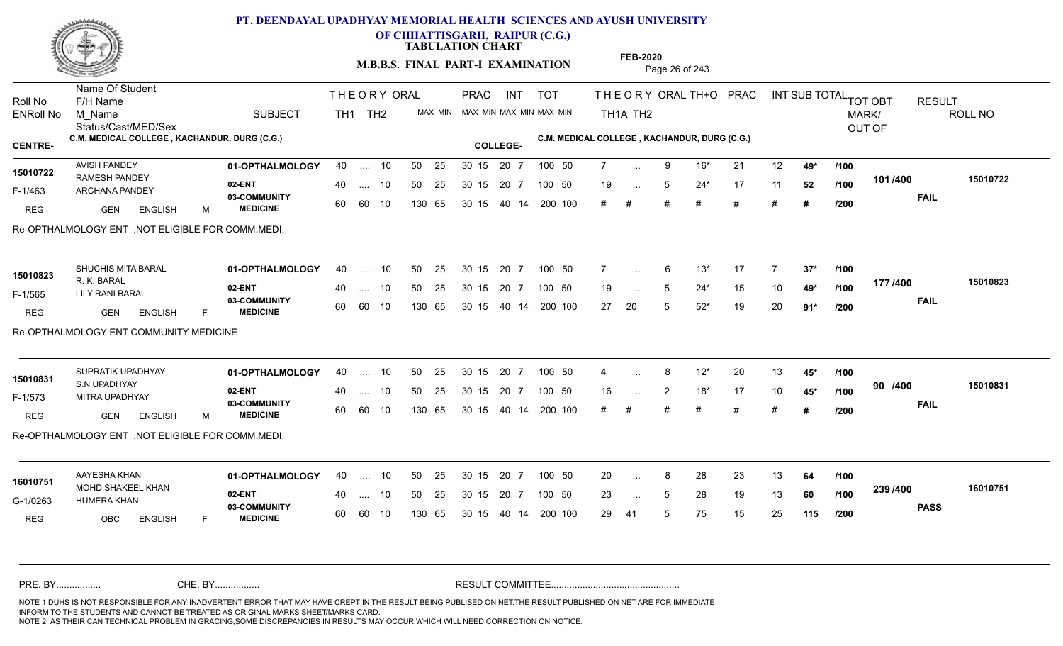

**OF CHHATTISGARH, RAIPUR (C.G.)**

**TABULATION CHART** 

**M.B.B.S. FINAL PART-I EXAMINATION** Page 26 of 243

Status/Cast/MED/Sex Name Of Student Roll No F/H Name M\_Name SUBJECT TH1 TH2 <sup>MAX\_MIN</sup> N PRAC INT TOT THEORY ORAL TH+O PRAC INT TH<sub>1</sub>A TH<sub>2</sub> ORAL TH+ODPRACD INT SUB TOTAL <sub>TOT OBT</sub> RESULT ROLL NO MARK/ OUT OF ENRoll No M Name  $\,$  SUBJECT TH1 TH2 MAX MIN MAX MIN MAX MIN MAX MIN TH1A TH2 **C.M. MEDICAL COLLEGE , KACHANDUR, DURG (C.G.) C.M. MEDICAL COLLEGE , KACHANDUR, DURG (C.G.) CENTRE- COLLEGE-**THE ORY ORAL PRAC INT PRAC AVISH PANDEY **01-OPTHALMOLOGY** 40 .... 10 50 25 30 15 20 7 100 50 7 **02-ENT 03-COMMUNITY MEDICINE** F-1/463 ARCHANA PANDEY 2 PARCHANA 15010722 RAMESH PANDEY REG GEN ENGLISH M 7 9 16\* 21 12 **49\*** 19 ... 5 24\* 17 11 **52** /**100** 1917<del>4</del>00 # # # # # # **# 101 FAIL 15010722 /400** Re-OPTHALMOLOGY ENT ,NOT ELIGIBLE FOR COMM.MEDI. .... 10 50 25 30 15 60 60 10 20 7 130 65 30 15 30 15 20 7 100 50 40 14 200 100 50 25 30 15 20 7 100 50 7 ... ... ... **/100 /100 /200 01-OPTHALMOLOGY** SHUCHIS MITA BARAL 40 .... 10 30 15 20 7 **02-ENT** 03-COMMUNITY 60  **MEDICINE** F-1/565 LILY RANI BARAL **1996** R. K. BARAL REG **GEN** ENGLISH F 7 6 13\* 17 7 **37\*** 19 5 24\* 15 10 **49\*** 27 20 5 52\* 19 20 **91\* 177 FAIL 15010823 /400** Re-OPTHALMOLOGY ENT COMMUNITY MEDICINE 40 .... 10 50 25 60 60 10 130 65 30 15 40 14 200 100 30 15 20 7 100 50 50 25 30 15 20 7 100 50 7 ... **15010823 15010823 15010823** ... ... 5 **/100 /100 /200** SUPRATIK UPADHYAY **01-OPTHALMOLOGY** 40 .... 10 50 25 30 15 20 7 100 50 4 **02-ENT** 03-COMMUNITY 60  **MEDICINE** F-1/573 MITRA UPADHYAY 22 AM **15010831** S.N UPADHYAY **15010831** REG GEN ENGLISH M 4 8 12\* 20 13 **45\*** 16 2 18\* 17 10 **45\*** # # # # # # **# 90 FAIL 15010831 /400** Re-OPTHALMOLOGY ENT ,NOT ELIGIBLE FOR COMM.MEDI. .... 10 50 25 30 15 60 60 10 20 7 130 65 30 15 30 15 20 7 100 50 40 14 200 100 50 25 30 15 20 7 100 50 4 ... 8 ... ... **/100 /100 /200 01-OPTHALMOLOGY** AAYESHA KHAN 40 .... 10 30 15 20 7 **02-ENT** 03-COMMUNITY 60 **MEDICINE** 60 60 10 G-1/0263 HUMERA KHAN 6-1/0263 MOHD SHAKEEL KHAN **16010751** REG OBC ENGLISH F 20 ... 8 28 23 13 **64 /100** 23 ... 5 28 19 13 **60 /100 <sup>2007/400</sup>** 29 41 5 75 15 25 **115 239 PASS /400 16010751** 40 .... 10 50 25 130 65 130 65 30 15 30 15 20 7 100 50 40 14 200 100 50 25 30 15 20 7 100 50 20 ... 8 ... ... 5 **/100 /100 /200** NOTE 1:DUHS IS NOT RESPONSIBLE FOR ANY INADVERTENT ERROR THAT MAY HAVE CREPT IN THE RESULT BEING PUBLISED ON NET.THE RESULT PUBLISHED ON NET ARE FOR IMMEDIATE INFORM TO THE STUDENTS AND CANNOT BE TREATED AS ORIGINAL MARKS SHEET/MARKS CARD. CHE. BY WAREL BY WARE AND THE AVEC THE AVEC THE THE RESULT COMMITTEE AND MULTIME MOTE 1:DUHS IS NOT RESPONSIBLE FOR ANY INADVERTENT ERROR THAT MAY HAVE CREPT IN THE RESULT BEING PUBLISED ON NET.THE RESULT PUBLISHED ON NET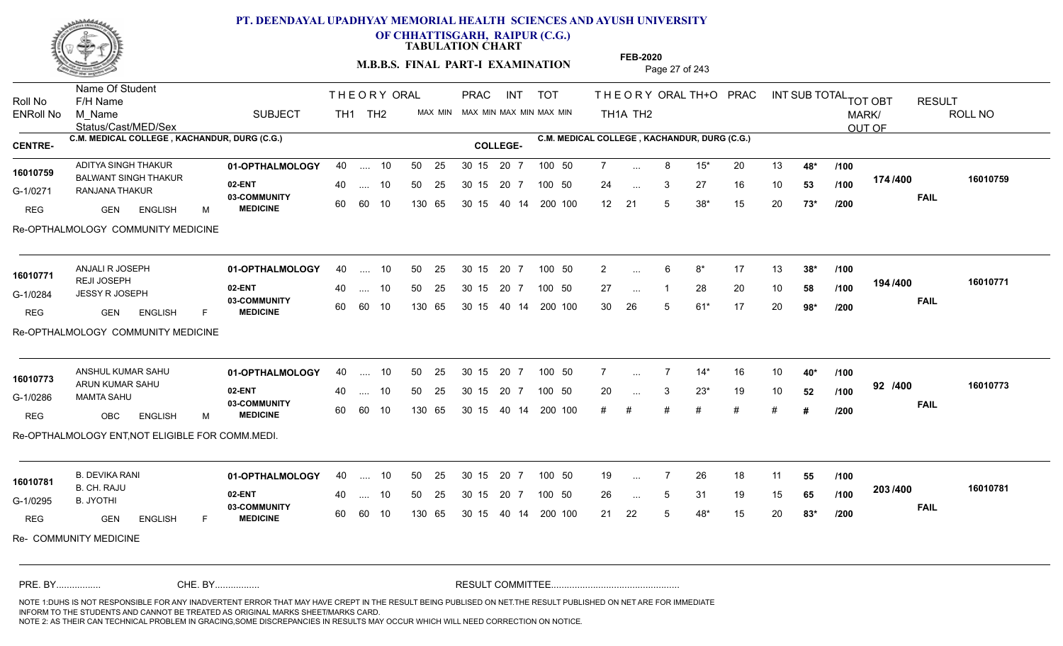

**OF CHHATTISGARH, RAIPUR (C.G.)**

**TABULATION CHART** 

**M.B.B.S. FINAL PART-I EXAMINATION** Page 27 of 243

Status/Cast/MED/Sex Name Of Student Roll No F/H Name M\_Name SUBJECT TH1 TH2 <sup>MAX\_MIN</sup> N PRAC INT TOT THEORY ORAL TH+O PRAC INT TH<sub>1</sub>A TH<sub>2</sub> ORAL TH+ODPRACD INT SUB TOTAL <sub>TOT OBT</sub> RESULT ROLL NO MARK/ OUT OF ENRoll No M Name  $\,$  SUBJECT TH1 TH2 MAX MIN MAX MIN MAX MIN MAX MIN TH1A TH2 **C.M. MEDICAL COLLEGE , KACHANDUR, DURG (C.G.) C.M. MEDICAL COLLEGE , KACHANDUR, DURG (C.G.) CENTRE- COLLEGE-**THE ORY ORAL PRAC INT PRAC **01-OPTHALMOLOGY** ADITYA SINGH THAKUR 40 .... 10 30 15 20 7 **02-ENT 03-COMMUNITY MEDICINE** G-1/0271 RANJANA THAKUR CHARACTERY CHARACTERY 16010759 BALWANT SINGH THAKUR REG GEN ENGLISH M 7 8 15\* 20 13 **48\*** 24 ... 3 27 16 10 **53 /100 '' ''** 12 21 5 38\* 15 20 **73\* 174 FAIL 16010759 /400** Re-OPTHALMOLOGY COMMUNITY MEDICINE .... 10 50 25 60 60 10 50 25 30 15 130 65 30 15 40 14 200 100 20 7 100 50 50 25 30 15 20 7 100 50 7 ... ... ... 3 **/100 /100 /200 01-OPTHALMOLOGY** ANJALI R JOSEPH 40 .... 10 30 15 20 7 **02-ENT** 03-COMMUNITY 60  **MEDICINE** G-1/0284 JESSY R JOSEPH REJI JOSEPH REG **GEN** ENGLISH F 2 6 8\* 17 13 **38\*** 27 ... 1 28 20 10 **58 /100 <sup>1947</sup> 19**0 30 26 5 61\* 17 20 **98\* 194 FAIL 16010771 /400** Re-OPTHALMOLOGY COMMUNITY MEDICINE .... 10 50 25 60 60 10 30 15 20 7 130 65 30 15 40 14 200 100 30 15 20 7 100 50 50 25 30 15 20 7 100 50 2 ... **16010771 16010771 16010771** ... ... **/100 /100 /200 01-OPTHALMOLOGY** ANSHUL KUMAR SAHU 40 .... 10 30 15 20 7 **02-ENT** 03-COMMUNITY 60  **MEDICINE** G-1/0286 MAMTA SAHU 16010773 ARUN KUMAR SAHU REG OBC ENGLISH M 7 7 14\* 16 10 **40\*** 20 3 23\* 19 10 **52** # # # # # # **# 92 FAIL 16010773 /400** Re-OPTHALMOLOGY ENT,NOT ELIGIBLE FOR COMM.MEDI. .... 10 50 25 30 15 60 60 10 20 7 130 65 30 15 30 15 20 7 100 50 40 14 200 100 50 25 30 15 20 7 100 50 7 ... 7 ... ... 3 **/100 /100 /200 01-OPTHALMOLOGY** B. DEVIKA RANI 40 .... 10 30 15 20 7 **02-ENT** 03-COMMUNITY 60  **MEDICINE** G-1/0295 B. CH. RAJU B. JYOTHI REG GEN ENGLISH F 19 ... 7 26 18 11 **55 /100** 26 ... 5 31 19 15 **65 /100 <sup>2007</sup> 700** 21 22 5 48\* 15 20 **83\* 203 FAIL 16010781 /400** Re- COMMUNITY MEDICINE 40 .... 10 50 25 60 60 10 130 65 30 15 30 15 20 7 100 50 40 14 200 100 50 25 30 15 20 7 100 50 19 ... **16010781** ... ... 5 **/100 /100 /200** NOTE 1:DUHS IS NOT RESPONSIBLE FOR ANY INADVERTENT ERROR THAT MAY HAVE CREPT IN THE RESULT BEING PUBLISED ON NET.THE RESULT PUBLISHED ON NET ARE FOR IMMEDIATE INFORM TO THE STUDENTS AND CANNOT BE TREATED AS ORIGINAL MARKS SHEET/MARKS CARD. CHE. BY WAREL BY WARE AND THE AVEC THE AVEC THE THE RESULT COMMITTEE AND MULTIME MOTE 1:DUHS IS NOT RESPONSIBLE FOR ANY INADVERTENT ERROR THAT MAY HAVE CREPT IN THE RESULT BEING PUBLISED ON NET.THE RESULT PUBLISHED ON NET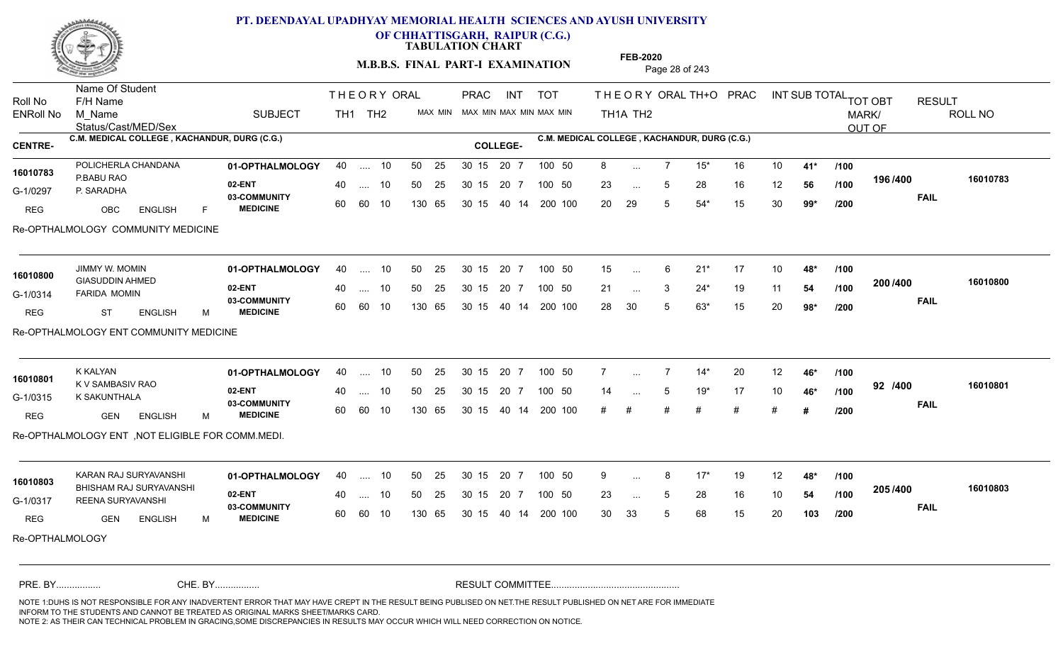

**OF CHHATTISGARH, RAIPUR (C.G.)**

**TABULATION CHART** 

**M.B.B.S. FINAL PART-I EXAMINATION** Page 28 of 243

Status/Cast/MED/Sex Name Of Student Roll No F/H Name M\_Name SUBJECT TH1 TH2 <sup>MAX\_MIN</sup> N PRAC INT TOT THEORY ORAL TH+O PRAC INT TH<sub>1</sub>A TH<sub>2</sub> ORAL TH+ODPRACD INT SUB TOTAL <sub>TOT OBT</sub> RESULT ROLL NO MARK/ OUT OF ENRoll No M Name  $\,$  SUBJECT TH1 TH2 MAX MIN MAX MIN MAX MIN MAX MIN TH1A TH2 **C.M. MEDICAL COLLEGE , KACHANDUR, DURG (C.G.) C.M. MEDICAL COLLEGE , KACHANDUR, DURG (C.G.) CENTRE- COLLEGE-**THE ORY ORAL PRAC INT PRAC POLICHERLA CHANDANA **01-OPTHALMOLOGY** 40 .... 10 50 25 30 15 20 7 100 50 8 **02-ENT** 03-COMMUNITY 60  **MEDICINE** G-1/0297 P. SARADHA P.BABU RAO REG OBC ENGLISH F 8 7 15\* 16 10 **41\*** 23 ... 5 28 16 12 **56 /100 <sup>1907–00</sup>** 20 29 5 54\* 15 30 **99\* 196 FAIL 16010783 /400** Re-OPTHALMOLOGY COMMUNITY MEDICINE .... 10 50 25 30 15 60 60 10 20 7 130 65 30 15 30 15 20 7 100 50 40 14 200 100 50 25 30 15 20 7 100 50 8 ... POLICHERLA CHANDANA<br>**16010783** ... ... 5 **/100 /100 /200 01-OPTHALMOLOGY** JIMMY W. MOMIN 40 .... 10 30 15 20 7 **02-ENT** 03-COMMUNITY 60 **MEDICINE** 60 60 10 G-1/0314 FARIDA MOMIN 16010800 GIASUDDIN AHMED REG ST ENGLISH M 15 6 21\* 17 10 **48\*** 21 ... 3 24\* 19 11 **54 /100 <sup>2007–00</sup>** 28 30 5 63\* 15 20 **98\* 200 FAIL 16010800 /400** Re-OPTHALMOLOGY ENT COMMUNITY MEDICINE 40 .... 10 50 25 130 65 130 65 30 15 40 14 200 100 30 15 20 7 100 50 50 25 30 15 20 7 100 50 15 ... ... ... **/100 /100 /200 01-OPTHALMOLOGY** K KALYAN 40 .... 10 30 15 20 7 **02-ENT** 03-COMMUNITY 60  **MEDICINE** G-1/0315 K SAKUNTHALA **SELEM** 16010801 K V SAMBASIV RAO REG GEN ENGLISH M 7 7 14\* 20 12 **46\*** 14 5 19\* 17 10 **46\*** # # # # # # **# 92 FAIL 16010801 /400** Re-OPTHALMOLOGY ENT ,NOT ELIGIBLE FOR COMM.MEDI. .... 10 50 25 30 15 60 60 10 20 7 130 65 30 15 30 15 20 7 100 50 40 14 200 100 50 25 30 15 20 7 100 50 7 ... 7 ... ... **/100 /100 /200 01-OPTHALMOLOGY 02-ENT** 03-COMMUNITY 60 **MEDICINE** 60 60 10 G-1/0317 REENA SURYAVANSHI BHISHAM RAJ SURYAVANSHI **16010803** REG GEN ENGLISH M 9 8 17\* 19 12 **48\*** 23 ... 5 28 16 10 **54 /100 <sup>2007</sup> 700** 30 33 5 68 15 20 **103 205 FAIL 16010803 /400** Re-OPTHALMOLOGY KARAN RAJ SURYAVANSHI **01-OPTHALMOLOGY** 40 .... 10 50 25 30 15 20 7 100 50 9 40 .... 10 50 25 130 65 130 65 30 15 30 15 20 7 100 50 40 14 200 100 100 50 9 ... 8 ... ... 5 **/100 /100 /200** NOTE 1:DUHS IS NOT RESPONSIBLE FOR ANY INADVERTENT ERROR THAT MAY HAVE CREPT IN THE RESULT BEING PUBLISED ON NET.THE RESULT PUBLISHED ON NET ARE FOR IMMEDIATE INFORM TO THE STUDENTS AND CANNOT BE TREATED AS ORIGINAL MARKS SHEET/MARKS CARD. CHE. BY WAREL BY WARE AND THE AVEC THE AVEC THE THE RESULT COMMITTEE AND MULTIME MOTE 1:DUHS IS NOT RESPONSIBLE FOR ANY INADVERTENT ERROR THAT MAY HAVE CREPT IN THE RESULT BEING PUBLISED ON NET.THE RESULT PUBLISHED ON NET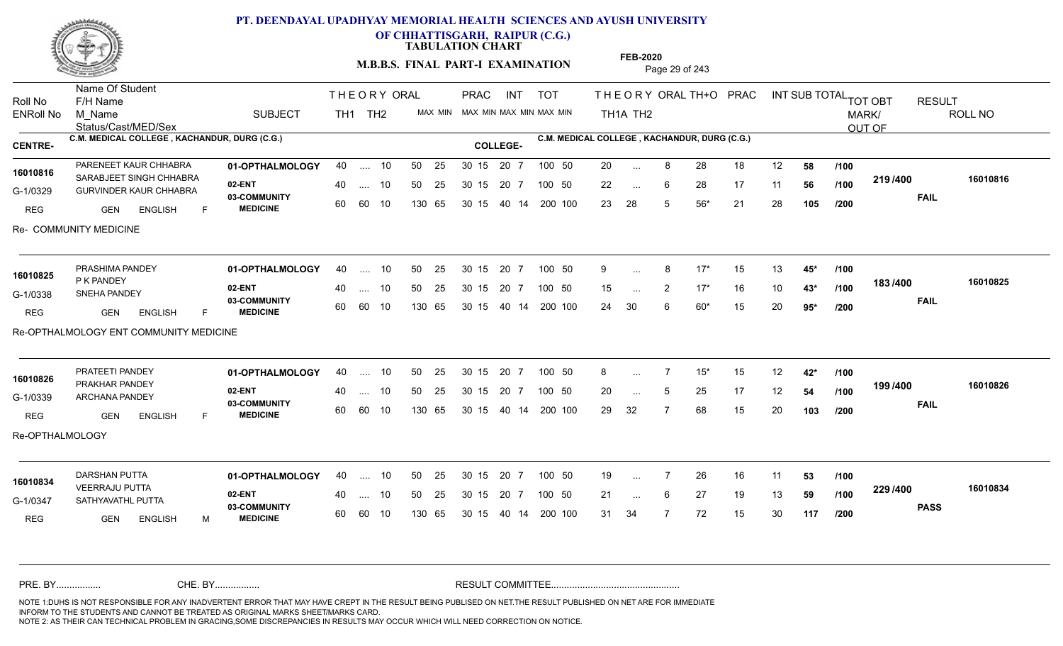

**OF CHHATTISGARH, RAIPUR (C.G.)**

**TABULATION CHART** 

**M.B.B.S. FINAL PART-I EXAMINATION** Page 29 of 243

Status/Cast/MED/Sex Name Of Student Roll No F/H Name M\_Name SUBJECT TH1 TH2 <sup>MAX\_MIN</sup> N PRAC INT TOT THEORY ORAL TH+O PRAC INT TH<sub>1</sub>A TH<sub>2</sub> ORAL TH+ODPRACD INT SUB TOTAL <sub>TOT OBT</sub> RESULT ROLL NO MARK/ OUT OF ENRoll No M Name  $\,$  SUBJECT TH1 TH2 MAX MIN MAX MIN MAX MIN MAX MIN TH1A TH2 **C.M. MEDICAL COLLEGE , KACHANDUR, DURG (C.G.) C.M. MEDICAL COLLEGE , KACHANDUR, DURG (C.G.) CENTRE- COLLEGE-**THE ORY ORAL PRAC INT PRAC **01-OPTHALMOLOGY 02-ENT** 03-COMMUNITY 60  **MEDICINE** G-1/0329 GURVINDER KAUR CHHABRA 16010816 SARABJEET SINGH CHHABRA<br>
SARABJEET SINGH CHHABRA REG **GEN ENGLISH** F 20 8 28 18 12 **58** 22 ... 6 28 17 11 **56 /100 <sup>2137400</sup>** 23 28 5 56\* 21 28 **105 219 FAIL 16010816 /400** Re- COMMUNITY MEDICINE PARENEET KAUR CHHABRA **01-OPTHALMOLOGY** 40 .... 10 50 25 30 15 20 7 100 50 20 .... 10 50 25 60 60 10 50 25 30 15 130 65 30 15 40 14 200 100 20 7 100 50 100 50 20 ... ... ... 6 **/100 /100 /200 01-OPTHALMOLOGY** PRASHIMA PANDEY 40 .... 10 30 15 20 7 **02-ENT** 03-COMMUNITY 60  **MEDICINE** G-1/0338 SNEHA PANDEY P K PANDEY REG GEN ENGLISH F 9 8 17\* 15 13 **45\*** 15 2 17\* 16 10 **43\*** 24 30 6 60\* 15 20 **95\* 183 FAIL 16010825 /400** Re-OPTHALMOLOGY ENT COMMUNITY MEDICINE 40 .... 10 50 25 60 60 10 130 65 30 15 40 14 200 100 30 15 20 7 100 50 50 25 30 15 20 7 100 50 9 ... **16010825**<br> **16010825** ... ... 2 **/100 /100 /200 01-OPTHALMOLOGY** PRATEETI PANDEY 40 .... 10 30 15 20 7 **02-ENT** 03-COMMUNITY 60  **MEDICINE** G-1/0339 ARCHANA PANDEY 22 BM 16010826 PRAKHAR PANDEY REG GEN ENGLISH F 8 7 15\* 15 12 **42\*** 20 ... 5 25 17 12 **54 /100 <sup>1997</sup> +** 29 32 7 68 15 20 **103 199 FAIL 16010826 /400** Re-OPTHALMOLOGY .... 10 50 25 30 15 60 60 10 20 7 130 65 30 15 30 15 20 7 100 50 40 14 200 100 50 25 30 15 20 7 100 50 8 ... 7 ... ... 5 **/100 /100 /200 01-OPTHALMOLOGY** DARSHAN PUTTA 40 .... 10 30 15 20 7 **02-ENT** 03-COMMUNITY 60 **MEDICINE** 60 60 10 G-1/0347 SATHYAVATHL PUTTA **SATHYAVATHL** PUTTA VEERRAJU PUTTA **16010834** REG GEN ENGLISH M 19 ... 7 26 16 11 **53 /100** 21 ... 6 27 19 13 **59 /100 <sup>223</sup> 1** 31 34 7 72 15 30 **117 229 PASS /400 16010834** 40 .... 10 50 25 130 65 130 65 30 15 30 15 20 7 100 50 40 14 200 100 50 25 30 15 20 7 100 50 19 ... ... ... **/100 /100 /200** NOTE 1:DUHS IS NOT RESPONSIBLE FOR ANY INADVERTENT ERROR THAT MAY HAVE CREPT IN THE RESULT BEING PUBLISED ON NET.THE RESULT PUBLISHED ON NET ARE FOR IMMEDIATE INFORM TO THE STUDENTS AND CANNOT BE TREATED AS ORIGINAL MARKS SHEET/MARKS CARD. CHE. BY WAREL BY WARE AND THE AVEC THE AVEC THE THE RESULT COMMITTEE AND MULTIME MOTE 1:DUHS IS NOT RESPONSIBLE FOR ANY INADVERTENT ERROR THAT MAY HAVE CREPT IN THE RESULT BEING PUBLISED ON NET.THE RESULT PUBLISHED ON NET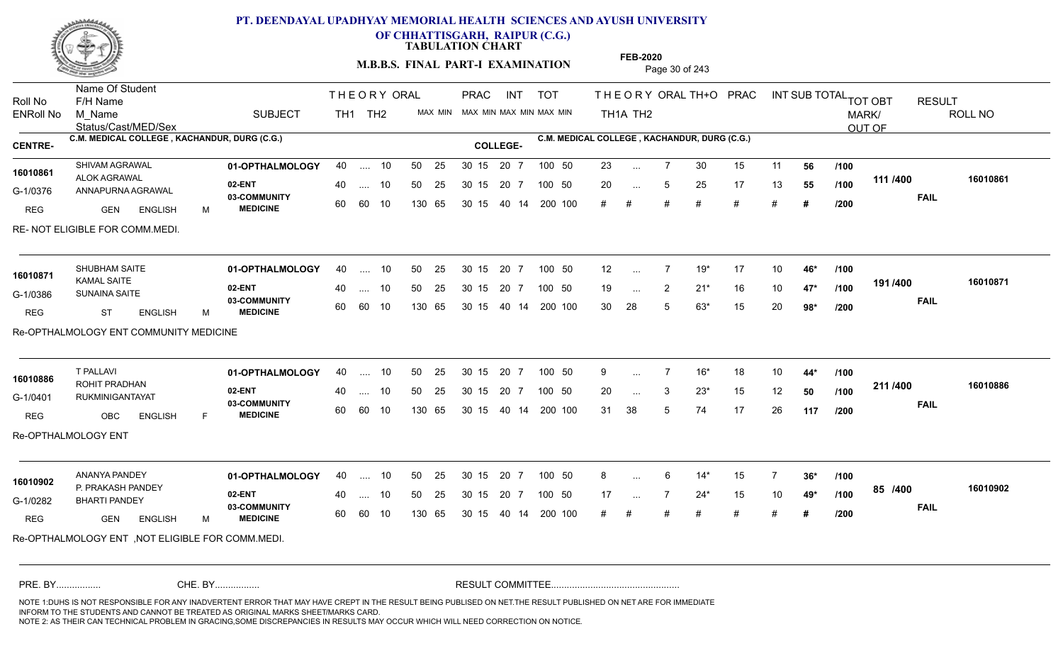

**OF CHHATTISGARH, RAIPUR (C.G.)**

**TABULATION CHART** 

**M.B.B.S. FINAL PART-I EXAMINATION** Page 30 of 243

Status/Cast/MED/Sex Name Of Student Roll No F/H Name M\_Name SUBJECT TH1 TH2 <sup>MAX\_MIN</sup> N PRAC INT TOT THEORY ORAL TH+O PRAC INT TH<sub>1</sub>A TH<sub>2</sub> ORAL TH+ODPRACD INT SUB TOTAL <sub>TOT OBT</sub> RESULT ROLL NO MARK/ OUT OF ENRoll No M Name  $\,$  SUBJECT TH1 TH2 MAX MIN MAX MIN MAX MIN MAX MIN TH1A TH2 **C.M. MEDICAL COLLEGE , KACHANDUR, DURG (C.G.) C.M. MEDICAL COLLEGE , KACHANDUR, DURG (C.G.) CENTRE- COLLEGE-**THE ORY ORAL PRAC INT PRAC **01-OPTHALMOLOGY** SHIVAM AGRAWAL 40 .... 10 30 15 20 7 **02-ENT** 03-COMMUNITY 60  **MEDICINE** G-1/0376 ANNAPURNA AGRAWAL COMM 16010861 ALOK AGRAWAL REG GEN ENGLISH M 23 ... 7 30 15 11 **56 /100** 20 ... 5 25 17 13 **55 /100 '''''<sup>400</sup>** # # # # # # **# 111 FAIL 16010861 /400** RE- NOT ELIGIBLE FOR COMM.MEDI. .... 10 50 25 30 15 60 60 10 20 7 130 65 30 15 30 15 20 7 100 50 40 14 200 100 50 25 30 15 20 7 100 50 23 ... ... ... **/100 /100 /200 01-OPTHALMOLOGY** SHUBHAM SAITE 40 .... 10 30 15 20 7 **02-ENT** 03-COMMUNITY 60  **MEDICINE** G-1/0386 SUNAINA SAITE KAMAL SAITE REG ST ENGLISH M 12 7 19\* 17 10 **46\*** 19 ... 2 21<sup>\*</sup> 16 10 **47<sup>\*</sup> /100 <sup>19</sup>** 30 28 5 63\* 15 20 **98\* 191 FAIL 16010871 /400** Re-OPTHALMOLOGY ENT COMMUNITY MEDICINE 40 .... 10 50 25 60 60 10 130 65 30 15 40 14 200 100 30 15 20 7 100 50 50 25 30 15 20 7 100 50 12 ... **16010871** SHUBHAM SAITE ... ... 2 **/100 /100 /200 01-OPTHALMOLOGY** 40 .... 10 50 25 30 15 20 7 100 50 9 9 **02-ENT** 03-COMMUNITY 60  **MEDICINE** G-1/0401 RUKMINIGANTAYAT 22 BM 16010886 ROHIT PRADHAN **1601 - 1602 B** REG OBC ENGLISH F 9 7 16\* 18 10 **44\*** 20 3 23\* 15 12 **50** 31 38 5 74 17 26 **117 211 FAIL 16010886 /400** Re-OPTHALMOLOGY ENT .... 10 50 25 30 15 60 60 10 20 7 130 65 30 15 30 15 20 7 100 50 40 14 200 100 50 25 30 15 20 7 100 50 9 ... ... ... 3 **/100 /100 /200 01-OPTHALMOLOGY** ANANYA PANDEY 40 .... 10 30 15 20 7 **02-ENT** 03-COMMUNITY 60  **MEDICINE** G-1/0282 BHARTI PANDEY 1**6010902** P. PRAKASH PANDEY REG GEN ENGLISH M 8 6 14\* 15 7 **36\*** 17 7 24\* 15 10 **49\*** # # # # # # **# 85 FAIL 16010902 /400** Re-OPTHALMOLOGY ENT ,NOT ELIGIBLE FOR COMM.MEDI. 40 .... 10 50 25 60 60 10 130 65 30 15 30 15 20 7 100 50 40 14 200 100 50 25 30 15 20 7 100 50 8 ... ... ... **/100 /100 /200** NOTE 1:DUHS IS NOT RESPONSIBLE FOR ANY INADVERTENT ERROR THAT MAY HAVE CREPT IN THE RESULT BEING PUBLISED ON NET.THE RESULT PUBLISHED ON NET ARE FOR IMMEDIATE INFORM TO THE STUDENTS AND CANNOT BE TREATED AS ORIGINAL MARKS SHEET/MARKS CARD. CHE. BY WAREL BY WARE AND THE AVEC THE AVEC THE THE RESULT COMMITTEE AND MULTIME MOTE 1:DUHS IS NOT RESPONSIBLE FOR ANY INADVERTENT ERROR THAT MAY HAVE CREPT IN THE RESULT BEING PUBLISED ON NET.THE RESULT PUBLISHED ON NET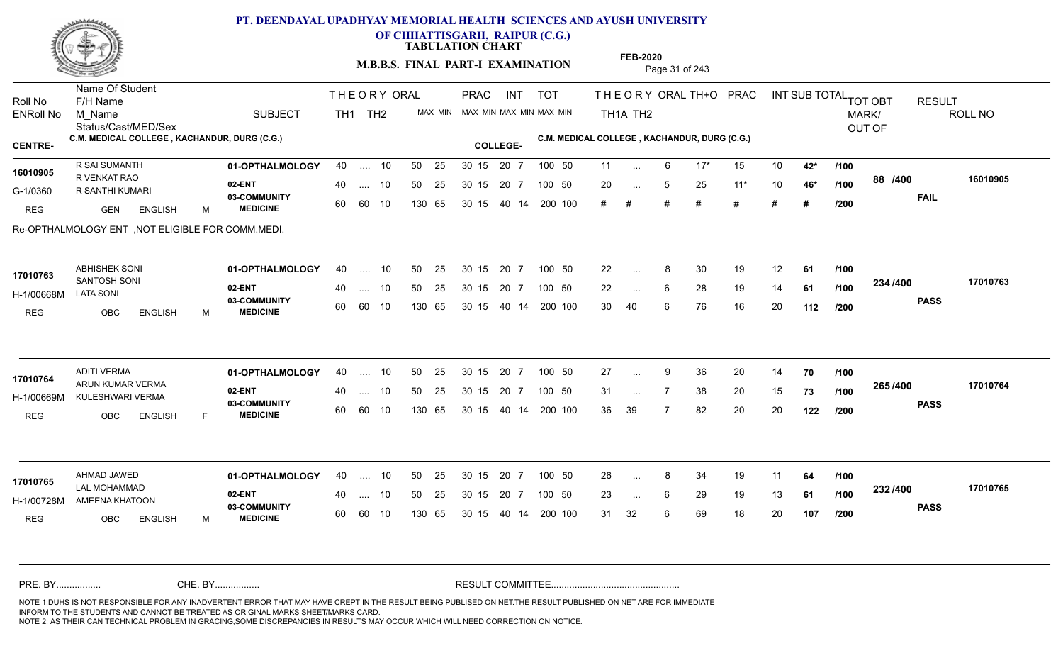

**OF CHHATTISGARH, RAIPUR (C.G.)**

**TABULATION CHART** 

**M.B.B.S. FINAL PART-I EXAMINATION** Page 31 of 243

Status/Cast/MED/Sex Name Of Student Roll No F/H Name M\_Name SUBJECT TH1 TH2 <sup>MAX\_MIN</sup> N PRAC INT TOT THEORY ORAL TH+O PRAC INT TH<sub>1</sub>A TH<sub>2</sub> ORAL TH+ODPRACD INT SUB TOTAL <sub>TOT OBT</sub> RESULT ROLL NO MARK/ OUT OF ENRoll No M Name  $\,$  SUBJECT TH1 TH2 MAX MIN MAX MIN MAX MIN MAX MIN TH1A TH2 **C.M. MEDICAL COLLEGE , KACHANDUR, DURG (C.G.) C.M. MEDICAL COLLEGE , KACHANDUR, DURG (C.G.) CENTRE- COLLEGE-**THE ORY ORAL PRAC INT PRAC **01-OPTHALMOLOGY** R SAI SUMANTH 40 .... 10 30 15 20 7 **02-ENT 03-COMMUNITY MEDICINE** G-1/0360 R SANTHI KUMARI 16010905 R VENKAT RAO REG GEN ENGLISH M 11 6 17\* 15 10 **42\*** 20 5 25 11\* 10 **46\*** # # # # # # **# 88 FAIL 16010905 /400** Re-OPTHALMOLOGY ENT ,NOT ELIGIBLE FOR COMM.MEDI. .... 10 50 25 30 15 60 60 10 20 7 130 65 30 15 30 15 20 7 100 50 40 14 200 100 50 25 30 15 20 7 100 50 11 ... ... ... **/100 /100 /200 01-OPTHALMOLOGY** ABHISHEK SONI 40 .... 10 30 15 20 7 **02-ENT** 03-COMMUNITY 60 **MEDICINE** 60 60 10 H-1/00668M SANTOSH SONI **17010763** LATA SONI REG OBC ENGLISH M 22 8 30 19 12 **61** 22 ... 6 28 19 14 **61 /100 <sup>2047</sup> 1** 30 40 6 76 16 20 **112 234 PASS /400 17010763** 40 .... 10 50 25 130 65 130 65 30 15 40 14 200 100 30 15 20 7 100 50 50 25 30 15 20 7 100 50 22 ... 8 ...  $\overline{\phantom{a}}$ . 6 **/100 /100 /200 01-OPTHALMOLOGY** ADITI VERMA 40 .... 10 30 15 20 7 **02-ENT** 03-COMMUNITY 60  **MEDICINE** H-1/00669M KULESHWARI VERMA (20 COMMU) ARUN KUMAR VERMA **17010764** REG OBC ENGLISH F 27 ... 9 36 20 14 **70** /**100** 31 ... 7 38 20 15 **73 /100 <sup>2007</sup> 700** 36 39 7 82 20 20 **122 265 PASS /400 17010764** .... 10 50 25 30 15 60 60 10 20 7 130 65 30 15 30 15 20 7 100 50 40 14 200 100 50 25 30 15 20 7 100 50 27 ... ... ... **/100 /100 /200 01-OPTHALMOLOGY** AHMAD JAWED 40 .... 10 30 15 20 7 **02-ENT** 03-COMMUNITY 60 **MEDICINE** 60 60 10 H-1/00728M AMEENA KHATOON LAL MOHAMMAD **17010765** REG OBC ENGLISH M 26 ... 8 34 19 11 **64 /100** 23 ... 6 29 19 13 **61 /100 <sup>2027–00</sup>** 31 32 6 69 18 20 **107 232 PASS /400 17010765** 40 .... 10 50 25 130 65 130 65 30 15 30 15 20 7 100 50 40 14 200 100 50 25 30 15 20 7 100 50 26 ... 8 ... ... 6 **/100 /100 /200** NOTE 1:DUHS IS NOT RESPONSIBLE FOR ANY INADVERTENT ERROR THAT MAY HAVE CREPT IN THE RESULT BEING PUBLISED ON NET.THE RESULT PUBLISHED ON NET ARE FOR IMMEDIATE INFORM TO THE STUDENTS AND CANNOT BE TREATED AS ORIGINAL MARKS SHEET/MARKS CARD. CHE. BY WAREL BY WARE AND THE AVEC THE AVEC THE THE RESULT COMMITTEE AND MULTIME MOTE 1:DUHS IS NOT RESPONSIBLE FOR ANY INADVERTENT ERROR THAT MAY HAVE CREPT IN THE RESULT BEING PUBLISED ON NET.THE RESULT PUBLISHED ON NET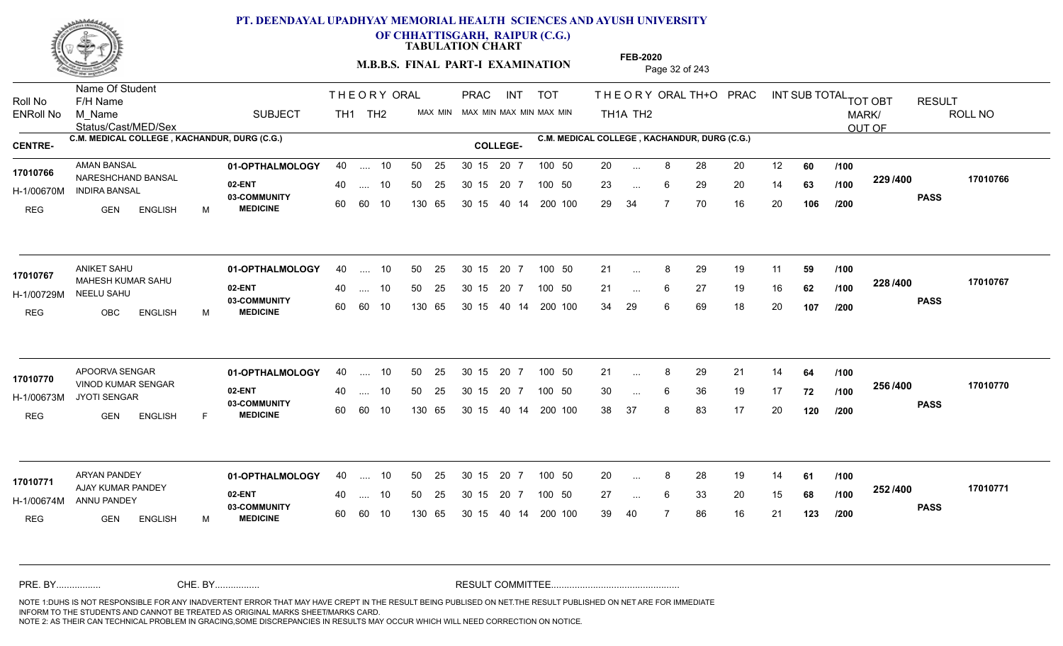

**OF CHHATTISGARH, RAIPUR (C.G.)**

**TABULATION CHART** 

**M.B.B.S. FINAL PART-I EXAMINATION** Page 32 of 243

Status/Cast/MED/Sex Name Of Student Roll No F/H Name M\_Name SUBJECT TH1 TH2 <sup>MAX\_MIN</sup> N PRAC INT TOT THEORY ORAL TH+O PRAC INT TH<sub>1</sub>A TH<sub>2</sub> ORAL TH+ODPRACD INT SUB TOTAL <sub>TOT OBT</sub> RESULT ROLL NO MARK/ OUT OF ENRoll No M Name  $\,$  SUBJECT TH1 TH2 MAX MIN MAX MIN MAX MIN MAX MIN TH1A TH2 **C.M. MEDICAL COLLEGE , KACHANDUR, DURG (C.G.) C.M. MEDICAL COLLEGE , KACHANDUR, DURG (C.G.) CENTRE- COLLEGE-**THE ORY ORAL PRAC INT PRAC **01-OPTHALMOLOGY** AMAN BANSAL 40 .... 10 30 15 20 7 **02-ENT** 03-COMMUNITY 60  **MEDICINE** H-1/00670M INDIRA BANSAL 17010766 NARESHCHAND BANSAL **17010766** REG GEN ENGLISH M 20 8 28 20 12 **60** 23 ... 6 29 20 14 **63 /100 <sup>223/400</sup>** 29 34 7 70 16 20 **106 229 PASS /400 17010766** .... 10 50 25 60 60 10 50 25 30 15 130 65 30 15 40 14 200 100 20 7 100 50 50 25 30 15 20 7 100 50 20 ... ... ... 6 **/100 /100 /200 01-OPTHALMOLOGY** ANIKET SAHU 40 .... 10 30 15 20 7 **02-ENT** 03-COMMUNITY 60  **MEDICINE** H-1/00729M NEELU SAHU MAHESH KUMAR SAHU **17010767** REG OBC ENGLISH M 21 ... 8 29 19 11 **59 /100** 21 ... 6 27 19 16 **62 /100 <sup>220</sup>/\*<sup>00</sup>** 34 29 6 69 18 20 **107 228 PASS /400 17010767** 40 .... 10 50 25 60 60 10 130 65 30 15 40 14 200 100 30 15 20 7 100 50 50 25 30 15 20 7 100 50 21 ... 8 ...  $\overline{\phantom{a}}$ . 6 **/100 /100 /200 01-OPTHALMOLOGY** APOORVA SENGAR 40 .... 10 30 15 20 7 **02-ENT** 03-COMMUNITY 60  **MEDICINE** H-1/00673M JYOTI SENGAR 17010770 VINOD KUMAR SENGAR REG GEN ENGLISH F 21 ... 8 29 21 14 **64 /100** 30 ... 6 36 19 17 **72 /100 <sup>2307–60</sup>** 38 37 8 83 17 20 **120 256 PASS /400 17010770** .... 10 50 25 30 15 60 60 10 20 7 130 65 30 15 30 15 20 7 100 50 40 14 200 100 50 25 30 15 20 7 100 50 21 ... 8 ... ... 6 **/100 /100 /200 01-OPTHALMOLOGY** ARYAN PANDEY 40 .... 10 30 15 20 7 **02-ENT** 03-COMMUNITY 60 **MEDICINE** 60 60 10 H-1/00674M ANNU PANDEY AJAY KUMAR PANDEY **17010771** REG GEN ENGLISH M 20 8 28 19 14 **61** 27 ... 6 33 20 15 **68 /100 <sup>2027</sup> 700** 39 40 7 86 16 21 **123 252 PASS /400 17010771** 40 .... 10 50 25 130 65 130 65 30 15 30 15 20 7 100 50 40 14 200 100 50 25 30 15 20 7 100 50 20 ... 8 ... ... 6 **/100 /100 /200** NOTE 1:DUHS IS NOT RESPONSIBLE FOR ANY INADVERTENT ERROR THAT MAY HAVE CREPT IN THE RESULT BEING PUBLISED ON NET.THE RESULT PUBLISHED ON NET ARE FOR IMMEDIATE INFORM TO THE STUDENTS AND CANNOT BE TREATED AS ORIGINAL MARKS SHEET/MARKS CARD. CHE. BY WAREL BY WARE AND THE AVEC THE AVEC THE THE RESULT COMMITTEE AND MULTIME MOTE 1:DUHS IS NOT RESPONSIBLE FOR ANY INADVERTENT ERROR THAT MAY HAVE CREPT IN THE RESULT BEING PUBLISED ON NET.THE RESULT PUBLISHED ON NET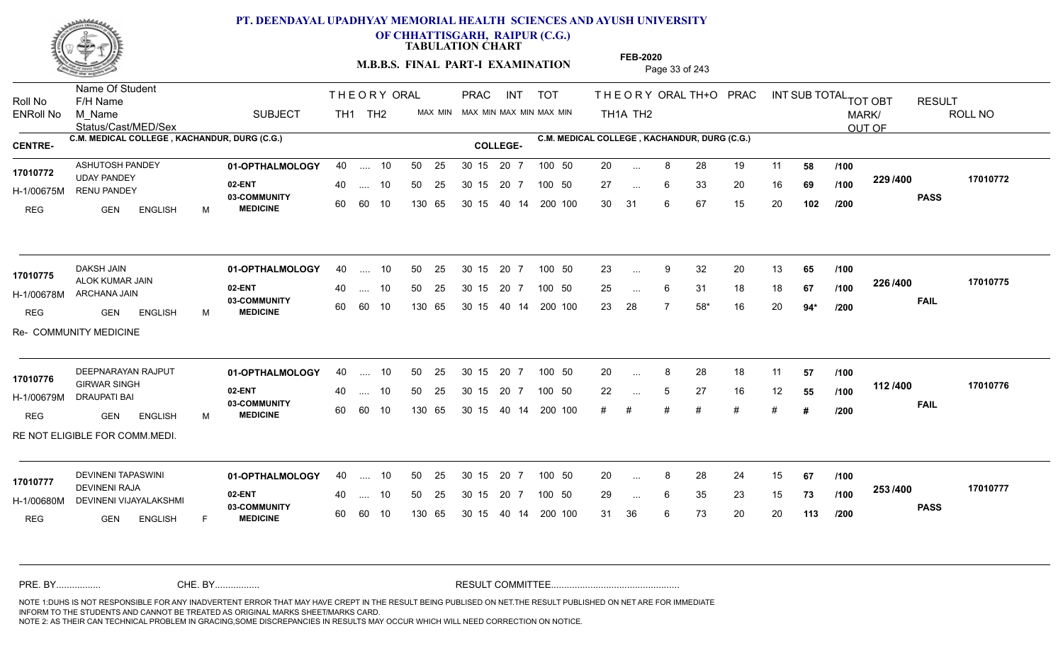

**OF CHHATTISGARH, RAIPUR (C.G.)**

**TABULATION CHART** 

**M.B.B.S. FINAL PART-I EXAMINATION** Page 33 of 243

Status/Cast/MED/Sex Name Of Student Roll No F/H Name M\_Name SUBJECT TH1 TH2 <sup>MAX\_MIN</sup> N PRAC INT TOT THEORY ORAL TH+O PRAC INT TH<sub>1</sub>A TH<sub>2</sub> ORAL TH+ODPRACD INT SUB TOTAL <sub>TOT OBT</sub> RESULT ROLL NO MARK/ OUT OF ENRoll No M Name  $\,$  SUBJECT TH1 TH2 MAX MIN MAX MIN MAX MIN MAX MIN TH1A TH2 **C.M. MEDICAL COLLEGE , KACHANDUR, DURG (C.G.) C.M. MEDICAL COLLEGE , KACHANDUR, DURG (C.G.) CENTRE- COLLEGE-**THE ORY ORAL PRAC INT PRAC ASHUTOSH PANDEY **01-OPTHALMOLOGY** 40 .... 10 50 25 30 15 20 7 100 50 20 **02-ENT** 03-COMMUNITY 60  **MEDICINE** H-1/00675M RENU PANDEY UDAY PANDEY **17010772** REG GEN ENGLISH M 20 8 28 19 11 **58** 27 ... 6 33 20 16 **69 /100 <sup>223</sup> 1** 30 31 6 67 15 20 **102 229 PASS /400 17010772** .... 10 50 25 60 60 10 50 25 30 15 130 65 30 15 40 14 200 100 20 7 100 50 50 25 30 15 20 7 100 50 20 ... ... ... 6 **/100 /100 /200** 01**-OPTHALMOLOGY** 40 .... 10 50 25 30 15 20 7 100 50 23 **02-ENT** 03-COMMUNITY 60 **MEDICINE** 60 60 10 H-1/00678M ARCHANA JAIN 17010775 ALOK KUMAR JAIN REG GEN ENGLISH M 23 ... 9 32 20 13 **65 /100** 25 ... 6 31 18 18 **67 /100 <sup>2207–00</sup>** 23 28 7 58\* 16 20 **94\* 226 FAIL 17010775 /400** Re- COMMUNITY MEDICINE 40 .... 10 50 25 130 65 130 65 30 15 40 14 200 100 30 15 20 7 100 50 50 25 30 15 20 7 100 50 23 ... 9 ...  $\overline{\phantom{a}}$ . 6 **/100 /100 /200 01-OPTHALMOLOGY** DEEPNARAYAN RAJPUT 40 .... 10 30 15 20 7 **02-ENT** 03-COMMUNITY 60  **MEDICINE** H-1/00679M DRAUPATI BAI GIRWAR SINGH **17010776** REG GEN ENGLISH M 20 8 28 18 11 **57** 22 ... 5 27 16 12 **55 /100 ''<sup>4</sup> /<del>1</del>** # # # # # # **# 112 /100 FAIL 17010776 /400** RE NOT ELIGIBLE FOR COMM.MEDI. .... 10 50 25 30 15 60 60 10 20 7 130 65 30 15 30 15 20 7 100 50 40 14 200 100 50 25 30 15 20 7 100 50 20 ... 8 ... ... **/100 /200** 01**-Opthalmology** 40 .... 10 50 25 30 15 20 7 100 50 20 15 20 7 100 50 20 **02-ENT** 03-COMMUNITY 60 **MEDICINE** 60 60 10 H-1/00680M DEVINENI VIJAYALAKSHMI DEVINENI RAJA **17010777** REG **GEN ENGLISH** F 20 8 28 24 15 **67** 29 ... 6 35 23 15 **73 /100 <sup>2007</sup> 700** 31 36 6 73 20 20 **113 253 PASS /400 17010777** 40 .... 10 50 25 130 65 130 65 30 15 30 15 20 7 100 50 40 14 200 100 50 25 30 15 20 7 100 50 20 ... 8 ... ... 6 **/100 /100 /200** NOTE 1:DUHS IS NOT RESPONSIBLE FOR ANY INADVERTENT ERROR THAT MAY HAVE CREPT IN THE RESULT BEING PUBLISED ON NET.THE RESULT PUBLISHED ON NET ARE FOR IMMEDIATE INFORM TO THE STUDENTS AND CANNOT BE TREATED AS ORIGINAL MARKS SHEET/MARKS CARD. CHE. BY WAREL BY WARE AND THE AVEC THE AVEC THE THE RESULT COMMITTEE AND MULTIME MOTE 1:DUHS IS NOT RESPONSIBLE FOR ANY INADVERTENT ERROR THAT MAY HAVE CREPT IN THE RESULT BEING PUBLISED ON NET.THE RESULT PUBLISHED ON NET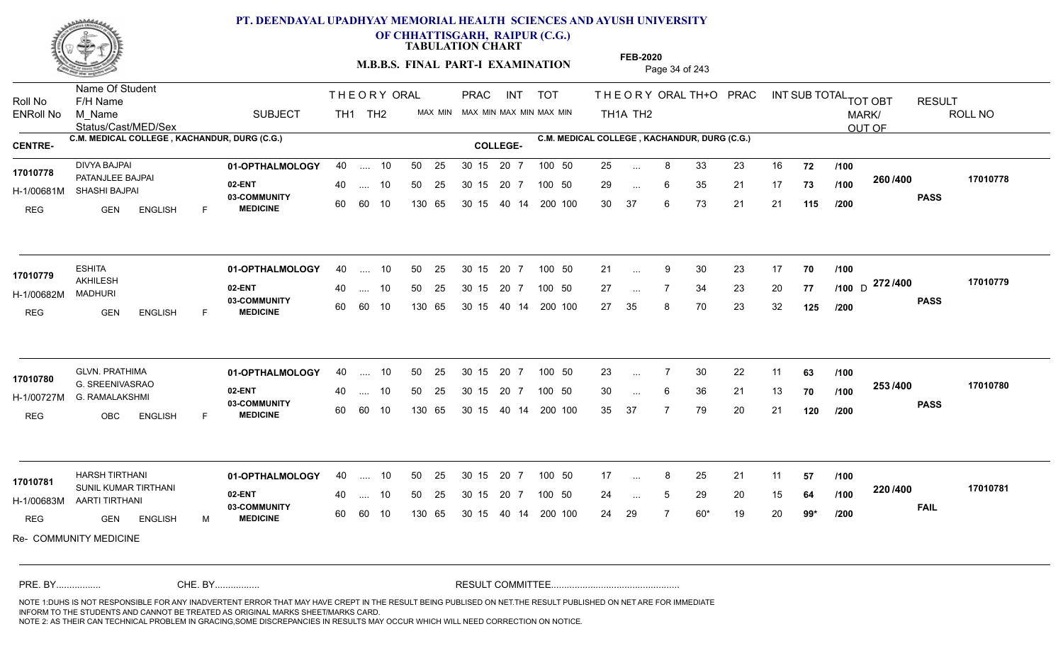

**OF CHHATTISGARH, RAIPUR (C.G.)**

**TABULATION CHART** 

**M.B.B.S. FINAL PART-I EXAMINATION** Page 34 of 243

Status/Cast/MED/Sex Name Of Student Roll No F/H Name M\_Name SUBJECT TH1 TH2 <sup>MAX\_MIN</sup> N PRAC INT TOT THEORY ORAL TH+O PRAC INT TH<sub>1</sub>A TH<sub>2</sub> ORAL TH+ODPRACD INT SUB TOTAL <sub>TOT OBT</sub> RESULT ROLL NO MARK/ OUT OF ENRoll No M Name  $\,$  SUBJECT TH1 TH2 MAX MIN MAX MIN MAX MIN MAX MIN TH1A TH2 **C.M. MEDICAL COLLEGE , KACHANDUR, DURG (C.G.) C.M. MEDICAL COLLEGE , KACHANDUR, DURG (C.G.) CENTRE- COLLEGE-**THE ORY ORAL PRAC INT PRAC **01-OPTHALMOLOGY** DIVYA BAJPAI 40 .... 10 30 15 20 7 **02-ENT** 03-COMMUNITY 60  **MEDICINE** H-1/00681M SHASHI BAJPAI PATANJLEE BAJPAI **17010778** REG GEN ENGLISH F 25 8 33 23 16 **72** 29 ... 6 35 21 17 **73 /100 <sup>2007–00</sup>** 30 37 6 73 21 21 **115 260 PASS /400 17010778** .... 10 50 25 60 60 10 50 25 30 15 130 65 30 15 40 14 200 100 20 7 100 50 50 25 30 15 20 7 100 50 25 ... ... ... 6 **/100 /100 /200 01-OPTHALMOLOGY** ESHITA 40 .... 10 30 15 20 7 **02-ENT** 03-COMMUNITY 60  **MEDICINE** H-1/00682M AKHILESH MADHURI REG GEN ENGLISH F 21 ... 9 30 23 17 **70 /100** 27 ... 7 34 23 20 **77 /100** D <del>11 11 100</del> 27 35 8 70 23 32 **125 272** D **PASS /400 17010779**  $\ldots$  10 50 25 30 15 60 60 10 20 7 130 65 30 15 40 14 200 100 30 15 20 7 100 50 50 25 30 15 20 7 100 50 21 ... 9 ESHITA<br>17010779 ... 9 ... **/100 /100 /200 01-OPTHALMOLOGY** GLVN. PRATHIMA 40 .... 10 30 15 20 7 **02-ENT** 03-COMMUNITY 60  **MEDICINE** H-1/00727M G. RAMALAKSHMI G. SREENIVASRAO **17010780** REG OBC ENGLISH F 23 7 30 22 11 **63** 30 ... 6 36 21 13 **70 /100 <sup>2337466</sup>** 35 37 7 79 20 21 **120 253 PASS /400 17010780** .... 10 50 25 30 15 60 60 10 20 7 130 65 30 15 30 15 20 7 100 50 40 14 200 100 50 25 30 15 20 7 100 50 23 ... 7 ... ... 6 **/100 /100 /200 01-OPTHALMOLOGY** HARSH TIRTHANI 40 .... 10 30 15 20 7 **02-ENT** 03-COMMUNITY 60 MEDICINE 60 60 10 H-1/00683M AARTI TIRTHANI SUNIL KUMAR TIRTHANI **17010781** REG GEN ENGLISH M 17 ... 8 25 21 11 **57 /100** 24 ... 5 29 20 15 **64 /100 <sup>220</sup> 1** 24 29 7 60\* 19 20 **99\* 220 FAIL 17010781 /400** Re- COMMUNITY MEDICINE .... 10 50 25 130 65 30 15 20 7 130 65 30 15 30 15 20 7 100 50 40 14 200 100 50 25 30 15 20 7 100 50 17 ... 8 ... ... **/100 /100 /200** NOTE 1:DUHS IS NOT RESPONSIBLE FOR ANY INADVERTENT ERROR THAT MAY HAVE CREPT IN THE RESULT BEING PUBLISED ON NET.THE RESULT PUBLISHED ON NET ARE FOR IMMEDIATE INFORM TO THE STUDENTS AND CANNOT BE TREATED AS ORIGINAL MARKS SHEET/MARKS CARD. CHE. BY WAREL BY WARE AND THE AVEC THE AVEC THE THE RESULT COMMITTEE AND MULTIME MOTE 1:DUHS IS NOT RESPONSIBLE FOR ANY INADVERTENT ERROR THAT MAY HAVE CREPT IN THE RESULT BEING PUBLISED ON NET.THE RESULT PUBLISHED ON NET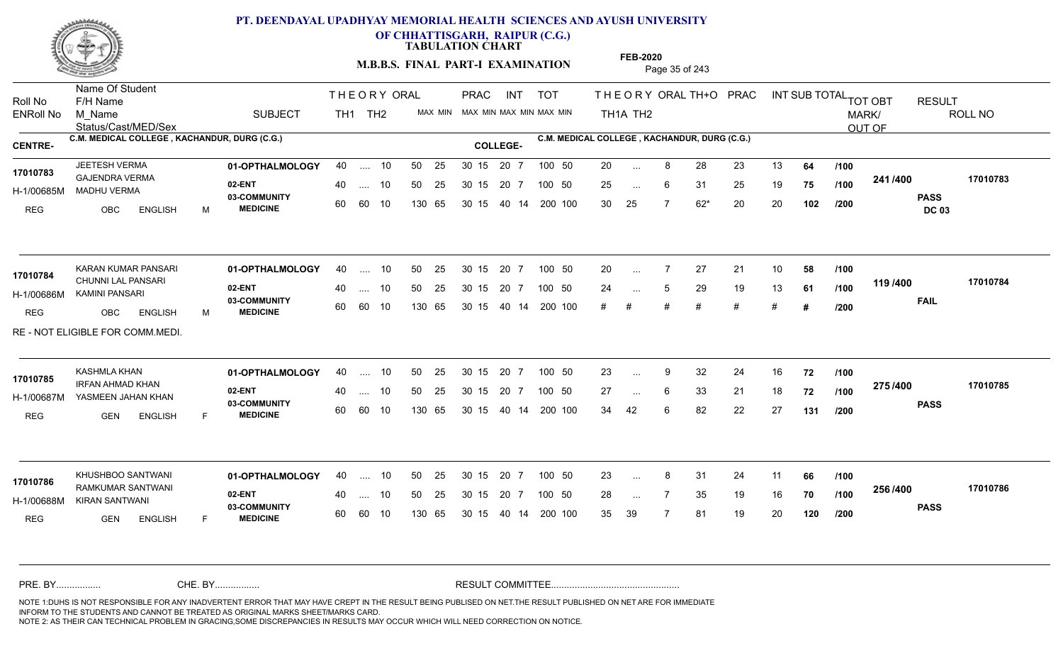

**OF CHHATTISGARH, RAIPUR (C.G.)**

**TABULATION CHART** 

**M.B.B.S. FINAL PART-I EXAMINATION** Page 35 of 243

Status/Cast/MED/Sex Name Of Student Roll No F/H Name M\_Name SUBJECT TH1 TH2 <sup>MAX\_MIN</sup> N PRAC INT TOT THEORY ORAL TH+O PRAC INT TH<sub>1</sub>A TH<sub>2</sub> ORAL TH+ODPRACD INT SUB TOTAL <sub>TOT OBT</sub> RESULT ROLL NO MARK/ OUT OF ENRoll No M Name  $\,$  SUBJECT TH1 TH2 MAX MIN MAX MIN MAX MIN MAX MIN TH1A TH2 **C.M. MEDICAL COLLEGE , KACHANDUR, DURG (C.G.) C.M. MEDICAL COLLEGE , KACHANDUR, DURG (C.G.) CENTRE- COLLEGE-**THE ORY ORAL PRAC INT PRAC **01-OPTHALMOLOGY** JEETESH VERMA 40 .... 10 30 15 20 7 **02-ENT** 03-COMMUNITY 60  **MEDICINE** H-1/00685M MADHU VERMA GAJENDRA VERMA **17010783** REG OBC ENGLISH M 20 ... 8 28 23 13 **64 /100** 25 ... 6 31 25 19 **75 /100 <sup>2411/400</sup>** 30 25 7 62\* 20 20 **102 241 PASS DC 03 /400 17010783** 40 .... 10 50 25 30 15 60 60 10 130 65 30 15 20 7 100 50 40 14 200 100 50 25 30 15 20 7 100 50 20 ... ... ... 6 **/100 /100 /200** KARAN KUMAR PANSARI **01-OPTHALMOLOGY** 40 .... 10 50 25 30 15 20 7 100 50 20 **02-ENT** 03-COMMUNITY 60 **MEDICINE** 60 60 10 H-1/00686M KAMINI PANSARI CHUNNI LAL PANSARI **17010784** REG OBC ENGLISH M 20 7 27 21 10 **58** 24 5 29 19 13 **61** # # # # # # **# 119 FAIL 17010784 /400** RE - NOT ELIGIBLE FOR COMM.MEDI. 40 .... 10 50 25 130 65 130 65 30 15 40 14 200 100 # # # # 30 15 20 7 100 50 50 25 30 15 20 7 100 50 20 ... ... ... 5 **/100 /100 /200 01-OPTHALMOLOGY** KASHMLA KHAN 40 .... 10 30 15 20 7 **02-ENT** 03-COMMUNITY 60  **MEDICINE** H-1/00687M YASMEEN JAHAN KHAN IRFAN AHMAD KHAN **17010785** REG GEN ENGLISH F 23 9 32 24 16 **72** 27 6 33 21 18 **72** 34 42 6 82 22 27 **131 275 PASS /400 17010785** .... 10 50 25 30 15 60 60 10 20 7 130 65 30 15 30 15 20 7 100 50 40 14 200 100 50 25 30 15 20 7 100 50 23 ... 9 ... ... **/100 /100 /200** KHUSHBOO SANTWANI **01-OPTHALMOLOGY** 40 .... 10 50 25 30 15 20 7 100 50 23 **02-ENT** 03-COMMUNITY 60 **MEDICINE** 60 60 10 H-1/00688M KIRAN SANTWANI RAMKUMAR SANTWANI **17010786** REG **GEN ENGLISH** F 23 ... 8 31 24 11 **66 /100** 28 ... 7 35 19 16 **70 /100 <sup>2007–00</sup>** 35 39 7 81 19 20 **120 256 PASS /400 17010786** 40 .... 10 50 25 130 65 130 65 30 15 30 15 20 7 100 50 40 14 200 100 50 25 30 15 20 7 100 50 23 ... 8 ... ... **/100 /100 /200** NOTE 1:DUHS IS NOT RESPONSIBLE FOR ANY INADVERTENT ERROR THAT MAY HAVE CREPT IN THE RESULT BEING PUBLISED ON NET.THE RESULT PUBLISHED ON NET ARE FOR IMMEDIATE INFORM TO THE STUDENTS AND CANNOT BE TREATED AS ORIGINAL MARKS SHEET/MARKS CARD. CHE. BY WAREL BY WARE AND THE AVEC THE AVEC THE THE RESULT COMMITTEE AND MULTIME MOTE 1:DUHS IS NOT RESPONSIBLE FOR ANY INADVERTENT ERROR THAT MAY HAVE CREPT IN THE RESULT BEING PUBLISED ON NET.THE RESULT PUBLISHED ON NET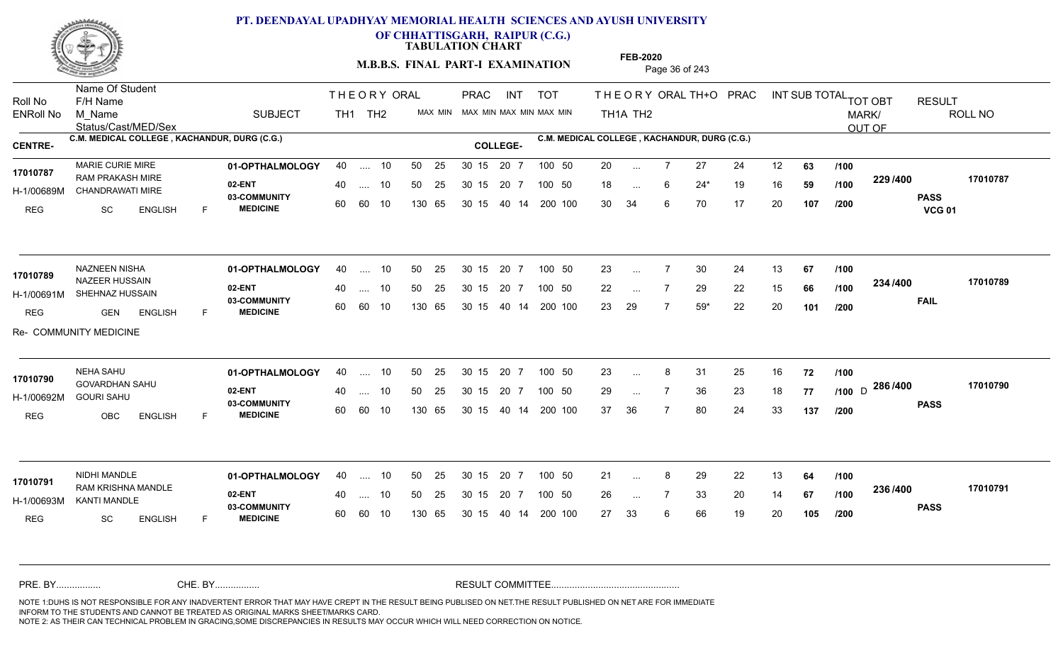

**OF CHHATTISGARH, RAIPUR (C.G.)**

**TABULATION CHART** 

**M.B.B.S. FINAL PART-I EXAMINATION** Page 36 of 243

Status/Cast/MED/Sex Name Of Student Roll No F/H Name M\_Name SUBJECT TH1 TH2 <sup>MAX\_MIN</sup> N PRAC INT TOT THEORY ORAL TH+O PRAC INT TH<sub>1</sub>A TH<sub>2</sub> ORAL TH+ODPRACD INT SUB TOTAL <sub>TOT OBT</sub> RESULT ROLL NO MARK/ OUT OF ENRoll No M Name  $\,$  SUBJECT TH1 TH2 MAX MIN MAX MIN MAX MIN MAX MIN TH1A TH2 **C.M. MEDICAL COLLEGE , KACHANDUR, DURG (C.G.) C.M. MEDICAL COLLEGE , KACHANDUR, DURG (C.G.) CENTRE- COLLEGE-**THE ORY ORAL PRAC INT PRAC **01-OPTHALMOLOGY** MARIE CURIE MIRE 40 .... 10 30 15 20 7 **02-ENT** 03-COMMUNITY 60  **MEDICINE** H-1/00689M CHANDRAWATI MIRE 22 PM 17010787 RAM PRAKASH MIRE REG SC ENGLISH F 20 7 27 24 12 **63** 18 ... 6 24\* 19 16 **59 /100 <sup>223</sup>/+00** 30 34 6 70 17 20 **107 229 PASS VCG 01 /400 17010787** .... 10 50 25 60 60 10 50 25 30 15 130 65 30 15 40 14 200 100 20 7 100 50 50 25 30 15 20 7 100 50 20 ... ... ... 6 **/100 /100 /200 01-OPTHALMOLOGY** NAZNEEN NISHA 40 .... 10 30 15 20 7 **02-ENT** 03-COMMUNITY 60  **MEDICINE** H-1/00691M SHEHNAZ HUSSAIN **1999 - 1999 ACLIE** NAZEER HUSSAIN **17010789** REG GEN ENGLISH F 23 ... 7 30 24 13 **67 /100** 22 ... 7 29 22 15 **66 /100 <sup>2047</sup> 1** 23 29 7 59\* 22 20 **101 234 FAIL 17010789 /400** Re- COMMUNITY MEDICINE .... 10 50 25 60 60 10 30 15 20 7 130 65 30 15 40 14 200 100 30 15 20 7 100 50 50 25 30 15 20 7 100 50 23 ... ... ... **/100 /100 /200 01-OPTHALMOLOGY** NEHA SAHU 40 .... 10 30 15 20 7 **02-ENT** 03-COMMUNITY 60  **MEDICINE** H-1/00692M GOURI SAHU GOVARDHAN SAHU **17010790** REG OBC ENGLISH F 23 8 31 25 16 **72** 29 ... 7 36 23 18 **77 /100** D <sup>2007–00</sup> 37 36 7 80 24 33 **137 286** D **PASS /400 17010790** .... 10 50 25 30 15 60 60 10 20 7 130 65 30 15 30 15 20 7 100 50 40 14 200 100 50 25 30 15 20 7 100 50 23 ... 8 ... ... **/100 /100 /200 NIDHI MANDLE <b>01-OPTHALMOLOGY** 40 .... 10 50 25 30 15 20 7 100 50 21 **02-ENT** 03-COMMUNITY 60 **MEDICINE** 60 60 10 H-1/00693M KANTI MANDLE 17010791 RAM KRISHNA MANDLE REG SC ENGLISH F 21 ... 8 29 22 13 **64 /100** 26 7 33 20 14 **67** 27 33 6 66 19 20 **105 236 PASS /400 17010791** .... 10 50 25 130 65 30 15 20 7 130 65 30 15 30 15 20 7 100 50 40 14 200 100 50 25 30 15 20 7 100 50 21 ... 8 ... ... **/100 /100 /200** NOTE 1:DUHS IS NOT RESPONSIBLE FOR ANY INADVERTENT ERROR THAT MAY HAVE CREPT IN THE RESULT BEING PUBLISED ON NET.THE RESULT PUBLISHED ON NET ARE FOR IMMEDIATE INFORM TO THE STUDENTS AND CANNOT BE TREATED AS ORIGINAL MARKS SHEET/MARKS CARD. CHE. BY WAREL BY WARE AND THE AVEC THE AVEC THE THE RESULT COMMITTEE AND MULTIME MOTE 1:DUHS IS NOT RESPONSIBLE FOR ANY INADVERTENT ERROR THAT MAY HAVE CREPT IN THE RESULT BEING PUBLISED ON NET.THE RESULT PUBLISHED ON NET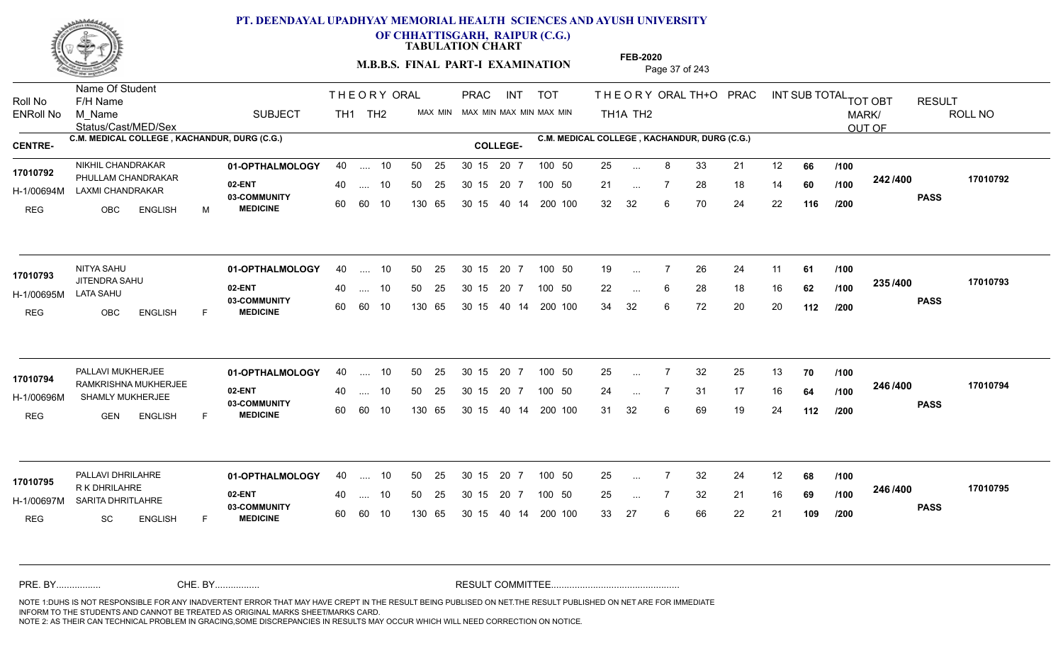

**OF CHHATTISGARH, RAIPUR (C.G.)**

**TABULATION CHART** 

**M.B.B.S. FINAL PART-I EXAMINATION** Page 37 of 243

Status/Cast/MED/Sex Name Of Student Roll No F/H Name M\_Name SUBJECT TH1 TH2 <sup>MAX\_MIN</sup> N PRAC INT TOT THEORY ORAL TH+O PRAC INT TH<sub>1</sub>A TH<sub>2</sub> ORAL TH+ODPRACD INT SUB TOTAL <sub>TOT OBT</sub> RESULT ROLL NO MARK/ OUT OF ENRoll No M Name  $\,$  SUBJECT TH1 TH2 MAX MIN MAX MIN MAX MIN MAX MIN TH1A TH2 **C.M. MEDICAL COLLEGE , KACHANDUR, DURG (C.G.) C.M. MEDICAL COLLEGE , KACHANDUR, DURG (C.G.) CENTRE- COLLEGE-**THE ORY ORAL PRAC INT PRAC **01-OPTHALMOLOGY** NIKHIL CHANDRAKAR 40 .... 10 30 15 20 7 **02-ENT** 03-COMMUNITY 60  **MEDICINE** H-1/00694M LAXMI CHANDRAKAR 17010792 PHULLAM CHANDRAKAR REG OBC ENGLISH M 25 ... 8 33 21 12 **66 /100** 21 ... 7 28 18 14 **60 /100 <sup>242 /400</sup>** 32 32 6 70 24 22 **116 242 PASS /400 17010792** .... 10 50 25 60 60 10 50 25 30 15 130 65 30 15 40 14 200 100 20 7 100 50 50 25 30 15 20 7 100 50 25 ... ... ... **/100 /100 /200 01-OPTHALMOLOGY** NITYA SAHU 40 .... 10 30 15 20 7 **02-ENT** 03-COMMUNITY 60  **MEDICINE** H-1/00695M JITENDRA SAHU **17010793** LATA SAHU REG OBC ENGLISH F 19 ... 7 26 24 11 **61 /100** 22 ... 6 28 18 16 **62 /100 <sup>2007</sup> 1** 34 32 6 72 20 20 **112 235 PASS /400 17010793** .... 10 50 25 60 60 10 30 15 20 7 130 65 30 15 40 14 200 100 30 15 20 7 100 50 50 25 30 15 20 7 100 50 19 ... ... ... **/100 /100 /200 01-OPTHALMOLOGY** PALLAVI MUKHERJEE 40 .... 10 30 15 20 7 **02-ENT** 03-COMMUNITY 60  **MEDICINE** H-1/00696M SHAMLY MUKHERJEE **1998 COMMUN** RAMKRISHNA MUKHERJEE **17010794** REG GEN ENGLISH F 25 7 32 25 13 **70** 24 ... 7 31 17 16 **64 /100 <sup>246</sup>/\*<sup>00</sup>** 31 32 6 69 19 24 **112 246 PASS /400 17010794** .... 10 50 25 30 15 60 60 10 20 7 130 65 30 15 30 15 20 7 100 50 40 14 200 100 50 25 30 15 20 7 100 50 25 ... 7 ... ... **/100 /100 /200 01-OPTHALMOLOGY** PALLAVI DHRILAHRE 40 .... 10 30 15 20 7 **02-ENT** 03-COMMUNITY 60 **MEDICINE** 60 60 10 H-1/00697M SARITA DHRITLAHRE R K DHRILAHRE **17010795** REG SC ENGLISH F 25 7 32 24 12 **68** 25 7 32 21 16 **69** 33 27 6 66 22 21 **109 246 PASS /400 17010795** 40 .... 10 50 25 130 65 130 65 30 15 30 15 20 7 100 50 40 14 200 100 50 25 30 15 20 7 100 50 25 ... ... ... **/100 /100 /200** NOTE 1:DUHS IS NOT RESPONSIBLE FOR ANY INADVERTENT ERROR THAT MAY HAVE CREPT IN THE RESULT BEING PUBLISED ON NET.THE RESULT PUBLISHED ON NET ARE FOR IMMEDIATE INFORM TO THE STUDENTS AND CANNOT BE TREATED AS ORIGINAL MARKS SHEET/MARKS CARD. CHE. BY WAREL BY WARE AND THE AVEC THE AVEC THE THE RESULT COMMITTEE AND MULTIME MOTE 1:DUHS IS NOT RESPONSIBLE FOR ANY INADVERTENT ERROR THAT MAY HAVE CREPT IN THE RESULT BEING PUBLISED ON NET.THE RESULT PUBLISHED ON NET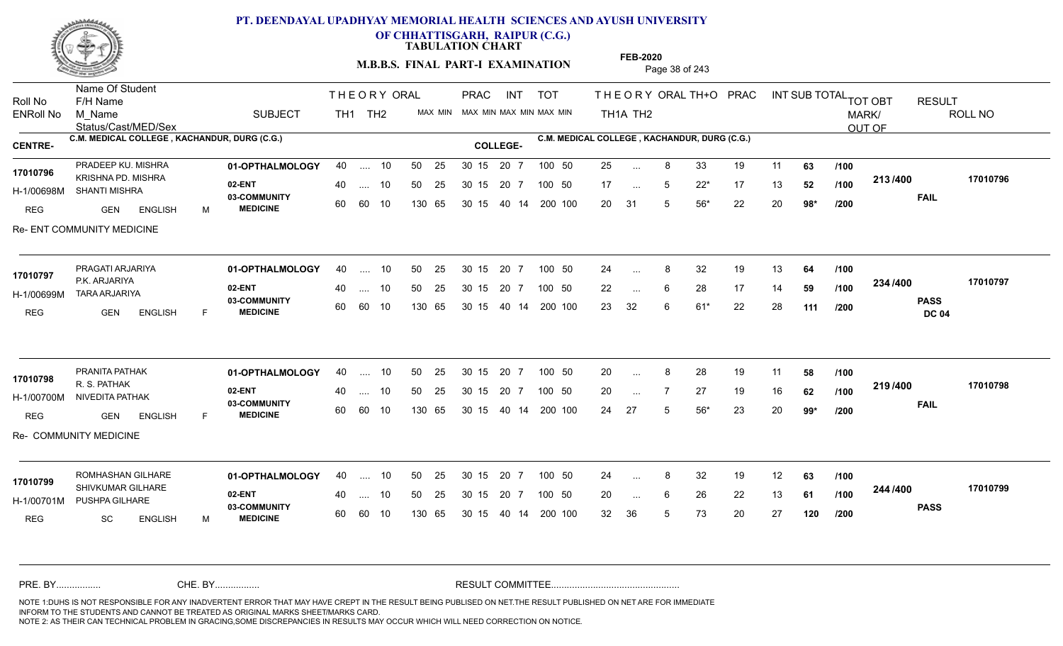

**OF CHHATTISGARH, RAIPUR (C.G.)**

**TABULATION CHART** 

**M.B.B.S. FINAL PART-I EXAMINATION** Page 38 of 243

Status/Cast/MED/Sex Name Of Student Roll No F/H Name M\_Name SUBJECT TH1 TH2 <sup>MAX\_MIN</sup> N PRAC INT TOT THEORY ORAL TH+O PRAC INT TH<sub>1</sub>A TH<sub>2</sub> ORAL TH+ODPRACD INT SUB TOTAL <sub>TOT OBT</sub> RESULT ROLL NO MARK/ OUT OF ENRoll No M Name  $\,$  SUBJECT TH1 TH2 MAX MIN MAX MIN MAX MIN MAX MIN TH1A TH2 **C.M. MEDICAL COLLEGE , KACHANDUR, DURG (C.G.) C.M. MEDICAL COLLEGE , KACHANDUR, DURG (C.G.) CENTRE- COLLEGE-**THE ORY ORAL PRAC INT PRAC **01-OPTHALMOLOGY** PRADEEP KU. MISHRA 40 .... 10 30 15 20 7 **02-ENT** 03-COMMUNITY 60  **MEDICINE** H-1/00698M SHANTI MISHRA KRISHNA PD. MISHRA **17010796** REG GEN ENGLISH M 25 ... 8 33 19 11 **63 /100** 17 ... 5 22<sup>\*</sup> 17 13 **52** /**100 <sup>213/400</sup>** 20 31 5 56\* 22 20 **98\* 213 FAIL 17010796 /400** Re- ENT COMMUNITY MEDICINE 40 .... 10 50 25 30 15 60 60 10 130 65 30 15 20 7 100 50 40 14 200 100 50 25 30 15 20 7 100 50 25 ... ... ... 5 **/100 /100 /200 01-OPTHALMOLOGY** PRAGATI ARJARIYA 40 .... 10 30 15 20 7 **02-ENT** 03-COMMUNITY 60 **MEDICINE** 60 60 10 H-1/00699M TARA ARJARIYA 17010797 P.K. ARJARIYA REG GEN ENGLISH F 24 ... 8 32 19 13 **64 /100** 22 ... 6 28 17 14 **59 /100 <sup>2047</sup> 14** 23 32 6 61\* 22 28 **111 234 PASS DC 04 /400 17010797** 40 .... 10 50 25 130 65 130 65 30 15 40 14 200 100 30 15 20 7 100 50 50 25 30 15 20 7 100 50 24 ... 8 ... ... **/100 /100 /200 01-OPTHALMOLOGY** PRANITA PATHAK 40 .... 10 30 15 20 7 **02-ENT** 03-COMMUNITY 60  **MEDICINE** H-1/00700M NIVEDITA PATHAK 22 AM R. S. PATHAK REG GEN ENGLISH F 20 8 28 19 11 **58** 20 7 27 19 16 **62** 24 27 5 56\* 23 20 **99\* 219 FAIL 17010798 /400** Re- COMMUNITY MEDICINE .... 10 50 25 30 15 60 60 10 20 7 130 65 30 15 30 15 20 7 100 50 40 14 200 100 50 25 30 15 20 7 100 50 20 ... 8 **17010798** PRANITA PATHAK ... ... **/100 /100 /200** ROMHASHAN GILHARE **01-OPTHALMOLOGY** 40 .... 10 50 25 30 15 20 7 100 50 24 **02-ENT** 03-COMMUNITY 60 **MEDICINE** 60 60 10 H-1/00701M PUSHPA GILHARE **1999 PASSES** 17010799 SHIVKUMAR GILHARE **17010799** REG SC ENGLISH M 24 ... 8 32 19 12 **63 /100** 20 ... 6 26 22 13 **61 /100 <sup>244 /400</sup>** 32 36 5 73 20 27 **120 244 PASS /400 17010799** 40 .... 10 50 25 130 65 130 65 30 15 30 15 20 7 100 50 40 14 200 100 50 25 30 15 20 7 100 50 24 ... 8 ... ... 6 **/100 /100 /200** NOTE 1:DUHS IS NOT RESPONSIBLE FOR ANY INADVERTENT ERROR THAT MAY HAVE CREPT IN THE RESULT BEING PUBLISED ON NET.THE RESULT PUBLISHED ON NET ARE FOR IMMEDIATE INFORM TO THE STUDENTS AND CANNOT BE TREATED AS ORIGINAL MARKS SHEET/MARKS CARD. CHE. BY WAREL BY WARE AND THE AVEC THE AVEC THE THE RESULT COMMITTEE AND MULTIME MOTE 1:DUHS IS NOT RESPONSIBLE FOR ANY INADVERTENT ERROR THAT MAY HAVE CREPT IN THE RESULT BEING PUBLISED ON NET.THE RESULT PUBLISHED ON NET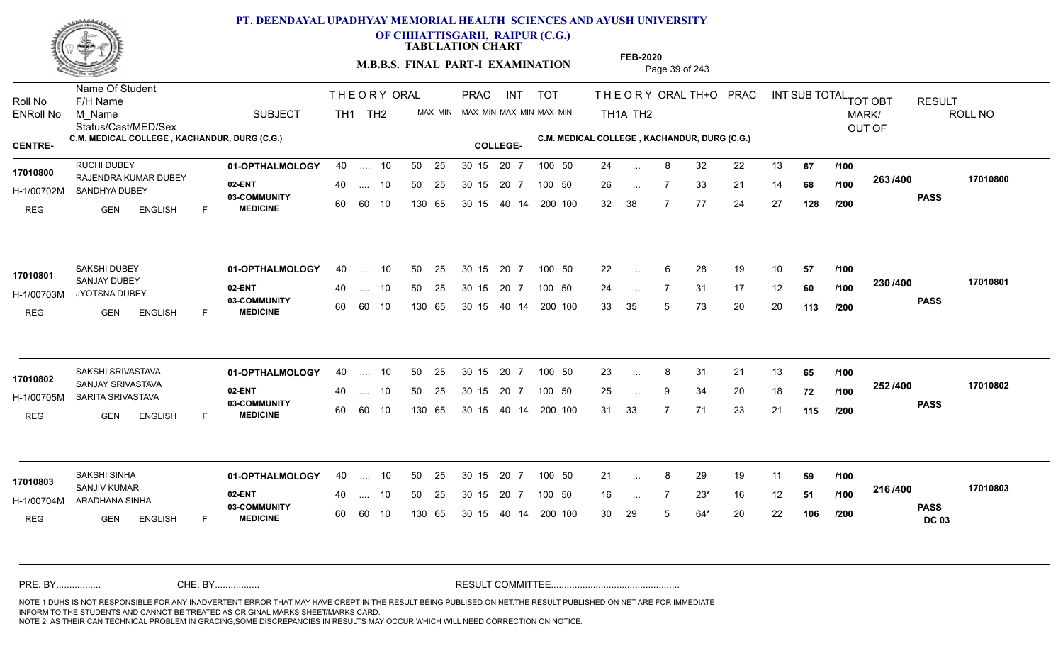

**OF CHHATTISGARH, RAIPUR (C.G.)**

**TABULATION CHART** 

**M.B.B.S. FINAL PART-I EXAMINATION** Page 39 of 243

Status/Cast/MED/Sex Name Of Student Roll No F/H Name M\_Name SUBJECT TH1 TH2 <sup>MAX\_MIN</sup> N PRAC INT TOT THEORY ORAL TH+O PRAC INT TH<sub>1</sub>A TH<sub>2</sub> ORAL TH+ODPRACD INT SUB TOTAL <sub>TOT OBT</sub> RESULT ROLL NO MARK/ OUT OF ENRoll No M Name  $\,$  SUBJECT TH1 TH2 MAX MIN MAX MIN MAX MIN MAX MIN TH1A TH2 **C.M. MEDICAL COLLEGE , KACHANDUR, DURG (C.G.) C.M. MEDICAL COLLEGE , KACHANDUR, DURG (C.G.) CENTRE- COLLEGE-**THE ORY ORAL PRAC INT PRAC **01-OPTHALMOLOGY** RUCHI DUBEY 40 .... 10 30 15 20 7 **02-ENT** 03-COMMUNITY 60  **MEDICINE** H-1/00702M SANDHYA DUBEY RAJENDRA KUMAR DUBEY **17010800** REG GEN ENGLISH F 24 ... 8 32 22 13 **67 /100** 26 7 33 21 14 **68** 32 38 7 77 24 27 **128 263 PASS /400 17010800** 40 .... 10 50 25 30 15 60 60 10 130 65 30 15 20 7 100 50 40 14 200 100 50 25 30 15 20 7 100 50 24 ... ... ... **/100 /100 /200 01-OPTHALMOLOGY** SAKSHI DUBEY 40 .... 10 30 15 20 7 **02-ENT** 03-COMMUNITY 60 **MEDICINE** 60 60 10 H-1/00703M JYOTSNA DUBEY 17010801 **SANJAY DUBEY** REG GEN ENGLISH F 22 ... 6 28 19 10 **57 /100** 24 ... 7 31 17 12 **60 /100 <sup>2007</sup> 1** 33 35 5 73 20 20 **113 230 PASS /400 17010801** 40 .... 10 50 25 130 65 130 65 30 15 40 14 200 100 30 15 20 7 100 50 50 25 30 15 20 7 100 50 22 ... ... ... **/100 /100 /200 01-OPTHALMOLOGY** SAKSHI SRIVASTAVA 40 .... 10 30 15 20 7 **02-ENT** 03-COMMUNITY 60 **MEDICINE** 60 60 10 H-1/00705M SARITA SRIVASTAVA **17010802** SANJAY SRIVASTAVA REG GEN ENGLISH F 23 8 31 21 13 **65** 25 9 34 20 18 **72** 31 33 7 71 23 21 **115 252 PASS /400 17010802** .... 10 50 25 30 15 130 65 20 7 130 65 30 15 30 15 20 7 100 50 40 14 200 100 50 25 30 15 20 7 100 50 23 ... 8 ... ... 9 **/100 /100 /200 01-OPTHALMOLOGY** SAKSHI SINHA 40 .... 10 30 15 20 7 **02-ENT** 03-COMMUNITY 60 **MEDICINE** 60 60 10 H-1/00704M ARADHANA SINHA 17010803<br>
SANJIV KUMAR REG **GEN ENGLISH** F 21 ... 8 29 19 11 **59 /100** 16 7 23\* 16 12 **51** 30 29 5 64\* 20 22 **106 216 PASS DC 03 /400 17010803** 40 .... 10 50 25 130 65 130 65 30 15 30 15 20 7 100 50 40 14 200 100 50 25 30 15 20 7 100 50 21 ... 8 ... ... **/100 /100 /200** NOTE 1:DUHS IS NOT RESPONSIBLE FOR ANY INADVERTENT ERROR THAT MAY HAVE CREPT IN THE RESULT BEING PUBLISED ON NET.THE RESULT PUBLISHED ON NET ARE FOR IMMEDIATE INFORM TO THE STUDENTS AND CANNOT BE TREATED AS ORIGINAL MARKS SHEET/MARKS CARD. CHE. BY WAREL BY WARE AND THE AVEC THE AVEC THE THE RESULT COMMITTEE AND MULTIME MOTE 1:DUHS IS NOT RESPONSIBLE FOR ANY INADVERTENT ERROR THAT MAY HAVE CREPT IN THE RESULT BEING PUBLISED ON NET.THE RESULT PUBLISHED ON NET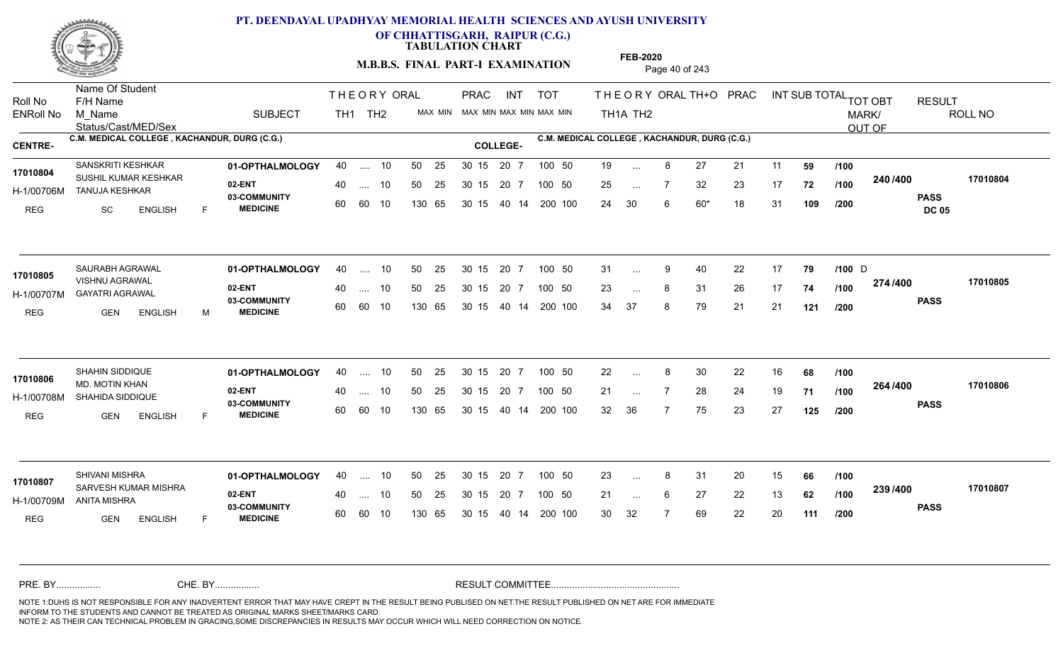

**OF CHHATTISGARH, RAIPUR (C.G.)**

**TABULATION CHART** 

**M.B.B.S. FINAL PART-I EXAMINATION** Page 40 of 243

Status/Cast/MED/Sex Name Of Student Roll No F/H Name M\_Name SUBJECT TH1 TH2 <sup>MAX\_MIN</sup> N PRAC INT TOT THEORY ORAL TH+O PRAC INT TH<sub>1</sub>A TH<sub>2</sub> ORAL TH+ODPRACD INT SUB TOTAL <sub>TOT OBT</sub> RESULT ROLL NO MARK/ OUT OF ENRoll No M Name  $\,$  SUBJECT TH1 TH2 MAX MIN MAX MIN MAX MIN MAX MIN TH1A TH2 **C.M. MEDICAL COLLEGE , KACHANDUR, DURG (C.G.) C.M. MEDICAL COLLEGE , KACHANDUR, DURG (C.G.) CENTRE- COLLEGE-**THE ORY ORAL PRAC INT PRAC **01-OPTHALMOLOGY** SANSKRITI KESHKAR 40 .... 10 30 15 20 7 **02-ENT** 03-COMMUNITY 60  **MEDICINE** H-1/00706M TANUJA KESHKAR 17010804 SUSHIL KUMAR KESHKAR<br>
SUSHIL KUMAR KESHKAR REG SC ENGLISH F 19 ... 8 27 21 11 **59 /100** 25 ... 7 32 23 17 **72 /100 <sup>2467466</sup>** 24 30 6 60\* 18 31 **109 240 PASS DC 05 /400 17010804** .... 10 50 25 60 60 10 50 25 30 15 130 65 30 15 20 7 100 50 40 14 200 100 50 25 30 15 20 7 100 50 19 ... ... ... **/100 /100 /200 01-OPTHALMOLOGY** SAURABH AGRAWAL 40 .... 10 30 15 20 7 **02-ENT** 03-COMMUNITY 60  **MEDICINE** H-1/00707M GAYATRI AGRAWAL VISHNU AGRAWAL **17010805** REG GEN ENGLISH M 31 9 40 22 17 **79 /100** 23 ... 8 31 26 17 **74 /100 <del>11 1</del> 1** 34 37 8 79 21 21 **121 274 PASS /400 17010805** 40 .... 10 50 25 60 60 10 130 65 30 15 40 14 200 100 30 15 20 7 100 50 50 25 30 15 20 7 100 50 31 ... 9 40 22 17 **79 /100** D ... 9 ... **/100 /200 01-OPTHALMOLOGY** SHAHIN SIDDIQUE 40 .... 10 30 15 20 7 **02-ENT** 03-COMMUNITY 60  **MEDICINE** H-1/00708M SHAHIDA SIDDIQUE **1999 - 1999 AGAIL 17010806** MD. MOTIN KHAN REG GEN ENGLISH F 22 8 30 22 16 **68** 21 ... 7 28 24 19 **71 /100 <sup>204 /400</sup>** 32 36 7 75 23 27 **125 264 PASS /400 17010806** .... 10 50 25 30 15 60 60 10 20 7 130 65 30 15 30 15 20 7 100 50 40 14 200 100 50 25 30 15 20 7 100 50 22 ... 8 ... ... **/100 /100 /200 01-OPTHALMOLOGY** SHIVANI MISHRA 40 .... 10 30 15 20 7 **02-ENT** 03-COMMUNITY 60 **MEDICINE** 60 60 10 H-1/00709M ANITA MISHRA SARVESH KUMAR MISHRA **17010807** REG GEN ENGLISH F 23 ... 8 31 20 15 **66** /**100** 21 ... 6 27 22 13 **62 /100 <sup>2007/400</sup>** 30 32 7 69 22 20 **111 239 PASS /400 17010807** 40 .... 10 50 25 130 65 130 65 30 15 30 15 20 7 100 50 40 14 200 100 50 25 30 15 20 7 100 50 23 ... 8 ... ... 6 **/100 /100 /200** NOTE 1:DUHS IS NOT RESPONSIBLE FOR ANY INADVERTENT ERROR THAT MAY HAVE CREPT IN THE RESULT BEING PUBLISED ON NET.THE RESULT PUBLISHED ON NET ARE FOR IMMEDIATE INFORM TO THE STUDENTS AND CANNOT BE TREATED AS ORIGINAL MARKS SHEET/MARKS CARD. CHE. BY WAREL BY WARE AND THE AVEC THE AVEC THE THE RESULT COMMITTEE AND MULTIME MOTE 1:DUHS IS NOT RESPONSIBLE FOR ANY INADVERTENT ERROR THAT MAY HAVE CREPT IN THE RESULT BEING PUBLISED ON NET.THE RESULT PUBLISHED ON NET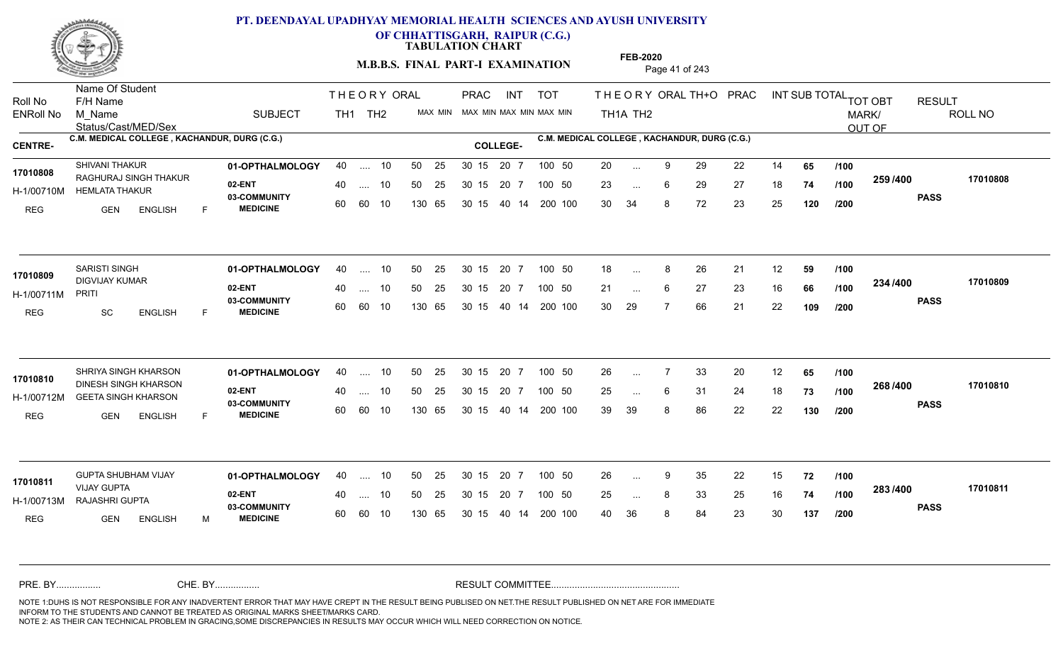

**OF CHHATTISGARH, RAIPUR (C.G.)**

**TABULATION CHART** 

**M.B.B.S. FINAL PART-I EXAMINATION** Page 41 of 243

Status/Cast/MED/Sex Name Of Student Roll No F/H Name M\_Name SUBJECT TH1 TH2 <sup>MAX\_MIN</sup> N PRAC INT TOT THEORY ORAL TH+O PRAC INT TH<sub>1</sub>A TH<sub>2</sub> ORAL TH+ODPRACD INT SUB TOTAL <sub>TOT OBT</sub> RESULT ROLL NO MARK/ OUT OF ENRoll No M Name  $\,$  SUBJECT TH1 TH2 MAX MIN MAX MIN MAX MIN MAX MIN TH1A TH2 **C.M. MEDICAL COLLEGE , KACHANDUR, DURG (C.G.) C.M. MEDICAL COLLEGE , KACHANDUR, DURG (C.G.) CENTRE- COLLEGE-**THE ORY ORAL PRAC INT PRAC **01-OPTHALMOLOGY** SHIVANI THAKUR 40 .... 10 30 15 20 7 **02-ENT** 03-COMMUNITY 60  **MEDICINE** H-1/00710M HEMLATA THAKUR 17010808 RAGHURAJ SINGH THAKUR REG GEN ENGLISH F 20 ... 9 29 22 14 **65 /100** 23 ... 6 29 27 18 **74 /100 <sup>2007</sup> 700** 30 34 8 72 23 25 **120 259 PASS /400 17010808** .... 10 50 25 60 60 10 50 25 30 15 130 65 30 15 20 7 100 50 40 14 200 100 50 25 30 15 20 7 100 50 20 ... ... ... 6 **/100 /100 /200 01-OPTHALMOLOGY** SARISTI SINGH 40 .... 10 30 15 20 7 **02-ENT** 03-COMMUNITY 60 **MEDICINE** 60 60 10 H-1/00711M 17010809 DIGVIJAY KUMAR PRITI REG SC ENGLISH F 18 ... 8 26 21 12 **59 /100** 21 ... 6 27 23 16 **66 /100 <sup>2047</sup> 1** 30 29 7 66 21 22 **109 234 PASS /400 17010809**  $\ldots$  10 50 25 30 15 130 65 20 7 130 65 30 15 40 14 200 100 30 15 20 7 100 50 50 25 30 15 20 7 100 50 18 ... 8 ...  $\overline{\phantom{a}}$ . 6 **/100 /100 /200** SHRIYA SINGH KHARSON **01-OPTHALMOLOGY** 40 .... 10 50 25 30 15 20 7 100 50 26 **02-ENT** 03-COMMUNITY 60  **MEDICINE** H-1/00712M GEETA SINGH KHARSON 17010810 **DINESH SINGH KHARSON** REG GEN ENGLISH F 26 7 33 20 12 **65** 25 ... 6 31 24 18 **73 /100 <sup>2007–00</sup>** 39 39 8 86 22 22 **130 268 PASS /400 17010810** .... 10 50 25 30 15 60 60 10 20 7 130 65 30 15 30 15 20 7 100 50 40 14 200 100 50 25 30 15 20 7 100 50 26 ... 7 ... ... 6 **/100 /100 /200** GUPTA SHUBHAM VIJAY **01-OPTHALMOLOGY** 40 .... 10 50 25 30 15 20 7 100 50 26 **02-ENT** 03-COMMUNITY 60 **MEDICINE** 60 60 10 H-1/00713M RAJASHRI GUPTA **1999 - 1999** VIJAY GUPTA REG GEN ENGLISH M 26 9 35 22 15 **72** 25 ... 8 33 25 16 **74 /100 <sup>2007</sup> 700** 40 36 8 84 23 30 **137 283 PASS /400 17010811** 40 .... 10 50 25 130 65 130 65 30 15 30 15 20 7 100 50 40 14 200 100 50 25 30 15 20 7 100 50 26 ... 9 **17010811 CUPTA SHUBHAM VIJAY** ... 9 ... **/100 /100 /200** NOTE 1:DUHS IS NOT RESPONSIBLE FOR ANY INADVERTENT ERROR THAT MAY HAVE CREPT IN THE RESULT BEING PUBLISED ON NET.THE RESULT PUBLISHED ON NET ARE FOR IMMEDIATE INFORM TO THE STUDENTS AND CANNOT BE TREATED AS ORIGINAL MARKS SHEET/MARKS CARD. CHE. BY WAREL BY WARE AND THE AVEC THE AVEC THE THE RESULT COMMITTEE AND MULTIME MOTE 1:DUHS IS NOT RESPONSIBLE FOR ANY INADVERTENT ERROR THAT MAY HAVE CREPT IN THE RESULT BEING PUBLISED ON NET.THE RESULT PUBLISHED ON NET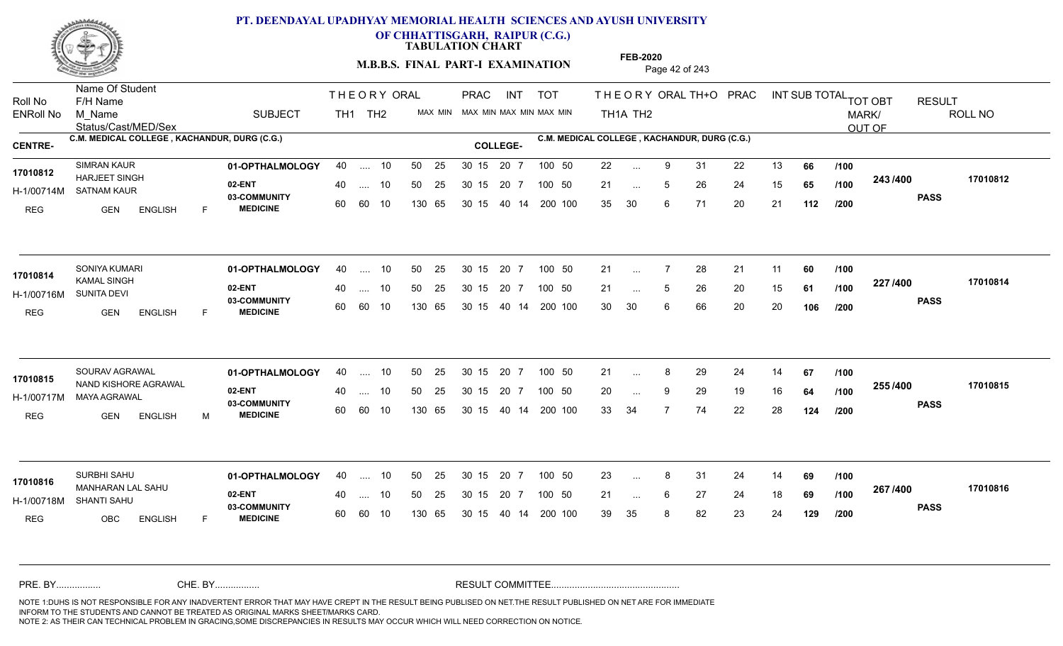

**OF CHHATTISGARH, RAIPUR (C.G.)**

**TABULATION CHART** 

**M.B.B.S. FINAL PART-I EXAMINATION** Page 42 of 243

Status/Cast/MED/Sex Name Of Student Roll No F/H Name M\_Name SUBJECT TH1 TH2 <sup>MAX\_MIN</sup> N PRAC INT TOT THEORY ORAL TH+O PRAC INT TH<sub>1</sub>A TH<sub>2</sub> ORAL TH+ODPRACD INT SUB TOTAL <sub>TOT OBT</sub> RESULT ROLL NO MARK/ OUT OF ENRoll No M Name  $\,$  SUBJECT TH1 TH2 MAX MIN MAX MIN MAX MIN MAX MIN TH1A TH2 **C.M. MEDICAL COLLEGE , KACHANDUR, DURG (C.G.) C.M. MEDICAL COLLEGE , KACHANDUR, DURG (C.G.) CENTRE- COLLEGE-**THE ORY ORAL PRAC INT PRAC **01-OPTHALMOLOGY** SIMRAN KAUR 40 .... 10 30 15 20 7 **02-ENT** 03-COMMUNITY 60  **MEDICINE** H-1/00714M SATNAM KAUR 17010812 **HARJEET SINGH** 20 PM REG GEN ENGLISH F 22 9 31 22 13 **66** 21 ... 5 26 24 15 **65 /100 <sup>243 /400</sup>** 35 30 6 71 20 21 **112 243 PASS /400 17010812** .... 10 50 25 60 60 10 50 25 30 15 130 65 30 15 40 14 200 100 20 7 100 50 50 25 30 15 20 7 100 50 22 ... ... ... 5 **/100 /100 /200 01-OPTHALMOLOGY** 40 .... 10 50 25 30 15 20 7 100 50 21 **02-ENT** 03-COMMUNITY 60  **MEDICINE** H-1/00716M SUNITA DEVI KAMAL SINGH REG GEN ENGLISH F 21 7 28 21 11 **60** 21 ... 5 26 20 15 **61 /100 <sup>227</sup> 1900** 30 30 6 66 20 20 **106 227 PASS /400 17010814** 40 .... 10 50 25 60 60 10 130 65 30 15 40 14 200 100 30 15 20 7 100 50 50 25 30 15 20 7 100 50 21 ... **17010814** SONIYA KUMARI ... ... 5 **/100 /100 /200 01-OPTHALMOLOGY** 40 .... 10 50 25 30 15 20 7 100 50 21 **02-ENT** 03-COMMUNITY 60  **MEDICINE** H-1/00717M MAYA AGRAWAL 17010815 NAND KISHORE AGRAWAL REG GEN ENGLISH M 21 ... 8 29 24 14 **67 /100** 20 ... 9 29 19 16 **64 /100 <sup>2007</sup> 100** 33 34 7 74 22 28 **124 255 PASS /400 17010815** .... 10 50 25 30 15 60 60 10 20 7 130 65 30 15 30 15 20 7 100 50 40 14 200 100 50 25 30 15 20 7 100 50 21 ... 8 ... ... 9 **/100 /100 /200 01-OPTHALMOLOGY** SURBHI SAHU 40 .... 10 30 15 20 7 **02-ENT** 03-COMMUNITY 60 **MEDICINE** 60 60 10 H-1/00718M SHANTI SAHU MANHARAN LAL SAHU **17010816** REG OBC ENGLISH F 23 ... 8 31 24 14 **69 /100** 21 ... 6 27 24 18 **69 /100 <sup>207</sup> 1<del>-</del>00** 39 35 8 82 23 24 **129 267 PASS /400 17010816** 40 .... 10 50 25 130 65 130 65 30 15 30 15 20 7 100 50 40 14 200 100 50 25 30 15 20 7 100 50 23 ... 8 ... ... 6 **/100 /100 /200** NOTE 1:DUHS IS NOT RESPONSIBLE FOR ANY INADVERTENT ERROR THAT MAY HAVE CREPT IN THE RESULT BEING PUBLISED ON NET.THE RESULT PUBLISHED ON NET ARE FOR IMMEDIATE INFORM TO THE STUDENTS AND CANNOT BE TREATED AS ORIGINAL MARKS SHEET/MARKS CARD. CHE. BY WAREL BY WARE AND THE AVEC THE AVEC THE THE RESULT COMMITTEE AND MULTIME MOTE 1:DUHS IS NOT RESPONSIBLE FOR ANY INADVERTENT ERROR THAT MAY HAVE CREPT IN THE RESULT BEING PUBLISED ON NET.THE RESULT PUBLISHED ON NET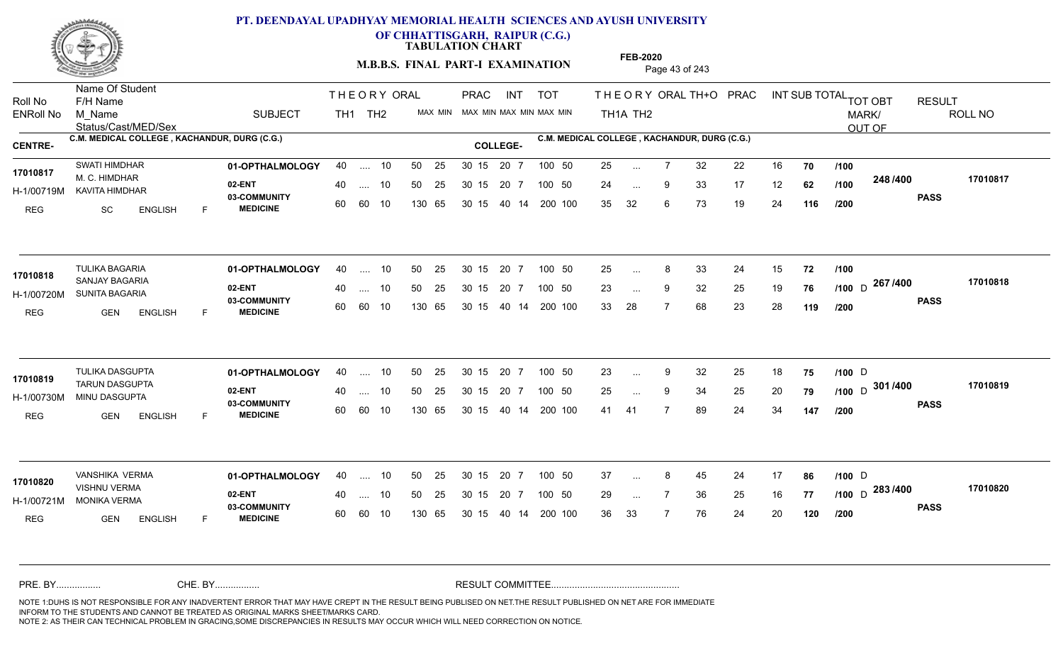

**OF CHHATTISGARH, RAIPUR (C.G.)**

**TABULATION CHART** 

**M.B.B.S. FINAL PART-I EXAMINATION** Page 43 of 243

Status/Cast/MED/Sex Name Of Student Roll No F/H Name M\_Name SUBJECT TH1 TH2 <sup>MAX\_MIN</sup> N PRAC INT TOT THEORY ORAL TH+O PRAC INT TH<sub>1</sub>A TH<sub>2</sub> ORAL TH+ODPRACD INT SUB TOTAL <sub>TOT OBT</sub> RESULT ROLL NO MARK/ OUT OF ENRoll No M Name  $\,$  SUBJECT TH1 TH2 MAX MIN MAX MIN MAX MIN MAX MIN TH1A TH2 **C.M. MEDICAL COLLEGE , KACHANDUR, DURG (C.G.) C.M. MEDICAL COLLEGE , KACHANDUR, DURG (C.G.) CENTRE- COLLEGE-**THE ORY ORAL PRAC INT PRAC **01-OPTHALMOLOGY** SWATI HIMDHAR 40 .... 10 30 15 20 7 **02-ENT** 03-COMMUNITY 60  **MEDICINE** H-1/00719M KAVITA HIMDHAR 17010817 M. C. HIMDHAR REG SC ENGLISH F 25 7 32 22 16 **70** 24 ... 9 33 17 12 **62 /100 <sup>240/400</sup>** 35 32 6 73 19 24 **116 248 PASS /400 17010817** .... 10 50 25 60 60 10 50 25 30 15 130 65 30 15 40 14 200 100 20 7 100 50 50 25 30 15 20 7 100 50 25 ... ... ... 9 **/100 /100 /200 01-OPTHALMOLOGY** TULIKA BAGARIA 40 .... 10 30 15 20 7 **02-ENT** 03-COMMUNITY 60  **MEDICINE** H-1/00720M SUNITA BAGARIA 17010818 **SANJAY BAGARIA** REG GEN ENGLISH F 25 8 33 24 15 **72** 23 9 32 25 19 **76 /100** 33 28 7 68 23 28 **119** <sub>D</sub> 267 /400 170108 **PASS /400 17010818**  $\ldots$  10 50 25 30 15 60 60 10 20 7 130 65 30 15 40 14 200 100 30 15 20 7 100 50 50 25 30 15 20 7 100 50 25 ... 8 ... ... **/100 /200 01-OPTHALMOLOGY** TULIKA DASGUPTA 40 .... 10 30 15 20 7 **02-ENT** 03-COMMUNITY 60  **MEDICINE** H-1/00730M MINU DASGUPTA TARUN DASGUPTA **17010819** REG GEN ENGLISH F 23 ... 9 32 25 18 **75 /100** D 25 ... 9 34 25 20 **79 /100** D <sup>301 /400 170108</sup> 41 41 7 89 24 34 **147 PASS /400 17010819** .... 10 50 25 30 15 60 60 10 20 7 130 65 30 15 40 14 200 100 30 15 20 7 100 50 50 25 30 15 20 7 100 50 23 ... 9 32 25 18 **75 /100** D ... ... **/100 /200 01-OPTHALMOLOGY** VANSHIKA VERMA 40 .... 10 30 15 20 7 **02-ENT** 03-COMMUNITY 60 MEDICINE 60 60 10 H-1/00721M MONIKA VERMA VISHNU VERMA **17010820** REG GEN ENGLISH F 37 ... 8 45 24 17 **86 /100** D 29 ... 7 36 25 16 **77 /100** D <sup>2007</sup> 700 36 33 7 76 24 20 **120 283** D **PASS /400 17010820** .... 10 50 25 130 65 50 25 30 15 130 65 30 15 40 14 200 100 20 7 100 50 50 25 30 15 20 7 100 50 37 ... 8 45 24 17 **86 /100** D ... ... **/100 /100 /200** NOTE 1:DUHS IS NOT RESPONSIBLE FOR ANY INADVERTENT ERROR THAT MAY HAVE CREPT IN THE RESULT BEING PUBLISED ON NET.THE RESULT PUBLISHED ON NET ARE FOR IMMEDIATE INFORM TO THE STUDENTS AND CANNOT BE TREATED AS ORIGINAL MARKS SHEET/MARKS CARD. CHE. BY WAREL BY WARE AND THE AVEC THE AVEC THE THE RESULT COMMITTEE AND MULTIME MOTE 1:DUHS IS NOT RESPONSIBLE FOR ANY INADVERTENT ERROR THAT MAY HAVE CREPT IN THE RESULT BEING PUBLISED ON NET.THE RESULT PUBLISHED ON NET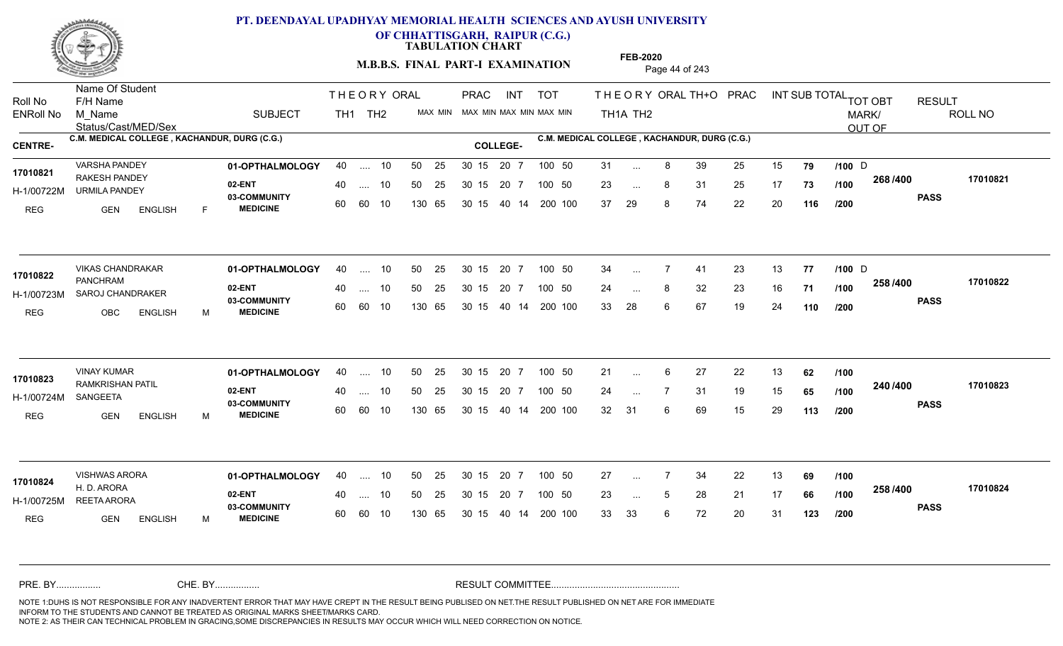

**OF CHHATTISGARH, RAIPUR (C.G.)**

**TABULATION CHART** 

**M.B.B.S. FINAL PART-I EXAMINATION** Page 44 of 243

Status/Cast/MED/Sex Name Of Student Roll No F/H Name M\_Name SUBJECT TH1 TH2 <sup>MAX\_MIN</sup> N PRAC INT TOT THEORY ORAL TH+O PRAC INT TH<sub>1</sub>A TH<sub>2</sub> ORAL TH+ODPRACD INT SUB TOTAL <sub>TOT OBT</sub> RESULT ROLL NO MARK/ OUT OF ENRoll No M Name  $\,$  SUBJECT TH1 TH2 MAX MIN MAX MIN MAX MIN MAX MIN TH1A TH2 **C.M. MEDICAL COLLEGE , KACHANDUR, DURG (C.G.) C.M. MEDICAL COLLEGE , KACHANDUR, DURG (C.G.) CENTRE- COLLEGE-**THE ORY ORAL PRAC INT PRAC **01-OPTHALMOLOGY** VARSHA PANDEY 40 .... 10 30 15 20 7 **02-ENT** 03-COMMUNITY 60  **MEDICINE** H-1/00722M URMILA PANDEY 17010821 RAKESH PANDEY **17010821** REG GEN ENGLISH F 31 ... 8 39 25 15 **79** /**100** D 23 ... 8 31 25 17 **73 /100 <sup>2007</sup> 7** 37 29 8 74 22 20 **116 268 PASS /400 17010821** .... 10 50 25 60 60 10 50 25 30 15 130 65 30 15 40 14 200 100 20 7 100 50 50 25 30 15 20 7 100 50 31 ... 8 39 25 15 **79 /100** D ... 8 ... **/100 /100 /200 01-OPTHALMOLOGY** VIKAS CHANDRAKAR 40 .... 10 30 15 20 7 **02-ENT** 03-COMMUNITY 60 **MEDICINE** 60 60 10 H-1/00723M SAROJ CHANDRAKER 22 ACOMMUNIT PANCHRAM REG OBC ENGLISH M 34 7 41 23 13 **77 /100** 24 ... 8 32 23 16 **71 /100 <sup>2007</sup> 700** 33 28 6 67 19 24 **110 258 PASS /400 17010822** 40 .... 10 50 25 130 65 130 65 30 15 40 14 200 100 30 15 20 7 100 50 50 25 30 15 20 7 100 50 34 ... 7 41 23 13 **77 /100** D **17010822 NIKAS CHANDRAKAR** ... 7 ... **/100 /200 01-OPTHALMOLOGY** VINAY KUMAR 40 .... 10 30 15 20 7 **02-ENT** 03-COMMUNITY 60  **MEDICINE** H-1/00724M RAMKRISHAN PATIL **17010823** SANGEETA REG GEN ENGLISH M 21 ... 6 27 22 13 **62** /1**00** 24 7 31 19 15 **65** 32 31 6 69 15 29 **113 240 PASS /400 17010823** .... 10 50 25 30 15 60 60 10 20 7 130 65 30 15 30 15 20 7 100 50 40 14 200 100 50 25 30 15 20 7 100 50 21 ... 6 ... **/100 /100 /200 01-OPTHALMOLOGY** VISHWAS ARORA 40 .... 10 30 15 20 7 **02-ENT** 03-COMMUNITY 60 **MEDICINE** 60 60 10 H-1/00725M REETA ARORA H. D. ARORA REG GEN ENGLISH M 27 7 34 22 13 **69** 23 ... 5 28 21 17 **66 /100 <sup>2007–00</sup>** 33 33 6 72 20 31 **123 258 PASS /400 17010824** 40 .... 10 50 25 130 65 130 65 30 15 30 15 20 7 100 50 40 14 200 100 50 25 30 15 20 7 100 50 27 ... **17010824 17010824** ... ... 5 **/100 /100 /200** NOTE 1:DUHS IS NOT RESPONSIBLE FOR ANY INADVERTENT ERROR THAT MAY HAVE CREPT IN THE RESULT BEING PUBLISED ON NET.THE RESULT PUBLISHED ON NET ARE FOR IMMEDIATE INFORM TO THE STUDENTS AND CANNOT BE TREATED AS ORIGINAL MARKS SHEET/MARKS CARD. CHE. BY WAREL BY WARE AND THE AVEC THE AVEC THE THE RESULT COMMITTEE AND MULTIME MOTE 1:DUHS IS NOT RESPONSIBLE FOR ANY INADVERTENT ERROR THAT MAY HAVE CREPT IN THE RESULT BEING PUBLISED ON NET.THE RESULT PUBLISHED ON NET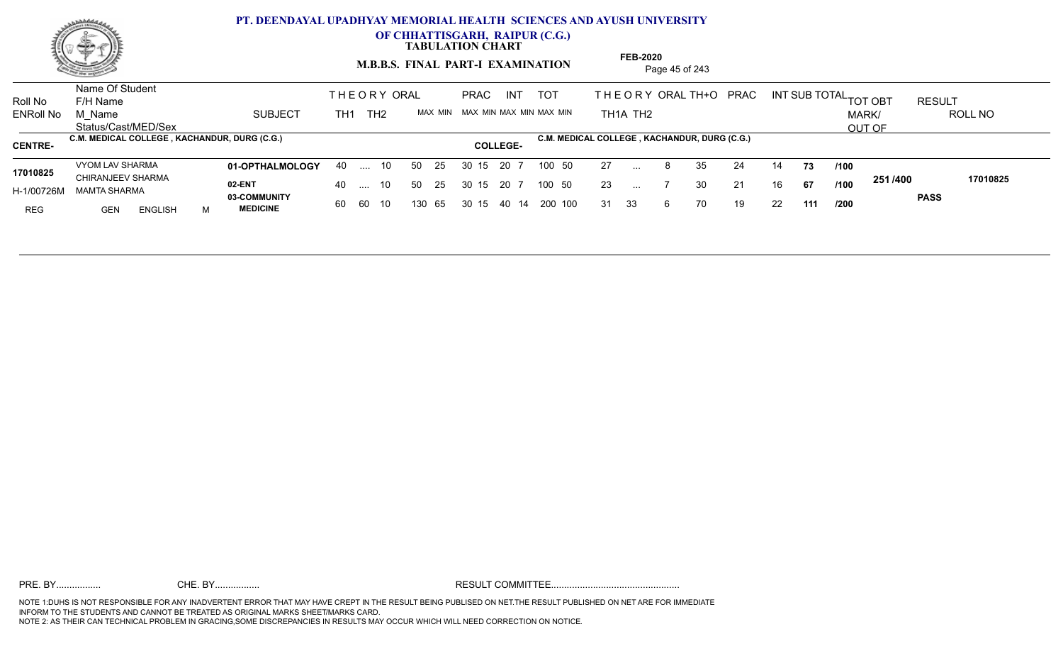

**OF CHHATTISGARH, RAIPUR (C.G.)**

**TABULATION CHART** 

**M.B.B.S. FINAL PART-I EXAMINATION** Page 45 of 243

Status/Cast/MED/Sex Name Of Student Roll No F/H Name M\_Name SUBJECT TH1 TH2 <sup>MAX\_MIN</sup> N TOT THE OR YORAL TH+O PRAC INT TH<sub>1</sub>A TH<sub>2</sub> ORAL TH+ODPRACD INT SUB TOTAL <sub>TOT OBT</sub> RESULT ROLL NO MARK/ OUT OF ENRoll No M Name  $\,$  SUBJECT TH1 TH2 MAX MIN MAX MIN MAX MIN MAX MIN TH1A TH2 **C.M. MEDICAL COLLEGE , KACHANDUR, DURG (C.G.) C.M. MEDICAL COLLEGE , KACHANDUR, DURG (C.G.) CENTRE- COLLEGE-**THE ORY ORAL ORAL PRAC INT TOT THEOR **01-OPTHALMOLOGY** VYOM LAV SHARMA 40 .... 10 30 15 20 7 **02-ENT 03-COMMUNITY MEDICINE** H-1/00726M MAMTA SHARMA 17010825 CHIRANJEEV SHARMA REG GEN ENGLISH M 27 ... 8 35 24 14 **73 /100** 23 ... 7 30 21 16 **67 /100 <sup>2017</sup> 7** 31 33 6 70 19 22 **111 251 PASS /400 17010825** 40 .... 10 60 60 10 50 25 30 15 130 65 30 15 40 14 200 100 20 7 100 50 50 25 30 15 20 7 100 50 27 ... ... ... **/100 /100 /200**

**FEB-2020**

NOTE 1:DUHS IS NOT RESPONSIBLE FOR ANY INADVERTENT ERROR THAT MAY HAVE CREPT IN THE RESULT BEING PUBLISED ON NET.THE RESULT PUBLISHED ON NET ARE FOR IMMEDIATE INFORM TO THE STUDENTS AND CANNOT BE TREATED AS ORIGINAL MARKS SHEET/MARKS CARD.<br>NOTE 2: AS THEIR CAN TECHNICAL PROBLEM IN GRACING,SOME DISCREPANCIES IN RESULTS MAY OCCUR WHICH WILL NEED CORRECTION ON NOTICE. CHE. BY WAREL BY WARE AND THE AVEC THE AVEC THE THE RESULT COMMITTEE AND MULTIME MOTE 1:DUHS IS NOT RESPONSIBLE FOR ANY INADVERTENT ERROR THAT MAY HAVE CREPT IN THE RESULT BEING PUBLISED ON NET.THE RESULT PUBLISHED ON NET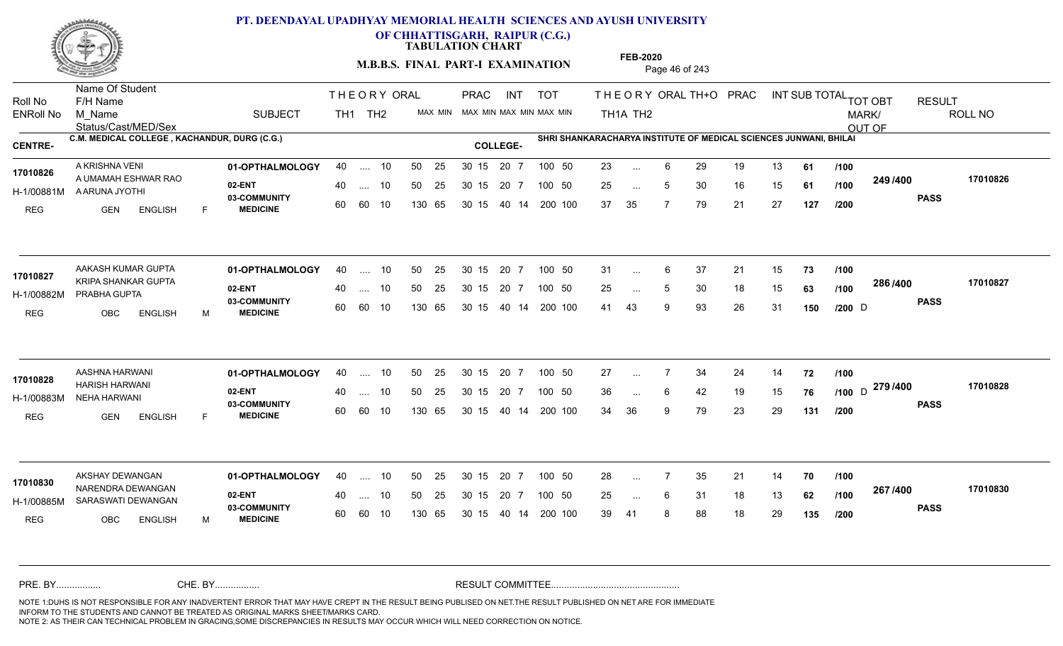

**OF CHHATTISGARH, RAIPUR (C.G.)**

**TABULATION CHART** 

**M.B.B.S. FINAL PART-I EXAMINATION** Page 46 of 243

Status/Cast/MED/Sex Name Of Student Roll No F/H Name M\_Name SUBJECT TH1 TH2 <sup>MAX\_MIN</sup> N PRAC INT TOT THEORY ORAL TH+O PRAC INT TH<sub>1</sub>A TH<sub>2</sub> ORAL TH+ODPRACD INT SUB TOTAL <sub>TOT OBT</sub> RESULT ROLL NO MARK/ OUT OF ENRoll No M Name  $\,$  SUBJECT TH1 TH2 MAX MIN MAX MIN MAX MIN MAX MIN TH1A TH2 **C.M. MEDICAL COLLEGE , KACHANDUR, DURG (C.G.) SHRI SHANKARACHARYA INSTITUTE OF MEDICAL SCIENCES JUNWANI, BHILAI CENTRE- COLLEGE-**THE ORY ORAL PRAC INT PRAC **01-OPTHALMOLOGY** A KRISHNA VENI 40 .... 10 30 15 20 7 **02-ENT** 03-COMMUNITY 60  **MEDICINE** H-1/00881M A ARUNA JYOTHI 17010826 A UMAMAH ESHWAR RAO REG GEN ENGLISH F 23 6 29 19 13 **61** 25 ... 5 30 16 15 **61 /100 <sup>243 /400</sup>** 37 35 7 79 21 27 **127 249 PASS /400 17010826** 40 .... 10 50 25 30 15 60 60 10 130 65 30 15 40 14 200 100 20 7 100 50 50 25 30 15 20 7 100 50 23 ... ... ... **/100 /100 /200** AAKASH KUMAR GUPTA **01-OPTHALMOLOGY** 40 .... 10 50 25 30 15 20 7 100 50 31 **02-ENT** 03-COMMUNITY 60  **MEDICINE** H-1/00882M PRABHA GUPTA KRIPA SHANKAR GUPTA **17010827** REG OBC ENGLISH M 31 6 37 21 15 **73** 25 ... 5 30 18 15 **63 /100 <sup>2007</sup>** 41 43 9 93 26 31 **150 /200 286 PASS /400 17010827** 40 .... 10 50 25 30 15 60 60 10 130 65 30 15 40 14 200 100 20 7 100 50 50 25 30 15 20 7 100 50 31 ... 6  $D \longrightarrow 2$ ... ... **/100 /100 01-OPTHALMOLOGY** AASHNA HARWANI 40 .... 10 30 15 20 7 **02-ENT** 03-COMMUNITY 60  **MEDICINE** H-1/00883M NEHA HARWANI HARISH HARWANI **17010828** REG GEN ENGLISH F 27 7 34 24 14 **72** 36 ... 6 42 19 15 **76 /100** D <sup>21374</sup>00 34 36 9 79 23 29 **131 279** D **PASS /400 17010828** 40 .... 10 50 25 30 15 60 60 10 130 65 30 15 40 14 200 100 20 7 100 50 50 25 30 15 20 7 100 50 27 ... ... **/100 /100 /200 01-OPTHALMOLOGY** AKSHAY DEWANGAN 40 .... 10 30 15 20 7 **02-ENT** 03-COMMUNITY 60  **MEDICINE** H-1/00885M SARASWATI DEWANGAN 22 P.O. 2010 17010830 NARENDRA DEWANGAN REG OBC ENGLISH M 28 ... 7 35 21 14 **70 /100** 25 ... 6 31 18 13 **62 /100 <sup>207</sup> /+00** 39 41 8 88 18 29 **135 267 PASS /400 17010830** 40 .... 10 50 25 30 15 60 60 10 130 65 30 15 20 7 100 50 40 14 200 100 50 25 30 15 20 7 100 50 28 ... 7 ... ... **/100 /100 /200** NOTE 1:DUHS IS NOT RESPONSIBLE FOR ANY INADVERTENT ERROR THAT MAY HAVE CREPT IN THE RESULT BEING PUBLISED ON NET.THE RESULT PUBLISHED ON NET ARE FOR IMMEDIATE INFORM TO THE STUDENTS AND CANNOT BE TREATED AS ORIGINAL MARKS SHEET/MARKS CARD. CHE. BY WAREL BY WARE AND THE AVEC THE AVEC THE THE RESULT COMMITTEE AND MULTIME MOTE 1:DUHS IS NOT RESPONSIBLE FOR ANY INADVERTENT ERROR THAT MAY HAVE CREPT IN THE RESULT BEING PUBLISED ON NET.THE RESULT PUBLISHED ON NET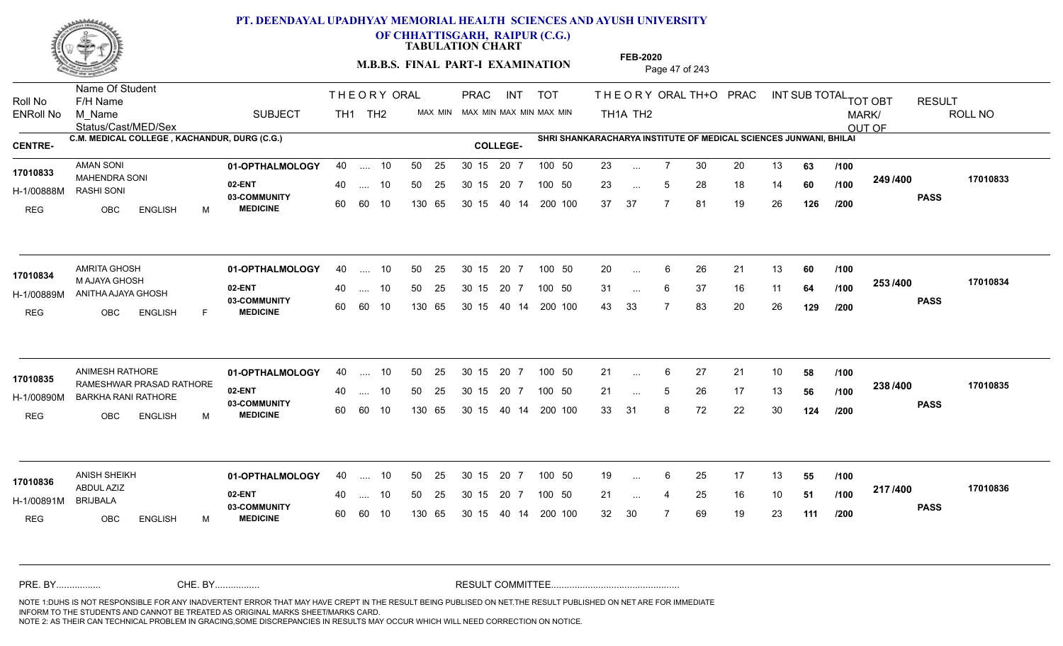

**OF CHHATTISGARH, RAIPUR (C.G.)**

**TABULATION CHART** 

**M.B.B.S. FINAL PART-I EXAMINATION** Page 47 of 243

Status/Cast/MED/Sex Name Of Student Roll No F/H Name M\_Name SUBJECT TH1 TH2 <sup>MAX\_MIN</sup> N PRAC INT TOT THEORY ORAL TH+O PRAC INT TH<sub>1</sub>A TH<sub>2</sub> ORAL TH+ODPRACD INT SUB TOTAL <sub>TOT OBT</sub> RESULT ROLL NO MARK/ OUT OF ENRoll No M Name  $\,$  SUBJECT TH1 TH2 MAX MIN MAX MIN MAX MIN MAX MIN TH1A TH2 **C.M. MEDICAL COLLEGE , KACHANDUR, DURG (C.G.) SHRI SHANKARACHARYA INSTITUTE OF MEDICAL SCIENCES JUNWANI, BHILAI CENTRE- COLLEGE-**THE ORY ORAL PRAC INT PRAC **01-OPTHALMOLOGY** AMAN SONI 40 .... 10 30 15 20 7 **02-ENT** 03-COMMUNITY 60  **MEDICINE** H-1/00888M RASHI SONI 17010833 MAHENDRA SONI REG OBC ENGLISH M 23 ... 7 30 20 13 **63 /100** 23 ... 5 28 18 14 **60 /100 <sup>243 /4</sup>00** 37 37 7 81 19 26 **126 249 PASS /400 17010833** 40 .... 10 50 25 30 15 60 60 10 130 65 30 15 40 14 200 100 20 7 100 50 50 25 30 15 20 7 100 50 23 ... ... ... 5 **/100 /100 /200 01-OPTHALMOLOGY** AMRITA GHOSH 40 .... 10 30 15 20 7 **02-ENT** 03-COMMUNITY 60 **MEDICINE** 60 60 10 H-1/00889M ANITHA AJAYA GHOSH 17010834 M AJAYA GHOSH REG OBC ENGLISH F 20 ... 6 26 21 13 **60** /**100** 31 ... 6 37 16 11 **64 /100 <sup>2007</sup> +** 43 33 7 83 20 26 **129 253 PASS /400 17010834** 40 .... 10 50 25 130 65 130 65 30 15 40 14 200 100 30 15 20 7 100 50 50 25 30 15 20 7 100 50 20 ... ...  $\overline{\phantom{a}}$ . 6 **/100 /100 /200** ANIMESH RATHORE **01-OPTHALMOLOGY** 40 .... 10 50 25 30 15 20 7 100 50 21 **02-ENT** 03-COMMUNITY 60 **MEDICINE** 60 60 10 H-1/00890M BARKHA RANI RATHORE **1998 POILLANDER** 17010835 RAMESHWAR PRASAD RATHORE REG OBC ENGLISH M 21 6 27 21 10 **58** 21 ... 5 26 17 13 **56** /**100 <sup>2007+00</sup>** 33 31 8 72 22 30 **124 238 PASS /400 17010835** .... 10 50 25 130 65 30 15 20 7 130 65 30 15 30 15 20 7 100 50 40 14 200 100 50 25 30 15 20 7 100 50 21 ... 6 ... 5 **/100 /100 /200 01-OPTHALMOLOGY** ANISH SHEIKH 40 .... 10 30 15 20 7 **02-ENT** 03-COMMUNITY 60 **MEDICINE** 60 60 10 H-1/00891M ABDUL AZIZ BRIJBALA REG OBC ENGLISH M 19 ... 6 25 17 13 **55 /100** 21 ... 4 25 16 10 **51 /100 <del>11</del>777-00** 32 30 7 69 19 23 **111 217 PASS /400 17010836** 40 .... 10 50 25 130 65 130 65 30 15 30 15 20 7 100 50 40 14 200 100 50 25 30 15 20 7 100 50 19 ... **17010836**<br>**17010836** ... ... **/100 /100 /200** NOTE 1:DUHS IS NOT RESPONSIBLE FOR ANY INADVERTENT ERROR THAT MAY HAVE CREPT IN THE RESULT BEING PUBLISED ON NET.THE RESULT PUBLISHED ON NET ARE FOR IMMEDIATE INFORM TO THE STUDENTS AND CANNOT BE TREATED AS ORIGINAL MARKS SHEET/MARKS CARD. CHE. BY WAREL BY WARE AND THE AVEC THE AVEC THE THE RESULT COMMITTEE AND MULTIME MOTE 1:DUHS IS NOT RESPONSIBLE FOR ANY INADVERTENT ERROR THAT MAY HAVE CREPT IN THE RESULT BEING PUBLISED ON NET.THE RESULT PUBLISHED ON NET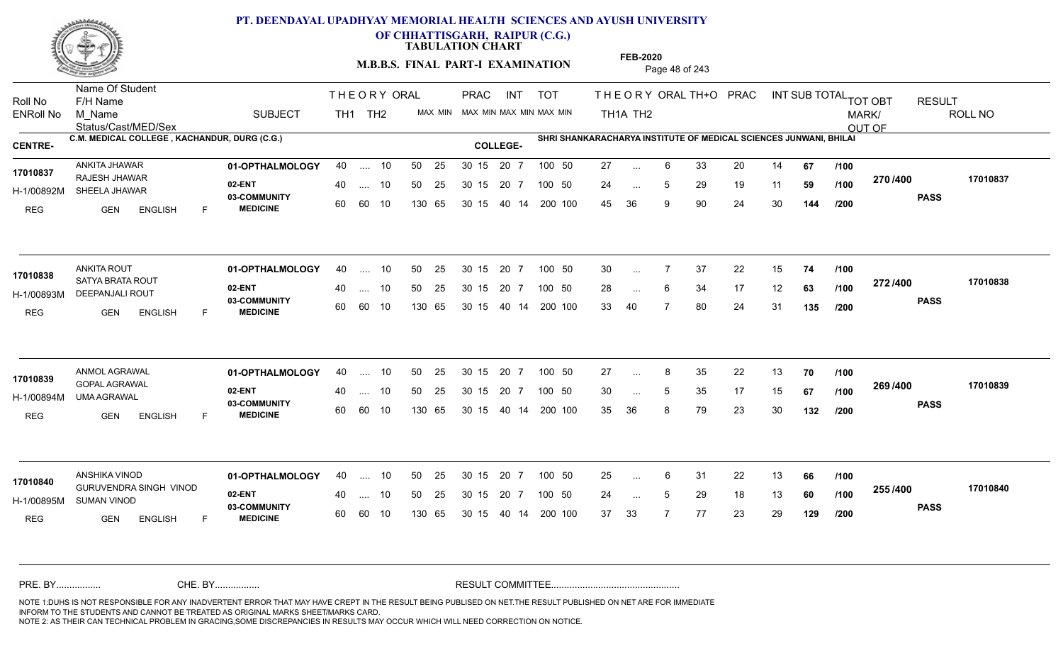

**OF CHHATTISGARH, RAIPUR (C.G.)**

**TABULATION CHART** 

**M.B.B.S. FINAL PART-I EXAMINATION** Page 48 of 243

Status/Cast/MED/Sex Name Of Student Roll No F/H Name M\_Name SUBJECT TH1 TH2 <sup>MAX\_MIN</sup> N PRAC INT TOT THEORY ORAL TH+O PRAC INT TH<sub>1</sub>A TH<sub>2</sub> ORAL TH+ODPRACD INT SUB TOTAL <sub>TOT OBT</sub> RESULT ROLL NO MARK/ OUT OF ENRoll No M Name  $\,$  SUBJECT TH1 TH2 MAX MIN MAX MIN MAX MIN MAX MIN TH1A TH2 **C.M. MEDICAL COLLEGE , KACHANDUR, DURG (C.G.) SHRI SHANKARACHARYA INSTITUTE OF MEDICAL SCIENCES JUNWANI, BHILAI CENTRE- COLLEGE-**THE ORY ORAL PRAC INT PRAC **01-OPTHALMOLOGY** ANKITA JHAWAR 40 .... 10 30 15 20 7 **02-ENT** 03-COMMUNITY 60  **MEDICINE** H-1/00892M SHEELA JHAWAR RAJESH JHAWAR **17010837** REG GEN ENGLISH F 27 ... 6 33 20 14 **67 /100** 24 ... 5 29 19 11 **59 /100 <sup>21 01</sup> 700** 45 36 9 90 24 30 **144 270 PASS /400 17010837** 40 .... 10 50 25 30 15 60 60 10 130 65 30 15 20 7 100 50 40 14 200 100 50 25 30 15 20 7 100 50 27 ... ... ... 5 **/100 /100 /200 01-OPTHALMOLOGY** ANKITA ROUT 40 .... 10 30 15 20 7 **02-ENT** 03-COMMUNITY 60 **MEDICINE** 60 60 10 H-1/00893M DEEPANJALI ROUT 17010838 **SATYA BRATA ROUT** REG GEN ENGLISH F 30 7 37 22 15 **74** 28 ... 6 34 17 12 **63 /100 <sup>212/400</sup>** 33 40 7 80 24 31 **135 272 PASS /400 17010838** 40 .... 10 50 25 130 65 130 65 30 15 40 14 200 100 30 15 20 7 100 50 50 25 30 15 20 7 100 50 30 ... ... ... **/100 /100 /200 01-OPTHALMOLOGY** ANMOL AGRAWAL 40 .... 10 30 15 20 7 **02-ENT** 03-COMMUNITY 60 **MEDICINE** 60 60 10 H-1/00894M UMA AGRAWAL GOPAL AGRAWAL **17010839** REG GEN ENGLISH F 27 8 35 22 13 **70** 30 ... 5 35 17 15 **67 /100 <sup>2007/400</sup>** 35 36 8 79 23 30 **132 269 /100 PASS /400 17010839** .... 10 50 25 30 15 130 65 20 7 130 65 30 15 30 15 20 7 100 50 40 14 200 100 50 25 30 15 20 7 100 50 27 ... ... ... 5 **/100 /200 01-OPTHALMOLOGY** ANSHIKA VINOD 40 .... 10 30 15 20 7 **02-ENT** 03-COMMUNITY 60 **MEDICINE** 60 60 10 H-1/00895M SUMAN VINOD GURUVENDRA SINGH VINOD **17010840** REG GEN ENGLISH F 25 6 31 22 13 **66** 24 ... 5 29 18 13 **60 /100 <sup>2007</sup> 100** 37 33 7 77 23 29 **129 255 PASS /400 17010840** 40 .... 10 50 25 130 65 130 65 30 15 30 15 20 7 100 50 40 14 200 100 50 25 30 15 20 7 100 50 25 ... ... ... **/100 /100 /200** NOTE 1:DUHS IS NOT RESPONSIBLE FOR ANY INADVERTENT ERROR THAT MAY HAVE CREPT IN THE RESULT BEING PUBLISED ON NET.THE RESULT PUBLISHED ON NET ARE FOR IMMEDIATE INFORM TO THE STUDENTS AND CANNOT BE TREATED AS ORIGINAL MARKS SHEET/MARKS CARD. CHE. BY WAREL BY WARE AND THE AVEC THE AVEC THE THE RESULT COMMITTEE AND MULTIME MOTE 1:DUHS IS NOT RESPONSIBLE FOR ANY INADVERTENT ERROR THAT MAY HAVE CREPT IN THE RESULT BEING PUBLISED ON NET.THE RESULT PUBLISHED ON NET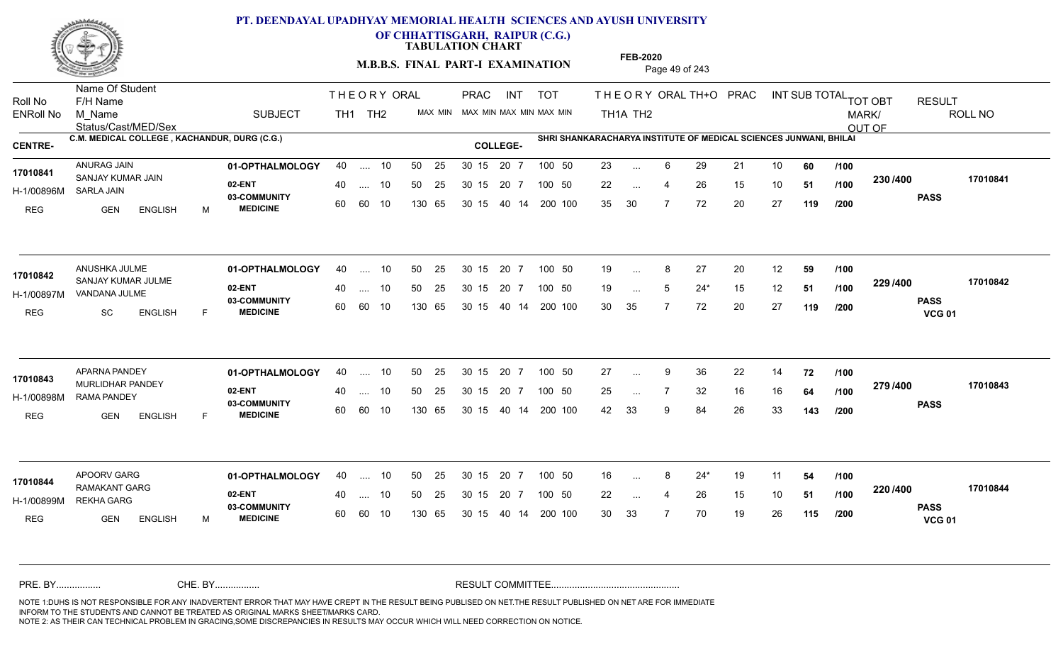

**OF CHHATTISGARH, RAIPUR (C.G.)**

**TABULATION CHART** 

**M.B.B.S. FINAL PART-I EXAMINATION** Page 49 of 243

Status/Cast/MED/Sex Name Of Student Roll No F/H Name M\_Name SUBJECT TH1 TH2 <sup>MAX\_MIN</sup> N PRAC INT TOT THEORY ORAL TH+O PRAC INT TH<sub>1</sub>A TH<sub>2</sub> ORAL TH+ODPRACD INT SUB TOTAL <sub>TOT OBT</sub> RESULT ROLL NO MARK/ OUT OF ENRoll No M Name  $\,$  SUBJECT TH1 TH2 MAX MIN MAX MIN MAX MIN MAX MIN TH1A TH2 **C.M. MEDICAL COLLEGE , KACHANDUR, DURG (C.G.) SHRI SHANKARACHARYA INSTITUTE OF MEDICAL SCIENCES JUNWANI, BHILAI CENTRE- COLLEGE-**THE ORY ORAL PRAC INT PRAC **01-OPTHALMOLOGY** ANURAG JAIN 40 .... 10 30 15 20 7 **02-ENT** 03-COMMUNITY 60  **MEDICINE** H-1/00896M SARLA JAIN 17010841 SANJAY KUMAR JAIN REG GEN ENGLISH M 23 ... 6 29 21 10 **60** /**100** 22 ... 4 26 15 10 **51 /100 <sup>2007</sup> 100** 35 30 7 72 20 27 **119 230 PASS /400 17010841** 40 .... 10 50 25 30 15 60 60 10 130 65 30 15 20 7 100 50 40 14 200 100 50 25 30 15 20 7 100 50 23 ... ... ... **/100 /100 /200 01-OPTHALMOLOGY** ANUSHKA JULME 40 .... 10 30 15 20 7 **02-ENT** 03-COMMUNITY 60 **MEDICINE** 60 60 10 H-1/00897M VANDANA JULME 17010842 SANJAY KUMAR JULME REG SC ENGLISH F 19 ... 8 27 20 12 **59 /100** 19 ... 5 24\* 15 12 **51 /100 <sup>223/400</sup>** 30 35 7 72 20 27 **119 229 PASS VCG 01 /400 17010842** 40 .... 10 50 25 130 65 130 65 30 15 40 14 200 100 30 15 20 7 100 50 50 25 30 15 20 7 100 50 19 ... 8 ... ... **/100 /100 /200 01-OPTHALMOLOGY** APARNA PANDEY 40 .... 10 30 15 20 7 **02-ENT** 03-COMMUNITY 60 **MEDICINE** 60 60 10 H-1/00898M RAMA PANDEY 17010843 MURLIDHAR PANDEY REG GEN ENGLISH F 27 9 36 22 14 **72** 25 ... 7 32 16 16 **64 /100 <sup>2137–00</sup>** 42 33 9 84 26 33 **143 279 /100 PASS /400 17010843** .... 10 50 25 30 15 130 65 20 7 130 65 30 15 30 15 20 7 100 50 40 14 200 100 50 25 30 15 20 7 100 50 27 ... ... ... **/100 /200** APOORV GARG **01-OPTHALMOLOGY** 40 .... 10 50 25 30 15 20 7 100 50 16 **02-ENT** 03-COMMUNITY 60 **MEDICINE** 60 60 10 H-1/00899M REKHA GARG 22 PM 17010844<br>RAMAKANT GARG REG GEN ENGLISH M 16 8 24\* 19 11 **54** 22 ... 4 26 15 10 **51 /100 <sup>220</sup> 1** 30 33 7 70 19 26 **115 220 PASS VCG 01 /400 17010844** 40 .... 10 50 25 130 65 130 65 30 15 30 15 20 7 100 50 40 14 200 100 50 25 30 15 20 7 100 50 16 ... 8 ... ... 4 **/100 /100 /200** NOTE 1:DUHS IS NOT RESPONSIBLE FOR ANY INADVERTENT ERROR THAT MAY HAVE CREPT IN THE RESULT BEING PUBLISED ON NET.THE RESULT PUBLISHED ON NET ARE FOR IMMEDIATE INFORM TO THE STUDENTS AND CANNOT BE TREATED AS ORIGINAL MARKS SHEET/MARKS CARD. CHE. BY WAREL BY WARE AND THE AVEC THE AVEC THE THE RESULT COMMITTEE AND MULTIME MOTE 1:DUHS IS NOT RESPONSIBLE FOR ANY INADVERTENT ERROR THAT MAY HAVE CREPT IN THE RESULT BEING PUBLISED ON NET.THE RESULT PUBLISHED ON NET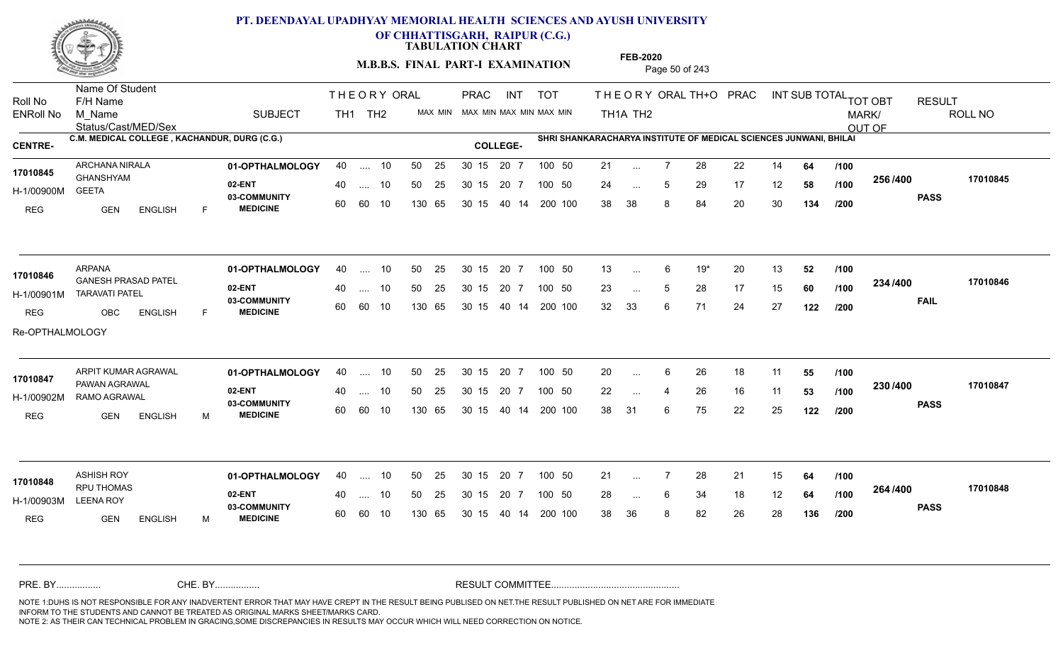

**OF CHHATTISGARH, RAIPUR (C.G.)**

**TABULATION CHART** 

**M.B.B.S. FINAL PART-I EXAMINATION** Page 50 of 243

Status/Cast/MED/Sex Name Of Student Roll No F/H Name M\_Name SUBJECT TH1 TH2 <sup>MAX\_MIN</sup> N PRAC INT TOT THEORY ORAL TH+O PRAC INT TH<sub>1</sub>A TH<sub>2</sub> ORAL TH+ODPRACD INT SUB TOTAL <sub>TOT OBT</sub> RESULT ROLL NO MARK/ OUT OF ENRoll No M Name  $\,$  SUBJECT TH1 TH2 MAX MIN MAX MIN MAX MIN MAX MIN TH1A TH2 **C.M. MEDICAL COLLEGE , KACHANDUR, DURG (C.G.) SHRI SHANKARACHARYA INSTITUTE OF MEDICAL SCIENCES JUNWANI, BHILAI CENTRE- COLLEGE-**THE ORY ORAL PRAC INT PRAC **01-OPTHALMOLOGY** ARCHANA NIRALA 40 .... 10 30 15 20 7 **02-ENT** 03-COMMUNITY 60  **MEDICINE** H-1/00900M 17010845 **GHANSHYAM** GEETA REG GEN ENGLISH F 21 7 28 22 14 **64** 24 ... 5 29 17 12 **58 /100 <sup>2007</sup> 1** 38 38 8 84 20 30 **134 256 PASS /400 17010845** 40 .... 10 50 25 30 15 60 60 10 130 65 30 15 40 14 200 100 20 7 100 50 50 25 30 15 20 7 100 50 21 ... ... ... 5 **/100 /100 /200 01-OPTHALMOLOGY** ARPANA 40 .... 10 30 15 20 7 **02-ENT** 03-COMMUNITY 60 **MEDICINE** 60 60 10 H-1/00901M TARAVATI PATEL GANESH PRASAD PATEL **17010846** REG OBC ENGLISH F 13 6 19\* 20 13 **52** 23 ... 5 28 17 15 **60** /**100 <sup>2047</sup> 1400** 32 33 6 71 24 27 **122 234 FAIL 17010846 /400** Re-OPTHALMOLOGY 40 .... 10 50 25 130 65 130 65 30 15 40 14 200 100 30 15 20 7 100 50 50 25 30 15 20 7 100 50 13 ... ... ... 5 **/100 /100 /200** ARPIT KUMAR AGRAWAL **01-OPTHALMOLOGY** 40 .... 10 50 25 30 15 20 7 100 50 20 **02-ENT** 03-COMMUNITY 60 **MEDICINE** 60 60 10 H-1/00902M RAMO AGRAWAL PAWAN AGRAWAL **17010847** REG GEN ENGLISH M 20 ... 6 26 18 11 **55 /100** 22 ... 4 26 16 11 **53 /100 <sup>2307+00</sup>** 38 31 6 75 22 25 **122 230 PASS /400 17010847** .... 10 50 25 30 15 130 65 20 7 130 65 30 15 30 15 20 7 100 50 40 14 200 100 50 25 30 15 20 7 100 50 20 ... 6 ... ... **/100 /100 /200 01-OPTHALMOLOGY** ASHISH ROY 40 .... 10 30 15 20 7 **02-ENT** 03-COMMUNITY 60 **MEDICINE** 60 60 10 H-1/00903M RPU THOMAS **17010848** LEENA ROY REG GEN ENGLISH M 21 7 28 21 15 **64** 28 ... 6 34 18 12 **64 /100 <sup>204</sup> /\*00** 38 36 8 82 26 28 **136 264 PASS /400 17010848** 40 .... 10 50 25 130 65 130 65 30 15 30 15 20 7 100 50 40 14 200 100 50 25 30 15 20 7 100 50 21 ... ... ... 6 **/100 /100 /200** NOTE 1:DUHS IS NOT RESPONSIBLE FOR ANY INADVERTENT ERROR THAT MAY HAVE CREPT IN THE RESULT BEING PUBLISED ON NET.THE RESULT PUBLISHED ON NET ARE FOR IMMEDIATE INFORM TO THE STUDENTS AND CANNOT BE TREATED AS ORIGINAL MARKS SHEET/MARKS CARD. CHE. BY WAREL BY WARE AND THE AVEC THE AVEC THE THE RESULT COMMITTEE AND MULTIME MOTE 1:DUHS IS NOT RESPONSIBLE FOR ANY INADVERTENT ERROR THAT MAY HAVE CREPT IN THE RESULT BEING PUBLISED ON NET.THE RESULT PUBLISHED ON NET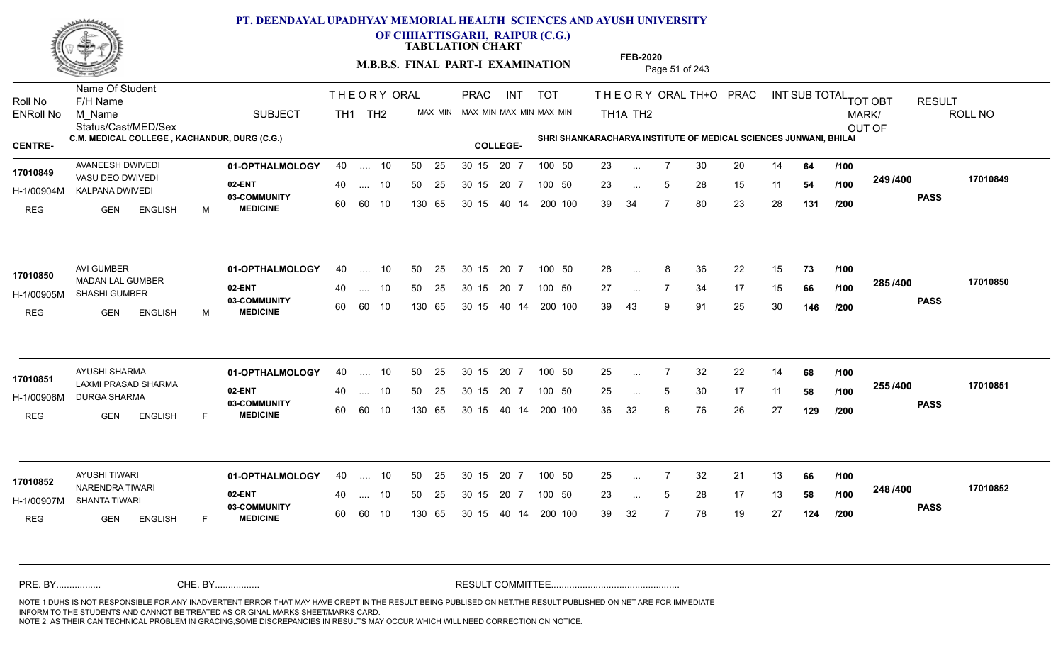

**OF CHHATTISGARH, RAIPUR (C.G.)**

**TABULATION CHART** 

**M.B.B.S. FINAL PART-I EXAMINATION** Page 51 of 243

Status/Cast/MED/Sex Name Of Student Roll No F/H Name M\_Name SUBJECT TH1 TH2 <sup>MAX\_MIN</sup> N PRAC INT TOT THEORY ORAL TH+O PRAC INT TH<sub>1</sub>A TH<sub>2</sub> ORAL TH+ODPRACD INT SUB TOTAL <sub>TOT OBT</sub> RESULT ROLL NO MARK/ OUT OF ENRoll No M Name  $\,$  SUBJECT TH1 TH2 MAX MIN MAX MIN MAX MIN MAX MIN TH1A TH2 **C.M. MEDICAL COLLEGE , KACHANDUR, DURG (C.G.) SHRI SHANKARACHARYA INSTITUTE OF MEDICAL SCIENCES JUNWANI, BHILAI CENTRE- COLLEGE-**THE ORY ORAL PRAC INT PRAC **01-OPTHALMOLOGY** AVANEESH DWIVEDI 40 .... 10 30 15 20 7 **02-ENT** 03-COMMUNITY 60  **MEDICINE** H-1/00904M KALPANA DWIVEDI VASU DEO DWIVEDI **17010849** REG GEN ENGLISH M 23 ... 7 30 20 14 **64 /100** 23 ... 5 28 15 11 **54 /100 <sup>243/400</sup>** 39 34 7 80 23 28 **131 249 PASS /400 17010849** .... 10 50 25 60 60 10 50 25 30 15 130 65 30 15 40 14 200 100 20 7 100 50 50 25 30 15 20 7 100 50 23 ... ... ... 5 **/100 /100 /200 01-OPTHALMOLOGY** AVI GUMBER 40 .... 10 30 15 20 7 **02-ENT** 03-COMMUNITY 60 **MEDICINE** 60 60 10 H-1/00905M SHASHI GUMBER 22 PM MADAN LAL GUMBER **17010850** REG GEN ENGLISH M 28 8 36 22 15 **73** 27 ... 7 34 17 15 **66 /100 <sup>2007</sup> 7** 39 43 9 91 25 30 **146 285 PASS /400 17010850** 40 .... 10 50 25 130 65 130 65 30 15 40 14 200 100 30 15 20 7 100 50 50 25 30 15 20 7 100 50 28 ... 8 ... ... **/100 /100 /200 01-OPTHALMOLOGY** AYUSHI SHARMA 40 .... 10 30 15 20 7 **02-ENT** 03-COMMUNITY 60  **MEDICINE** H-1/00906M DURGA SHARMA LAXMI PRASAD SHARMA **17010851** REG GEN ENGLISH F 25 7 32 22 14 **68** 25 ... 5 30 17 11 **58 /100 <sup>2007</sup> 1** 36 32 8 76 26 27 **129 255 PASS /400 17010851** .... 10 50 25 30 15 60 60 10 20 7 130 65 30 15 30 15 20 7 100 50 40 14 200 100 50 25 30 15 20 7 100 50 25 ... 7 ... ... 5 **/100 /100 /200 01-OPTHALMOLOGY** AYUSHI TIWARI 40 .... 10 30 15 20 7 **02-ENT** 03-COMMUNITY 60 **MEDICINE** 60 60 10 H-1/00907M SHANTA TIWARI 17010852 <sub>NARENDRA TIWARI</sub> REG **GEN ENGLISH** F 25 7 32 21 13 **66** 23 ... 5 28 17 13 **58 /100 <sup>2-10 / 100</mark>**</sup> 39 32 7 78 19 27 **124 248 PASS /400 17010852** 40 .... 10 50 25 130 65 130 65 30 15 30 15 20 7 100 50 40 14 200 100 50 25 30 15 20 7 100 50 25 ... ... ... 5 **/100 /100 /200** NOTE 1:DUHS IS NOT RESPONSIBLE FOR ANY INADVERTENT ERROR THAT MAY HAVE CREPT IN THE RESULT BEING PUBLISED ON NET.THE RESULT PUBLISHED ON NET ARE FOR IMMEDIATE INFORM TO THE STUDENTS AND CANNOT BE TREATED AS ORIGINAL MARKS SHEET/MARKS CARD. CHE. BY WAREL BY WARE AND THE AVEC THE AVEC THE THE RESULT COMMITTEE AND MULTIME MOTE 1:DUHS IS NOT RESPONSIBLE FOR ANY INADVERTENT ERROR THAT MAY HAVE CREPT IN THE RESULT BEING PUBLISED ON NET.THE RESULT PUBLISHED ON NET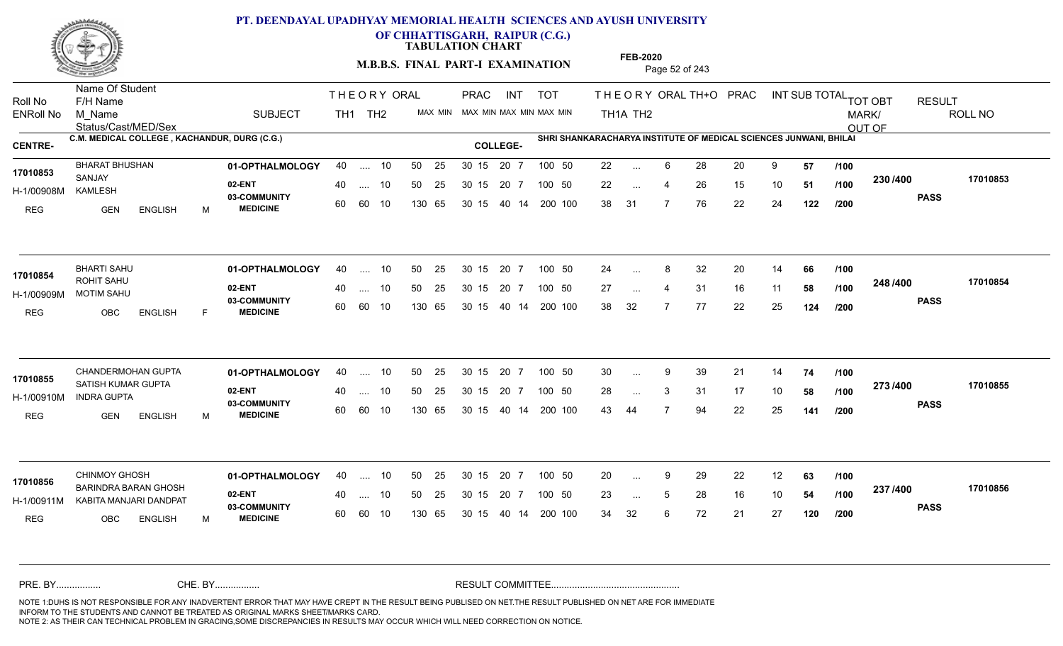

**OF CHHATTISGARH, RAIPUR (C.G.)**

**TABULATION CHART** 

**M.B.B.S. FINAL PART-I EXAMINATION** Page 52 of 243

Status/Cast/MED/Sex Name Of Student Roll No F/H Name M\_Name SUBJECT TH1 TH2 <sup>MAX\_MIN</sup> N PRAC INT TOT THEORY ORAL TH+O PRAC INT TH<sub>1</sub>A TH<sub>2</sub> ORAL TH+ODPRACD INT SUB TOTAL <sub>TOT OBT</sub> RESULT ROLL NO MARK/ OUT OF ENRoll No M Name  $\,$  SUBJECT TH1 TH2 MAX MIN MAX MIN MAX MIN MAX MIN TH1A TH2 **C.M. MEDICAL COLLEGE , KACHANDUR, DURG (C.G.) SHRI SHANKARACHARYA INSTITUTE OF MEDICAL SCIENCES JUNWANI, BHILAI CENTRE- COLLEGE-**THE ORY ORAL PRAC INT PRAC **01-OPTHALMOLOGY** BHARAT BHUSHAN 40 .... 10 30 15 20 7 **02-ENT** 03-COMMUNITY 60  **MEDICINE** H-1/00908M SANJAY KAMLESH REG GEN ENGLISH M 22 ... 6 28 20 9 **57 /100** 22 ... 4 26 15 10 **51 /100 <sup>2007</sup> 100** 38 31 7 76 22 24 **122 230 PASS /400 17010853** 40 .... 10 50 25 30 15 60 60 10 130 65 30 15 40 14 200 100 20 7 100 50 50 25 30 15 20 7 100 50 22 ... **17010853 17010853** ... ... **/100 /100 /200 01-OPTHALMOLOGY** BHARTI SAHU 40 .... 10 30 15 20 7 **02-ENT** 03-COMMUNITY 60 **MEDICINE** 60 60 10 H-1/00909M MOTIM SAHU ROHIT SAHU REG OBC ENGLISH F 24 ... 8 32 20 14 **66 /100** 27 ... 4 31 16 11 **58 /100 <sup>2407400</sup>** 38 32 7 77 22 25 **124 248 PASS /400 17010854** 40 .... 10 50 25 130 65 130 65 30 15 40 14 200 100 30 15 20 7 100 50 50 25 30 15 20 7 100 50 24 ... 8 **17010854** ... ... **/100 /100 /200** CHANDERMOHAN GUPTA **01-OPTHALMOLOGY** 40 .... 10 50 25 30 15 20 7 100 50 30 **02-ENT** 03-COMMUNITY 60 **MEDICINE** 60 60 10 H-1/00910M INDRA GUPTA 17010855<br>SATISH KUMAR GUPTA REG GEN ENGLISH M 30 9 39 21 14 **74** 28 ... 3 31 17 10 **58 /100 <sup>2137400</sup>** 43 44 7 94 22 25 **141 273 PASS /400 17010855** .... 10 50 25 30 15 130 65 20 7 130 65 30 15 30 15 20 7 100 50 40 14 200 100 50 25 30 15 20 7 100 50 30 ... 9 ... ... 3 **/100 /100 /200 01-OPTHALMOLOGY** CHINMOY GHOSH 40 .... 10 30 15 20 7 **02-ENT** 03-COMMUNITY 60 **MEDICINE** 60 60 10 H-1/00911M KABITA MANJARI DANDPAT 22 COMMUNITY BARINDRA BARAN GHOSH **17010856** REG OBC ENGLISH M 20 9 29 22 12 **63** 23 ... 5 28 16 10 **54 /100 <sup>237</sup> /\*\***00 34 32 6 72 21 27 **120 237 PASS /400 17010856** 40 .... 10 50 25 130 65 130 65 30 15 30 15 20 7 100 50 40 14 200 100 50 25 30 15 20 7 100 50 20 ... 9 ... ... **/100 /100 /200** NOTE 1:DUHS IS NOT RESPONSIBLE FOR ANY INADVERTENT ERROR THAT MAY HAVE CREPT IN THE RESULT BEING PUBLISED ON NET.THE RESULT PUBLISHED ON NET ARE FOR IMMEDIATE INFORM TO THE STUDENTS AND CANNOT BE TREATED AS ORIGINAL MARKS SHEET/MARKS CARD. CHE. BY WAREL BY WARE AND THE AVEC THE AVEC THE THE RESULT COMMITTEE AND MULTIME MOTE 1:DUHS IS NOT RESPONSIBLE FOR ANY INADVERTENT ERROR THAT MAY HAVE CREPT IN THE RESULT BEING PUBLISED ON NET.THE RESULT PUBLISHED ON NET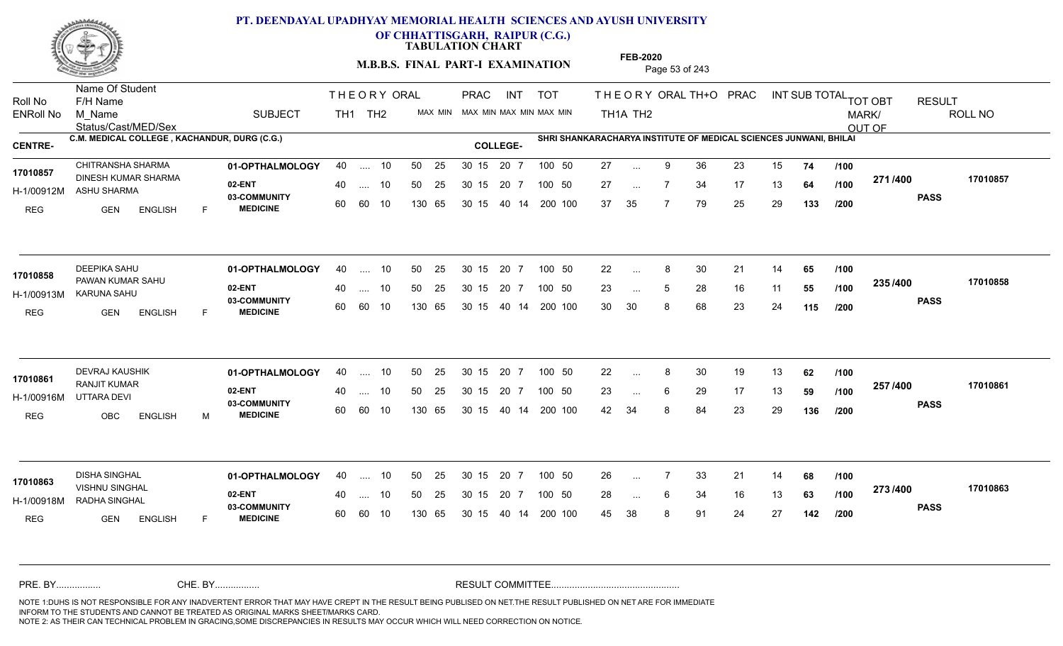

**OF CHHATTISGARH, RAIPUR (C.G.)**

**TABULATION CHART** 

**M.B.B.S. FINAL PART-I EXAMINATION** Page 53 of 243

Status/Cast/MED/Sex Name Of Student Roll No F/H Name M\_Name SUBJECT TH1 TH2 <sup>MAX\_MIN</sup> N PRAC INT TOT THEORY ORAL TH+O PRAC INT TH<sub>1</sub>A TH<sub>2</sub> ORAL TH+ODPRACD INT SUB TOTAL <sub>TOT OBT</sub> RESULT ROLL NO MARK/ OUT OF ENRoll No M Name  $\,$  SUBJECT TH1 TH2 MAX MIN MAX MIN MAX MIN MAX MIN TH1A TH2 **C.M. MEDICAL COLLEGE , KACHANDUR, DURG (C.G.) SHRI SHANKARACHARYA INSTITUTE OF MEDICAL SCIENCES JUNWANI, BHILAI CENTRE- COLLEGE-**THE ORY ORAL PRAC INT PRAC **01-OPTHALMOLOGY** CHITRANSHA SHARMA 40 .... 10 30 15 20 7 **02-ENT** 03-COMMUNITY 60  **MEDICINE** H-1/00912M ASHU SHARMA 17010857 DINESH KUMAR SHARMA REG GEN ENGLISH F 27 ... 9 36 23 15 **74 /100** 27 ... 7 34 17 13 **64 /100 <del>1</del>111-00** 37 35 7 79 25 29 **133 271 PASS /400 17010857** 40 .... 10 50 25 30 15 60 60 10 130 65 30 15 40 14 200 100 20 7 100 50 50 25 30 15 20 7 100 50 27 ... ... ... **/100 /100 /200 01-OPTHALMOLOGY** DEEPIKA SAHU 40 .... 10 30 15 20 7 **02-ENT** 03-COMMUNITY 60 **MEDICINE** 60 60 10 H-1/00913M KARUNA SAHU PAWAN KUMAR SAHU **17010858** REG GEN ENGLISH F 22 ... 8 30 21 14 **65 /100** 23 ... 5 28 16 11 **55 /100 <sup>2007</sup> 700** 30 30 8 68 23 24 **115 235 PASS /400 17010858** 40 .... 10 50 25 130 65 130 65 30 15 40 14 200 100 30 15 20 7 100 50 50 25 30 15 20 7 100 50 22 ... 8 ... ... **/100 /100 /200** 01**-OPTHALMOLOGY** 40 .... 10 50 25 30 15 20 7 100 50 22 **02-ENT** 03-COMMUNITY 60  **MEDICINE** H-1/00916M UTTARA DEVI RANJIT KUMAR **17010861** REG OBC ENGLISH M 22 8 30 19 13 **62** 23 ... 6 29 17 13 **59 /100 <sup>237</sup> /\*\*** 42 34 8 84 23 29 **136 257 PASS /400 17010861** .... 10 50 25 30 15 60 60 10 20 7 130 65 30 15 30 15 20 7 100 50 40 14 200 100 50 25 30 15 20 7 100 50 22 ... 8 ... ... 6 **/100 /100 /200 01-OPTHALMOLOGY** DISHA SINGHAL 40 .... 10 30 15 20 7 **02-ENT** 03-COMMUNITY 60 **MEDICINE** 60 60 10 H-1/00918M RADHA SINGHAL VISHNU SINGHAL **17010863** REG **GEN ENGLISH** F 26 7 33 21 14 **68** 28 ... 6 34 16 13 **63 /100 <sup>2137–00</sup>** 45 38 8 91 24 27 **142 273 PASS /400 17010863** 40 .... 10 50 25 130 65 130 65 30 15 30 15 20 7 100 50 40 14 200 100 50 25 30 15 20 7 100 50 26 ... ... ... 6 **/100 /100 /200** NOTE 1:DUHS IS NOT RESPONSIBLE FOR ANY INADVERTENT ERROR THAT MAY HAVE CREPT IN THE RESULT BEING PUBLISED ON NET.THE RESULT PUBLISHED ON NET ARE FOR IMMEDIATE INFORM TO THE STUDENTS AND CANNOT BE TREATED AS ORIGINAL MARKS SHEET/MARKS CARD. CHE. BY WAREL BY WARE AND THE AVEC THE AVEC THE THE RESULT COMMITTEE AND MULTIME MOTE 1:DUHS IS NOT RESPONSIBLE FOR ANY INADVERTENT ERROR THAT MAY HAVE CREPT IN THE RESULT BEING PUBLISED ON NET.THE RESULT PUBLISHED ON NET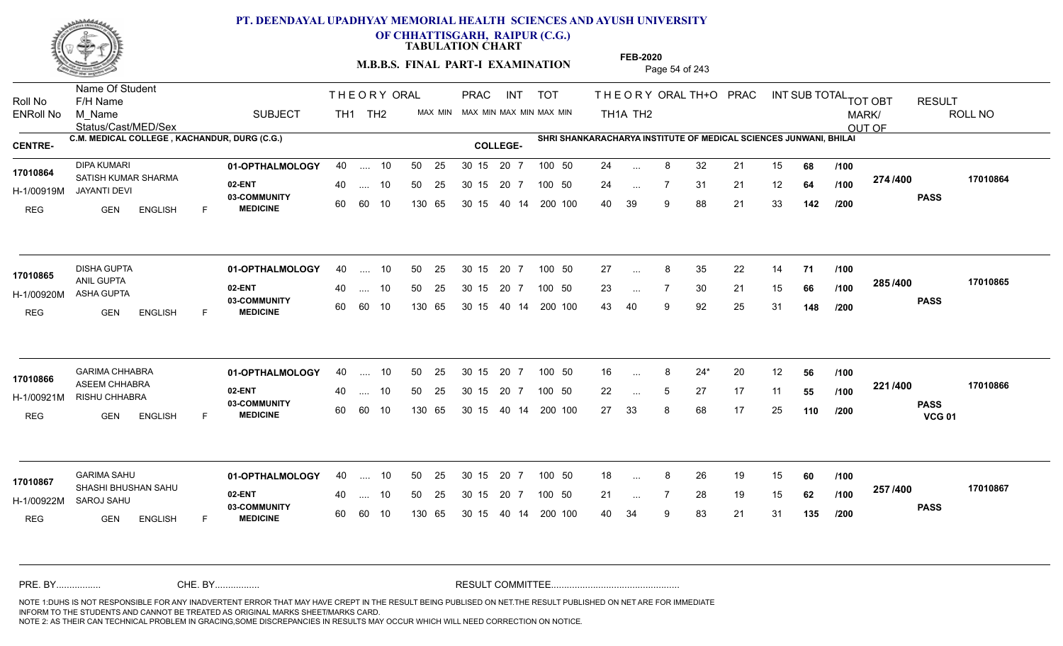

**OF CHHATTISGARH, RAIPUR (C.G.)**

**TABULATION CHART** 

**M.B.B.S. FINAL PART-I EXAMINATION** Page 54 of 243

Status/Cast/MED/Sex Name Of Student Roll No F/H Name M\_Name SUBJECT TH1 TH2 <sup>MAX\_MIN</sup> N PRAC INT TOT THEORY ORAL TH+O PRAC INT TH<sub>1</sub>A TH<sub>2</sub> ORAL TH+ODPRACD INT SUB TOTAL <sub>TOT OBT</sub> RESULT ROLL NO MARK/ OUT OF ENRoll No M Name  $\,$  SUBJECT TH1 TH2 MAX MIN MAX MIN MAX MIN MAX MIN TH1A TH2 **C.M. MEDICAL COLLEGE , KACHANDUR, DURG (C.G.) SHRI SHANKARACHARYA INSTITUTE OF MEDICAL SCIENCES JUNWANI, BHILAI CENTRE- COLLEGE-**THE ORY ORAL PRAC INT PRAC **01-OPTHALMOLOGY** DIPA KUMARI 40 .... 10 30 15 20 7 **02-ENT** 03-COMMUNITY 60  **MEDICINE** H-1/00919M JAYANTI DEVI 17010864 SATISH KUMAR SHARMA REG **GEN ENGLISH** F 24 ... 8 32 21 15 **68 /100** 24 7 31 21 12 **64** 40 39 9 88 21 33 **142 274 PASS /400 17010864** 40 .... 10 50 25 30 15 60 60 10 130 65 30 15 20 7 100 50 40 14 200 100 50 25 30 15 20 7 100 50 24 ... ... ... **/100 /100 /200 01-OPTHALMOLOGY** DISHA GUPTA 40 .... 10 30 15 20 7 **02-ENT** 03-COMMUNITY 60 **MEDICINE** 60 60 10 H-1/00920M ASHA GUPTA ANIL GUPTA REG GEN ENGLISH F 27 ... 8 35 22 14 **71 /100** 23 ... 7 30 21 15 **66 /100 <sup>2007</sup> 7** 43 40 9 92 25 31 **148 285 PASS /400 17010865** 40 .... 10 50 25 130 65 130 65 30 15 40 14 200 100 30 15 20 7 100 50 50 25 30 15 20 7 100 50 27 ... 8 **17010865 DISHA GUPTA** ... ... **/100 /100 /200 01-OPTHALMOLOGY** GARIMA CHHABRA 40 .... 10 30 15 20 7 **02-ENT** 03-COMMUNITY 60 **MEDICINE** 60 60 10 H-1/00921M RISHU CHHABRA **CHARA AN AN 1992** ASEEM CHHABRA **17010866** REG GEN ENGLISH F 16 8 24\* 20 12 **56** 22 ... 5 27 17 11 **55 /100 <sup>22 /</sup>1=**00 27 33 8 68 17 25 **110 221 PASS VCG 01 /400 17010866** .... 10 50 25 30 15 130 65 20 7 130 65 30 15 30 15 20 7 100 50 40 14 200 100 50 25 30 15 20 7 100 50 16 ... ... ... 5 **/100 /100 /200 01-OPTHALMOLOGY** GARIMA SAHU 40 .... 10 30 15 20 7 **02-ENT** 03-COMMUNITY 60 **MEDICINE** 60 60 10 H-1/00922M SAROJ SAHU SHASHI BHUSHAN SAHU **17010867** REG **GEN ENGLISH** F 18 ... 8 26 19 15 **60** /**100** 21 ... 7 28 19 15 **62 /100 <sup>237</sup> 1=00** 40 34 9 83 21 31 **135 257 PASS /400 17010867** 40 .... 10 50 25 130 65 130 65 30 15 30 15 20 7 100 50 40 14 200 100 50 25 30 15 20 7 100 50 18 ... 8 ... ... **/100 /100 /200** NOTE 1:DUHS IS NOT RESPONSIBLE FOR ANY INADVERTENT ERROR THAT MAY HAVE CREPT IN THE RESULT BEING PUBLISED ON NET.THE RESULT PUBLISHED ON NET ARE FOR IMMEDIATE INFORM TO THE STUDENTS AND CANNOT BE TREATED AS ORIGINAL MARKS SHEET/MARKS CARD. CHE. BY WAREL BY WARE AND THE AVEC THE AVEC THE THE RESULT COMMITTEE AND MULTIME MOTE 1:DUHS IS NOT RESPONSIBLE FOR ANY INADVERTENT ERROR THAT MAY HAVE CREPT IN THE RESULT BEING PUBLISED ON NET.THE RESULT PUBLISHED ON NET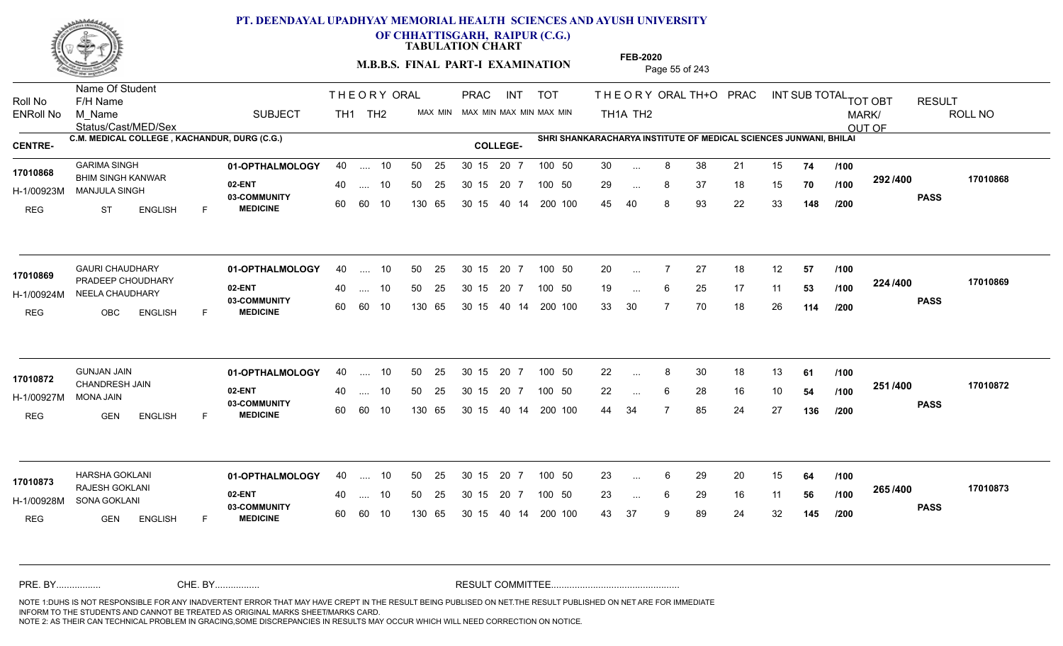

**OF CHHATTISGARH, RAIPUR (C.G.)**

**TABULATION CHART** 

**M.B.B.S. FINAL PART-I EXAMINATION** Page 55 of 243

Status/Cast/MED/Sex Name Of Student Roll No F/H Name M\_Name SUBJECT TH1 TH2 <sup>MAX\_MIN</sup> N PRAC INT TOT THEORY ORAL TH+O PRAC INT TH<sub>1</sub>A TH<sub>2</sub> ORAL TH+ODPRACD INT SUB TOTAL <sub>TOT OBT</sub> RESULT ROLL NO MARK/ OUT OF ENRoll No M Name  $\,$  SUBJECT TH1 TH2 MAX MIN MAX MIN MAX MIN MAX MIN TH1A TH2 **C.M. MEDICAL COLLEGE , KACHANDUR, DURG (C.G.) SHRI SHANKARACHARYA INSTITUTE OF MEDICAL SCIENCES JUNWANI, BHILAI CENTRE- COLLEGE-**THE ORY ORAL PRAC INT PRAC **01-OPTHALMOLOGY** GARIMA SINGH 40 .... 10 30 15 20 7 **02-ENT** 03-COMMUNITY 60  **MEDICINE** H-1/00923M MANJULA SINGH BHIM SINGH KANWAR **17010868** REG ST ENGLISH F 30 8 38 21 15 **74** 29 ... 8 37 18 15 **70 /100 <sup>232 / 4</sup>00** 45 40 8 93 22 33 **148 292 PASS /400 17010868** 40 .... 10 50 25 30 15 60 60 10 130 65 30 15 20 7 100 50 40 14 200 100 50 25 30 15 20 7 100 50 30 ... ... ... **/100 /100 /200 01-OPTHALMOLOGY** GAURI CHAUDHARY 40 .... 10 30 15 20 7 **02-ENT** 03-COMMUNITY 60 **MEDICINE** 60 60 10 H-1/00924M NEELA CHAUDHARY **1999 - 1999 12:44 NEELA** 17010869 PRADEEP CHOUDHARY REG OBC ENGLISH F 20 7 27 18 12 **57** 19 ... 6 25 17 11 **53 /100 <sup>224/400</sup>** 33 30 7 70 18 26 **114 224 PASS /400 17010869**  $\ldots$  10 50 25 30 15 130 65 20 7 130 65 30 15 40 14 200 100 30 15 20 7 100 50 50 25 30 15 20 7 100 50 20 ... ... ... **/100 /100 /200 01-OPTHALMOLOGY** GUNJAN JAIN 40 .... 10 30 15 20 7 **02-ENT** 03-COMMUNITY 60 **MEDICINE** 60 60 10 H-1/00927M 17010872 CHANDRESH JAIN **17010872** MONA JAIN REG GEN ENGLISH F 22 8 30 18 13 **61** 22 ... 6 28 16 10 **54 /100 <sup>231</sup>/\*\*** 44 34 7 85 24 27 **136 251 PASS /400 17010872** .... 10 50 25 30 15 130 65 20 7 130 65 30 15 30 15 20 7 100 50 40 14 200 100 50 25 30 15 20 7 100 50 22 ... 8 ... ... 6 **/100 /100 /200 01-OPTHALMOLOGY** HARSHA GOKLANI 40 .... 10 30 15 20 7 **02-ENT** 03-COMMUNITY 60 **MEDICINE** 60 60 10 H-1/00928M SONA GOKLANI RAJESH GOKLANI **17010873** REG **GEN ENGLISH** F 23 ... 6 29 20 15 **64 /100** 23 ... 6 29 16 11 **56 /100 <sup>2007</sup> 700** 43 37 9 89 24 32 **145 265 PASS /400 17010873** 40 .... 10 50 25 130 65 130 65 30 15 30 15 20 7 100 50 40 14 200 100 50 25 30 15 20 7 100 50 23 ... ... ... 6 **/100 /100 /200** NOTE 1:DUHS IS NOT RESPONSIBLE FOR ANY INADVERTENT ERROR THAT MAY HAVE CREPT IN THE RESULT BEING PUBLISED ON NET.THE RESULT PUBLISHED ON NET ARE FOR IMMEDIATE INFORM TO THE STUDENTS AND CANNOT BE TREATED AS ORIGINAL MARKS SHEET/MARKS CARD. CHE. BY WAREL BY WARE AND THE AVEC THE AVEC THE THE RESULT COMMITTEE AND MULTIME MOTE 1:DUHS IS NOT RESPONSIBLE FOR ANY INADVERTENT ERROR THAT MAY HAVE CREPT IN THE RESULT BEING PUBLISED ON NET.THE RESULT PUBLISHED ON NET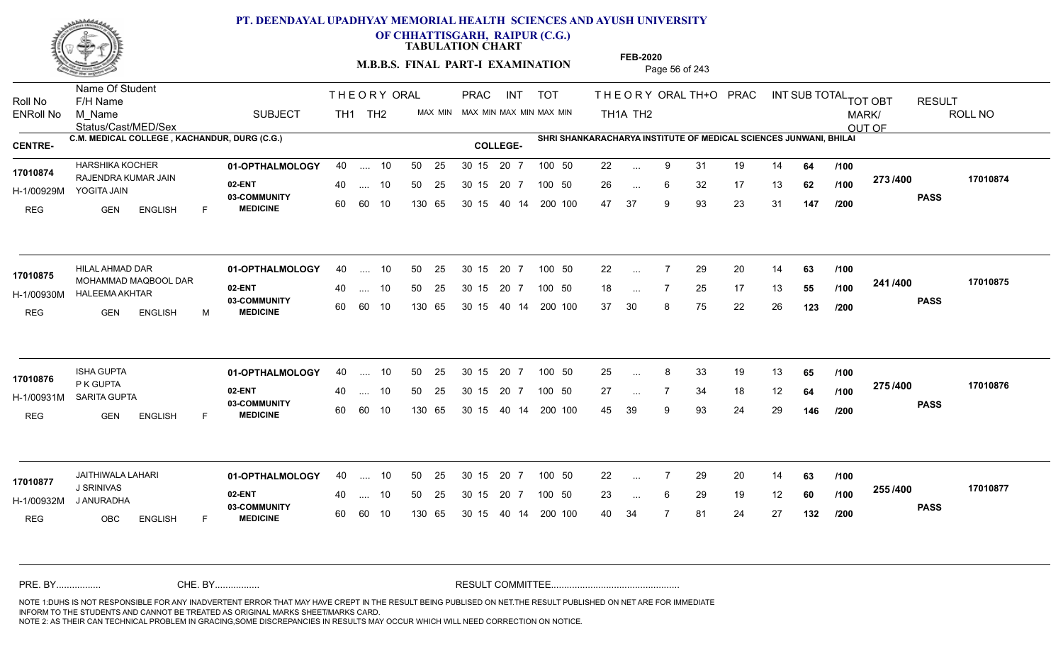

**OF CHHATTISGARH, RAIPUR (C.G.)**

**TABULATION CHART** 

**M.B.B.S. FINAL PART-I EXAMINATION** Page 56 of 243

Status/Cast/MED/Sex Name Of Student Roll No F/H Name M\_Name SUBJECT TH1 TH2 <sup>MAX\_MIN</sup> N PRAC INT TOT THEORY ORAL TH+O PRAC INT TH<sub>1</sub>A TH<sub>2</sub> ORAL TH+ODPRACD INT SUB TOTAL <sub>TOT OBT</sub> RESULT ROLL NO MARK/ OUT OF ENRoll No M Name  $\,$  SUBJECT TH1 TH2 MAX MIN MAX MIN MAX MIN MAX MIN TH1A TH2 **C.M. MEDICAL COLLEGE , KACHANDUR, DURG (C.G.) SHRI SHANKARACHARYA INSTITUTE OF MEDICAL SCIENCES JUNWANI, BHILAI CENTRE- COLLEGE-**THE ORY ORAL PRAC INT PRAC **01-OPTHALMOLOGY** HARSHIKA KOCHER 40 .... 10 30 15 20 7 **02-ENT** 03-COMMUNITY 60  **MEDICINE** H-1/00929M YOGITA JAIN 17010874 RAJENDRA KUMAR JAIN REG GEN ENGLISH F 22 ... 9 31 19 14 **64 /100** 26 ... 6 32 17 13 **62 /100 <sup>213/400</sup>** 47 37 9 93 23 31 **147 273 PASS /400 17010874** 40 .... 10 50 25 30 15 60 60 10 130 65 30 15 20 7 100 50 40 14 200 100 50 25 30 15 20 7 100 50 22 ... ... ... 6 **/100 /100 /200 01-OPTHALMOLOGY** HILAL AHMAD DAR 40 .... 10 30 15 20 7 **02-ENT** 03-COMMUNITY 60 **MEDICINE** 60 60 10 H-1/00930M HALEEMA AKHTAR 17010875 MOHAMMAD MAQBOOL DAR REG GEN ENGLISH M 22 7 29 20 14 **63** 18 ... 7 25 17 13 **55 /100 <sup>4417400</sup>** 37 30 8 75 22 26 **123 241 PASS /400 17010875**  $\ldots$  10 50 25 30 15 130 65 20 7 130 65 30 15 40 14 200 100 30 15 20 7 100 50 50 25 30 15 20 7 100 50 22 ... ... ... **/100 /100 /200 01-OPTHALMOLOGY** ISHA GUPTA 40 .... 10 30 15 20 7 **02-ENT** 03-COMMUNITY 60  **MEDICINE** H-1/00931M SARITA GUPTA P K GUPTA REG GEN ENGLISH F 25 8 33 19 13 **65** 27 ... 7 34 18 12 **64 /100 <sup>21 31 4</sup> 4** 45 39 9 93 24 29 **146 275 PASS /400 17010876** .... 10 50 25 30 15 60 60 10 20 7 130 65 30 15 30 15 20 7 100 50 40 14 200 100 50 25 30 15 20 7 100 50 25 ... 8 **17010876**<br>17010876 ... ... **/100 /100 /200 01-OPTHALMOLOGY** JAITHIWALA LAHARI 40 .... 10 30 15 20 7 **02-ENT** 03-COMMUNITY 60 **MEDICINE** 60 60 10 H-1/00932M J ANURADHA J SRINIVAS REG OBC ENGLISH F 22 7 29 20 14 **63** 23 ... 6 29 19 12 **60 /100 <sup>2007</sup> 100** 40 34 7 81 24 27 **132 255 PASS /400 17010877** 40 .... 10 50 25 130 65 130 65 30 15 30 15 20 7 100 50 40 14 200 100 50 25 30 15 20 7 100 50 22 ... **17010877**<br>**17010877**<br>**1.0DUWAG** ... ... 6 **/100 /100 /200** NOTE 1:DUHS IS NOT RESPONSIBLE FOR ANY INADVERTENT ERROR THAT MAY HAVE CREPT IN THE RESULT BEING PUBLISED ON NET.THE RESULT PUBLISHED ON NET ARE FOR IMMEDIATE INFORM TO THE STUDENTS AND CANNOT BE TREATED AS ORIGINAL MARKS SHEET/MARKS CARD. CHE. BY WAREL BY WARE AND THE AVEC THE AVEC THE THE RESULT COMMITTEE AND MULTIME MOTE 1:DUHS IS NOT RESPONSIBLE FOR ANY INADVERTENT ERROR THAT MAY HAVE CREPT IN THE RESULT BEING PUBLISED ON NET.THE RESULT PUBLISHED ON NET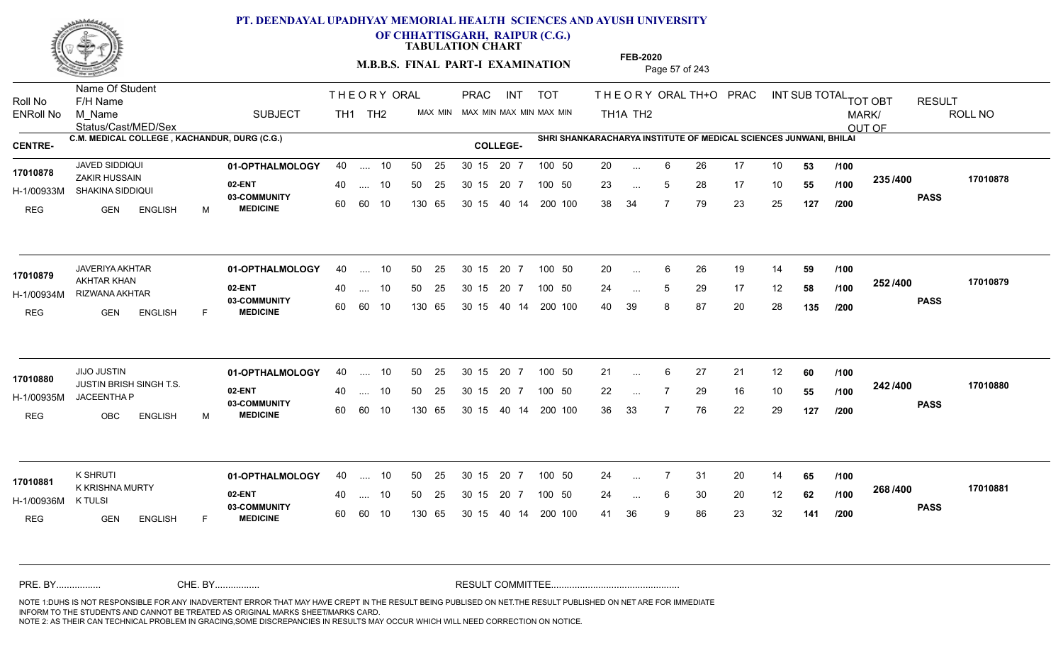

**OF CHHATTISGARH, RAIPUR (C.G.)**

**TABULATION CHART** 

**M.B.B.S. FINAL PART-I EXAMINATION** Page 57 of 243

Status/Cast/MED/Sex Name Of Student Roll No F/H Name M\_Name SUBJECT TH1 TH2 <sup>MAX\_MIN</sup> N PRAC INT TOT THEORY ORAL TH+O PRAC INT TH<sub>1</sub>A TH<sub>2</sub> ORAL TH+ODPRACD INT SUB TOTAL <sub>TOT OBT</sub> RESULT ROLL NO MARK/ OUT OF ENRoll No M Name  $\,$  SUBJECT TH1 TH2 MAX MIN MAX MIN MAX MIN MAX MIN TH1A TH2 **C.M. MEDICAL COLLEGE , KACHANDUR, DURG (C.G.) SHRI SHANKARACHARYA INSTITUTE OF MEDICAL SCIENCES JUNWANI, BHILAI CENTRE- COLLEGE-**THE ORY ORAL PRAC INT PRAC **01-OPTHALMOLOGY** JAVED SIDDIQUI 40 .... 10 30 15 20 7 **02-ENT** 03-COMMUNITY 60  **MEDICINE** H-1/00933M SHAKINA SIDDIQUI ZAKIR HUSSAIN **17010878** REG GEN ENGLISH M 20 6 26 17 10 **53** 23 ... 5 28 17 10 **55 /100 <sup>2007</sup> 700** 38 34 7 79 23 25 **127 235 PASS /400 17010878** 40 .... 10 50 25 30 15 60 60 10 130 65 30 15 40 14 200 100 20 7 100 50 50 25 30 15 20 7 100 50 20 ... ... ... 5 **/100 /100 /200 01-OPTHALMOLOGY** JAVERIYA AKHTAR 40 .... 10 30 15 20 7 **02-ENT** 03-COMMUNITY 60 **MEDICINE** 60 60 10 H-1/00934M RIZWANA AKHTAR AKHTAR KHAN REG GEN ENGLISH F 20 6 26 19 14 **59** 24 ... 5 29 17 12 **58 /100 <sup>2027</sup> 7** 40 39 8 87 20 28 **135 252 PASS /400 17010879** 40 .... 10 50 25 130 65 130 65 30 15 40 14 200 100 30 15 20 7 100 50 50 25 30 15 20 7 100 50 20 ... **17010879** JAVERIYA AKHTAR ... ... **/100 /100 /200 01-OPTHALMOLOGY** JIJO JUSTIN 40 .... 10 30 15 20 7 **02-ENT** 03-COMMUNITY 60 **MEDICINE** 60 60 10 H-1/00935M JACEENTHA P JUSTIN BRISH SINGH T.S. **17010880** REG OBC ENGLISH M 21 ... 6 27 21 12 **60** /**100** 22 7 29 16 10 **55** 36 33 7 76 22 29 **127 242 PASS /400 17010880** .... 10 50 25 130 65 30 15 20 7 130 65 30 15 30 15 20 7 100 50 40 14 200 100 50 25 30 15 20 7 100 50 21 ... 6 ... **/100 /100 /200 01-OPTHALMOLOGY** K SHRUTI 40 .... 10 30 15 20 7 **02-ENT** 03-COMMUNITY 60 **MEDICINE** 60 60 10 H-1/00936M K KRISHNA MURTY **17010881** K TULSI REG GEN ENGLISH F 24 7 31 20 14 **65** 24 ... 6 30 20 12 **62 /100 <sup>2007</sup> 100** 41 36 9 86 23 32 **141 268 PASS /400 17010881** 40 .... 10 50 25 130 65 130 65 30 15 30 15 20 7 100 50 40 14 200 100 50 25 30 15 20 7 100 50 24 ... ... ... **/100 /100 /200** NOTE 1:DUHS IS NOT RESPONSIBLE FOR ANY INADVERTENT ERROR THAT MAY HAVE CREPT IN THE RESULT BEING PUBLISED ON NET.THE RESULT PUBLISHED ON NET ARE FOR IMMEDIATE INFORM TO THE STUDENTS AND CANNOT BE TREATED AS ORIGINAL MARKS SHEET/MARKS CARD. CHE. BY WAREL BY WARE AND THE AVEC THE AVEC THE THE RESULT COMMITTEE AND MULTIME MOTE 1:DUHS IS NOT RESPONSIBLE FOR ANY INADVERTENT ERROR THAT MAY HAVE CREPT IN THE RESULT BEING PUBLISED ON NET.THE RESULT PUBLISHED ON NET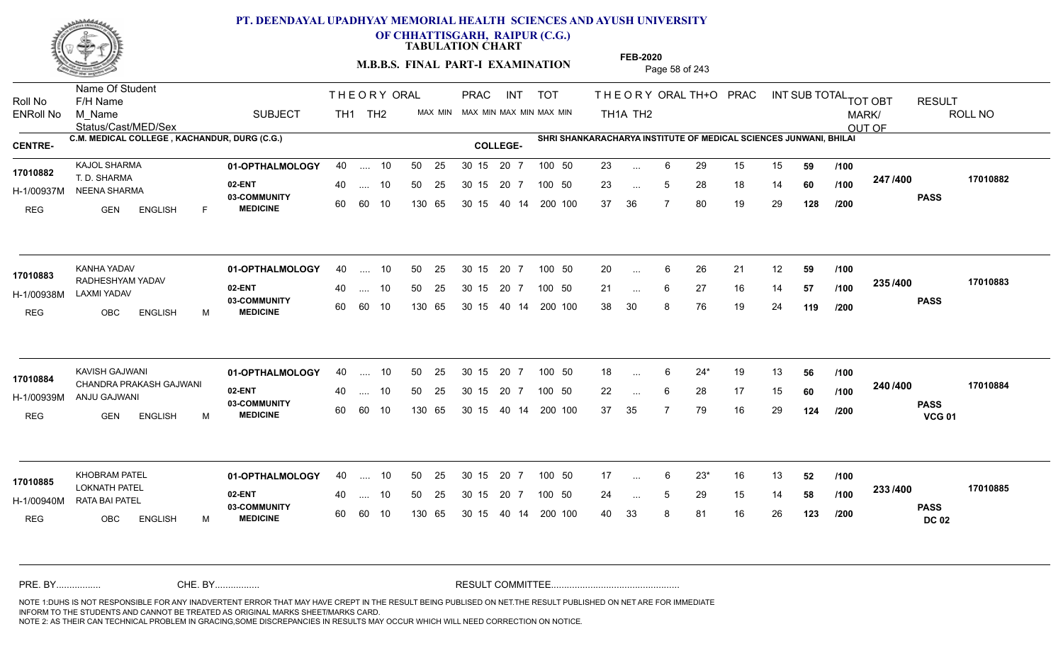

**OF CHHATTISGARH, RAIPUR (C.G.)**

**TABULATION CHART** 

**M.B.B.S. FINAL PART-I EXAMINATION** Page 58 of 243

Status/Cast/MED/Sex Name Of Student Roll No F/H Name M\_Name SUBJECT TH1 TH2 <sup>MAX\_MIN</sup> N PRAC INT TOT THEORY ORAL TH+O PRAC INT TH<sub>1</sub>A TH<sub>2</sub> ORAL TH+ODPRACD INT SUB TOTAL <sub>TOT OBT</sub> RESULT ROLL NO MARK/ OUT OF ENRoll No M Name  $\,$  SUBJECT TH1 TH2 MAX MIN MAX MIN MAX MIN MAX MIN TH1A TH2 **C.M. MEDICAL COLLEGE , KACHANDUR, DURG (C.G.) SHRI SHANKARACHARYA INSTITUTE OF MEDICAL SCIENCES JUNWANI, BHILAI CENTRE- COLLEGE-**THE ORY ORAL PRAC INT PRAC **01-OPTHALMOLOGY** KAJOL SHARMA 40 .... 10 30 15 20 7 **02-ENT** 03-COMMUNITY 60  **MEDICINE** H-1/00937M NEENA SHARMA 22 20 20 **17010882** T. D. SHARMA REG GEN ENGLISH F 23 ... 6 29 15 15 **59 /100** 23 ... 5 28 18 14 **60 /100 <sup>2477</sup> 1400** 37 36 7 80 19 29 **128 247 PASS /400 17010882** 40 .... 10 50 25 30 15 60 60 10 130 65 30 15 20 7 100 50 40 14 200 100 50 25 30 15 20 7 100 50 23 ... ... ... 5 **/100 /100 /200 01-OPTHALMOLOGY** KANHA YADAV 40 .... 10 30 15 20 7 **02-ENT** 03-COMMUNITY 60 **MEDICINE** 60 60 10 H-1/00938M LAXMI YADAV RADHESHYAM YADAV **17010883** REG OBC ENGLISH M 20 ... 6 26 21 12 **59 /100** 21 ... 6 27 16 14 **57 /100 <sup>2007</sup> +** 38 30 8 76 19 24 **119 235 PASS /400 17010883** 40 .... 10 50 25 130 65 130 65 30 15 40 14 200 100 30 15 20 7 100 50 50 25 30 15 20 7 100 50 20 ... ... ... 6 **/100 /100 /200 01-OPTHALMOLOGY** KAVISH GAJWANI 40 .... 10 30 15 20 7 **02-ENT** 03-COMMUNITY 60 **MEDICINE** 60 60 10 H-1/00939M ANJU GAJWANI CHANDRA PRAKASH GAJWANI **17010884** REG GEN ENGLISH M 18 6 24\* 19 13 **56** 22 ... 6 28 17 15 **60** /**100 <sup>2=07=00</sup>** 37 35 7 79 16 29 **124 240 PASS VCG 01 /400 17010884** .... 10 50 25 30 15 130 65 20 7 130 65 30 15 30 15 20 7 100 50 40 14 200 100 50 25 30 15 20 7 100 50 18 ... 6 ... ... 6 **/100 /100 /200 01-OPTHALMOLOGY** KHOBRAM PATEL 40 .... 10 30 15 20 7 **02-ENT** 03-COMMUNITY 60 **MEDICINE** 60 60 10 H-1/00940M RATA BAI PATEL LOKNATH PATEL **17010885** REG OBC ENGLISH M 17 6 23\* 16 13 **52** 24 ... 5 29 15 14 **58 /100 <sup>2007</sup> 1** 40 33 8 81 16 26 **123 233 PASS DC 02 /400 17010885** 40 .... 10 50 25 130 65 130 65 30 15 30 15 20 7 100 50 40 14 200 100 50 25 30 15 20 7 100 50 17 ... ... ... **/100 /100 /200** NOTE 1:DUHS IS NOT RESPONSIBLE FOR ANY INADVERTENT ERROR THAT MAY HAVE CREPT IN THE RESULT BEING PUBLISED ON NET.THE RESULT PUBLISHED ON NET ARE FOR IMMEDIATE INFORM TO THE STUDENTS AND CANNOT BE TREATED AS ORIGINAL MARKS SHEET/MARKS CARD. CHE. BY WAREL BY WARE AND THE AVEC THE AVEC THE THE RESULT COMMITTEE AND MULTIME MOTE 1:DUHS IS NOT RESPONSIBLE FOR ANY INADVERTENT ERROR THAT MAY HAVE CREPT IN THE RESULT BEING PUBLISED ON NET.THE RESULT PUBLISHED ON NET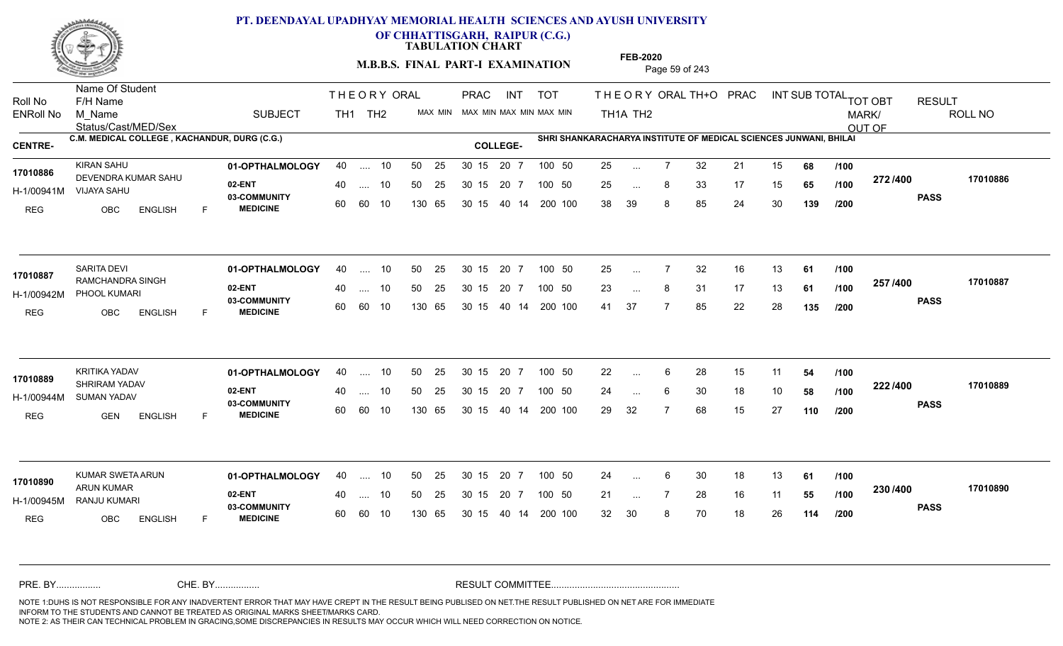

**OF CHHATTISGARH, RAIPUR (C.G.)**

**TABULATION CHART** 

**M.B.B.S. FINAL PART-I EXAMINATION** Page 59 of 243

Status/Cast/MED/Sex Name Of Student Roll No F/H Name M\_Name SUBJECT TH1 TH2 <sup>MAX\_MIN</sup> N PRAC INT TOT THEORY ORAL TH+O PRAC INT TH<sub>1</sub>A TH<sub>2</sub> ORAL TH+ODPRACD INT SUB TOTAL <sub>TOT OBT</sub> RESULT ROLL NO MARK/ OUT OF ENRoll No M Name  $\,$  SUBJECT TH1 TH2 MAX MIN MAX MIN MAX MIN MAX MIN TH1A TH2 **C.M. MEDICAL COLLEGE , KACHANDUR, DURG (C.G.) SHRI SHANKARACHARYA INSTITUTE OF MEDICAL SCIENCES JUNWANI, BHILAI CENTRE- COLLEGE-**THE ORY ORAL PRAC INT PRAC **01-OPTHALMOLOGY** KIRAN SAHU 40 .... 10 30 15 20 7 **02-ENT** 03-COMMUNITY 60  **MEDICINE** H-1/00941M VIJAYA SAHU 17010886 DEVENDRA KUMAR SAHU REG OBC ENGLISH F 25 7 32 21 15 **68** 25 ... 8 33 17 15 **65 /100 <sup>212/400</sup>** 38 39 8 85 24 30 **139 272 PASS /400 17010886** 40 .... 10 50 25 30 15 60 60 10 130 65 30 15 40 14 200 100 20 7 100 50 50 25 30 15 20 7 100 50 25 ... ... ... **/100 /100 /200 01-OPTHALMOLOGY** SARITA DEVI 40 .... 10 30 15 20 7 **02-ENT** 03-COMMUNITY 60 **MEDICINE** 60 60 10 H-1/00942M PHOOL KUMARI 17010887 RAMCHANDRA SINGH REG OBC ENGLISH F 25 7 32 16 13 **61** 23 ... 8 31 17 13 **61 /100 <sup>201 /</sup>\***00 41 37 7 85 22 28 **135 257 PASS /400 17010887** 40 .... 10 50 25 130 65 130 65 30 15 40 14 200 100 30 15 20 7 100 50 50 25 30 15 20 7 100 50 25 ... ... ... **/100 /100 /200 01-OPTHALMOLOGY** KRITIKA YADAV 40 .... 10 30 15 20 7 **02-ENT** 03-COMMUNITY 60 **MEDICINE** 60 60 10 H-1/00944M SUMAN YADAV SHRIRAM YADAV **17010889** REG GEN ENGLISH F 22 ... 6 28 15 11 **54 /100** 24 ... 6 30 18 10 **58 /100 <sup>222 / 4</sup>00** 29 32 7 68 15 27 **110 222 PASS /400 17010889** .... 10 50 25 30 15 130 65 20 7 130 65 30 15 30 15 20 7 100 50 40 14 200 100 50 25 30 15 20 7 100 50 22 ... 6 ... ... 6 **/100 /100 /200 01-OPTHALMOLOGY** KUMAR SWETA ARUN 40 .... 10 30 15 20 7 **02-ENT** 03-COMMUNITY 60 **MEDICINE** 60 60 10 H-1/00945M RANJU KUMARI ARUN KUMAR **17010890** REG OBC ENGLISH F 24 ... 6 30 18 13 **61 /100** 21 ... 7 28 16 11 **55 /100 <sup>2307+00</sup>** 32 30 8 70 18 26 **114 230 PASS /400 17010890** 40 .... 10 50 25 130 65 130 65 30 15 30 15 20 7 100 50 40 14 200 100 50 25 30 15 20 7 100 50 24 ... ... ... **/100 /100 /200** NOTE 1:DUHS IS NOT RESPONSIBLE FOR ANY INADVERTENT ERROR THAT MAY HAVE CREPT IN THE RESULT BEING PUBLISED ON NET.THE RESULT PUBLISHED ON NET ARE FOR IMMEDIATE INFORM TO THE STUDENTS AND CANNOT BE TREATED AS ORIGINAL MARKS SHEET/MARKS CARD. CHE. BY WAREL BY WARE AND THE AVEC THE AVEC THE THE RESULT COMMITTEE AND MULTIME MOTE 1:DUHS IS NOT RESPONSIBLE FOR ANY INADVERTENT ERROR THAT MAY HAVE CREPT IN THE RESULT BEING PUBLISED ON NET.THE RESULT PUBLISHED ON NET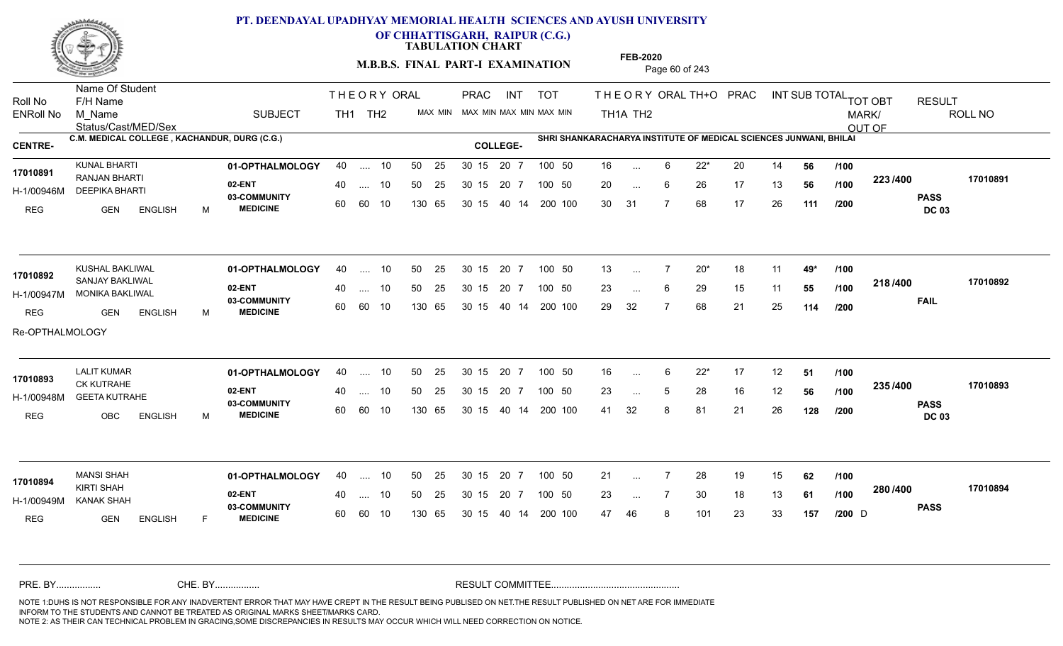

**OF CHHATTISGARH, RAIPUR (C.G.)**

**TABULATION CHART** 

**M.B.B.S. FINAL PART-I EXAMINATION** Page 60 of 243

Status/Cast/MED/Sex Name Of Student Roll No F/H Name M\_Name SUBJECT TH1 TH2 <sup>MAX\_MIN</sup> N PRAC INT TOT THEORY ORAL TH+O PRAC INT TH<sub>1</sub>A TH<sub>2</sub> ORAL TH+ODPRACD INT SUB TOTAL <sub>TOT OBT</sub> RESULT ROLL NO MARK/ OUT OF ENRoll No M Name  $\,$  SUBJECT TH1 TH2 MAX MIN MAX MIN MAX MIN MAX MIN TH1A TH2 **C.M. MEDICAL COLLEGE , KACHANDUR, DURG (C.G.) SHRI SHANKARACHARYA INSTITUTE OF MEDICAL SCIENCES JUNWANI, BHILAI CENTRE- COLLEGE-**THE ORY ORAL PRAC INT PRAC **01-OPTHALMOLOGY** KUNAL BHARTI 40 .... 10 30 15 20 7 **02-ENT** 03-COMMUNITY 60  **MEDICINE** H-1/00946M DEEPIKA BHARTI RANJAN BHARTI **17010891** REG GEN ENGLISH M 16 6 22\* 20 14 **56** 20 ... 6 26 17 13 **56 /100 <sup>223</sup>/+00** 30 31 7 68 17 26 **111 223 PASS DC 03 /400 17010891** 40 .... 10 50 25 30 15 60 60 10 130 65 30 15 20 7 100 50 40 14 200 100 50 25 30 15 20 7 100 50 16 ... ... ... 6 **/100 /100 /200 01-OPTHALMOLOGY** KUSHAL BAKLIWAL 40 .... 10 30 15 20 7 **02-ENT** 03-COMMUNITY 60 **MEDICINE** 60 60 10 H-1/00947M MONIKA BAKLIWAL 17010892 **SANJAY BAKLIWAL** REG GEN ENGLISH M 13 7 20\* 18 11 **49\*** 23 ... 6 29 15 11 **55 /100 <sup>2107–00</sup>** 29 32 7 68 21 25 **114 218 FAIL 17010892 /400** Re-OPTHALMOLOGY 40 .... 10 50 25 130 65 130 65 30 15 40 14 200 100 30 15 20 7 100 50 50 25 30 15 20 7 100 50 13 ... ... ... **/100 /100 /200 01-OPTHALMOLOGY** LALIT KUMAR 40 .... 10 30 15 20 7 **02-ENT** 03-COMMUNITY 60 **MEDICINE** 60 60 10 H-1/00948M GEETA KUTRAHE CK KUTRAHE REG OBC ENGLISH M 16 6 22\* 17 12 **51** 23 ... 5 28 16 12 **56 /100 <sup>2007</sup> 100** 41 32 8 81 21 26 **128 235 PASS DC 03 /400 17010893** .... 10 50 25 30 15 130 65 20 7 130 65 30 15 30 15 20 7 100 50 40 14 200 100 50 25 30 15 20 7 100 50 16 ... 6 **17010893** LALIT KUMAR ... ... 5 **/100 /100 /200 01-OPTHALMOLOGY** MANSI SHAH 40 .... 10 30 15 20 7 **02-ENT** 03-COMMUNITY 60 **MEDICINE** 60 60 10 H-1/00949M KANAK SHAH KIRTI SHAH REG GEN ENGLISH F 21 7 28 19 15 **62** 23 ... 7 30 18 13 **61 /100 <sup>2007–00</sup>** 47 46 8 101 23 33 **157 280 PASS /400 17010894** 40 .... 10 50 25 130 65 130 65 30 15 30 15 20 7 100 50 40 14 200 100 50 25 30 15 20 7 100 50 21 ...  $D \qquad \qquad \text{and}$ **17010894** MANSI SHAH ... ... **/100 /100 /200** NOTE 1:DUHS IS NOT RESPONSIBLE FOR ANY INADVERTENT ERROR THAT MAY HAVE CREPT IN THE RESULT BEING PUBLISED ON NET.THE RESULT PUBLISHED ON NET ARE FOR IMMEDIATE INFORM TO THE STUDENTS AND CANNOT BE TREATED AS ORIGINAL MARKS SHEET/MARKS CARD. CHE. BY WAREL BY WARE AND THE AVEC THE AVEC THE THE RESULT COMMITTEE AND MULTIME MOTE 1:DUHS IS NOT RESPONSIBLE FOR ANY INADVERTENT ERROR THAT MAY HAVE CREPT IN THE RESULT BEING PUBLISED ON NET.THE RESULT PUBLISHED ON NET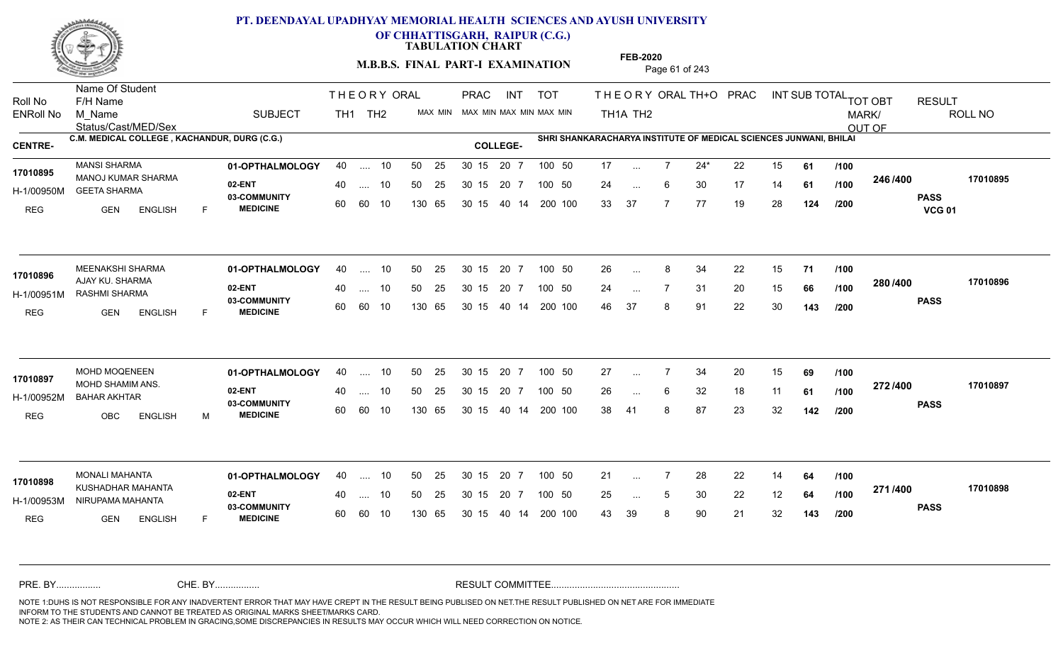

**OF CHHATTISGARH, RAIPUR (C.G.)**

**TABULATION CHART** 

**FEB-2020**

**M.B.B.S. FINAL PART-I EXAMINATION** Page 61 of 243

Status/Cast/MED/Sex Name Of Student Roll No F/H Name M\_Name SUBJECT TH1 TH2 <sup>MAX\_MIN</sup> N PRAC INT TOT THEORY ORAL TH+O PRAC INT TH<sub>1</sub>A TH<sub>2</sub> ORAL TH+ODPRACD INT SUB TOTAL <sub>TOT OBT</sub> RESULT ROLL NO MARK/ OUT OF ENRoll No M Name  $\,$  SUBJECT TH1 TH2 MAX MIN MAX MIN MAX MIN MAX MIN TH1A TH2 **C.M. MEDICAL COLLEGE , KACHANDUR, DURG (C.G.) SHRI SHANKARACHARYA INSTITUTE OF MEDICAL SCIENCES JUNWANI, BHILAI CENTRE- COLLEGE-**THE ORY ORAL PRAC INT PRAC **01-OPTHALMOLOGY** MANSI SHARMA 40 .... 10 30 15 20 7 **02-ENT** 03-COMMUNITY 60  **MEDICINE** H-1/00950M GEETA SHARMA MANOJ KUMAR SHARMA **17010895** REG GEN ENGLISH F 17 7 24\* 22 15 **61** 24 ... 6 30 17 14 **61 /100 <sup>2467466</sup>** 33 37 7 77 19 28 **124 246 PASS VCG 01 /400 17010895** 40 .... 10 50 25 30 15 60 60 10 130 65 30 15 40 14 200 100 20 7 100 50 50 25 30 15 20 7 100 50 17 ... ... ... 6 **/100 /100 /200 01-OPTHALMOLOGY** MEENAKSHI SHARMA 40 .... 10 30 15 20 7 **02-ENT** 03-COMMUNITY 60 **MEDICINE** 60 60 10 H-1/00951M RASHMI SHARMA 17010896 **AJAY KU. SHARMA** REG GEN ENGLISH F 26 8 34 22 15 **71** 24 ... 7 31 20 15 **66 /100 <sup>2007–00</sup>** 46 37 8 91 22 30 **143 280 PASS /400 17010896** 40 .... 10 50 25 130 65 130 65 30 15 40 14 200 100 30 15 20 7 100 50 50 25 30 15 20 7 100 50 26 ... 8 ... ... **/100 /100 /200 01-OPTHALMOLOGY** MOHD MOQENEEN 40 .... 10 30 15 20 7 **02-ENT** 03-COMMUNITY 60  **MEDICINE** H-1/00952M BAHAR AKHTAR 17010897 MOHD SHAMIM ANS. REG OBC ENGLISH M 27 7 34 20 15 **69** 26 ... 6 32 18 11 **61 /100 <sup>212/+00</sup>** 38 41 8 87 23 32 **142 272 PASS /400 17010897** .... 10 50 25 30 15 60 60 10 20 7 130 65 30 15 30 15 20 7 100 50 40 14 200 100 50 25 30 15 20 7 100 50 27 ... 7 ... ... **/100 /100 /200 01-OPTHALMOLOGY** MONALI MAHANTA 40 .... 10 30 15 20 7 **02-ENT** 03-COMMUNITY 60 **MEDICINE** 60 60 10 H-1/00953M NIRUPAMA MAHANTA KUSHADHAR MAHANTA **17010898** REG **GEN ENGLISH** F 21 7 28 22 14 **64** 25 ... 5 30 22 12 **64 /100 <del>1111</del>** 43 39 8 90 21 32 **143 271 PASS /400 17010898** 40 .... 10 50 25 130 65 130 65 30 15 30 15 20 7 100 50 40 14 200 100 50 25 30 15 20 7 100 50 21 ... ... ... 5 **/100 /100 /200** NOTE 1:DUHS IS NOT RESPONSIBLE FOR ANY INADVERTENT ERROR THAT MAY HAVE CREPT IN THE RESULT BEING PUBLISED ON NET.THE RESULT PUBLISHED ON NET ARE FOR IMMEDIATE INFORM TO THE STUDENTS AND CANNOT BE TREATED AS ORIGINAL MARKS SHEET/MARKS CARD. CHE. BY WAREL BY WARE AND THE AVEC THE AVEC THE THE RESULT COMMITTEE AND MULTIME MOTE 1:DUHS IS NOT RESPONSIBLE FOR ANY INADVERTENT ERROR THAT MAY HAVE CREPT IN THE RESULT BEING PUBLISED ON NET.THE RESULT PUBLISHED ON NET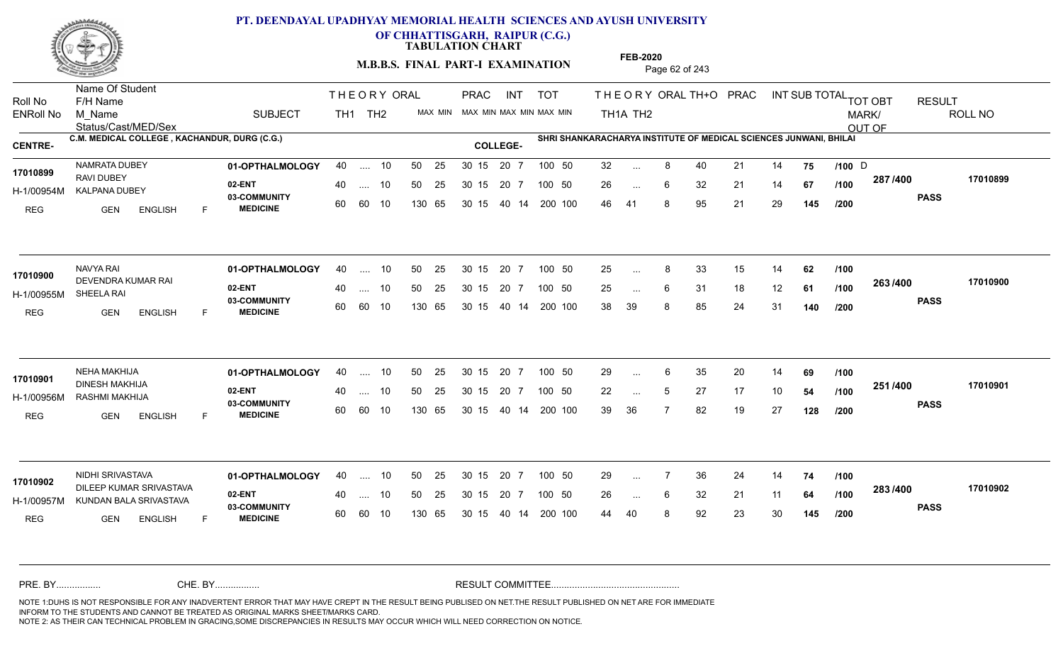

**OF CHHATTISGARH, RAIPUR (C.G.)**

**TABULATION CHART** 

**M.B.B.S. FINAL PART-I EXAMINATION** Page 62 of 243

Status/Cast/MED/Sex Name Of Student Roll No F/H Name M\_Name SUBJECT TH1 TH2 <sup>MAX\_MIN</sup> N PRAC INT TOT THEORY ORAL TH+O PRAC INT TH<sub>1</sub>A TH<sub>2</sub> ORAL TH+ODPRACD INT SUB TOTAL <sub>TOT OBT</sub> RESULT ROLL NO MARK/ OUT OF ENRoll No M Name  $\,$  SUBJECT TH1 TH2 MAX MIN MAX MIN MAX MIN MAX MIN TH1A TH2 **C.M. MEDICAL COLLEGE , KACHANDUR, DURG (C.G.) SHRI SHANKARACHARYA INSTITUTE OF MEDICAL SCIENCES JUNWANI, BHILAI CENTRE- COLLEGE-**THE ORY ORAL PRAC INT PRAC **01-OPTHALMOLOGY** NAMRATA DUBEY 40 .... 10 30 15 20 7 **02-ENT** 03-COMMUNITY 60  **MEDICINE** H-1/00954M KALPANA DUBEY RAVI DUBEY REG **GEN ENGLISH** F 32 ... 8 40 21 14 **75 /100** D 26 6 32 21 14 **67** 46 41 8 95 21 29 **145 287 PASS /400 17010899** 40 .... 10 50 25 30 15 60 60 10 130 65 30 15 20 7 100 50 40 14 200 100 50 25 30 15 20 7 100 50 32 ... 8 40 21 14 **75 /100** D **17010899** NAMRATA DUBEY ... 8 ... 6 **/100 /100 /200 01-OPTHALMOLOGY** NAVYA RAI 40 .... 10 30 15 20 7 **02-ENT** 03-COMMUNITY 60 **MEDICINE** 60 60 10 H-1/00955M SHEELA RAI DEVENDRA KUMAR RAI **17010900** REG GEN ENGLISH F 25 ... 8 33 15 14 **62** /**100** 25 ... 6 31 18 12 **61 /100 <sup>2007</sup> 700** 38 39 8 85 24 31 **140 263 PASS /400 17010900** 40 .... 10 50 25 130 65 130 65 30 15 40 14 200 100 30 15 20 7 100 50 50 25 30 15 20 7 100 50 25 ... 8 ...  $\overline{\phantom{a}}$ . 6 **/100 /100 /200 01-OPTHALMOLOGY** NEHA MAKHIJA 40 .... 10 30 15 20 7 **02-ENT** 03-COMMUNITY 60 **MEDICINE** 60 60 10 H-1/00956M RASHMI MAKHIJA DINESH MAKHIJA **17010901** REG GEN ENGLISH F 29 ... 6 35 20 14 **69 /100** 22 ... 5 27 17 10 **54 /100 <sup>231</sup>/\*\*** 39 36 7 82 19 27 **128 251 PASS /400 17010901** .... 10 50 25 30 15 130 65 20 7 130 65 30 15 30 15 20 7 100 50 40 14 200 100 50 25 30 15 20 7 100 50 29 ... 6 ... ... **/100 /100 /200 01-OPTHALMOLOGY** NIDHI SRIVASTAVA 40 .... 10 30 15 20 7 **02-ENT** 03-COMMUNITY 60 **MEDICINE** 60 60 10 H-1/00957M KUNDAN BALA SRIVASTAVA DILEEP KUMAR SRIVASTAVA **17010902** REG GEN ENGLISH F 29 ... 7 36 24 14 **74 /100** 26 ... 6 32 21 11 **64 /100 <sup>2007</sup> +** 44 40 8 92 23 30 **145 283 PASS /400 17010902** 40 .... 10 50 25 130 65 130 65 30 15 30 15 20 7 100 50 40 14 200 100 50 25 30 15 20 7 100 50 29 ... ... ... 6 **/100 /100 /200** NOTE 1:DUHS IS NOT RESPONSIBLE FOR ANY INADVERTENT ERROR THAT MAY HAVE CREPT IN THE RESULT BEING PUBLISED ON NET.THE RESULT PUBLISHED ON NET ARE FOR IMMEDIATE INFORM TO THE STUDENTS AND CANNOT BE TREATED AS ORIGINAL MARKS SHEET/MARKS CARD. CHE. BY WAREL BY WARE AND THE AVEC THE AVEC THE THE RESULT COMMITTEE AND MULTIME MOTE 1:DUHS IS NOT RESPONSIBLE FOR ANY INADVERTENT ERROR THAT MAY HAVE CREPT IN THE RESULT BEING PUBLISED ON NET.THE RESULT PUBLISHED ON NET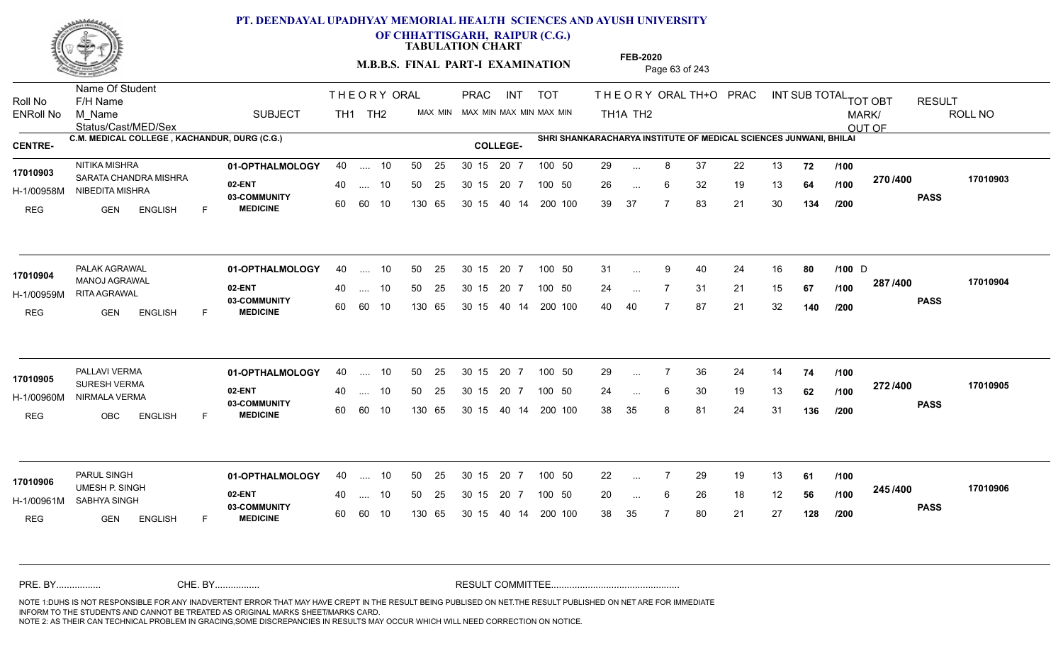

**OF CHHATTISGARH, RAIPUR (C.G.)**

**TABULATION CHART** 

**M.B.B.S. FINAL PART-I EXAMINATION** Page 63 of 243

Status/Cast/MED/Sex Name Of Student Roll No F/H Name M\_Name SUBJECT TH1 TH2 <sup>MAX\_MIN</sup> N PRAC INT TOT THEORY ORAL TH+O PRAC INT TH<sub>1</sub>A TH<sub>2</sub> ORAL TH+ODPRACD INT SUB TOTAL <sub>TOT OBT</sub> RESULT ROLL NO MARK/ OUT OF ENRoll No M Name  $\,$  SUBJECT TH1 TH2 MAX MIN MAX MIN MAX MIN MAX MIN TH1A TH2 **C.M. MEDICAL COLLEGE , KACHANDUR, DURG (C.G.) SHRI SHANKARACHARYA INSTITUTE OF MEDICAL SCIENCES JUNWANI, BHILAI CENTRE- COLLEGE-**THE ORY ORAL PRAC INT PRAC **01-OPTHALMOLOGY** NITIKA MISHRA 40 .... 10 30 15 20 7 **02-ENT** 03-COMMUNITY 60  **MEDICINE** H-1/00958M NIBEDITA MISHRA **ANG TAN-** 22 H 17010903 **SARATA CHANDRA MISHRA** REG GEN ENGLISH F 29 ... 8 37 22 13 **72 /100** 26 ... 6 32 19 13 **64 /100 <sup>21 01</sup> 40** 39 37 7 83 21 30 **134 270 PASS /400 17010903** 40 .... 10 50 25 30 15 60 60 10 130 65 30 15 20 7 100 50 40 14 200 100 50 25 30 15 20 7 100 50 29 ... ... ... 6 **/100 /100 /200 01-OPTHALMOLOGY** PALAK AGRAWAL 40 .... 10 30 15 20 7 **02-ENT** 03-COMMUNITY 60 **MEDICINE** 60 60 10 H-1/00959M RITA AGRAWAL MANOJ AGRAWAL **17010904** REG GEN ENGLISH F 31 9 40 24 16 **80 /100** 24 7 31 21 15 **67** 40 40 7 87 21 32 **140 287 PASS /400 17010904** 40 .... 10 50 25 130 65 130 65 30 15 40 14 200 100 30 15 20 7 100 50 50 25 30 15 20 7 100 50 31 ... 9 40 24 16 **80 /100** D ... 9 ... **/100 /200 01-OPTHALMOLOGY** PALLAVI VERMA 40 .... 10 30 15 20 7 **02-ENT** 03-COMMUNITY 60 **MEDICINE** 60 60 10 H-1/00960M NIRMALA VERMA **17010905** SURESH VERMA REG OBC ENGLISH F 29 ... 7 36 24 14 **74 /100** 24 ... 6 30 19 13 **62 /100 <sup>212/+00</sup>** 38 35 8 81 24 31 **136 272 PASS /400 17010905** .... 10 50 25 30 15 130 65 20 7 130 65 30 15 30 15 20 7 100 50 40 14 200 100 50 25 30 15 20 7 100 50 29 ... 7 ... ... **/100 /100 /200 01-OPTHALMOLOGY** PARUL SINGH 40 .... 10 30 15 20 7 **02-ENT** 03-COMMUNITY 60 **MEDICINE** 60 60 10 H-1/00961M SABHYA SINGH 17010906 UMESH P. SINGH **17010906** REG GEN ENGLISH F 22 7 29 19 13 **61** 20 ... 6 26 18 12 **56 /100 <sup>2-+</sup>21<sup>-+00</sup>** 38 35 7 80 21 27 **128 245 PASS /400 17010906** 40 .... 10 50 25 130 65 130 65 30 15 30 15 20 7 100 50 40 14 200 100 50 25 30 15 20 7 100 50 22 ... ... ... 6 **/100 /100 /200** NOTE 1:DUHS IS NOT RESPONSIBLE FOR ANY INADVERTENT ERROR THAT MAY HAVE CREPT IN THE RESULT BEING PUBLISED ON NET.THE RESULT PUBLISHED ON NET ARE FOR IMMEDIATE INFORM TO THE STUDENTS AND CANNOT BE TREATED AS ORIGINAL MARKS SHEET/MARKS CARD. CHE. BY WAREL BY WARE AND THE AVEC THE AVEC THE THE RESULT COMMITTEE AND MULTIME MOTE 1:DUHS IS NOT RESPONSIBLE FOR ANY INADVERTENT ERROR THAT MAY HAVE CREPT IN THE RESULT BEING PUBLISED ON NET.THE RESULT PUBLISHED ON NET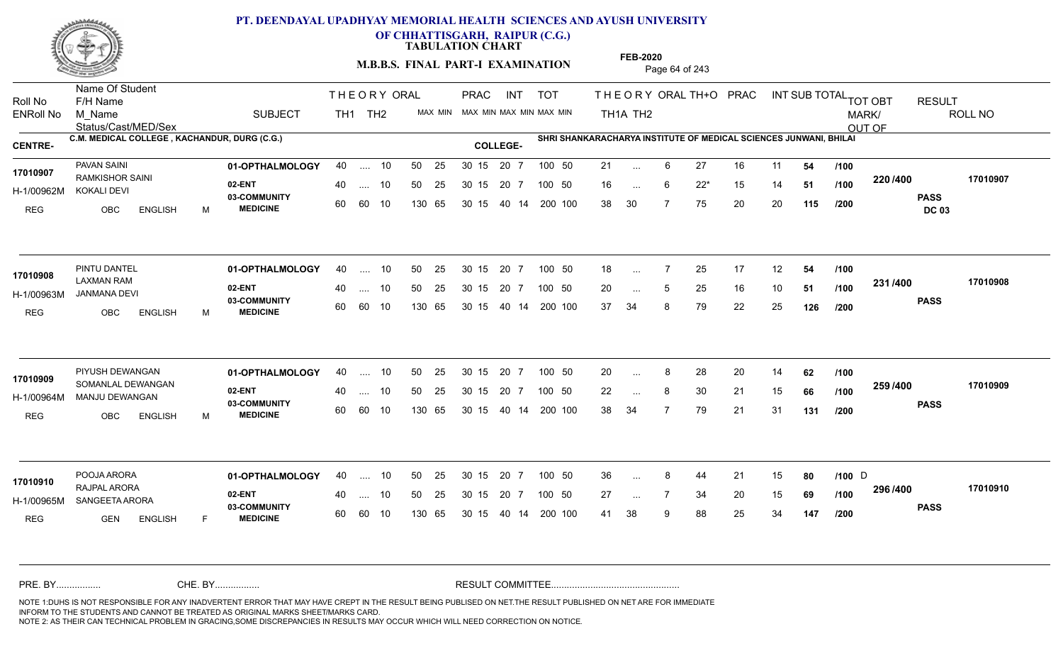

**OF CHHATTISGARH, RAIPUR (C.G.)**

**TABULATION CHART** 

**M.B.B.S. FINAL PART-I EXAMINATION** Page 64 of 243

Status/Cast/MED/Sex Name Of Student Roll No F/H Name M\_Name SUBJECT TH1 TH2 <sup>MAX\_MIN</sup> N PRAC INT TOT THEORY ORAL TH+O PRAC INT TH<sub>1</sub>A TH<sub>2</sub> ORAL TH+ODPRACD INT SUB TOTAL <sub>TOT OBT</sub> RESULT ROLL NO MARK/ OUT OF ENRoll No M Name  $\,$  SUBJECT TH1 TH2 MAX MIN MAX MIN MAX MIN MAX MIN TH1A TH2 **C.M. MEDICAL COLLEGE , KACHANDUR, DURG (C.G.) SHRI SHANKARACHARYA INSTITUTE OF MEDICAL SCIENCES JUNWANI, BHILAI CENTRE- COLLEGE-**THE ORY ORAL PRAC INT PRAC **01-OPTHALMOLOGY** PAVAN SAINI 40 .... 10 30 15 20 7 **02-ENT** 03-COMMUNITY 60  **MEDICINE** H-1/00962M KOKALI DEVI 17010907 RAMKISHOR SAINI REG OBC ENGLISH M 21 ... 6 27 16 11 **54 /100** 16 ... 6 22<sup>\*</sup> 15 14 **51 /100 <sup>220</sup>/+00** 38 30 7 75 20 20 **115 220 PASS DC 03 /400 17010907** 40 .... 10 50 25 30 15 60 60 10 130 65 30 15 40 14 200 100 20 7 100 50 50 25 30 15 20 7 100 50 21 ... ... ... 6 **/100 /100 /200 01-OPTHALMOLOGY** PINTU DANTEL 40 .... 10 30 15 20 7 **02-ENT** 03-COMMUNITY 60 **MEDICINE** 60 60 10 H-1/00963M JANMANA DEVI LAXMAN RAM REG OBC ENGLISH M 18 ... 7 25 17 12 **54 /100** 20 ... 5 25 16 10 **51 /100 <sup>2017</sup> 700** 37 34 8 79 22 25 **126 231 PASS /400 17010908** 40 .... 10 50 25 130 65 130 65 30 15 40 14 200 100 30 15 20 7 100 50 50 25 30 15 20 7 100 50 18 ... **17010908** PINTU DANTEL ... ... 5 **/100 /100 /200 01-OPTHALMOLOGY** PIYUSH DEWANGAN 40 .... 10 30 15 20 7 **02-ENT** 03-COMMUNITY 60 **MEDICINE** 60 60 10 H-1/00964M MANJU DEWANGAN 17010909 SOMANLAL DEWANGAN REG OBC ENGLISH M 20 8 28 20 14 **62** 22 ... 8 30 21 15 **66** /**100 <sup>2007</sup> 700** 38 34 7 79 21 31 **131 259 PASS /400 17010909** .... 10 50 25 30 15 130 65 20 7 130 65 30 15 30 15 20 7 100 50 40 14 200 100 50 25 30 15 20 7 100 50 20 ... 8 ... ... **/100 /100 /200 01-OPTHALMOLOGY** POOJA ARORA 40 .... 10 30 15 20 7 **02-ENT** 03-COMMUNITY 60 **MEDICINE** 60 60 10 H-1/00965M SANGEETA ARORA 22 P.O. 2004 RAJPAL ARORA **17010910** REG **GEN ENGLISH** F 36 ... 8 44 21 15 **80 /100** D 27 ... 7 34 20 15 **69 /100 <sup>2307–00</sup>** 41 38 9 88 25 34 **147 296 PASS /400 17010910** 40 .... 10 50 25 130 65 130 65 30 15 30 15 20 7 100 50 40 14 200 100 50 25 30 15 20 7 100 50 36 ... 8 44 21 15 **80** /**100** D ... ... **/100 /200** NOTE 1:DUHS IS NOT RESPONSIBLE FOR ANY INADVERTENT ERROR THAT MAY HAVE CREPT IN THE RESULT BEING PUBLISED ON NET.THE RESULT PUBLISHED ON NET ARE FOR IMMEDIATE INFORM TO THE STUDENTS AND CANNOT BE TREATED AS ORIGINAL MARKS SHEET/MARKS CARD. CHE. BY WAREL BY WARE AND THE AVEC THE AVEC THE THE RESULT COMMITTEE AND MULTIME MOTE 1:DUHS IS NOT RESPONSIBLE FOR ANY INADVERTENT ERROR THAT MAY HAVE CREPT IN THE RESULT BEING PUBLISED ON NET.THE RESULT PUBLISHED ON NET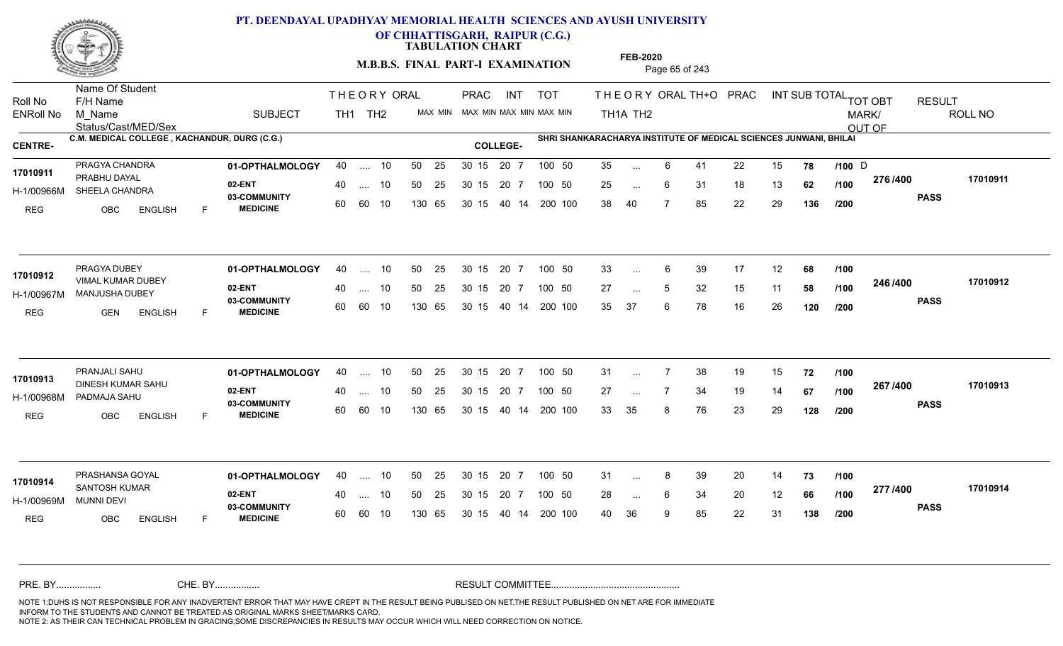

**OF CHHATTISGARH, RAIPUR (C.G.)**

**TABULATION CHART** 

**M.B.B.S. FINAL PART-I EXAMINATION** Page 65 of 243

Status/Cast/MED/Sex Name Of Student Roll No F/H Name M\_Name SUBJECT TH1 TH2 <sup>MAX\_MIN</sup> N PRAC INT TOT THEORY ORAL TH+O PRAC INT TH<sub>1</sub>A TH<sub>2</sub> ORAL TH+ODPRACD INT SUB TOTAL <sub>TOT OBT</sub> RESULT ROLL NO MARK/ OUT OF ENRoll No M Name  $\,$  SUBJECT TH1 TH2 MAX MIN MAX MIN MAX MIN MAX MIN TH1A TH2 **C.M. MEDICAL COLLEGE , KACHANDUR, DURG (C.G.) SHRI SHANKARACHARYA INSTITUTE OF MEDICAL SCIENCES JUNWANI, BHILAI CENTRE- COLLEGE-**THE ORY ORAL PRAC INT PRAC **01-OPTHALMOLOGY** PRAGYA CHANDRA 40 .... 10 30 15 20 7 **02-ENT** 03-COMMUNITY 60  **MEDICINE** H-1/00966M SHEELA CHANDRA CHANDRA **17010911** PRABHU DAYAL REG OBC ENGLISH F 35 ... 6 41 22 15 **78 /100** D 25 ... 6 31 18 13 **62 /100 <sup>21 01</sup> 700** 38 40 7 85 22 29 **136 276 PASS /400 17010911** .... 10 50 25 60 60 10 50 25 30 15 130 65 30 15 40 14 200 100 20 7 100 50 50 25 30 15 20 7 100 50 35 ... 6 41 22 15 **78 /100** D ... 6 ... 6 **/100 /100 /200 01-OPTHALMOLOGY** PRAGYA DUBEY 40 .... 10 30 15 20 7 **02-ENT** 03-COMMUNITY 60 **MEDICINE** 60 60 10 H-1/00967M MANJUSHA DUBEY 17010912 VIMAL KUMAR DUBEY<br>
WIMAL KUMAR DUBEY REG GEN ENGLISH F 33 6 39 17 12 **68** 27 ... 5 32 15 11 **58 /100 <sup>2407400</sup>** 35 37 6 78 16 26 **120 246 PASS /400 17010912** .... 10 50 25 130 65 30 15 20 7 130 65 30 15 40 14 200 100 30 15 20 7 100 50 50 25 30 15 20 7 100 50 33 ... ... ... **/100 /100 /200 01-OPTHALMOLOGY** PRANJALI SAHU 40 .... 10 30 15 20 7 **02-ENT** 03-COMMUNITY 60  **MEDICINE** H-1/00968M PADMAJA SAHU DINESH KUMAR SAHU **17010913** REG OBC ENGLISH F 31 7 38 19 15 **72** 27 7 34 19 14 **67** 33 35 8 76 23 29 **128 267 PASS /400 17010913** .... 10 50 25 30 15 60 60 10 20 7 130 65 30 15 30 15 20 7 100 50 40 14 200 100 50 25 30 15 20 7 100 50 31 ... 7 ... ... **/100 /100 /200 01-OPTHALMOLOGY** PRASHANSA GOYAL 40 .... 10 30 15 20 7 **02-ENT** 03-COMMUNITY 60 **MEDICINE** 60 60 10 H-1/00969M 17010914 SANTOSH KUMAR **17010914** MUNNI DEVI REG OBC ENGLISH F 31 ... 8 39 20 14 **73 /100** 28 ... 6 34 20 12 **66 /100 <del>111</del>00** 40 36 9 85 22 31 **138 277 PASS /400 17010914** 40 .... 10 50 25 130 65 130 65 30 15 30 15 20 7 100 50 40 14 200 100 50 25 30 15 20 7 100 50 31 ... 8 ... ... 6 **/100 /100 /200** NOTE 1:DUHS IS NOT RESPONSIBLE FOR ANY INADVERTENT ERROR THAT MAY HAVE CREPT IN THE RESULT BEING PUBLISED ON NET.THE RESULT PUBLISHED ON NET ARE FOR IMMEDIATE INFORM TO THE STUDENTS AND CANNOT BE TREATED AS ORIGINAL MARKS SHEET/MARKS CARD. CHE. BY WAREL BY WARE AND THE AVEC THE AVEC THE THE RESULT COMMITTEE AND MULTIME MOTE 1:DUHS IS NOT RESPONSIBLE FOR ANY INADVERTENT ERROR THAT MAY HAVE CREPT IN THE RESULT BEING PUBLISED ON NET.THE RESULT PUBLISHED ON NET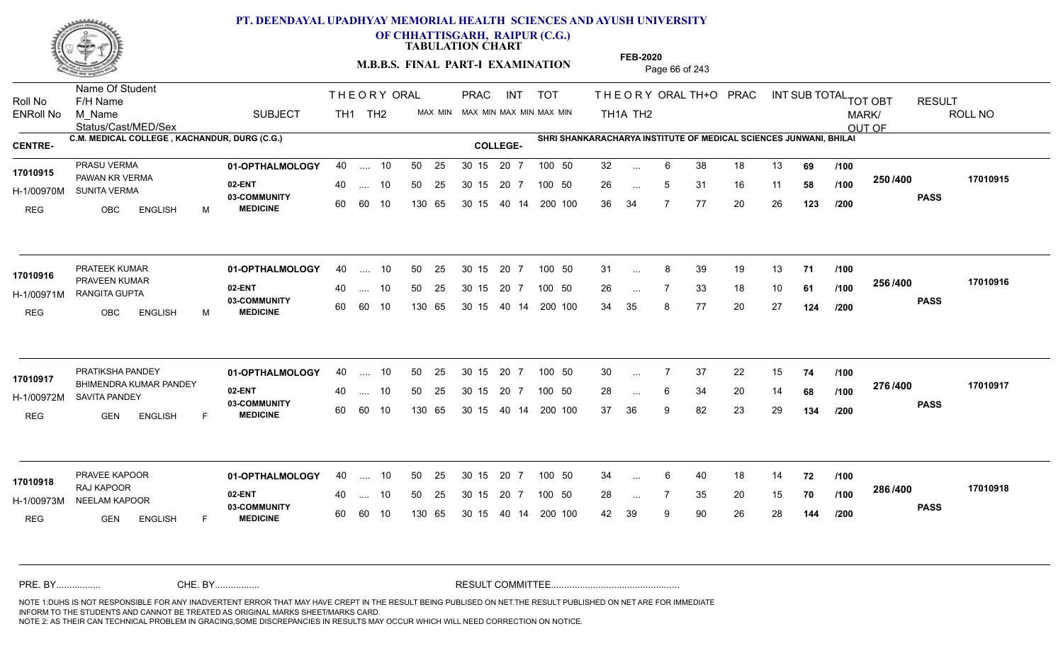

**OF CHHATTISGARH, RAIPUR (C.G.)**

**TABULATION CHART** 

**M.B.B.S. FINAL PART-I EXAMINATION** Page 66 of 243

Status/Cast/MED/Sex Name Of Student Roll No F/H Name M\_Name SUBJECT TH1 TH2 <sup>MAX\_MIN</sup> N PRAC INT TOT THEORY ORAL TH+O PRAC INT TH<sub>1</sub>A TH<sub>2</sub> ORAL TH+ODPRACD INT SUB TOTAL <sub>TOT OBT</sub> RESULT ROLL NO MARK/ OUT OF ENRoll No M Name  $\,$  SUBJECT TH1 TH2 MAX MIN MAX MIN MAX MIN MAX MIN TH1A TH2 **C.M. MEDICAL COLLEGE , KACHANDUR, DURG (C.G.) SHRI SHANKARACHARYA INSTITUTE OF MEDICAL SCIENCES JUNWANI, BHILAI CENTRE- COLLEGE-**THE ORY ORAL PRAC INT PRAC **01-OPTHALMOLOGY** PRASU VERMA 40 .... 10 30 15 20 7 **02-ENT** 03-COMMUNITY 60  **MEDICINE** H-1/00970M SUNITA VERMA 17010915 PAWAN KR VERMA REG OBC ENGLISH M 32 6 38 18 13 **69** 26 ... 5 31 16 11 **58 /100 <sup>2007</sup> 1** 36 34 7 77 20 26 **123 250 PASS /400 17010915** 40 .... 10 50 25 30 15 60 60 10 130 65 30 15 40 14 200 100 20 7 100 50 50 25 30 15 20 7 100 50 32 ... ... ... 5 **/100 /100 /200 01-OPTHALMOLOGY** PRATEEK KUMAR 40 .... 10 30 15 20 7 **02-ENT** 03-COMMUNITY 60 **MEDICINE** 60 60 10 H-1/00971M RANGITA GUPTA 22 PM 17010916 PRAVEEN KUMAR<br>PRAVEEN KUMAR REG OBC ENGLISH M 31 8 39 19 13 **71** 26 7 33 18 10 **61** 34 35 8 77 20 27 **124 256 PASS /400 17010916** 40 .... 10 50 25 130 65 130 65 30 15 40 14 200 100 30 15 20 7 100 50 50 25 30 15 20 7 100 50 31 ... 8 ... ... **/100 /100 /200 01-OPTHALMOLOGY** PRATIKSHA PANDEY 40 .... 10 30 15 20 7 **02-ENT** 03-COMMUNITY 60  **MEDICINE** H-1/00972M SAVITA PANDEY 17010917 BHIMENDRA KUMAR PANDEY REG GEN ENGLISH F 30 7 37 22 15 **74** 28 ... 6 34 20 14 **68 /100 <sup>21 07</sup> 100** 37 36 9 82 23 29 **134 276 PASS /400 17010917** .... 10 50 25 30 15 60 60 10 20 7 130 65 30 15 30 15 20 7 100 50 40 14 200 100 50 25 30 15 20 7 100 50 30 ... 7 ... ... 6 **/100 /100 /200 01-OPTHALMOLOGY** PRAVEE KAPOOR 40 .... 10 30 15 20 7 **02-ENT** 03-COMMUNITY 60 **MEDICINE** 60 60 10 H-1/00973M NEELAM KAPOOR **1999 1999 1999** RAJ KAPOOR REG **GEN ENGLISH** F 34 ... 6 40 18 14 **72 /100** 28 ... 7 35 20 15 **70 /100 <sup>2007–00</sup>** 42 39 9 90 26 28 **144 286 PASS /400 17010918** 40 .... 10 50 25 130 65 130 65 30 15 30 15 20 7 100 50 40 14 200 100 50 25 30 15 20 7 100 50 34 ... **17010918** PRAVEE KAPOOR ... ... **/100 /100 /200** NOTE 1:DUHS IS NOT RESPONSIBLE FOR ANY INADVERTENT ERROR THAT MAY HAVE CREPT IN THE RESULT BEING PUBLISED ON NET.THE RESULT PUBLISHED ON NET ARE FOR IMMEDIATE INFORM TO THE STUDENTS AND CANNOT BE TREATED AS ORIGINAL MARKS SHEET/MARKS CARD. CHE. BY WAREL BY WARE AND THE AVEC THE AVEC THE THE RESULT COMMITTEE AND MULTIME MOTE 1:DUHS IS NOT RESPONSIBLE FOR ANY INADVERTENT ERROR THAT MAY HAVE CREPT IN THE RESULT BEING PUBLISED ON NET.THE RESULT PUBLISHED ON NET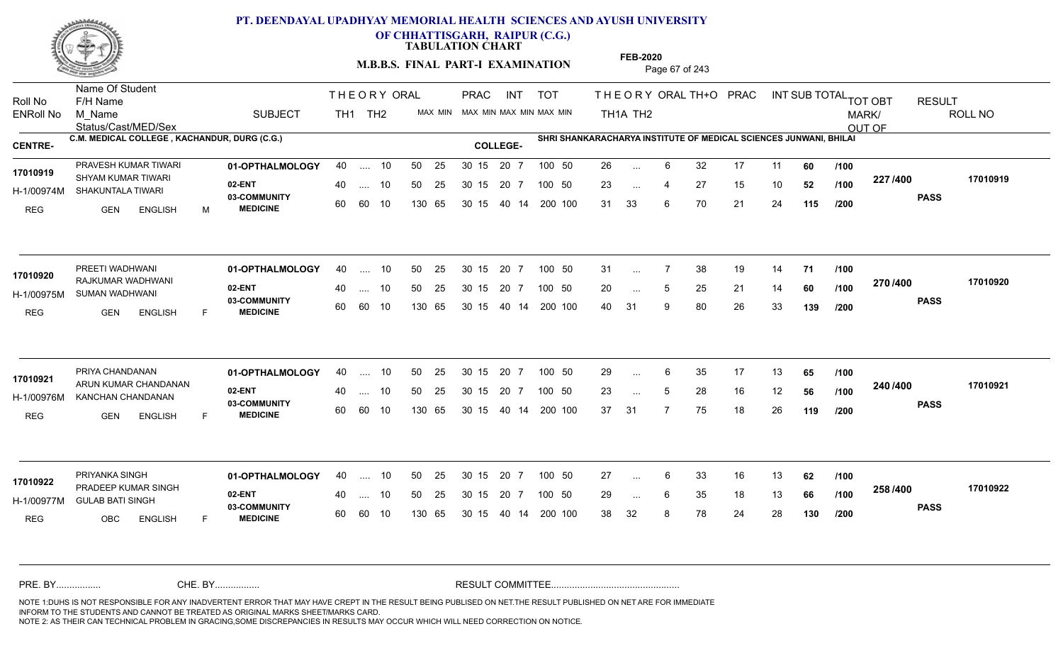

**OF CHHATTISGARH, RAIPUR (C.G.)**

**TABULATION CHART** 

**M.B.B.S. FINAL PART-I EXAMINATION** Page 67 of 243

Status/Cast/MED/Sex Name Of Student Roll No F/H Name M\_Name SUBJECT TH1 TH2 <sup>MAX\_MIN</sup> N PRAC INT TOT THEORY ORAL TH+O PRAC INT TH<sub>1</sub>A TH<sub>2</sub> ORAL TH+ODPRACD INT SUB TOTAL <sub>TOT OBT</sub> RESULT ROLL NO MARK/ OUT OF ENRoll No M Name  $\,$  SUBJECT TH1 TH2 MAX MIN MAX MIN MAX MIN MAX MIN TH1A TH2 **C.M. MEDICAL COLLEGE , KACHANDUR, DURG (C.G.) SHRI SHANKARACHARYA INSTITUTE OF MEDICAL SCIENCES JUNWANI, BHILAI CENTRE- COLLEGE-**THE ORY ORAL PRAC INT PRAC PRAVESH KUMAR TIWARI **01-OPTHALMOLOGY** 40 .... 10 50 25 30 15 20 7 100 50 26 **02-ENT** 03-COMMUNITY 60  **MEDICINE** H-1/00974M SHAKUNTALA TIWARI SHYAM KUMAR TIWARI **17010919** REG GEN ENGLISH M 26 6 32 17 11 **60** 23 ... 4 27 15 10 **52 /100 <sup>227</sup> /+00** 31 33 6 70 21 24 **115 227 PASS /400 17010919** .... 10 50 25 60 60 10 50 25 30 15 130 65 30 15 40 14 200 100 20 7 100 50 50 25 30 15 20 7 100 50 26 ... ... ... **/100 /100 /200 01-OPTHALMOLOGY** PREETI WADHWANI 40 .... 10 30 15 20 7 **02-ENT** 03-COMMUNITY 60 **MEDICINE** 60 60 10 H-1/00975M SUMAN WADHWANI RAJKUMAR WADHWANI **17010920** REG GEN ENGLISH F 31 7 38 19 14 **71** 20 ... 5 25 21 14 **60 /100 <sup>21 01</sup> 400** 40 31 9 80 26 33 **139 270 PASS /400 17010920** 40 .... 10 50 25 130 65 130 65 30 15 40 14 200 100 30 15 20 7 100 50 50 25 30 15 20 7 100 50 31 ... ... ... 5 **/100 /100 /200 01-OPTHALMOLOGY** PRIYA CHANDANAN 40 .... 10 30 15 20 7 **02-ENT** 03-COMMUNITY 60  **MEDICINE** H-1/00976M KANCHAN CHANDANAN 17010921 ARUN KUMAR CHANDANAN REG GEN ENGLISH F 29 ... 6 35 17 13 **65 /100** 23 ... 5 28 16 12 **56 /100 <sup>2-40 / 400</mark>**</sup> 37 31 7 75 18 26 **119 240 PASS /400 17010921** .... 10 50 25 30 15 60 60 10 20 7 130 65 30 15 30 15 20 7 100 50 40 14 200 100 50 25 30 15 20 7 100 50 29 ... 6 ... ... 5 **/100 /100 /200 01-OPTHALMOLOGY** PRIYANKA SINGH 40 .... 10 30 15 20 7 **02-ENT** 03-COMMUNITY 60 **MEDICINE** 60 60 10 H-1/00977M GULAB BATI SINGH **11/00977M** 17010922 PRADEEP KUMAR SINGH REG OBC ENGLISH F 27 ... 6 33 16 13 **62** /**100** 29 ... 6 35 18 13 **66 /100 <sup>2007–00</sup>** 38 32 8 78 24 28 **130 258 PASS /400 17010922** 40 .... 10 50 25 130 65 130 65 30 15 30 15 20 7 100 50 40 14 200 100 50 25 30 15 20 7 100 50 27 ... ... ... 6 **/100 /100 /200** NOTE 1:DUHS IS NOT RESPONSIBLE FOR ANY INADVERTENT ERROR THAT MAY HAVE CREPT IN THE RESULT BEING PUBLISED ON NET.THE RESULT PUBLISHED ON NET ARE FOR IMMEDIATE INFORM TO THE STUDENTS AND CANNOT BE TREATED AS ORIGINAL MARKS SHEET/MARKS CARD. CHE. BY WAREL BY WARE AND THE AVEC THE AVEC THE THE RESULT COMMITTEE AND MULTIME MOTE 1:DUHS IS NOT RESPONSIBLE FOR ANY INADVERTENT ERROR THAT MAY HAVE CREPT IN THE RESULT BEING PUBLISED ON NET.THE RESULT PUBLISHED ON NET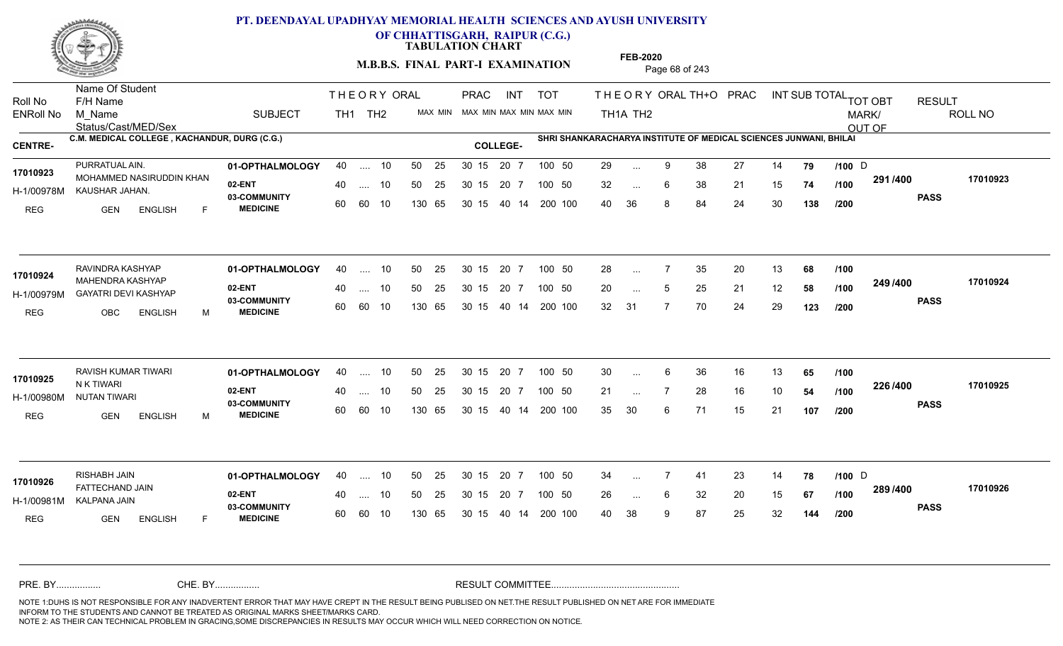

**OF CHHATTISGARH, RAIPUR (C.G.)**

**TABULATION CHART** 

**M.B.B.S. FINAL PART-I EXAMINATION** Page 68 of 243

Status/Cast/MED/Sex Name Of Student Roll No F/H Name M\_Name SUBJECT TH1 TH2 <sup>MAX\_MIN</sup> N PRAC INT TOT THEORY ORAL TH+O PRAC INT TH<sub>1</sub>A TH<sub>2</sub> ORAL TH+ODPRACD INT SUB TOTAL <sub>TOT OBT</sub> RESULT ROLL NO MARK/ OUT OF ENRoll No M Name  $\,$  SUBJECT TH1 TH2 MAX MIN MAX MIN MAX MIN MAX MIN TH1A TH2 **C.M. MEDICAL COLLEGE , KACHANDUR, DURG (C.G.) SHRI SHANKARACHARYA INSTITUTE OF MEDICAL SCIENCES JUNWANI, BHILAI CENTRE- COLLEGE-**THE ORY ORAL PRAC INT PRAC **01-OPTHALMOLOGY** PURRATUAL AIN. 40 .... 10 30 15 20 7 **02-ENT** 03-COMMUNITY 60  **MEDICINE** H-1/00978M KAUSHAR JAHAN. 17010923 MOHAMMED NASIRUDDIN KHAN REG GEN ENGLISH F 29 ... 9 38 27 14 **79** /**100** D 32 ... 6 38 21 15 **74 /100 <sup>29174</sup>00** 40 36 8 84 24 30 **138 291 PASS /400 17010923** 40 .... 10 50 25 30 15 60 60 10 130 65 30 15 20 7 100 50 40 14 200 100 50 25 30 15 20 7 100 50 29 ... 9 38 27 14 **79** /**100** D ... 9 ... 6 **/100 /100 /200 01-OPTHALMOLOGY** RAVINDRA KASHYAP 40 .... 10 30 15 20 7 **02-ENT** 03-COMMUNITY 60 **MEDICINE** 60 60 10 H-1/00979M GAYATRI DEVI KASHYAP **ALI ALI DELAN DEL 1.** MAHENDRA KASHYAP **17010924** REG OBC ENGLISH M 28 7 35 20 13 **68** 20 ... 5 25 21 12 **58 /100 <sup>243 /400</sup>** 32 31 7 70 24 29 **123 249 PASS /400 17010924** 40 .... 10 50 25 130 65 130 65 30 15 40 14 200 100 30 15 20 7 100 50 50 25 30 15 20 7 100 50 28 ... ... ... 5 **/100 /100 /200** RAVISH KUMAR TIWARI **01-OPTHALMOLOGY** 40 .... 10 50 25 30 15 20 7 100 50 30 **02-ENT** 03-COMMUNITY 60 **MEDICINE** 60 60 10 H-1/00980M NUTAN TIWARI N K TIWARI REG GEN ENGLISH M 30 ... 6 36 16 13 **65 /100** 21 ... 7 28 16 10 **54 /100 <sup>2207–00</sup>** 35 30 6 71 15 21 **107 226 PASS /400 17010925** .... 10 50 25 30 15 130 65 20 7 130 65 30 15 30 15 20 7 100 50 40 14 200 100 50 25 30 15 20 7 100 50 30 ... **17010925** RAVISH KUMAR TIWARI 6 ... **/100 /100 /200 01-OPTHALMOLOGY** RISHABH JAIN 40 .... 10 30 15 20 7 **02-ENT** 03-COMMUNITY 60 **MEDICINE** 60 60 10 H-1/00981M KALPANA JAIN FATTECHAND JAIN **17010926** REG GEN ENGLISH F 34 7 41 23 14 **78 /100** 26 ... 6 32 20 15 **67 /100 <sup>2007/400</sup>** 40 38 9 87 25 32 **144 289 PASS /400 17010926** 40 .... 10 50 25 130 65 130 65 30 15 30 15 20 7 100 50 40 14 200 100 50 25 30 15 20 7 100 50 34 ... 7 41 23 14 **78 /100** D ... 7 ... 6 **/100 /200** NOTE 1:DUHS IS NOT RESPONSIBLE FOR ANY INADVERTENT ERROR THAT MAY HAVE CREPT IN THE RESULT BEING PUBLISED ON NET.THE RESULT PUBLISHED ON NET ARE FOR IMMEDIATE INFORM TO THE STUDENTS AND CANNOT BE TREATED AS ORIGINAL MARKS SHEET/MARKS CARD. CHE. BY WAREL BY WARE AND THE AVEC THE AVEC THE THE RESULT COMMITTEE AND MULTIME MOTE 1:DUHS IS NOT RESPONSIBLE FOR ANY INADVERTENT ERROR THAT MAY HAVE CREPT IN THE RESULT BEING PUBLISED ON NET.THE RESULT PUBLISHED ON NET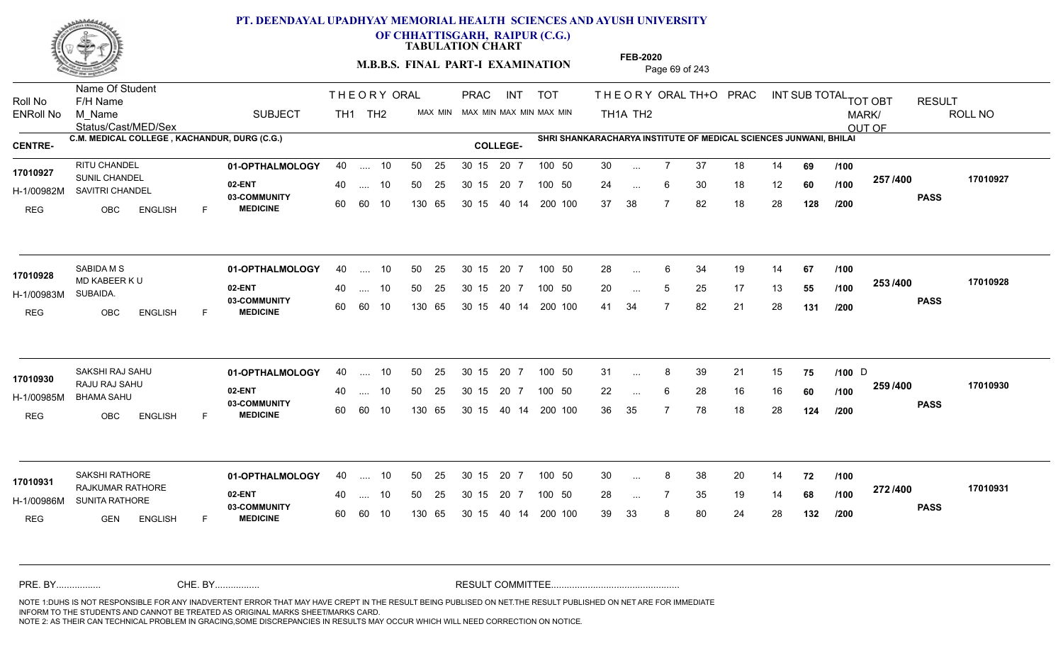

**OF CHHATTISGARH, RAIPUR (C.G.)**

**TABULATION CHART** 

**M.B.B.S. FINAL PART-I EXAMINATION** Page 69 of 243

Status/Cast/MED/Sex Name Of Student Roll No F/H Name M\_Name SUBJECT TH1 TH2 <sup>MAX\_MIN</sup> N PRAC INT TOT THEORY ORAL TH+O PRAC INT TH<sub>1</sub>A TH<sub>2</sub> ORAL TH+ODPRACD INT SUB TOTAL <sub>TOT OBT</sub> RESULT ROLL NO MARK/ OUT OF ENRoll No M Name  $\,$  SUBJECT TH1 TH2 MAX MIN MAX MIN MAX MIN MAX MIN TH1A TH2 **C.M. MEDICAL COLLEGE , KACHANDUR, DURG (C.G.) SHRI SHANKARACHARYA INSTITUTE OF MEDICAL SCIENCES JUNWANI, BHILAI CENTRE- COLLEGE-**THE ORY ORAL PRAC INT PRAC **01-OPTHALMOLOGY** RITU CHANDEL 40 .... 10 30 15 20 7 **02-ENT** 03-COMMUNITY 60  **MEDICINE** H-1/00982M SAVITRI CHANDEL 17010927 SUNIL CHANDEL REG OBC ENGLISH F 30 7 37 18 14 **69** 24 ... 6 30 18 12 **60 /100 <sup>201 /400</sup>** 37 38 7 82 18 28 **128 257 PASS /400 17010927** 40 .... 10 50 25 30 15 60 60 10 130 65 30 15 40 14 200 100 20 7 100 50 50 25 30 15 20 7 100 50 30 ... ... ... **/100 /100 /200 01-OPTHALMOLOGY** SABIDA M S 40 .... 10 30 15 20 7 **02-ENT** 03-COMMUNITY 60 **MEDICINE** 60 60 10 H-1/00983M 17010928 MD KABEER K U SUBAIDA. REG OBC ENGLISH F 28 6 34 19 14 **67** 20 ... 5 25 17 13 **55 /100 <sup>2007</sup> 700** 41 34 7 82 21 28 **131 253 PASS /400 17010928** 40 .... 10 50 25 130 65 130 65 30 15 40 14 200 100 30 15 20 7 100 50 50 25 30 15 20 7 100 50 28 ... ... ... **/100 /100 /200 01-OPTHALMOLOGY** SAKSHI RAJ SAHU 40 .... 10 30 15 20 7 **02-ENT** 03-COMMUNITY 60 **MEDICINE** 60 60 10 H-1/00985M BHAMA SAHU 17010930 RAJU RAJ SAHU REG OBC ENGLISH F 31 ... 8 39 21 15 **75 /100** D 22 ... 6 28 16 16 **60** /**100 <sup>2007</sup> 700** 36 35 7 78 18 28 **124 259 /100 PASS /400 17010930** .... 10 50 25 30 15 130 65 20 7 130 65 30 15 30 15 20 7 100 50 40 14 200 100 50 25 30 15 20 7 100 50 31 ... 8 39 21 15 **75 /100** D ... ... 6 **/100 /200 01-OPTHALMOLOGY** SAKSHI RATHORE 40 .... 10 30 15 20 7 **02-ENT** 03-COMMUNITY 60 **MEDICINE** 60 60 10 H-1/00986M SUNITA RATHORE 17010931 RAJKUMAR RATHORE REG **GEN ENGLISH** F 30 8 38 20 14 **72** 28 ... 7 35 19 14 **68 /100 <sup>212/+00</sup>** 39 33 8 80 24 28 **132 272 PASS /400 17010931** 40 .... 10 50 25 130 65 130 65 30 15 30 15 20 7 100 50 40 14 200 100 50 25 30 15 20 7 100 50 30 ... 8 ... ... **/100 /100 /200** NOTE 1:DUHS IS NOT RESPONSIBLE FOR ANY INADVERTENT ERROR THAT MAY HAVE CREPT IN THE RESULT BEING PUBLISED ON NET.THE RESULT PUBLISHED ON NET ARE FOR IMMEDIATE INFORM TO THE STUDENTS AND CANNOT BE TREATED AS ORIGINAL MARKS SHEET/MARKS CARD. CHE. BY WAREL BY WARE AND THE AVEC THE AVEC THE THE RESULT COMMITTEE AND MULTIME MOTE 1:DUHS IS NOT RESPONSIBLE FOR ANY INADVERTENT ERROR THAT MAY HAVE CREPT IN THE RESULT BEING PUBLISED ON NET.THE RESULT PUBLISHED ON NET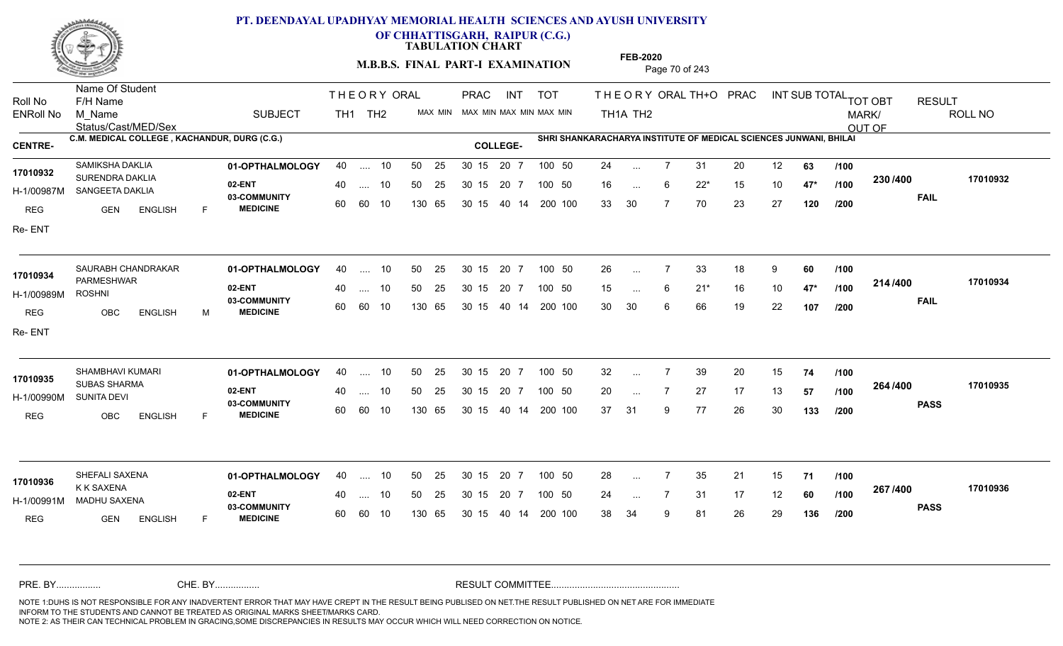

**OF CHHATTISGARH, RAIPUR (C.G.)**

**TABULATION CHART** 

**M.B.B.S. FINAL PART-I EXAMINATION** Page 70 of 243

Status/Cast/MED/Sex Name Of Student Roll No F/H Name M\_Name SUBJECT TH1 TH2 <sup>MAX\_MIN</sup> N PRAC INT TOT THEORY ORAL TH+O PRAC INT TH<sub>1</sub>A TH<sub>2</sub> ORAL TH+ODPRACD INT SUB TOTAL <sub>TOT OBT</sub> RESULT ROLL NO MARK/ OUT OF ENRoll No M Name  $\,$  SUBJECT TH1 TH2 MAX MIN MAX MIN MAX MIN MAX MIN TH1A TH2 **C.M. MEDICAL COLLEGE , KACHANDUR, DURG (C.G.) SHRI SHANKARACHARYA INSTITUTE OF MEDICAL SCIENCES JUNWANI, BHILAI CENTRE- COLLEGE-**THE ORY ORAL PRAC INT PRAC **01-OPTHALMOLOGY** SAMIKSHA DAKLIA 40 .... 10 30 15 20 7 **02-ENT** 03-COMMUNITY 60  **MEDICINE** H-1/00987M SANGEETA DAKLIA 17010932 SURENDRA DAKLIA<br>
SURENDRA DAKLIA REG **GEN ENGLISH** F 24 7 31 20 12 **63** 16 6 22\* 15 10 **47\*** 33 30 7 70 23 27 **120 230 FAIL 17010932 /400** Re- ENT 40 .... 10 50 25 30 15 60 60 10 130 65 30 15 20 7 100 50 40 14 200 100 50 25 30 15 20 7 100 50 24 ... ... ... 6 **/100 /100 /200** SAURABH CHANDRAKAR **01-OPTHALMOLOGY** 40 .... 10 50 25 30 15 20 7 100 50 26 **02-ENT** 03-COMMUNITY 60 **MEDICINE** 60 60 10 H-1/00989M PARMESHWAR ROSHNI REG OBC ENGLISH M 26 7 33 18 9 **60** 15 6 21\* 16 10 **47\*** 30 30 6 66 19 22 **107 214 FAIL 17010934 /400** Re- ENT 40 .... 10 50 25 130 65 130 65 30 15 40 14 200 100 30 15 20 7 100 50 50 25 30 15 20 7 100 50 26 ... **17010934** SAURABH CHANDRAKAR ... ... **/100 /100 /200 01-OPTHALMOLOGY** SHAMBHAVI KUMARI 40 .... 10 30 15 20 7 **02-ENT** 03-COMMUNITY 60  **MEDICINE** H-1/00990M 17010935<br>SUBAS SHARMA SUNITA DEVI REG OBC ENGLISH F 32 7 39 20 15 **74** 20 ... 7 27 17 13 **57 /100 <sup>2047</sup> 1** 37 31 9 77 26 30 **133 264 PASS /400 17010935** .... 10 50 25 30 15 60 60 10 20 7 130 65 30 15 30 15 20 7 100 50 40 14 200 100 50 25 30 15 20 7 100 50 32 ... 7 ... ... **/100 /100 /200 01-OPTHALMOLOGY** SHEFALI SAXENA 40 .... 10 30 15 20 7 **02-ENT** 03-COMMUNITY 60 **MEDICINE** 60 60 10 H-1/00991M MADHU SAXENA K K SAXENA REG GEN ENGLISH F 28 7 35 21 15 **71** 24 ... 7 31 17 12 **60** /1**00 <sup>207</sup> 1<del>-</del>00** 38 34 9 81 26 29 **136 267 PASS /400 17010936** 40 .... 10 50 25 130 65 130 65 30 15 30 15 20 7 100 50 40 14 200 100 50 25 30 15 20 7 100 50 28 ... **17010936**<br>**17010936**<br>**17010936** ... ... **/100 /100 /200** NOTE 1:DUHS IS NOT RESPONSIBLE FOR ANY INADVERTENT ERROR THAT MAY HAVE CREPT IN THE RESULT BEING PUBLISED ON NET.THE RESULT PUBLISHED ON NET ARE FOR IMMEDIATE INFORM TO THE STUDENTS AND CANNOT BE TREATED AS ORIGINAL MARKS SHEET/MARKS CARD. CHE. BY WAREL BY WARE AND THE AVEC THE AVEC THE THE RESULT COMMITTEE AND MULTIME MOTE 1:DUHS IS NOT RESPONSIBLE FOR ANY INADVERTENT ERROR THAT MAY HAVE CREPT IN THE RESULT BEING PUBLISED ON NET.THE RESULT PUBLISHED ON NET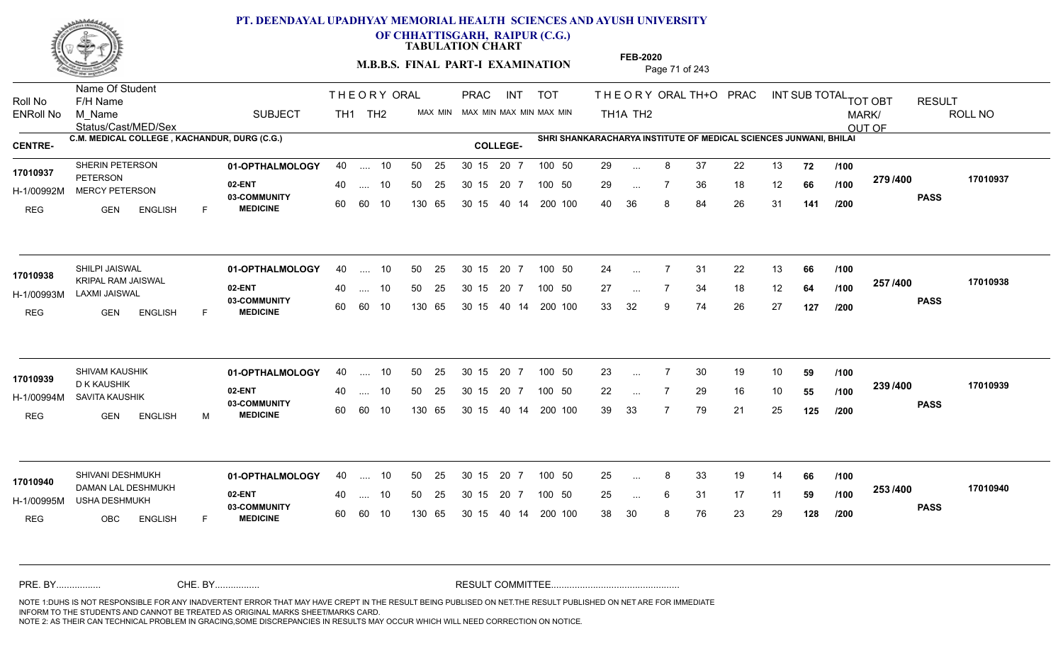

**OF CHHATTISGARH, RAIPUR (C.G.)**

**TABULATION CHART** 

**FEB-2020**

**M.B.B.S. FINAL PART-I EXAMINATION** Page 71 of 243

Status/Cast/MED/Sex Name Of Student Roll No F/H Name M\_Name SUBJECT TH1 TH2 <sup>MAX\_MIN</sup> N PRAC INT TOT THEORY ORAL TH+O PRAC INT TH<sub>1</sub>A TH<sub>2</sub> ORAL TH+ODPRACD INT SUB TOTAL <sub>TOT OBT</sub> RESULT ROLL NO MARK/ OUT OF ENRoll No M Name  $\,$  SUBJECT TH1 TH2 MAX MIN MAX MIN MAX MIN MAX MIN TH1A TH2 **C.M. MEDICAL COLLEGE , KACHANDUR, DURG (C.G.) SHRI SHANKARACHARYA INSTITUTE OF MEDICAL SCIENCES JUNWANI, BHILAI CENTRE- COLLEGE-**THE ORY ORAL PRAC INT PRAC **01-OPTHALMOLOGY** SHERIN PETERSON 40 .... 10 30 15 20 7 **02-ENT** 03-COMMUNITY 60  **MEDICINE** H-1/00992M MERCY PETERSON **1998 PO 100 MERCY** PETERSON REG GEN ENGLISH F 29 ... 8 37 22 13 **72 /100** 29 ... 7 36 18 12 **66 /100 <sup>213/400</sup>** 40 36 8 84 26 31 **141 279 PASS /400 17010937** 40 .... 10 50 25 30 15 60 60 10 130 65 30 15 40 14 200 100 20 7 100 50 50 25 30 15 20 7 100 50 29 ... **17010937 SHERIN PETERSON** ... ... **/100 /100 /200 01-OPTHALMOLOGY** SHILPI JAISWAL 40 .... 10 30 15 20 7 **02-ENT** 03-COMMUNITY 60 **MEDICINE** 60 60 10 H-1/00993M LAXMI JAISWAL 17010938 **KRIPAL RAM JAISWAL** REG GEN ENGLISH F 24 7 31 22 13 **66** 27 ... 7 34 18 12 **64 /100 <sup>201 /400</sup>** 33 32 9 74 26 27 **127 257 PASS /400 17010938** 40 .... 10 50 25 130 65 130 65 30 15 40 14 200 100 30 15 20 7 100 50 50 25 30 15 20 7 100 50 24 ... ... ... **/100 /100 /200 01-OPTHALMOLOGY** SHIVAM KAUSHIK 40 .... 10 30 15 20 7 **02-ENT** 03-COMMUNITY 60  **MEDICINE** H-1/00994M SAVITA KAUSHIK D K KAUSHIK REG GEN ENGLISH M 23 7 30 19 10 **59** 22 ... 7 29 16 10 **55 /100 <sup>2007/400</sup>** 39 33 7 79 21 25 **125 239 /100 PASS /400 17010939** .... 10 50 25 30 15 60 60 10 20 7 130 65 30 15 30 15 20 7 100 50 40 14 200 100 50 25 30 15 20 7 100 50 23 ... 7 **17010939 SHIVAM KAUSHIK** ... ... **/100 /200 01-OPTHALMOLOGY** SHIVANI DESHMUKH 40 .... 10 30 15 20 7 **02-ENT** 03-COMMUNITY 60 **MEDICINE** 60 60 10 H-1/00995M USHA DESHMUKH DAMAN LAL DESHMUKH **17010940** REG OBC ENGLISH F 25 ... 8 33 19 14 **66 /100** 25 ... 6 31 17 11 **59 /100 <sup>2007</sup> 1** 38 30 8 76 23 29 **128 253 PASS /400 17010940** 40 .... 10 50 25 130 65 130 65 30 15 30 15 20 7 100 50 40 14 200 100 50 25 30 15 20 7 100 50 25 ... 8 ... ... 6 **/100 /100 /200** NOTE 1:DUHS IS NOT RESPONSIBLE FOR ANY INADVERTENT ERROR THAT MAY HAVE CREPT IN THE RESULT BEING PUBLISED ON NET.THE RESULT PUBLISHED ON NET ARE FOR IMMEDIATE INFORM TO THE STUDENTS AND CANNOT BE TREATED AS ORIGINAL MARKS SHEET/MARKS CARD. CHE. BY WAREL BY WARE AND THE AVEC THE AVEC THE THE RESULT COMMITTEE AND MULTIME MOTE 1:DUHS IS NOT RESPONSIBLE FOR ANY INADVERTENT ERROR THAT MAY HAVE CREPT IN THE RESULT BEING PUBLISED ON NET.THE RESULT PUBLISHED ON NET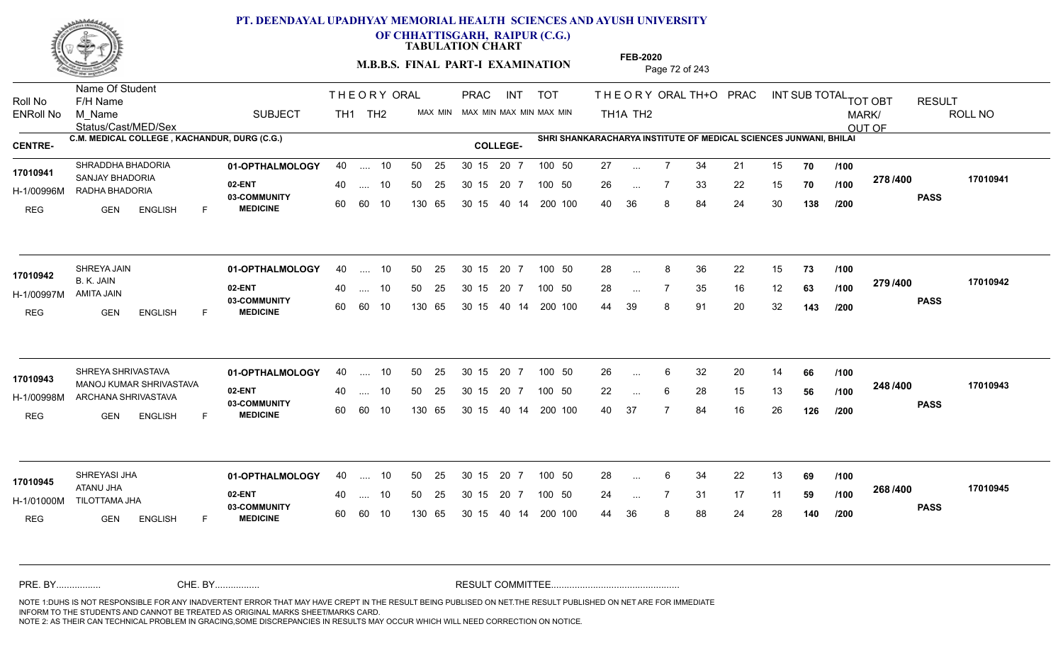

**OF CHHATTISGARH, RAIPUR (C.G.)**

**TABULATION CHART** 

**M.B.B.S. FINAL PART-I EXAMINATION** Page 72 of 243

Status/Cast/MED/Sex Name Of Student Roll No F/H Name M\_Name SUBJECT TH1 TH2 <sup>MAX\_MIN</sup> N PRAC INT TOT THEORY ORAL TH+O PRAC INT TH<sub>1</sub>A TH<sub>2</sub> ORAL TH+ODPRACD INT SUB TOTAL <sub>TOT OBT</sub> RESULT ROLL NO MARK/ OUT OF ENRoll No M Name  $\,$  SUBJECT TH1 TH2 MAX MIN MAX MIN MAX MIN MAX MIN TH1A TH2 **C.M. MEDICAL COLLEGE , KACHANDUR, DURG (C.G.) SHRI SHANKARACHARYA INSTITUTE OF MEDICAL SCIENCES JUNWANI, BHILAI CENTRE- COLLEGE-**THE ORY ORAL PRAC INT PRAC **01-OPTHALMOLOGY** SHRADDHA BHADORIA 40 .... 10 30 15 20 7 **02-ENT** 03-COMMUNITY 60  **MEDICINE** H-1/00996M RADHA BHADORIA 17010941 SANJAY BHADORIA REG **GEN ENGLISH** F 27 ... 7 34 21 15 **70** /**100** 26 7 33 22 15 **70** 40 36 8 84 24 30 **138 278 PASS /400 17010941** 40 .... 10 50 25 30 15 60 60 10 130 65 30 15 20 7 100 50 40 14 200 100 50 25 30 15 20 7 100 50 27 ... ... ... **/100 /100 /200 01-OPTHALMOLOGY** SHREYA JAIN 40 .... 10 30 15 20 7 **02-ENT** 03-COMMUNITY 60 **MEDICINE** 60 60 10 H-1/00997M B. K. JAIN AMITA JAIN REG GEN ENGLISH F 28 8 36 22 15 **73** 28 ... 7 35 16 12 **63 /100 <sup>213/400</sup>** 44 39 8 91 20 32 **143 279 PASS /400 17010942** 40 .... 10 50 25 130 65 130 65 30 15 40 14 200 100 30 15 20 7 100 50 50 25 30 15 20 7 100 50 28 ... 8 **17010942 17010942** ... ... **/100 /100 /200 01-OPTHALMOLOGY** SHREYA SHRIVASTAVA 40 .... 10 30 15 20 7 **02-ENT** 03-COMMUNITY 60 **MEDICINE** 60 60 10 H-1/00998M ARCHANA SHRIVASTAVA MANOJ KUMAR SHRIVASTAVA **17010943** REG GEN ENGLISH F 26 6 32 20 14 **66** 22 ... 6 28 15 13 **56** /**100 <sup>2=07=00</sup>** 40 37 7 84 16 26 **126 248 PASS /400 17010943** .... 10 50 25 30 15 130 65 20 7 130 65 30 15 30 15 20 7 100 50 40 14 200 100 50 25 30 15 20 7 100 50 26 ... 6 ... ... 6 **/100 /100 /200 01-OPTHALMOLOGY** SHREYASI JHA 40 .... 10 30 15 20 7 **02-ENT** 03-COMMUNITY 60 **MEDICINE** 60 60 10 H-1/01000M TILOTTAMA JHA ATANU JHA REG GEN ENGLISH F 28 6 34 22 13 **69** 24 ... 7 31 17 11 **59 /100 <sup>2007–00</sup>** 44 36 8 88 24 28 **140 268 PASS /400 17010945** 40 .... 10 50 25 130 65 130 65 30 15 30 15 20 7 100 50 40 14 200 100 50 25 30 15 20 7 100 50 28 ... 6 **17010945**<br>**17010945** ... ... **/100 /100 /200** NOTE 1:DUHS IS NOT RESPONSIBLE FOR ANY INADVERTENT ERROR THAT MAY HAVE CREPT IN THE RESULT BEING PUBLISED ON NET.THE RESULT PUBLISHED ON NET ARE FOR IMMEDIATE INFORM TO THE STUDENTS AND CANNOT BE TREATED AS ORIGINAL MARKS SHEET/MARKS CARD. CHE. BY WAREL BY WARE AND THE AVEC THE AVEC THE THE RESULT COMMITTEE AND MULTIME MOTE 1:DUHS IS NOT RESPONSIBLE FOR ANY INADVERTENT ERROR THAT MAY HAVE CREPT IN THE RESULT BEING PUBLISED ON NET.THE RESULT PUBLISHED ON NET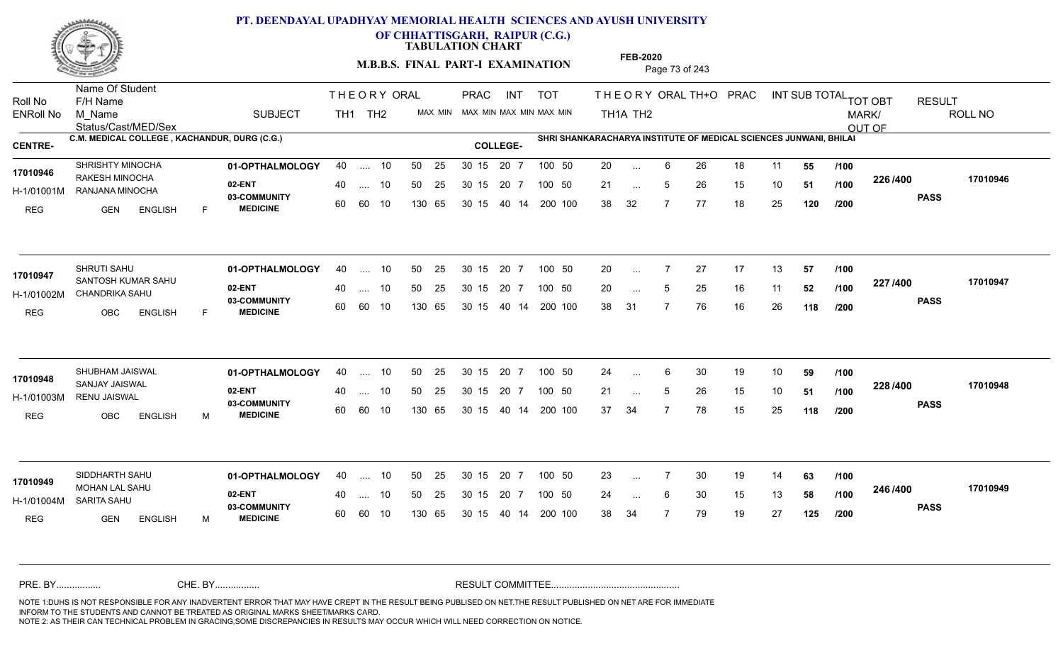

**OF CHHATTISGARH, RAIPUR (C.G.)**

**TABULATION CHART** 

**M.B.B.S. FINAL PART-I EXAMINATION** Page 73 of 243

Status/Cast/MED/Sex Name Of Student Roll No F/H Name M\_Name SUBJECT TH1 TH2 <sup>MAX\_MIN</sup> N PRAC INT TOT THEORY ORAL TH+O PRAC INT TH<sub>1</sub>A TH<sub>2</sub> ORAL TH+ODPRACD INT SUB TOTAL <sub>TOT OBT</sub> RESULT ROLL NO MARK/ OUT OF ENRoll No M Name  $\,$  SUBJECT TH1 TH2 MAX MIN MAX MIN MAX MIN MAX MIN TH1A TH2 **C.M. MEDICAL COLLEGE , KACHANDUR, DURG (C.G.) SHRI SHANKARACHARYA INSTITUTE OF MEDICAL SCIENCES JUNWANI, BHILAI CENTRE- COLLEGE-**THE ORY ORAL PRAC INT PRAC **01-OPTHALMOLOGY** SHRISHTY MINOCHA 40 .... 10 30 15 20 7 **02-ENT** 03-COMMUNITY 60  **MEDICINE** H-1/01001M RANJANA MINOCHA **PERIODE ALL 11-1** 17010946 RAKESH MINOCHA REG GEN ENGLISH F 20 ... 6 26 18 11 **55 /100** 21 ... 5 26 15 10 **51 /100 <sup>2207400</sup>** 38 32 7 77 18 25 **120 226 PASS /400 17010946** 40 .... 10 50 25 30 15 60 60 10 130 65 30 15 40 14 200 100 20 7 100 50 50 25 30 15 20 7 100 50 20 ... ... ... 5 **/100 /100 /200 01-OPTHALMOLOGY** SHRUTI SAHU 40 .... 10 30 15 20 7 **02-ENT** 03-COMMUNITY 60 **MEDICINE** 60 60 10 H-1/01002M CHANDRIKA SAHU 17010947 SANTOSH KUMAR SAHU REG OBC ENGLISH F 20 7 27 17 13 **57** 20 ... 5 25 16 11 **52 /100 <sup>227</sup> /+00** 38 31 7 76 16 26 **118 227 PASS /400 17010947**  $\dots$  10 50 25 30 15 130 65 20 7 130 65 30 15 40 14 200 100 30 15 20 7 100 50 50 25 30 15 20 7 100 50 20 ... ... ... 5 **/100 /100 /200 01-OPTHALMOLOGY** SHUBHAM JAISWAL 40 .... 10 30 15 20 7 **02-ENT** 03-COMMUNITY 60  **MEDICINE** H-1/01003M RENU JAISWAL SANJAY JAISWAL **17010948** REG OBC ENGLISH M 24 ... 6 30 19 10 **59 /100** 21 ... 5 26 15 10 **51 /100 <sup>2207+00</sup>** 37 34 7 78 15 25 **118 228 PASS /400 17010948** .... 10 50 25 30 15 60 60 10 20 7 130 65 30 15 30 15 20 7 100 50 40 14 200 100 50 25 30 15 20 7 100 50 24 ... 6 ... ... 5 **/100 /100 /200** SIDDHARTH SAHU **01-OPTHALMOLOGY** 40 .... 10 50 25 30 15 20 7 100 50 23 **02-ENT** 03-COMMUNITY 60 **MEDICINE** 60 60 10 H-1/01004M SARITA SAHU MOHAN LAL SAHU **17010949** REG GEN ENGLISH M 23 7 30 19 14 **63** 24 ... 6 30 15 13 **58 /100 <sup>246</sup>/1<sup>4</sup>00** 38 34 7 79 19 27 **125 246 PASS /400 17010949** 40 .... 10 50 25 130 65 130 65 30 15 30 15 20 7 100 50 40 14 200 100 50 25 30 15 20 7 100 50 23 ... ... ... 6 **/100 /100 /200** NOTE 1:DUHS IS NOT RESPONSIBLE FOR ANY INADVERTENT ERROR THAT MAY HAVE CREPT IN THE RESULT BEING PUBLISED ON NET.THE RESULT PUBLISHED ON NET ARE FOR IMMEDIATE INFORM TO THE STUDENTS AND CANNOT BE TREATED AS ORIGINAL MARKS SHEET/MARKS CARD. CHE. BY WAREL BY WARE AND THE AVEC THE AVEC THE THE RESULT COMMITTEE AND MULTIME MOTE 1:DUHS IS NOT RESPONSIBLE FOR ANY INADVERTENT ERROR THAT MAY HAVE CREPT IN THE RESULT BEING PUBLISED ON NET.THE RESULT PUBLISHED ON NET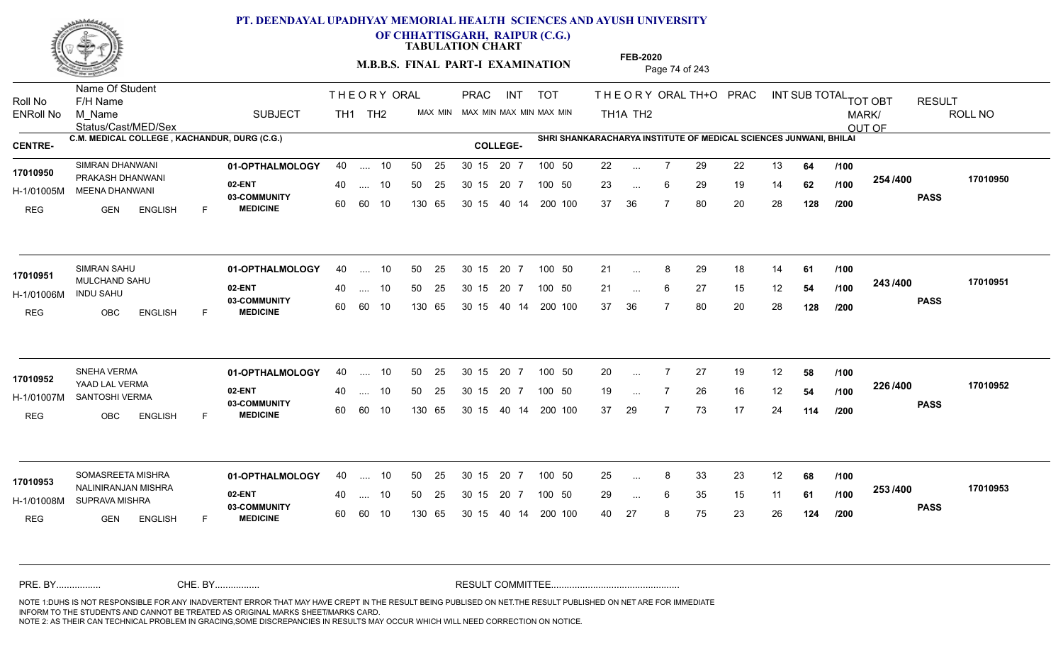

**OF CHHATTISGARH, RAIPUR (C.G.)**

**TABULATION CHART** 

**M.B.B.S. FINAL PART-I EXAMINATION** Page 74 of 243

Status/Cast/MED/Sex Name Of Student Roll No F/H Name M\_Name SUBJECT TH1 TH2 <sup>MAX\_MIN</sup> N PRAC INT TOT THEORY ORAL TH+O PRAC INT TH<sub>1</sub>A TH<sub>2</sub> ORAL TH+ODPRACD INT SUB TOTAL <sub>TOT OBT</sub> RESULT ROLL NO MARK/ OUT OF ENRoll No M Name  $\,$  SUBJECT TH1 TH2 MAX MIN MAX MIN MAX MIN MAX MIN TH1A TH2 **C.M. MEDICAL COLLEGE , KACHANDUR, DURG (C.G.) SHRI SHANKARACHARYA INSTITUTE OF MEDICAL SCIENCES JUNWANI, BHILAI CENTRE- COLLEGE-**THE ORY ORAL PRAC INT PRAC **01-OPTHALMOLOGY** SIMRAN DHANWANI 40 .... 10 30 15 20 7 **02-ENT** 03-COMMUNITY 60  **MEDICINE** H-1/01005M MEENA DHANWANI PRAKASH DHANWANI **17010950** REG GEN ENGLISH F 22 7 29 22 13 **64** 23 ... 6 29 19 14 **62 /100 <sup>2047</sup> 1** 37 36 7 80 20 28 **128 254 PASS /400 17010950** .... 10 50 25 60 60 10 50 25 30 15 130 65 30 15 40 14 200 100 20 7 100 50 50 25 30 15 20 7 100 50 22 ... ... ... 6 **/100 /100 /200 01-OPTHALMOLOGY** SIMRAN SAHU 40 .... 10 30 15 20 7 **02-ENT** 03-COMMUNITY 60 **MEDICINE** 60 60 10 H-1/01006M 17010951 MULCHAND SAHU **17010951** INDU SAHU REG OBC ENGLISH F 21 ... 8 29 18 14 **61 /100** 21 ... 6 27 15 12 **54 /100 <sup>243</sup>/400** 37 36 7 80 20 28 **128 243 PASS /400 17010951** 40 .... 10 50 25 130 65 130 65 30 15 40 14 200 100 30 15 20 7 100 50 50 25 30 15 20 7 100 50 21 ... 8 ...  $\overline{\phantom{a}}$ . 6 **/100 /100 /200 01-OPTHALMOLOGY** SNEHA VERMA 40 .... 10 30 15 20 7 **02-ENT** 03-COMMUNITY 60  **MEDICINE** H-1/01007M SANTOSHI VERMA YAAD LAL VERMA **17010952** REG OBC ENGLISH F 20 7 27 19 12 **58** 19 ... 7 26 16 12 **54 /100 <sup>220</sup>/100** 37 29 7 73 17 24 **114 226 PASS /400 17010952** .... 10 50 25 30 15 60 60 10 20 7 130 65 30 15 30 15 20 7 100 50 40 14 200 100 50 25 30 15 20 7 100 50 20 ... 7 ... ... **/100 /100 /200 01-OPTHALMOLOGY** SOMASREETA MISHRA 40 .... 10 30 15 20 7 **02-ENT** 03-COMMUNITY 60 **MEDICINE** 60 60 10 H-1/01008M SUPRAVA MISHRA **1999 - 1999 B** NALINIRANJAN MISHRA **17010953** REG GEN ENGLISH F 25 8 33 23 12 **68** 29 ... 6 35 15 11 **61 /100 <sup>2007</sup> 100** 40 27 8 75 23 26 **124 253 PASS /400 17010953** 40 .... 10 50 25 130 65 130 65 30 15 30 15 20 7 100 50 40 14 200 100 50 25 30 15 20 7 100 50 25 ... 8 ... ... 6 **/100 /100 /200** NOTE 1:DUHS IS NOT RESPONSIBLE FOR ANY INADVERTENT ERROR THAT MAY HAVE CREPT IN THE RESULT BEING PUBLISED ON NET.THE RESULT PUBLISHED ON NET ARE FOR IMMEDIATE INFORM TO THE STUDENTS AND CANNOT BE TREATED AS ORIGINAL MARKS SHEET/MARKS CARD. CHE. BY WAREL BY WARE AND THE AVEC THE AVEC THE THE RESULT COMMITTEE AND MULTIME MOTE 1:DUHS IS NOT RESPONSIBLE FOR ANY INADVERTENT ERROR THAT MAY HAVE CREPT IN THE RESULT BEING PUBLISED ON NET.THE RESULT PUBLISHED ON NET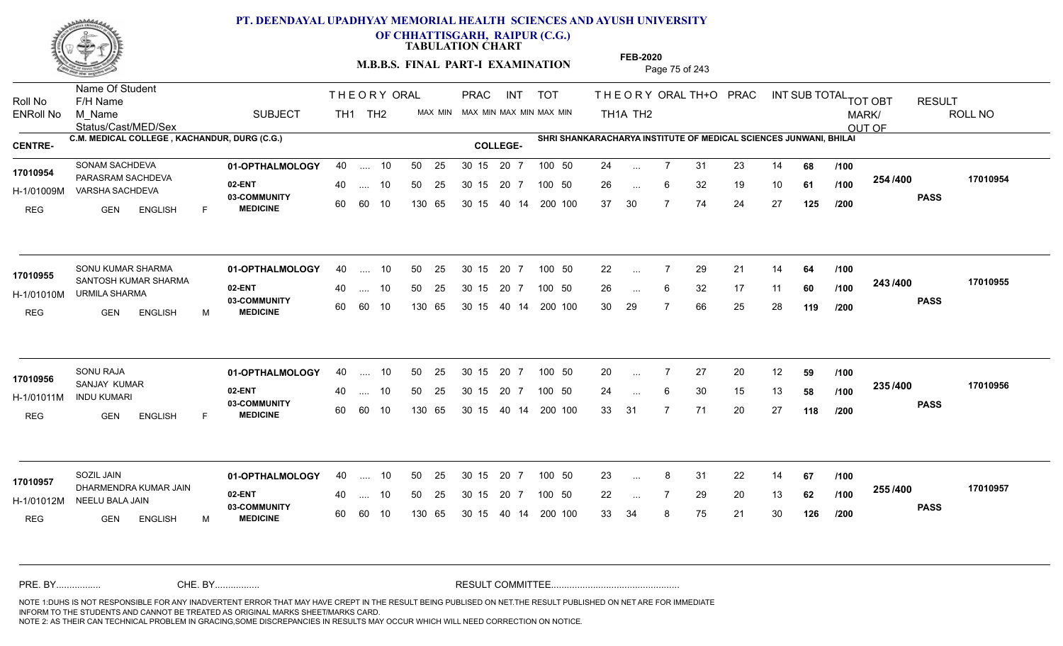

**OF CHHATTISGARH, RAIPUR (C.G.)**

**TABULATION CHART** 

**M.B.B.S. FINAL PART-I EXAMINATION** Page 75 of 243

Status/Cast/MED/Sex Name Of Student Roll No F/H Name M\_Name SUBJECT TH1 TH2 <sup>MAX\_MIN</sup> N PRAC INT TOT THEORY ORAL TH+O PRAC INT TH<sub>1</sub>A TH<sub>2</sub> ORAL TH+ODPRACD INT SUB TOTAL <sub>TOT OBT</sub> RESULT ROLL NO MARK/ OUT OF ENRoll No M Name  $\,$  SUBJECT TH1 TH2 MAX MIN MAX MIN MAX MIN MAX MIN TH1A TH2 **C.M. MEDICAL COLLEGE , KACHANDUR, DURG (C.G.) SHRI SHANKARACHARYA INSTITUTE OF MEDICAL SCIENCES JUNWANI, BHILAI CENTRE- COLLEGE-**THE ORY ORAL PRAC INT PRAC **01-OPTHALMOLOGY** SONAM SACHDEVA 40 .... 10 30 15 20 7 **02-ENT** 03-COMMUNITY 60  **MEDICINE** H-1/01009M VARSHA SACHDEVA PARASRAM SACHDEVA **17010954** REG GEN ENGLISH F 24 7 31 23 14 **68** 26 ... 6 32 19 10 **61 /100 <sup>2047</sup> 1** 37 30 7 74 24 27 **125 254 PASS /400 17010954** 40 .... 10 50 25 30 15 60 60 10 130 65 30 15 40 14 200 100 20 7 100 50 50 25 30 15 20 7 100 50 24 ... ... ... 6 **/100 /100 /200 01-OPTHALMOLOGY** SONU KUMAR SHARMA 40 .... 10 30 15 20 7 **02-ENT** 03-COMMUNITY 60 **MEDICINE** 60 60 10 H-1/01010M URMILA SHARMA 17010955 SANTOSH KUMAR SHARMA REG GEN ENGLISH M 22 7 29 21 14 **64** 26 ... 6 32 17 11 **60 /100 <sup>243</sup>/400** 30 29 7 66 25 28 **119 243 PASS /400 17010955** 40 .... 10 50 25 130 65 130 65 30 15 40 14 200 100 30 15 20 7 100 50 50 25 30 15 20 7 100 50 22 ... ...  $\overline{\phantom{a}}$ . 6 **/100 /100 /200 01-OPTHALMOLOGY** 40 .... 10 50 25 30 15 20 7 100 50 20 15 20 7 100 50 20 **02-ENT** 03-COMMUNITY 60 **MEDICINE** 60 60 10 H-1/01011M INDU KUMARI **17010956** SANJAY KUMAR REG GEN ENGLISH F 20 7 27 20 12 **59** 24 ... 6 30 15 13 **58 /100 <sup>2007</sup> 700** 33 31 7 71 20 27 **118 235 PASS /400 17010956** .... 10 50 25 30 15 130 65 20 7 130 65 30 15 30 15 20 7 100 50 40 14 200 100 50 25 30 15 20 7 100 50 20 ... 7 ... ... **/100 /100 /200 01-OPTHALMOLOGY** 40 .... 10 50 25 30 15 20 7 100 50 23 **02-ENT** 03-COMMUNITY 60 **MEDICINE** 60 60 10 H-1/01012M NEELU BALA JAIN **1999 - 1999 ACLIF** 17010957 DHARMENDRA KUMAR JAIN REG GEN ENGLISH M 23 8 31 22 14 **67** 22 ... 7 29 20 13 **62 /100 <sup>2007</sup> 7** 33 34 8 75 21 30 **126 255 PASS /400 17010957** 40 .... 10 50 25 130 65 130 65 30 15 30 15 20 7 100 50 40 14 200 100 50 25 30 15 20 7 100 50 23 ... 8 ... ... **/100 /100 /200** NOTE 1:DUHS IS NOT RESPONSIBLE FOR ANY INADVERTENT ERROR THAT MAY HAVE CREPT IN THE RESULT BEING PUBLISED ON NET.THE RESULT PUBLISHED ON NET ARE FOR IMMEDIATE INFORM TO THE STUDENTS AND CANNOT BE TREATED AS ORIGINAL MARKS SHEET/MARKS CARD. CHE. BY WAREL BY WARE AND THE AVEC THE AVEC THE THE RESULT COMMITTEE AND MULTIME MOTE 1:DUHS IS NOT RESPONSIBLE FOR ANY INADVERTENT ERROR THAT MAY HAVE CREPT IN THE RESULT BEING PUBLISED ON NET.THE RESULT PUBLISHED ON NET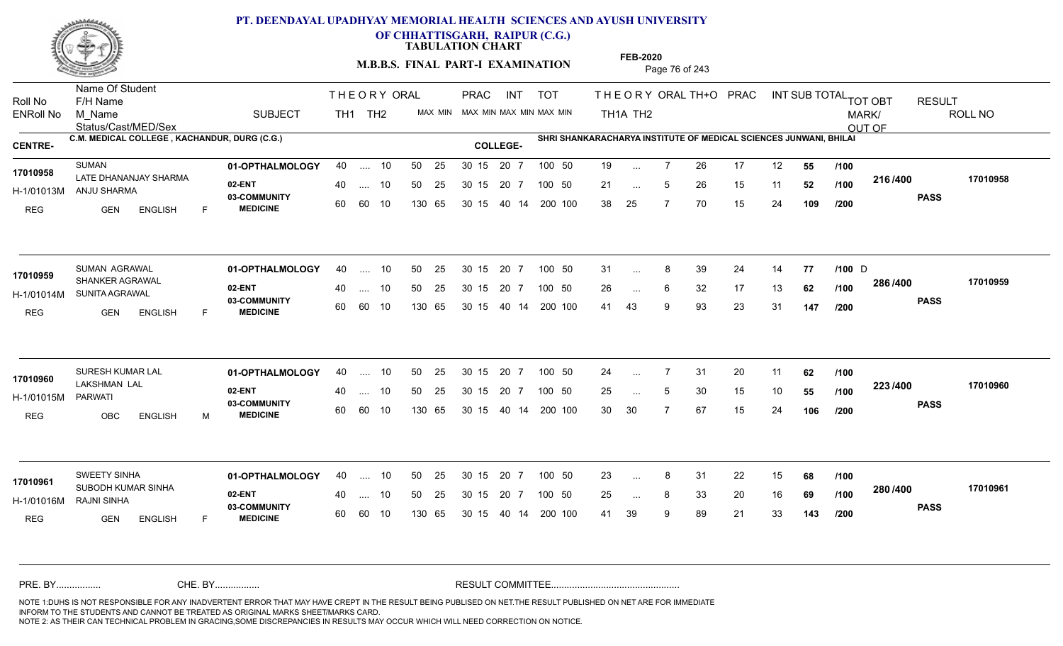

**OF CHHATTISGARH, RAIPUR (C.G.)**

**TABULATION CHART** 

**M.B.B.S. FINAL PART-I EXAMINATION** Page 76 of 243

Status/Cast/MED/Sex Name Of Student Roll No F/H Name M\_Name SUBJECT TH1 TH2 <sup>MAX\_MIN</sup> N PRAC INT TOT THEORY ORAL TH+O PRAC INT TH<sub>1</sub>A TH<sub>2</sub> ORAL TH+ODPRACD INT SUB TOTAL <sub>TOT OBT</sub> RESULT ROLL NO MARK/ OUT OF ENRoll No M Name  $\,$  SUBJECT TH1 TH2 MAX MIN MAX MIN MAX MIN MAX MIN TH1A TH2 **C.M. MEDICAL COLLEGE , KACHANDUR, DURG (C.G.) SHRI SHANKARACHARYA INSTITUTE OF MEDICAL SCIENCES JUNWANI, BHILAI CENTRE- COLLEGE-**THE ORY ORAL PRAC INT PRAC **01-OPTHALMOLOGY** 40 .... 10 50 25 30 15 20 7 100 50 19 **02-ENT** 03-COMMUNITY 60  **MEDICINE** H-1/01013M ANJU SHARMA LATE DHANANJAY SHARMA **17010958** REG GEN ENGLISH F 19 ... 7 26 17 12 **55 /100** 21 ... 5 26 15 11 **52 /100 <sup>2107400</sup>** 38 25 7 70 15 24 **109 216 PASS /400 17010958** 40 .... 10 50 25 30 15 60 60 10 130 65 30 15 40 14 200 100 20 7 100 50 50 25 30 15 20 7 100 50 19 ... ... ... 5 **/100 /100 /200 01-OPTHALMOLOGY** SUMAN AGRAWAL 40 .... 10 30 15 20 7 **02-ENT** 03-COMMUNITY 60 **MEDICINE** 60 60 10 H-1/01014M SUNITA AGRAWAL 17010959 SHANKER AGRAWAL REG GEN ENGLISH F 31 8 39 24 14 **77 /100** 26 ... 6 32 17 13 **62 /100 <sup>2007–00</sup>** 41 43 9 93 23 31 **147 286 PASS /400 17010959** 40 .... 10 50 25 130 65 130 65 30 15 40 14 200 100 30 15 20 7 100 50 50 25 30 15 20 7 100 50 31 ... 8 39 24 14 **77 /100** D ...  $\overline{\phantom{a}}$ . 6 **/100 /200 01-OPTHALMOLOGY** SURESH KUMAR LAL 40 .... 10 30 15 20 7 **02-ENT** 03-COMMUNITY 60  **MEDICINE** H-1/01015M LAKSHMAN LAL **17010960** PARWATI REG OBC ENGLISH M 24 7 31 20 11 **62** 25 ... 5 30 15 10 **55 /100 <sup>223</sup>/\*<sup>00</sup>** 30 30 7 67 15 24 **106 223 PASS /400 17010960** .... 10 50 25 30 15 60 60 10 20 7 130 65 30 15 30 15 20 7 100 50 40 14 200 100 50 25 30 15 20 7 100 50 24 ... 7 ... ... 5 **/100 /100 /200** SWEETY SINHA **01-OPTHALMOLOGY** 40 .... 10 50 25 30 15 20 7 100 50 23 **02-ENT** 03-COMMUNITY 60 **MEDICINE** 60 60 10 H-1/01016M RAJNI SINHA SUBODH KUMAR SINHA **17010961** REG **GEN ENGLISH** F 23 8 31 22 15 **68** 25 ... 8 33 20 16 **69 /100 <sup>2007–00</sup>** 41 39 9 89 21 33 **143 280 PASS /400 17010961** 40 .... 10 50 25 130 65 130 65 30 15 30 15 20 7 100 50 40 14 200 100 50 25 30 15 20 7 100 50 23 ... 8 ... ... **/100 /100 /200** NOTE 1:DUHS IS NOT RESPONSIBLE FOR ANY INADVERTENT ERROR THAT MAY HAVE CREPT IN THE RESULT BEING PUBLISED ON NET.THE RESULT PUBLISHED ON NET ARE FOR IMMEDIATE INFORM TO THE STUDENTS AND CANNOT BE TREATED AS ORIGINAL MARKS SHEET/MARKS CARD. CHE. BY WAREL BY WARE AND THE AVEC THE AVEC THE THE RESULT COMMITTEE AND MULTIME MOTE 1:DUHS IS NOT RESPONSIBLE FOR ANY INADVERTENT ERROR THAT MAY HAVE CREPT IN THE RESULT BEING PUBLISED ON NET.THE RESULT PUBLISHED ON NET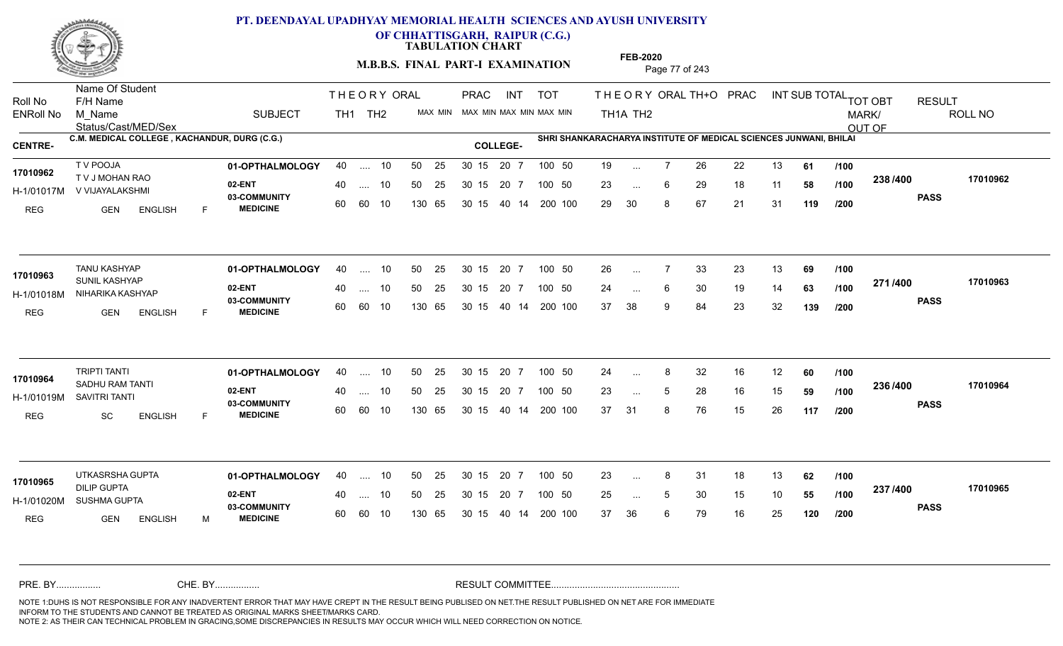

**OF CHHATTISGARH, RAIPUR (C.G.)**

**TABULATION CHART** 

**FEB-2020**

**M.B.B.S. FINAL PART-I EXAMINATION** Page 77 of 243

Status/Cast/MED/Sex Name Of Student Roll No F/H Name M\_Name SUBJECT TH1 TH2 <sup>MAX\_MIN</sup> N PRAC INT TOT THEORY ORAL TH+O PRAC INT TH<sub>1</sub>A TH<sub>2</sub> ORAL TH+ODPRACD INT SUB TOTAL <sub>TOT OBT</sub> RESULT ROLL NO MARK/ OUT OF ENRoll No M Name  $\,$  SUBJECT TH1 TH2 MAX MIN MAX MIN MAX MIN MAX MIN TH1A TH2 **C.M. MEDICAL COLLEGE , KACHANDUR, DURG (C.G.) SHRI SHANKARACHARYA INSTITUTE OF MEDICAL SCIENCES JUNWANI, BHILAI CENTRE- COLLEGE-**THE ORY ORAL PRAC INT PRAC **01-OPTHALMOLOGY** T V POOJA 40 .... 10 30 15 20 7 **02-ENT** 03-COMMUNITY 60  **MEDICINE** H-1/01017M V VIJAYALAKSHMI 17010962 T V J MOHAN RAO REG GEN ENGLISH F 19 ... 7 26 22 13 **61 /100** 23 ... 6 29 18 11 **58 /100 <sup>2007</sup> 1** 29 30 8 67 21 31 **119 238 PASS /400 17010962** 40 .... 10 50 25 30 15 60 60 10 130 65 30 15 40 14 200 100 20 7 100 50 50 25 30 15 20 7 100 50 19 ... ... ... 6 **/100 /100 /200 01-OPTHALMOLOGY** TANU KASHYAP 40 .... 10 30 15 20 7 **02-ENT** 03-COMMUNITY 60 **MEDICINE** 60 60 10 H-1/01018M NIHARIKA KASHYAP 17010963 **SUNIL KASHYAP** REG GEN ENGLISH F 26 7 33 23 13 **69** 24 ... 6 30 19 14 **63 /100 <del>1111</del>-00** 37 38 9 84 23 32 **139 271 PASS /400 17010963** 40 .... 10 50 25 130 65 130 65 30 15 40 14 200 100 30 15 20 7 100 50 50 25 30 15 20 7 100 50 26 ... ... ... **/100 /100 /200 01-OPTHALMOLOGY** 40 .... 10 50 25 30 15 20 7 100 50 24 16 .... 10 50 .... 10 50 .... 10 50 .... 10 50 .... 10 .... **02-ENT** 03-COMMUNITY 60 **MEDICINE** 60 60 10 H-1/01019M SAVITRI TANTI 17010964 <sub>SADHU RAM TANTI</sub> REG SC ENGLISH F 24 ... 8 32 16 12 **60** /**100** 23 ... 5 28 16 15 **59 /100 <sup>2007</sup> 100** 37 31 8 76 15 26 **117 236 PASS /400 17010964** .... 10 50 25 30 15 130 65 20 7 130 65 30 15 30 15 20 7 100 50 40 14 200 100 50 25 30 15 20 7 100 50 24 ... 8 ... ... 5 **/100 /100 /200 01-OPTHALMOLOGY** UTKASRSHA GUPTA 40 .... 10 30 15 20 7 **02-ENT** 03-COMMUNITY 60 **MEDICINE** 60 60 10 H-1/01020M SUSHMA GUPTA **And Contain the Contain of the Contain** DILIP GUPTA REG GEN ENGLISH M 23 ... 8 31 18 13 **62** /**100** 25 ... 5 30 15 10 **55 /100 <sup>237</sup> /\*\***00 37 36 6 79 16 25 **120 237 PASS /400 17010965** 40 .... 10 50 25 130 65 130 65 30 15 30 15 20 7 100 50 40 14 200 100 50 25 30 15 20 7 100 50 23 ... 8 UTKASRSHA GUPTA<br>**17010965** ... ... **/100 /100 /200** NOTE 1:DUHS IS NOT RESPONSIBLE FOR ANY INADVERTENT ERROR THAT MAY HAVE CREPT IN THE RESULT BEING PUBLISED ON NET.THE RESULT PUBLISHED ON NET ARE FOR IMMEDIATE INFORM TO THE STUDENTS AND CANNOT BE TREATED AS ORIGINAL MARKS SHEET/MARKS CARD. CHE. BY WAREL BY WARE AND THE AVEC THE AVEC THE THE RESULT COMMITTEE AND MULTIME MOTE 1:DUHS IS NOT RESPONSIBLE FOR ANY INADVERTENT ERROR THAT MAY HAVE CREPT IN THE RESULT BEING PUBLISED ON NET.THE RESULT PUBLISHED ON NET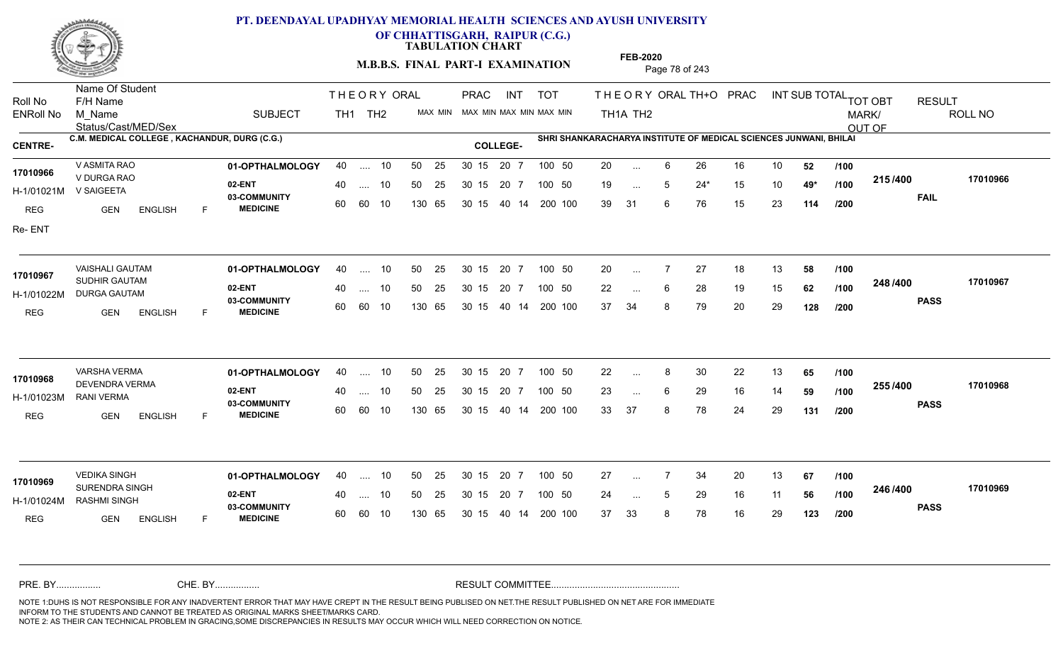

**OF CHHATTISGARH, RAIPUR (C.G.)**

**TABULATION CHART** 

**M.B.B.S. FINAL PART-I EXAMINATION** Page 78 of 243

Status/Cast/MED/Sex Name Of Student Roll No F/H Name M\_Name SUBJECT TH1 TH2 <sup>MAX\_MIN</sup> N PRAC INT TOT THEORY ORAL TH+O PRAC INT TH<sub>1</sub>A TH<sub>2</sub> ORAL TH+ODPRACD INT SUB TOTAL <sub>TOT OBT</sub> RESULT ROLL NO MARK/ OUT OF ENRoll No M Name  $\,$  SUBJECT TH1 TH2 MAX MIN MAX MIN MAX MIN MAX MIN TH1A TH2 **C.M. MEDICAL COLLEGE , KACHANDUR, DURG (C.G.) SHRI SHANKARACHARYA INSTITUTE OF MEDICAL SCIENCES JUNWANI, BHILAI CENTRE- COLLEGE-**THE ORY ORAL PRAC INT PRAC **01-OPTHALMOLOGY** V ASMITA RAO 40 .... 10 30 15 20 7 **02-ENT** 03-COMMUNITY 60  **MEDICINE** H-1/01021M V SAIGEETA V DURGA RAO **17010966** REG GEN ENGLISH F 20 6 26 16 10 **52** 19 ... 5 24\* 15 10 **49\*** /**100 <sup>4</sup> '** 39 31 6 76 15 23 **114 215 FAIL 17010966 /400** Re- ENT 40 .... 10 50 25 30 15 60 60 10 130 65 30 15 20 7 100 50 40 14 200 100 50 25 30 15 20 7 100 50 20 ... ... ... 5 **/100 /100 /200 01-OPTHALMOLOGY** VAISHALI GAUTAM 40 .... 10 30 15 20 7 **02-ENT** 03-COMMUNITY 60 **MEDICINE** 60 60 10 H-1/01022M DURGA GAUTAM 17010967 SUDHIR GAUTAM **17010967** REG GEN ENGLISH F 20 7 27 18 13 **58** 22 ... 6 28 19 15 **62 /100 <sup>2-407-400</sup>** 37 34 8 79 20 29 **128 248 PASS /400 17010967** 40 .... 10 50 25 130 65 130 65 30 15 40 14 200 100 30 15 20 7 100 50 50 25 30 15 20 7 100 50 20 ... ... ... **/100 /100 /200 01-OPTHALMOLOGY** VARSHA VERMA 40 .... 10 30 15 20 7 **02-ENT** 03-COMMUNITY 60 **MEDICINE** 60 60 10 H-1/01023M DEVENDRA VERMA **17010968** RANI VERMA REG GEN ENGLISH F 22 8 30 22 13 **65** 23 ... 6 29 16 14 **59 /100 <sup>2007</sup> 700** 33 37 8 78 24 29 **131 255 PASS /400 17010968** .... 10 50 25 30 15 130 65 20 7 130 65 30 15 30 15 20 7 100 50 40 14 200 100 50 25 30 15 20 7 100 50 22 ... 8 ... ... 6 **/100 /100 /200 01-OPTHALMOLOGY** VEDIKA SINGH 40 .... 10 30 15 20 7 **02-ENT** 03-COMMUNITY 60 **MEDICINE** 60 60 10 H-1/01024M RASHMI SINGH 17010969<br>
SURENDRA SINGH REG GEN ENGLISH F 27 7 34 20 13 **67** 24 ... 5 29 16 11 **56 /100 <sup>246</sup>/\*<sup>00</sup>** 37 33 8 78 16 29 **123 246 PASS /400 17010969** 40 .... 10 50 25 130 65 130 65 30 15 30 15 20 7 100 50 40 14 200 100 50 25 30 15 20 7 100 50 27 ... ... ... 5 **/100 /100 /200** NOTE 1:DUHS IS NOT RESPONSIBLE FOR ANY INADVERTENT ERROR THAT MAY HAVE CREPT IN THE RESULT BEING PUBLISED ON NET.THE RESULT PUBLISHED ON NET ARE FOR IMMEDIATE INFORM TO THE STUDENTS AND CANNOT BE TREATED AS ORIGINAL MARKS SHEET/MARKS CARD. CHE. BY WAREL BY WARE AND THE AVEC THE AVEC THE THE RESULT COMMITTEE AND MULTIME MOTE 1:DUHS IS NOT RESPONSIBLE FOR ANY INADVERTENT ERROR THAT MAY HAVE CREPT IN THE RESULT BEING PUBLISED ON NET.THE RESULT PUBLISHED ON NET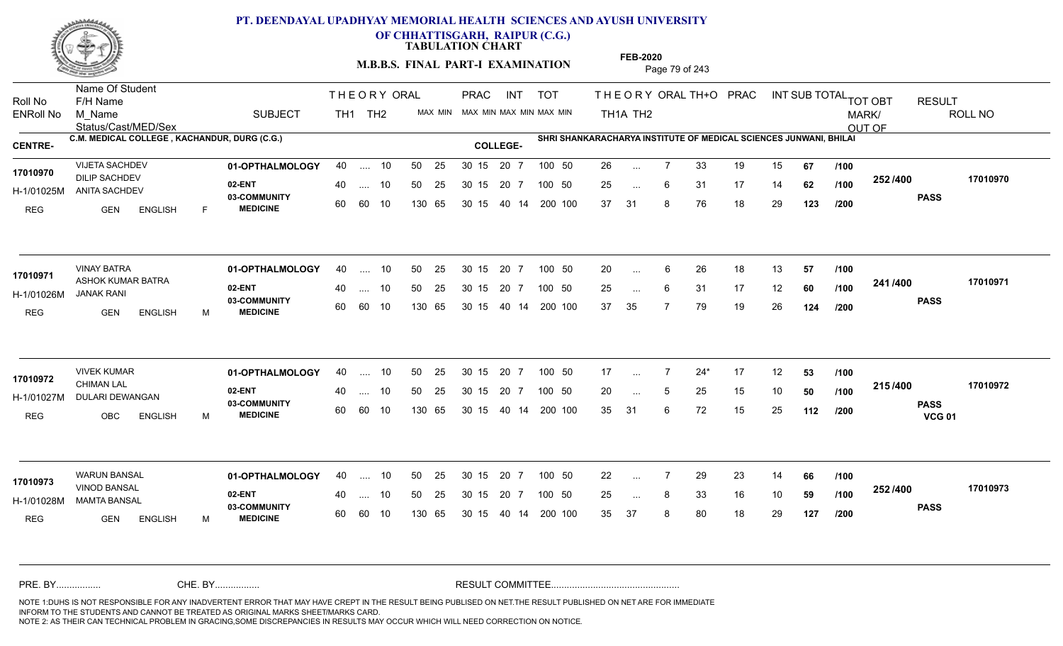

**OF CHHATTISGARH, RAIPUR (C.G.)**

**TABULATION CHART** 

**M.B.B.S. FINAL PART-I EXAMINATION** Page 79 of 243

Status/Cast/MED/Sex Name Of Student Roll No F/H Name M\_Name SUBJECT TH1 TH2 <sup>MAX\_MIN</sup> N PRAC INT TOT THEORY ORAL TH+O PRAC INT TH<sub>1</sub>A TH<sub>2</sub> ORAL TH+ODPRACD INT SUB TOTAL <sub>TOT OBT</sub> RESULT ROLL NO MARK/ OUT OF ENRoll No M Name  $\,$  SUBJECT TH1 TH2 MAX MIN MAX MIN MAX MIN MAX MIN TH1A TH2 **C.M. MEDICAL COLLEGE , KACHANDUR, DURG (C.G.) SHRI SHANKARACHARYA INSTITUTE OF MEDICAL SCIENCES JUNWANI, BHILAI CENTRE- COLLEGE-**THE ORY ORAL PRAC INT PRAC **01-OPTHALMOLOGY** VIJETA SACHDEV 40 .... 10 30 15 20 7 **02-ENT** 03-COMMUNITY 60  **MEDICINE** H-1/01025M ANITA SACHDEV 17010970 DILIP SACHDEV REG GEN ENGLISH F 26 7 33 19 15 **67** 25 ... 6 31 17 14 **62 /100 <sup>2027–00</sup>** 37 31 8 76 18 29 **123 252 PASS /400 17010970** 40 .... 10 50 25 30 15 60 60 10 130 65 30 15 40 14 200 100 20 7 100 50 50 25 30 15 20 7 100 50 26 ... ... ... 6 **/100 /100 /200 01-OPTHALMOLOGY** VINAY BATRA 40 .... 10 30 15 20 7 **02-ENT** 03-COMMUNITY 60 **MEDICINE** 60 60 10 H-1/01026M JANAK RANI ASHOK KUMAR BATRA **17010971** REG GEN ENGLISH M 20 ... 6 26 18 13 **57 /100** 25 ... 6 31 17 12 **60 /100 <sup>2411/400</sup>** 37 35 7 79 19 26 **124 241 PASS /400 17010971** 40 .... 10 50 25 130 65 130 65 30 15 40 14 200 100 30 15 20 7 100 50 50 25 30 15 20 7 100 50 20 ... ...  $\overline{\phantom{a}}$ . 6 **/100 /100 /200 01-OPTHALMOLOGY** VIVEK KUMAR 40 .... 10 30 15 20 7 **02-ENT** 03-COMMUNITY 60 **MEDICINE** 60 60 10 H-1/01027M DULARI DEWANGAN **1999 DENYA DE** CHIMAN LAL REG OBC ENGLISH M 17 7 24\* 17 12 **53** 20 ... 5 25 15 10 **50** /**100 <sup>2137466</sup>** 35 31 6 72 15 25 **112 215 PASS VCG 01 /400 17010972** .... 10 50 25 30 15 130 65 20 7 130 65 30 15 30 15 20 7 100 50 40 14 200 100 50 25 30 15 20 7 100 50 17 ... **17010972 17010972** ... ... 5 **/100 /100 /200 01-OPTHALMOLOGY** WARUN BANSAL 40 .... 10 30 15 20 7 **02-ENT** 03-COMMUNITY 60 **MEDICINE** 60 60 10 H-1/01028M MAMTA BANSAL VINOD BANSAL **17010973** REG GEN ENGLISH M 22 7 29 23 14 **66** 25 ... 8 33 16 10 **59 /100 <sup>2027–00</sup>** 35 37 8 80 18 29 **127 252 PASS /400 17010973** 40 .... 10 50 25 130 65 130 65 30 15 30 15 20 7 100 50 40 14 200 100 50 25 30 15 20 7 100 50 22 ... ... ... **/100 /100 /200** NOTE 1:DUHS IS NOT RESPONSIBLE FOR ANY INADVERTENT ERROR THAT MAY HAVE CREPT IN THE RESULT BEING PUBLISED ON NET.THE RESULT PUBLISHED ON NET ARE FOR IMMEDIATE INFORM TO THE STUDENTS AND CANNOT BE TREATED AS ORIGINAL MARKS SHEET/MARKS CARD. CHE. BY WAREL BY WARE AND THE AVEC THE AVEC THE THE RESULT COMMITTEE AND MULTIME MOTE 1:DUHS IS NOT RESPONSIBLE FOR ANY INADVERTENT ERROR THAT MAY HAVE CREPT IN THE RESULT BEING PUBLISED ON NET.THE RESULT PUBLISHED ON NET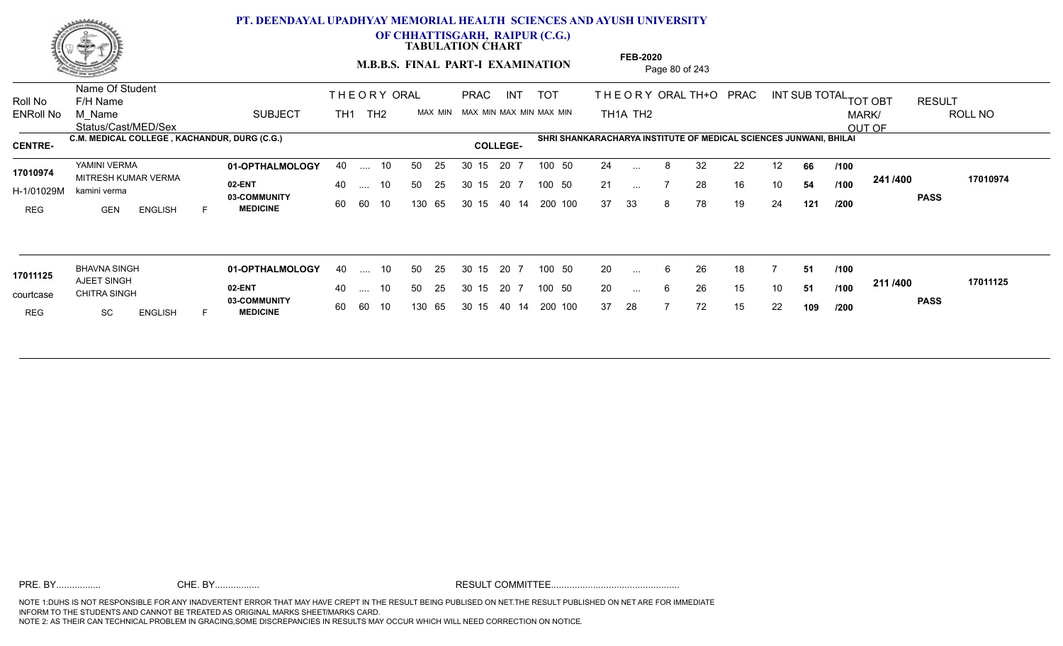

**OF CHHATTISGARH, RAIPUR (C.G.)**

**TABULATION CHART** 

**M.B.B.S. FINAL PART-I EXAMINATION** Page 80 of 243

Status/Cast/MED/Sex Name Of Student Roll No F/H Name M\_Name SUBJECT TOT THE OR YORAL TH+O PRAC INT TH<sub>1</sub>A TH<sub>2</sub> ORAL TH+ODPRACD INT SUB TOTAL <sub>TOT OBT</sub> RESULT ROLL NO MARK/ OUT OF ENRoll No M Name  $\,$  SUBJECT TH1 TH2 MAX MIN MAX MIN MAX MIN MAX MIN TH1A TH2 **C.M. MEDICAL COLLEGE , KACHANDUR, DURG (C.G.) SHRI SHANKARACHARYA INSTITUTE OF MEDICAL SCIENCES JUNWANI, BHILAI**<br> **COLLEGE-**THE ORY ORAL TH<sub>1</sub> TH<sub>2</sub> PRAC INT TOT THEOR PRAC **01-OPTHALMOLOGY** YAMINI VERMA 40 .... 10 30 15 20 7 **02-ENT 03-COMMUNITY MEDICINE** H-1/01029M kamini verma 17010974 MITRESH KUMAR VERMA REG **GEN ENGLISH** F 24 ... 8 32 22 12 **66 /100** 21 ... 7 28 16 10 **54 /100 <sup>2411/400</sup>** 37 33 8 78 19 24 **121 241 PASS /400 17010974** .... 10 50 25 60 60 10 50 25 30 15 130 65 30 15 40 14 200 100 20 7 100 50 50 25 30 15 20 7 100 50 24 ... ... ... **/100 /100 /200 01-OPTHALMOLOGY** BHAVNA SINGH 40 .... 10 30 15 20 7 **02-ENT 03-COMMUNITY MEDICINE** courtcase CHITRA SINGH COURSE 20 A AJEET SINGH REG SC ENGLISH F 20 ... 6 26 18 7 **51 /100** 20 ... 6 26 15 10 **51 /100 <del>111/1</del>00** 37 28 7 72 15 22 **109 211 PASS /400 17011125** .... 10 50 25 60 60 10 50 25 30 15 130 65 30 15 40 14 200 100 20 7 100 50 50 25 30 15 20 7 100 50 20 ... **17011125 17011125** ... ... **/100 /100 /200**

**FEB-2020**

NOTE 1:DUHS IS NOT RESPONSIBLE FOR ANY INADVERTENT ERROR THAT MAY HAVE CREPT IN THE RESULT BEING PUBLISED ON NET.THE RESULT PUBLISHED ON NET ARE FOR IMMEDIATE INFORM TO THE STUDENTS AND CANNOT BE TREATED AS ORIGINAL MARKS SHEET/MARKS CARD. NOTE 2: AS THEIR CAN TECHNICAL PROBLEM IN GRACING,SOME DISCREPANCIES IN RESULTS MAY OCCUR WHICH WILL NEED CORRECTION ON NOTICE. PRE. BY................. CHE. BY................. RESULT COMMITTEE.................................................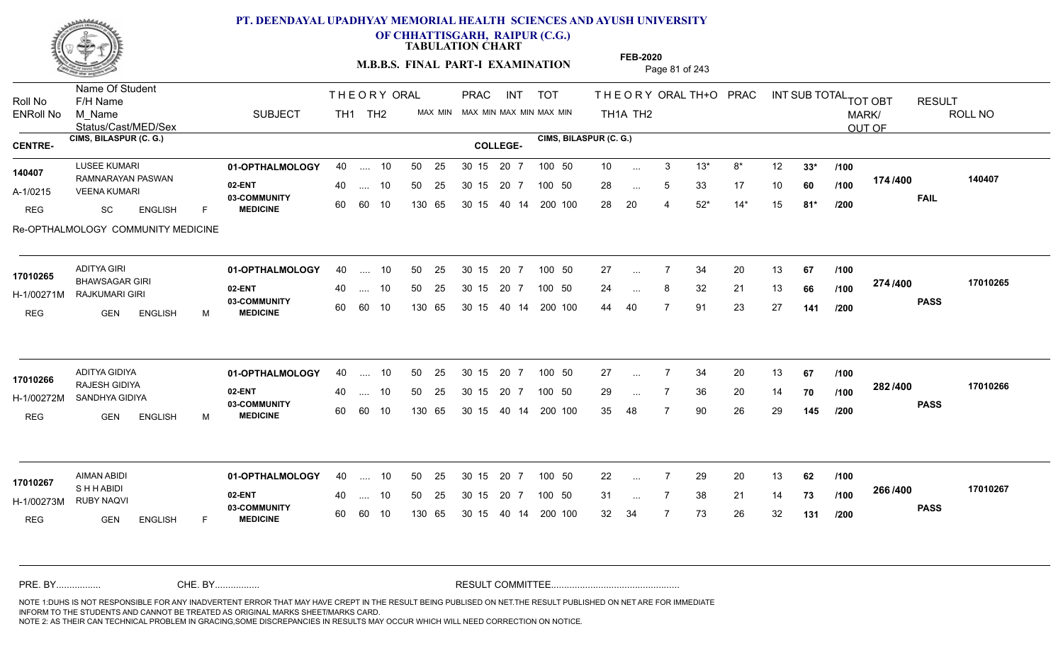

**OF CHHATTISGARH, RAIPUR (C.G.)**

**TABULATION CHART** 

**M.B.B.S. FINAL PART-I EXAMINATION** Page 81 of 243

Status/Cast/MED/Sex Name Of Student Roll No F/H Name M\_Name SUBJECT PRAC INT TOT THEORY ORAL TH+O PRAC INT TH<sub>1</sub>A TH<sub>2</sub> ORAL TH+ODPRACD INT SUB TOTAL <sub>TOT OBT</sub> RESULT ROLL NO MARK/ OUT OF ENRoll No M Name  $\,$  SUBJECT TH1 TH2 MAX MIN MAX MIN MAX MIN MAX MIN TH1A TH2 **CIMS, BILASPUR (C. G.) CIMS, BILASPUR (C. G.) CENTRE- COLLEGE-**THE ORY ORAL PRAC INT TH<sub>1</sub> TH<sub>2</sub> PRAC **01-OPTHALMOLOGY** LUSEE KUMARI 40 .... 10 30 15 20 7 **02-ENT** 03-COMMUNITY 60  **MEDICINE** A-1/0215 VEENA KUMARI RAMNARAYAN PASWAN **140407** REG SC ENGLISH F 10 3 13\* 8\* 12 **33\*** 28 ... 5 33 17 10 **60** /**100 <sup>17\*/\*\*</sup>** 28 20 4 52\* 14\* 15 **81\* 174 FAIL 140407 /400** Re-OPTHALMOLOGY COMMUNITY MEDICINE 40 .... 10 50 25 30 15 60 60 10 130 65 30 15 40 14 200 100 20 7 100 50 50 25 30 15 20 7 100 50 10 ... ... ... **/100 /100 /200 01-OPTHALMOLOGY** ADITYA GIRI 40 .... 10 30 15 20 7 **02-ENT** 03-COMMUNITY 60  **MEDICINE** H-1/00271M RAJKUMARI GIRI BHAWSAGAR GIRI **17010265** REG GEN ENGLISH M 27 7 34 20 13 **67** 24 ... 8 32 21 13 **66 /100 <sup>274/400</sup>** 44 40 7 91 23 27 **141 274 PASS /400 17010265** 40 .... 10 50 25 30 15 60 60 10 130 65 30 15 40 14 200 100 20 7 100 50 50 25 30 15 20 7 100 50 27 ... 7 ... ... 8 **/100 /100 /200 01-OPTHALMOLOGY** ADITYA GIDIYA 40 .... 10 30 15 20 7 **02-ENT** 03-COMMUNITY 60  **MEDICINE** H-1/00272M SANDHYA GIDIYA RAJESH GIDIYA **17010266** REG **GEN ENGLISH** M 27 7 34 20 13 **67** 29 ... 7 36 20 14 **70 /100 <sup>2027400</sup>** 35 48 7 90 26 29 **145 282 PASS /400 17010266** 40 .... 10 50 25 30 15 60 60 10 130 65 30 15 40 14 200 100 20 7 100 50 50 25 30 15 20 7 100 50 27 ... ... ... **/100 /100 /200 01-OPTHALMOLOGY** AIMAN ABIDI 40 .... 10 30 15 20 7 **02-ENT** 03-COMMUNITY 60 **MEDICINE** 60 60 10 H-1/00273M RUBY NAQVI S H H ABIDI REG GEN ENGLISH F 22 7 29 20 13 **62** 31 ... 7 38 21 14 **73 /100 <sup>2007</sup>** 32 34 7 73 26 32 **131 266 PASS /400 17010267** 40 .... 10 50 25 30 15 130 65 130 65 30 15 40 14 200 100 20 7 100 50 50 25 30 15 20 7 100 50 22 ... 7 **17010267** ... ... **/100 /100 /200** NOTE 1:DUHS IS NOT RESPONSIBLE FOR ANY INADVERTENT ERROR THAT MAY HAVE CREPT IN THE RESULT BEING PUBLISED ON NET.THE RESULT PUBLISHED ON NET ARE FOR IMMEDIATE INFORM TO THE STUDENTS AND CANNOT BE TREATED AS ORIGINAL MARKS SHEET/MARKS CARD. CHE. BY WAREL BY WARE AND THE AVEC THE AVEC THE THE RESULT COMMITTEE AND MULTIME MOTE 1:DUHS IS NOT RESPONSIBLE FOR ANY INADVERTENT ERROR THAT MAY HAVE CREPT IN THE RESULT BEING PUBLISED ON NET.THE RESULT PUBLISHED ON NET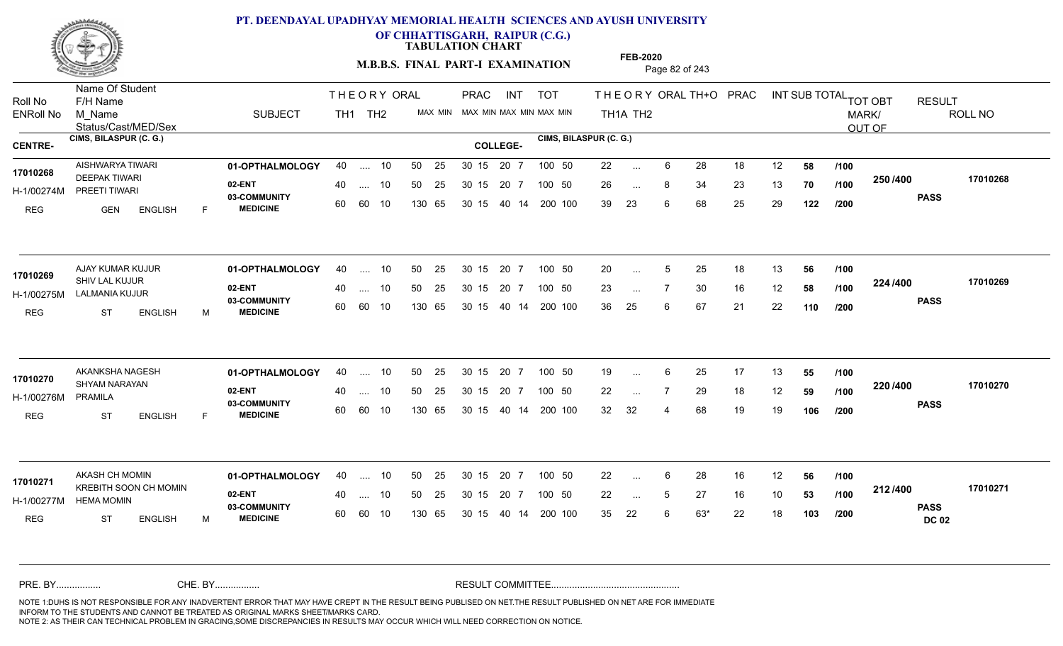

**OF CHHATTISGARH, RAIPUR (C.G.)**

**TABULATION CHART** 

**M.B.B.S. FINAL PART-I EXAMINATION** Page 82 of 243

Status/Cast/MED/Sex Name Of Student Roll No F/H Name M\_Name SUBJECT PRAC INT TOT THEORY ORAL TH+O PRAC INT TH<sub>1</sub>A TH<sub>2</sub> ORAL TH+ODPRACD INT SUB TOTAL <sub>TOT OBT</sub> RESULT ROLL NO MARK/ OUT OF ENRoll No M Name  $\,$  SUBJECT TH1 TH2 MAX MIN MAX MIN MAX MIN MAX MIN TH1A TH2 **CIMS, BILASPUR (C. G.) CIMS, BILASPUR (C. G.) CENTRE- COLLEGE-**THE ORY ORAL PRAC INT TH<sub>1</sub> TH<sub>2</sub> PRAC **01-OPTHALMOLOGY** AISHWARYA TIWARI 40 .... 10 30 15 20 7 **02-ENT** 03-COMMUNITY 60  **MEDICINE** H-1/00274M PREETI TIWARI **17010268** DEEPAK TIWARI REG GEN ENGLISH F 22 ... 6 28 18 12 **58 /100** 26 ... 8 34 23 13 **70 /100 <sup>2007</sup> 70** 39 23 6 68 25 29 **122 250 PASS /400 17010268** .... 10 50 25 60 60 10 50 25 30 15 130 65 30 15 40 14 200 100 20 7 100 50 50 25 30 15 20 7 100 50 22 ... ... ... **/100 /100 /200 01-OPTHALMOLOGY** AJAY KUMAR KUJUR 40 .... 10 30 15 20 7 **02-ENT** 03-COMMUNITY 60  **MEDICINE** H-1/00275M LALMANIA KUJUR 17010269 SHIV LAL KUJUR REG ST ENGLISH M 20 ... 5 25 18 13 **56 /100** 23 ... 7 30 16 12 **58 /100 <sup>22=11=00</sup>** 36 25 6 67 21 22 **110 224 PASS /400 17010269** .... 10 50 25 60 60 10 30 15 20 7 130 65 30 15 40 14 200 100 30 15 20 7 100 50 50 25 30 15 20 7 100 50 20 ... 5 ... 5 ... **/100 /100 /200 01-OPTHALMOLOGY** AKANKSHA NAGESH 40 .... 10 30 15 20 7 **02-ENT** 03-COMMUNITY 60  **MEDICINE** H-1/00276M SHYAM NARAYAN **17010270** PRAMILA REG ST ENGLISH F 19 ... 6 25 17 13 **55 /100** 22 ... 7 29 18 12 **59 /100 <sup>220</sup> 1** 32 32 4 68 19 19 **106 220 PASS /400 17010270** .... 10 50 25 30 15 60 60 10 20 7 130 65 30 15 30 15 20 7 100 50 40 14 200 100 50 25 30 15 20 7 100 50 19 ... 6 ... **/100 /100 /200 01-OPTHALMOLOGY** AKASH CH MOMIN 40 .... 10 30 15 20 7 **02-ENT** 03-COMMUNITY 60 **MEDICINE** 60 60 10 H-1/00277M HEMA MOMIN 17010271 KREBITH SOON CH MOMIN REG ST ENGLISH M 22 ... 6 28 16 12 **56 /100** 22 ... 5 27 16 10 **53 /100 <sup>212/+00</sup>** 35 22 6 63\* 22 18 **103 212 PASS DC 02 /400 17010271** .... 10 50 25 130 65 30 15 20 7 130 65 30 15 30 15 20 7 100 50 40 14 200 100 50 25 30 15 20 7 100 50 22 ... ... ... **/100 /100 /200** NOTE 1:DUHS IS NOT RESPONSIBLE FOR ANY INADVERTENT ERROR THAT MAY HAVE CREPT IN THE RESULT BEING PUBLISED ON NET.THE RESULT PUBLISHED ON NET ARE FOR IMMEDIATE INFORM TO THE STUDENTS AND CANNOT BE TREATED AS ORIGINAL MARKS SHEET/MARKS CARD. CHE. BY WAREL BY WARE AND THE AVEC THE AVEC THE THE RESULT COMMITTEE AND MULTIME MOTE 1:DUHS IS NOT RESPONSIBLE FOR ANY INADVERTENT ERROR THAT MAY HAVE CREPT IN THE RESULT BEING PUBLISED ON NET.THE RESULT PUBLISHED ON NET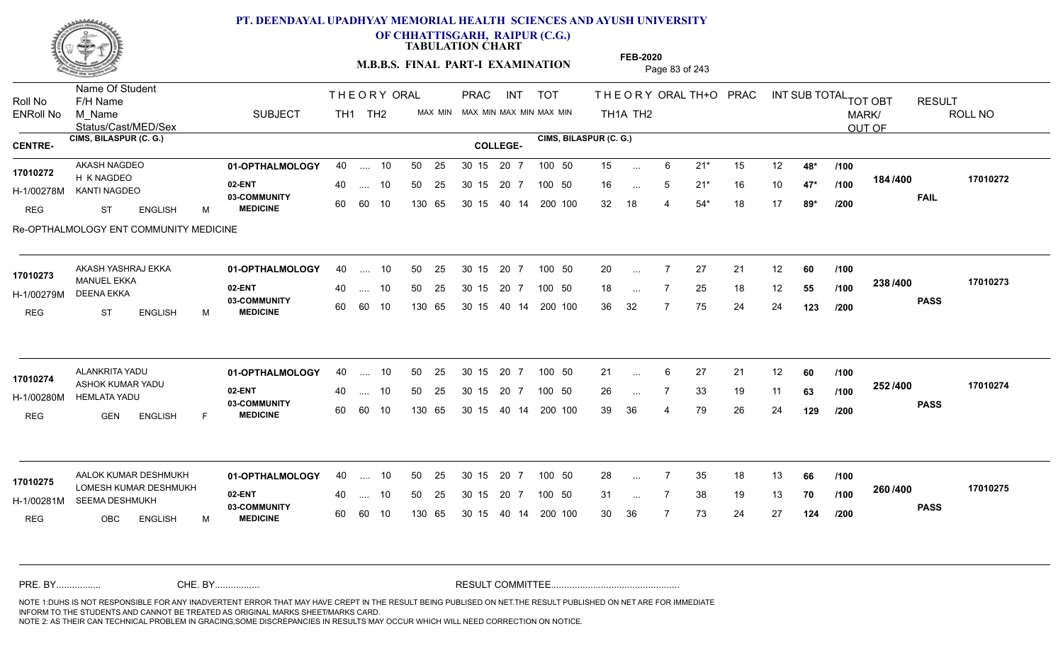

**OF CHHATTISGARH, RAIPUR (C.G.)**

**TABULATION CHART** 

**M.B.B.S. FINAL PART-I EXAMINATION** Page 83 of 243

Status/Cast/MED/Sex Name Of Student Roll No F/H Name M\_Name SUBJECT PRAC INT TOT THEORY ORAL TH+O PRAC INT TH<sub>1</sub>A TH<sub>2</sub> ORAL TH+ODPRACD INT SUB TOTAL <sub>TOT OBT</sub> RESULT ROLL NO MARK/ OUT OF ENRoll No M Name  $\,$  SUBJECT TH1 TH2 MAX MIN MAX MIN MAX MIN MAX MIN TH1A TH2 **CIMS, BILASPUR (C. G.) CIMS, BILASPUR (C. G.) CENTRE- COLLEGE-**THE ORY ORAL PRAC INT TH<sub>1</sub> TH<sub>2</sub> PRAC **01-OPTHALMOLOGY** AKASH NAGDEO 40 .... 10 30 15 20 7 **02-ENT 03-COMMUNITY MEDICINE** H-1/00278M KANTI NAGDEO 17010272 H K NAGDEO REG ST ENGLISH M 15 6 21\* 15 12 **48\*** 16 5 21\* 16 10 **47\*** 32 18 4 54\* 18 17 **89\* 184 FAIL 17010272 /400** Re-OPTHALMOLOGY ENT COMMUNITY MEDICINE .... 10 50 25 60 60 10 50 25 30 15 130 65 30 15 40 14 200 100 20 7 100 50 50 25 30 15 20 7 100 50 15 ... ... ... 5 **/100 /100 /200 01-OPTHALMOLOGY** AKASH YASHRAJ EKKA 40 .... 10 30 15 20 7 **02-ENT** 03-COMMUNITY 60  **MEDICINE** H-1/00279M DEENA EKKA MANUEL EKKA REG ST ENGLISH M 20 7 27 21 12 **60** 18 ... 7 25 18 12 **55 /100 <sup>2007</sup> 100** 36 32 7 75 24 24 **123 238 PASS /400 17010273** .... 10 50 25 60 60 10 30 15 20 7 130 65 30 15 40 14 200 100 30 15 20 7 100 50 50 25 30 15 20 7 100 50 20 ... **17010273** ... ... **/100 /100 /200 01-OPTHALMOLOGY** ALANKRITA YADU 40 .... 10 30 15 20 7 **02-ENT** 03-COMMUNITY 60  **MEDICINE** H-1/00280M HEMLATA YADU ASHOK KUMAR YADU **17010274** REG GEN ENGLISH F 21 ... 6 27 21 12 **60** /**100** 26 7 33 19 11 **63** 39 36 4 79 26 24 **129 252 PASS /400 17010274** .... 10 50 25 30 15 60 60 10 20 7 130 65 30 15 30 15 20 7 100 50 40 14 200 100 50 25 30 15 20 7 100 50 21 ... 6 ... **/100 /100 /200 01-OPTHALMOLOGY 02-ENT** 03-COMMUNITY 60 **MEDICINE** 60 60 10 H-1/00281M SEEMA DESHMUKH 17010275 LOMESH KUMAR DESHMUKH REG OBC ENGLISH M 28 7 35 18 13 **66** 31 ... 7 38 19 13 **70 /100 <sup>2007–00</sup>** 30 36 7 73 24 27 **124 260 PASS /400 17010275** AALOK KUMAR DESHMUKH **01-OPTHALMOLOGY** 40 .... 10 50 25 30 15 20 7 100 50 28 .... 10 50 25 130 65 50 25 30 15 130 65 30 15 40 14 200 100 20 7 100 50 30 15 20 7 100 50 28 ... ... ... **/100 /100 /200** NOTE 1:DUHS IS NOT RESPONSIBLE FOR ANY INADVERTENT ERROR THAT MAY HAVE CREPT IN THE RESULT BEING PUBLISED ON NET.THE RESULT PUBLISHED ON NET ARE FOR IMMEDIATE INFORM TO THE STUDENTS AND CANNOT BE TREATED AS ORIGINAL MARKS SHEET/MARKS CARD. CHE. BY WAREL BY WARE AND THE AVEC THE AVEC THE THE RESULT COMMITTEE AND MULTIME MOTE 1:DUHS IS NOT RESPONSIBLE FOR ANY INADVERTENT ERROR THAT MAY HAVE CREPT IN THE RESULT BEING PUBLISED ON NET.THE RESULT PUBLISHED ON NET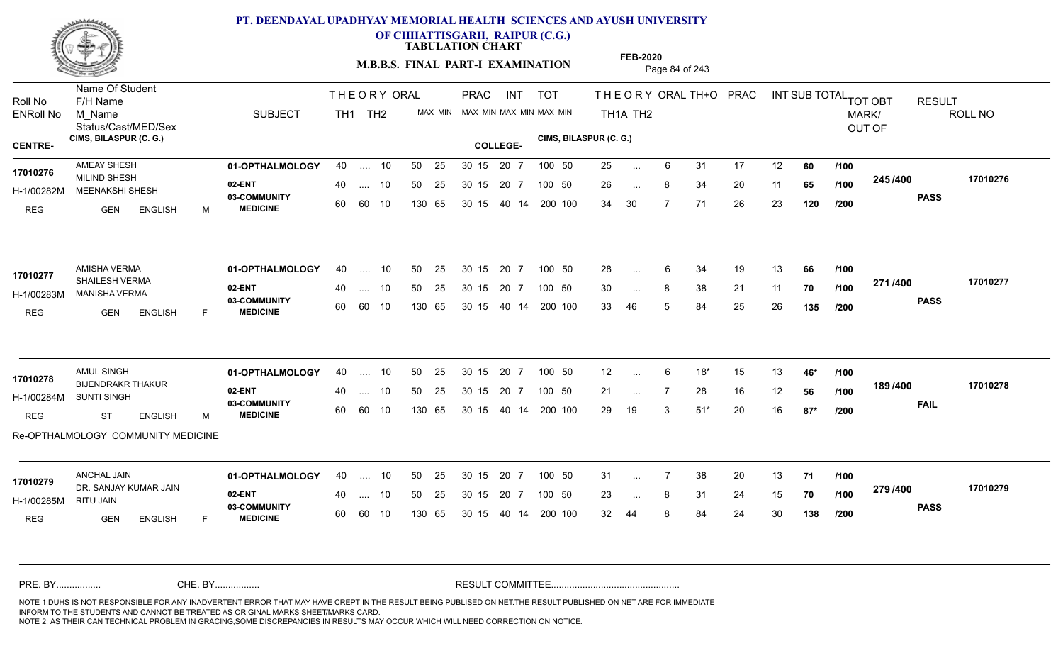

**OF CHHATTISGARH, RAIPUR (C.G.)**

**TABULATION CHART** 

**FEB-2020**

**M.B.B.S. FINAL PART-I EXAMINATION** Page 84 of 243

Status/Cast/MED/Sex Name Of Student Roll No F/H Name M\_Name SUBJECT PRAC INT TOT THEORY ORAL TH+O PRAC INT TH<sub>1</sub>A TH<sub>2</sub> ORAL TH+ODPRACD INT SUB TOTAL <sub>TOT OBT</sub> RESULT ROLL NO MARK/ OUT OF ENRoll No M Name  $\,$  SUBJECT TH1 TH2 MAX MIN MAX MIN MAX MIN MAX MIN TH1A TH2 **CIMS, BILASPUR (C. G.) CIMS, BILASPUR (C. G.) CENTRE- COLLEGE-**THE ORY ORAL PRAC INT TH<sub>1</sub> TH<sub>2</sub> PRAC **01-OPTHALMOLOGY** AMEAY SHESH 40 .... 10 30 15 20 7 **02-ENT** 03-COMMUNITY 60  **MEDICINE** H-1/00282M MEENAKSHI SHESH **1999 - 1999 - 1999 - 1999 - 1999 - 1999** - 1999 - 1999 - 1999 - 1999 - 1999 - 1999 - 1999 - 1999 - 1999 - 1999 - 1999 - 1999 - 1999 - 1999 - 1999 - 1999 - 1999 - 1999 - 1999 - 1999 - 1999 - 1999 17010276 MILIND SHESH 20 PM REG GEN ENGLISH M 25 ... 6 31 17 12 **60** /**100** 26 ... 8 34 20 11 **65 /100 <sup>2437400</sup>** 34 30 7 71 26 23 **120 245 PASS /400 17010276** .... 10 50 25 60 60 10 50 25 30 15 130 65 30 15 40 14 200 100 20 7 100 50 50 25 30 15 20 7 100 50 25 ... ... ... **/100 /100 /200 01-OPTHALMOLOGY** AMISHA VERMA 40 .... 10 30 15 20 7 **02-ENT** 03-COMMUNITY 60  **MEDICINE** H-1/00283M MANISHA VERMA SHAILESH VERMA **17010277** REG GEN ENGLISH F 28 ... 6 34 19 13 **66 /100** 30 ... 8 38 21 11 **70 /100 <del>1111</del>-00** 33 46 5 84 25 26 **135 271 PASS /400 17010277** .... 10 50 25 60 60 10 30 15 20 7 130 65 30 15 40 14 200 100 30 15 20 7 100 50 50 25 30 15 20 7 100 50 28 ... 6 ... ... **/100 /100 /200** AMUL SINGH **01-OPTHALMOLOGY** 40 .... 10 50 25 30 15 20 7 100 50 12 **02-ENT** 03-COMMUNITY 60  **MEDICINE** H-1/00284M BIJENDRAKR THAKUR **17010278** SUNTI SINGH REG ST ENGLISH M 12 6 18\* 15 13 **46\*** 21 ... 7 28 16 12 **56** /1**00 <sup>1037</sup> +** 29 19 3 51\* 20 16 **87\* 189 /100 FAIL 17010278 /400** Re-OPTHALMOLOGY COMMUNITY MEDICINE .... 10 50 25 30 15 60 60 10 20 7 130 65 30 15 30 15 20 7 100 50 40 14 200 100 50 25 30 15 20 7 100 50 12 ... ... ... **/100 /200 01-OPTHALMOLOGY** ANCHAL JAIN 40 .... 10 30 15 20 7 **02-ENT** 03-COMMUNITY 60 **MEDICINE** 60 60 10 H-1/00285M 17010279 DR. SANJAY KUMAR JAIN RITU JAIN REG GEN ENGLISH F 31 7 38 20 13 **71** 23 ... 8 31 24 15 **70 /100 <sup>2137400</sup>** 32 44 8 84 24 30 **138 279 PASS /400 17010279** .... 10 50 25 130 65 30 15 20 7 130 65 30 15 30 15 20 7 100 50 40 14 200 100 50 25 30 15 20 7 100 50 31 ... ... ... **/100 /100 /200** NOTE 1:DUHS IS NOT RESPONSIBLE FOR ANY INADVERTENT ERROR THAT MAY HAVE CREPT IN THE RESULT BEING PUBLISED ON NET.THE RESULT PUBLISHED ON NET ARE FOR IMMEDIATE INFORM TO THE STUDENTS AND CANNOT BE TREATED AS ORIGINAL MARKS SHEET/MARKS CARD. CHE. BY WAREL BY WARE AND THE AVEC THE AVEC THE THE RESULT COMMITTEE AND MULTIME MOTE 1:DUHS IS NOT RESPONSIBLE FOR ANY INADVERTENT ERROR THAT MAY HAVE CREPT IN THE RESULT BEING PUBLISED ON NET.THE RESULT PUBLISHED ON NET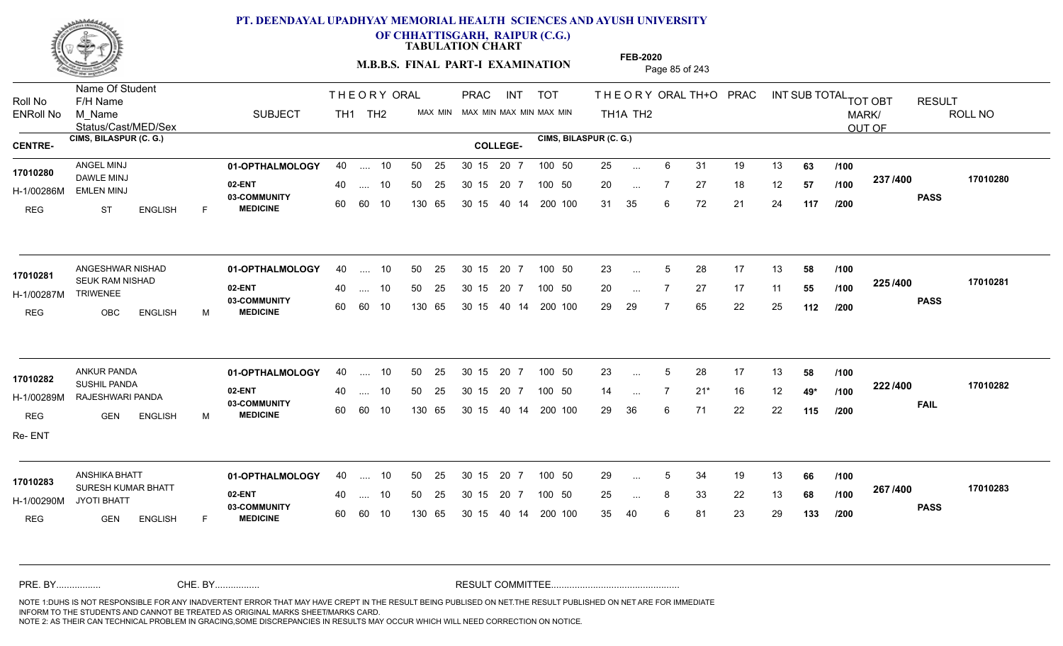

**OF CHHATTISGARH, RAIPUR (C.G.)**

**TABULATION CHART** 

**M.B.B.S. FINAL PART-I EXAMINATION** Page 85 of 243

Status/Cast/MED/Sex Name Of Student Roll No F/H Name M\_Name SUBJECT PRAC INT TOT THEORY ORAL TH+O PRAC INT TH<sub>1</sub>A TH<sub>2</sub> ORAL TH+ODPRACD INT SUB TOTAL <sub>TOT OBT</sub> RESULT ROLL NO MARK/ OUT OF ENRoll No M Name  $\,$  SUBJECT TH1 TH2 MAX MIN MAX MIN MAX MIN MAX MIN TH1A TH2 **CIMS, BILASPUR (C. G.) CIMS, BILASPUR (C. G.) CENTRE- COLLEGE-**THE ORY ORAL PRAC INT TH<sub>1</sub> TH<sub>2</sub> PRAC **01-OPTHALMOLOGY** ANGEL MINJ 40 .... 10 30 15 20 7 **02-ENT** 03-COMMUNITY 60  **MEDICINE** H-1/00286M EMLEN MINJ DAWLE MINJ REG ST ENGLISH F 25 6 31 19 13 **63** 20 ... 7 27 18 12 **57 /100 <sup>201 /400</sup>** 31 35 6 72 21 24 **117 237 PASS /400 17010280** .... 10 50 25 60 60 10 50 25 30 15 130 65 30 15 40 14 200 100 20 7 100 50 50 25 30 15 20 7 100 50 25 ... ANGEL MINJ<br>1**7010280** ... ... **/100 /100 /200 01-OPTHALMOLOGY** ANGESHWAR NISHAD 40 .... 10 30 15 20 7 **02-ENT** 03-COMMUNITY 60 **MEDICINE** 60 60 10 H-1/00287M 17010281 SEUK RAM NISHAD **17010281** TRIWENEE REG OBC ENGLISH M 23 ... 5 28 17 13 **58 /100** 20 ... 7 27 17 11 **55 /100 <sup>223/400</sup>** 29 29 7 65 22 25 **112 225 PASS /400 17010281**  $\dots$  10 50 25 30 15 130 65 20 7 130 65 30 15 40 14 200 100 30 15 20 7 100 50 50 25 30 15 20 7 100 50 23 ... 5 ... 5 ... **/100 /100 /200 01-OPTHALMOLOGY** ANKUR PANDA 40 .... 10 30 15 20 7 **02-ENT** 03-COMMUNITY 60  **MEDICINE** H-1/00289M RAJESHWARI PANDA 22 E.Y. SUSHIL PANDA **17010282** REG GEN ENGLISH M 23 ... 5 28 17 13 **58 /100** 14 7 21\* 16 12 **49\*** 29 36 6 71 22 22 **115 222 FAIL 17010282 /400** Re- ENT .... 10 50 25 60 60 10 50 25 30 15 130 65 30 15 20 7 100 50 40 14 200 100 50 25 30 15 20 7 100 50 23 ... 5 ... ... **/100 /100 /200 01-OPTHALMOLOGY** ANSHIKA BHATT 40 .... 10 30 15 20 7 **02-ENT** 03-COMMUNITY 60 MEDICINE 60 60 10 H-1/00290M JYOTI BHATT SURESH KUMAR BHATT **17010283** REG GEN ENGLISH F 29 ... 5 34 19 13 **66 /100** 25 ... 8 33 22 13 **68 /100 <sup>207</sup> 1<del>-</del>00** 35 40 6 81 23 29 **133 267 PASS /400 17010283** .... 10 50 25 130 65 30 15 20 7 130 65 30 15 30 15 20 7 100 50 40 14 200 100 50 25 30 15 20 7 100 50 29 ... 5 ... 5 ... **/100 /100 /200** NOTE 1:DUHS IS NOT RESPONSIBLE FOR ANY INADVERTENT ERROR THAT MAY HAVE CREPT IN THE RESULT BEING PUBLISED ON NET.THE RESULT PUBLISHED ON NET ARE FOR IMMEDIATE INFORM TO THE STUDENTS AND CANNOT BE TREATED AS ORIGINAL MARKS SHEET/MARKS CARD. CHE. BY WAREL BY WARE AND THE AVEC THE AVEC THE THE RESULT COMMITTEE AND MULTIME MOTE 1:DUHS IS NOT RESPONSIBLE FOR ANY INADVERTENT ERROR THAT MAY HAVE CREPT IN THE RESULT BEING PUBLISED ON NET.THE RESULT PUBLISHED ON NET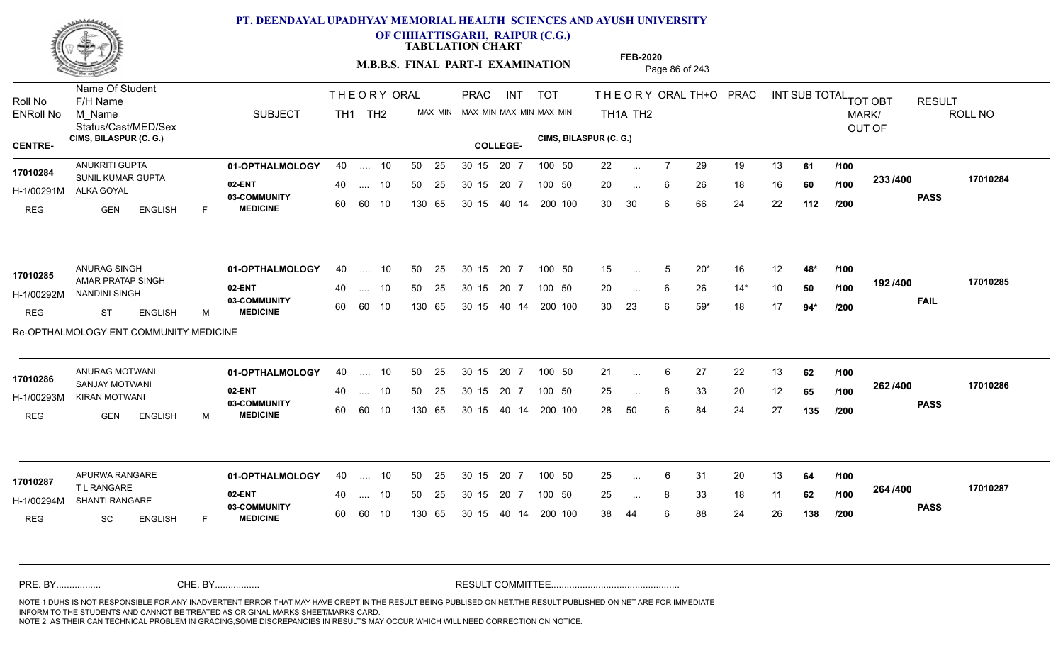

**OF CHHATTISGARH, RAIPUR (C.G.)**

**TABULATION CHART** 

**M.B.B.S. FINAL PART-I EXAMINATION** Page 86 of 243

Status/Cast/MED/Sex Name Of Student Roll No F/H Name M\_Name SUBJECT PRAC INT TOT THEORY ORAL TH+O PRAC INT TH<sub>1</sub>A TH<sub>2</sub> ORAL TH+ODPRACD INT SUB TOTAL <sub>TOT OBT</sub> RESULT ROLL NO MARK/ OUT OF ENRoll No M Name  $\,$  SUBJECT TH1 TH2 MAX MIN MAX MIN MAX MIN MAX MIN TH1A TH2 **CIMS, BILASPUR (C. G.) CIMS, BILASPUR (C. G.) CENTRE- COLLEGE-**THE ORY ORAL PRAC INT TH<sub>1</sub> TH<sub>2</sub> PRAC **01-OPTHALMOLOGY** ANUKRITI GUPTA 40 .... 10 30 15 20 7 **02-ENT** 03-COMMUNITY 60  **MEDICINE** H-1/00291M ALKA GOYAL 17010284 SUNIL KUMAR GUPTA REG GEN ENGLISH F 22 7 29 19 13 **61** 20 ... 6 26 18 16 **60 /100 <sup>2007</sup> 700** 30 30 6 66 24 22 **112 233 PASS /400 17010284** .... 10 50 25 60 60 10 50 25 30 15 130 65 30 15 40 14 200 100 20 7 100 50 50 25 30 15 20 7 100 50 22 ... ... ... 6 **/100 /100 /200 01-OPTHALMOLOGY** ANURAG SINGH 40 .... 10 30 15 20 7 **02-ENT** 03-COMMUNITY 60  **MEDICINE** H-1/00292M NANDINI SINGH 17010285 AMAR PRATAP SINGH REG ST ENGLISH M 15 5 20\* 16 12 **48\*** 20 ... 6 26 14\* 10 **50 /100 <sup>1927</sup> 7** 30 23 6 59\* 18 17 **94\* 192 FAIL 17010285 /400** Re-OPTHALMOLOGY ENT COMMUNITY MEDICINE .... 10 50 25 60 60 10 30 15 20 7 130 65 30 15 40 14 200 100 30 15 20 7 100 50 50 25 30 15 20 7 100 50 15 ... 5 ... 5  $\overline{\phantom{a}}$ . 6 **/100 /100 /200 01-OPTHALMOLOGY** ANURAG MOTWANI 40 .... 10 30 15 20 7 **02-ENT** 03-COMMUNITY 60  **MEDICINE** H-1/00293M KIRAN MOTWANI 17010286 <sub>SANJAY MOTWANI</sub> REG GEN ENGLISH M 21 ... 6 27 22 13 **62** /1**00** 25 ... 8 33 20 12 **65 /100 <sup>2027–00</sup>** 28 50 6 84 24 27 **135 262 PASS /400 17010286** .... 10 50 25 30 15 60 60 10 20 7 130 65 30 15 30 15 20 7 100 50 40 14 200 100 50 25 30 15 20 7 100 50 21 ... 6 ... ... **/100 /100 /200 01-OPTHALMOLOGY** APURWA RANGARE 40 .... 10 30 15 20 7 **02-ENT** 03-COMMUNITY 60 **MEDICINE** 60 60 10 H-1/00294M SHANTI RANGARE T L RANGARE REG SC ENGLISH F 25 ... 6 31 20 13 **64 /100** 25 ... 8 33 18 11 **62 /100 <sup>204</sup> 1** 38 44 6 88 24 26 **138 264 PASS /400 17010287** .... 10 50 25 130 65 30 15 20 7 130 65 30 15 30 15 20 7 100 50 40 14 200 100 50 25 30 15 20 7 100 50 25 ... **17010287**<br>TL RANGARE ... ... **/100 /100 /200** NOTE 1:DUHS IS NOT RESPONSIBLE FOR ANY INADVERTENT ERROR THAT MAY HAVE CREPT IN THE RESULT BEING PUBLISED ON NET.THE RESULT PUBLISHED ON NET ARE FOR IMMEDIATE INFORM TO THE STUDENTS AND CANNOT BE TREATED AS ORIGINAL MARKS SHEET/MARKS CARD. CHE. BY WAREL BY WARE AND THE AVEC THE AVEC THE THE RESULT COMMITTEE AND MULTIME MOTE 1:DUHS IS NOT RESPONSIBLE FOR ANY INADVERTENT ERROR THAT MAY HAVE CREPT IN THE RESULT BEING PUBLISED ON NET.THE RESULT PUBLISHED ON NET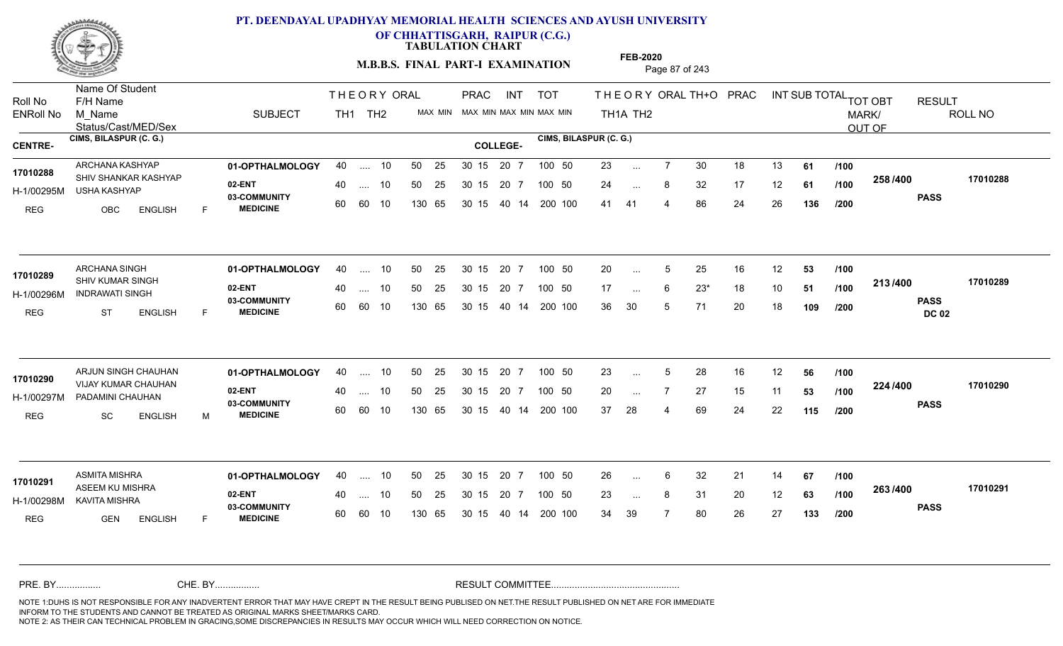

**OF CHHATTISGARH, RAIPUR (C.G.)**

**TABULATION CHART** 

**M.B.B.S. FINAL PART-I EXAMINATION** Page 87 of 243

Status/Cast/MED/Sex Name Of Student Roll No F/H Name M\_Name SUBJECT PRAC INT TOT THEORY ORAL TH+O PRAC INT TH<sub>1</sub>A TH<sub>2</sub> ORAL TH+ODPRACD INT SUB TOTAL <sub>TOT OBT</sub> RESULT ROLL NO MARK/ OUT OF ENRoll No M Name  $\,$  SUBJECT TH1 TH2 MAX MIN MAX MIN MAX MIN MAX MIN TH1A TH2 **CIMS, BILASPUR (C. G.) CIMS, BILASPUR (C. G.) CENTRE- COLLEGE-**THE ORY ORAL PRAC INT TH<sub>1</sub> TH<sub>2</sub> PRAC **01-OPTHALMOLOGY** ARCHANA KASHYAP 40 .... 10 30 15 20 7 **02-ENT** 03-COMMUNITY 60  **MEDICINE** H-1/00295M USHA KASHYAP 17010288 SHIV SHANKAR KASHYAP REG OBC ENGLISH F 23 ... 7 30 18 13 **61 /100** 24 ... 8 32 17 12 **61 /100 <sup>2007</sup> 1** 41 41 4 86 24 26 **136 258 PASS /400 17010288** .... 10 50 25 60 60 10 50 25 30 15 130 65 30 15 20 7 100 50 40 14 200 100 50 25 30 15 20 7 100 50 23 ... ... ... 8 **/100 /100 /200 01-OPTHALMOLOGY** ARCHANA SINGH 40 .... 10 30 15 20 7 **02-ENT** 03-COMMUNITY 60 **MEDICINE** 60 60 10 H-1/00296M INDRAWATI SINGH 17010289 SHIV KUMAR SINGH REG ST ENGLISH F 20 ... 5 25 16 12 **53 /100** 17 ... 6 23\* 18 10 **51 /100 <del>1</del>197400** 36 30 5 71 20 18 **109 213 PASS DC 02 /400 17010289** .... 10 50 25 130 65 30 15 20 7 130 65 30 15 40 14 200 100 30 15 20 7 100 50 50 25 30 15 20 7 100 50 20 ... 5 ... 5 ... 6 **/100 /100 /200** ARJUN SINGH CHAUHAN **01-OPTHALMOLOGY** 40 .... 10 50 25 30 15 20 7 100 50 23 **02-ENT** 03-COMMUNITY 60  **MEDICINE** H-1/00297M PADAMINI CHAUHAN VIJAY KUMAR CHAUHAN **17010290** REG SC ENGLISH M 23 ... 5 28 16 12 **56** /**100** 20 ... 7 27 15 11 **53 /100 <sup>224</sup> 1** 37 28 4 69 24 22 **115 224 PASS /400 17010290** .... 10 50 25 30 15 60 60 10 20 7 130 65 30 15 30 15 20 7 100 50 40 14 200 100 50 25 30 15 20 7 100 50 23 ... 5 ... 5 ... **/100 /100 /200 01-OPTHALMOLOGY** ASMITA MISHRA 40 .... 10 30 15 20 7 **02-ENT** 03-COMMUNITY 60 **MEDICINE** 60 60 10 H-1/00298M KAVITA MISHRA ASEEM KU MISHRA **17010291** REG **GEN ENGLISH** F 26 6 32 21 14 **67** 23 ... 8 31 20 12 **63 /100 <sup>2007</sup> 700** 34 39 7 80 26 27 **133 263 PASS /400 17010291** .... 10 50 25 130 65 30 15 20 7 130 65 30 15 30 15 20 7 100 50 40 14 200 100 50 25 30 15 20 7 100 50 26 ... ... ... **/100 /100 /200** NOTE 1:DUHS IS NOT RESPONSIBLE FOR ANY INADVERTENT ERROR THAT MAY HAVE CREPT IN THE RESULT BEING PUBLISED ON NET.THE RESULT PUBLISHED ON NET ARE FOR IMMEDIATE INFORM TO THE STUDENTS AND CANNOT BE TREATED AS ORIGINAL MARKS SHEET/MARKS CARD. CHE. BY WAREL BY WARE AND THE AVEC THE AVEC THE THE RESULT COMMITTEE AND MULTIME MOTE 1:DUHS IS NOT RESPONSIBLE FOR ANY INADVERTENT ERROR THAT MAY HAVE CREPT IN THE RESULT BEING PUBLISED ON NET.THE RESULT PUBLISHED ON NET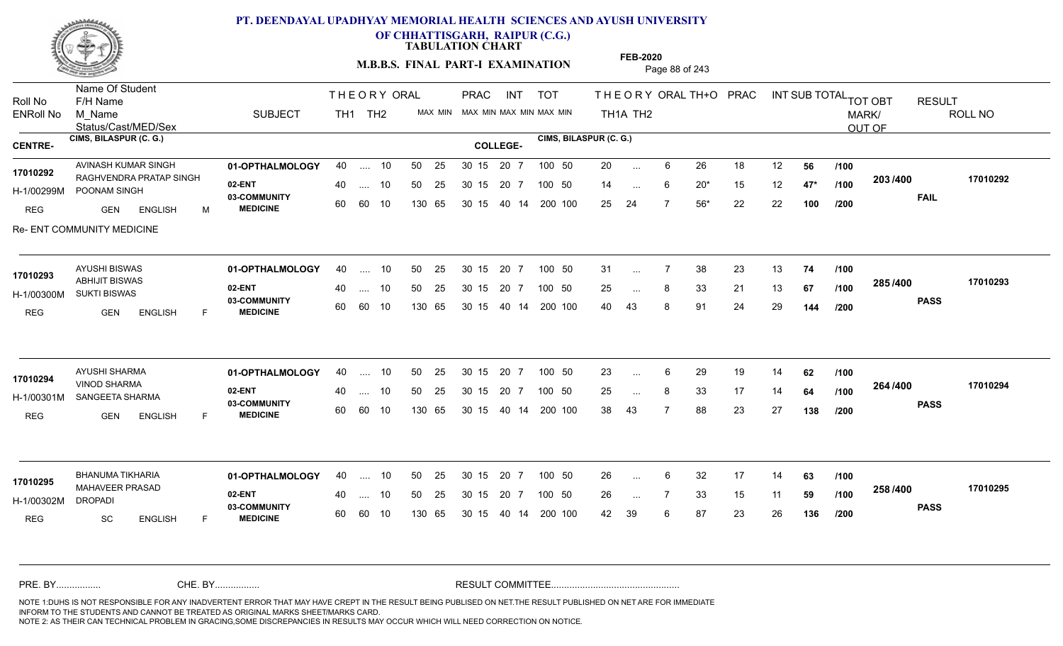

**OF CHHATTISGARH, RAIPUR (C.G.)**

**TABULATION CHART** 

**M.B.B.S. FINAL PART-I EXAMINATION** Page 88 of 243

Status/Cast/MED/Sex Name Of Student Roll No F/H Name M\_Name SUBJECT PRAC INT TOT THEORYORALTH+O PRAC INT TH<sub>1</sub>A TH<sub>2</sub> ORAL TH+ODPRACD INT SUB TOTAL <sub>TOT OBT</sub> RESULT ROLL NO MARK/ OUT OF ENRoll No M Name  $\,$  SUBJECT TH1 TH2 MAX MIN MAX MIN MAX MIN MAX MIN TH1A TH2 **CIMS, BILASPUR (C. G.) CIMS, BILASPUR (C. G.) CENTRE- COLLEGE-**THE ORY ORAL PRAC INT TH<sub>1</sub> TH<sub>2</sub> PRAC AVINASH KUMAR SINGH **01-OPTHALMOLOGY** 40 .... 10 50 25 30 15 20 7 100 50 20 **02-ENT** 03-COMMUNITY 60  **MEDICINE** H-1/00299M POONAM SINGH FREED TO A CONN 17010292 RAGHVENDRA PRATAP SINGH REG GEN ENGLISH M 20 ... 6 26 18 12 **56 /100** 14 6 20\* 15 12 **47\*** 25 24 7 56\* 22 22 **100 203 FAIL 17010292 /400** Re- ENT COMMUNITY MEDICINE .... 10 50 25 60 60 10 50 25 30 15 130 65 30 15 20 7 100 50 40 14 200 100 50 25 30 15 20 7 100 50 20 ... ... ... 6 **/100 /100 /200 01-OPTHALMOLOGY** AYUSHI BISWAS 40 .... 10 30 15 20 7 **02-ENT** 03-COMMUNITY 60  **MEDICINE** H-1/00300M SUKTI BISWAS ABHIJIT BISWAS **17010293** REG GEN ENGLISH F 31 ... 7 38 23 13 **74 /100** 25 ... 8 33 21 13 **67 /100 <sup>2007–00</sup>** 40 43 8 91 24 29 **144 285 PASS /400 17010293** .... 10 50 25 60 60 10 30 15 20 7 130 65 30 15 40 14 200 100 30 15 20 7 100 50 50 25 30 15 20 7 100 50 31 ... ... ... **/100 /100 /200 01-OPTHALMOLOGY** AYUSHI SHARMA 40 .... 10 30 15 20 7 **02-ENT** 03-COMMUNITY 60  **MEDICINE** H-1/00301M SANGEETA SHARMA 22 COMM VINOD SHARMA **17010294** REG GEN ENGLISH F 23 ... 6 29 19 14 **62** /**100** 25 ... 8 33 17 14 **64 /100 <sup>204</sup> /\*00** 38 43 7 88 23 27 **138 264 PASS /400 17010294** .... 10 50 25 30 15 60 60 10 20 7 130 65 30 15 30 15 20 7 100 50 40 14 200 100 50 25 30 15 20 7 100 50 23 ... 6 ... ... **/100 /100 /200 01-OPTHALMOLOGY** BHANUMA TIKHARIA 40 .... 10 30 15 20 7 **02-ENT** 03-COMMUNITY 60 **MEDICINE** 60 60 10 H-1/00302M MAHAVEER PRASAD **17010295** DROPADI REG SC ENGLISH F 26 6 32 17 14 **63** 26 7 33 15 11 **59** 42 39 6 87 23 26 **136 258 PASS /400 17010295** 40 .... 10 50 25 130 65 130 65 30 15 30 15 20 7 100 50 40 14 200 100 50 25 30 15 20 7 100 50 26 ... ... ... **/100 /100 /200** NOTE 1:DUHS IS NOT RESPONSIBLE FOR ANY INADVERTENT ERROR THAT MAY HAVE CREPT IN THE RESULT BEING PUBLISED ON NET.THE RESULT PUBLISHED ON NET ARE FOR IMMEDIATE INFORM TO THE STUDENTS AND CANNOT BE TREATED AS ORIGINAL MARKS SHEET/MARKS CARD. CHE. BY WAREL BY WARE AND THE AVEC THE AVEC THE THE RESULT COMMITTEE AND MULTIME MOTE 1:DUHS IS NOT RESPONSIBLE FOR ANY INADVERTENT ERROR THAT MAY HAVE CREPT IN THE RESULT BEING PUBLISED ON NET.THE RESULT PUBLISHED ON NET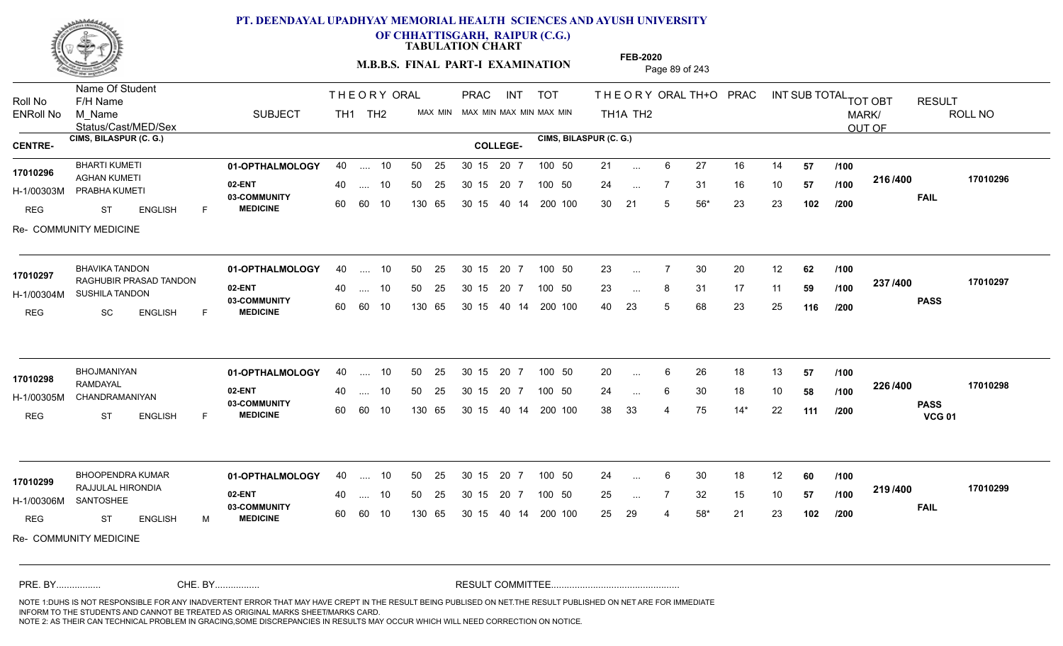

**OF CHHATTISGARH, RAIPUR (C.G.)**

**TABULATION CHART** 

**M.B.B.S. FINAL PART-I EXAMINATION** Page 89 of 243

Status/Cast/MED/Sex Name Of Student Roll No F/H Name M\_Name SUBJECT PRAC INT TOT THEORYORALTH+O PRAC INT TH<sub>1</sub>A TH<sub>2</sub> ORAL TH+ODPRACD INT SUB TOTAL <sub>TOT OBT</sub> RESULT ROLL NO MARK/ OUT OF ENRoll No M Name  $\,$  SUBJECT TH1 TH2 MAX MIN MAX MIN MAX MIN MAX MIN TH1A TH2 **CIMS, BILASPUR (C. G.) CIMS, BILASPUR (C. G.) CENTRE- COLLEGE-**THE ORY ORAL PRAC INT TH<sub>1</sub> TH<sub>2</sub> PRAC **01-OPTHALMOLOGY** BHARTI KUMETI 40 .... 10 30 15 20 7 **02-ENT** 03-COMMUNITY 60  **MEDICINE** H-1/00303M PRABHA KUMETI AGHAN KUMETI **17010296** REG ST ENGLISH F 21 ... 6 27 16 14 **57 /100** 24 7 31 16 10 **57** 30 21 5 56\* 23 23 **102 216 FAIL 17010296 /400** Re- COMMUNITY MEDICINE .... 10 50 25 60 60 10 50 25 30 15 130 65 30 15 40 14 200 100 20 7 100 50 50 25 30 15 20 7 100 50 21 ... ... ... **/100 /100 /200 01-OPTHALMOLOGY** BHAVIKA TANDON 40 .... 10 30 15 20 7 **02-ENT** 03-COMMUNITY 60  **MEDICINE** H-1/00304M SUSHILA TANDON **1999 - 1999 BELL** RAGHUBIR PRASAD TANDON **17010297** REG SC ENGLISH F 23 ... 7 30 20 12 **62** /**100** 23 ... 8 31 17 11 **59 /100 <sup>201 /</sup>=**00 40 23 5 68 23 25 **116 237 PASS /400 17010297** .... 10 50 25 60 60 10 30 15 20 7 130 65 30 15 40 14 200 100 30 15 20 7 100 50 50 25 30 15 20 7 100 50 23 ... ... ... **/100 /100 /200 01-OPTHALMOLOGY** BHOJMANIYAN 40 .... 10 30 15 20 7 **02-ENT** 03-COMMUNITY 60  **MEDICINE** H-1/00305M CHANDRAMANIYAN RAMDAYAL REG ST ENGLISH F 20 ... 6 26 18 13 **57 /100** 24 ... 6 30 18 10 **58 /100 <sup>2207+00</sup>** 38 33 4 75 14\* 22 **111 226 PASS VCG 01 /400 17010298** .... 10 50 25 30 15 60 60 10 20 7 130 65 30 15 30 15 20 7 100 50 40 14 200 100 50 25 30 15 20 7 100 50 20 ... 6 **17010298 17010298** ... ... **/100 /100 /200 01-OPTHALMOLOGY** BHOOPENDRA KUMAR 40 .... 10 30 15 20 7 **02-ENT** 03-COMMUNITY 60 **MEDICINE** 60 60 10 H-1/00306M RAJJULAL HIRONDIA **17010299** SANTOSHEE REG ST ENGLISH M 24 ... 6 30 18 12 **60** /**100** 25 ... 7 32 15 10 **57 /100 <sup>2137400</sup>** 25 29 4 58\* 21 23 **102 219 FAIL 17010299 /400** Re- COMMUNITY MEDICINE .... 10 50 25 130 65 30 15 20 7 130 65 30 15 30 15 20 7 100 50 40 14 200 100 50 25 30 15 20 7 100 50 24 ... ... ... **/100 /100 /200** NOTE 1:DUHS IS NOT RESPONSIBLE FOR ANY INADVERTENT ERROR THAT MAY HAVE CREPT IN THE RESULT BEING PUBLISED ON NET.THE RESULT PUBLISHED ON NET ARE FOR IMMEDIATE INFORM TO THE STUDENTS AND CANNOT BE TREATED AS ORIGINAL MARKS SHEET/MARKS CARD. CHE. BY WAREL BY WARE AND THE AVEC THE AVEC THE THE RESULT COMMITTEE AND MULTIME MOTE 1:DUHS IS NOT RESPONSIBLE FOR ANY INADVERTENT ERROR THAT MAY HAVE CREPT IN THE RESULT BEING PUBLISED ON NET.THE RESULT PUBLISHED ON NET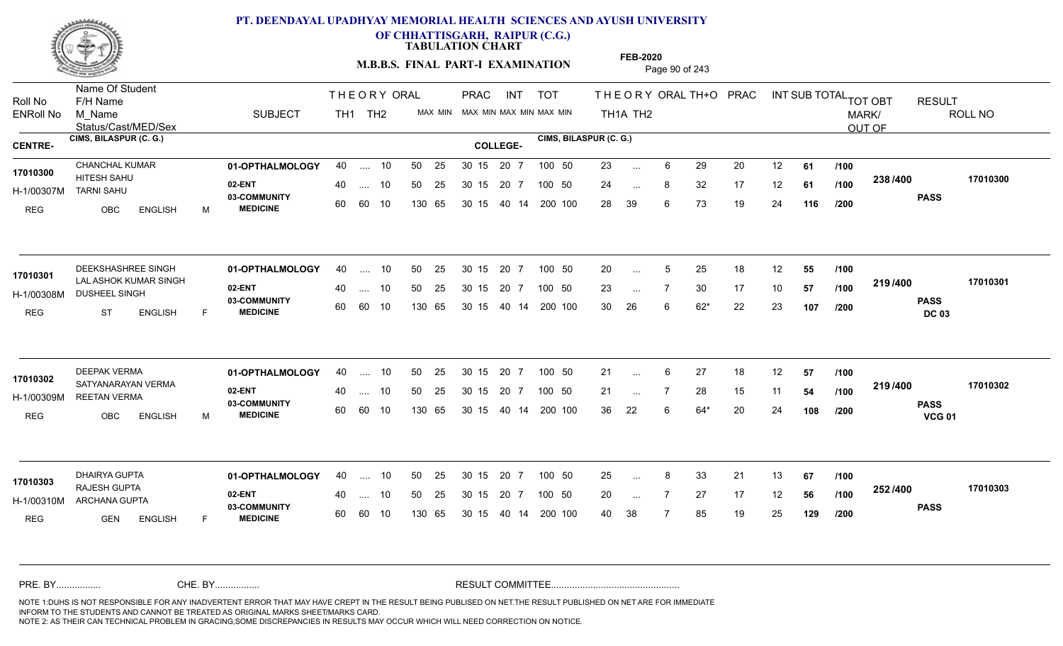

**OF CHHATTISGARH, RAIPUR (C.G.)**

**TABULATION CHART** 

**M.B.B.S. FINAL PART-I EXAMINATION** Page 90 of 243

Status/Cast/MED/Sex Name Of Student Roll No F/H Name M\_Name SUBJECT PRAC INT TOT THEORYORALTH+O PRAC INT TH<sub>1</sub>A TH<sub>2</sub> ORAL TH+ODPRACD INT SUB TOTAL <sub>TOT OBT</sub> RESULT ROLL NO MARK/ OUT OF ENRoll No M Name  $\,$  SUBJECT TH1 TH2 MAX MIN MAX MIN MAX MIN MAX MIN TH1A TH2 **CIMS, BILASPUR (C. G.) CIMS, BILASPUR (C. G.) CENTRE- COLLEGE-**THE ORY ORAL PRAC INT TH<sub>1</sub> TH<sub>2</sub> PRAC **01-OPTHALMOLOGY** CHANCHAL KUMAR 40 .... 10 30 15 20 7 **02-ENT** 03-COMMUNITY 60  **MEDICINE** H-1/00307M TARNI SAHU 17010300 **HITESH SAHU** REG OBC ENGLISH M 23 ... 6 29 20 12 **61 /100** 24 ... 8 32 17 12 **61 /100 <sup>2007</sup> 1** 28 39 6 73 19 24 **116 238 PASS /400 17010300** .... 10 50 25 60 60 10 50 25 30 15 130 65 30 15 20 7 100 50 40 14 200 100 50 25 30 15 20 7 100 50 23 ... ... ... **/100 /100 /200 01-OPTHALMOLOGY** DEEKSHASHREE SINGH 40 .... 10 30 15 20 7 **02-ENT** 03-COMMUNITY 60  **MEDICINE** H-1/00308M DUSHEEL SINGH FREED TO A COMM LAL ASHOK KUMAR SINGH **17010301** REG ST ENGLISH F 20 ... 5 25 18 12 **55 /100** 23 ... 7 30 17 10 **57 /100 <del>11974</del>00** 30 26 6 62\* 22 23 **107 219 PASS DC 03 /400 17010301** .... 10 50 25 60 60 10 30 15 20 7 130 65 30 15 40 14 200 100 30 15 20 7 100 50 50 25 30 15 20 7 100 50 20 ... 5 ... 5 ... **/100 /100 /200 01-OPTHALMOLOGY** DEEPAK VERMA 40 .... 10 30 15 20 7 **02-ENT** 03-COMMUNITY 60  **MEDICINE** H-1/00309M REETAN VERMA 17010302 SATYANARAYAN VERMA REG OBC ENGLISH M 21 ... 6 27 18 12 **57 /100** 21 ... 7 28 15 11 **54 /100 <sup>2137400</sup>** 36 22 6 64\* 20 24 **108 219 PASS VCG 01 /400 17010302** .... 10 50 25 30 15 60 60 10 20 7 130 65 30 15 30 15 20 7 100 50 40 14 200 100 50 25 30 15 20 7 100 50 21 ... 6 ... **/100 /100 /200 01-OPTHALMOLOGY** DHAIRYA GUPTA 40 .... 10 30 15 20 7 **02-ENT** 03-COMMUNITY 60 **MEDICINE** 60 60 10 H-1/00310M ARCHANA GUPTA **CALL 1.1** RAJESH GUPTA **17010303** REG **GEN ENGLISH** F 25 8 33 21 13 **67** 20 ... 7 27 17 12 **56 /100 <sup>2027</sup> 7** 40 38 7 85 19 25 **129 252 PASS /400 17010303** 40 .... 10 50 25 130 65 130 65 30 15 30 15 20 7 100 50 40 14 200 100 50 25 30 15 20 7 100 50 25 ... 8 ... ... **/100 /100 /200** NOTE 1:DUHS IS NOT RESPONSIBLE FOR ANY INADVERTENT ERROR THAT MAY HAVE CREPT IN THE RESULT BEING PUBLISED ON NET.THE RESULT PUBLISHED ON NET ARE FOR IMMEDIATE INFORM TO THE STUDENTS AND CANNOT BE TREATED AS ORIGINAL MARKS SHEET/MARKS CARD. CHE. BY WAREL BY WARE AND THE AVEC THE AVEC THE THE RESULT COMMITTEE AND MULTIME MOTE 1:DUHS IS NOT RESPONSIBLE FOR ANY INADVERTENT ERROR THAT MAY HAVE CREPT IN THE RESULT BEING PUBLISED ON NET.THE RESULT PUBLISHED ON NET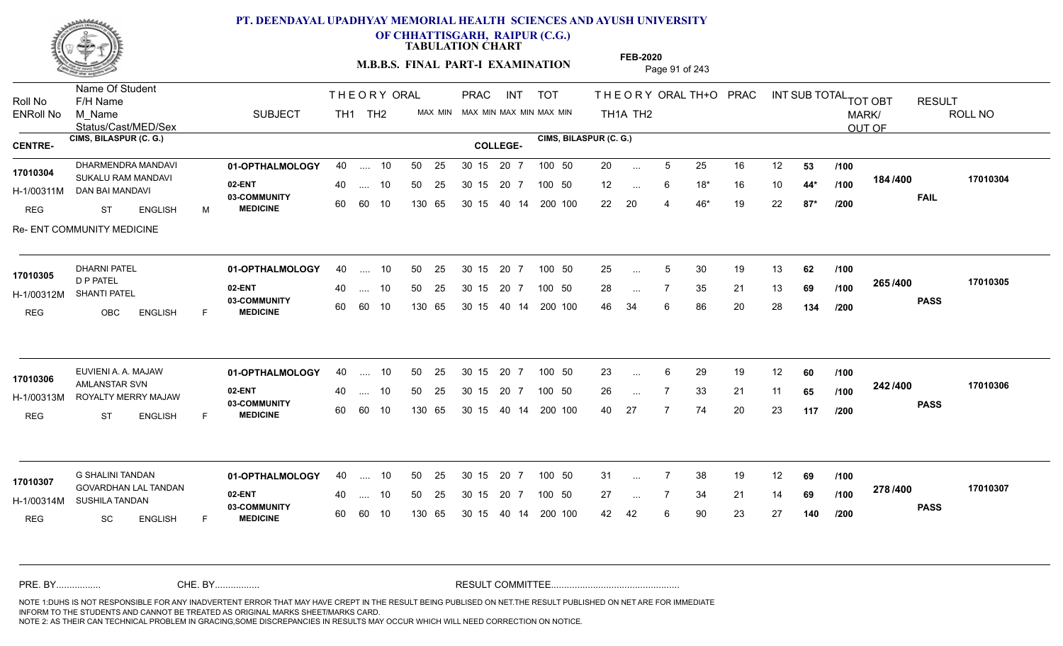

**OF CHHATTISGARH, RAIPUR (C.G.)**

**TABULATION CHART** 

**M.B.B.S. FINAL PART-I EXAMINATION** Page 91 of 243

Status/Cast/MED/Sex Name Of Student Roll No F/H Name M\_Name SUBJECT PRAC INT TOT THEORYORALTH+O PRAC INT TH<sub>1</sub>A TH<sub>2</sub> ORAL TH+ODPRACD INT SUB TOTAL <sub>TOT OBT</sub> RESULT ROLL NO MARK/ OUT OF ENRoll No M Name  $\,$  SUBJECT TH1 TH2 MAX MIN MAX MIN MAX MIN MAX MIN TH1A TH2 **CIMS, BILASPUR (C. G.) CIMS, BILASPUR (C. G.) CENTRE- COLLEGE-**THE ORY ORAL PRAC INT TH<sub>1</sub> TH<sub>2</sub> PRAC 0HARMENDRA MANDAVI **01-OPTHALMOLOGY** 40 .... 10 50 25 30 15 20 7 100 50 20 **02-ENT** 03-COMMUNITY 60  **MEDICINE** H-1/00311M DAN BAI MANDAVI SUKALU RAM MANDAVI **17010304** REG ST ENGLISH M 20 ... 5 25 16 12 **53 /100** 12 6 18\* 16 10 **44\*** 22 20 4 46\* 19 22 **87\* 184 FAIL 17010304 /400** Re- ENT COMMUNITY MEDICINE .... 10 50 25 60 60 10 50 25 30 15 130 65 30 15 40 14 200 100 20 7 100 50 50 25 30 15 20 7 100 50 20 ... ... ... 6 **/100 /100 /200 01-OPTHALMOLOGY** DHARNI PATEL 40 .... 10 30 15 20 7 **02-ENT** 03-COMMUNITY 60  **MEDICINE** H-1/00312M SHANTI PATEL D P PATEL REG OBC ENGLISH F 25 ... 5 30 19 13 **62 /100** 28 ... 7 35 21 13 **69 /100 <sup>2007–00</sup>** 46 34 6 86 20 28 **134 265 PASS /400 17010305** .... 10 50 25 60 60 10 30 15 20 7 130 65 30 15 40 14 200 100 30 15 20 7 100 50 50 25 30 15 20 7 100 50 25 ... 5 **17010305 DHARNI PATEL** ... 5 ... **/100 /100 /200** EUVIENI A. A. MAJAW **01-OPTHALMOLOGY** 40 .... 10 50 25 30 15 20 7 100 50 23 **02-ENT** 03-COMMUNITY 60  **MEDICINE** H-1/00313M ROYALTY MERRY MAJAW **1998 DELLY 100313M** 17010306 AMLANSTAR SVN 20 PM REG ST ENGLISH F 23 ... 6 29 19 12 **60** /**100** 26 7 33 21 11 **65** 40 27 7 74 20 23 **117 242 PASS /400 17010306** .... 10 50 25 30 15 60 60 10 20 7 130 65 30 15 30 15 20 7 100 50 40 14 200 100 50 25 30 15 20 7 100 50 23 ... 6 ... ... **/100 /100 /200 01-OPTHALMOLOGY** G SHALINI TANDAN 40 .... 10 30 15 20 7 **02-ENT** 03-COMMUNITY 60 **MEDICINE** 60 60 10 H-1/00314M SUSHILA TANDAN **1999 - 1999 ADAM** GOVARDHAN LAL TANDAN **17010307** REG SC ENGLISH F 31 7 38 19 12 **69** 27 7 34 21 14 **69** 42 42 6 90 23 27 **140 278 PASS /400 17010307** .... 10 50 25 130 65 30 15 20 7 130 65 30 15 30 15 20 7 100 50 40 14 200 100 50 25 30 15 20 7 100 50 31 ... ... ... **/100 /100 /200** NOTE 1:DUHS IS NOT RESPONSIBLE FOR ANY INADVERTENT ERROR THAT MAY HAVE CREPT IN THE RESULT BEING PUBLISED ON NET.THE RESULT PUBLISHED ON NET ARE FOR IMMEDIATE INFORM TO THE STUDENTS AND CANNOT BE TREATED AS ORIGINAL MARKS SHEET/MARKS CARD. CHE. BY WAREL BY WARE AND THE AVEC THE AVEC THE THE RESULT COMMITTEE AND MULTIME MOTE 1:DUHS IS NOT RESPONSIBLE FOR ANY INADVERTENT ERROR THAT MAY HAVE CREPT IN THE RESULT BEING PUBLISED ON NET.THE RESULT PUBLISHED ON NET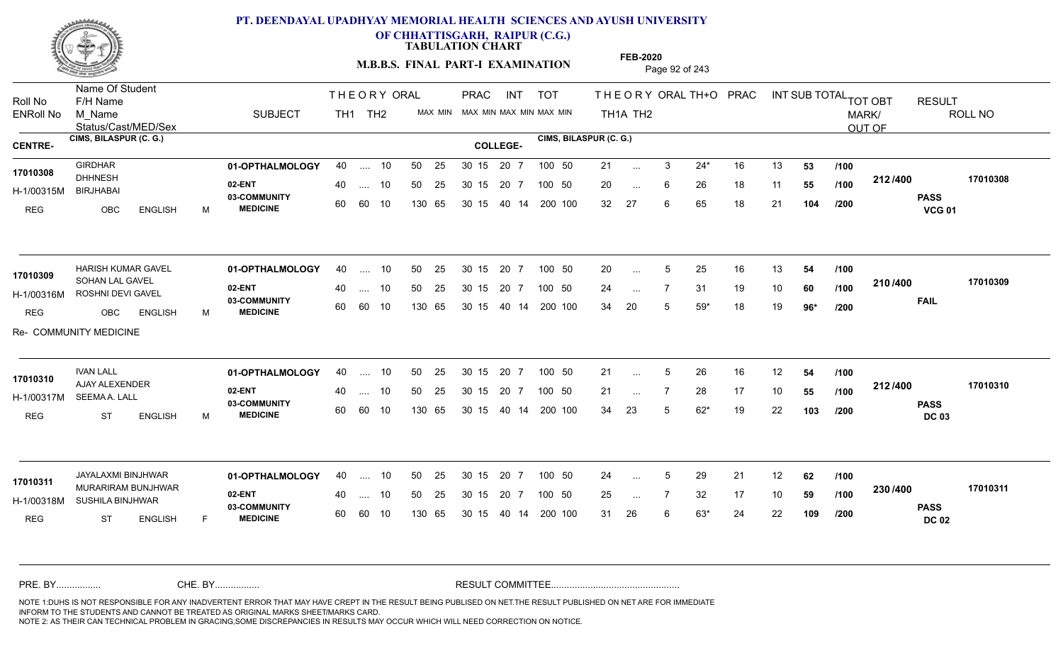

**OF CHHATTISGARH, RAIPUR (C.G.)**

**TABULATION CHART** 

**M.B.B.S. FINAL PART-I EXAMINATION** Page 92 of 243

Status/Cast/MED/Sex Name Of Student Roll No F/H Name M\_Name SUBJECT PRAC INT TOT THEORYORALTH+O PRAC INT TH<sub>1</sub>A TH<sub>2</sub> ORAL TH+ODPRACD INT SUB TOTAL <sub>TOT OBT</sub> RESULT ROLL NO MARK/ OUT OF ENRoll No M Name  $\,$  SUBJECT TH1 TH2 MAX MIN MAX MIN MAX MIN MAX MIN TH1A TH2 **CIMS, BILASPUR (C. G.) CIMS, BILASPUR (C. G.) CENTRE- COLLEGE-**THE ORY ORAL PRAC INT TH<sub>1</sub> TH<sub>2</sub> PRAC **01-OPTHALMOLOGY** GIRDHAR 40 .... 10 30 15 20 7 **02-ENT** 03-COMMUNITY 60  **MEDICINE** H-1/00315M DHHNESH BIRJHABAI REG OBC ENGLISH M 21 3 24\* 16 13 **53** 20 ... 6 26 18 11 **55 /100 <sup>212/400</sup>** 32 27 6 65 18 21 **104 212 PASS VCG 01 /400 17010308** 40 .... 10 50 25 30 15 60 60 10 130 65 30 15 20 7 100 50 40 14 200 100 50 25 30 15 20 7 100 50 21 ... **17010308 17010308** ... ... 6 **/100 /100 /200 01-OPTHALMOLOGY** HARISH KUMAR GAVEL 40 .... 10 30 15 20 7 **02-ENT** 03-COMMUNITY 60  **MEDICINE** H-1/00316M ROSHNI DEVI GAVEL SOHAN LAL GAVEL **17010309** REG OBC ENGLISH M 20 ... 5 25 16 13 **54 /100** 24 7 31 19 10 **60** 34 20 5 59\* 18 19 **96\* 210 FAIL 17010309 /400** Re- COMMUNITY MEDICINE .... 10 50 25 60 60 10 30 15 20 7 130 65 30 15 40 14 200 100 30 15 20 7 100 50 50 25 30 15 20 7 100 50 20 ... 5 ... 5 ... **/100 /100 /200 01-OPTHALMOLOGY** IVAN LALL 40 .... 10 30 15 20 7 **02-ENT** 03-COMMUNITY 60 **MEDICINE** 60 60 10 H-1/00317M SEEMA A. LALL AJAY ALEXENDER **17010310** REG ST ENGLISH M 21 ... 5 26 16 12 **54 /100** 21 ... 7 28 17 10 **55 /100 <sup>212/+00</sup>** 34 23 5 62\* 19 22 **103 212 PASS DC 03 /400 17010310** .... 10 50 25 30 15 130 65 20 7 130 65 30 15 30 15 20 7 100 50 40 14 200 100 50 25 30 15 20 7 100 50 21 ... 5 ... 5 ... **/100 /100 /200** JAYALAXMI BINJHWAR **01-OPTHALMOLOGY** 40 .... 10 50 25 30 15 20 7 100 50 24 **02-ENT** 03-COMMUNITY 60 **MEDICINE** 60 60 10 H-1/00318M SUSHILA BINJHWAR **DE BARAGISTA A SEBANG** 17010311 MURARIRAM BUNJHWAR REG ST ENGLISH F 24 ... 5 29 21 12 **62 /100** 25 ... 7 32 17 10 **59 /100 <sup>2307–60</sup>** 31 26 6 63\* 24 22 **109 230 PASS DC 02 /400 17010311** 40 .... 10 50 25 130 65 130 65 30 15 30 15 20 7 100 50 40 14 200 100 50 25 30 15 20 7 100 50 24 ... 5 ... 5 ... **/100 /100 /200** NOTE 1:DUHS IS NOT RESPONSIBLE FOR ANY INADVERTENT ERROR THAT MAY HAVE CREPT IN THE RESULT BEING PUBLISED ON NET.THE RESULT PUBLISHED ON NET ARE FOR IMMEDIATE INFORM TO THE STUDENTS AND CANNOT BE TREATED AS ORIGINAL MARKS SHEET/MARKS CARD. CHE. BY WAREL BY WARE AND THE AVEC THE AVEC THE THE RESULT COMMITTEE AND MULTIME MOTE 1:DUHS IS NOT RESPONSIBLE FOR ANY INADVERTENT ERROR THAT MAY HAVE CREPT IN THE RESULT BEING PUBLISED ON NET.THE RESULT PUBLISHED ON NET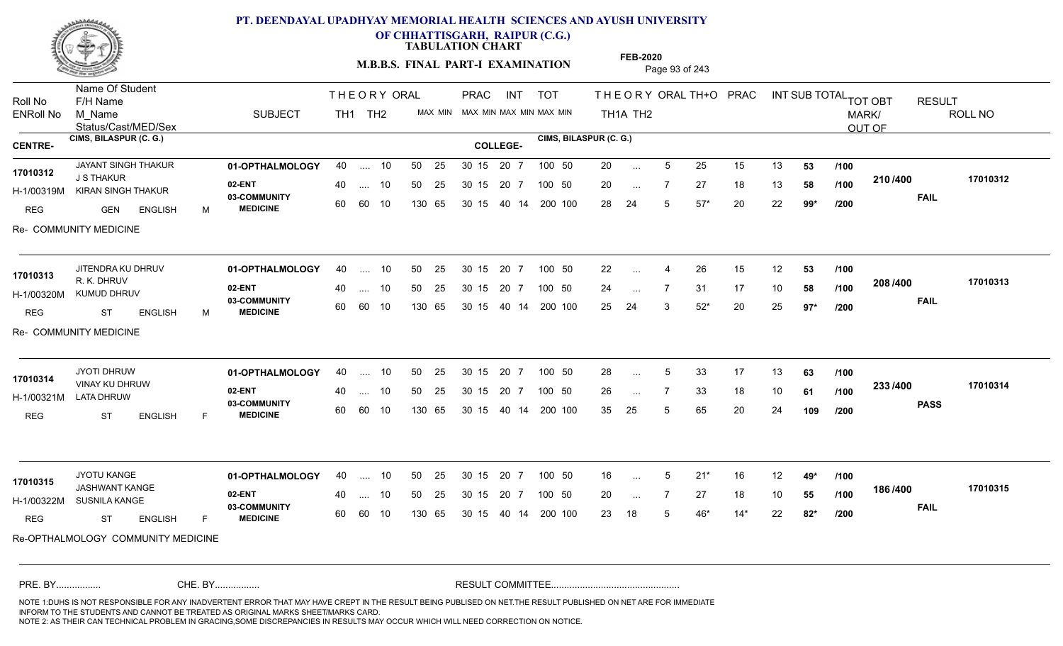

**OF CHHATTISGARH, RAIPUR (C.G.)**

**TABULATION CHART** 

**M.B.B.S. FINAL PART-I EXAMINATION** Page 93 of 243

Status/Cast/MED/Sex Name Of Student Roll No F/H Name M\_Name SUBJECT PRAC INT TOT THEORYORALTH+O PRAC INT TH<sub>1</sub>A TH<sub>2</sub> ORAL TH+ODPRACD INT SUB TOTAL <sub>TOT OBT</sub> RESULT ROLL NO MARK/ OUT OF ENRoll No M Name  $\,$  SUBJECT TH1 TH2 MAX MIN MAX MIN MAX MIN MAX MIN TH1A TH2 **CIMS, BILASPUR (C. G.) CIMS, BILASPUR (C. G.) CENTRE- COLLEGE-**THE ORY ORAL PRAC INT TH<sub>1</sub> TH<sub>2</sub> PRAC INT TOT JAYANT SINGH THAKUR **01-OPTHALMOLOGY** 40 .... 10 50 25 30 15 20 7 100 50 20 **02-ENT 03-COMMUNITY MEDICINE** H-1/00319M KIRAN SINGH THAKUR J S THAKUR REG GEN ENGLISH M 20 ... 5 25 15 13 **53 /100** 20 7 27 18 13 **58** 28 24 5 57\* 20 22 **99\* 210 FAIL 17010312 /400** Re- COMMUNITY MEDICINE .... 10 50 25 60 60 10 50 25 30 15 130 65 30 15 40 14 200 100 20 7 100 50 50 25 30 15 20 7 100 50 20 ... **17010312** JAYANT SINGH THAKUR ... ... **/100 /100 /200 01-OPTHALMOLOGY** JITENDRA KU DHRUV 40 .... 10 30 15 20 7 **02-ENT** 03-COMMUNITY 60  **MEDICINE** H-1/00320M KUMUD DHRUV R. K. DHRUV REG ST ENGLISH M 22 ... 4 26 15 12 **53** /**100** 24 ... 7 31 17 10 **58 /100 <sup>2007–00</sup>** 25 24 3 52\* 20 25 **97\* 208 FAIL 17010313 /400** Re- COMMUNITY MEDICINE .... 10 50 25 60 60 10 30 15 20 7 130 65 30 15 40 14 200 100 30 15 20 7 100 50 50 25 30 15 20 7 100 50 22 ... 4 **17010313** JITENDRA KU DHRUV ... ... **/100 /100 /200 01-OPTHALMOLOGY** JYOTI DHRUW 40 .... 10 30 15 20 7 **02-ENT** 03-COMMUNITY 60  **MEDICINE** H-1/00321M LATA DHRUW 83 COMMUNIT VINAY KU DHRUW **17010314** REG ST ENGLISH F 28 ... 5 33 17 13 **63** /**100** 26 7 33 18 10 **61** 35 25 5 65 20 24 **109 233 PASS /400 17010314** .... 10 50 25 30 15 60 60 10 20 7 130 65 30 15 30 15 20 7 100 50 40 14 200 100 50 25 30 15 20 7 100 50 28 ... 5 ... 5 ... **/100 /100 /200 01-OPTHALMOLOGY** JYOTU KANGE 40 .... 10 30 15 20 7 **02-ENT** 03-COMMUNITY 60  **MEDICINE** H-1/00322M SUSNILA KANGE 17010315<br> **JASHWANT KANGE** REG ST ENGLISH F 16 5 21\* 16 12 **49\*** 20 7 27 18 10 **55** 23 18 5 46\* 14\* 22 **82\* 186 FAIL 17010315 /400** Re-OPTHALMOLOGY COMMUNITY MEDICINE .... 10 50 25 60 60 10 30 15 20 7 130 65 30 15 30 15 20 7 100 50 40 14 200 100 50 25 30 15 20 7 100 50 16 ... 5 ... 5 ... **/100 /100 /200** NOTE 1:DUHS IS NOT RESPONSIBLE FOR ANY INADVERTENT ERROR THAT MAY HAVE CREPT IN THE RESULT BEING PUBLISED ON NET.THE RESULT PUBLISHED ON NET ARE FOR IMMEDIATE INFORM TO THE STUDENTS AND CANNOT BE TREATED AS ORIGINAL MARKS SHEET/MARKS CARD. CHE. BY WAREL BY WARE AND THE AVEC THE AVEC THE THE RESULT COMMITTEE AND MULTIME MOTE 1:DUHS IS NOT RESPONSIBLE FOR ANY INADVERTENT ERROR THAT MAY HAVE CREPT IN THE RESULT BEING PUBLISED ON NET.THE RESULT PUBLISHED ON NET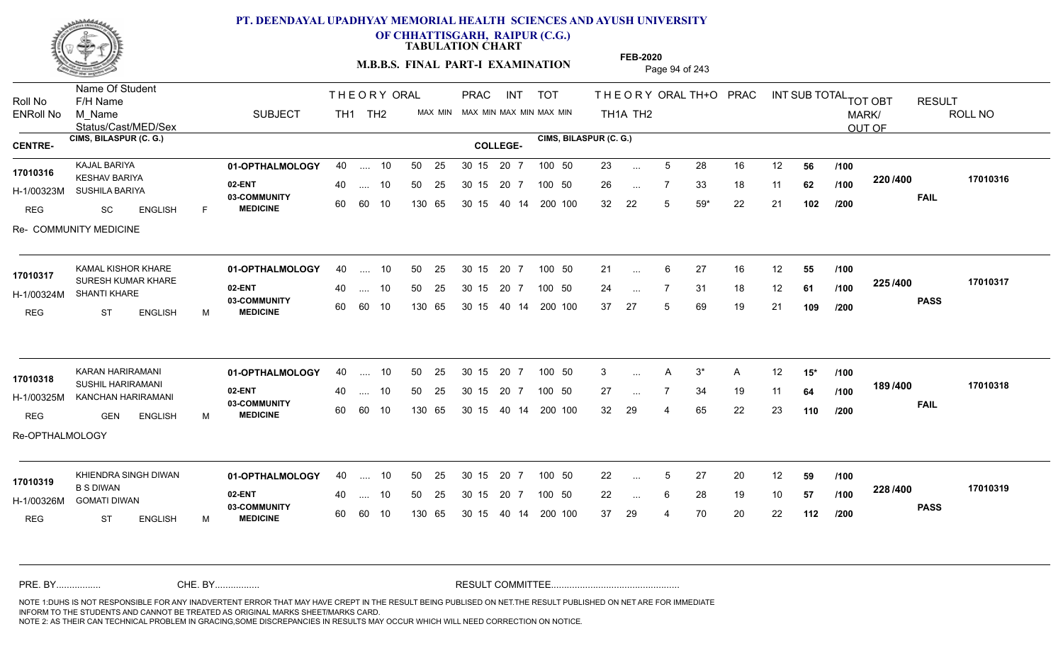

**OF CHHATTISGARH, RAIPUR (C.G.)**

**TABULATION CHART** 

**M.B.B.S. FINAL PART-I EXAMINATION** Page 94 of 243

Status/Cast/MED/Sex Name Of Student Roll No F/H Name M\_Name SUBJECT PRAC INT TOT THEORYORALTH+O PRAC INT TH<sub>1</sub>A TH<sub>2</sub> ORAL TH+ODPRACD INT SUB TOTAL <sub>TOT OBT</sub> RESULT ROLL NO MARK/ OUT OF ENRoll No M Name  $\,$  SUBJECT TH1 TH2 MAX MIN MAX MIN MAX MIN MAX MIN TH1A TH2 **CIMS, BILASPUR (C. G.) CIMS, BILASPUR (C. G.) CENTRE- COLLEGE-**THE ORY ORAL PRAC INT TH<sub>1</sub> TH<sub>2</sub> PRAC **01-OPTHALMOLOGY** KAJAL BARIYA 40 .... 10 30 15 20 7 **02-ENT** 03-COMMUNITY 60  **MEDICINE** H-1/00323M SUSHILA BARIYA KESHAV BARIYA **17010316** REG SC ENGLISH F 23 ... 5 28 16 12 **56 /100** 26 7 33 18 11 **62** 32 22 5 59\* 22 21 **102 220 FAIL 17010316 /400** Re- COMMUNITY MEDICINE .... 10 50 25 60 60 10 50 25 30 15 130 65 30 15 40 14 200 100 20 7 100 50 50 25 30 15 20 7 100 50 23 ... ... ... **/100 /100 /200 01-OPTHALMOLOGY** KAMAL KISHOR KHARE 40 .... 10 30 15 20 7 **02-ENT** 03-COMMUNITY 60  **MEDICINE** H-1/00324M SHANTI KHARE 17010317 SURESH KUMAR KHARE REG ST ENGLISH M 21 ... 6 27 16 12 **55 /100** 24 7 31 18 12 **61** 37 27 5 69 19 21 **109 225 PASS /400 17010317** .... 10 50 25 60 60 10 30 15 20 7 130 65 30 15 40 14 200 100 30 15 20 7 100 50 50 25 30 15 20 7 100 50 21 ... ... ... **/100 /100 /200 01-OPTHALMOLOGY** KARAN HARIRAMANI 40 .... 10 30 15 20 7 **02-ENT** 03-COMMUNITY 60  **MEDICINE** H-1/00325M KANCHAN HARIRAMANI SUSHIL HARIRAMANI **17010318** REG GEN ENGLISH M 3 A 3\* A 12 **15\*** 27 ... 7 34 19 11 **64 /100 <sup>1037</sup> 100** 32 29 4 65 22 23 **110 189 /100 FAIL 17010318 /400** Re-OPTHALMOLOGY .... 10 50 25 30 15 60 60 10 20 7 130 65 30 15 30 15 20 7 100 50 40 14 200 100 50 25 30 15 20 7 100 50 3 ...  $\mathsf{A}$ ... **/100 /200 01-OPTHALMOLOGY 02-ENT** 03-COMMUNITY 60 MEDICINE 60 60 10 H-1/00326M GOMATI DIWAN B S DIWAN REG ST ENGLISH M 22 ... 5 27 20 12 **59 /100** 22 ... 6 28 19 10 **57 /100 <sup>2207+00</sup>** 37 29 4 70 20 22 **112 228 PASS /400 17010319** KHIENDRA SINGH DIWAN **01-OPTHALMOLOGY** 40 .... 10 50 25 30 15 20 7 100 50 22 .... 10 50 25 130 65 30 15 20 7 130 65 30 15 30 15 20 7 100 50 40 14 200 100 50 25 100 50 **17010319** ... 5 ... 6 **/100 /100 /200** NOTE 1:DUHS IS NOT RESPONSIBLE FOR ANY INADVERTENT ERROR THAT MAY HAVE CREPT IN THE RESULT BEING PUBLISED ON NET.THE RESULT PUBLISHED ON NET ARE FOR IMMEDIATE INFORM TO THE STUDENTS AND CANNOT BE TREATED AS ORIGINAL MARKS SHEET/MARKS CARD. CHE. BY WAREL BY WARE AND THE AVEC THE AVEC THE THE RESULT COMMITTEE AND MULTIME MOTE 1:DUHS IS NOT RESPONSIBLE FOR ANY INADVERTENT ERROR THAT MAY HAVE CREPT IN THE RESULT BEING PUBLISED ON NET.THE RESULT PUBLISHED ON NET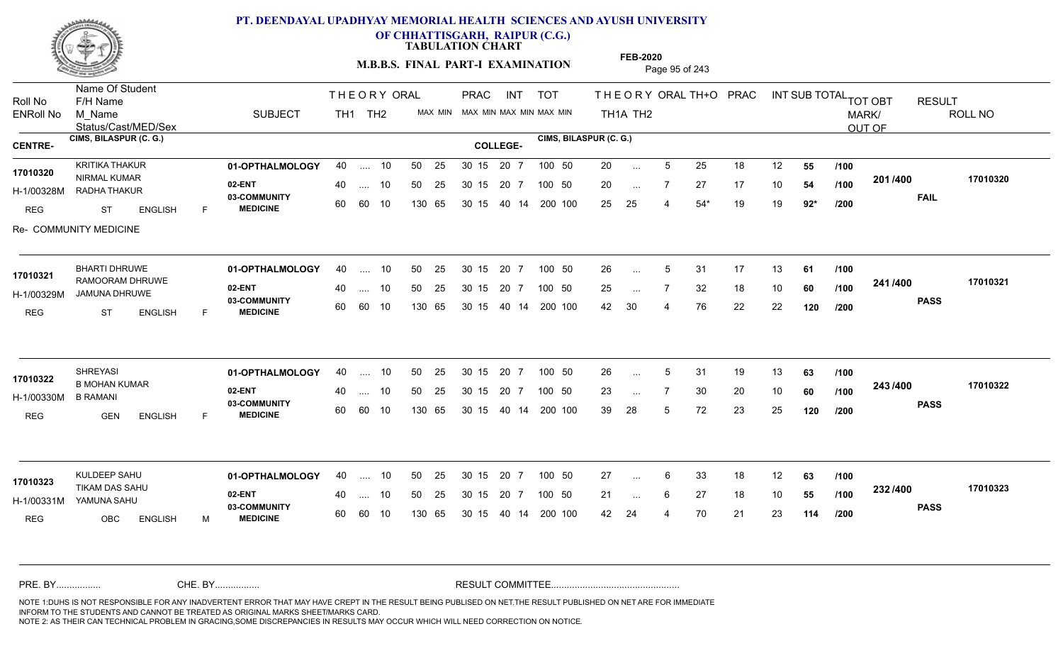

**OF CHHATTISGARH, RAIPUR (C.G.)**

**TABULATION CHART** 

**FEB-2020**

**M.B.B.S. FINAL PART-I EXAMINATION** Page 95 of 243

Status/Cast/MED/Sex Name Of Student Roll No F/H Name M\_Name SUBJECT PRAC INT TOT THEORYORALTH+O PRAC INT TH<sub>1</sub>A TH<sub>2</sub> ORAL TH+ODPRACD INT SUB TOTAL <sub>TOT OBT</sub> RESULT ROLL NO MARK/ OUT OF ENRoll No M Name  $\,$  SUBJECT TH1 TH2 MAX MIN MAX MIN MAX MIN MAX MIN TH1A TH2 **CIMS, BILASPUR (C. G.) CIMS, BILASPUR (C. G.) CENTRE- COLLEGE-**THE ORY ORAL PRAC INT TH<sub>1</sub> TH<sub>2</sub> PRAC **01-OPTHALMOLOGY** KRITIKA THAKUR 40 .... 10 30 15 20 7 **02-ENT** 03-COMMUNITY 60  **MEDICINE** H-1/00328M RADHA THAKUR 17010320 NIRMAL KUMAR REG ST ENGLISH F 20 ... 5 25 18 12 **55 /100** 20 ... 7 27 17 10 **54 /100 <sup>2017–00</sup>** 25 25 4 54\* 19 19 **92\* 201 FAIL 17010320 /400** Re- COMMUNITY MEDICINE .... 10 50 25 60 60 10 50 25 30 15 130 65 30 15 40 14 200 100 20 7 100 50 50 25 30 15 20 7 100 50 20 ... ... ... **/100 /100 /200 01-OPTHALMOLOGY** BHARTI DHRUWE 40 .... 10 30 15 20 7 **02-ENT** 03-COMMUNITY 60  **MEDICINE** H-1/00329M JAMUNA DHRUWE 17010321 RAMOORAM DHRUWE REG ST ENGLISH F 26 5 31 17 13 **61** 25 ... 7 32 18 10 **60 /100 <sup>2411/400</sup>** 42 30 4 76 22 22 **120 241 PASS /400 17010321**  $\dots$  10 50 25 30 15 60 60 10 20 7 130 65 30 15 40 14 200 100 30 15 20 7 100 50 50 25 30 15 20 7 100 50 26 ... 5 ... 5 ... **/100 /100 /200 01-OPTHALMOLOGY** SHREYASI 40 .... 10 30 15 20 7 **02-ENT** 03-COMMUNITY 60  **MEDICINE** H-1/00330M 17010322 **B MOHAN KUMAR 17010322** B RAMANI REG GEN ENGLISH F 26 ... 5 31 19 13 **63** /**100** 23 ... 7 30 20 10 **60** /**100 <sup>2=557=66</mark>**</sup> 39 28 5 72 23 25 **120 243 PASS /400 17010322** .... 10 50 25 30 15 60 60 10 20 7 130 65 30 15 30 15 20 7 100 50 40 14 200 100 50 25 30 15 20 7 100 50 26 ... 5 ... ... **/100 /100 /200 01-OPTHALMOLOGY** KULDEEP SAHU 40 .... 10 30 15 20 7 **02-ENT** 03-COMMUNITY 60 **MEDICINE** 60 60 10 H-1/00331M YAMUNA SAHU TIKAM DAS SAHU **17010323** REG OBC ENGLISH M 27 ... 6 33 18 12 **63 /100** 21 ... 6 27 18 10 **55 /100 <sup>2027–00</sup>** 42 24 4 70 21 23 **114 232 PASS /400 17010323** .... 10 50 25 130 65 30 15 20 7 130 65 30 15 30 15 20 7 100 50 40 14 200 100 50 25 30 15 20 7 100 50 27 ... ... ... 6 **/100 /100 /200** NOTE 1:DUHS IS NOT RESPONSIBLE FOR ANY INADVERTENT ERROR THAT MAY HAVE CREPT IN THE RESULT BEING PUBLISED ON NET.THE RESULT PUBLISHED ON NET ARE FOR IMMEDIATE INFORM TO THE STUDENTS AND CANNOT BE TREATED AS ORIGINAL MARKS SHEET/MARKS CARD. CHE. BY WAREL BY WARE AND THE AVEC THE AVEC THE THE RESULT COMMITTEE AND MULTIME MOTE 1:DUHS IS NOT RESPONSIBLE FOR ANY INADVERTENT ERROR THAT MAY HAVE CREPT IN THE RESULT BEING PUBLISED ON NET.THE RESULT PUBLISHED ON NET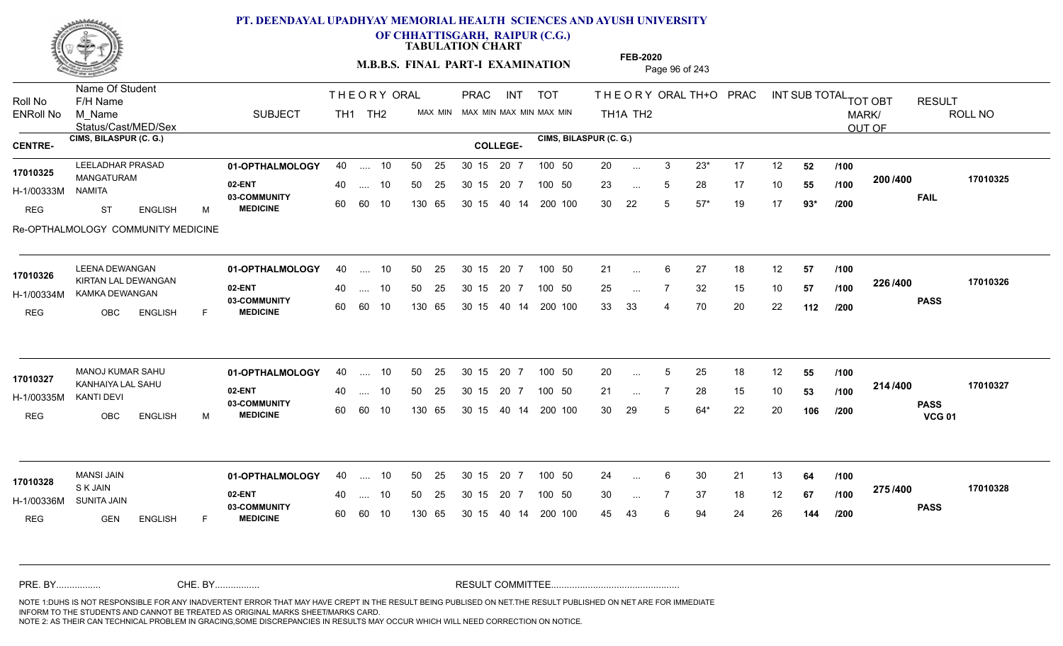

**OF CHHATTISGARH, RAIPUR (C.G.)**

**TABULATION CHART** 

**M.B.B.S. FINAL PART-I EXAMINATION** Page 96 of 243

Status/Cast/MED/Sex Name Of Student Roll No F/H Name M\_Name SUBJECT PRAC INT TOT THEORYORALTH+O PRAC INT TH<sub>1</sub>A TH<sub>2</sub> ORAL TH+ODPRACD INT SUB TOTAL <sub>TOT OBT</sub> RESULT ROLL NO MARK/ OUT OF ENRoll No M Name  $\,$  SUBJECT TH1 TH2 MAX MIN MAX MIN MAX MIN MAX MIN TH1A TH2 **CIMS, BILASPUR (C. G.) CIMS, BILASPUR (C. G.) CENTRE- COLLEGE-**THE ORY ORAL PRAC INT TH<sub>1</sub> TH<sub>2</sub> PRAC **01-OPTHALMOLOGY** LEELADHAR PRASAD 40 .... 10 30 15 20 7 **02-ENT 03-COMMUNITY MEDICINE** H-1/00333M MANGATURAM **17010325** NAMITA REG ST ENGLISH M 20 3 23\* 17 12 **52** 23 ... 5 28 17 10 **55 /100 <sup>2007–00</sup>** 30 22 5 57\* 19 17 **93\* 200 FAIL 17010325 /400** Re-OPTHALMOLOGY COMMUNITY MEDICINE .... 10 50 25 60 60 10 50 25 30 15 130 65 30 15 20 7 100 50 40 14 200 100 50 25 30 15 20 7 100 50 20 ... ... ... **/100 /100 /200 01-OPTHALMOLOGY** LEENA DEWANGAN 40 .... 10 30 15 20 7 **02-ENT** 03-COMMUNITY 60 **MEDICINE** 60 60 10 H-1/00334M KAMKA DEWANGAN **AG AGA TARA** 17010326 KIRTAN LAL DEWANGAN REG OBC ENGLISH F 21 ... 6 27 18 12 **57 /100** 25 ... 7 32 15 10 **57 /100 <sup>2207400</sup>** 33 33 4 70 20 22 **112 226 PASS /400 17010326** .... 10 50 25 130 65 30 15 20 7 130 65 30 15 40 14 200 100 30 15 20 7 100 50 50 25 30 15 20 7 100 50 21 ... ... ... **/100 /100 /200** MANOJ KUMAR SAHU **01-OPTHALMOLOGY** 40 .... 10 50 25 30 15 20 7 100 50 20 **02-ENT** 03-COMMUNITY 60  **MEDICINE** H-1/00335M KANHAIYA LAL SAHU **17010327** KANTI DEVI REG OBC ENGLISH M 20 ... 5 25 18 12 **55 /100** 21 ... 7 28 15 10 **53** /**100 <sup>214</sup>/<sup>400</sup>** 30 29 5 64\* 22 20 **106 214 PASS VCG 01 /400 17010327** .... 10 50 25 30 15 60 60 10 20 7 130 65 30 15 30 15 20 7 100 50 40 14 200 100 50 25 30 15 20 7 100 50 20 ... 5 ... 5 ... **/100 /100 /200 01-OPTHALMOLOGY** MANSI JAIN 40 .... 10 30 15 20 7 **02-ENT** 03-COMMUNITY 60 **MEDICINE** 60 60 10 H-1/00336M S K JAIN SUNITA JAIN REG GEN ENGLISH F 24 ... 6 30 21 13 **64 /100** 30 ... 7 37 18 12 **67 /100 <sup>2137400</sup>** 45 43 6 94 24 26 **144 275 PASS /400 17010328** 40 .... 10 50 25 130 65 130 65 30 15 30 15 20 7 100 50 40 14 200 100 50 25 30 15 20 7 100 50 24 ... **17010328** MANSI JAIN ... ... **/100 /100 /200** NOTE 1:DUHS IS NOT RESPONSIBLE FOR ANY INADVERTENT ERROR THAT MAY HAVE CREPT IN THE RESULT BEING PUBLISED ON NET.THE RESULT PUBLISHED ON NET ARE FOR IMMEDIATE INFORM TO THE STUDENTS AND CANNOT BE TREATED AS ORIGINAL MARKS SHEET/MARKS CARD. CHE. BY WAREL BY WARE AND THE AVEC THE AVEC THE THE RESULT COMMITTEE AND MULTIME MOTE 1:DUHS IS NOT RESPONSIBLE FOR ANY INADVERTENT ERROR THAT MAY HAVE CREPT IN THE RESULT BEING PUBLISED ON NET.THE RESULT PUBLISHED ON NET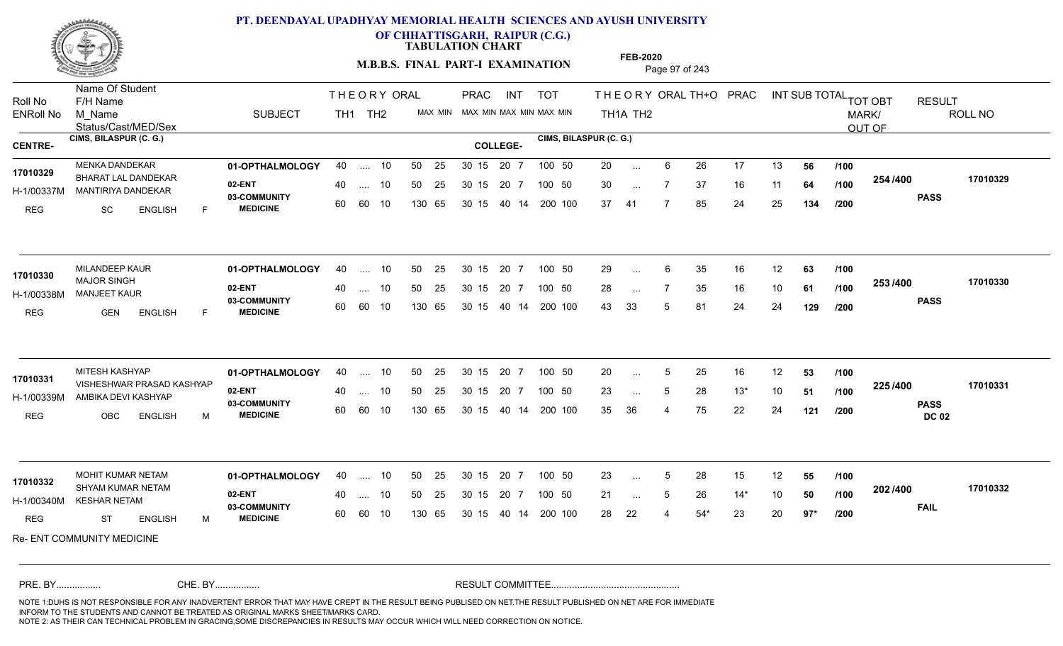

**OF CHHATTISGARH, RAIPUR (C.G.)**

**TABULATION CHART** 

**M.B.B.S. FINAL PART-I EXAMINATION** Page 97 of 243

Status/Cast/MED/Sex Name Of Student Roll No F/H Name M\_Name SUBJECT PRAC INT TOT THEORYORALTH+O PRAC INT TH<sub>1</sub>A TH<sub>2</sub> ORAL TH+ODPRACD INT SUB TOTAL <sub>TOT OBT</sub> RESULT ROLL NO MARK/ OUT OF ENRoll No M Name  $\,$  SUBJECT TH1 TH2 MAX MIN MAX MIN MAX MIN MAX MIN TH1A TH2 **CIMS, BILASPUR (C. G.) CIMS, BILASPUR (C. G.) CENTRE- COLLEGE-**THE ORY ORAL PRAC INT TH<sub>1</sub> TH<sub>2</sub> PRAC **01-OPTHALMOLOGY** MENKA DANDEKAR 40 .... 10 30 15 20 7 **02-ENT** 03-COMMUNITY 60  **MEDICINE** H-1/00337M MANTIRIYA DANDEKAR BHARAT LAL DANDEKAR **17010329** REG SC ENGLISH F 20 ... 6 26 17 13 **56 /100** 30 ... 7 37 16 11 **64 /100 <sup>204/400</sup>** 37 41 7 85 24 25 **134 254 PASS /400 17010329** .... 10 50 25 60 60 10 50 25 30 15 130 65 30 15 20 7 100 50 40 14 200 100 50 25 30 15 20 7 100 50 20 ... ... ... **/100 /100 /200 01-OPTHALMOLOGY** MILANDEEP KAUR 40 .... 10 30 15 20 7 **02-ENT** 03-COMMUNITY 60  **MEDICINE** H-1/00338M MANJEET KAUR MAJOR SINGH REG GEN ENGLISH F 29 ... 6 35 16 12 **63 /100** 28 ... 7 35 16 10 **61 /100 <sup>2007</sup> 7** 43 33 5 81 24 24 **129 253 PASS /400 17010330**  $\dots$  10 50 25 30 15 60 60 10 20 7 130 65 30 15 40 14 200 100 30 15 20 7 100 50 50 25 30 15 20 7 100 50 29 ... **17010330** MILANDEEP KAUR ... ... **/100 /100 /200 01-OPTHALMOLOGY** MITESH KASHYAP 40 .... 10 30 15 20 7 **02-ENT** 03-COMMUNITY 60  **MEDICINE** H-1/00339M AMBIKA DEVI KASHYAP 17010331 VISHESHWAR PRASAD KASHYAP REG OBC ENGLISH M 20 ... 5 25 16 12 **53 /100** 23 ... 5 28 13\* 10 **51 /100 <sup>223</sup> /\*\*\*** 35 36 4 75 22 24 **121 225 PASS DC 02 /400 17010331** .... 10 50 25 30 15 60 60 10 20 7 130 65 30 15 30 15 20 7 100 50 40 14 200 100 50 25 30 15 20 7 100 50 20 ... 5 ... ... 5 **/100 /100 /200 01-OPTHALMOLOGY** MOHIT KUMAR NETAM 40 .... 10 30 15 20 7 **02-ENT** 03-COMMUNITY 60 **MEDICINE** 60 60 10 H-1/00340M KESHAR NETAM 17010332 SHYAM KUMAR NETAM **17010332 SHYAM KUMAR NETAM** REG ST ENGLISH M 23 ... 5 28 15 12 **55 /100** 21 ... 5 26 14\* 10 **50** /**100 <sup>202</sup> <sup>14</sup>00** 28 22 4 54\* 23 20 **97\* 202 FAIL 17010332 /400** Re- ENT COMMUNITY MEDICINE .... 10 50 25 130 65 30 15 20 7 130 65 30 15 30 15 20 7 100 50 40 14 200 100 50 25 30 15 20 7 100 50 23 ... 5 ... 5 ... 5 **/100 /100 /200** NOTE 1:DUHS IS NOT RESPONSIBLE FOR ANY INADVERTENT ERROR THAT MAY HAVE CREPT IN THE RESULT BEING PUBLISED ON NET.THE RESULT PUBLISHED ON NET ARE FOR IMMEDIATE INFORM TO THE STUDENTS AND CANNOT BE TREATED AS ORIGINAL MARKS SHEET/MARKS CARD. CHE. BY WAREL BY WARE AND THE AVEC THE AVEC THE THE RESULT COMMITTEE AND MULTIME MOTE 1:DUHS IS NOT RESPONSIBLE FOR ANY INADVERTENT ERROR THAT MAY HAVE CREPT IN THE RESULT BEING PUBLISED ON NET.THE RESULT PUBLISHED ON NET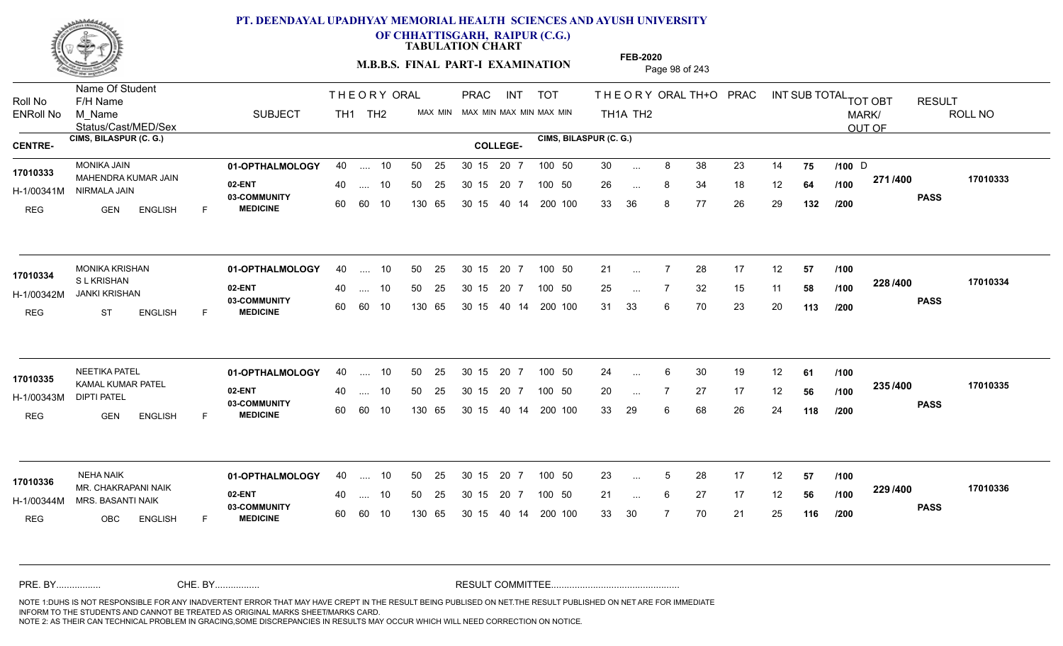

**OF CHHATTISGARH, RAIPUR (C.G.)**

**TABULATION CHART** 

**M.B.B.S. FINAL PART-I EXAMINATION** Page 98 of 243

Status/Cast/MED/Sex Name Of Student Roll No F/H Name M\_Name SUBJECT PRAC INT TOT THEORYORALTH+O PRAC INT TH<sub>1</sub>A TH<sub>2</sub> ORAL TH+ODPRACD INT SUB TOTAL <sub>TOT OBT</sub> RESULT ROLL NO MARK/ OUT OF ENRoll No M Name  $\,$  SUBJECT TH1 TH2 MAX MIN MAX MIN MAX MIN MAX MIN TH1A TH2 **CIMS, BILASPUR (C. G.) CIMS, BILASPUR (C. G.) CENTRE- COLLEGE-**THE ORY ORAL PRAC INT TH<sub>1</sub> TH<sub>2</sub> PRAC **01-OPTHALMOLOGY** MONIKA JAIN 40 .... 10 30 15 20 7 **02-ENT** 03-COMMUNITY 60  **MEDICINE** H-1/00341M NIRMALA JAIN 17010333 MAHENDRA KUMAR JAIN REG GEN ENGLISH F 30 ... 8 38 23 14 **75 /100** D 26 ... 8 34 18 12 **64 /100 <del>11111</del>** 33 36 8 77 26 29 **132 271 PASS /400 17010333** .... 10 50 25 60 60 10 50 25 30 15 130 65 30 15 40 14 200 100 20 7 100 50 50 25 30 15 20 7 100 50 30 … 8 38 23 14 **75 /100** D ... 8 ... **/100 /100 /200 01-OPTHALMOLOGY** MONIKA KRISHAN 40 .... 10 30 15 20 7 **02-ENT** 03-COMMUNITY 60 **MEDICINE** 60 60 10 H-1/00342M JANKI KRISHAN S L KRISHAN REG ST ENGLISH F 21 ... 7 28 17 12 **57 /100** 25 ... 7 32 15 11 **58 /100 <sup>220</sup>/\*<sup>00</sup>** 31 33 6 70 23 20 **113 228 PASS /400 17010334** .... 10 50 25 130 65 30 15 20 7 130 65 30 15 40 14 200 100 30 15 20 7 100 50 50 25 30 15 20 7 100 50 21 ... **17010334** MONIKA KRISHAN ... ... **/100 /100 /200 01-OPTHALMOLOGY** NEETIKA PATEL 40 .... 10 30 15 20 7 **02-ENT** 03-COMMUNITY 60  **MEDICINE** H-1/00343M KAMAL KUMAR PATEL **17010335** DIPTI PATEL REG GEN ENGLISH F 24 ... 6 30 19 12 **61 /100** 20 ... 7 27 17 12 **56** /**100 <sup>2337400</sup>** 33 29 6 68 26 24 **118 235 PASS /400 17010335** .... 10 50 25 30 15 60 60 10 20 7 130 65 30 15 30 15 20 7 100 50 40 14 200 100 50 25 30 15 20 7 100 50 24 ... 6 ... ... **/100 /100 /200** NEHA NAIK **120 11 COMPTHALMOLOGY** 40 .... 10 50 25 30 15 20 7 100 50 23 **02-ENT** 03-COMMUNITY 60 **MEDICINE** 60 60 10 H-1/00344M MRS. BASANTI NAIK **1998 - 1999** MR. CHAKRAPANI NAIK **17010336** REG OBC ENGLISH F 23 ... 5 28 17 12 **57 /100** 21 ... 6 27 17 12 **56 /100 <sup>223</sup> 1** 33 30 7 70 21 25 **116 229 PASS /400 17010336** .... 10 50 25 130 65 30 15 20 7 130 65 30 15 30 15 20 7 100 50 40 14 200 100 50 25 30 15 20 7 100 50 23 ... 5 ... 5 ... 6 **/100 /100 /200** NOTE 1:DUHS IS NOT RESPONSIBLE FOR ANY INADVERTENT ERROR THAT MAY HAVE CREPT IN THE RESULT BEING PUBLISED ON NET.THE RESULT PUBLISHED ON NET ARE FOR IMMEDIATE INFORM TO THE STUDENTS AND CANNOT BE TREATED AS ORIGINAL MARKS SHEET/MARKS CARD. CHE. BY WAREL BY WARE AND THE AVEC THE AVEC THE THE RESULT COMMITTEE AND MULTIME MOTE 1:DUHS IS NOT RESPONSIBLE FOR ANY INADVERTENT ERROR THAT MAY HAVE CREPT IN THE RESULT BEING PUBLISED ON NET.THE RESULT PUBLISHED ON NET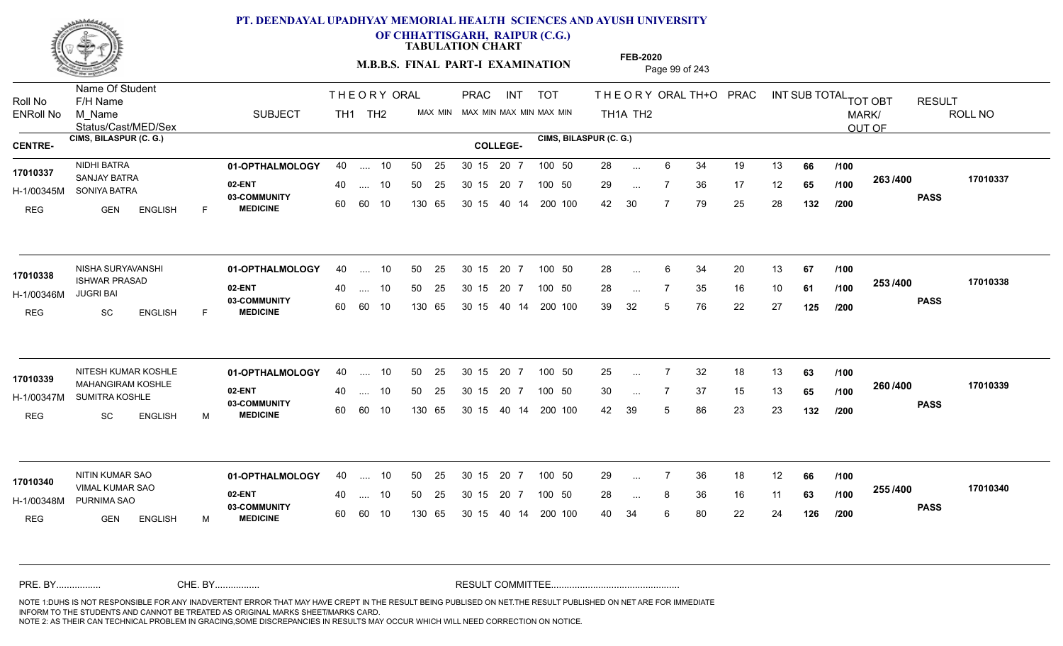

**OF CHHATTISGARH, RAIPUR (C.G.)**

**TABULATION CHART** 

**FEB-2020**

**M.B.B.S. FINAL PART-I EXAMINATION** Page 99 of 243

Status/Cast/MED/Sex Name Of Student Roll No F/H Name M\_Name SUBJECT PRAC INT TOT THEORYORALTH+O PRAC INT TH<sub>1</sub>A TH<sub>2</sub> ORAL TH+ODPRACD INT SUB TOTAL <sub>TOT OBT</sub> RESULT ROLL NO MARK/ OUT OF ENRoll No M Name  $\,$  SUBJECT TH1 TH2 MAX MIN MAX MIN MAX MIN MAX MIN TH1A TH2 **CIMS, BILASPUR (C. G.) CIMS, BILASPUR (C. G.) CENTRE- COLLEGE-**THE ORY ORAL PRAC INT TH<sub>1</sub> TH<sub>2</sub> PRAC **01-OPTHALMOLOGY** NIDHI BATRA 40 .... 10 30 15 20 7 **02-ENT** 03-COMMUNITY 60  **MEDICINE** H-1/00345M SONIYA BATRA SANJAY BATRA **17010337** REG GEN ENGLISH F 28 6 34 19 13 **66** 29 ... 7 36 17 12 **65 /100 <sup>2007–00</sup>** 42 30 7 79 25 28 **132 263 PASS /400 17010337** .... 10 50 25 60 60 10 50 25 30 15 130 65 30 15 40 14 200 100 20 7 100 50 50 25 30 15 20 7 100 50 28 ... ... ... **/100 /100 /200 01-OPTHALMOLOGY** NISHA SURYAVANSHI 40 .... 10 30 15 20 7 **02-ENT** 03-COMMUNITY 60 **MEDICINE** 60 60 10 H-1/00346M 17010338 **ISHWAR PRASAD** JUGRI BAI REG SC ENGLISH F 28 6 34 20 13 **67** 28 ... 7 35 16 10 **61 /100 <sup>2007</sup> 7** 39 32 5 76 22 27 **125 253 PASS /400 17010338** .... 10 50 25 130 65 30 15 20 7 130 65 30 15 40 14 200 100 30 15 20 7 100 50 50 25 30 15 20 7 100 50 28 ... ... ... **/100 /100 /200 01-OPTHALMOLOGY** NITESH KUMAR KOSHLE 40 .... 10 30 15 20 7 **02-ENT** 03-COMMUNITY 60  **MEDICINE** H-1/00347M SUMITRA KOSHLE 22 COM MAHANGIRAM KOSHLE **17010339** REG SC ENGLISH M 25 7 32 18 13 **63** 30 ... 7 37 15 13 **65 /100 <sup>2007–00</sup>** 42 39 5 86 23 23 **132 260 PASS /400 17010339** .... 10 50 25 60 60 10 50 25 30 15 130 65 30 15 20 7 100 50 40 14 200 100 50 25 30 15 20 7 100 50 25 ... 7 ... ... **/100 /100 /200 01-OPTHALMOLOGY** NITIN KUMAR SAO 40 .... 10 30 15 20 7 **02-ENT** 03-COMMUNITY 60 **MEDICINE** 60 60 10 H-1/00348M PURNIMA SAO 17010340 VIMAL KUMAR SAO **1990 NASA A SA CHANGE** REG GEN ENGLISH M 29 ... 7 36 18 12 **66** /**100** 28 ... 8 36 16 11 **63 /100 <sup>2007</sup> 100** 40 34 6 80 22 24 **126 255 PASS /400 17010340** .... 10 50 25 130 65 30 15 20 7 130 65 30 15 30 15 20 7 100 50 40 14 200 100 50 25 30 15 20 7 100 50 29 ... ... ... **/100 /100 /200** NOTE 1:DUHS IS NOT RESPONSIBLE FOR ANY INADVERTENT ERROR THAT MAY HAVE CREPT IN THE RESULT BEING PUBLISED ON NET.THE RESULT PUBLISHED ON NET ARE FOR IMMEDIATE INFORM TO THE STUDENTS AND CANNOT BE TREATED AS ORIGINAL MARKS SHEET/MARKS CARD. CHE. BY WAREL BY WARE AND THE AVEC THE AVEC THE THE RESULT COMMITTEE AND MULTIME MOTE 1:DUHS IS NOT RESPONSIBLE FOR ANY INADVERTENT ERROR THAT MAY HAVE CREPT IN THE RESULT BEING PUBLISED ON NET.THE RESULT PUBLISHED ON NET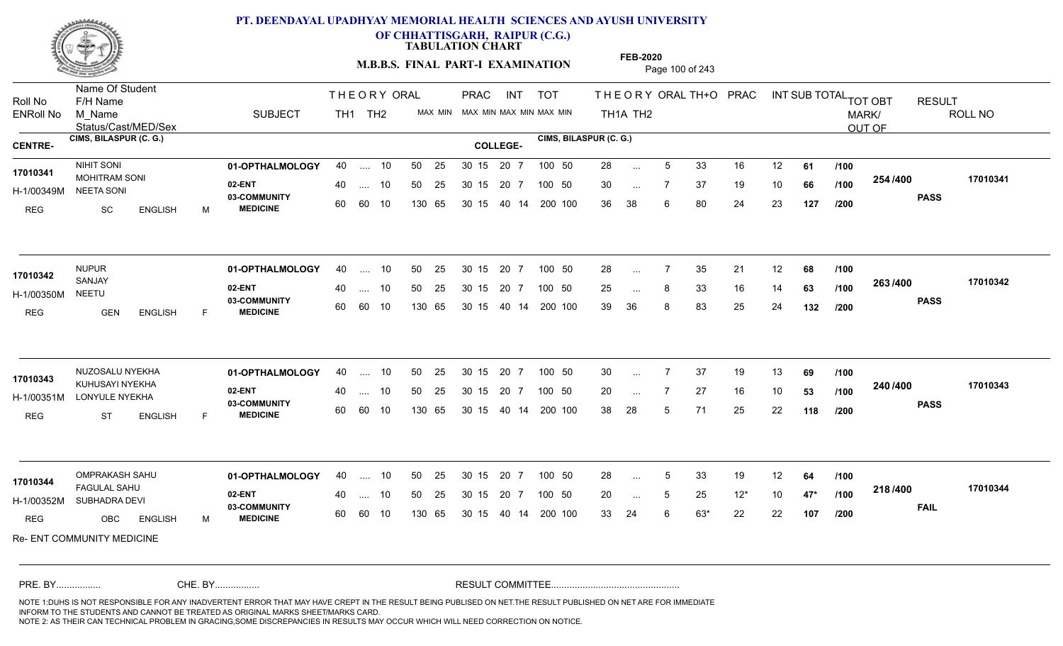

**OF CHHATTISGARH, RAIPUR (C.G.)**

**TABULATION CHART** 

**M.B.B.S. FINAL PART-I EXAMINATION** Page 100 of 243

Status/Cast/MED/Sex Name Of Student Roll No F/H Name M\_Name SUBJECT PRAC INT TOT THEORYORALTH+O PRAC INT TH<sub>1</sub>A TH<sub>2</sub> ORAL TH+ODPRACD INT SUB TOTAL <sub>TOT OBT</sub> RESULT ROLL NO MARK/ OUT OF ENRoll No M Name  $\,$  SUBJECT TH1 TH2 MAX MIN MAX MIN MAX MIN MAX MIN TH1A TH2 **CIMS, BILASPUR (C. G.) CIMS, BILASPUR (C. G.) CENTRE- COLLEGE-**THE ORY ORAL PRAC INT TH<sub>1</sub> TH<sub>2</sub> PRAC **01-OPTHALMOLOGY** NIHIT SONI 40 .... 10 30 15 20 7 **02-ENT** 03-COMMUNITY 60  **MEDICINE** H-1/00349M NEETA SONI **17010341** MOHITRAM SONI REG SC ENGLISH M 28 ... 5 33 16 12 **61 /100** 30 ... 7 37 19 10 **66 /100 <sup>2047</sup> 1** 36 38 6 80 24 23 **127 254 PASS /400 17010341** .... 10 50 25 60 60 10 50 25 30 15 130 65 30 15 40 14 200 100 20 7 100 50 50 25 30 15 20 7 100 50 28 ... ... ... **/100 /100 /200 01-OPTHALMOLOGY** NUPUR 40 .... 10 30 15 20 7 **02-ENT** 03-COMMUNITY 60 **MEDICINE** 60 60 10 H-1/00350M SANJAY NEETU REG GEN ENGLISH F 28 7 35 21 12 **68** 25 ... 8 33 16 14 **63 /100 <sup>2007</sup> 700** 39 36 8 83 25 24 **132 263 PASS /400 17010342** .... 10 50 25 130 65 30 15 20 7 130 65 30 15 40 14 200 100 30 15 20 7 100 50 50 25 30 15 20 7 100 50 28 ... **17010342** NUPUR ... ... **/100 /100 /200 01-OPTHALMOLOGY** NUZOSALU NYEKHA 40 .... 10 30 15 20 7 **02-ENT** 03-COMMUNITY 60  **MEDICINE** H-1/00351M LONYULE NYEKHA **WALE DI MARKA NA TANA NA TAN** KUHUSAYI NYEKHA **17010343** REG ST ENGLISH F 30 7 37 19 13 **69** 20 7 27 16 10 **53** 38 28 5 71 25 22 **118 240 PASS /400 17010343** .... 10 50 25 60 60 10 50 25 30 15 130 65 30 15 40 14 200 100 20 7 100 50 50 25 30 15 20 7 100 50 30 ... 7 ... ... **/100 /100 /200 01-OPTHALMOLOGY** OMPRAKASH SAHU 40 .... 10 30 15 20 7 **02-ENT** 03-COMMUNITY 60 **MEDICINE** 60 60 10 H-1/00352M SUBHADRA DEVI FAGULAL SAHU **17010344** REG OBC ENGLISH M 28 ... 5 33 19 12 **64 /100** 20 5 25 12\* 10 **47\*** 33 24 6 63\* 22 22 **107 218 FAIL 17010344 /400** Re- ENT COMMUNITY MEDICINE .... 10 50 25 130 65 50 25 30 15 130 65 30 15 40 14 200 100 20 7 100 50 50 25 30 15 20 7 100 50 28 ... 5 ... 5 ... **/100 /100 /200** NOTE 1:DUHS IS NOT RESPONSIBLE FOR ANY INADVERTENT ERROR THAT MAY HAVE CREPT IN THE RESULT BEING PUBLISED ON NET.THE RESULT PUBLISHED ON NET ARE FOR IMMEDIATE INFORM TO THE STUDENTS AND CANNOT BE TREATED AS ORIGINAL MARKS SHEET/MARKS CARD. CHE. BY WAREL BY WARE AND THE AVEC THE AVEC THE THE RESULT COMMITTEE AND MULTIME MOTE 1:DUHS IS NOT RESPONSIBLE FOR ANY INADVERTENT ERROR THAT MAY HAVE CREPT IN THE RESULT BEING PUBLISED ON NET.THE RESULT PUBLISHED ON NET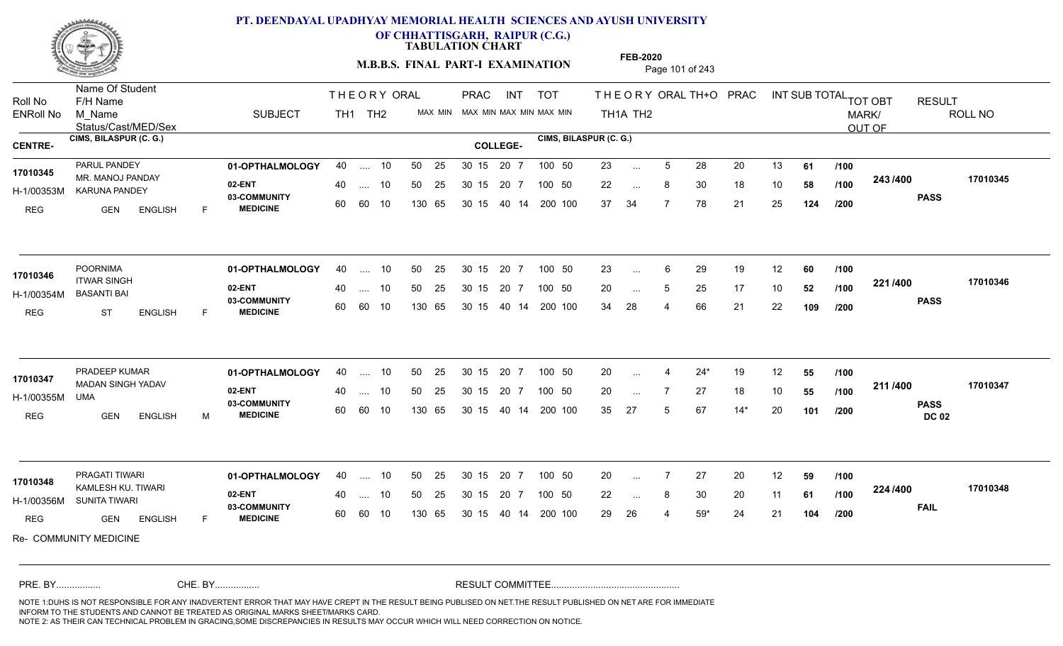

**OF CHHATTISGARH, RAIPUR (C.G.)**

**TABULATION CHART** 

**M.B.B.S. FINAL PART-I EXAMINATION** Page 101 of 243

Status/Cast/MED/Sex Name Of Student Roll No F/H Name M\_Name SUBJECT PRAC INT TOT THEORYORALTH+O PRAC INT TH<sub>1</sub>A TH<sub>2</sub> ORAL TH+ODPRACD INT SUB TOTAL <sub>TOT OBT</sub> RESULT ROLL NO MARK/ OUT OF ENRoll No M Name  $\,$  SUBJECT TH1 TH2 MAX MIN MAX MIN MAX MIN MAX MIN TH1A TH2 **CIMS, BILASPUR (C. G.) CIMS, BILASPUR (C. G.) CENTRE- COLLEGE-**THE ORY ORAL PRAC INT TH<sub>1</sub> TH<sub>2</sub> PRAC **01-OPTHALMOLOGY** PARUL PANDEY 40 .... 10 30 15 20 7 **02-ENT** 03-COMMUNITY 60  **MEDICINE** H-1/00353M KARUNA PANDEY 17010345 MR. MANOJ PANDAY REG GEN ENGLISH F 23 ... 5 28 20 13 **61 /100** 22 ... 8 30 18 10 **58 /100 <sup>243</sup>/400** 37 34 7 78 21 25 **124 243 PASS /400 17010345** .... 10 50 25 60 60 10 50 25 30 15 130 65 30 15 40 14 200 100 20 7 100 50 50 25 30 15 20 7 100 50 23 ... ... ... **/100 /100 /200 01-OPTHALMOLOGY** POORNIMA 40 .... 10 30 15 20 7 **02-ENT** 03-COMMUNITY 60 **MEDICINE** 60 60 10 H-1/00354M BASANTI BAI ITWAR SINGH REG ST ENGLISH F 23 ... 6 29 19 12 **60** /**100** 20 ... 5 25 17 10 **52 /100 <sup>44 17</sup> 10** 34 28 4 66 21 22 **109 221 PASS /400 17010346** .... 10 50 25 130 65 30 15 20 7 130 65 30 15 40 14 200 100 30 15 20 7 100 50 50 25 30 15 20 7 100 50 23 ... **17010346** POORNIMA ... ... **/100 /100 /200 01-OPTHALMOLOGY** PRADEEP KUMAR 40 .... 10 30 15 20 7 **02-ENT** 03-COMMUNITY 60  **MEDICINE** H-1/00355M MADAN SINGH YADAV **17010347** UMA REG GEN ENGLISH M 20 4 24\* 19 12 **55** 20 7 27 18 10 **55** 35 27 5 67 14\* 20 **101 211 PASS DC 02 /400 17010347** .... 10 50 25 60 60 10 50 25 30 15 130 65 30 15 20 7 100 50 40 14 200 100 50 25 30 15 20 7 100 50 20 ... 4 ... ... **/100 /100 /200 01-OPTHALMOLOGY** PRAGATI TIWARI 40 .... 10 30 15 20 7 **02-ENT** 03-COMMUNITY 60 **MEDICINE** 60 60 10 H-1/00356M SUNITA TIWARI KAMLESH KU. TIWARI **17010348** REG **GEN ENGLISH** F 20 7 27 20 12 **59** 22 ... 8 30 20 11 **61 /100 <sup>224</sup> /\*vv** 29 26 4 59\* 24 21 **104 224 FAIL 17010348 /400** Re- COMMUNITY MEDICINE .... 10 50 25 130 65 30 15 20 7 130 65 30 15 30 15 20 7 100 50 40 14 200 100 50 25 30 15 20 7 100 50 20 ... ... ... **/100 /100 /200** NOTE 1:DUHS IS NOT RESPONSIBLE FOR ANY INADVERTENT ERROR THAT MAY HAVE CREPT IN THE RESULT BEING PUBLISED ON NET.THE RESULT PUBLISHED ON NET ARE FOR IMMEDIATE INFORM TO THE STUDENTS AND CANNOT BE TREATED AS ORIGINAL MARKS SHEET/MARKS CARD. CHE. BY WAREL BY WARE AND THE AVEC THE AVEC THE THE RESULT COMMITTEE AND MULTIME MOTE 1:DUHS IS NOT RESPONSIBLE FOR ANY INADVERTENT ERROR THAT MAY HAVE CREPT IN THE RESULT BEING PUBLISED ON NET.THE RESULT PUBLISHED ON NET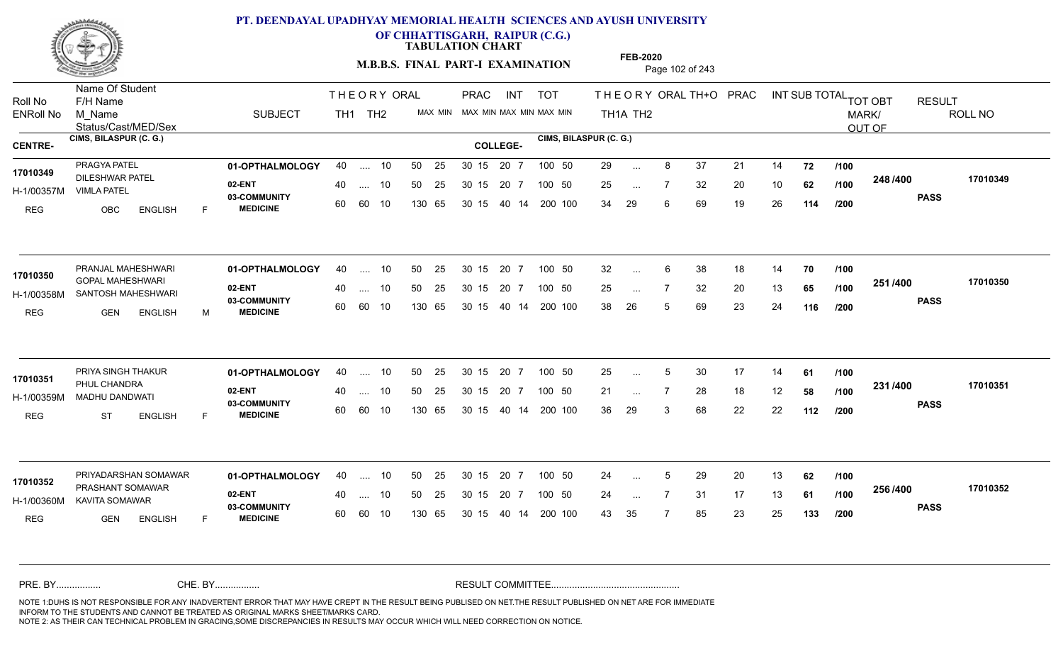

**OF CHHATTISGARH, RAIPUR (C.G.)**

**TABULATION CHART** 

**FEB-2020**

**M.B.B.S. FINAL PART-I EXAMINATION** Page 102 of 243

Status/Cast/MED/Sex Name Of Student Roll No F/H Name M\_Name SUBJECT PRAC INT TOT THEORYORALTH+O PRAC INT TH<sub>1</sub>A TH<sub>2</sub> ORAL TH+ODPRACD INT SUB TOTAL <sub>TOT OBT</sub> RESULT ROLL NO MARK/ OUT OF ENRoll No M Name  $\,$  SUBJECT TH1 TH2 MAX MIN MAX MIN MAX MIN MAX MIN TH1A TH2 **CIMS, BILASPUR (C. G.) CIMS, BILASPUR (C. G.) CENTRE- COLLEGE-**THE ORY ORAL PRAC INT TH<sub>1</sub> TH<sub>2</sub> PRAC **01-OPTHALMOLOGY** PRAGYA PATEL 40 .... 10 30 15 20 7 **02-ENT** 03-COMMUNITY 60  **MEDICINE** H-1/00357M VIMLA PATEL 17010349<br>- DILESHWAR PATEL REG OBC ENGLISH F 29 8 37 21 14 **72** 25 7 32 20 10 **62** 34 29 6 69 19 26 **114 248 PASS /400 17010349** .... 10 50 25 60 60 10 50 25 30 15 130 65 30 15 20 7 100 50 40 14 200 100 50 25 30 15 20 7 100 50 29 ... ... ... **/100 /100 /200 01-OPTHALMOLOGY** PRANJAL MAHESHWARI 40 .... 10 30 15 20 7 **02-ENT** 03-COMMUNITY 60 **MEDICINE** 60 60 10 H-1/00358M SANTOSH MAHESHWARI GOPAL MAHESHWARI **17010350** REG GEN ENGLISH M 32 6 38 18 14 **70** 25 ... 7 32 20 13 **65 /100 <sup>2017</sup> 7** 38 26 5 69 23 24 **116 251 PASS /400 17010350** .... 10 50 25 130 65 30 15 20 7 130 65 30 15 40 14 200 100 30 15 20 7 100 50 50 25 30 15 20 7 100 50 32 ... ... ... **/100 /100 /200 01-OPTHALMOLOGY** PRIYA SINGH THAKUR 40 .... 10 30 15 20 7 **02-ENT** 03-COMMUNITY 60  **MEDICINE** H-1/00359M MADHU DANDWATI PHUL CHANDRA **17010351** REG ST ENGLISH F 25 ... 5 30 17 14 **61** /**100** 21 ... 7 28 18 12 **58 /100 <sup>2317</sup> 1** 36 29 3 68 22 22 **112 231 PASS /400 17010351** .... 10 50 25 30 15 60 60 10 20 7 130 65 30 15 30 15 20 7 100 50 40 14 200 100 50 25 30 15 20 7 100 50 25 ... 5 ... ... **/100 /100 /200** PRIYADARSHAN SOMAWAR **01-OPTHALMOLOGY** 40 .... 10 50 25 30 15 20 7 100 50 24 **02-ENT** 03-COMMUNITY 60 **MEDICINE** 60 60 10 H-1/00360M KAVITA SOMAWAR PRASHANT SOMAWAR **17010352** REG **GEN ENGLISH** F 24 ... 5 29 20 13 **62** /**100** 24 7 31 17 13 **61** 43 35 7 85 23 25 **133 256 PASS /400 17010352** .... 10 50 25 130 65 30 15 20 7 130 65 30 15 30 15 20 7 100 50 40 14 200 100 50 25 30 15 20 7 100 50 24 ... 5 ... 5 ... **/100 /100 /200** NOTE 1:DUHS IS NOT RESPONSIBLE FOR ANY INADVERTENT ERROR THAT MAY HAVE CREPT IN THE RESULT BEING PUBLISED ON NET.THE RESULT PUBLISHED ON NET ARE FOR IMMEDIATE INFORM TO THE STUDENTS AND CANNOT BE TREATED AS ORIGINAL MARKS SHEET/MARKS CARD. CHE. BY WAREL BY WARE AND THE AVEC THE AVEC THE THE RESULT COMMITTEE AND MULTIME MOTE 1:DUHS IS NOT RESPONSIBLE FOR ANY INADVERTENT ERROR THAT MAY HAVE CREPT IN THE RESULT BEING PUBLISED ON NET.THE RESULT PUBLISHED ON NET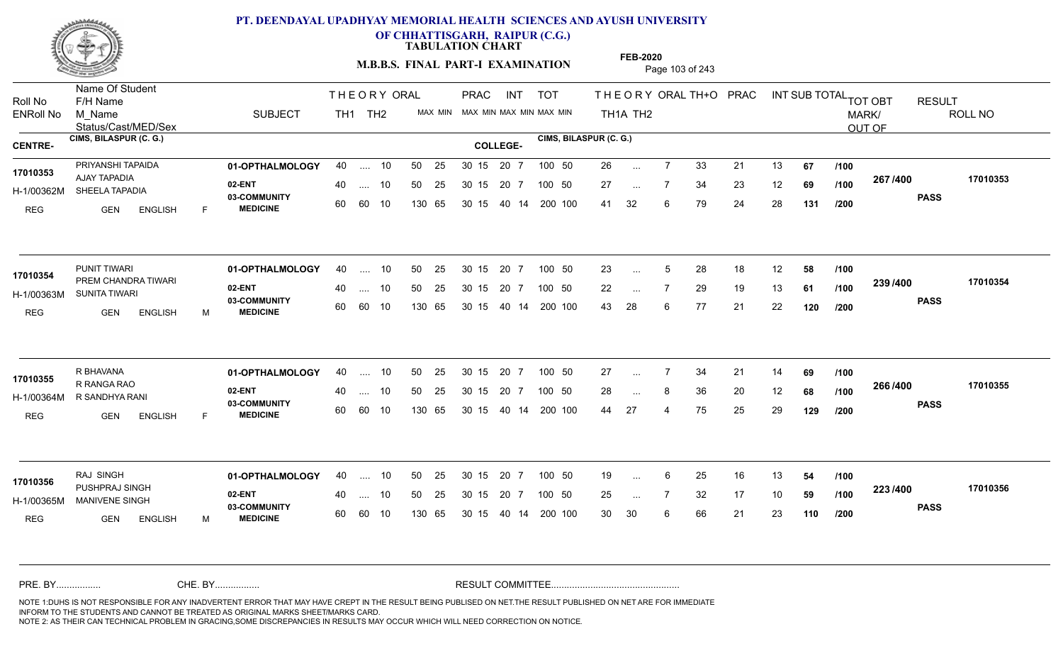

**OF CHHATTISGARH, RAIPUR (C.G.)**

**TABULATION CHART** 

**M.B.B.S. FINAL PART-I EXAMINATION** Page 103 of 243

Status/Cast/MED/Sex Name Of Student Roll No F/H Name M\_Name SUBJECT PRAC INT TOT THEORYORALTH+O PRAC INT TH<sub>1</sub>A TH<sub>2</sub> ORAL TH+ODPRACD INT SUB TOTAL <sub>TOT OBT</sub> RESULT ROLL NO MARK/ OUT OF ENRoll No M Name  $\,$  SUBJECT TH1 TH2 MAX MIN MAX MIN MAX MIN MAX MIN TH1A TH2 **CIMS, BILASPUR (C. G.) CIMS, BILASPUR (C. G.) CENTRE- COLLEGE-**THE ORY ORAL PRAC INT TH<sub>1</sub> TH<sub>2</sub> PRAC **01-OPTHALMOLOGY** PRIYANSHI TAPAIDA 40 .... 10 30 15 20 7 **02-ENT** 03-COMMUNITY 60  **MEDICINE** H-1/00362M SHEELA TAPADIA AJAY TAPADIA **17010353** REG GEN ENGLISH F 26 7 33 21 13 **67** 27 7 34 23 12 **69** 41 32 6 79 24 28 **131 267 PASS /400 17010353** .... 10 50 25 60 60 10 50 25 30 15 130 65 30 15 20 7 100 50 40 14 200 100 50 25 30 15 20 7 100 50 26 ... ... ... **/100 /100 /200 01-OPTHALMOLOGY** PUNIT TIWARI 40 .... 10 30 15 20 7 **02-ENT** 03-COMMUNITY 60 **MEDICINE** 60 60 10 H-1/00363M SUNITA TIWARI PREM CHANDRA TIWARI **17010354** REG GEN ENGLISH M 23 ... 5 28 18 12 **58 /100** 22 ... 7 29 19 13 **61 /100 <sup>2007</sup> 7** 43 28 6 77 21 22 **120 239 PASS /400 17010354**  $\dots$  10 50 25 30 15 130 65 20 7 130 65 30 15 40 14 200 100 30 15 20 7 100 50 50 25 30 15 20 7 100 50 23 ... 5 ... 5 ... **/100 /100 /200 01-OPTHALMOLOGY** R BHAVANA 40 .... 10 30 15 20 7 **02-ENT** 03-COMMUNITY 60  **MEDICINE** H-1/00364M R SANDHYA RANI 17010355 R RANGA RAO REG GEN ENGLISH F 27 7 34 21 14 **69** 28 ... 8 36 20 12 **68 /100 <sup>2007–00</sup>** 44 27 4 75 25 29 **129 266 PASS /400 17010355** .... 10 50 25 30 15 60 60 10 20 7 130 65 30 15 30 15 20 7 100 50 40 14 200 100 50 25 30 15 20 7 100 50 27 ... 7 ... ... **/100 /100 /200 01-OPTHALMOLOGY** RAJ SINGH 40 .... 10 30 15 20 7 **02-ENT** 03-COMMUNITY 60 **MEDICINE** 60 60 10 H-1/00365M MANIVENE SINGH 5 22 ANNIV PUSHPRAJ SINGH **17010356** REG GEN ENGLISH M 19 ... 6 25 16 13 **54 /100** 25 ... 7 32 17 10 **59 /100 <sup>223</sup> /\*\*** 30 30 6 66 21 23 **110 223 PASS /400 17010356** 40 .... 10 50 25 130 65 130 65 30 15 30 15 20 7 100 50 40 14 200 100 50 25 30 15 20 7 100 50 19 ... ... ... **/100 /100 /200** NOTE 1:DUHS IS NOT RESPONSIBLE FOR ANY INADVERTENT ERROR THAT MAY HAVE CREPT IN THE RESULT BEING PUBLISED ON NET.THE RESULT PUBLISHED ON NET ARE FOR IMMEDIATE INFORM TO THE STUDENTS AND CANNOT BE TREATED AS ORIGINAL MARKS SHEET/MARKS CARD. CHE. BY WAREL BY WARE AND THE AVEC THE AVEC THE THE RESULT COMMITTEE AND MULTIME MOTE 1:DUHS IS NOT RESPONSIBLE FOR ANY INADVERTENT ERROR THAT MAY HAVE CREPT IN THE RESULT BEING PUBLISED ON NET.THE RESULT PUBLISHED ON NET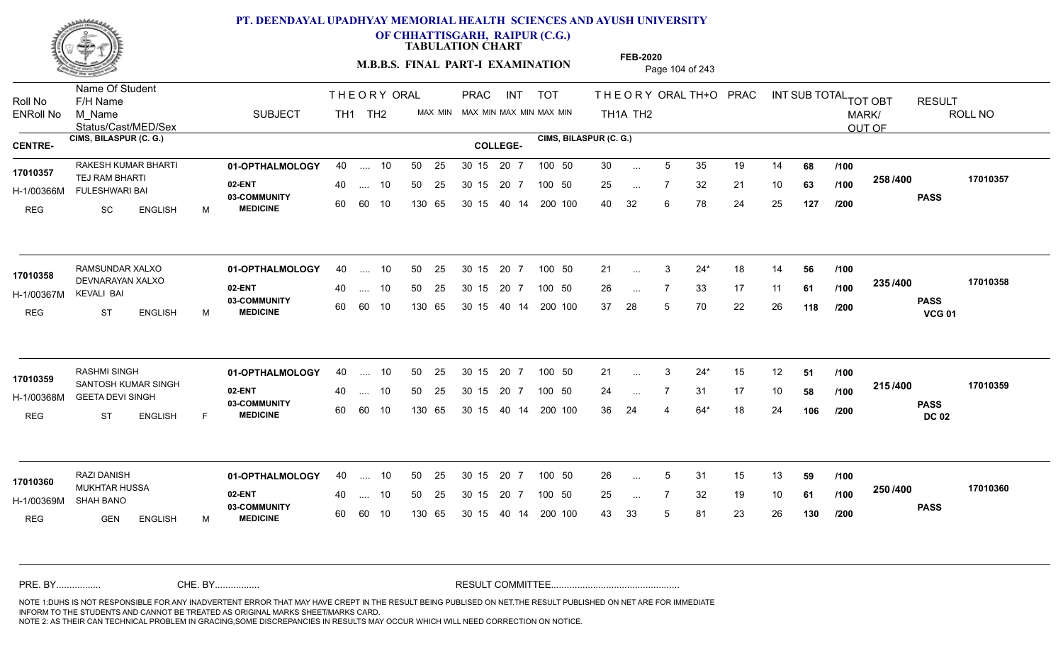

**OF CHHATTISGARH, RAIPUR (C.G.)**

**TABULATION CHART** 

**FEB-2020**

**M.B.B.S. FINAL PART-I EXAMINATION** Page 104 of 243

Status/Cast/MED/Sex Name Of Student Roll No F/H Name M\_Name SUBJECT PRAC INT TOT THEORYORALTH+O PRAC INT TH<sub>1</sub>A TH<sub>2</sub> ORAL TH+ODPRACD INT SUB TOTAL <sub>TOT OBT</sub> RESULT ROLL NO MARK/ OUT OF ENRoll No M Name  $\,$  SUBJECT TH1 TH2 MAX MIN MAX MIN MAX MIN MAX MIN TH1A TH2 **CIMS, BILASPUR (C. G.) CIMS, BILASPUR (C. G.) CENTRE- COLLEGE-**THE ORY ORAL PRAC INT TH<sub>1</sub> TH<sub>2</sub> PRAC RAKESH KUMAR BHARTI **01-OPTHALMOLOGY** 40 .... 10 50 25 30 15 20 7 100 50 30 **02-ENT** 03-COMMUNITY 60  **MEDICINE** H-1/00366M FULESHWARI BAI TEJ RAM BHARTI **17010357** REG SC ENGLISH M 30 ... 5 35 19 14 **68 /100** 25 ... 7 32 21 10 **63 /100 <sup>2007</sup> 100** 40 32 6 78 24 25 **127 258 PASS /400 17010357** .... 10 50 25 60 60 10 50 25 30 15 130 65 30 15 20 7 100 50 40 14 200 100 50 25 30 15 20 7 100 50 30 ... ... ... **/100 /100 /200** RAMSUNDAR XALXO **01-OPTHALMOLOGY** 40 .... 10 50 25 30 15 20 7 100 50 21 **02-ENT** 03-COMMUNITY 60  **MEDICINE** H-1/00367M 17010358 DEVNARAYAN XALXO KEVALI BAI REG ST ENGLISH M 21 3 24\* 18 14 **56** 26 ... 7 33 17 11 **61 /100 <sup>2007–00</sup>** 37 28 5 70 22 26 **118 235 PASS VCG 01 /400 17010358** .... 10 50 25 60 60 10 30 15 20 7 130 65 30 15 40 14 200 100 30 15 20 7 100 50 50 25 30 15 20 7 100 50 21 ... ... ... **/100 /100 /200 01-OPTHALMOLOGY** RASHMI SINGH 40 .... 10 30 15 20 7 **02-ENT** 03-COMMUNITY 60  **MEDICINE** H-1/00368M GEETA DEVI SINGH **11/00368M** 17010359 SANTOSH KUMAR SINGH REG ST ENGLISH F 21 3 24\* 15 12 **51** 24 7 31 17 10 **58** 36 24 4 64\* 18 24 **106 215 PASS DC 02 /400 17010359** .... 10 50 25 30 15 60 60 10 20 7 130 65 30 15 30 15 20 7 100 50 40 14 200 100 50 25 30 15 20 7 100 50 21 ... ... ... **/100 /100 /200 01-OPTHALMOLOGY** RAZI DANISH 40 .... 10 30 15 20 7 **02-ENT** 03-COMMUNITY 60 **MEDICINE** 60 60 10 H-1/00369M MUKHTAR HUSSA **17010360** SHAH BANO REG GEN ENGLISH M 26 ... 5 31 15 13 **59 /100** 25 ... 7 32 19 10 **61 /100 <sup>2007–00</sup>** 43 33 5 81 23 26 **130 250 PASS /400 17010360** 40 .... 10 50 25 130 65 130 65 30 15 30 15 20 7 100 50 40 14 200 100 50 25 30 15 20 7 100 50 26 ... 5 ... 5 ... **/100 /100 /200** NOTE 1:DUHS IS NOT RESPONSIBLE FOR ANY INADVERTENT ERROR THAT MAY HAVE CREPT IN THE RESULT BEING PUBLISED ON NET.THE RESULT PUBLISHED ON NET ARE FOR IMMEDIATE INFORM TO THE STUDENTS AND CANNOT BE TREATED AS ORIGINAL MARKS SHEET/MARKS CARD. CHE. BY WAREL BY WARE AND THE AVEC THE AVEC THE THE RESULT COMMITTEE AND MULTIME MOTE 1:DUHS IS NOT RESPONSIBLE FOR ANY INADVERTENT ERROR THAT MAY HAVE CREPT IN THE RESULT BEING PUBLISED ON NET.THE RESULT PUBLISHED ON NET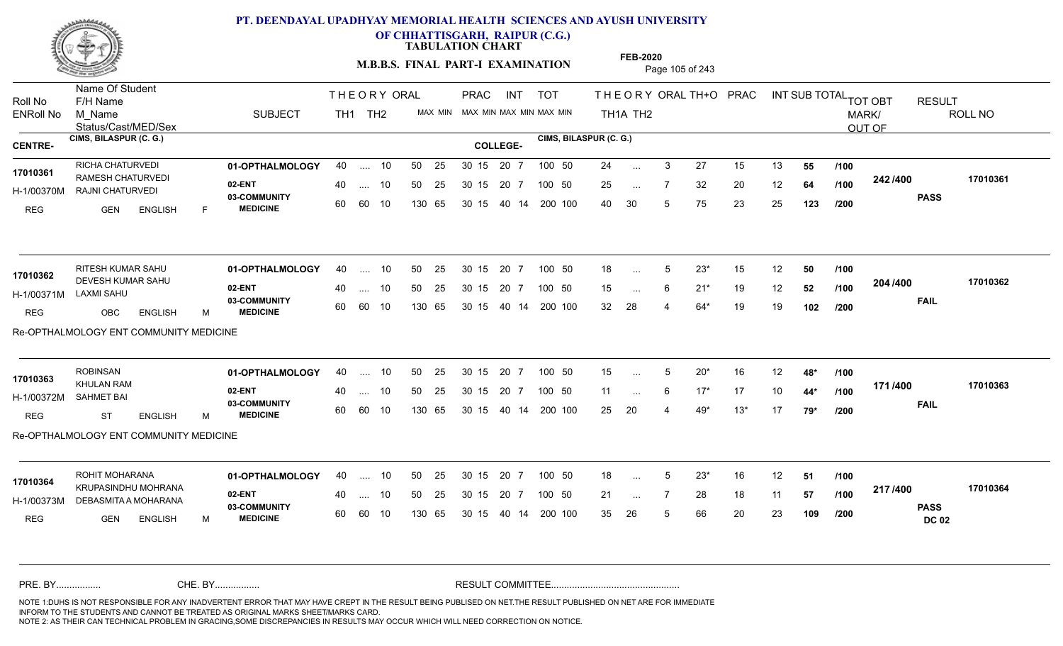

**OF CHHATTISGARH, RAIPUR (C.G.)**

**TABULATION CHART** 

**M.B.B.S. FINAL PART-I EXAMINATION** Page 105 of 243

Status/Cast/MED/Sex Name Of Student Roll No F/H Name M\_Name SUBJECT PRAC INT TOT THEORYORALTH+O PRAC INT TH<sub>1</sub>A TH<sub>2</sub> ORAL TH+ODPRACD INT SUB TOTAL <sub>TOT OBT</sub> RESULT ROLL NO MARK/ OUT OF ENRoll No M Name  $\,$  SUBJECT TH1 TH2 MAX MIN MAX MIN MAX MIN MAX MIN TH1A TH2 **CIMS, BILASPUR (C. G.) CIMS, BILASPUR (C. G.) CENTRE- COLLEGE-**THE ORY ORAL PRAC INT TH<sub>1</sub> TH<sub>2</sub> PRAC **01-OPTHALMOLOGY** RICHA CHATURVEDI 40 .... 10 30 15 20 7 **02-ENT** 03-COMMUNITY 60  **MEDICINE** H-1/00370M RAJNI CHATURVEDI RAMESH CHATURVEDI **17010361** REG GEN ENGLISH F 24 ... 3 27 15 13 **55 /100** 25 ... 7 32 20 12 **64 /100 <sup>242/400</sup>** 40 30 5 75 23 25 **123 242 PASS /400 17010361** 40 .... 10 50 25 30 15 60 60 10 130 65 30 15 20 7 100 50 40 14 200 100 50 25 30 15 20 7 100 50 24 ... ... ... **/100 /100 /200 01-OPTHALMOLOGY** RITESH KUMAR SAHU 40 .... 10 30 15 20 7 **02-ENT** 03-COMMUNITY 60  **MEDICINE** H-1/00371M DEVESH KUMAR SAHU **17010362** LAXMI SAHU REG OBC ENGLISH M 18 ... 5 23<sup>\*</sup> 15 12 **50 /100** 15 ... 6 21<sup>\*</sup> 19 12 **52 /100 <sup>2047</sup>** 32 28 4 64\* 19 19 **102 204 FAIL 17010362 /400** Re-OPTHALMOLOGY ENT COMMUNITY MEDICINE .... 10 50 25 60 60 10 30 15 20 7 130 65 30 15 40 14 200 100 30 15 20 7 100 50 50 25 30 15 20 7 100 50 18 ... 5 ... 5 ... **/100 /100 /200 01-OPTHALMOLOGY** ROBINSAN 40 .... 10 30 15 20 7 **02-ENT** 03-COMMUNITY 60  **MEDICINE** H-1/00372M KHULAN RAM SAHMET BAI REG ST ENGLISH M 15 5 20\* 16 12 **48\*** 11 6 17\* 17 10 **44\*** 25 20 4 49\* 13\* 17 **79\* 171 FAIL 17010363 /400** Re-OPTHALMOLOGY ENT COMMUNITY MEDICINE .... 10 50 25 30 15 60 60 10 20 7 130 65 30 15 30 15 20 7 100 50 40 14 200 100 50 25 30 15 20 7 100 50 15 ... 5 **17010363** ... 5 ... 6 **/100 /100 /200 01-OPTHALMOLOGY** ROHIT MOHARANA 40 .... 10 30 15 20 7 **02-ENT** 03-COMMUNITY 60 **MEDICINE** 60 60 10 H-1/00373M DEBASMITA A MOHARANA AND AND AN OCCUPATION 17010364<br>KRUPASINDHU MOHRANA REG GEN ENGLISH M 18 ... 5 23\* 16 12 **51 /100** 21 ... 7 28 18 11 **57 /100 <sup>217</sup> /=00** 35 26 5 66 20 23 **109 217 PASS DC 02 /400 17010364** 40 .... 10 50 25 130 65 130 65 30 15 30 15 20 7 100 50 40 14 200 100 50 25 30 15 20 7 100 50 18 ... 5 ... 5 ... **/100 /100 /200** NOTE 1:DUHS IS NOT RESPONSIBLE FOR ANY INADVERTENT ERROR THAT MAY HAVE CREPT IN THE RESULT BEING PUBLISED ON NET.THE RESULT PUBLISHED ON NET ARE FOR IMMEDIATE INFORM TO THE STUDENTS AND CANNOT BE TREATED AS ORIGINAL MARKS SHEET/MARKS CARD. CHE. BY WAREL BY WARE AND THE AVEC THE AVEC THE THE RESULT COMMITTEE AND MULTIME MOTE 1:DUHS IS NOT RESPONSIBLE FOR ANY INADVERTENT ERROR THAT MAY HAVE CREPT IN THE RESULT BEING PUBLISED ON NET.THE RESULT PUBLISHED ON NET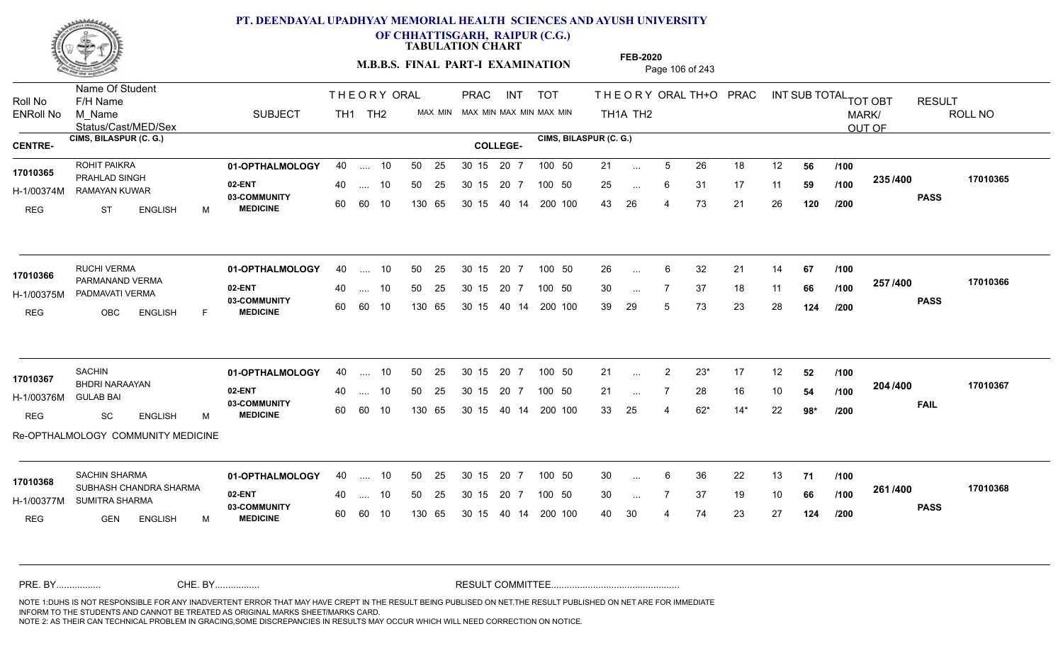

**OF CHHATTISGARH, RAIPUR (C.G.)**

**TABULATION CHART** 

**M.B.B.S. FINAL PART-I EXAMINATION** Page 106 of 243

Status/Cast/MED/Sex Name Of Student Roll No F/H Name M\_Name SUBJECT PRAC INT TOT THEORYORALTH+O PRAC INT TH<sub>1</sub>A TH<sub>2</sub> ORAL TH+ODPRACD INT SUB TOTAL <sub>TOT OBT</sub> RESULT ROLL NO MARK/ OUT OF ENRoll No M Name  $\,$  SUBJECT TH1 TH2 MAX MIN MAX MIN MAX MIN MAX MIN TH1A TH2 **CIMS, BILASPUR (C. G.) CIMS, BILASPUR (C. G.) CENTRE- COLLEGE-**THE ORY ORAL PRAC INT TH<sub>1</sub> TH<sub>2</sub> PRAC **01-OPTHALMOLOGY** ROHIT PAIKRA 40 .... 10 30 15 20 7 **02-ENT** 03-COMMUNITY 60  **MEDICINE** H-1/00374M RAMAYAN KUWAR 17010365<br>PRAHLAD SINGH REG ST ENGLISH M 21 ... 5 26 18 12 **56 /100** 25 ... 6 31 17 11 **59 /100 <sup>2007</sup> 700** 43 26 4 73 21 26 **120 235 PASS /400 17010365** .... 10 50 25 60 60 10 50 25 30 15 130 65 30 15 20 7 100 50 40 14 200 100 50 25 30 15 20 7 100 50 21 ... ... ... 6 **/100 /100 /200 01-OPTHALMOLOGY** RUCHI VERMA 40 .... 10 30 15 20 7 **02-ENT** 03-COMMUNITY 60 **MEDICINE** 60 60 10 H-1/00375M PADMAVATI VERMA 17010366 PARMANAND VERMA REG OBC ENGLISH F 26 6 32 21 14 **67** 30 ... 7 37 18 11 **66 /100 <sup>237</sup> 1<del>4</del>00** 39 29 5 73 23 28 **124 257 PASS /400 17010366** .... 10 50 25 130 65 30 15 20 7 130 65 30 15 40 14 200 100 30 15 20 7 100 50 50 25 30 15 20 7 100 50 26 ... ... ... **/100 /100 /200 01-OPTHALMOLOGY** 40 .... 10 50 25 30 15 20 7 100 50 21 **02-ENT** 03-COMMUNITY 60  **MEDICINE** H-1/00376M BHDRI NARAAYAN **17010367** GULAB BAI REG SC ENGLISH M 21 ... 2 23\* 17 12 **52** /**100** 21 ... 7 28 16 10 **54 /100 <sup>204</sup> /\*00** 33 25 4 62\* 14\* 22 **98\* 204 FAIL 17010367 /400** Re-OPTHALMOLOGY COMMUNITY MEDICINE .... 10 50 25 30 15 60 60 10 20 7 130 65 30 15 30 15 20 7 100 50 40 14 200 100 50 25 30 15 20 7 100 50 21 ... ... ... **/100 /100 /200 01-OPTHALMOLOGY** SACHIN SHARMA 40 .... 10 30 15 20 7 **02-ENT** 03-COMMUNITY 60 **MEDICINE** 60 60 10 H-1/00377M SUMITRA SHARMA SUBHASH CHANDRA SHARMA **17010368** REG GEN ENGLISH M 30 6 36 22 13 **71** 30 ... 7 37 19 10 **66 /100 <sup>2017</sup> 7** 40 30 4 74 23 27 **124 261 PASS /400 17010368** .... 10 50 25 130 65 30 15 20 7 130 65 30 15 30 15 20 7 100 50 40 14 200 100 50 25 30 15 20 7 100 50 30 ... ... ... **/100 /100 /200** NOTE 1:DUHS IS NOT RESPONSIBLE FOR ANY INADVERTENT ERROR THAT MAY HAVE CREPT IN THE RESULT BEING PUBLISED ON NET.THE RESULT PUBLISHED ON NET ARE FOR IMMEDIATE INFORM TO THE STUDENTS AND CANNOT BE TREATED AS ORIGINAL MARKS SHEET/MARKS CARD. CHE. BY WAREL BY WARE AND THE AVEC THE AVEC THE THE RESULT COMMITTEE AND MULTIME MOTE 1:DUHS IS NOT RESPONSIBLE FOR ANY INADVERTENT ERROR THAT MAY HAVE CREPT IN THE RESULT BEING PUBLISED ON NET.THE RESULT PUBLISHED ON NET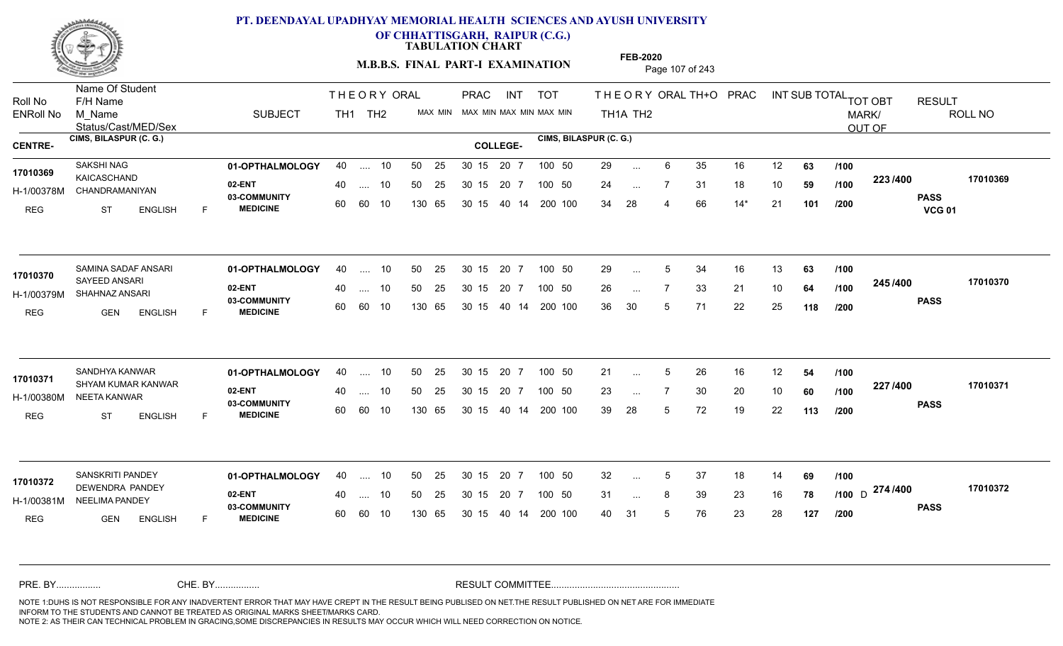

Name Of Student Roll No F/H Name

# **PT. DEENDAYAL UPADHYAY MEMORIAL HEALTH SCIENCES AND AYUSH UNIVERSITY**

**OF CHHATTISGARH, RAIPUR (C.G.)**

**TABULATION CHART** 

**M.B.B.S. FINAL PART-I EXAMINATION** Page 107 of 243

PRAC

THE ORY ORAL PRAC INT

Status/Cast/MED/Sex M\_Name SUBJECT TH<sub>1</sub>A TH<sub>2</sub> ROLL NO MARK/ OUT OF ENRoll No M Name  $\,$  SUBJECT TH1 TH2 MAX MIN MAX MIN MAX MIN MAX MIN TH1A TH2 **CIMS, BILASPUR (C. G.) CIMS, BILASPUR (C. G.) CENTRE- COLLEGE-**TH<sub>1</sub> TH<sub>2</sub> **01-OPTHALMOLOGY** SAKSHI NAG 40 .... 10 30 15 20 7 **02-ENT** 03-COMMUNITY 60  **MEDICINE** H-1/00378M CHANDRAMANIYAN KAICASCHAND **17010369** REG ST ENGLISH F 29 ... 6 35 16 12 **63 /100** 24 7 31 18 10 **59** 34 28 4 66 14\* 21 **101 223 PASS VCG 01 /400 17010369** .... 10 50 25 60 60 10 50 25 30 15 130 65 30 15 40 14 200 100 20 7 100 50 50 25 30 15 20 7 100 50 29 ... ... ... **/100 /100 /200** SAMINA SADAF ANSARI **01-OPTHALMOLOGY** 40 .... 10 50 25 30 15 20 7 100 50 29 **02-ENT** 03-COMMUNITY 60  **MEDICINE** H-1/00379M SHAHNAZ ANSARI SAYEED ANSARI REG GEN ENGLISH F 29 ... 5 34 16 13 **63 /100** 26 7 33 21 10 **64** 36 30 5 71 22 25 **118 245 PASS /400 17010370** .... 10 50 25 60 60 10 30 15 20 7 130 65 30 15 40 14 200 100 30 15 20 7 100 50 50 25 30 15 20 7 100 50 29 ... 5 **17010370** SAMINA SADAF ANSARI ... 5 ... **/100 /100 /200 01-OPTHALMOLOGY** SANDHYA KANWAR 40 .... 10 30 15 20 7 **02-ENT** 03-COMMUNITY 60  **MEDICINE** H-1/00380M NEETA KANWAR SHYAM KUMAR KANWAR **17010371** REG ST ENGLISH F 21 ... 5 26 16 12 **54 /100** 23 ... 7 30 20 10 **60** /**100 <sup>227</sup> /\*\*** 39 28 5 72 19 22 **113 227 PASS /400 17010371** .... 10 50 25 60 60 10 50 25 30 15 130 65 30 15 20 7 100 50 40 14 200 100 50 25 30 15 20 7 100 50 21 ... 5 ... 5 ... **/100 /100 /200 01-OPTHALMOLOGY** SANSKRITI PANDEY 40 .... 10 30 15 20 7 **02-ENT** 03-COMMUNITY 60 MEDICINE 60 60 10 H-1/00381M NEELIMA PANDEY 22 P.M. DEWENDRA PANDEY **17010372** REG **GEN ENGLISH** F 32 ... 5 37 18 14 **69 /100** 31 ... 8 39 23 16 **78 /100** D  $21 + 1400$ 40 31 5 76 23 28 **127** <sub>D</sub> 274 /400 170103 **PASS /400 17010372** .... 10 50 25 130 65 50 25 30 15 130 65 30 15 40 14 200 100 20 7 100 50 50 25 30 15 20 7 100 50 32 ... 5 ... 5 ... **/100 /200** NOTE 1:DUHS IS NOT RESPONSIBLE FOR ANY INADVERTENT ERROR THAT MAY HAVE CREPT IN THE RESULT BEING PUBLISED ON NET.THE RESULT PUBLISHED ON NET ARE FOR IMMEDIATE INFORM TO THE STUDENTS AND CANNOT BE TREATED AS ORIGINAL MARKS SHEET/MARKS CARD. CHE. BY WAREL BY WARE AND THE AVEC THE AVEC THE THE RESULT COMMITTEE AND MULTIME MOTE 1:DUHS IS NOT RESPONSIBLE FOR ANY INADVERTENT ERROR THAT MAY HAVE CREPT IN THE RESULT BEING PUBLISED ON NET.THE RESULT PUBLISHED ON NET

PRAC INT TOT THEORYORALTH+O PRAC INT

**FEB-2020**

ORAL TH+ODPRACD INT SUB TOTAL <sub>TOT OBT</sub> RESULT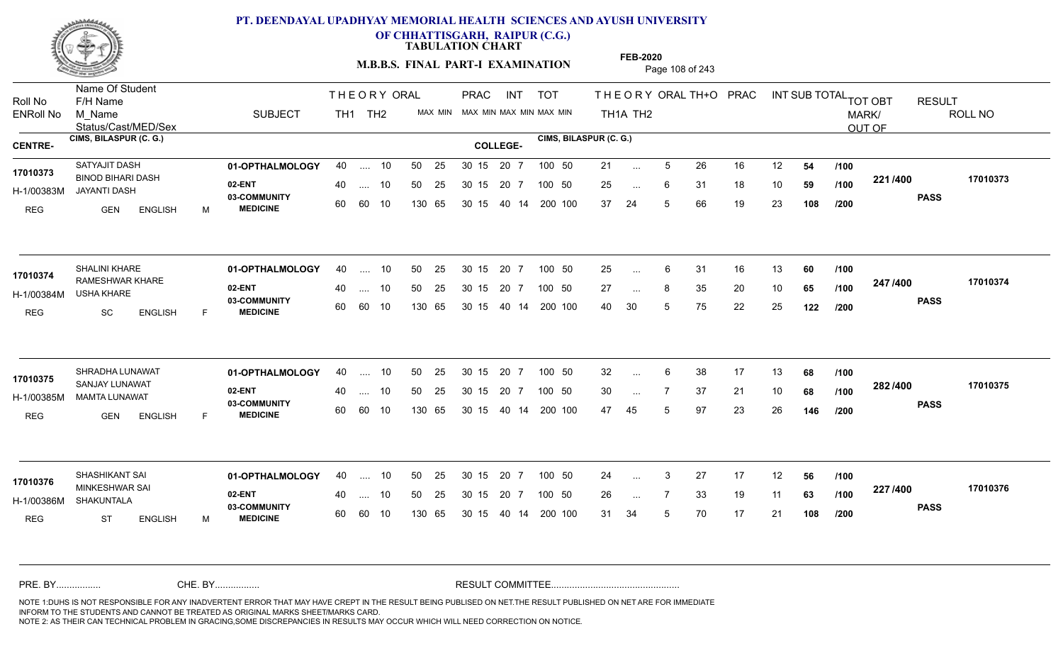

**OF CHHATTISGARH, RAIPUR (C.G.)**

**TABULATION CHART** 

**FEB-2020**

**M.B.B.S. FINAL PART-I EXAMINATION** Page 108 of 243

Status/Cast/MED/Sex Name Of Student Roll No F/H Name M\_Name SUBJECT PRAC INT TOT THEORY ORAL TH+O PRAC INT TH<sub>1</sub>A TH<sub>2</sub> ORAL TH+ODPRACD INT SUB TOTAL <sub>TOT OBT</sub> RESULT ROLL NO MARK/ OUT OF ENRoll No M Name  $\,$  SUBJECT TH1 TH2 MAX MIN MAX MIN MAX MIN MAX MIN TH1A TH2 **CIMS, BILASPUR (C. G.) CIMS, BILASPUR (C. G.) CENTRE- COLLEGE-**THE ORY ORAL PRAC INT TH<sub>1</sub> TH<sub>2</sub> PRAC **01-OPTHALMOLOGY** 40 .... 10 50 25 30 15 20 7 100 50 21 21 **02-ENT** 03-COMMUNITY 60  **MEDICINE** H-1/00383M JAYANTI DASH 17010373 BINOD BIHARI DASH REG GEN ENGLISH M 21 ... 5 26 16 12 **54 /100** 25 ... 6 31 18 10 **59 /100 <sup>22 1</sup>/ 100** 37 24 5 66 19 23 **108 221 PASS /400 17010373** .... 10 50 25 60 60 10 50 25 30 15 130 65 30 15 40 14 200 100 20 7 100 50 50 25 30 15 20 7 100 50 21 ... ... ... 6 **/100 /100 /200 01-OPTHALMOLOGY** SHALINI KHARE 40 .... 10 30 15 20 7 **02-ENT** 03-COMMUNITY 60 **MEDICINE** 60 60 10 H-1/00384M USHA KHARE 17010374 RAMESHWAR KHARE REG SC ENGLISH F 25 ... 6 31 16 13 **60** /**100** 27 ... 8 35 20 10 **65 /100 <del>4 1</del>7 + 00** 40 30 5 75 22 25 **122 247 PASS /400 17010374** .... 10 50 25 130 65 30 15 20 7 130 65 30 15 40 14 200 100 30 15 20 7 100 50 50 25 30 15 20 7 100 50 25 ... ... ... **/100 /100 /200 01-OPTHALMOLOGY** SHRADHA LUNAWAT 40 .... 10 30 15 20 7 **02-ENT** 03-COMMUNITY 60  **MEDICINE** H-1/00385M MAMTA LUNAWAT **17010375** SANJAY LUNAWAT REG GEN ENGLISH F 32 6 38 17 13 **68** 30 7 37 21 10 **68** 47 45 5 97 23 26 **146 282 PASS /400 17010375** .... 10 50 25 30 15 60 60 10 20 7 130 65 30 15 30 15 20 7 100 50 40 14 200 100 50 25 30 15 20 7 100 50 32 ... 6 ... ... **/100 /100 /200 01-OPTHALMOLOGY** SHASHIKANT SAI 40 .... 10 30 15 20 7 **02-ENT** 03-COMMUNITY 60 **MEDICINE** 60 60 10 H-1/00386M SHAKUNTALA 17010376 MINKESHWAR SAI REG ST ENGLISH M 24 3 27 17 12 **56** 26 7 33 19 11 **63** 31 34 5 70 17 21 **108 227 PASS /400 17010376** .... 10 50 25 130 65 30 15 20 7 130 65 30 15 30 15 20 7 100 50 40 14 200 100 50 25 30 15 20 7 100 50 24 ... ... ... **/100 /100 /200** NOTE 1:DUHS IS NOT RESPONSIBLE FOR ANY INADVERTENT ERROR THAT MAY HAVE CREPT IN THE RESULT BEING PUBLISED ON NET.THE RESULT PUBLISHED ON NET ARE FOR IMMEDIATE INFORM TO THE STUDENTS AND CANNOT BE TREATED AS ORIGINAL MARKS SHEET/MARKS CARD. CHE. BY WAREL BY WARE AND THE AVEC THE AVEC THE THE RESULT COMMITTEE AND MULTIME MOTE 1:DUHS IS NOT RESPONSIBLE FOR ANY INADVERTENT ERROR THAT MAY HAVE CREPT IN THE RESULT BEING PUBLISED ON NET.THE RESULT PUBLISHED ON NET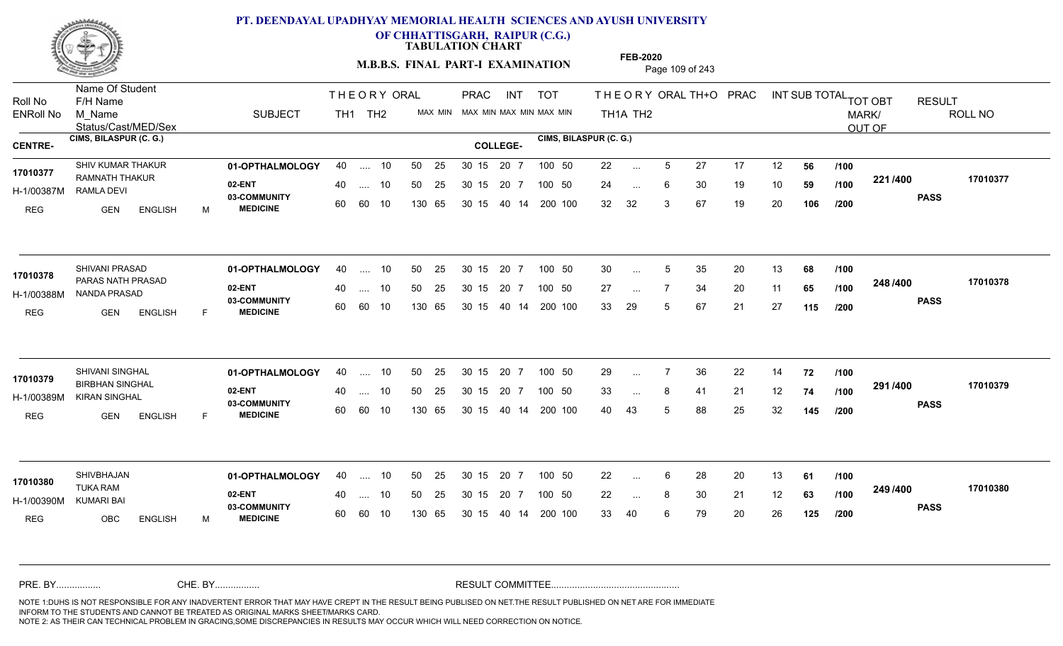

**OF CHHATTISGARH, RAIPUR (C.G.)**

**TABULATION CHART** 

**FEB-2020**

**M.B.B.S. FINAL PART-I EXAMINATION** Page 109 of 243

Status/Cast/MED/Sex Name Of Student Roll No F/H Name M\_Name SUBJECT PRAC INT TOT THEORYORALTH+O PRAC INT TH<sub>1</sub>A TH<sub>2</sub> ORAL TH+ODPRACD INT SUB TOTAL <sub>TOT OBT</sub> RESULT ROLL NO MARK/ OUT OF ENRoll No M Name  $\,$  SUBJECT TH1 TH2 MAX MIN MAX MIN MAX MIN MAX MIN TH1A TH2 **CIMS, BILASPUR (C. G.) CIMS, BILASPUR (C. G.) CENTRE- COLLEGE-**THE ORY ORAL PRAC INT TH<sub>1</sub> TH<sub>2</sub> PRAC **01-OPTHALMOLOGY** SHIV KUMAR THAKUR 40 .... 10 30 15 20 7 **02-ENT** 03-COMMUNITY 60  **MEDICINE** H-1/00387M RAMLA DEVI 17010377 RAMNATH THAKUR REG GEN ENGLISH M 22 ... 5 27 17 12 **56 /100** 24 ... 6 30 19 10 **59 /100 <sup>22 1</sup>/ 100** 32 32 3 67 19 20 **106 221 PASS /400 17010377** .... 10 50 25 60 60 10 50 25 30 15 130 65 30 15 40 14 200 100 20 7 100 50 50 25 30 15 20 7 100 50 22 ... ... ... **/100 /100 /200 01-OPTHALMOLOGY** SHIVANI PRASAD 40 .... 10 30 15 20 7 **02-ENT** 03-COMMUNITY 60 **MEDICINE** 60 60 10 H-1/00388M NANDA PRASAD PARAS NATH PRASAD **17010378** REG GEN ENGLISH F 30 ... 5 35 20 13 **68 /100** 27 ... 7 34 20 11 **65 /100 <sup>2-40 / 400</mark>**</sup> 33 29 5 67 21 27 **115 248 PASS /400 17010378**  $\ldots$  10 50 25 30 15 130 65 20 7 130 65 30 15 40 14 200 100 30 15 20 7 100 50 50 25 30 15 20 7 100 50 30 ... 5 ... 5 ... **/100 /100 /200 01-OPTHALMOLOGY** SHIVANI SINGHAL 40 .... 10 30 15 20 7 **02-ENT** 03-COMMUNITY 60  **MEDICINE** H-1/00389M KIRAN SINGHAL BIRBHAN SINGHAL **17010379** REG GEN ENGLISH F 29 7 36 22 14 **72** 33 ... 8 41 21 12 **74 /100 <sup>231</sup>/\*<sup>00</sup>** 40 43 5 88 25 32 **145 291 PASS /400 17010379** .... 10 50 25 30 15 60 60 10 20 7 130 65 30 15 30 15 20 7 100 50 40 14 200 100 50 25 30 15 20 7 100 50 29 ... 7 ... ... **/100 /100 /200 01-OPTHALMOLOGY** SHIVBHAJAN 40 .... 10 30 15 20 7 **02-ENT** 03-COMMUNITY 60 **MEDICINE** 60 60 10 H-1/00390M TUKA RAM KUMARI BAI REG OBC ENGLISH M 22 ... 6 28 20 13 **61 /100** 22 ... 8 30 21 12 **63 /100 <sup>2437400</sup>** 33 40 6 79 20 26 **125 249 PASS /400 17010380** 40 .... 10 50 25 130 65 130 65 30 15 30 15 20 7 100 50 40 14 200 100 50 25 30 15 20 7 100 50 22 ... **17010380**<br>**17010380** ... ... **/100 /100 /200** NOTE 1:DUHS IS NOT RESPONSIBLE FOR ANY INADVERTENT ERROR THAT MAY HAVE CREPT IN THE RESULT BEING PUBLISED ON NET.THE RESULT PUBLISHED ON NET ARE FOR IMMEDIATE INFORM TO THE STUDENTS AND CANNOT BE TREATED AS ORIGINAL MARKS SHEET/MARKS CARD. CHE. BY WAREL BY WARE AND THE AVEC THE AVEC THE THE RESULT COMMITTEE AND MULTIME MOTE 1:DUHS IS NOT RESPONSIBLE FOR ANY INADVERTENT ERROR THAT MAY HAVE CREPT IN THE RESULT BEING PUBLISED ON NET.THE RESULT PUBLISHED ON NET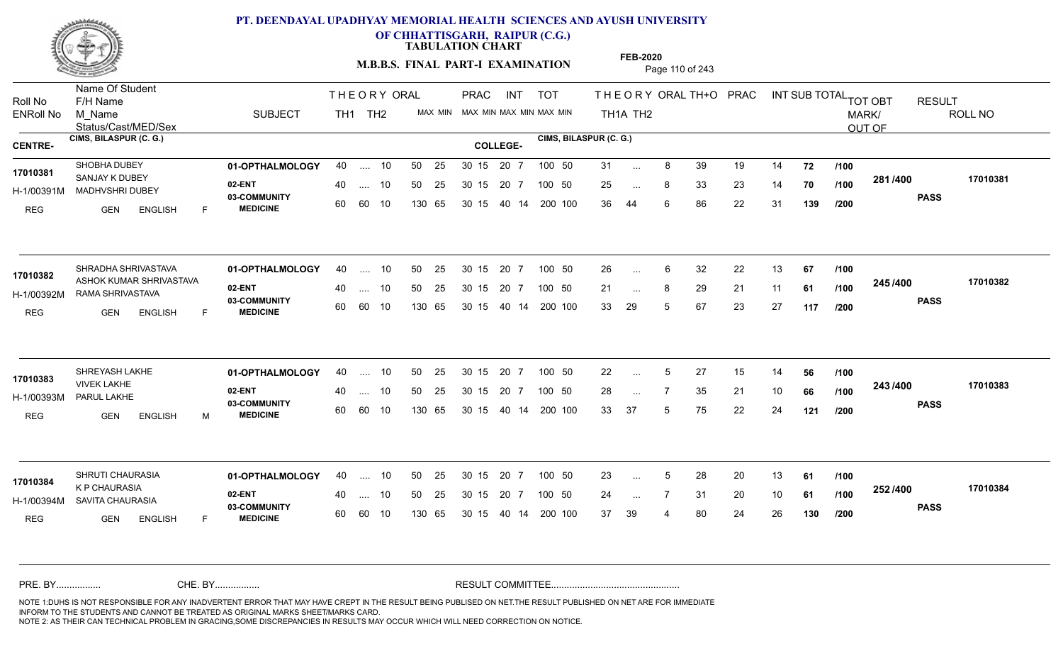

**OF CHHATTISGARH, RAIPUR (C.G.)**

**TABULATION CHART** 

**M.B.B.S. FINAL PART-I EXAMINATION** Page 110 of 243

Status/Cast/MED/Sex Name Of Student Roll No F/H Name M\_Name SUBJECT PRAC INT TOT THEORYORALTH+O PRAC INT TH<sub>1</sub>A TH<sub>2</sub> ORAL TH+ODPRACD INT SUB TOTAL <sub>TOT OBT</sub> RESULT ROLL NO MARK/ OUT OF ENRoll No M Name  $\,$  SUBJECT TH1 TH2 MAX MIN MAX MIN MAX MIN MAX MIN TH1A TH2 **CIMS, BILASPUR (C. G.) CIMS, BILASPUR (C. G.) CENTRE- COLLEGE-**THE ORY ORAL PRAC INT TH<sub>1</sub> TH<sub>2</sub> PRAC **01-OPTHALMOLOGY** SHOBHA DUBEY 40 .... 10 30 15 20 7 **02-ENT** 03-COMMUNITY 60  **MEDICINE** H-1/00391M MADHVSHRI DUBEY 22 ANN SANJAY K DUBEY **17010381** REG GEN ENGLISH F 31 ... 8 39 19 14 **72 /100** 25 ... 8 33 23 14 **70 /100 <sup>2017–00</sup>** 36 44 6 86 22 31 **139 281 PASS /400 17010381** .... 10 50 25 60 60 10 50 25 30 15 130 65 30 15 20 7 100 50 40 14 200 100 50 25 30 15 20 7 100 50 31 ... ... ... **/100 /100 /200** SHRADHA SHRIVASTAVA **01-OPTHALMOLOGY** 40 .... 10 50 25 30 15 20 7 100 50 26 **02-ENT** 03-COMMUNITY 60 **MEDICINE** 60 60 10 H-1/00392M RAMA SHRIVASTAVA 17010382 ASHOK KUMAR SHRIVASTAVA REG GEN ENGLISH F 26 6 32 22 13 **67** 21 ... 8 29 21 11 **61 /100 <sup>2437400</sup>** 33 29 5 67 23 27 **117 245 PASS /400 17010382** .... 10 50 25 130 65 30 15 20 7 130 65 30 15 40 14 200 100 30 15 20 7 100 50 50 25 30 15 20 7 100 50 26 ... ... ... **/100 /100 /200 01-OPTHALMOLOGY** SHREYASH LAKHE 40 .... 10 30 15 20 7 **02-ENT** 03-COMMUNITY 60  **MEDICINE** H-1/00393M PARUL LAKHE VIVEK LAKHE REG GEN ENGLISH M 22 ... 5 27 15 14 **56** /**100** 28 ... 7 35 21 10 **66 /100 <sup>245</sup> /\*\*\*** 33 37 5 75 22 24 **121 243 PASS /400 17010383** .... 10 50 25 30 15 60 60 10 20 7 130 65 30 15 30 15 20 7 100 50 40 14 200 100 50 25 30 15 20 7 100 50 22 ... **17010383** SHREYASH LAKHE ... ... **/100 /100 /200 01-OPTHALMOLOGY** SHRUTI CHAURASIA 40 .... 10 30 15 20 7 **02-ENT** 03-COMMUNITY 60 **MEDICINE** 60 60 10 H-1/00394M SAVITA CHAURASIA 17010384<br>**K P CHAURASIA**<br>A P CHAURASIA REG **GEN ENGLISH** F 23 ... 5 28 20 13 **61 /100** 24 7 31 20 10 **61** 37 39 4 80 24 26 **130 252 PASS /400 17010384** .... 10 50 25 130 65 30 15 20 7 130 65 30 15 30 15 20 7 100 50 40 14 200 100 50 25 30 15 20 7 100 50 23 ... 5 ... 5 ... **/100 /100 /200** NOTE 1:DUHS IS NOT RESPONSIBLE FOR ANY INADVERTENT ERROR THAT MAY HAVE CREPT IN THE RESULT BEING PUBLISED ON NET.THE RESULT PUBLISHED ON NET ARE FOR IMMEDIATE INFORM TO THE STUDENTS AND CANNOT BE TREATED AS ORIGINAL MARKS SHEET/MARKS CARD. CHE. BY WAREL BY WARE AND THE AVEC THE AVEC THE THE RESULT COMMITTEE AND MULTIME MOTE 1:DUHS IS NOT RESPONSIBLE FOR ANY INADVERTENT ERROR THAT MAY HAVE CREPT IN THE RESULT BEING PUBLISED ON NET.THE RESULT PUBLISHED ON NET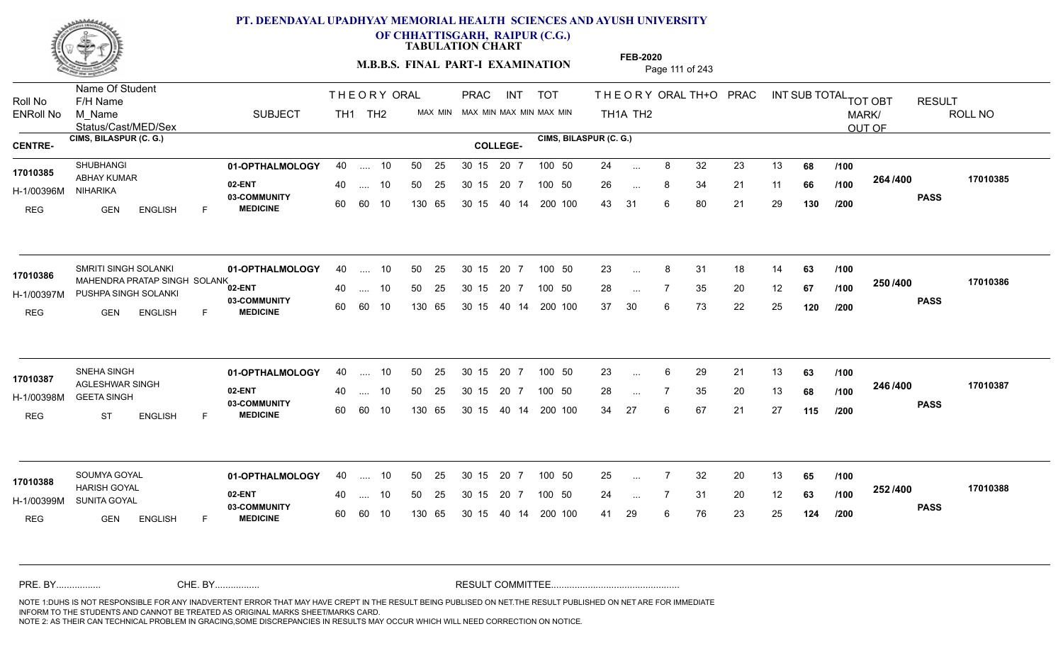

**OF CHHATTISGARH, RAIPUR (C.G.)**

**TABULATION CHART** 

**M.B.B.S. FINAL PART-I EXAMINATION** Page 111 of 243

Status/Cast/MED/Sex Name Of Student Roll No F/H Name M\_Name SUBJECT PRAC INT TOT THEORYORALTH+O PRAC INT TH<sub>1</sub>A TH<sub>2</sub> ORAL TH+ODPRACD INT SUB TOTAL <sub>TOT OBT</sub> RESULT ROLL NO MARK/ OUT OF ENRoll No M Name  $\,$  SUBJECT TH1 TH2 MAX MIN MAX MIN MAX MIN MAX MIN TH1A TH2 **CIMS, BILASPUR (C. G.) CIMS, BILASPUR (C. G.) CENTRE- COLLEGE-**THE ORY ORAL PRAC INT TH<sub>1</sub> TH<sub>2</sub> PRAC **01-OPTHALMOLOGY** SHUBHANGI 40 .... 10 30 15 20 7 **02-ENT** 03-COMMUNITY 60  **MEDICINE** H-1/00396M ABHAY KUMAR **17010385** NIHARIKA REG GEN ENGLISH F 24 ... 8 32 23 13 **68 /100** 26 ... 8 34 21 11 **66 /100 <sup>204 /400</sup>** 43 31 6 80 21 29 **130 264 PASS /400 17010385** 40 .... 10 50 25 30 15 60 60 10 130 65 30 15 20 7 100 50 40 14 200 100 50 25 30 15 20 7 100 50 24 ... ... ... **/100 /100 /200 01-OPTHALMOLOGY** SMRITI SINGH SOLANKI 40 .... 10 30 15 20 7 **02-ENT** 03-COMMUNITY 60 **MEDICINE** 60 60 10 H-1/00397M PUSHPA SINGH SOLANKI 17010386 MAHENDRA PRATAP SINGH SOLANK<sub>es</sub> REG GEN ENGLISH F 23 ... 8 31 18 14 **63 /100** 28 ... 7 35 20 12 **67 /100 <sup>2007</sup> 7** 37 30 6 73 22 25 **120 250 PASS /400 17010386** .... 10 50 25 130 65 30 15 20 7 130 65 30 15 40 14 200 100 30 15 20 7 100 50 50 25 30 15 20 7 100 50 23 ... 8 ... ... **/100 /100 /200 01-OPTHALMOLOGY** SNEHA SINGH 40 .... 10 30 15 20 7 **02-ENT** 03-COMMUNITY 60  **MEDICINE** H-1/00398M GEETA SINGH 17010387 AGLESHWAR SINGH REG ST ENGLISH F 23 6 29 21 13 **63** 28 ... 7 35 20 13 **68 /100 <sup>2-107-100</sup>** 34 27 6 67 21 27 **115 246 PASS /400 17010387** .... 10 50 25 60 60 10 30 15 20 7 130 65 30 15 30 15 20 7 100 50 40 14 200 100 50 25 30 15 20 7 100 50 23 ... 6 ... ... **/100 /100 /200 01-OPTHALMOLOGY** 40 .... 10 50 25 30 15 20 7 100 50 25 **02-ENT** 03-COMMUNITY 60 **MEDICINE** 60 60 10 H-1/00399M SUNITA GOYAL HARISH GOYAL **17010388** REG GEN ENGLISH F 25 7 32 20 13 **65** 24 7 31 20 12 **63** 41 29 6 76 23 25 **124 252 PASS /400 17010388** 40 .... 10 50 25 130 65 130 65 30 15 30 15 20 7 100 50 40 14 200 100 50 25 30 15 20 7 100 50 25 ... ... ... **/100 /100 /200** NOTE 1:DUHS IS NOT RESPONSIBLE FOR ANY INADVERTENT ERROR THAT MAY HAVE CREPT IN THE RESULT BEING PUBLISED ON NET.THE RESULT PUBLISHED ON NET ARE FOR IMMEDIATE INFORM TO THE STUDENTS AND CANNOT BE TREATED AS ORIGINAL MARKS SHEET/MARKS CARD. CHE. BY WAREL BY WARE AND THE AVEC THE AVEC THE THE RESULT COMMITTEE AND MULTIME MOTE 1:DUHS IS NOT RESPONSIBLE FOR ANY INADVERTENT ERROR THAT MAY HAVE CREPT IN THE RESULT BEING PUBLISED ON NET.THE RESULT PUBLISHED ON NET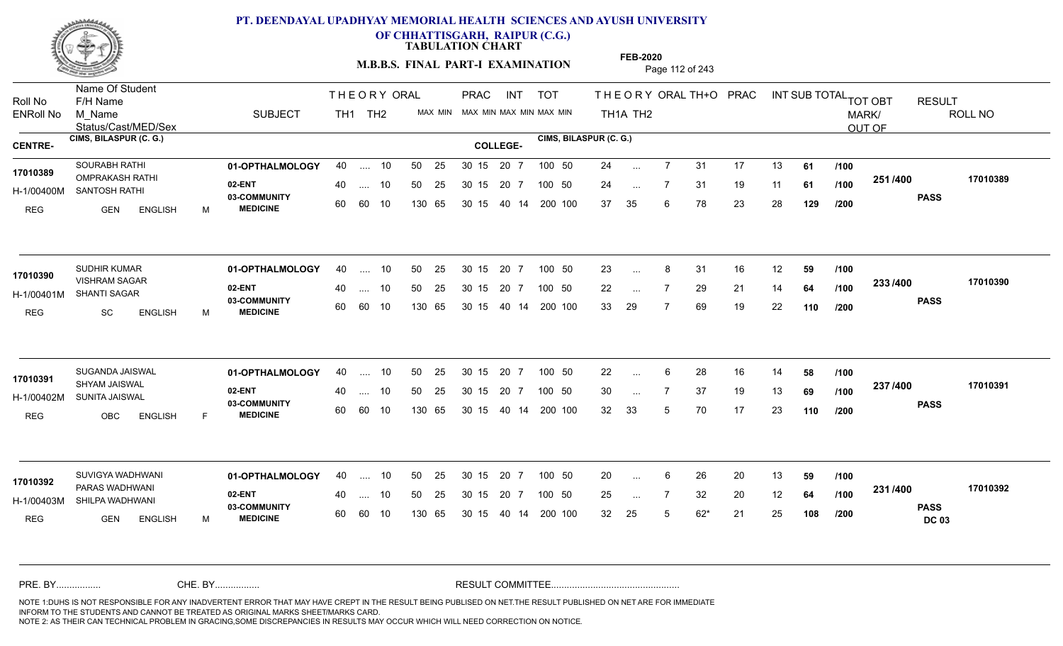

**OF CHHATTISGARH, RAIPUR (C.G.)**

**TABULATION CHART** 

**M.B.B.S. FINAL PART-I EXAMINATION** Page 112 of 243

Status/Cast/MED/Sex Name Of Student Roll No F/H Name M\_Name SUBJECT PRAC INT TOT THEORYORALTH+O PRAC INT TH<sub>1</sub>A TH<sub>2</sub> ORAL TH+ODPRACD INT SUB TOTAL <sub>TOT OBT</sub> RESULT ROLL NO MARK/ OUT OF ENRoll No M Name  $\,$  SUBJECT TH1 TH2 MAX MIN MAX MIN MAX MIN MAX MIN TH1A TH2 **CIMS, BILASPUR (C. G.) CIMS, BILASPUR (C. G.) CENTRE- COLLEGE-**THE ORY ORAL PRAC INT TH<sub>1</sub> TH<sub>2</sub> PRAC **01-OPTHALMOLOGY** 40 .... 10 50 25 30 15 20 7 100 50 24 **02-ENT** 03-COMMUNITY 60  **MEDICINE** H-1/00400M SANTOSH RATHI OMPRAKASH RATHI **17010389** REG GEN ENGLISH M 24 7 31 17 13 **61** 24 7 31 19 11 **61** 37 35 6 78 23 28 **129 251 PASS /400 17010389** .... 10 50 25 60 60 10 50 25 30 15 130 65 30 15 20 7 100 50 40 14 200 100 50 25 30 15 20 7 100 50 24 ... ... ... **/100 /100 /200 01-OPTHALMOLOGY** SUDHIR KUMAR 40 .... 10 30 15 20 7 **02-ENT** 03-COMMUNITY 60 **MEDICINE** 60 60 10 H-1/00401M SHANTI SAGAR VISHRAM SAGAR **17010390** REG SC ENGLISH M 23 ... 8 31 16 12 **59 /100** 22 ... 7 29 21 14 **64 /100 <sup>2007</sup> 7** 33 29 7 69 19 22 **110 233 PASS /400 17010390** .... 10 50 25 130 65 30 15 20 7 130 65 30 15 40 14 200 100 30 15 20 7 100 50 50 25 30 15 20 7 100 50 23 ... 8 ... ... **/100 /100 /200 01-OPTHALMOLOGY** SUGANDA JAISWAL 40 .... 10 30 15 20 7 **02-ENT** 03-COMMUNITY 60  **MEDICINE** H-1/00402M SUNITA JAISWAL SHYAM JAISWAL **17010391** REG OBC ENGLISH F 22 ... 6 28 16 14 **58 /100** 30 7 37 19 13 **69** 32 33 5 70 17 23 **110 237 PASS /400 17010391** .... 10 50 25 30 15 60 60 10 20 7 130 65 30 15 30 15 20 7 100 50 40 14 200 100 50 25 30 15 20 7 100 50 22 ... 6 ... ... **/100 /100 /200 01-OPTHALMOLOGY** SUVIGYA WADHWANI 40 .... 10 30 15 20 7 **02-ENT** 03-COMMUNITY 60 **MEDICINE** 60 60 10 H-1/00403M SHILPA WADHWANI PARAS WADHWANI **17010392** REG GEN ENGLISH M 20 6 26 20 13 **59** 25 ... 7 32 20 12 **64 /100 <sup>231</sup>/\*<sup>30</sup>** 32 25 5 62\* 21 25 **108 231 PASS DC 03 /400 17010392** 40 .... 10 50 25 130 65 130 65 30 15 30 15 20 7 100 50 40 14 200 100 50 25 30 15 20 7 100 50 20 ... ... ... **/100 /100 /200** NOTE 1:DUHS IS NOT RESPONSIBLE FOR ANY INADVERTENT ERROR THAT MAY HAVE CREPT IN THE RESULT BEING PUBLISED ON NET.THE RESULT PUBLISHED ON NET ARE FOR IMMEDIATE INFORM TO THE STUDENTS AND CANNOT BE TREATED AS ORIGINAL MARKS SHEET/MARKS CARD. CHE. BY WAREL BY WARE AND THE AVEC THE AVEC THE THE RESULT COMMITTEE AND MULTIME MOTE 1:DUHS IS NOT RESPONSIBLE FOR ANY INADVERTENT ERROR THAT MAY HAVE CREPT IN THE RESULT BEING PUBLISED ON NET.THE RESULT PUBLISHED ON NET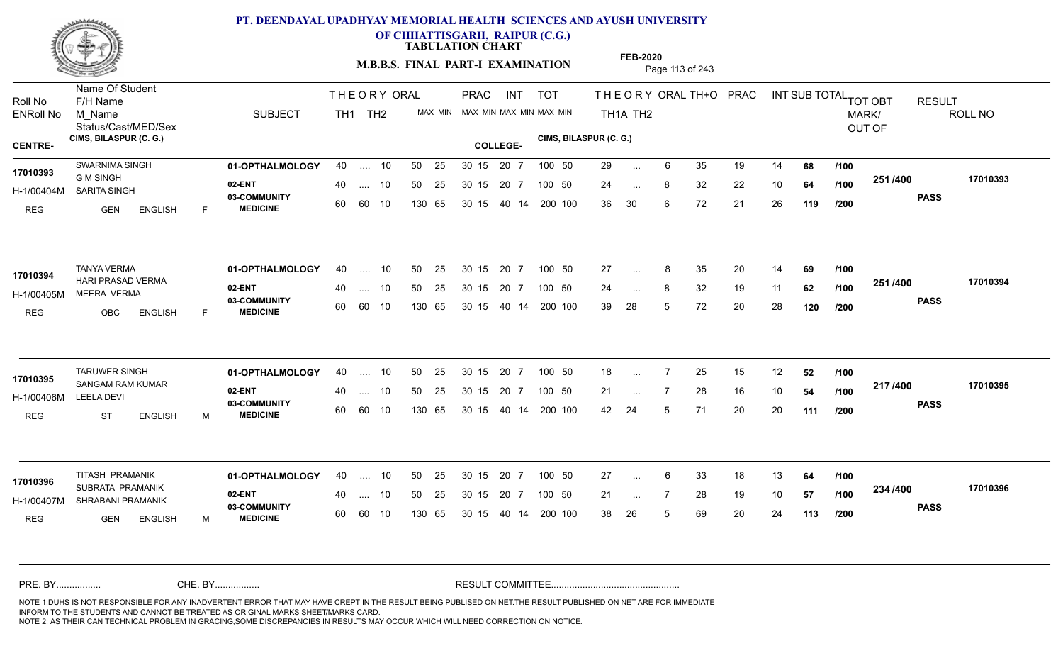

**OF CHHATTISGARH, RAIPUR (C.G.)**

**TABULATION CHART** 

**FEB-2020**

**M.B.B.S. FINAL PART-I EXAMINATION** Page 113 of 243

Status/Cast/MED/Sex Name Of Student Roll No F/H Name M\_Name SUBJECT PRAC INT TOT THEORYORALTH+O PRAC INT TH<sub>1</sub>A TH<sub>2</sub> ORAL TH+ODPRACD INT SUB TOTAL <sub>TOT OBT</sub> RESULT ROLL NO MARK/ OUT OF ENRoll No M Name  $\,$  SUBJECT TH1 TH2 MAX MIN MAX MIN MAX MIN MAX MIN TH1A TH2 **CIMS, BILASPUR (C. G.) CIMS, BILASPUR (C. G.) CENTRE- COLLEGE-**THE ORY ORAL PRAC INT TH<sub>1</sub> TH<sub>2</sub> PRAC **01-OPTHALMOLOGY** SWARNIMA SINGH 40 .... 10 30 15 20 7 **02-ENT** 03-COMMUNITY 60  **MEDICINE** H-1/00404M SARITA SINGH 22 30 88 G M SINGH REG GEN ENGLISH F 29 ... 6 35 19 14 **68 /100** 24 ... 8 32 22 10 **64 /100 <sup>2017</sup> 700** 36 30 6 72 21 26 **119 251 PASS /400 17010393** .... 10 50 25 60 60 10 50 25 30 15 130 65 30 15 40 14 200 100 20 7 100 50 50 25 30 15 20 7 100 50 29 ... **17010393** SWARNIMA SINGH ... ... **/100 /100 /200 01-OPTHALMOLOGY** TANYA VERMA 40 .... 10 30 15 20 7 **02-ENT** 03-COMMUNITY 60 **MEDICINE** 60 60 10 H-1/00405M MEERA VERMA HARI PRASAD VERMA **17010394** REG OBC ENGLISH F 27 ... 8 35 20 14 **69** /**100** 24 ... 8 32 19 11 **62 /100 <sup>2017</sup> 700** 39 28 5 72 20 28 **120 251 PASS /400 17010394** .... 10 50 25 130 65 30 15 20 7 130 65 30 15 40 14 200 100 30 15 20 7 100 50 50 25 30 15 20 7 100 50 27 ... 8 ... ... **/100 /100 /200 01-OPTHALMOLOGY** TARUWER SINGH 40 .... 10 30 15 20 7 **02-ENT** 03-COMMUNITY 60  **MEDICINE** H-1/00406M **17010395** SANGAM RAM KUMAR LEELA DEVI REG ST ENGLISH M 18 ... 7 25 15 12 **52** /**100** 21 ... 7 28 16 10 **54 /100 <del>11</del>777** 42 24 5 71 20 20 **111 217 PASS /400 17010395** .... 10 50 25 60 60 10 50 25 30 15 130 65 30 15 20 7 100 50 40 14 200 100 50 25 30 15 20 7 100 50 18 ... ... ... **/100 /100 /200 01-OPTHALMOLOGY** TITASH PRAMANIK 40 .... 10 30 15 20 7 **02-ENT** 03-COMMUNITY 60 **MEDICINE** 60 60 10 H-1/00407M SHRABANI PRAMANIK 22 SAMUL 17010396 SUBRATA PRAMANIK **17010396** REG GEN ENGLISH M 27 ... 6 33 18 13 **64 /100** 21 ... 7 28 19 10 **57 /100 <sup>2047</sup> 1** 38 26 5 69 20 24 **113 234 PASS /400 17010396** .... 10 50 25 130 65 30 15 20 7 130 65 30 15 30 15 20 7 100 50 40 14 200 100 50 25 30 15 20 7 100 50 27 ... ... ... **/100 /100 /200** NOTE 1:DUHS IS NOT RESPONSIBLE FOR ANY INADVERTENT ERROR THAT MAY HAVE CREPT IN THE RESULT BEING PUBLISED ON NET.THE RESULT PUBLISHED ON NET ARE FOR IMMEDIATE INFORM TO THE STUDENTS AND CANNOT BE TREATED AS ORIGINAL MARKS SHEET/MARKS CARD. CHE. BY WAREL BY WARE AND THE AVEC THE AVEC THE THE RESULT COMMITTEE AND MULTIME MOTE 1:DUHS IS NOT RESPONSIBLE FOR ANY INADVERTENT ERROR THAT MAY HAVE CREPT IN THE RESULT BEING PUBLISED ON NET.THE RESULT PUBLISHED ON NET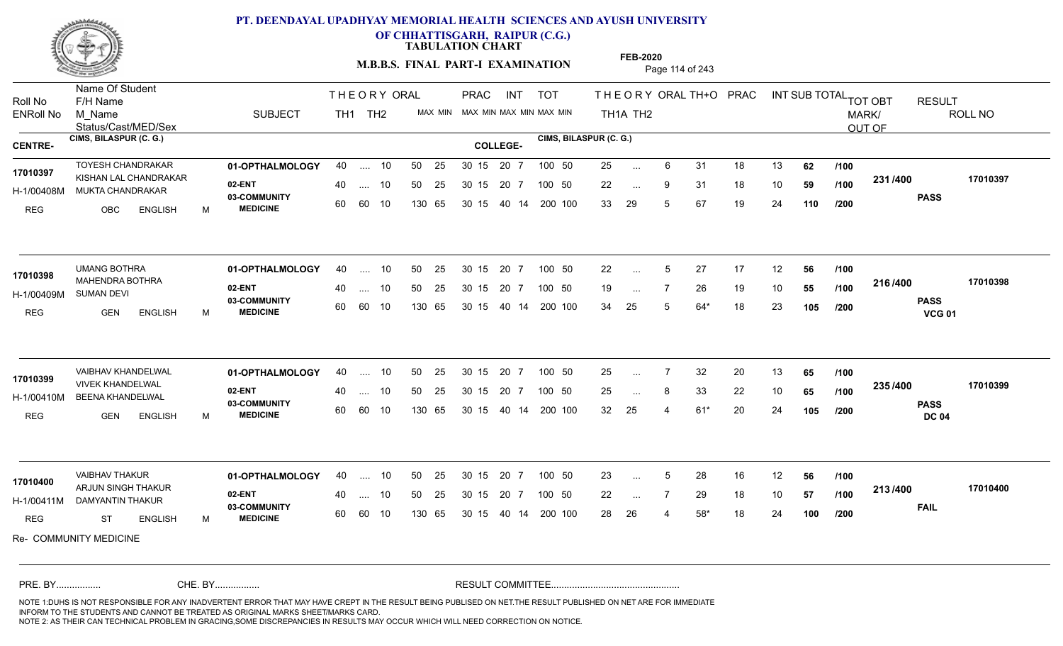

**OF CHHATTISGARH, RAIPUR (C.G.)**

**TABULATION CHART** 

**M.B.B.S. FINAL PART-I EXAMINATION** Page 114 of 243

Status/Cast/MED/Sex Name Of Student Roll No F/H Name M\_Name SUBJECT PRAC INT TOT THEORYORALTH+O PRAC INT TH<sub>1</sub>A TH<sub>2</sub> ORAL TH+ODPRACD INT SUB TOTAL <sub>TOT OBT</sub> RESULT ROLL NO MARK/ OUT OF ENRoll No M Name  $\,$  SUBJECT TH1 TH2 MAX MIN MAX MIN MAX MIN MAX MIN TH1A TH2 **CIMS, BILASPUR (C. G.) CIMS, BILASPUR (C. G.) CENTRE- COLLEGE-**THE ORY ORAL PRAC INT TH<sub>1</sub> TH<sub>2</sub> PRAC **01-OPTHALMOLOGY** TOYESH CHANDRAKAR 40 .... 10 30 15 20 7 **02-ENT** 03-COMMUNITY 60  **MEDICINE** H-1/00408M MUKTA CHANDRAKAR **ANG TAN-1** 17010397 KISHAN LAL CHANDRAKAR REG OBC ENGLISH M 25 ... 6 31 18 13 **62** /**100** 22 ... 9 31 18 10 **59 /100 <sup>2017</sup> 700** 33 29 5 67 19 24 **110 231 PASS /400 17010397** .... 10 50 25 60 60 10 50 25 30 15 130 65 30 15 20 7 100 50 40 14 200 100 50 25 30 15 20 7 100 50 25 ... ... ... **/100 /100 /200 01-OPTHALMOLOGY** UMANG BOTHRA 40 .... 10 30 15 20 7 **02-ENT** 03-COMMUNITY 60  **MEDICINE** H-1/00409M MAHENDRA BOTHRA **17010398** SUMAN DEVI REG GEN ENGLISH M 22 ... 5 27 17 12 **56 /100** 19 ... 7 26 19 10 **55 /100 <del>1</del>107400** 34 25 5 64\* 18 23 **105 216 PASS VCG 01 /400 17010398** .... 10 50 25 60 60 10 30 15 20 7 130 65 30 15 40 14 200 100 30 15 20 7 100 50 50 25 30 15 20 7 100 50 22 ... 5 ... 5 ... **/100 /100 /200 01-OPTHALMOLOGY** VAIBHAV KHANDELWAL 40 .... 10 30 15 20 7 **02-ENT** 03-COMMUNITY 60  **MEDICINE** H-1/00410M BEENA KHANDELWAL 22 BM VIVEK KHANDELWAL **17010399** REG GEN ENGLISH M 25 7 32 20 13 **65** 25 ... 8 33 22 10 **65 /100 <sup>2007</sup> 700** 32 25 4 61\* 20 24 **105 235 PASS DC 04 /400 17010399** .... 10 50 25 30 15 60 60 10 20 7 130 65 30 15 30 15 20 7 100 50 40 14 200 100 50 25 30 15 20 7 100 50 25 ... 7 ... ... **/100 /100 /200 01-OPTHALMOLOGY** VAIBHAV THAKUR 40 .... 10 30 15 20 7 **02-ENT** 03-COMMUNITY 60 **MEDICINE** 60 60 10 H-1/00411M DAMYANTIN THAKUR 17010400<br>ARJUN SINGH THAKUR REG ST ENGLISH M 23 ... 5 28 16 12 **56 /100** 22 ... 7 29 18 10 **57 /100 <sup>2137400</sup>** 28 26 4 58\* 18 24 **100 213 FAIL 17010400 /400** Re- COMMUNITY MEDICINE .... 10 50 25 130 65 30 15 20 7 130 65 30 15 30 15 20 7 100 50 40 14 200 100 50 25 30 15 20 7 100 50 23 ... 5 ... 5 ... **/100 /100 /200** NOTE 1:DUHS IS NOT RESPONSIBLE FOR ANY INADVERTENT ERROR THAT MAY HAVE CREPT IN THE RESULT BEING PUBLISED ON NET.THE RESULT PUBLISHED ON NET ARE FOR IMMEDIATE INFORM TO THE STUDENTS AND CANNOT BE TREATED AS ORIGINAL MARKS SHEET/MARKS CARD. CHE. BY WAREL BY WARE AND THE AVEC THE AVEC THE THE RESULT COMMITTEE AND MULTIME MOTE 1:DUHS IS NOT RESPONSIBLE FOR ANY INADVERTENT ERROR THAT MAY HAVE CREPT IN THE RESULT BEING PUBLISED ON NET.THE RESULT PUBLISHED ON NET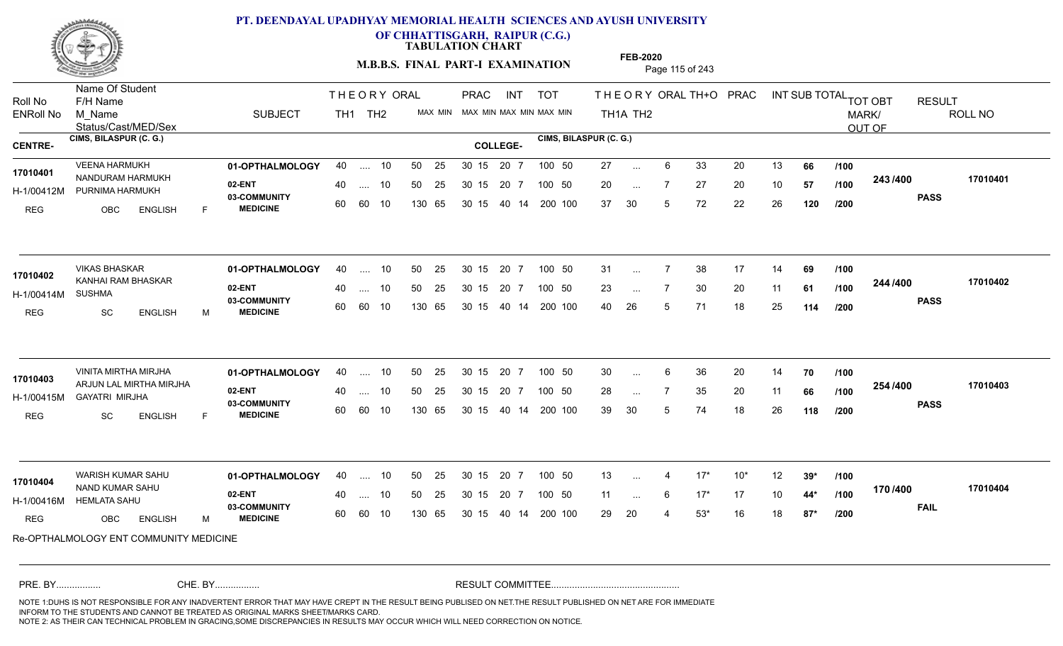

**OF CHHATTISGARH, RAIPUR (C.G.)**

**TABULATION CHART** 

**FEB-2020**

**M.B.B.S. FINAL PART-I EXAMINATION** Page 115 of 243

Status/Cast/MED/Sex Name Of Student Roll No F/H Name M\_Name SUBJECT PRAC INT TOT THEORYORALTH+O PRAC INT TH<sub>1</sub>A TH<sub>2</sub> ORAL TH+ODPRACD INT SUB TOTAL <sub>TOT OBT</sub> RESULT ROLL NO MARK/ OUT OF ENRoll No M Name  $\,$  SUBJECT TH1 TH2 MAX MIN MAX MIN MAX MIN MAX MIN TH1A TH2 **CIMS, BILASPUR (C. G.) CIMS, BILASPUR (C. G.) CENTRE- COLLEGE-**THE ORY ORAL PRAC INT TH<sub>1</sub> TH<sub>2</sub> PRAC **01-OPTHALMOLOGY** VEENA HARMUKH 40 .... 10 30 15 20 7 **02-ENT** 03-COMMUNITY 60  **MEDICINE** H-1/00412M PURNIMA HARMUKH (2) COMMUNI 17010401 NANDURAM HARMUKH REG OBC ENGLISH F 27 ... 6 33 20 13 **66 /100** 20 7 27 20 10 **57** 37 30 5 72 22 26 **120 243 PASS /400 17010401** .... 10 50 25 60 60 10 50 25 30 15 130 65 30 15 40 14 200 100 20 7 100 50 50 25 30 15 20 7 100 50 27 ... ... ... **/100 /100 /200 01-OPTHALMOLOGY** VIKAS BHASKAR 40 .... 10 30 15 20 7 **02-ENT** 03-COMMUNITY 60  **MEDICINE** H-1/00414M KANHAI RAM BHASKAR **17010402** SUSHMA REG SC ENGLISH M 31 ... 7 38 17 14 **69** /**100** 23 ... 7 30 20 11 **61 /100 <sup>244 /</sup>\*00** 40 26 5 71 18 25 **114 244 PASS /400 17010402** .... 10 50 25 60 60 10 30 15 20 7 130 65 30 15 40 14 200 100 30 15 20 7 100 50 50 25 30 15 20 7 100 50 31 ... ... ... **/100 /100 /200 01-OPTHALMOLOGY** VINITA MIRTHA MIRJHA 40 .... 10 30 15 20 7 **02-ENT** 03-COMMUNITY 60  **MEDICINE** H-1/00415M GAYATRI MIRJHA ARJUN LAL MIRTHA MIRJHA **17010403** REG SC ENGLISH F 30 6 36 20 14 **70** 28 ... 7 35 20 11 **66 /100 <sup>204</sup> /\*00** 39 30 5 74 18 26 **118 254 PASS /400 17010403** .... 10 50 25 30 15 60 60 10 20 7 130 65 30 15 30 15 20 7 100 50 40 14 200 100 50 25 30 15 20 7 100 50 30 ... 6 ... **/100 /100 /200 01-OPTHALMOLOGY** WARISH KUMAR SAHU 40 .... 10 30 15 20 7 **02-ENT** 03-COMMUNITY 60  **MEDICINE** H-1/00416M HEMLATA SAHU NAND KUMAR SAHU **17010404** REG OBC ENGLISH M 13 4 17\* 10\* 12 **39\*** 11 6 17\* 17 10 **44\*** 29 20 4 53\* 16 18 **87\* 170 FAIL 17010404 /400** Re-OPTHALMOLOGY ENT COMMUNITY MEDICINE .... 10 50 25 60 60 10 50 25 30 15 130 65 30 15 20 7 100 50 40 14 200 100 50 25 30 15 20 7 100 50 13 ... 4 ... ... 6 **/100 /100 /200** NOTE 1:DUHS IS NOT RESPONSIBLE FOR ANY INADVERTENT ERROR THAT MAY HAVE CREPT IN THE RESULT BEING PUBLISED ON NET.THE RESULT PUBLISHED ON NET ARE FOR IMMEDIATE INFORM TO THE STUDENTS AND CANNOT BE TREATED AS ORIGINAL MARKS SHEET/MARKS CARD. CHE. BY WAREL BY WARE AND THE AVEC THE AVEC THE THE RESULT COMMITTEE AND MULTIME MOTE 1:DUHS IS NOT RESPONSIBLE FOR ANY INADVERTENT ERROR THAT MAY HAVE CREPT IN THE RESULT BEING PUBLISED ON NET.THE RESULT PUBLISHED ON NET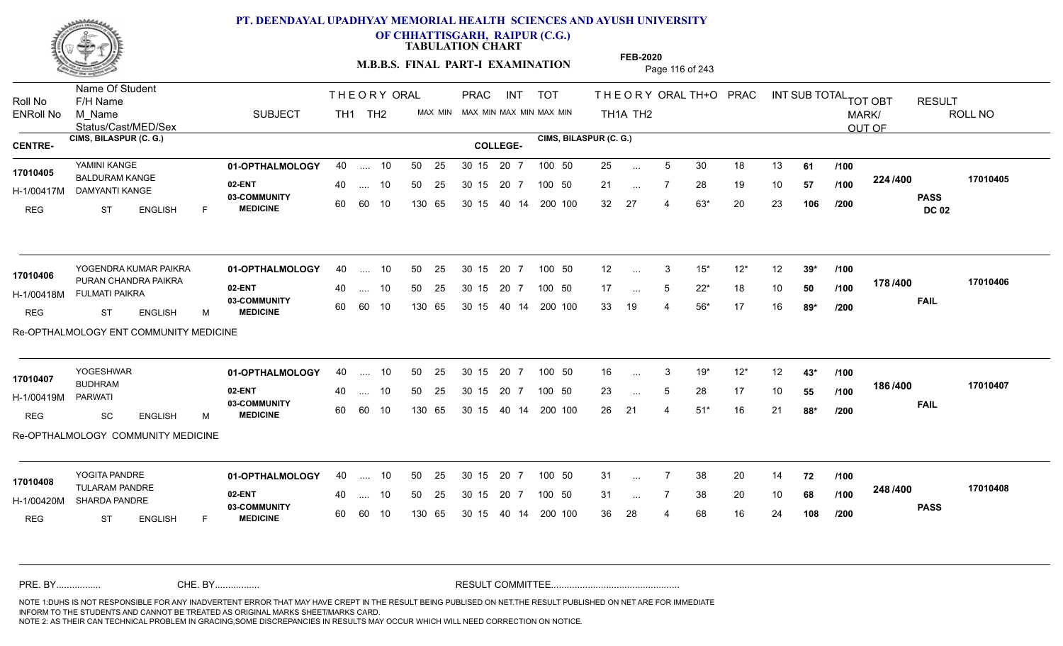

**OF CHHATTISGARH, RAIPUR (C.G.)**

**TABULATION CHART** 

**M.B.B.S. FINAL PART-I EXAMINATION** Page 116 of 243

Status/Cast/MED/Sex Name Of Student Roll No F/H Name M\_Name SUBJECT PRAC INT TOT THEORYORALTH+O PRAC INT TH<sub>1</sub>A TH<sub>2</sub> ORAL TH+ODPRACD INT SUB TOTAL <sub>TOT OBT</sub> RESULT ROLL NO MARK/ OUT OF ENRoll No M Name  $\,$  SUBJECT TH1 TH2 MAX MIN MAX MIN MAX MIN MAX MIN TH1A TH2 **CIMS, BILASPUR (C. G.) CIMS, BILASPUR (C. G.) CENTRE- COLLEGE-**THE ORY ORAL PRAC INT TH<sub>1</sub> TH<sub>2</sub> PRAC **01-OPTHALMOLOGY** YAMINI KANGE 40 .... 10 30 15 20 7 **02-ENT** 03-COMMUNITY 60  **MEDICINE** H-1/00417M DAMYANTI KANGE 17010405 BALDURAM KANGE **17010405** REG ST ENGLISH F 25 ... 5 30 18 13 **61 /100** 21 ... 7 28 19 10 **57 /100 <sup>22=11=00</sup>** 32 27 4 63\* 20 23 **106 224 PASS DC 02 /400 17010405** .... 10 50 25 60 60 10 50 25 30 15 130 65 30 15 40 14 200 100 20 7 100 50 50 25 30 15 20 7 100 50 25 ... ... ... **/100 /100 /200 01-OPTHALMOLOGY 02-ENT** 03-COMMUNITY 60  **MEDICINE** H-1/00418M FULMATI PAIKRA 17010406 PURAN CHANDRA PAIKRA REG ST ENGLISH M 12 3 15\* 12\* 12 **39\*** 17 ... 5 22<sup>\*</sup> 18 10 **50 /100 1101<del>-1</del>00** 33 19 4 56\* 17 16 **89\* 178 FAIL 17010406 /400** Re-OPTHALMOLOGY ENT COMMUNITY MEDICINE YOGENDRA KUMAR PAIKRA **40 11-OPTHALMOLOGY** 40 .... 10 50 25 30 15 20 7 100 50 12 .... 10 50 25 60 60 10 30 15 20 7 130 65 30 15 40 14 200 100 30 15 20 7 100 50 30 15 20 7 100 50 12 ... ... ... 5 **/100 /100 /200 YOGESHWAR <b>01-OPTHALMOLOGY** 40 .... 10 50 25 30 15 20 7 100 50 16 **02-ENT** 03-COMMUNITY 60  **MEDICINE** H-1/00419M BUDHRAM PARWATI REG SC ENGLISH M 16 3 19\* 12\* 12 **43\*** 23 ... 5 28 17 10 **55 /100 <sup>1007+00</sup>** 26 21 4 51\* 16 21 **88\* 186 FAIL 17010407 /400** Re-OPTHALMOLOGY COMMUNITY MEDICINE .... 10 50 25 30 15 60 60 10 20 7 130 65 30 15 30 15 20 7 100 50 40 14 200 100 50 25 30 15 20 7 100 50 16 ... 3 **17010407 17010407** ... 3 ... 5 **/100 /100 /200 01-OPTHALMOLOGY** 40 .... 10 50 25 30 15 20 7 100 50 31 **02-ENT** 03-COMMUNITY 60 **MEDICINE** 60 60 10 H-1/00420M SHARDA PANDRE 17010408<br>
TULARAM PANDRE REG ST ENGLISH F 31 7 38 20 14 **72** 31 ... 7 38 20 10 **68 /100 <sup>2-10</sup> /\*UV** 36 28 4 68 16 24 **108 248 PASS /400 17010408** .... 10 50 25 130 65 30 15 20 7 130 65 30 15 30 15 20 7 100 50 40 14 200 100 50 25 30 15 20 7 100 50 31 ... ... ... **/100 /100 /200** NOTE 1:DUHS IS NOT RESPONSIBLE FOR ANY INADVERTENT ERROR THAT MAY HAVE CREPT IN THE RESULT BEING PUBLISED ON NET.THE RESULT PUBLISHED ON NET ARE FOR IMMEDIATE INFORM TO THE STUDENTS AND CANNOT BE TREATED AS ORIGINAL MARKS SHEET/MARKS CARD. CHE. BY WAREL BY WARE AND THE AVEC THE AVEC THE THE RESULT COMMITTEE AND MULTIME MOTE 1:DUHS IS NOT RESPONSIBLE FOR ANY INADVERTENT ERROR THAT MAY HAVE CREPT IN THE RESULT BEING PUBLISED ON NET.THE RESULT PUBLISHED ON NET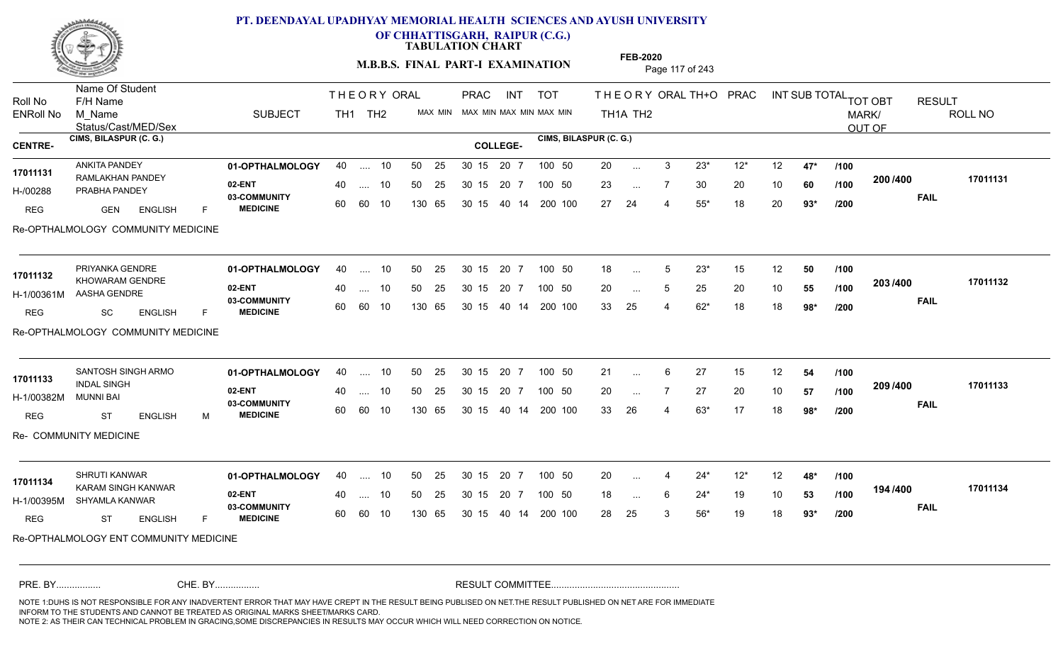

**OF CHHATTISGARH, RAIPUR (C.G.)**

**TABULATION CHART** 

**M.B.B.S. FINAL PART-I EXAMINATION** Page 117 of 243

Status/Cast/MED/Sex Name Of Student Roll No F/H Name M\_Name SUBJECT PRAC INT TOT THEORYORALTH+O PRAC INT TH<sub>1</sub>A TH<sub>2</sub> ORAL TH+ODPRACD INT SUB TOTAL <sub>TOT OBT</sub> RESULT ROLL NO MARK/ OUT OF ENRoll No M Name  $\,$  SUBJECT TH1 TH2 MAX MIN MAX MIN MAX MIN MAX MIN TH1A TH2 **CIMS, BILASPUR (C. G.) CIMS, BILASPUR (C. G.) CENTRE- COLLEGE-**THE ORY ORAL PRAC INT TH<sub>1</sub> TH<sub>2</sub> PRAC **01-OPTHALMOLOGY** ANKITA PANDEY 40 .... 10 30 15 20 7 **02-ENT 03-COMMUNITY MEDICINE** H-/00288 PRABHA PANDEY 17011131 RAMLAKHAN PANDEY<br>
RAMLAKHAN PANDEY REG **GEN ENGLISH** F 20 3 23\* 12\* 12 **47\*** 23 ... 7 30 20 10 **60 /100 <sup>2007–00</sup>** 27 24 4 55\* 18 20 **93\* 200 FAIL 17011131 /400** Re-OPTHALMOLOGY COMMUNITY MEDICINE .... 10 50 25 60 60 10 50 25 30 15 130 65 30 15 40 14 200 100 20 7 100 50 50 25 30 15 20 7 100 50 20 ... ... ... **/100 /100 /200 01-OPTHALMOLOGY** PRIYANKA GENDRE 40 .... 10 30 15 20 7 **02-ENT** 03-COMMUNITY 60  **MEDICINE** H-1/00361M AASHA GENDRE 17011132 KHOWARAM GENDRE REG SC ENGLISH F 18 ... 5 23<sup>\*</sup> 15 12 **50 /100** 20 ... 5 25 20 10 **55 /100 <sup>2007</sup> 700** 33 25 4 62\* 18 18 **98\* 203 FAIL 17011132 /400** Re-OPTHALMOLOGY COMMUNITY MEDICINE .... 10 50 25 60 60 10 30 15 20 7 130 65 30 15 40 14 200 100 30 15 20 7 100 50 50 25 30 15 20 7 100 50 18 ... 5 ... 5 ... 5 **/100 /100 /200** SANTOSH SINGH ARMO **01-OPTHALMOLOGY** 40 .... 10 50 25 30 15 20 7 100 50 21 **02-ENT** 03-COMMUNITY 60  **MEDICINE** H-1/00382M INDAL SINGH MUNNI BAI REG ST ENGLISH M 21 ... 6 27 15 12 **54 /100** 20 7 27 20 10 **57** 33 26 4 63\* 17 18 **98\* 209 FAIL 17011133 /400** Re- COMMUNITY MEDICINE .... 10 50 25 30 15 60 60 10 20 7 130 65 30 15 30 15 20 7 100 50 40 14 200 100 50 25 30 15 20 7 100 50 21 ... 6 **17011133** SANTOSH SINGH ARMO ... ... **/100 /100 /200 01-OPTHALMOLOGY** SHRUTI KANWAR 40 .... 10 30 15 20 7 **02-ENT** 03-COMMUNITY 60  **MEDICINE** H-1/00395M SHYAMLA KANWAR 17011134 KARAM SINGH KANWAR REG ST ENGLISH F 20 4 24\* 12\* 12 **48\*** 18 ... 6 24\* 19 10 **53 /100 13+1+00** 28 25 3 56\* 19 18 **93\* 194 FAIL 17011134 /400** Re-OPTHALMOLOGY ENT COMMUNITY MEDICINE .... 10 50 25 60 60 10 50 25 30 15 130 65 30 15 20 7 100 50 40 14 200 100 50 25 30 15 20 7 100 50 20 ... 4 ... ... **/100 /100 /200** NOTE 1:DUHS IS NOT RESPONSIBLE FOR ANY INADVERTENT ERROR THAT MAY HAVE CREPT IN THE RESULT BEING PUBLISED ON NET.THE RESULT PUBLISHED ON NET ARE FOR IMMEDIATE INFORM TO THE STUDENTS AND CANNOT BE TREATED AS ORIGINAL MARKS SHEET/MARKS CARD. CHE. BY WAREL BY WARE AND THE AVEC THE AVEC THE THE RESULT COMMITTEE AND MULTIME MOTE 1:DUHS IS NOT RESPONSIBLE FOR ANY INADVERTENT ERROR THAT MAY HAVE CREPT IN THE RESULT BEING PUBLISED ON NET.THE RESULT PUBLISHED ON NET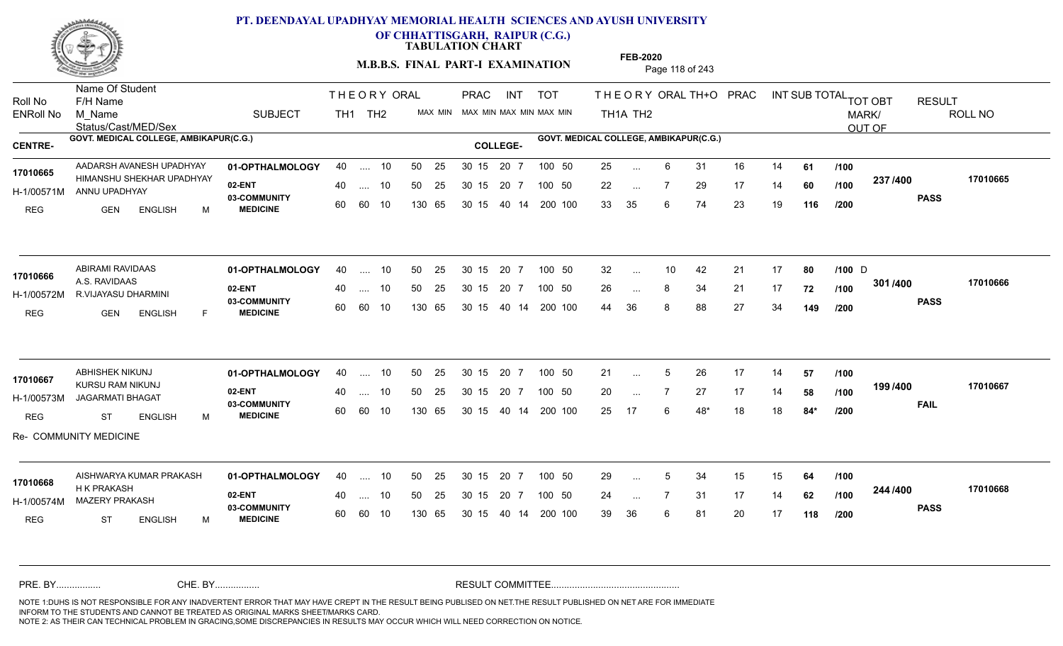

**OF CHHATTISGARH, RAIPUR (C.G.)**

**TABULATION CHART** 

**M.B.B.S. FINAL PART-I EXAMINATION** Page 118 of 243

Status/Cast/MED/Sex Name Of Student Roll No F/H Name M\_Name SUBJECT PRAC INT TOT THEORYORALTH+O PRAC INT TH<sub>1</sub>A TH<sub>2</sub> ORAL TH+ODPRACD INT SUB TOTAL <sub>TOT OBT</sub> RESULT ROLL NO MARK/ OUT OF ENRoll No M Name  $\,$  SUBJECT TH1 TH2 MAX MIN MAX MIN MAX MIN MAX MIN TH1A TH2 GOVT. MEDICAL COLLEGE, AMBIKAPUR(C.G.) **A COLLEGE AMBIKAPUR(C.G.) GOVT. MEDICAL COLLEGE, AMBIKAPUR(C.G.)** THE ORY ORAL PRAC INT TH<sub>1</sub> TH<sub>2</sub> PRAC **01-OPTHALMOLOGY 02-ENT** 03-COMMUNITY 60  **MEDICINE** H-1/00571M ANNU UPADHYAY 17010665 HIMANSHU SHEKHAR UPADHYAY <sub>aarta</sub> u REG GEN ENGLISH M 25 ... 6 31 16 14 **61 /100** 22 ... 7 29 17 14 **60** /**100 <sup>237 /400</mark>**</sup> 33 35 6 74 23 19 **116 237 PASS /400 17010665** AADARSH AVANESH UPADHYAY 40 .... 10 30 15 20 7 40 .... 10 50 25 30 15 60 60 10 130 65 30 15 40 14 200 100 20 7 100 50 30 15 20 7 100 50 25 ... ... ... **/100 /100 /200 01-OPTHALMOLOGY** ABIRAMI RAVIDAAS 40 .... 10 30 15 20 7 **02-ENT** 03-COMMUNITY 60  **MEDICINE** H-1/00572M R.VIJAYASU DHARMINI A.S. RAVIDAAS REG GEN ENGLISH F 32 10 42 21 17 **80 /100** 26 ... 8 34 21 17 **72 /100 <sup>3017400</sup>** 44 36 8 88 27 34 **149 301 PASS /400 17010666** 40 .... 10 50 25 30 15 60 60 10 130 65 30 15 40 14 200 100 20 7 100 50 50 25 30 15 20 7 100 50 32 ... 10 42 21 17 **80 /100** D **17010666** ... 10 ... **/100 /200 01-OPTHALMOLOGY** ABHISHEK NIKUNJ 40 .... 10 30 15 20 7 **02-ENT** 03-COMMUNITY 60  **MEDICINE** H-1/00573M JAGARMATI BHAGAT **1999 - 1999** KURSU RAM NIKUNJ **17010667** REG ST ENGLISH M 21 ... 5 26 17 14 **57 /100** 20 ... 7 27 17 14 **58 /100 <sup>1997</sup> 400** 25 17 6 48\* 18 18 **84\* 199 FAIL 17010667 /400** Re- COMMUNITY MEDICINE 40 .... 10 50 25 30 15 60 60 10 130 65 30 15 40 14 200 100 20 7 100 50 50 25 30 15 20 7 100 50 21 ... ... ... **/100 /100 /200 01-OPTHALMOLOGY 02-ENT** 03-COMMUNITY 60  **MEDICINE** H-1/00574M MAZERY PRAKASH H K PRAKASH REG ST ENGLISH M 29 ... 5 34 15 15 **64 /100** 24 7 31 17 14 **62** 39 36 6 81 20 17 **118 244 PASS /400 17010668** AISHWARYA KUMAR PRAKASH 40 .... 10 30 15 20 7 40 .... 10 50 25 30 15 60 60 10 130 65 30 15 20 7 100 50 40 14 200 100 50 25 100 50 **17010668** ... ... **/100 /100 /200** NOTE 1:DUHS IS NOT RESPONSIBLE FOR ANY INADVERTENT ERROR THAT MAY HAVE CREPT IN THE RESULT BEING PUBLISED ON NET.THE RESULT PUBLISHED ON NET ARE FOR IMMEDIATE INFORM TO THE STUDENTS AND CANNOT BE TREATED AS ORIGINAL MARKS SHEET/MARKS CARD. CHE. BY WAREL BY WARE AND THE AVEC THE AVEC THE THE RESULT COMMITTEE AND MULTIME MOTE 1:DUHS IS NOT RESPONSIBLE FOR ANY INADVERTENT ERROR THAT MAY HAVE CREPT IN THE RESULT BEING PUBLISED ON NET.THE RESULT PUBLISHED ON NET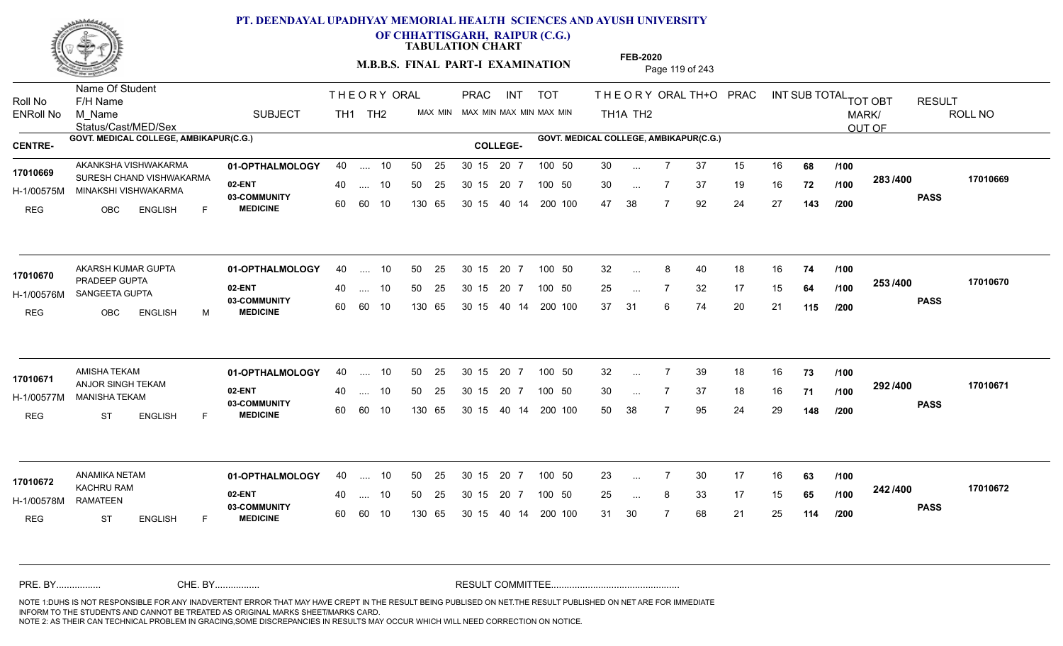

**OF CHHATTISGARH, RAIPUR (C.G.)**

**TABULATION CHART** 

**M.B.B.S. FINAL PART-I EXAMINATION** Page 119 of 243

Status/Cast/MED/Sex Name Of Student Roll No F/H Name M\_Name SUBJECT TH1 TH2 <sup>MAX\_MIN</sup> N PRAC INT TOT THEORYORALTH+O PRAC INT TH<sub>1</sub>A TH<sub>2</sub> ORAL TH+ODPRACD INT SUB TOTAL <sub>TOT OBT</sub> RESULT ROLL NO MARK/ OUT OF ENRoll No M Name  $\,$  SUBJECT TH1 TH2 MAX MIN MAX MIN MAX MIN MAX MIN TH1A TH2 GOVT. MEDICAL COLLEGE, AMBIKAPUR(C.G.) **A COLLEGE AMBIKAPUR(C.G.) GOVT. MEDICAL COLLEGE, AMBIKAPUR(C.G.)** THE ORY ORAL PRAC INT PRAC **01-OPTHALMOLOGY 02-ENT** 03-COMMUNITY 60  **MEDICINE** H-1/00575M MINAKSHI VISHWAKARMA 17010669 SURESH CHAND VISHWAKARMA REG OBC ENGLISH F 30 7 37 15 16 **68** 30 7 37 19 16 **72** 47 38 7 92 24 27 **143 283 PASS /400 17010669** AKANKSHA VISHWAKARMA 01-OPTHALMOLOGY 40 .... 10 50 25 30 15 20 7 100 50 30 .... 10 50 25 60 60 10 50 25 30 15 130 65 30 15 40 14 200 100 20 7 100 50 100 50 30 ... ... ... **/100 /100 /200 01-OPTHALMOLOGY** AKARSH KUMAR GUPTA 40 .... 10 30 15 20 7 **02-ENT** 03-COMMUNITY 60  **MEDICINE** H-1/00576M SANGEETA GUPTA PARTICLE PROGRAM 17010670 PRADEEP GUPTA **17010670** REG OBC ENGLISH M 32 ... 8 40 18 16 **74 /100** 25 ... 7 32 17 15 **64 /100 <sup>2007</sup> 7** 37 31 6 74 20 21 **115 253 PASS /400 17010670**  $\ldots$  10 50 25 30 15 60 60 10 20 7 130 65 30 15 40 14 200 100 30 15 20 7 100 50 50 25 30 15 20 7 100 50 32 ... 8 ... ... **/100 /100 /200 01-OPTHALMOLOGY** AMISHA TEKAM 40 .... 10 30 15 20 7 **02-ENT** 03-COMMUNITY 60  **MEDICINE** H-1/00577M MANISHA TEKAM ANJOR SINGH TEKAM **17010671** REG ST ENGLISH F 32 7 39 18 16 **73** 30 ... 7 37 18 16 **71 /100 <sup>232</sup> 1** 50 38 7 95 24 29 **148 292 PASS /400 17010671** .... 10 50 25 30 15 60 60 10 20 7 130 65 30 15 30 15 20 7 100 50 40 14 200 100 50 25 30 15 20 7 100 50 32 ... 7 ... ... **/100 /100 /200 01-OPTHALMOLOGY** ANAMIKA NETAM 40 .... 10 30 15 20 7 **02-ENT** 03-COMMUNITY 60 **MEDICINE** 60 60 10 H-1/00578M KACHRU RAM **17010672** RAMATEEN REG ST ENGLISH F 23 7 30 17 16 **63** 25 ... 8 33 17 15 **65 /100 <sup>242 /400</sup>** 31 30 7 68 21 25 **114 242 PASS /400 17010672** 40 .... 10 50 25 130 65 130 65 30 15 30 15 20 7 100 50 40 14 200 100 50 25 30 15 20 7 100 50 23 ... ... ... **/100 /100 /200** NOTE 1:DUHS IS NOT RESPONSIBLE FOR ANY INADVERTENT ERROR THAT MAY HAVE CREPT IN THE RESULT BEING PUBLISED ON NET.THE RESULT PUBLISHED ON NET ARE FOR IMMEDIATE INFORM TO THE STUDENTS AND CANNOT BE TREATED AS ORIGINAL MARKS SHEET/MARKS CARD. CHE. BY WAREL BY WARE AND THE AVEC THE AVEC THE THE RESULT COMMITTEE AND MULTIME MOTE 1:DUHS IS NOT RESPONSIBLE FOR ANY INADVERTENT ERROR THAT MAY HAVE CREPT IN THE RESULT BEING PUBLISED ON NET.THE RESULT PUBLISHED ON NET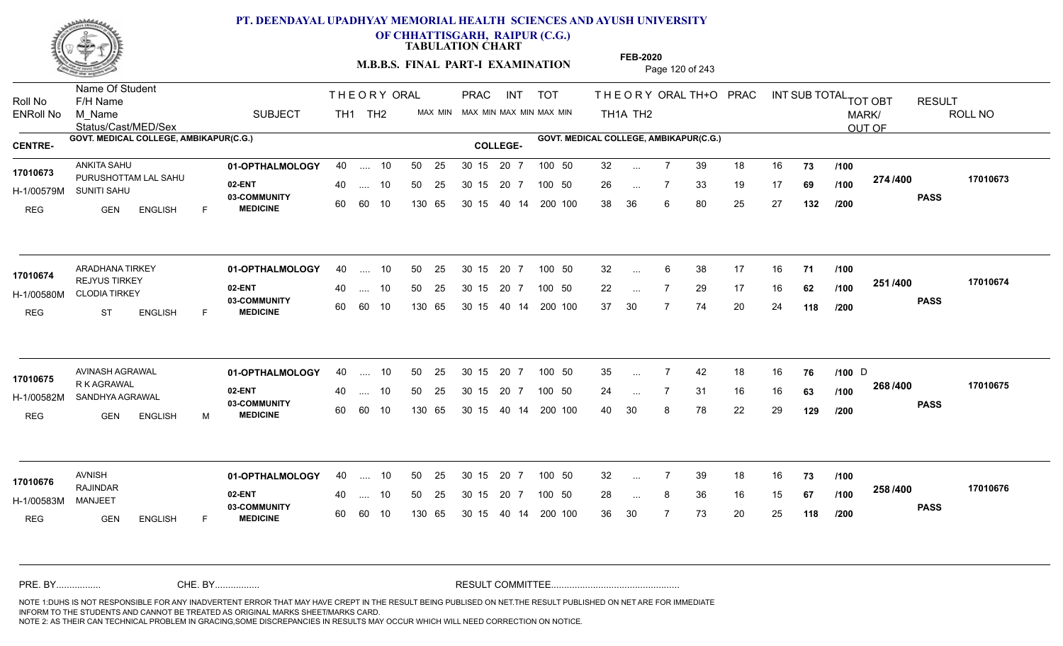

**OF CHHATTISGARH, RAIPUR (C.G.)**

**TABULATION CHART** 

**M.B.B.S. FINAL PART-I EXAMINATION** Page 120 of 243

Status/Cast/MED/Sex Name Of Student Roll No F/H Name M\_Name SUBJECT TH1 TH2 <sup>MAX\_MIN</sup> N PRAC INT TOT THEORYORALTH+O PRAC INT TH<sub>1</sub>A TH<sub>2</sub> ORAL TH+ODPRACD INT SUB TOTAL <sub>TOT OBT</sub> RESULT ROLL NO MARK/ OUT OF ENRoll No M Name  $\,$  SUBJECT TH1 TH2 MAX MIN MAX MIN MAX MIN MAX MIN TH1A TH2 GOVT. MEDICAL COLLEGE, AMBIKAPUR(C.G.) **A COLLEGE AMBIKAPUR(C.G.) GOVT. MEDICAL COLLEGE, AMBIKAPUR(C.G.)** THE ORY ORAL PRAC INT PRAC **01-OPTHALMOLOGY** ANKITA SAHU 40 .... 10 30 15 20 7 **02-ENT** 03-COMMUNITY 60  **MEDICINE** H-1/00579M SUNITI SAHU 17010673 PURUSHOTTAM LAL SAHU REG GEN ENGLISH F 32 7 39 18 16 **73** 26 7 33 19 17 **69** 38 36 6 80 25 27 **132 274 PASS /400 17010673** .... 10 50 25 60 60 10 50 25 30 15 130 65 30 15 40 14 200 100 20 7 100 50 50 25 30 15 20 7 100 50 32 ... ... ... **/100 /100 /200 01-OPTHALMOLOGY** ARADHANA TIRKEY 40 .... 10 30 15 20 7 **02-ENT** 03-COMMUNITY 60 **MEDICINE** 60 60 10 H-1/00580M CLODIA TIRKEY **1999 - 1999** 17010674 REJYUS TIRKEY REG ST ENGLISH F 32 6 38 17 16 **71** 22 ... 7 29 17 16 **62 /100 <sup>2017</sup> 7** 37 30 7 74 20 24 **118 251 PASS /400 17010674**  $\ldots$  10 50 25 30 15 130 65 20 7 130 65 30 15 40 14 200 100 30 15 20 7 100 50 50 25 30 15 20 7 100 50 32 ... ... ... **/100 /100 /200 01-OPTHALMOLOGY** AVINASH AGRAWAL 40 .... 10 30 15 20 7 **02-ENT** 03-COMMUNITY 60  **MEDICINE** H-1/00582M SANDHYA AGRAWAL 22 AG **17010675** R K AGRAWAL REG GEN ENGLISH M 35 ... 7 42 18 16 **76** /1**00** D 24 7 31 16 16 **63** 40 30 8 78 22 29 **129 268 PASS /400 17010675** .... 10 50 25 30 15 60 60 10 20 7 130 65 30 15 30 15 20 7 100 50 40 14 200 100 50 25 30 15 20 7 100 50 35 ... 7 42 18 16 **76 /100** D ... ... **/100 /100 /200 01-OPTHALMOLOGY** AVNISH 40 .... 10 30 15 20 7 **02-ENT** 03-COMMUNITY 60 **MEDICINE** 60 60 10 H-1/00583M RAJINDAR MANJEET REG GEN ENGLISH F 32 7 39 18 16 **73** 28 ... 8 36 16 15 **67 /100 <sup>2007–00</sup>** 36 30 7 73 20 25 **118 258 PASS /400 17010676** 40 .... 10 50 25 130 65 130 65 30 15 30 15 20 7 100 50 40 14 200 100 50 25 30 15 20 7 100 50 32 ... **17010676** AVNISH ... ... **/100 /100 /200** NOTE 1:DUHS IS NOT RESPONSIBLE FOR ANY INADVERTENT ERROR THAT MAY HAVE CREPT IN THE RESULT BEING PUBLISED ON NET.THE RESULT PUBLISHED ON NET ARE FOR IMMEDIATE INFORM TO THE STUDENTS AND CANNOT BE TREATED AS ORIGINAL MARKS SHEET/MARKS CARD. CHE. BY WAREL BY WARE AND THE AVEC THE AVEC THE THE RESULT COMMITTEE AND MULTIME MOTE 1:DUHS IS NOT RESPONSIBLE FOR ANY INADVERTENT ERROR THAT MAY HAVE CREPT IN THE RESULT BEING PUBLISED ON NET.THE RESULT PUBLISHED ON NET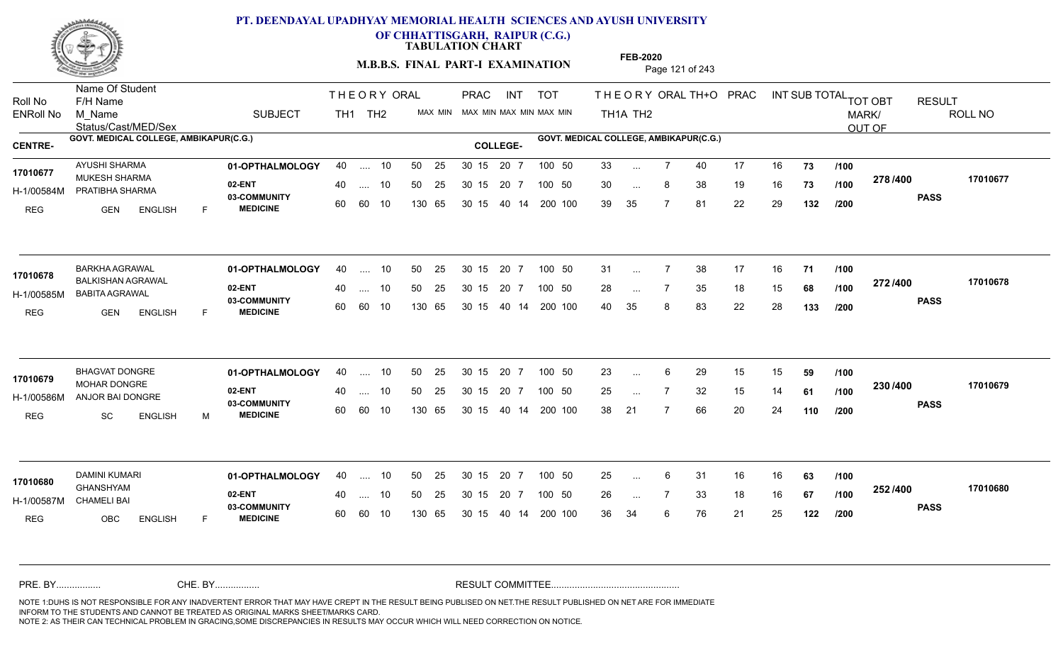

**OF CHHATTISGARH, RAIPUR (C.G.)**

**TABULATION CHART** 

**M.B.B.S. FINAL PART-I EXAMINATION** Page 121 of 243

Status/Cast/MED/Sex Name Of Student Roll No F/H Name M\_Name SUBJECT TH1 TH2 <sup>MAX\_MIN</sup> N PRAC INT TOT THEORYORALTH+O PRAC INT TH<sub>1</sub>A TH<sub>2</sub> ORAL TH+ODPRACD INT SUB TOTAL <sub>TOT OBT</sub> RESULT ROLL NO MARK/ OUT OF ENRoll No M Name  $\,$  SUBJECT TH1 TH2 MAX MIN MAX MIN MAX MIN MAX MIN TH1A TH2 GOVT. MEDICAL COLLEGE, AMBIKAPUR(C.G.) **A COLLEGE AMBIKAPUR(C.G.) GOVT. MEDICAL COLLEGE, AMBIKAPUR(C.G.)** THE ORY ORAL PRAC INT PRAC **01-OPTHALMOLOGY** AYUSHI SHARMA 40 .... 10 30 15 20 7 **02-ENT** 03-COMMUNITY 60  **MEDICINE** H-1/00584M PRATIBHA SHARMA 17010677 MUKESH SHARMA 20 PM REG GEN ENGLISH F 33 7 40 17 16 **73** 30 ... 8 38 19 16 **73 /100 <sup>210/400</sup>** 39 35 7 81 22 29 **132 278 PASS /400 17010677** .... 10 50 25 60 60 10 50 25 30 15 130 65 30 15 40 14 200 100 20 7 100 50 50 25 30 15 20 7 100 50 33 ... ... ... **/100 /100 /200 01-OPTHALMOLOGY** BARKHA AGRAWAL 40 .... 10 30 15 20 7 **02-ENT** 03-COMMUNITY 60 **MEDICINE** 60 60 10 H-1/00585M BABITA AGRAWAL BALKISHAN AGRAWAL **17010678** REG GEN ENGLISH F 31 ... 7 38 17 16 **71 /100** 28 ... 7 35 18 15 **68 /100 <sup>212/400</sup>** 40 35 8 83 22 28 **133 272 PASS /400 17010678**  $\ldots$  10 50 25 30 15 130 65 20 7 130 65 30 15 40 14 200 100 30 15 20 7 100 50 50 25 30 15 20 7 100 50 31 ... ... ... **/100 /100 /200 01-OPTHALMOLOGY** BHAGVAT DONGRE 40 .... 10 30 15 20 7 **02-ENT** 03-COMMUNITY 60  **MEDICINE** H-1/00586M ANJOR BAI DONGRE MOHAR DONGRE **17010679** REG SC ENGLISH M 23 ... 6 29 15 15 **59** /**100** 25 ... 7 32 15 14 **61 /100 <sup>2307-400</sup>** 38 21 7 66 20 24 **110 230 PASS /400 17010679** .... 10 50 25 30 15 60 60 10 20 7 130 65 30 15 30 15 20 7 100 50 40 14 200 100 50 25 30 15 20 7 100 50 23 ... 6 ... ... **/100 /100 /200 01-OPTHALMOLOGY** DAMINI KUMARI 40 .... 10 30 15 20 7 **02-ENT** 03-COMMUNITY 60 **MEDICINE** 60 60 10 H-1/00587M CHAMELI BAI GHANSHYAM REG OBC ENGLISH F 25 6 31 16 16 **63** 26 7 33 18 16 **67** 36 34 6 76 21 25 **122 252 PASS /400 17010680** 40 .... 10 50 25 130 65 130 65 30 15 30 15 20 7 100 50 40 14 200 100 50 25 30 15 20 7 100 50 25 ... **17010680 DAMINI KUMARI** ... ... **/100 /100 /200** NOTE 1:DUHS IS NOT RESPONSIBLE FOR ANY INADVERTENT ERROR THAT MAY HAVE CREPT IN THE RESULT BEING PUBLISED ON NET.THE RESULT PUBLISHED ON NET ARE FOR IMMEDIATE INFORM TO THE STUDENTS AND CANNOT BE TREATED AS ORIGINAL MARKS SHEET/MARKS CARD. CHE. BY WAREL BY WARE AND THE AVEC THE AVEC THE THE RESULT COMMITTEE AND MULTIME MOTE 1:DUHS IS NOT RESPONSIBLE FOR ANY INADVERTENT ERROR THAT MAY HAVE CREPT IN THE RESULT BEING PUBLISED ON NET.THE RESULT PUBLISHED ON NET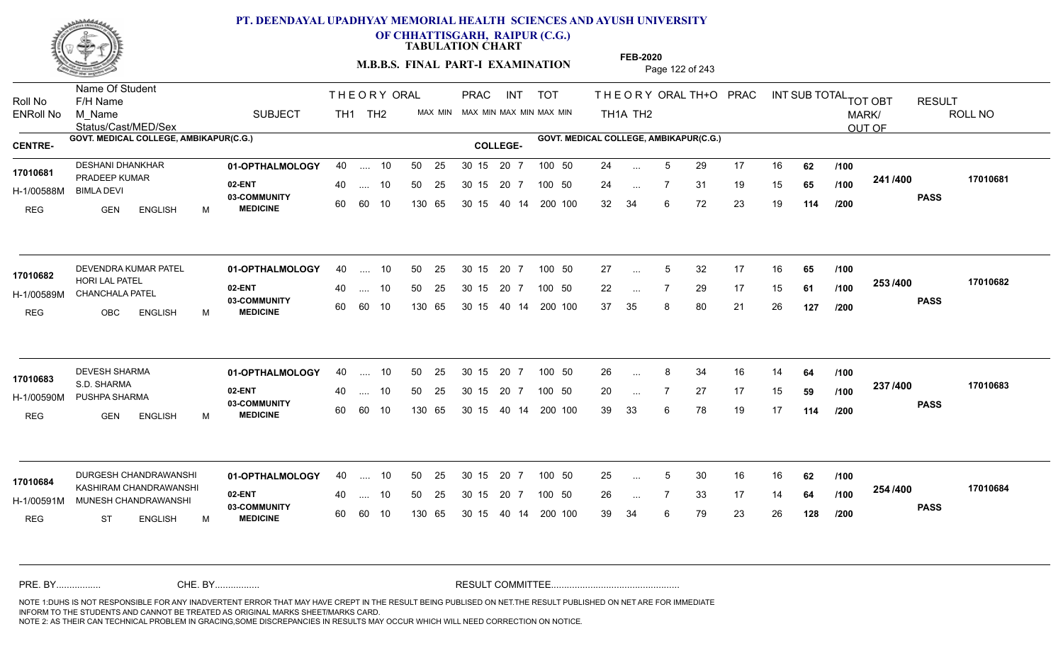

Name Of Student

### **PT. DEENDAYAL UPADHYAY MEMORIAL HEALTH SCIENCES AND AYUSH UNIVERSITY**

**OF CHHATTISGARH, RAIPUR (C.G.)**

**TABULATION CHART** 

**M.B.B.S. FINAL PART-I EXAMINATION** Page 122 of 243

Status/Cast/MED/Sex Roll No F/H Name M\_Name SUBJECT TH1 TH2 <sup>MAX\_MIN</sup> N PRAC INT TOT THEORYORALTH+O PRAC INT TH<sub>1</sub>A TH<sub>2</sub> ORAL TH+ODPRACD INT SUB TOTAL <sub>TOT OBT</sub> RESULT ROLL NO MARK/ OUT OF ENRoll No M Name  $\,$  SUBJECT TH1 TH2 MAX MIN MAX MIN MAX MIN MAX MIN TH1A TH2 GOVT. MEDICAL COLLEGE, AMBIKAPUR(C.G.) **A COLLEGE AMBIKAPUR(C.G.) GOVT. MEDICAL COLLEGE, AMBIKAPUR(C.G.)** THE ORY ORAL PRAC INT PRAC 01**-OPTHALMOLOGY** 40 .... 10 50 25 30 15 20 7 100 50 24 **02-ENT** 03-COMMUNITY 60  **MEDICINE** H-1/00588M 17010681 PRADEEP KUMAR BIMLA DEVI REG GEN ENGLISH M 24 ... 5 29 17 16 **62** /**100** 24 7 31 19 15 **65** 32 34 6 72 23 19 **114 241 PASS /400 17010681** .... 10 50 25 60 60 10 50 25 30 15 130 65 30 15 40 14 200 100 20 7 100 50 50 25 30 15 20 7 100 50 24 ... ... ... **/100 /100 /200 01-OPTHALMOLOGY 02-ENT** 03-COMMUNITY 60  **MEDICINE** H-1/00589M CHANCHALA PATEL 200 HORI LAL PATEL **17010682** REG OBC ENGLISH M 27 ... 5 32 17 16 **65 /100** 22 ... 7 29 17 15 **61 /100 <sup>2007</sup> 7** 37 35 8 80 21 26 **127 253 PASS /400 17010682** DEVENDRA KUMAR PATEL **01-OPTHALMOLOGY** 40 .... 10 50 25 30 15 20 7 100 50 27 .... 10 50 25 60 60 10 30 15 20 7 130 65 30 15 40 14 200 100 30 15 20 7 100 50 30 15 20 7 100 50 27 ... 5 ... 5 ... **/100 /100 /200** 01**-OPTHALMOLOGY** 40 .... 10 50 25 30 15 20 7 100 50 26 **02-ENT** 03-COMMUNITY 60  **MEDICINE** H-1/00590M PUSHPA SHARMA S.D. SHARMA REG GEN ENGLISH M 26 ... 8 34 16 14 **64 /100** 20 ... 7 27 17 15 **59** /**100 <sup>237</sup> /\*\*** 39 33 6 78 19 17 **114 237 PASS /400 17010683** .... 10 50 25 30 15 60 60 10 20 7 130 65 30 15 30 15 20 7 100 50 40 14 200 100 50 25 30 15 20 7 100 50 26 ... **17010683 DEVESH SHARMA** ... ... **/100 /100 /200 01-OPTHALMOLOGY 02-ENT** 03-COMMUNITY 60 **MEDICINE** 60 60 10 H-1/00591M MUNESH CHANDRAWANSHI KASHIRAM CHANDRAWANSHI **17010684** REG ST ENGLISH M 25 ... 5 30 16 16 **62 /100** 26 ... 7 33 17 14 **64 /100 <sup>204</sup> /\*00** 39 34 6 79 23 26 **128 254 PASS /400 17010684** DURGESH CHANDRAWANSHI 40 .... 10 30 15 20 7 40 .... 10 50 25 130 65 130 65 30 15 30 15 20 7 100 50 40 14 200 100 50 25 100 50 ... 5 ... **/100 /100 /200** NOTE 1:DUHS IS NOT RESPONSIBLE FOR ANY INADVERTENT ERROR THAT MAY HAVE CREPT IN THE RESULT BEING PUBLISED ON NET.THE RESULT PUBLISHED ON NET ARE FOR IMMEDIATE INFORM TO THE STUDENTS AND CANNOT BE TREATED AS ORIGINAL MARKS SHEET/MARKS CARD. CHE. BY WAREL BY WARE AND THE AVEC THE AVEC THE THE RESULT COMMITTEE AND MULTIME MOTE 1:DUHS IS NOT RESPONSIBLE FOR ANY INADVERTENT ERROR THAT MAY HAVE CREPT IN THE RESULT BEING PUBLISED ON NET.THE RESULT PUBLISHED ON NET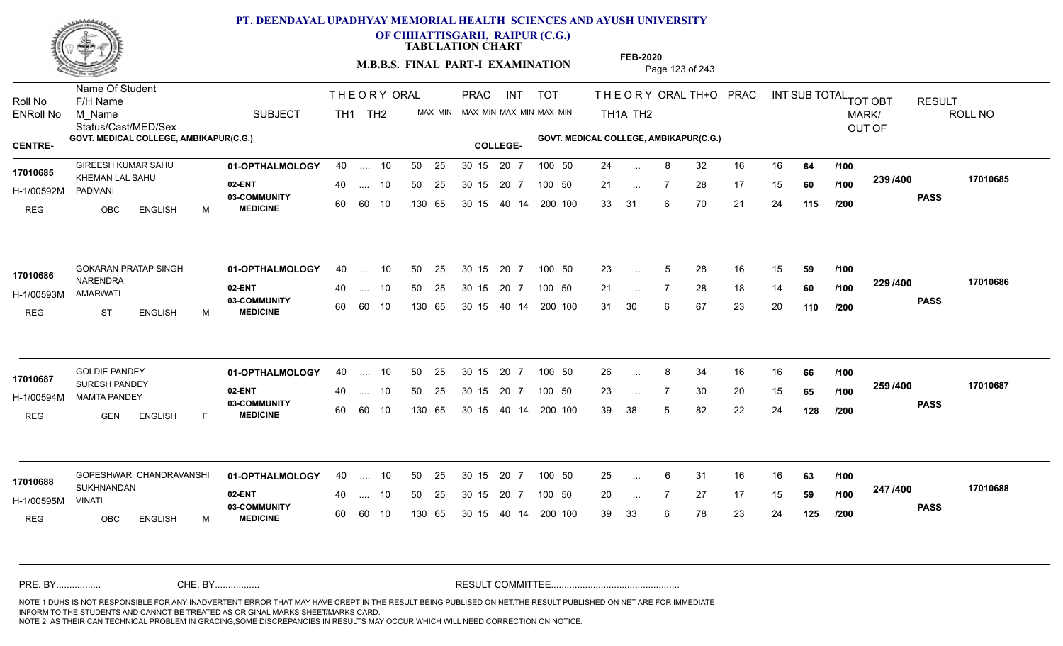

**OF CHHATTISGARH, RAIPUR (C.G.)**

**TABULATION CHART** 

**M.B.B.S. FINAL PART-I EXAMINATION** Page 123 of 243

Status/Cast/MED/Sex Name Of Student Roll No F/H Name M\_Name SUBJECT TH1 TH2 <sup>MAX\_MIN</sup> N PRAC INT TOT THEORYORALTH+O PRAC INT TH<sub>1</sub>A TH<sub>2</sub> ORAL TH+ODPRACD INT SUB TOTAL <sub>TOT OBT</sub> RESULT ROLL NO MARK/ OUT OF ENRoll No M Name  $\,$  SUBJECT TH1 TH2 MAX MIN MAX MIN MAX MIN MAX MIN TH1A TH2 GOVT. MEDICAL COLLEGE, AMBIKAPUR(C.G.) **A COLLEGE AMBIKAPUR(C.G.) GOVT. MEDICAL COLLEGE, AMBIKAPUR(C.G.)** THE ORY ORAL PRAC INT PRAC **01-OPTHALMOLOGY** GIREESH KUMAR SAHU 40 .... 10 30 15 20 7 **02-ENT** 03-COMMUNITY 60  **MEDICINE** H-1/00592M 17010685 KHEMAN LAL SAHU PADMANI REG OBC ENGLISH M 24 ... 8 32 16 16 **64 /100** 21 ... 7 28 17 15 **60** /**100 <sup>2007</sup> 7** 33 31 6 70 21 24 **115 239 PASS /400 17010685** .... 10 50 25 60 60 10 50 25 30 15 130 65 30 15 40 14 200 100 20 7 100 50 50 25 30 15 20 7 100 50 24 ... ... ... **/100 /100 /200 01-OPTHALMOLOGY 02-ENT** 03-COMMUNITY 60 **MEDICINE** 60 60 10 H-1/00593M NARENDRA AMARWATI REG ST ENGLISH M 23 ... 5 28 16 15 **59 /100** 21 ... 7 28 18 14 **60 /100 <sup>223</sup> 14** 31 30 6 67 23 20 **110 229 PASS /400 17010686** GOKARAN PRATAP SINGH **01-OPTHALMOLOGY** 40 .... 10 50 25 30 15 20 7 100 50 23  $\ldots$  10 50 25 30 15 130 65 20 7 130 65 30 15 40 14 200 100 30 15 20 7 100 50 30 15 20 7 100 50 23 ... 5 **17010686** ... 5 ... **/100 /100 /200 01-OPTHALMOLOGY** GOLDIE PANDEY 40 .... 10 30 15 20 7 **02-ENT** 03-COMMUNITY 60  **MEDICINE** H-1/00594M MAMTA PANDEY 17010687 SURESH PANDEY **17010687** REG GEN ENGLISH F 26 8 34 16 16 **66** 23 ... 7 30 20 15 **65 /100 <sup>2007/400</sup>** 39 38 5 82 22 24 **128 259 PASS /400 17010687** .... 10 50 25 30 15 60 60 10 20 7 130 65 30 15 30 15 20 7 100 50 40 14 200 100 50 25 30 15 20 7 100 50 26 ... 8 ... ... **/100 /100 /200 01-OPTHALMOLOGY 02-ENT** 03-COMMUNITY 60 **MEDICINE** 60 60 10 H-1/00595M 17010688 SUKHNANDAN **17010688** VINATI REG OBC ENGLISH M 25 6 31 16 16 **63** 20 ... 7 27 17 15 **59 /100 <sup>247</sup> /\*<sup>00</sup>** 39 33 6 78 23 24 **125 247 PASS /400 17010688** GOPESHWAR CHANDRAVANSHI 01-OPTHALMOLOGY 40 .... 10 50 25 30 15 20 7 100 50 25 40 .... 10 50 25 130 65 130 65 30 15 30 15 20 7 100 50 40 14 200 100 50 25 100 50 ... ... **/100 /100 /200** NOTE 1:DUHS IS NOT RESPONSIBLE FOR ANY INADVERTENT ERROR THAT MAY HAVE CREPT IN THE RESULT BEING PUBLISED ON NET.THE RESULT PUBLISHED ON NET ARE FOR IMMEDIATE INFORM TO THE STUDENTS AND CANNOT BE TREATED AS ORIGINAL MARKS SHEET/MARKS CARD. CHE. BY WAREL BY WARE AND THE AVEC THE AVEC THE THE RESULT COMMITTEE AND MULTIME MOTE 1:DUHS IS NOT RESPONSIBLE FOR ANY INADVERTENT ERROR THAT MAY HAVE CREPT IN THE RESULT BEING PUBLISED ON NET.THE RESULT PUBLISHED ON NET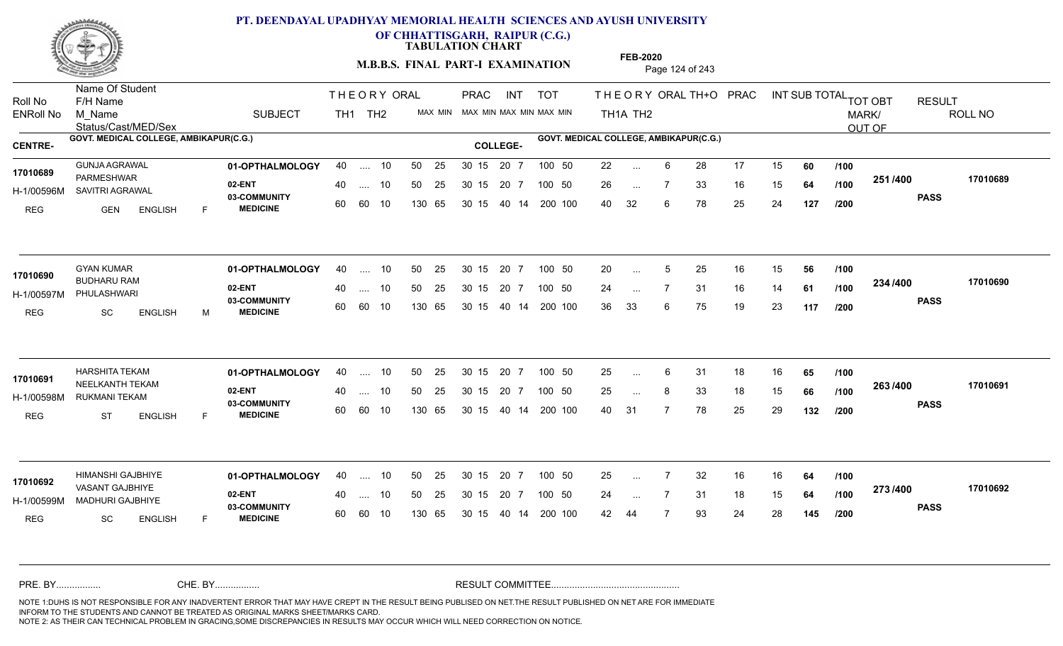

**OF CHHATTISGARH, RAIPUR (C.G.)**

**TABULATION CHART** 

**M.B.B.S. FINAL PART-I EXAMINATION** Page 124 of 243

Status/Cast/MED/Sex Name Of Student Roll No F/H Name M\_Name SUBJECT TH1 TH2 <sup>MAX\_MIN</sup> N PRAC INT TOT THEORYORALTH+O PRAC INT TH<sub>1</sub>A TH<sub>2</sub> ORAL TH+ODPRACD INT SUB TOTAL <sub>TOT OBT</sub> RESULT ROLL NO MARK/ OUT OF ENRoll No M Name  $\,$  SUBJECT TH1 TH2 MAX MIN MAX MIN MAX MIN MAX MIN TH1A TH2 GOVT. MEDICAL COLLEGE, AMBIKAPUR(C.G.) **A COLLEGE AMBIKAPUR(C.G.) GOVT. MEDICAL COLLEGE, AMBIKAPUR(C.G.)** THE ORY ORAL PRAC INT PRAC **01-OPTHALMOLOGY** GUNJA AGRAWAL 40 .... 10 30 15 20 7 **02-ENT** 03-COMMUNITY 60  **MEDICINE** H-1/00596M SAVITRI AGRAWAL PARMESHWAR **17010689** REG GEN ENGLISH F 22 ... 6 28 17 15 **60** /**100** 26 ... 7 33 16 15 **64 /100 <sup>2017–00</sup>** 40 32 6 78 25 24 **127 251 PASS /400 17010689** .... 10 50 25 60 60 10 50 25 30 15 130 65 30 15 40 14 200 100 20 7 100 50 50 25 30 15 20 7 100 50 22 ... ... ... **/100 /100 /200 01-OPTHALMOLOGY** GYAN KUMAR 40 .... 10 30 15 20 7 **02-ENT** 03-COMMUNITY 60  **MEDICINE** H-1/00597M PHULASHWARI BUDHARU RAM **17010690** REG SC ENGLISH M 20 ... 5 25 16 15 **56 /100** 24 7 31 16 14 **61** 36 33 6 75 19 23 **117 234 PASS /400 17010690**  $\ldots$  10 50 25 30 15 60 60 10 20 7 130 65 30 15 40 14 200 100 30 15 20 7 100 50 50 25 30 15 20 7 100 50 20 ... 5 ... 5 ... **/100 /100 /200 01-OPTHALMOLOGY** HARSHITA TEKAM 40 .... 10 30 15 20 7 **02-ENT** 03-COMMUNITY 60  **MEDICINE** H-1/00598M RUKMANI TEKAM **WALE AND THE SET ON THE REA** 17010691 NEELKANTH TEKAM REG ST ENGLISH F 25 ... 6 31 18 16 **65 /100** 25 ... 8 33 18 15 **66 /100 <sup>2007</sup> 700** 40 31 7 78 25 29 **132 263 PASS /400 17010691** .... 10 50 25 30 15 60 60 10 20 7 130 65 30 15 30 15 20 7 100 50 40 14 200 100 50 25 30 15 20 7 100 50 25 ... 6 ... ... **/100 /100 /200 01-OPTHALMOLOGY** HIMANSHI GAJBHIYE 40 .... 10 30 15 20 7 **02-ENT** 03-COMMUNITY 60 **MEDICINE** 60 60 10 H-1/00599M MADHURI GAJBHIYE 22 ANII VASANT GAJBHIYE **17010692** REG SC ENGLISH F 25 7 32 16 16 **64** 24 ... 7 31 18 15 **64 /100 <sup>2137400</sup>** 42 44 7 93 24 28 **145 273 PASS /400 17010692** 40 .... 10 50 25 130 65 130 65 30 15 30 15 20 7 100 50 40 14 200 100 50 25 30 15 20 7 100 50 25 ... ... ... **/100 /100 /200** NOTE 1:DUHS IS NOT RESPONSIBLE FOR ANY INADVERTENT ERROR THAT MAY HAVE CREPT IN THE RESULT BEING PUBLISED ON NET.THE RESULT PUBLISHED ON NET ARE FOR IMMEDIATE INFORM TO THE STUDENTS AND CANNOT BE TREATED AS ORIGINAL MARKS SHEET/MARKS CARD. CHE. BY WAREL BY WARE AND THE AVEC THE AVEC THE THE RESULT COMMITTEE AND MULTIME MOTE 1:DUHS IS NOT RESPONSIBLE FOR ANY INADVERTENT ERROR THAT MAY HAVE CREPT IN THE RESULT BEING PUBLISED ON NET.THE RESULT PUBLISHED ON NET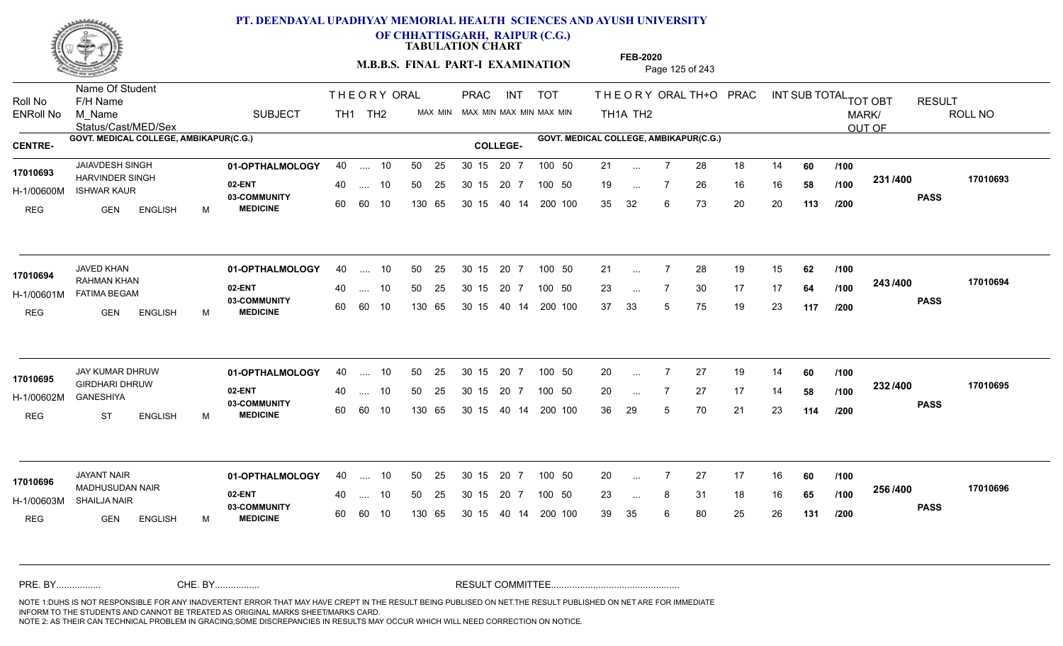

**OF CHHATTISGARH, RAIPUR (C.G.)**

**TABULATION CHART** 

**M.B.B.S. FINAL PART-I EXAMINATION** Page 125 of 243

Status/Cast/MED/Sex Name Of Student Roll No F/H Name M\_Name SUBJECT TH1 TH2 <sup>MAX\_MIN</sup> N PRAC INT TOT THEORYORALTH+O PRAC INT TH<sub>1</sub>A TH<sub>2</sub> ORAL TH+ODPRACD INT SUB TOTAL <sub>TOT OBT</sub> RESULT ROLL NO MARK/ OUT OF ENRoll No M Name  $\,$  SUBJECT TH1 TH2 MAX MIN MAX MIN MAX MIN MAX MIN TH1A TH2 GOVT. MEDICAL COLLEGE, AMBIKAPUR(C.G.) **A COLLEGE AMBIKAPUR(C.G.) GOVT. MEDICAL COLLEGE, AMBIKAPUR(C.G.)** THE ORY ORAL PRAC INT PRAC **01-OPTHALMOLOGY** JAIAVDESH SINGH 40 .... 10 30 15 20 7 **02-ENT** 03-COMMUNITY 60  **MEDICINE** H-1/00600M ISHWAR KAUR 17010693 HARVINDER SINGH REG GEN ENGLISH M 21 ... 7 28 18 14 **60** /**100** 19 ... 7 26 16 16 **58 /100 <sup>2017</sup> 7** 35 32 6 73 20 20 **113 231 PASS /400 17010693** .... 10 50 25 60 60 10 50 25 30 15 130 65 30 15 40 14 200 100 20 7 100 50 50 25 30 15 20 7 100 50 21 ... ... ... 7 **/100 /100 /200 01-OPTHALMOLOGY** JAVED KHAN 40 .... 10 30 15 20 7 **02-ENT** 03-COMMUNITY 60  **MEDICINE** H-1/00601M FATIMA BEGAM RAHMAN KHAN REG GEN ENGLISH M 21 7 28 19 15 **62** 23 ... 7 30 17 17 **64 /100 <sup>243/400</sup>** 37 33 5 75 19 23 **117 243 PASS /400 17010694**  $\ldots$  10 50 25 30 15 60 60 10 20 7 130 65 30 15 40 14 200 100 30 15 20 7 100 50 50 25 30 15 20 7 100 50 21 ... **17010694 JAVED KHAN** ... ... **/100 /100 /200 01-OPTHALMOLOGY** JAY KUMAR DHRUW 40 .... 10 30 15 20 7 **02-ENT** 03-COMMUNITY 60  **MEDICINE** H-1/00602M 17010695 **GIRDHARI DHRUW** GANESHIYA REG ST ENGLISH M 20 7 27 19 14 **60** 20 ... 7 27 17 14 **58 /100 <sup>2027–00</sup>** 36 29 5 70 21 23 **114 232 PASS /400 17010695** .... 10 50 25 30 15 60 60 10 20 7 130 65 30 15 30 15 20 7 100 50 40 14 200 100 50 25 30 15 20 7 100 50 20 ... 7 ... ... **/100 /100 /200 01-OPTHALMOLOGY** JAYANT NAIR 40 .... 10 30 15 20 7 **02-ENT** 03-COMMUNITY 60 **MEDICINE** 60 60 10 H-1/00603M SHAILJA NAIR MADHUSUDAN NAIR **17010696** REG GEN ENGLISH M 20 7 27 17 16 **60** 23 ... 8 31 18 16 **65 /100 <sup>2007</sup> 1** 39 35 6 80 25 26 **131 256 PASS /400 17010696** 40 .... 10 50 25 130 65 130 65 30 15 30 15 20 7 100 50 40 14 200 100 50 25 30 15 20 7 100 50 20 ... ... ... **/100 /100 /200** NOTE 1:DUHS IS NOT RESPONSIBLE FOR ANY INADVERTENT ERROR THAT MAY HAVE CREPT IN THE RESULT BEING PUBLISED ON NET.THE RESULT PUBLISHED ON NET ARE FOR IMMEDIATE INFORM TO THE STUDENTS AND CANNOT BE TREATED AS ORIGINAL MARKS SHEET/MARKS CARD. CHE. BY WAREL BY WARE AND THE AVEC THE AVEC THE THE RESULT COMMITTEE AND MULTIME MOTE 1:DUHS IS NOT RESPONSIBLE FOR ANY INADVERTENT ERROR THAT MAY HAVE CREPT IN THE RESULT BEING PUBLISED ON NET.THE RESULT PUBLISHED ON NET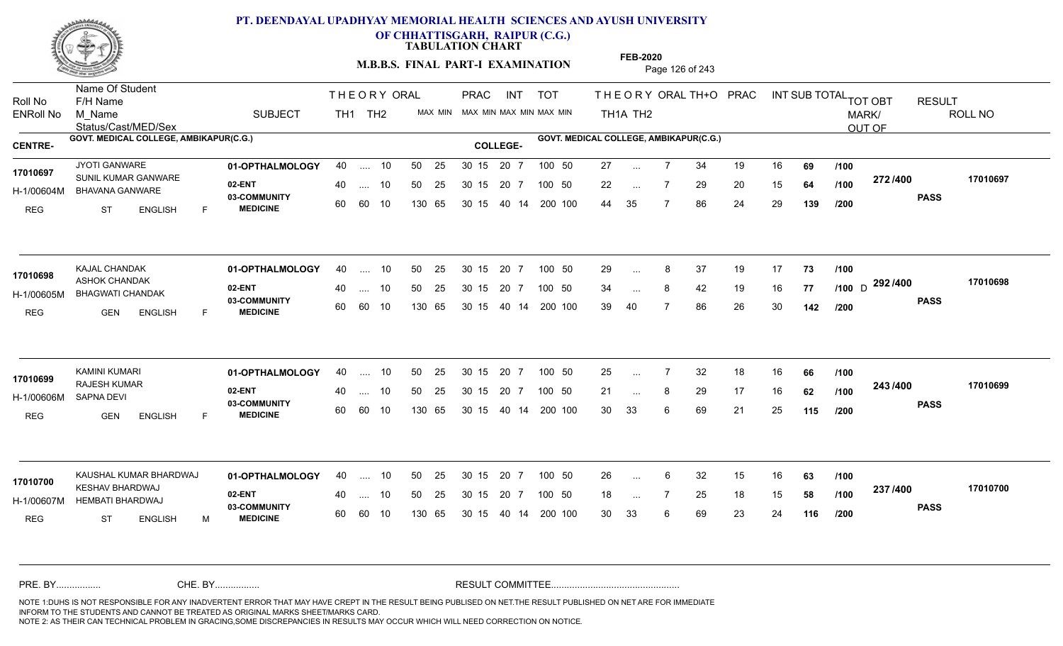

**OF CHHATTISGARH, RAIPUR (C.G.)**

**TABULATION CHART** 

**M.B.B.S. FINAL PART-I EXAMINATION** Page 126 of 243

Status/Cast/MED/Sex Name Of Student Roll No F/H Name M\_Name SUBJECT TH1 TH2 <sup>MAX\_MIN</sup> N PRAC INT TOT THEORYORALTH+O PRAC INT TH<sub>1</sub>A TH<sub>2</sub> ORAL TH+ODPRACD INT SUB TOTAL <sub>TOT OBT</sub> RESULT ROLL NO MARK/ OUT OF ENRoll No M Name  $\,$  SUBJECT TH1 TH2 MAX MIN MAX MIN MAX MIN MAX MIN TH1A TH2 GOVT. MEDICAL COLLEGE, AMBIKAPUR(C.G.) **A COLLEGE AMBIKAPUR(C.G.) GOVT. MEDICAL COLLEGE, AMBIKAPUR(C.G.)** THE ORY ORAL PRAC INT PRAC **01-OPTHALMOLOGY** 40 .... 10 50 25 30 15 20 7 100 50 27 100 41 **02-ENT** 03-COMMUNITY 60  **MEDICINE** H-1/00604M BHAVANA GANWARE **1998 - 1999 BEAVER** 17010697 SUNIL KUMAR GANWARE REG ST ENGLISH F 27 7 34 19 16 **69** 22 ... 7 29 20 15 **64 /100 <sup>212/400</sup>** 44 35 7 86 24 29 **139 272 PASS /400 17010697** .... 10 50 25 60 60 10 50 25 30 15 130 65 30 15 40 14 200 100 20 7 100 50 50 25 30 15 20 7 100 50 27 ... ... ... 7 **/100 /100 /200 01-OPTHALMOLOGY** KAJAL CHANDAK 40 .... 10 30 15 20 7 **02-ENT** 03-COMMUNITY 60  **MEDICINE** H-1/00605M BHAGWATI CHANDAK 17010698 ASHOK CHANDAK REG GEN ENGLISH F 29 ... 8 37 19 17 **73 /100** 34 ... 8 42 19 16 **77 /100** D <sup>292 / 400</sup> 39 40 7 86 26 30 **142 292** D **PASS /400 17010698** .... 10 50 25 60 60 10 30 15 20 7 130 65 30 15 40 14 200 100 30 15 20 7 100 50 50 25 30 15 20 7 100 50 29 ... 8 ... ... **/100 /100 /200 01-OPTHALMOLOGY** KAMINI KUMARI 40 .... 10 30 15 20 7 **02-ENT** 03-COMMUNITY 60  **MEDICINE** H-1/00606M RAJESH KUMAR **17010699** SAPNA DEVI REG GEN ENGLISH F 25 7 32 18 16 **66** 21 ... 8 29 17 16 **62 /100 <sup>2-+37-+00</sup>** 30 33 6 69 21 25 **115 243 PASS /400 17010699** .... 10 50 25 30 15 60 60 10 20 7 130 65 30 15 30 15 20 7 100 50 40 14 200 100 50 25 30 15 20 7 100 50 25 ... 7 ... ... **/100 /100 /200 01-OPTHALMOLOGY 02-ENT** 03-COMMUNITY 60 **MEDICINE** 60 60 10 H-1/00607M HEMBATI BHARDWAJ KESHAV BHARDWAJ **17010700** REG ST ENGLISH M 26 ... 6 32 15 16 **63 /100** 18 ... 7 25 18 15 **58 /100 <sup>237</sup>/100** 30 33 6 69 23 24 **116 237 PASS /400 17010700** KAUSHAL KUMAR BHARDWAJ 40 .... 10 30 15 20 7 .... 10 50 25 130 65 30 15 20 7 130 65 30 15 30 15 20 7 100 50 40 14 200 100 30 15 20 7 100 50 26 ... ... ... **/100 /100 /200** NOTE 1:DUHS IS NOT RESPONSIBLE FOR ANY INADVERTENT ERROR THAT MAY HAVE CREPT IN THE RESULT BEING PUBLISED ON NET.THE RESULT PUBLISHED ON NET ARE FOR IMMEDIATE INFORM TO THE STUDENTS AND CANNOT BE TREATED AS ORIGINAL MARKS SHEET/MARKS CARD. CHE. BY WAREL BY WARE AND THE AVEC THE AVEC THE THE RESULT COMMITTEE AND MULTIME MOTE 1:DUHS IS NOT RESPONSIBLE FOR ANY INADVERTENT ERROR THAT MAY HAVE CREPT IN THE RESULT BEING PUBLISED ON NET.THE RESULT PUBLISHED ON NET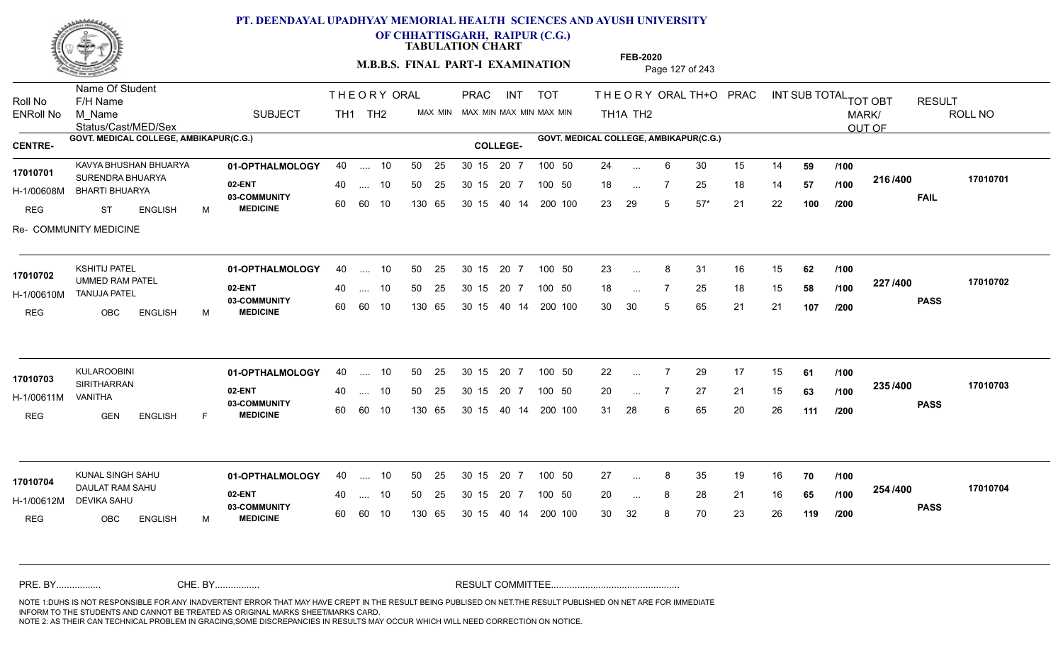

Name Of Student

### **PT. DEENDAYAL UPADHYAY MEMORIAL HEALTH SCIENCES AND AYUSH UNIVERSITY**

**OF CHHATTISGARH, RAIPUR (C.G.)**

**TABULATION CHART** 

**M.B.B.S. FINAL PART-I EXAMINATION** Page 127 of 243

PRAC

THE ORY ORAL PRAC INT

Status/Cast/MED/Sex Roll No F/H Name M\_Name SUBJECT TH1 TH2 <sup>MAX\_MIN</sup> N TH<sub>1</sub>A TH<sub>2</sub> ORAL TH+ODPRACD INT SUB TOTAL <sub>TOT OBT</sub> RESULT ROLL NO MARK/ OUT OF ENRoll No M Name  $\,$  SUBJECT TH1 TH2 MAX MIN MAX MIN MAX MIN MAX MIN TH1A TH2 GOVT. MEDICAL COLLEGE, AMBIKAPUR(C.G.) **A COLLEGE AMBIKAPUR(C.G.) GOVT. MEDICAL COLLEGE, AMBIKAPUR(C.G.) 01-OPTHALMOLOGY 02-ENT** 03-COMMUNITY 60  **MEDICINE** H-1/00608M BHARTI BHUARYA 17010701 SURENDRA BHUARYA <sub>oo —</sub>, \_ REG ST ENGLISH M 24 ... 6 30 15 14 **59 /100** 18 ... 7 25 18 14 **57 /100 <del>1</del>107400** 23 29 5 57\* 21 22 **100 216 FAIL 17010701 /400** Re- COMMUNITY MEDICINE KAVYA BHUSHAN BHUARYA **40 11-OPTHALMOLOGY** 40 .... 10 50 25 30 15 20 7 100 50 24 .... 10 50 25 60 60 10 50 25 30 15 130 65 30 15 40 14 200 100 20 7 100 50 100 50 24 ... ... ... **/100 /100 /200 01-OPTHALMOLOGY** KSHITIJ PATEL 40 .... 10 30 15 20 7 **02-ENT** 03-COMMUNITY 60  **MEDICINE** H-1/00610M TANUJA PATEL UMMED RAM PATEL **17010702** REG OBC ENGLISH M 23 ... 8 31 16 15 **62** /**100** 18 ... 7 25 18 15 **58 /100 <sup>227</sup> 1400** 30 30 5 65 21 21 **107 227 PASS /400 17010702**  $\ldots$  10 50 25 30 15 60 60 10 20 7 130 65 30 15 40 14 200 100 30 15 20 7 100 50 50 25 30 15 20 7 100 50 23 ... 8 ... ... **/100 /100 /200 01-OPTHALMOLOGY** KULAROOBINI 40 .... 10 30 15 20 7 **02-ENT** 03-COMMUNITY 60  **MEDICINE** H-1/00611M SIRITHARRAN **17010703** VANITHA REG GEN ENGLISH F 22 7 29 17 15 **61** 20 7 27 21 15 **63** 31 28 6 65 20 26 **111 235 PASS /400 17010703** .... 10 50 25 30 15 60 60 10 20 7 130 65 30 15 30 15 20 7 100 50 40 14 200 100 50 25 30 15 20 7 100 50 22 ... ... ... **/100 /100 /200 01-OPTHALMOLOGY** KUNAL SINGH SAHU 40 .... 10 30 15 20 7 **02-ENT** 03-COMMUNITY 60 **MEDICINE** 60 60 10 H-1/00612M DEVIKA SAHU DAULAT RAM SAHU **17010704** REG OBC ENGLISH M 27 ... 8 35 19 16 **70** /**100** 20 ... 8 28 21 16 **65 /100 <sup>2047</sup> 1** 30 32 8 70 23 26 **119 254 PASS /400 17010704** 40 .... 10 50 25 130 65 130 65 30 15 30 15 20 7 100 50 40 14 200 100 50 25 30 15 20 7 100 50 27 ... 8 ... ... **/100 /100 /200** NOTE 1:DUHS IS NOT RESPONSIBLE FOR ANY INADVERTENT ERROR THAT MAY HAVE CREPT IN THE RESULT BEING PUBLISED ON NET.THE RESULT PUBLISHED ON NET ARE FOR IMMEDIATE INFORM TO THE STUDENTS AND CANNOT BE TREATED AS ORIGINAL MARKS SHEET/MARKS CARD. CHE. BY WAREL BY WARE AND THE AVEC THE AVEC THE THE RESULT COMMITTEE AND MULTIME MOTE 1:DUHS IS NOT RESPONSIBLE FOR ANY INADVERTENT ERROR THAT MAY HAVE CREPT IN THE RESULT BEING PUBLISED ON NET.THE RESULT PUBLISHED ON NET

PRAC INT TOT THEORYORALTH+O PRAC INT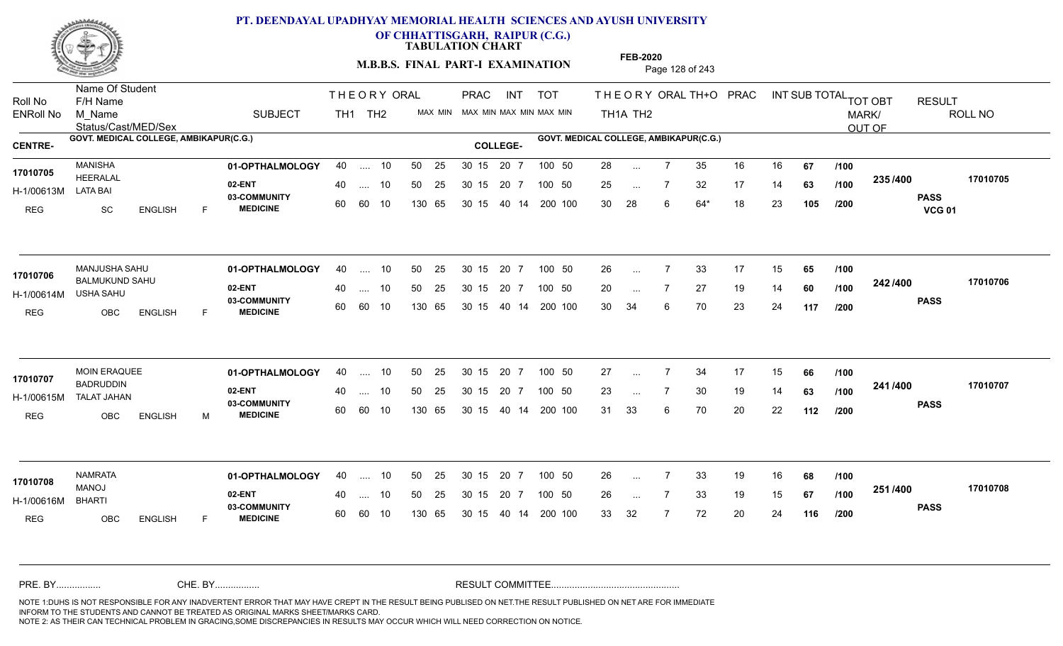

**OF CHHATTISGARH, RAIPUR (C.G.)**

**TABULATION CHART** 

**M.B.B.S. FINAL PART-I EXAMINATION** Page 128 of 243

Status/Cast/MED/Sex Name Of Student Roll No F/H Name M\_Name SUBJECT PRAC INT TOT THEORYORALTH+O PRAC INT TH<sub>1</sub>A TH<sub>2</sub> ORAL TH+ODPRACD INT SUB TOTAL <sub>TOT OBT</sub> RESULT ROLL NO MARK/ OUT OF ENRoll No M Name  $\,$  SUBJECT TH1 TH2 MAX MIN MAX MIN MAX MIN MAX MIN TH1A TH2 GOVT. MEDICAL COLLEGE, AMBIKAPUR(C.G.) **A COLLEGE AMBIKAPUR(C.G.) GOVT. MEDICAL COLLEGE, AMBIKAPUR(C.G.)** THE ORY ORAL PRAC INT TH<sub>1</sub> TH<sub>2</sub> PRAC **01-OPTHALMOLOGY** MANISHA 40 .... 10 30 15 20 7 **02-ENT** 03-COMMUNITY 60  **MEDICINE** H-1/00613M HEERALAL LATA BAI REG SC ENGLISH F 28 7 35 16 16 **67** 25 ... 7 32 17 14 **63 /100 <sup>2007</sup> 7** 30 28 6 64\* 18 23 **105 235 PASS VCG 01 /400 17010705** 40 .... 10 50 25 30 15 60 60 10 130 65 30 15 40 14 200 100 20 7 100 50 50 25 30 15 20 7 100 50 28 ... **17010705** MANISHA ... ... **/100 /100 /200 01-OPTHALMOLOGY** MANJUSHA SAHU 40 .... 10 30 15 20 7 **02-ENT** 03-COMMUNITY 60 **MEDICINE** 60 60 10 H-1/00614M USHA SAHU BALMUKUND SAHU REG OBC ENGLISH F 26 ... 7 33 17 15 **65 /100** 20 7 27 19 14 **60** 30 34 6 70 23 24 **117 242 PASS /400 17010706**  $\ldots$  10 50 25 30 15 130 65 20 7 130 65 30 15 40 14 200 100 30 15 20 7 100 50 50 25 30 15 20 7 100 50 26 ... MANJUSHA SAHU<br>17**010706** ... ... **/100 /100 /200 01-OPTHALMOLOGY** MOIN ERAQUEE 40 .... 10 30 15 20 7 **02-ENT** 03-COMMUNITY 60 **MEDICINE** 60 60 10 H-1/00615M BADRUDDIN TALAT JAHAN REG OBC ENGLISH M 27 7 34 17 15 **66** 23 ... 7 30 19 14 **63 /100 <sup>2-11</sup>/<sup>-100</sup>** 31 33 6 70 20 22 **112 241 PASS /400 17010707** .... 10 50 25 30 15 130 65 20 7 130 65 30 15 30 15 20 7 100 50 40 14 200 100 50 25 30 15 20 7 100 50 27 ... **17010707** MOIN ERAQUEE ... ... **/100 /100 /200 01-OPTHALMOLOGY** NAMRATA 40 .... 10 30 15 20 7 **02-ENT** 03-COMMUNITY 60 **MEDICINE** 60 60 10 H-1/00616M MANOJ BHARTI REG OBC ENGLISH F 26 7 33 19 16 **68** 26 7 33 19 15 **67** 33 32 7 72 20 24 **116 251 PASS /400 17010708** 40 .... 10 50 25 130 65 130 65 30 15 30 15 20 7 100 50 40 14 200 100 50 25 30 15 20 7 100 50 26 ... **17010708** ... ... **/100 /100 /200** NOTE 1:DUHS IS NOT RESPONSIBLE FOR ANY INADVERTENT ERROR THAT MAY HAVE CREPT IN THE RESULT BEING PUBLISED ON NET.THE RESULT PUBLISHED ON NET ARE FOR IMMEDIATE INFORM TO THE STUDENTS AND CANNOT BE TREATED AS ORIGINAL MARKS SHEET/MARKS CARD. CHE. BY WAREL BY WARE AND THE AVEC THE AVEC THE THE RESULT COMMITTEE AND MULTIME MOTE 1:DUHS IS NOT RESPONSIBLE FOR ANY INADVERTENT ERROR THAT MAY HAVE CREPT IN THE RESULT BEING PUBLISED ON NET.THE RESULT PUBLISHED ON NET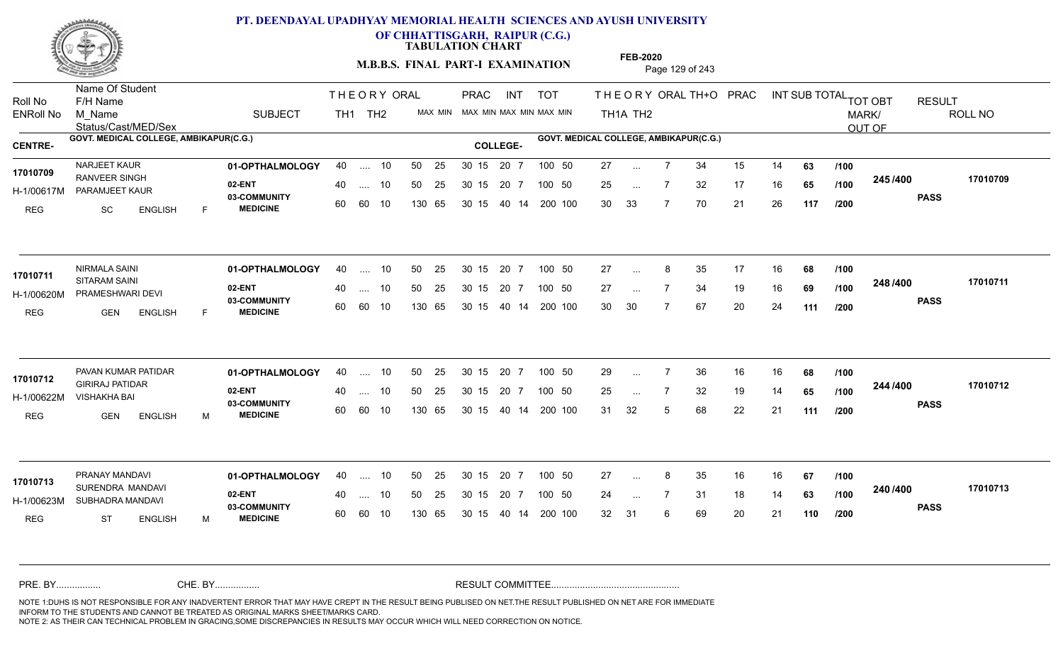

**OF CHHATTISGARH, RAIPUR (C.G.)**

**TABULATION CHART** 

**M.B.B.S. FINAL PART-I EXAMINATION** Page 129 of 243

Status/Cast/MED/Sex Name Of Student Roll No F/H Name M\_Name SUBJECT TH1 TH2 <sup>MAX\_MIN</sup> N PRAC INT TOT THEORYORALTH+O PRAC INT TH<sub>1</sub>A TH<sub>2</sub> ORAL TH+ODPRACD INT SUB TOTAL <sub>TOT OBT</sub> RESULT ROLL NO MARK/ OUT OF ENRoll No M Name  $\,$  SUBJECT TH1 TH2 MAX MIN MAX MIN MAX MIN MAX MIN TH1A TH2 GOVT. MEDICAL COLLEGE, AMBIKAPUR(C.G.) **A COLLEGE AMBIKAPUR(C.G.) GOVT. MEDICAL COLLEGE, AMBIKAPUR(C.G.)** THE ORY ORAL PRAC INT PRAC **01-OPTHALMOLOGY** NARJEET KAUR 40 .... 10 30 15 20 7 **02-ENT** 03-COMMUNITY 60  **MEDICINE** H-1/00617M PARAMJEET KAUR 17010709 RANVEER SINGH REG SC ENGLISH F 27 ... 7 34 15 14 **63** /**100** 25 ... 7 32 17 16 **65 /100 <sup>243/400</sup>** 30 33 7 70 21 26 **117 245 PASS /400 17010709** .... 10 50 25 60 60 10 50 25 30 15 130 65 30 15 40 14 200 100 20 7 100 50 50 25 30 15 20 7 100 50 27 ... ... ... 7 **/100 /100 /200 01-OPTHALMOLOGY** NIRMALA SAINI 40 .... 10 30 15 20 7 **02-ENT** 03-COMMUNITY 60  **MEDICINE** H-1/00620M PRAMESHWARI DEVI **17010711** SITARAM SAINI REG GEN ENGLISH F 27 ... 8 35 17 16 **68 /100** 27 7 34 19 16 **69** 30 30 7 67 20 24 **111 248 PASS /400 17010711** .... 10 50 25 60 60 10 30 15 20 7 130 65 30 15 40 14 200 100 30 15 20 7 100 50 50 25 30 15 20 7 100 50 27 ... 8 ... ... **/100 /100 /200** PAVAN KUMAR PATIDAR **01-OPTHALMOLOGY** 40 .... 10 50 25 30 15 20 7 100 50 29 **02-ENT** 03-COMMUNITY 60  **MEDICINE** H-1/00622M VISHAKHA BAI 17010712 **GIRIRAJ PATIDAR** REG GEN ENGLISH M 29 7 36 16 16 **68** 25 ... 7 32 19 14 **65 /100 <sup>244 /4</sup>00** 31 32 5 68 22 21 **111 244 PASS /400 17010712** .... 10 50 25 30 15 60 60 10 20 7 130 65 30 15 30 15 20 7 100 50 40 14 200 100 50 25 30 15 20 7 100 50 29 ... 7 ... ... **/100 /100 /200 01-OPTHALMOLOGY** PRANAY MANDAVI 40 .... 10 30 15 20 7 **02-ENT** 03-COMMUNITY 60 **MEDICINE** 60 60 10 H-1/00623M SUBHADRA MANDAVI 17010713 <sub>SURENDRA</sub> MANDAVI REG ST ENGLISH M 27 ... 8 35 16 16 **67 /100** 24 7 31 18 14 **63** 32 31 6 69 20 21 **110 240 PASS /400 17010713** 40 .... 10 50 25 130 65 130 65 30 15 30 15 20 7 100 50 40 14 200 100 50 25 30 15 20 7 100 50 27 ... 8 ... ... **/100 /100 /200** NOTE 1:DUHS IS NOT RESPONSIBLE FOR ANY INADVERTENT ERROR THAT MAY HAVE CREPT IN THE RESULT BEING PUBLISED ON NET.THE RESULT PUBLISHED ON NET ARE FOR IMMEDIATE INFORM TO THE STUDENTS AND CANNOT BE TREATED AS ORIGINAL MARKS SHEET/MARKS CARD. CHE. BY WAREL BY WARE AND THE AVEC THE AVEC THE THE RESULT COMMITTEE AND MULTIME AND THE RESULT COMMITTEE AN A<br>THE STUDENTS AND CANNOT BE TREATED AS ORIGINAL MARKS SHEET/MARKS CARD.<br>INFORM TO THE STUDENTS AND CANNOT BE TRE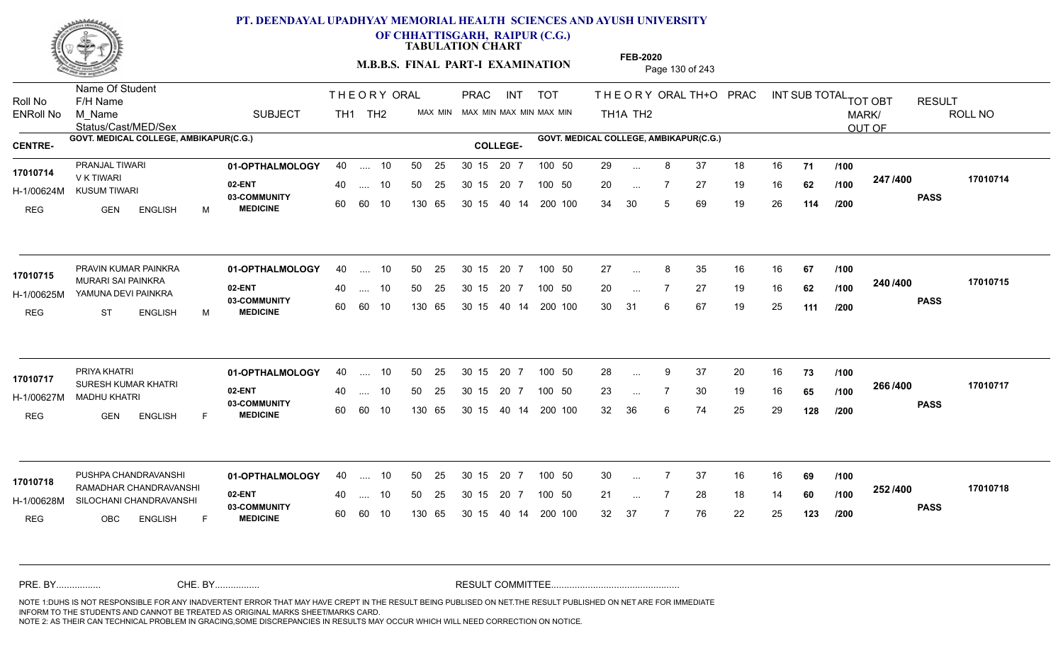

**OF CHHATTISGARH, RAIPUR (C.G.)**

**TABULATION CHART** 

**M.B.B.S. FINAL PART-I EXAMINATION** Page 130 of 243

Status/Cast/MED/Sex Name Of Student Roll No F/H Name M\_Name SUBJECT TH1 TH2 <sup>MAX\_MIN</sup> N PRAC INT TOT THEORYORALTH+O PRAC INT TH<sub>1</sub>A TH<sub>2</sub> ORAL TH+ODPRACD INT SUB TOTAL <sub>TOT OBT</sub> RESULT ROLL NO MARK/ OUT OF ENRoll No M Name  $\,$  SUBJECT TH1 TH2 MAX MIN MAX MIN MAX MIN MAX MIN TH1A TH2 GOVT. MEDICAL COLLEGE, AMBIKAPUR(C.G.) **A COLLEGE AMBIKAPUR(C.G.) GOVT. MEDICAL COLLEGE, AMBIKAPUR(C.G.)** THE ORY ORAL PRAC INT PRAC **01-OPTHALMOLOGY** PRANJAL TIWARI 40 .... 10 30 15 20 7 **02-ENT** 03-COMMUNITY 60  **MEDICINE** H-1/00624M KUSUM TIWARI V K TIWARI REG GEN ENGLISH M 29 ... 8 37 18 16 **71 /100** 20 7 27 19 16 **62** 34 30 5 69 19 26 **114 247 PASS /400 17010714** .... 10 50 25 60 60 10 50 25 30 15 130 65 30 15 20 7 100 50 40 14 200 100 50 25 30 15 20 7 100 50 29 ... **17010714** PRANJAL TIWARI ... ... **/100 /100 /200** PRAVIN KUMAR PAINKRA **01-OPTHALMOLOGY** 40 .... 10 50 25 30 15 20 7 100 50 27 **02-ENT** 03-COMMUNITY 60  **MEDICINE** H-1/00625M YAMUNA DEVI PAINKRA 17010715 MURARI SAI PAINKRA<br>
MURARI SAI PAINKRA REG ST ENGLISH M 27 ... 8 35 16 16 **67 /100** 20 7 27 19 16 **62** 30 31 6 67 19 25 **111 240 PASS /400 17010715** .... 10 50 25 60 60 10 30 15 20 7 130 65 30 15 40 14 200 100 30 15 20 7 100 50 50 25 30 15 20 7 100 50 27 ... 8 ... ... **/100 /100 /200 01-OPTHALMOLOGY** PRIYA KHATRI 40 .... 10 30 15 20 7 **02-ENT** 03-COMMUNITY 60  **MEDICINE** H-1/00627M MADHU KHATRI 17010717 <sub>SURESH KUMAR KHATRI</sub> REG GEN ENGLISH F 28 9 37 20 16 **73** 23 7 30 19 16 **65** 32 36 6 74 25 29 **128 266 PASS /400 17010717** .... 10 50 25 30 15 60 60 10 20 7 130 65 30 15 30 15 20 7 100 50 40 14 200 100 50 25 30 15 20 7 100 50 28 ... ... ... **/100 /100 /200 01-OPTHALMOLOGY 02-ENT** 03-COMMUNITY 60 **MEDICINE** 60 60 10 H-1/00628M SILOCHANI CHANDRAVANSHI 2 RAMADHAR CHANDRAVANSHI **17010718** REG OBC ENGLISH F 30 7 37 16 16 **69** 21 ... 7 28 18 14 **60** /1**00 <sup>202</sup> 1** 32 37 7 76 22 25 **123 252 PASS /400 17010718** PUSHPA CHANDRAVANSH **01-OPTHALMOLOGY** 40 .... 10 50 25 30 15 20 7 100 50 30 40 .... 10 50 25 130 65 130 65 30 15 30 15 20 7 100 50 40 14 200 100 100 50 30 ... ... ... **/100 /100 /200** NOTE 1:DUHS IS NOT RESPONSIBLE FOR ANY INADVERTENT ERROR THAT MAY HAVE CREPT IN THE RESULT BEING PUBLISED ON NET.THE RESULT PUBLISHED ON NET ARE FOR IMMEDIATE INFORM TO THE STUDENTS AND CANNOT BE TREATED AS ORIGINAL MARKS SHEET/MARKS CARD. CHE. BY WAREL BY WARE AND THE AVEC THE AVEC THE THE RESULT COMMITTEE AND MULTIME AND THE RESULT COMMITTEE AN A<br>THE STUDENTS AND CANNOT BE TREATED AS ORIGINAL MARKS SHEET/MARKS CARD.<br>INFORM TO THE STUDENTS AND CANNOT BE TRE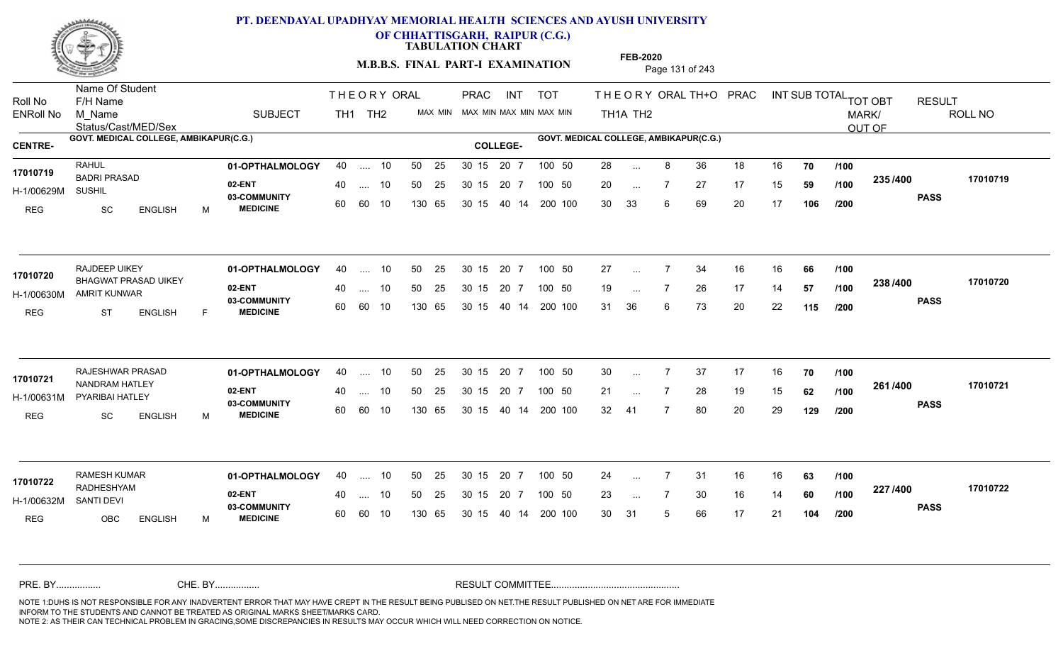

**OF CHHATTISGARH, RAIPUR (C.G.)**

**TABULATION CHART** 

**M.B.B.S. FINAL PART-I EXAMINATION** Page 131 of 243

Status/Cast/MED/Sex Name Of Student Roll No F/H Name M\_Name SUBJECT TH1 TH2 <sup>MAX\_MIN</sup> N PRAC INT TOT THEORY ORAL TH+O PRAC INT TH<sub>1</sub>A TH<sub>2</sub> ORAL TH+ODPRACD INT SUB TOTAL <sub>TOT OBT</sub> RESULT ROLL NO MARK/ OUT OF ENRoll No M Name  $\,$  SUBJECT TH1 TH2 MAX MIN MAX MIN MAX MIN MAX MIN TH1A TH2 GOVT. MEDICAL COLLEGE, AMBIKAPUR(C.G.) **A COLLEGE AMBIKAPUR(C.G.) GOVT. MEDICAL COLLEGE, AMBIKAPUR(C.G.)** THE ORY ORAL PRAC INT PRAC **01-OPTHALMOLOGY** RAHUL 40 .... 10 30 15 20 7 **02-ENT** 03-COMMUNITY 60  **MEDICINE** H-1/00629M 17010719 BADRI PRASAD **17010719** SUSHIL REG SC ENGLISH M 28 ... 8 36 18 16 **70 /100** 20 ... 7 27 17 15 **59 /100 <sup>2007</sup> 7** 30 33 6 69 20 17 **106 235 PASS /400 17010719** .... 10 50 25 60 60 10 50 25 30 15 130 65 30 15 40 14 200 100 20 7 100 50 50 25 30 15 20 7 100 50 28 ... ... ... **/100 /100 /200 01-OPTHALMOLOGY** RAJDEEP UIKEY 40 .... 10 30 15 20 7 **02-ENT** 03-COMMUNITY 60  **MEDICINE** H-1/00630M AMRIT KUNWAR BHAGWAT PRASAD UIKEY **17010720** REG ST ENGLISH F 27 ... 7 34 16 16 **66 /100** 19 ... 7 26 17 14 **57 /100 <sup>2007</sup>** 31 36 6 73 20 22 **115 238 PASS /400 17010720**  $\dots$  10 50 25 30 15 60 60 10 20 7 130 65 30 15 40 14 200 100 30 15 20 7 100 50 50 25 30 15 20 7 100 50 27 ... ... ... **/100 /100 /200** RAJESHWAR PRASAD **01-OPTHALMOLOGY** 40 .... 10 50 25 30 15 20 7 100 50 30 **02-ENT** 03-COMMUNITY 60  **MEDICINE** H-1/00631M PYARIBAI HATLEY **1999 PARTICLE** NANDRAM HATLEY **17010721** REG SC ENGLISH M 30 7 37 17 16 **70** 21 ... 7 28 19 15 **62** /1**00 <sup>2017–00</sup>** 32 41 7 80 20 29 **129 261 PASS /400 17010721** .... 10 50 25 30 15 60 60 10 20 7 130 65 30 15 30 15 20 7 100 50 40 14 200 100 50 25 30 15 20 7 100 50 30 ... ... ... **/100 /100 /200 01-OPTHALMOLOGY** RAMESH KUMAR 40 .... 10 30 15 20 7 **02-ENT** 03-COMMUNITY 60 **MEDICINE** 60 60 10 H-1/00632M RADHESHYAM **17010722** SANTI DEVI REG OBC ENGLISH M 24 7 31 16 16 **63** 23 ... 7 30 16 14 **60 /100 <sup>227</sup> 1<del>-</del>00** 30 31 5 66 17 21 **104 227 PASS /400 17010722** .... 10 50 25 130 65 50 25 30 15 130 65 30 15 20 7 100 50 40 14 200 100 50 25 30 15 20 7 100 50 24 ... ... ... **/100 /100 /200** NOTE 1:DUHS IS NOT RESPONSIBLE FOR ANY INADVERTENT ERROR THAT MAY HAVE CREPT IN THE RESULT BEING PUBLISED ON NET.THE RESULT PUBLISHED ON NET ARE FOR IMMEDIATE INFORM TO THE STUDENTS AND CANNOT BE TREATED AS ORIGINAL MARKS SHEET/MARKS CARD. CHE. BY WAREL BY WARE AND THE AVEC THE AVEC THE THE RESULT COMMITTEE AND MULTIME AND THE RESULT COMMITTEE AN A<br>THE STUDENTS AND CANNOT BE TREATED AS ORIGINAL MARKS SHEET/MARKS CARD.<br>INFORM TO THE STUDENTS AND CANNOT BE TRE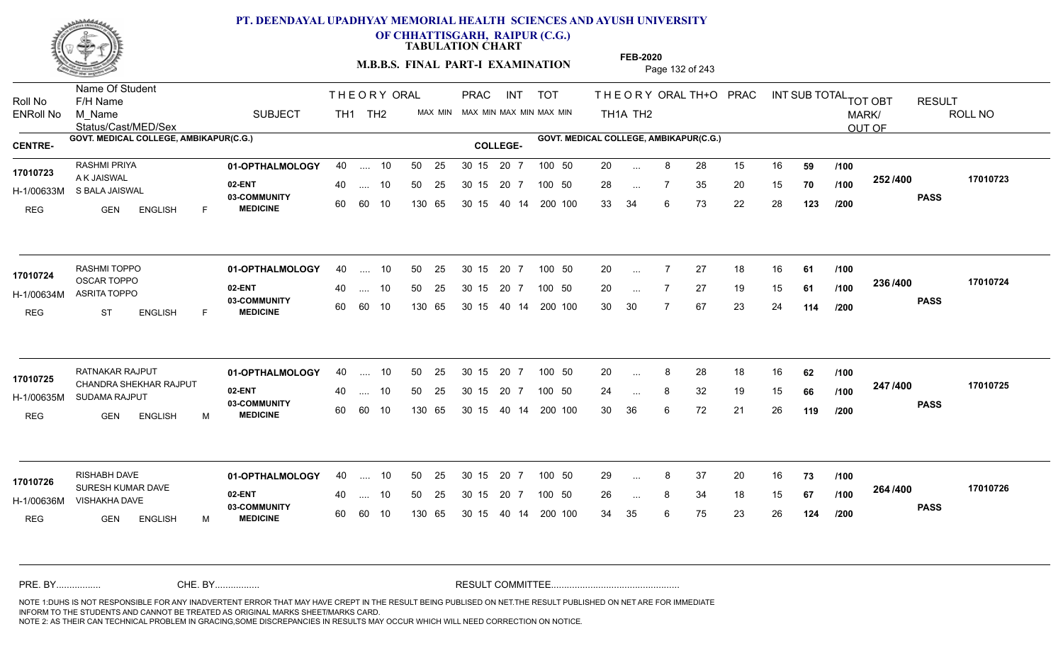

**OF CHHATTISGARH, RAIPUR (C.G.)**

**TABULATION CHART** 

**M.B.B.S. FINAL PART-I EXAMINATION** Page 132 of 243

Status/Cast/MED/Sex Name Of Student Roll No F/H Name M\_Name SUBJECT TH1 TH2 <sup>MAX\_MIN</sup> N PRAC INT TOT THEORY ORAL TH+O PRAC INT TH<sub>1</sub>A TH<sub>2</sub> ORAL TH+ODPRACD INT SUB TOTAL <sub>TOT OBT</sub> RESULT ROLL NO MARK/ OUT OF ENRoll No M Name  $\,$  SUBJECT TH1 TH2 MAX MIN MAX MIN MAX MIN MAX MIN TH1A TH2 GOVT. MEDICAL COLLEGE, AMBIKAPUR(C.G.) **A COLLEGE AMBIKAPUR(C.G.) GOVT. MEDICAL COLLEGE, AMBIKAPUR(C.G.)** THE ORY ORAL PRAC INT PRAC **01-OPTHALMOLOGY** RASHMI PRIYA 40 .... 10 30 15 20 7 **02-ENT** 03-COMMUNITY 60  **MEDICINE** H-1/00633M S BALA JAISWAL A K JAISWAL REG GEN ENGLISH F 20 8 28 15 16 **59** 28 ... 7 35 20 15 **70 /100 <sup>2027</sup> 70** 33 34 6 73 22 28 **123 252 PASS /400 17010723** 40 .... 10 50 25 30 15 60 60 10 130 65 30 15 40 14 200 100 20 7 100 50 50 25 30 15 20 7 100 50 20 ... **17010723** RASHMI PRIYA ... ... **/100 /100 /200 01-OPTHALMOLOGY** RASHMI TOPPO 40 .... 10 30 15 20 7 **02-ENT** 03-COMMUNITY 60  **MEDICINE** H-1/00634M ASRITA TOPPO OSCAR TOPPO **17010724** REG ST ENGLISH F 20 7 27 18 16 **61** 20 7 27 19 15 **61** 30 30 7 67 23 24 **114 236 PASS /400 17010724**  $\ldots$  10 50 25 30 15 60 60 10 20 7 130 65 30 15 40 14 200 100 30 15 20 7 100 50 50 25 30 15 20 7 100 50 20 ... ... ... **/100 /100 /200 01-OPTHALMOLOGY** RATNAKAR RAJPUT 40 .... 10 30 15 20 7 **02-ENT** 03-COMMUNITY 60  **MEDICINE** H-1/00635M SUDAMA RAJPUT 17010725 CHANDRA SHEKHAR RAJPUT REG GEN ENGLISH M 20 8 28 18 16 **62** 24 ... 8 32 19 15 **66 /100 <sup>247</sup> /\*\*** 30 36 6 72 21 26 **119 247 PASS /400 17010725** .... 10 50 25 30 15 60 60 10 20 7 130 65 30 15 30 15 20 7 100 50 40 14 200 100 50 25 30 15 20 7 100 50 20 ... 8 ... ... **/100 /100 /200 01-OPTHALMOLOGY** RISHABH DAVE 40 .... 10 30 15 20 7 **02-ENT** 03-COMMUNITY 60 **MEDICINE** 60 60 10 H-1/00636M VISHAKHA DAVE NE HOOGS ON 199.99 SURESH KUMAR DAVE **17010726** REG GEN ENGLISH M 29 8 37 20 16 **73** 26 ... 8 34 18 15 **67 /100 <sup>2047</sup> 1** 34 35 6 75 23 26 **124 264 PASS /400 17010726** 40 .... 10 50 25 130 65 130 65 30 15 30 15 20 7 100 50 40 14 200 100 50 25 30 15 20 7 100 50 29 ... 8 ... ... **/100 /100 /200** NOTE 1:DUHS IS NOT RESPONSIBLE FOR ANY INADVERTENT ERROR THAT MAY HAVE CREPT IN THE RESULT BEING PUBLISED ON NET.THE RESULT PUBLISHED ON NET ARE FOR IMMEDIATE INFORM TO THE STUDENTS AND CANNOT BE TREATED AS ORIGINAL MARKS SHEET/MARKS CARD. CHE. BY WAREL BY WARE AND THE AVEC THE AVEC THE THE RESULT COMMITTEE AND MULTIME AND THE RESULT COMMITTEE AN A<br>THE STUDENTS AND CANNOT BE TREATED AS ORIGINAL MARKS SHEET/MARKS CARD.<br>INFORM TO THE STUDENTS AND CANNOT BE TRE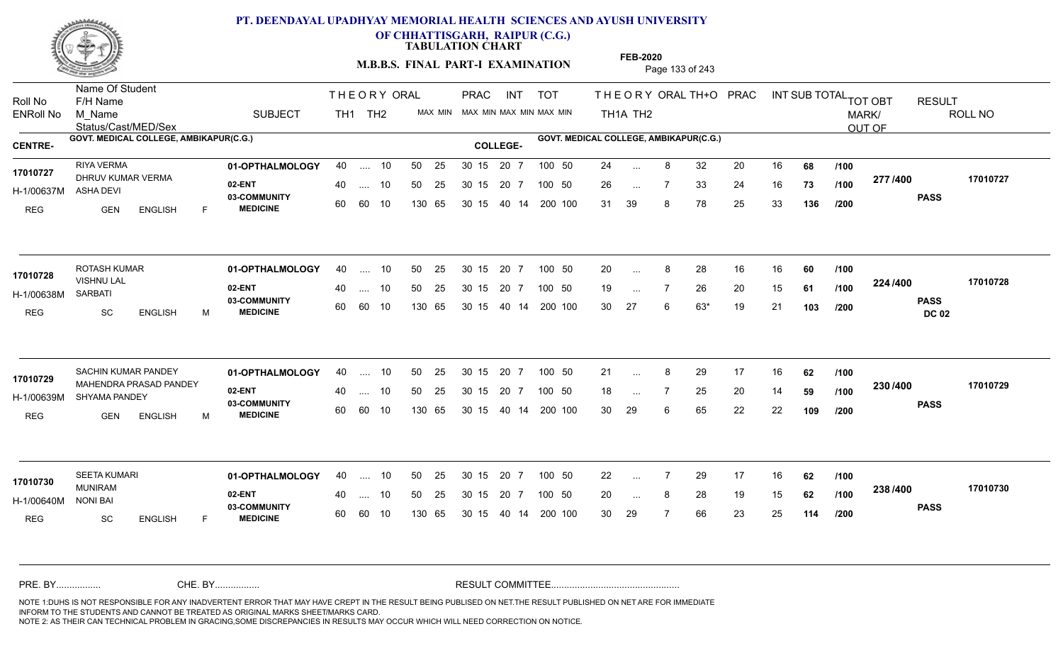

**OF CHHATTISGARH, RAIPUR (C.G.)**

**TABULATION CHART** 

**M.B.B.S. FINAL PART-I EXAMINATION** Page 133 of 243

Status/Cast/MED/Sex Name Of Student Roll No F/H Name M\_Name SUBJECT TH1 TH2 <sup>MAX\_MIN</sup> N PRAC INT TOT THEORY ORAL TH+O PRAC INT TH<sub>1</sub>A TH<sub>2</sub> ORAL TH+ODPRACD INT SUB TOTAL <sub>TOT OBT</sub> RESULT ROLL NO MARK/ OUT OF ENRoll No M Name  $\,$  SUBJECT TH1 TH2 MAX MIN MAX MIN MAX MIN MAX MIN TH1A TH2 GOVT. MEDICAL COLLEGE, AMBIKAPUR(C.G.) **A COLLEGE AMBIKAPUR(C.G.) GOVT. MEDICAL COLLEGE, AMBIKAPUR(C.G.)** THE ORY ORAL PRAC INT PRAC **01-OPTHALMOLOGY** RIYA VERMA 40 .... 10 30 15 20 7 **02-ENT** 03-COMMUNITY 60  **MEDICINE** H-1/00637M DHRUV KUMAR VERMA **17010727** ASHA DEVI REG GEN ENGLISH F 24 ... 8 32 20 16 **68 /100** 26 7 33 24 16 **73** 31 39 8 78 25 33 **136 277 PASS /400 17010727** .... 10 50 25 60 60 10 50 25 30 15 130 65 30 15 40 14 200 100 20 7 100 50 50 25 30 15 20 7 100 50 24 ... ... ... **/100 /100 /200 01-OPTHALMOLOGY** ROTASH KUMAR 40 .... 10 30 15 20 7 **02-ENT** 03-COMMUNITY 60 **MEDICINE** 60 60 10 H-1/00638M VISHNU LAL SARBATI REG SC ENGLISH M 20 8 28 16 16 **60** 19 ... 7 26 20 15 **61 /100 <sup>224</sup>/400** 30 27 6 63\* 19 21 **103 224 PASS DC 02 /400 17010728**  $\ldots$  10 50 25 30 15 130 65 20 7 130 65 30 15 40 14 200 100 30 15 20 7 100 50 50 25 30 15 20 7 100 50 20 ... 8 **17010728 17010728** ... ... **/100 /100 /200** SACHIN KUMAR PANDEY **01-OPTHALMOLOGY** 40 .... 10 50 25 30\_15 20\_7 100\_50 21 **02-ENT** 03-COMMUNITY 60  **MEDICINE** H-1/00639M SHYAMA PANDEY 17010729 MAHENDRA PRASAD PANDEY REG GEN ENGLISH M 21 ... 8 29 17 16 **62** /**100** 18 ... 7 25 20 14 **59 /100 <sup>2007</sup>** 30 29 6 65 22 22 **109 230 PASS /400 17010729** .... 10 50 25 30 15 60 60 10 20 7 130 65 30 15 30 15 20 7 100 50 40 14 200 100 50 25 30 15 20 7 100 50 21 ... ... ... **/100 /100 /200 01-OPTHALMOLOGY** 40 .... 10 50 25 30 15 20 7 100 50 22 **02-ENT** 03-COMMUNITY 60 **MEDICINE** 60 60 10 H-1/00640M MUNIRAM NONI BAI REG SC ENGLISH F 22 7 29 17 16 **62** 20 ... 8 28 19 15 **62 /100 <sup>2007</sup> 1** 30 29 7 66 23 25 **114 238 PASS /400 17010730** 40 .... 10 50 25 130 65 130 65 30 15 30 15 20 7 100 50 40 14 200 100 50 25 30 15 20 7 100 50 22 ... **17010730** ... ... **/100 /100 /200** NOTE 1:DUHS IS NOT RESPONSIBLE FOR ANY INADVERTENT ERROR THAT MAY HAVE CREPT IN THE RESULT BEING PUBLISED ON NET.THE RESULT PUBLISHED ON NET ARE FOR IMMEDIATE INFORM TO THE STUDENTS AND CANNOT BE TREATED AS ORIGINAL MARKS SHEET/MARKS CARD. CHE. BY WAREL BY WARE AND THE AVEC THE AVEC THE THE RESULT COMMITTEE AND MULTIME AND THE RESULT COMMITTEE AN A<br>THE STUDENTS AND CANNOT BE TREATED AS ORIGINAL MARKS SHEET/MARKS CARD.<br>INFORM TO THE STUDENTS AND CANNOT BE TRE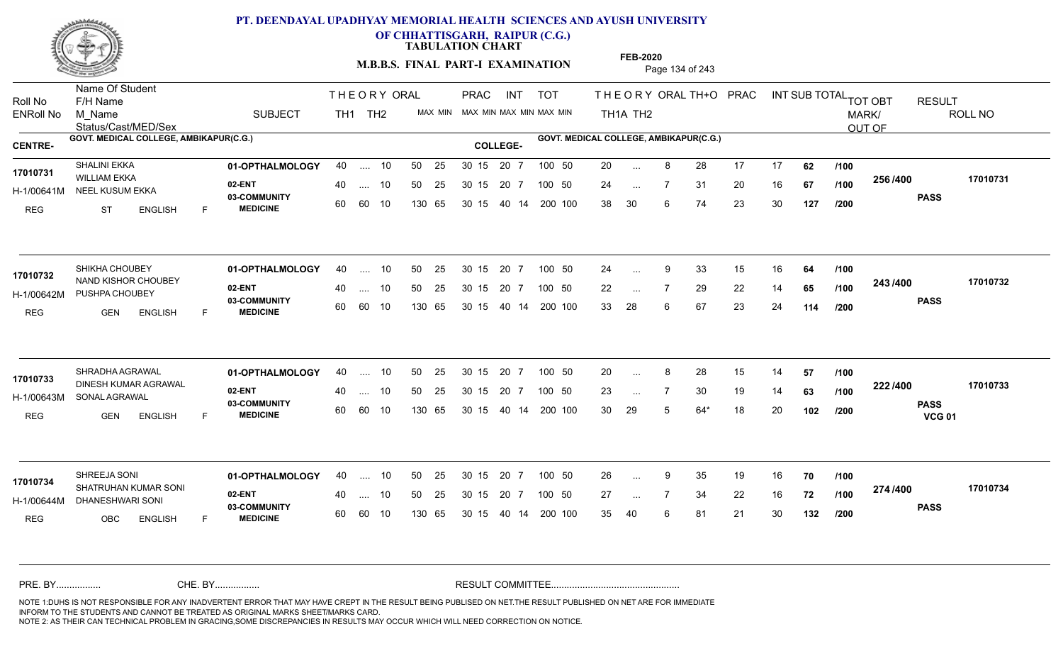

**OF CHHATTISGARH, RAIPUR (C.G.)**

**TABULATION CHART** 

**M.B.B.S. FINAL PART-I EXAMINATION** Page 134 of 243

Status/Cast/MED/Sex Name Of Student Roll No F/H Name M\_Name SUBJECT TH1 TH2 <sup>MAX\_MIN</sup> N PRAC INT TOT THEORY ORAL TH+O PRAC INT TH<sub>1</sub>A TH<sub>2</sub> ORAL TH+ODPRACD INT SUB TOTAL <sub>TOT OBT</sub> RESULT ROLL NO MARK/ OUT OF ENRoll No M Name  $\,$  SUBJECT TH1 TH2 MAX MIN MAX MIN MAX MIN MAX MIN TH1A TH2 GOVT. MEDICAL COLLEGE, AMBIKAPUR(C.G.) **A COLLEGE AMBIKAPUR(C.G.) GOVT. MEDICAL COLLEGE, AMBIKAPUR(C.G.)** THE ORY ORAL PRAC INT PRAC **01-OPTHALMOLOGY** SHALINI EKKA 40 .... 10 30 15 20 7 **02-ENT** 03-COMMUNITY 60  **MEDICINE** H-1/00641M NEEL KUSUM EKKA ARTI AR OO HIM 17010731 WILLIAM EKKA 2011 REG ST ENGLISH F 20 8 28 17 17 **62** 24 7 31 20 16 **67** 38 30 6 74 23 30 **127 256 PASS /400 17010731** 40 .... 10 50 25 30 15 60 60 10 130 65 30 15 40 14 200 100 20 7 100 50 50 25 30 15 20 7 100 50 20 ... ... ... **/100 /100 /200 01-OPTHALMOLOGY** SHIKHA CHOUBEY 40 .... 10 30 15 20 7 **02-ENT** 03-COMMUNITY 60  **MEDICINE** H-1/00642M PUSHPA CHOUBEY 22 PM 17010732 NAND KISHOR CHOUBEY REG GEN ENGLISH F 24 ... 9 33 15 16 **64 /100** 22 7 29 22 14 **65** 33 28 6 67 23 24 **114 243 PASS /400 17010732** .... 10 50 25 60 60 10 30 15 20 7 130 65 30 15 40 14 200 100 30 15 20 7 100 50 50 25 30 15 20 7 100 50 24 ... 9 ... ... **/100 /100 /200 01-OPTHALMOLOGY** SHRADHA AGRAWAL 40 .... 10 30 15 20 7 **02-ENT** 03-COMMUNITY 60  **MEDICINE** H-1/00643M SONAL AGRAWAL 17010733 DINESH KUMAR AGRAWAL REG GEN ENGLISH F 20 ... 8 28 15 14 **57 /100** 23 ... 7 30 19 14 **63 /100 <sup>222 / 4</sup>** 30 29 5 64\* 18 20 **102 222 PASS VCG 01 /400 17010733** .... 10 50 25 30 15 60 60 10 20 7 130 65 30 15 30 15 20 7 100 50 40 14 200 100 50 25 30 15 20 7 100 50 20 ... ... ... **/100 /100 /200 01-OPTHALMOLOGY** SHREEJA SONI 40 .... 10 30 15 20 7 **02-ENT** 03-COMMUNITY 60 **MEDICINE** 60 60 10 H-1/00644M DHANESHWARI SONI SHATRUHAN KUMAR SONI **17010734** REG OBC ENGLISH F 26 9 35 19 16 **70** 27 7 34 22 16 **72** 35 40 6 81 21 30 **132 274 PASS /400 17010734** 40 .... 10 50 25 130 65 130 65 30 15 30 15 20 7 100 50 40 14 200 100 50 25 30 15 20 7 100 50 26 ... 9 ... ... **/100 /100 /200** NOTE 1:DUHS IS NOT RESPONSIBLE FOR ANY INADVERTENT ERROR THAT MAY HAVE CREPT IN THE RESULT BEING PUBLISED ON NET.THE RESULT PUBLISHED ON NET ARE FOR IMMEDIATE INFORM TO THE STUDENTS AND CANNOT BE TREATED AS ORIGINAL MARKS SHEET/MARKS CARD. CHE. BY WAREL BY WARE AND THE AVEC THE AVEC THE THE RESULT COMMITTEE AND MULTIME AND THE RESULT COMMITTEE AN A<br>THE STUDENTS AND CANNOT BE TREATED AS ORIGINAL MARKS SHEET/MARKS CARD.<br>INFORM TO THE STUDENTS AND CANNOT BE TRE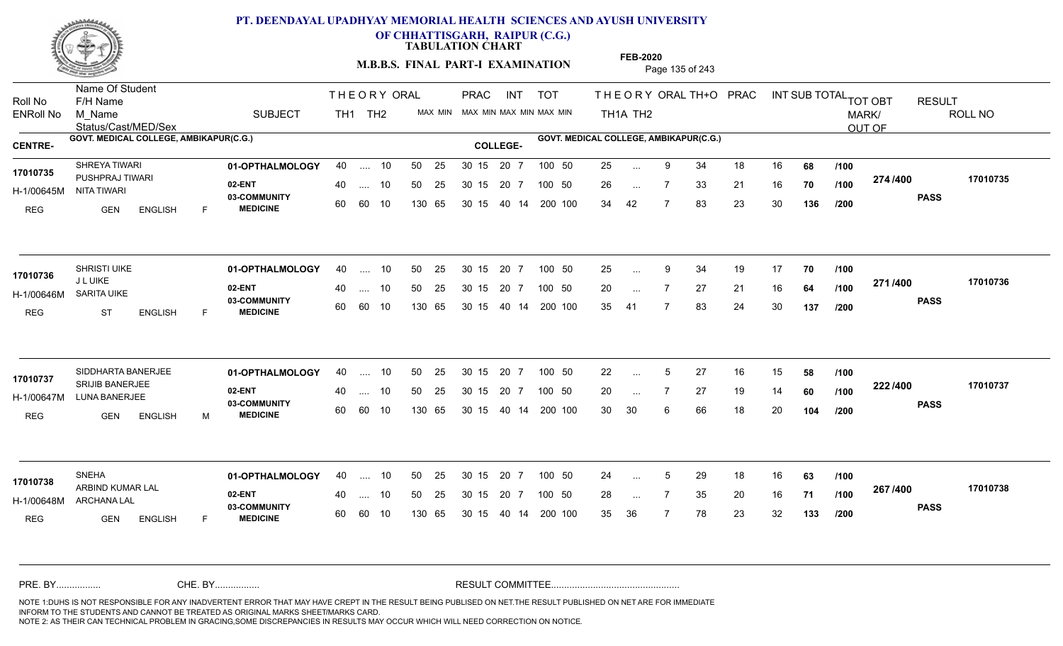

**OF CHHATTISGARH, RAIPUR (C.G.)**

**TABULATION CHART** 

**FEB-2020**

**M.B.B.S. FINAL PART-I EXAMINATION** Page 135 of 243

Status/Cast/MED/Sex Name Of Student Roll No F/H Name M\_Name SUBJECT TH1 TH2 <sup>MAX\_MIN</sup> N PRAC INT TOT THEORY ORAL TH+O PRAC INT TH<sub>1</sub>A TH<sub>2</sub> ORAL TH+ODPRACD INT SUB TOTAL <sub>TOT OBT</sub> RESULT ROLL NO MARK/ OUT OF ENRoll No M Name  $\,$  SUBJECT TH1 TH2 MAX MIN MAX MIN MAX MIN MAX MIN TH1A TH2 GOVT. MEDICAL COLLEGE, AMBIKAPUR(C.G.) **A COLLEGE AMBIKAPUR(C.G.) GOVT. MEDICAL COLLEGE, AMBIKAPUR(C.G.)** THE ORY ORAL PRAC INT PRAC **01-OPTHALMOLOGY** SHREYA TIWARI 40 .... 10 30 15 20 7 **02-ENT** 03-COMMUNITY 60  **MEDICINE** H-1/00645M NITA TIWARI PUSHPRAJ TIWARI **17010735** REG GEN ENGLISH F 25 9 34 18 16 **68** 26 ... 7 33 21 16 **70 /100 <del>11 1</del> 1** 34 42 7 83 23 30 **136 274 PASS /400 17010735** 40 .... 10 50 25 30 15 60 60 10 130 65 30 15 40 14 200 100 20 7 100 50 50 25 30 15 20 7 100 50 25 ... ... ... **/100 /100 /200 01-OPTHALMOLOGY** SHRISTI UIKE 40 .... 10 30 15 20 7 **02-ENT** 03-COMMUNITY 60 **MEDICINE** 60 60 10 H-1/00646M SARITA UIKE J L UIKE REG ST ENGLISH F 25 ... 9 34 19 17 **70 /100** 20 7 27 21 16 **64** 35 41 7 83 24 30 **137 271 PASS /400 17010736**  $\ldots$  10 50 25 30 15 130 65 20 7 130 65 30 15 40 14 200 100 30 15 20 7 100 50 50 25 30 15 20 7 100 50 25 ... 9 **17010736**<br>**17010736** ... ... **/100 /100 /200 01-OPTHALMOLOGY** SIDDHARTA BANERJEE 40 .... 10 30 15 20 7 **02-ENT** 03-COMMUNITY 60  **MEDICINE** H-1/00647M LUNA BANERJEE SRIJIB BANERJEE **17010737** REG GEN ENGLISH M 22 ... 5 27 16 15 **58 /100** 20 ... 7 27 19 14 **60** /**100 <sup>222</sup> 1<del>-</del>00** 30 30 6 66 18 20 **104 222 PASS /400 17010737** .... 10 50 25 30 15 60 60 10 20 7 130 65 30 15 30 15 20 7 100 50 40 14 200 100 50 25 30 15 20 7 100 50 22 ... ... ... **/100 /100 /200 01-OPTHALMOLOGY** 40 .... 10 50 25 30 15 20 7 100 50 24 **02-ENT** 03-COMMUNITY 60 **MEDICINE** 60 60 10 H-1/00648M ARCHANA LAL ARBIND KUMAR LAL **17010738** REG **GEN ENGLISH** F 24 ... 5 29 18 16 **63 /100** 28 7 35 20 16 **71** 35 36 7 78 23 32 **133 267 PASS /400 17010738** 40 .... 10 50 25 130 65 130 65 30 15 30 15 20 7 100 50 40 14 200 100 50 25 30 15 20 7 100 50 24 ... 5 ... 5 ... **/100 /100 /200** NOTE 1:DUHS IS NOT RESPONSIBLE FOR ANY INADVERTENT ERROR THAT MAY HAVE CREPT IN THE RESULT BEING PUBLISED ON NET.THE RESULT PUBLISHED ON NET ARE FOR IMMEDIATE INFORM TO THE STUDENTS AND CANNOT BE TREATED AS ORIGINAL MARKS SHEET/MARKS CARD. CHE. BY WAREL BY WARE AND THE AVEC THE AVEC THE THE RESULT COMMITTEE AND MULTIME AND THE RESULT COMMITTEE AN A<br>THE STUDENTS AND CANNOT BE TREATED AS ORIGINAL MARKS SHEET/MARKS CARD.<br>INFORM TO THE STUDENTS AND CANNOT BE TRE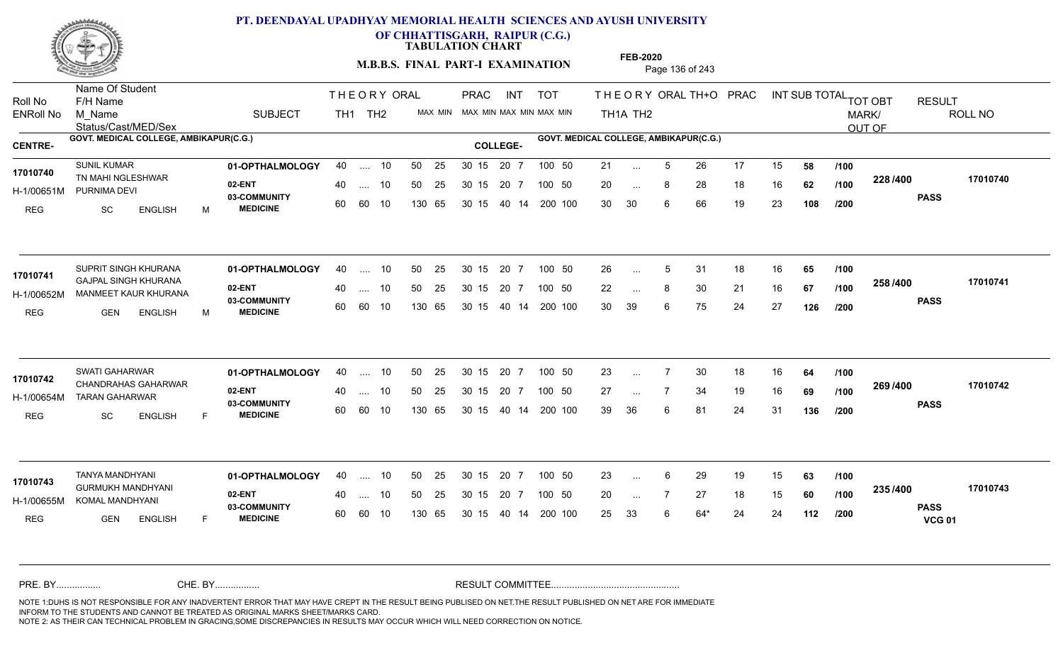

**OF CHHATTISGARH, RAIPUR (C.G.)**

**TABULATION CHART** 

**M.B.B.S. FINAL PART-I EXAMINATION** Page 136 of 243

Status/Cast/MED/Sex Name Of Student Roll No F/H Name M\_Name SUBJECT TH1 TH2 <sup>MAX\_MIN</sup> N PRAC INT TOT THEORY ORAL TH+O PRAC INT TH<sub>1</sub>A TH<sub>2</sub> ORAL TH+ODPRACD INT SUB TOTAL <sub>TOT OBT</sub> RESULT ROLL NO MARK/ OUT OF ENRoll No M Name  $\,$  SUBJECT TH1 TH2 MAX MIN MAX MIN MAX MIN MAX MIN TH1A TH2 GOVT. MEDICAL COLLEGE, AMBIKAPUR(C.G.) **A COLLEGE AMBIKAPUR(C.G.) GOVT. MEDICAL COLLEGE, AMBIKAPUR(C.G.)** THE ORY ORAL PRAC INT PRAC **01-OPTHALMOLOGY** SUNIL KUMAR 40 .... 10 30 15 20 7 **02-ENT** 03-COMMUNITY 60  **MEDICINE** H-1/00651M PURNIMA DEVI 17010740 TN MAHI NGLESHWAR REG SC ENGLISH M 21 ... 5 26 17 15 **58 /100** 20 ... 8 28 18 16 **62 /100 <sup>220 / 4</sup>00** 30 30 6 66 19 23 **108 228 PASS /400 17010740** .... 10 50 25 60 60 10 50 25 30 15 130 65 30 15 40 14 200 100 20 7 100 50 50 25 30 15 20 7 100 50 21 ... ... ... **/100 /100 /200** SUPRIT SINGH KHURANA **01-OPTHALMOLOGY** 40 .... 10 50 25 30 15 20 7 100 50 26 **02-ENT** 03-COMMUNITY 60  **MEDICINE** H-1/00652M MANMEET KAUR KHURANA GAJPAL SINGH KHURANA **17010741** REG GEN ENGLISH M 26 ... 5 31 18 16 **65 /100** 22 ... 8 30 21 16 **67 /100 <sup>2007</sup> \*** 30 39 6 75 24 27 **126 258 PASS /400 17010741** .... 10 50 25 60 60 10 30 15 20 7 130 65 30 15 40 14 200 100 30 15 20 7 100 50 50 25 30 15 20 7 100 50 26 ... 5 ... 5 ... **/100 /100 /200 01-OPTHALMOLOGY** SWATI GAHARWAR 40 .... 10 30 15 20 7 **02-ENT** 03-COMMUNITY 60  **MEDICINE** H-1/00654M TARAN GAHARWAR CHANDRAHAS GAHARWAR **17010742** REG SC ENGLISH F 23 7 30 18 16 **64** 27 7 34 19 16 **69** 39 36 6 81 24 31 **136 269 /100 PASS /400 17010742** .... 10 50 25 30 15 60 60 10 20 7 130 65 30 15 30 15 20 7 100 50 40 14 200 100 50 25 30 15 20 7 100 50 23 ... 7 ... ... **/100 /200 01-OPTHALMOLOGY** TANYA MANDHYANI 40 .... 10 30 15 20 7 **02-ENT** 03-COMMUNITY 60 **MEDICINE** 60 60 10 H-1/00655M KOMAL MANDHYANI GURMUKH MANDHYANI **17010743** REG **GEN ENGLISH** F 23 6 29 19 15 **63** 20 ... 7 27 18 15 **60** /**100 <sup>2337400</sup>** 25 33 6 64\* 24 24 **112 235 PASS VCG 01 /400 17010743** 40 .... 10 50 25 130 65 130 65 30 15 30 15 20 7 100 50 40 14 200 100 50 25 30 15 20 7 100 50 23 ... ... ... **/100 /100 /200** NOTE 1:DUHS IS NOT RESPONSIBLE FOR ANY INADVERTENT ERROR THAT MAY HAVE CREPT IN THE RESULT BEING PUBLISED ON NET.THE RESULT PUBLISHED ON NET ARE FOR IMMEDIATE INFORM TO THE STUDENTS AND CANNOT BE TREATED AS ORIGINAL MARKS SHEET/MARKS CARD. CHE. BY WAREL BY WARE AND THE AVEC THE AVEC THE THE RESULT COMMITTEE AND MULTIME AND THE RESULT COMMITTEE AN A<br>THE STUDENTS AND CANNOT BE TREATED AS ORIGINAL MARKS SHEET/MARKS CARD.<br>INFORM TO THE STUDENTS AND CANNOT BE TRE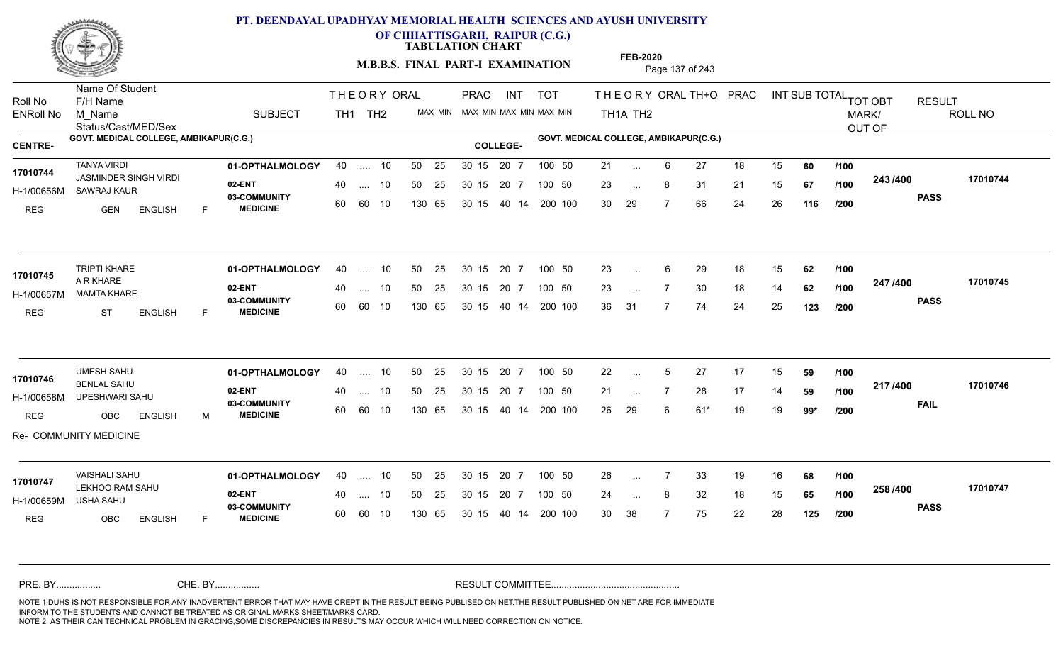

Name Of Student

## **PT. DEENDAYAL UPADHYAY MEMORIAL HEALTH SCIENCES AND AYUSH UNIVERSITY**

**OF CHHATTISGARH, RAIPUR (C.G.)**

**TABULATION CHART** 

**M.B.B.S. FINAL PART-I EXAMINATION** Page 137 of 243

PRAC

THE ORY ORAL PRAC INT

Status/Cast/MED/Sex Roll No F/H Name M\_Name SUBJECT TH1 TH2 <sup>MAX\_MIN</sup> N PRAC INT TOT THEORY ORAL TH+O PRAC INT TH<sub>1</sub>A TH<sub>2</sub> ORAL TH+ODPRACD INT SUB TOTAL <sub>TOT OBT</sub> RESULT ROLL NO MARK/ OUT OF ENRoll No M Name  $\,$  SUBJECT TH1 TH2 MAX MIN MAX MIN MAX MIN MAX MIN TH1A TH2 GOVT. MEDICAL COLLEGE, AMBIKAPUR(C.G.) **A COLLEGE AMBIKAPUR(C.G.) GOVT. MEDICAL COLLEGE, AMBIKAPUR(C.G.) 01-OPTHALMOLOGY** TANYA VIRDI 40 .... 10 30 15 20 7 **02-ENT** 03-COMMUNITY 60  **MEDICINE** H-1/00656M SAWRAJ KAUR JASMINDER SINGH VIRDI **17010744** REG GEN ENGLISH F 21 ... 6 27 18 15 **60** /**100** 23 ... 8 31 21 15 **67 /100 <sup>2437400</sup>** 30 29 7 66 24 26 **116 243 PASS /400 17010744** .... 10 50 25 60 60 10 50 25 30 15 130 65 30 15 40 14 200 100 20 7 100 50 50 25 30 15 20 7 100 50 21 ... ... ... **/100 /100 /200 01-OPTHALMOLOGY** TRIPTI KHARE 40 .... 10 30 15 20 7 **02-ENT** 03-COMMUNITY 60 **MEDICINE** 60 60 10 H-1/00657M MAMTA KHARE A R KHARE REG ST ENGLISH F 23 ... 6 29 18 15 **62** /**100** 23 ... 7 30 18 14 **62 /100 <del>4 1</del>7 1-00** 36 31 7 74 24 25 **123 247 PASS /400 17010745**  $\ldots$  10 50 25 30 15 130 65 20 7 130 65 30 15 40 14 200 100 30 15 20 7 100 50 50 25 30 15 20 7 100 50 23 ... **17010745** ... ... **/100 /100 /200 01-OPTHALMOLOGY** UMESH SAHU 40 .... 10 30 15 20 7 **02-ENT** 03-COMMUNITY 60  **MEDICINE** H-1/00658M UPESHWARI SAHU BENLAL SAHU **17010746** REG OBC ENGLISH M 22 ... 5 27 17 15 **59** /**100** 21 ... 7 28 17 14 **59 /100 <del>11</del>777** 26 29 6 61\* 19 19 **99\* 217 FAIL 17010746 /400** Re- COMMUNITY MEDICINE .... 10 50 25 30 15 60 60 10 20 7 130 65 30 15 30 15 20 7 100 50 40 14 200 100 50 25 30 15 20 7 100 50 22 ... ... ... **/100 /100 /200 01-OPTHALMOLOGY** VAISHALI SAHU 40 .... 10 30 15 20 7 **02-ENT** 03-COMMUNITY 60 **MEDICINE** 60 60 10 H-1/00659M USHA SAHU LEKHOO RAM SAHU **17010747** REG OBC ENGLISH F 26 7 33 19 16 **68** 24 ... 8 32 18 15 **65 /100 <sup>2007</sup> 1** 30 38 7 75 22 28 **125 258 PASS /400 17010747** 40 .... 10 50 25 130 65 130 65 30 15 30 15 20 7 100 50 40 14 200 100 50 25 30 15 20 7 100 50 26 ... ... ... **/100 /100 /200** NOTE 1:DUHS IS NOT RESPONSIBLE FOR ANY INADVERTENT ERROR THAT MAY HAVE CREPT IN THE RESULT BEING PUBLISED ON NET.THE RESULT PUBLISHED ON NET ARE FOR IMMEDIATE INFORM TO THE STUDENTS AND CANNOT BE TREATED AS ORIGINAL MARKS SHEET/MARKS CARD. CHE. BY WAREL BY WARE AND THE AVEC THE AVEC THE THE RESULT COMMITTEE AND MULTIME AND THE RESULT COMMITTEE AN A<br>THE STUDENTS AND CANNOT BE TREATED AS ORIGINAL MARKS SHEET/MARKS CARD.<br>INFORM TO THE STUDENTS AND CANNOT BE TRE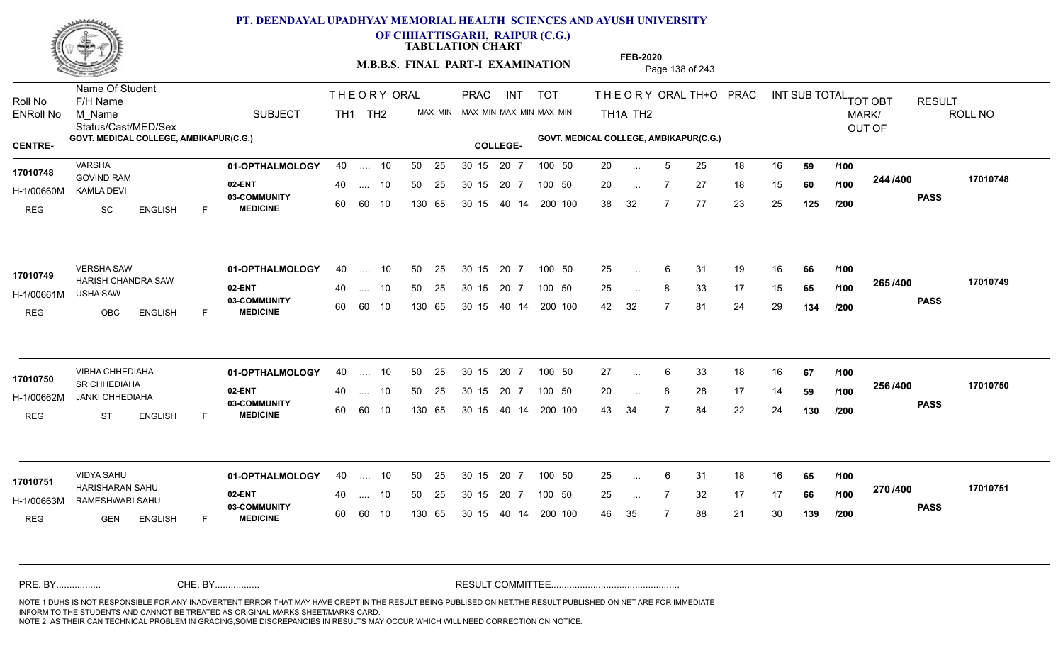

**OF CHHATTISGARH, RAIPUR (C.G.)**

**TABULATION CHART** 

**M.B.B.S. FINAL PART-I EXAMINATION** Page 138 of 243

Status/Cast/MED/Sex Name Of Student Roll No F/H Name M\_Name SUBJECT TH1 TH2 <sup>MAX\_MIN</sup> N PRAC INT TOT THEORY ORAL TH+O PRAC INT TH<sub>1</sub>A TH<sub>2</sub> ORAL TH+ODPRACD INT SUB TOTAL <sub>TOT OBT</sub> RESULT ROLL NO MARK/ OUT OF ENRoll No M Name  $\,$  SUBJECT TH1 TH2 MAX MIN MAX MIN MAX MIN MAX MIN TH1A TH2 GOVT. MEDICAL COLLEGE, AMBIKAPUR(C.G.) **A COLLEGE AMBIKAPUR(C.G.) GOVT. MEDICAL COLLEGE, AMBIKAPUR(C.G.)** THE ORY ORAL PRAC INT PRAC **01-OPTHALMOLOGY** VARSHA 40 .... 10 30 15 20 7 **02-ENT** 03-COMMUNITY 60  **MEDICINE** H-1/00660M GOVIND RAM **17010748** KAMLA DEVI REG SC ENGLISH F 20 ... 5 25 18 16 **59 /100** 20 ... 7 27 18 15 **60** /**100 <sup>244 /400</mark>**</sup> 38 32 7 77 23 25 **125 244 PASS /400 17010748** 40 .... 10 50 25 30 15 60 60 10 130 65 30 15 40 14 200 100 20 7 100 50 50 25 30 15 20 7 100 50 20 ... ... ... 7 **/100 /100 /200 01-OPTHALMOLOGY** VERSHA SAW 40 .... 10 30 15 20 7 **02-ENT** 03-COMMUNITY 60 **MEDICINE** 60 60 10 H-1/00661M 17010749 HARISH CHANDRA SAW USHA SAW REG OBC ENGLISH F 25 ... 6 31 19 16 **66 /100** 25 ... 8 33 17 15 **65 /100 <sup>2007–00</sup>** 42 32 7 81 24 29 **134 265 PASS /400 17010749** 40 .... 10 50 25 130 65 130 65 30 15 40 14 200 100 30 15 20 7 100 50 50 25 30 15 20 7 100 50 25 ... ... ... **/100 /100 /200 01-OPTHALMOLOGY** VIBHA CHHEDIAHA 40 .... 10 30 15 20 7 **02-ENT** 03-COMMUNITY 60 **MEDICINE** 60 60 10 H-1/00662M JANKI CHHEDIAHA SR CHHEDIAHA **17010750** REG ST ENGLISH F 27 6 33 18 16 **67** 20 ... 8 28 17 14 **59 /100 <sup>2307–60</sup>** 43 34 7 84 22 24 **130 256 PASS /400 17010750** .... 10 50 25 30 15 130 65 20 7 130 65 30 15 30 15 20 7 100 50 40 14 200 100 50 25 30 15 20 7 100 50 27 ... 6 ... ... **/100 /100 /200 01-OPTHALMOLOGY** VIDYA SAHU 40 .... 10 30 15 20 7 **02-ENT** 03-COMMUNITY 60 **MEDICINE** 60 60 10 H-1/00663M RAMESHWARI SAHU HARISHARAN SAHU **17010751** REG GEN ENGLISH F 25 ... 6 31 18 16 **65 /100** 25 ... 7 32 17 17 **66 /100 <sup>21 0</sup> 1**=0 46 35 7 88 21 30 **139 270 PASS /400 17010751** 40 .... 10 50 25 130 65 130 65 30 15 30 15 20 7 100 50 40 14 200 100 50 25 30 15 20 7 100 50 25 ... ... ... **/100 /100 /200** NOTE 1:DUHS IS NOT RESPONSIBLE FOR ANY INADVERTENT ERROR THAT MAY HAVE CREPT IN THE RESULT BEING PUBLISED ON NET.THE RESULT PUBLISHED ON NET ARE FOR IMMEDIATE INFORM TO THE STUDENTS AND CANNOT BE TREATED AS ORIGINAL MARKS SHEET/MARKS CARD. CHE. BY WAREL BY WARE AND THE AVEC THE AVEC THE THE RESULT COMMITTEE AND MULTIME AND THE RESULT COMMITTEE AN A<br>THE STUDENTS AND CANNOT BE TREATED AS ORIGINAL MARKS SHEET/MARKS CARD.<br>INFORM TO THE STUDENTS AND CANNOT BE TRE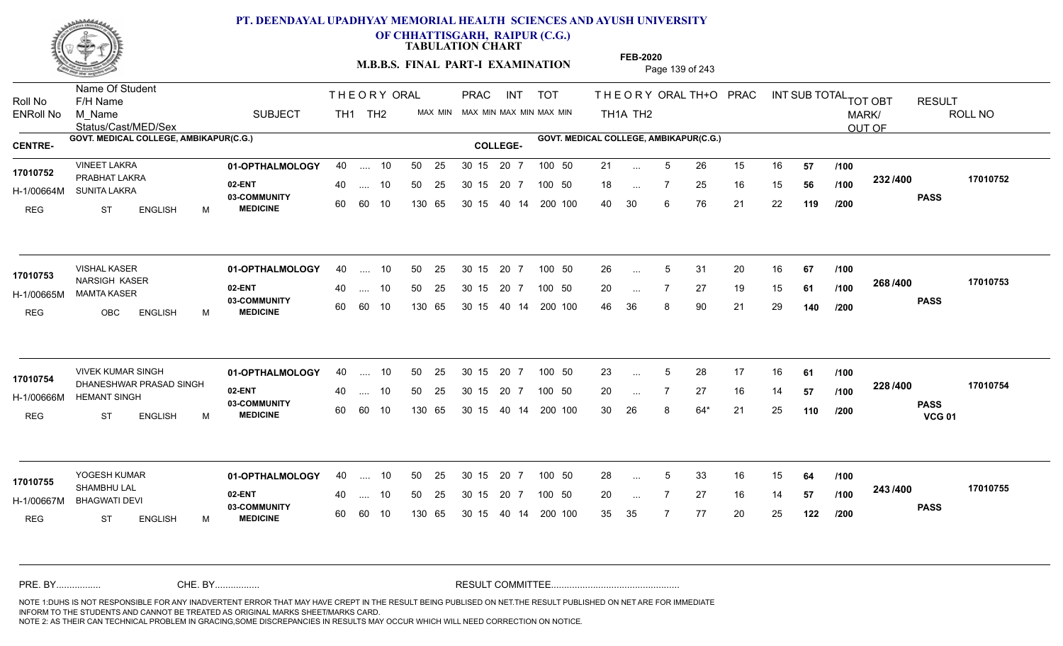

**OF CHHATTISGARH, RAIPUR (C.G.)**

**TABULATION CHART** 

**M.B.B.S. FINAL PART-I EXAMINATION** Page 139 of 243

Status/Cast/MED/Sex Name Of Student Roll No F/H Name M\_Name SUBJECT TH1 TH2 <sup>MAX\_MIN</sup> N PRAC INT TOT THEORY ORAL TH+O PRAC INT TH<sub>1</sub>A TH<sub>2</sub> ORAL TH+ODPRACD INT SUB TOTAL <sub>TOT OBT</sub> RESULT ROLL NO MARK/ OUT OF ENRoll No M Name  $\,$  SUBJECT TH1 TH2 MAX MIN MAX MIN MAX MIN MAX MIN TH1A TH2 GOVT. MEDICAL COLLEGE, AMBIKAPUR(C.G.) **A COLLEGE AMBIKAPUR(C.G.) GOVT. MEDICAL COLLEGE, AMBIKAPUR(C.G.)** THE ORY ORAL PRAC INT PRAC **01-OPTHALMOLOGY** VINEET LAKRA 40 .... 10 30 15 20 7 **02-ENT** 03-COMMUNITY 60  **MEDICINE** H-1/00664M SUNITA LAKRA 17010752 PRABHAT LAKRA **17010752** REG ST ENGLISH M 21 ... 5 26 15 16 **57 /100** 18 ... 7 25 16 15 **56 /100 <sup>2027</sup> 100** 40 30 6 76 21 22 **119 232 PASS /400 17010752** .... 10 50 25 60 60 10 50 25 30 15 130 65 30 15 40 14 200 100 20 7 100 50 50 25 30 15 20 7 100 50 21 ... ... ... **/100 /100 /200 01-OPTHALMOLOGY** VISHAL KASER 40 .... 10 30 15 20 7 **02-ENT** 03-COMMUNITY 60  **MEDICINE** H-1/00665M MAMTA KASER 17010753 NARSIGH KASER REG OBC ENGLISH M 26 5 31 20 16 **67** 20 7 27 19 15 **61** 46 36 8 90 21 29 **140 268 PASS /400 17010753** .... 10 50 25 60 60 10 30 15 20 7 130 65 30 15 40 14 200 100 30 15 20 7 100 50 50 25 30 15 20 7 100 50 26 ... 5 ... 5 ... **/100 /100 /200** VIVEK KUMAR SINGH **01-OPTHALMOLOGY** 40 .... 10 50 25 30 15 20 7 100 50 23 **02-ENT** 03-COMMUNITY 60  **MEDICINE** H-1/00666M HEMANT SINGH 22 BAM 17010754 DHANESHWAR PRASAD SINGH REG ST ENGLISH M 23 ... 5 28 17 16 **61** /**100** 20 ... 7 27 16 14 **57 /100 <sup>2207–00</sup>** 30 26 8 64\* 21 25 **110 228 PASS VCG 01 /400 17010754** .... 10 50 25 30 15 60 60 10 20 7 130 65 30 15 30 15 20 7 100 50 40 14 200 100 50 25 30 15 20 7 100 50 23 ... 5 ... 5 ... **/100 /100 /200 01-OPTHALMOLOGY** 40 .... 10 50 25 30 15 20 7 100 50 28 15 20 7 100 50 28 **02-ENT** 03-COMMUNITY 60 **MEDICINE** 60 60 10 H-1/00667M BHAGWATI DEVI SHAMBHU LAL REG ST ENGLISH M 28 ... 5 33 16 15 **64 /100** 20 ... 7 27 16 14 **57 /100 <sup>245</sup> /\*\*** 35 35 7 77 20 25 **122 243 PASS /400 17010755** 40 .... 10 50 25 130 65 130 65 30 15 30 15 20 7 100 50 40 14 200 100 50 25 30 15 20 7 100 50 28 ... 5 **17010755** ... 5 ... **/100 /100 /200** NOTE 1:DUHS IS NOT RESPONSIBLE FOR ANY INADVERTENT ERROR THAT MAY HAVE CREPT IN THE RESULT BEING PUBLISED ON NET.THE RESULT PUBLISHED ON NET ARE FOR IMMEDIATE INFORM TO THE STUDENTS AND CANNOT BE TREATED AS ORIGINAL MARKS SHEET/MARKS CARD. CHE. BY WAREL BY WARE AND THE AVEC THE AVEC THE THE RESULT COMMITTEE AND MULTIME AND THE RESULT COMMITTEE AN A<br>THE STUDENTS AND CANNOT BE TREATED AS ORIGINAL MARKS SHEET/MARKS CARD.<br>INFORM TO THE STUDENTS AND CANNOT BE TRE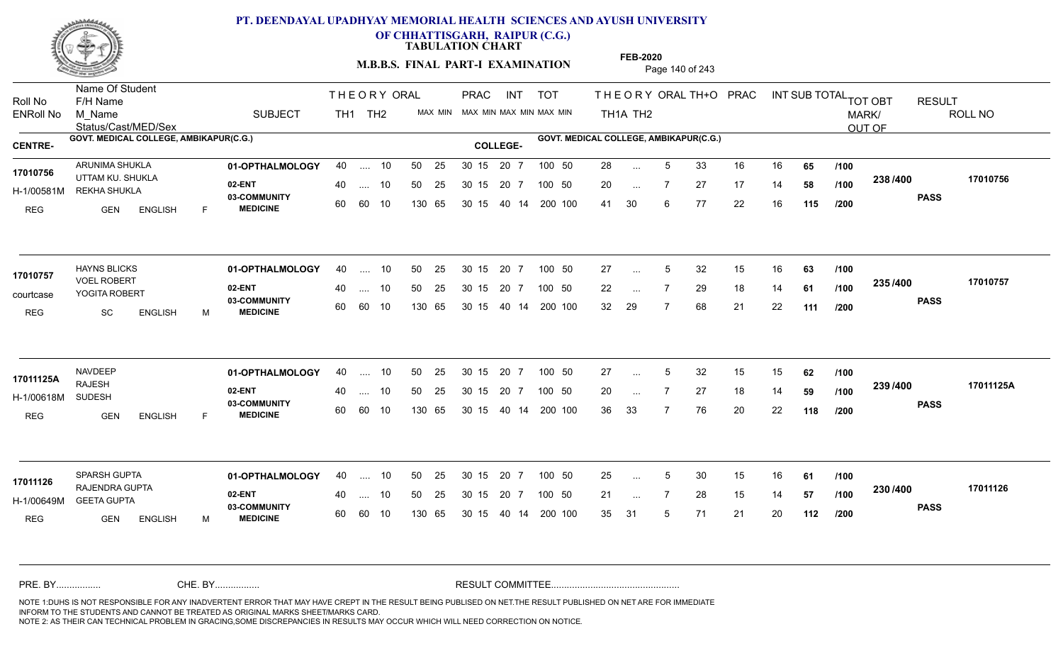

**OF CHHATTISGARH, RAIPUR (C.G.)**

**TABULATION CHART** 

**M.B.B.S. FINAL PART-I EXAMINATION** Page 140 of 243

Status/Cast/MED/Sex Name Of Student Roll No F/H Name M\_Name SUBJECT PRAC INT TOT THEORY ORAL TH+O PRAC INT TH<sub>1</sub>A TH<sub>2</sub> ORAL TH+ODPRACD INT SUB TOTAL <sub>TOT OBT</sub> RESULT ROLL NO MARK/ OUT OF ENRoll No M Name  $\,$  SUBJECT TH1 TH2 MAX MIN MAX MIN MAX MIN MAX MIN TH1A TH2 GOVT. MEDICAL COLLEGE, AMBIKAPUR(C.G.) **A COLLEGE AMBIKAPUR(C.G.) GOVT. MEDICAL COLLEGE, AMBIKAPUR(C.G.)** THE ORY ORAL PRAC INT TH<sub>1</sub> TH<sub>2</sub> PRAC **01-OPTHALMOLOGY** ARUNIMA SHUKLA 40 .... 10 30 15 20 7 **02-ENT** 03-COMMUNITY 60  **MEDICINE** H-1/00581M REKHA SHUKLA **WARGET AN** 17010756 UTTAM KU. SHUKLA REG GEN ENGLISH F 28 ... 5 33 16 16 **65 /100** 20 ... 7 27 17 14 **58 /100 <sup>2007</sup> 1** 41 30 6 77 22 16 **115 238 PASS /400 17010756** .... 10 50 25 60 60 10 50 25 30 15 130 65 30 15 40 14 200 100 20 7 100 50 50 25 30 15 20 7 100 50 28 ... ... ... **/100 /100 /200 01-OPTHALMOLOGY** HAYNS BLICKS 40 .... 10 30 15 20 7 **02-ENT** 03-COMMUNITY 60 **MEDICINE** 60 60 10 courtcase YOGITA ROBERT VOEL ROBERT **17010757** REG SC ENGLISH M 27 ... 5 32 15 16 **63** /**100** 22 ... 7 29 18 14 **61 /100 <sup>2007</sup> 7** 32 29 7 68 21 22 **111 235 PASS /400 17010757**  $\ldots$  10 50 25 30 15 130 65 20 7 130 65 30 15 40 14 200 100 30 15 20 7 100 50 50 25 30 15 20 7 100 50 27 ... 5 ... 5 ... **/100 /100 /200 01-OPTHALMOLOGY** 40 .... 10 50 25 30 15 20 7 100 50 27 **02-ENT** 03-COMMUNITY 60 **MEDICINE** 60 60 10 H-1/00618M RAJESH SUDESH REG GEN ENGLISH F 27 ... 5 32 15 15 **62** /**100** 20 7 27 18 14 **59** 36 33 7 76 20 22 **118 239 PASS /400 17011125A** .... 10 50 25 30 15 130 65 20 7 130 65 30 15 30 15 20 7 100 50 40 14 200 100 50 25 30 15 20 7 100 50 27 ... 5 **17011125A 17011125A** ... 5 ... **/100 /100 /200 01-OPTHALMOLOGY** 40 .... 10 50 25 30 15 20 7 100 50 25 100 4 100 50 25 **02-ENT** 03-COMMUNITY 60 **MEDICINE** 60 60 10 H-1/00649M GEETA GUPTA RAJENDRA GUPTA **17011126** REG GEN ENGLISH M 25 ... 5 30 15 16 **61 /100** 21 ... 7 28 15 14 **57 /100 <sup>2307–60</sup>** 35 31 5 71 21 20 **112 230 PASS /400 17011126** 40 .... 10 50 25 130 65 130 65 30 15 30 15 20 7 100 50 40 14 200 100 50 25 30 15 20 7 100 50 25 ... 5 ... 5 ... **/100 /100 /200** NOTE 1:DUHS IS NOT RESPONSIBLE FOR ANY INADVERTENT ERROR THAT MAY HAVE CREPT IN THE RESULT BEING PUBLISED ON NET.THE RESULT PUBLISHED ON NET ARE FOR IMMEDIATE INFORM TO THE STUDENTS AND CANNOT BE TREATED AS ORIGINAL MARKS SHEET/MARKS CARD. CHE. BY WAREL BY WARE AND THE AVEC THE AVEC THE THE RESULT COMMITTEE AND MULTIME AND THE RESULT COMMITTEE AN A<br>THE STUDENTS AND CANNOT BE TREATED AS ORIGINAL MARKS SHEET/MARKS CARD.<br>INFORM TO THE STUDENTS AND CANNOT BE TRE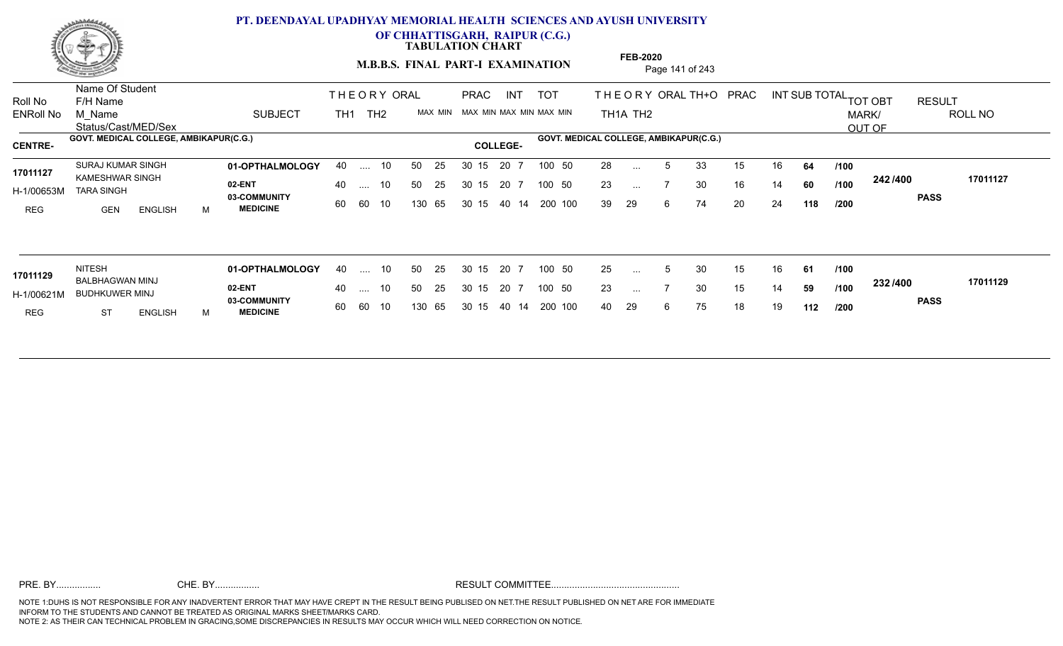

**OF CHHATTISGARH, RAIPUR (C.G.)**

**TABULATION CHART** 

**M.B.B.S. FINAL PART-I EXAMINATION** Page 141 of 243

Status/Cast/MED/Sex Name Of Student Roll No F/H Name M\_Name SUBJECT TOT THE OR YORAL TH+O PRAC INT TH<sub>1</sub>A TH<sub>2</sub> ORAL TH+ODPRACD INT SUB TOTAL <sub>TOT OBT</sub> RESULT ROLL NO MARK/ OUT OF ENRoll No M Name  $\,$  SUBJECT TH1 TH2 MAX MIN MAX MIN MAX MIN MAX MIN TH1A TH2 GOVT. MEDICAL COLLEGE, AMBIKAPUR(C.G.) **60VT. MEDICAL COLLEGE, AMBIKAPUR**(C.G.) **COLLEGE- COLLEGE-**THE ORY ORAL TH<sub>1</sub> TH<sub>2</sub> PRAC INT TOT THEOR PRAC **01-OPTHALMOLOGY** SURAJ KUMAR SINGH 40 .... 10 30 15 20 7 **02-ENT 03-COMMUNITY MEDICINE** H-1/00653M TARA SINGH 17011127 KAMESHWAR SINGH REG GEN ENGLISH M 28 ... 5 33 15 16 **64 /100** 23 ... 7 30 16 14 **60 /100 <sup>242 /4</sup>00** 39 29 6 74 20 24 **118 242 PASS /400 17011127** .... 10 50 25 60 60 10 50 25 30 15 130 65 30 15 40 14 200 100 20 7 100 50 50 25 30 15 20 7 100 50 28 ... ... ... 7 **/100 /100 /200 01-OPTHALMOLOGY** NITESH 40 .... 10 30 15 20 7 **02-ENT 03-COMMUNITY MEDICINE** H-1/00621M BUDHKUWER MINJ 17011129 BALBHAGWAN MINJ REG ST ENGLISH M 25 ... 5 30 15 16 **61 /100** 23 ... 7 30 15 14 **59 /100 <sup>2027</sup> 7** 40 29 6 75 18 19 **112 232 PASS /400 17011129** .... 10 50 25 60 60 10 50 25 30 15 130 65 30 15 40 14 200 100 20 7 100 50 50 25 30 15 20 7 100 50 25 ... ... ... 7 **/100 /100 /200**

**FEB-2020**

NOTE 1:DUHS IS NOT RESPONSIBLE FOR ANY INADVERTENT ERROR THAT MAY HAVE CREPT IN THE RESULT BEING PUBLISED ON NET.THE RESULT PUBLISHED ON NET ARE FOR IMMEDIATE INFORM TO THE STUDENTS AND CANNOT BE TREATED AS ORIGINAL MARKS SHEET/MARKS CARD. NOTE 2: AS THEIR CAN TECHNICAL PROBLEM IN GRACING,SOME DISCREPANCIES IN RESULTS MAY OCCUR WHICH WILL NEED CORRECTION ON NOTICE. PRE. BY................. CHE. BY................. RESULT COMMITTEE.................................................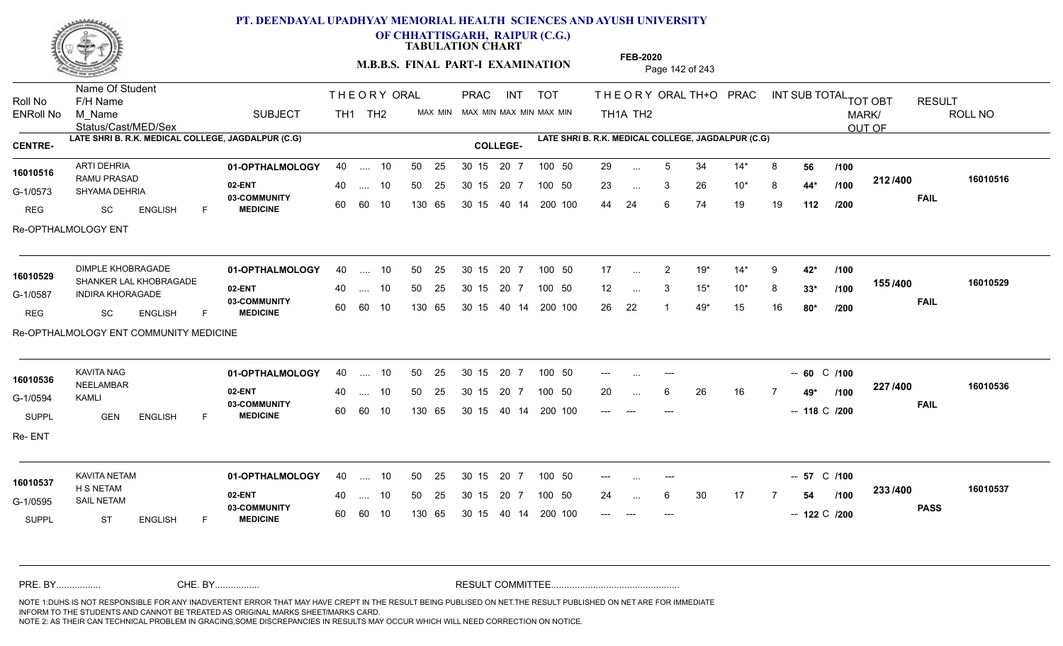

**OF CHHATTISGARH, RAIPUR (C.G.)**

**TABULATION CHART** 

**M.B.B.S. FINAL PART-I EXAMINATION** Page 142 of 243

Status/Cast/MED/Sex Name Of Student Roll No F/H Name M\_Name SUBJECT TH1 TH2 <sup>MAX\_MIN</sup> N PRAC INT TOT THEORY ORAL TH+O PRAC INT TH<sub>1</sub>A TH<sub>2</sub> ORAL TH+ODPRACD INT SUB TOTAL <sub>TOT OBT</sub> RESULT ROLL NO MARK/ OUT OF ENRoll No M Name  $\,$  SUBJECT TH1 TH2 MAX MIN MAX MIN MAX MIN MAX MIN TH1A TH2 **LATE SHRI B. R.K. MEDICAL COLLEGE, JAGDALPUR (C.G) LATE SHRI B. R.K. MEDICAL COLLEGE, JAGDALPUR (C.G) CENTRE- COLLEGE-**THE ORY ORAL PRAC INT PRAC INT TOT **01-OPTHALMOLOGY** ARTI DEHRIA 40 .... 10 30 15 20 7 **02-ENT** 03-COMMUNITY 60  **MEDICINE** G-1/0573 SHYAMA DEHRIA CHEAN RAMU PRASAD REG SC ENGLISH F 29 ... 5 34 14\* 8 **56 /100** 23 3 26 10\* 8 **44\*** 44 24 6 74 19 19 **112 212 FAIL 16010516 /400** Re-OPTHALMOLOGY ENT 40 .... 10 50 25 30 15 60 60 10 130 65 30 15 40 14 200 100 20 7 100 50 50 25 30 15 20 7 100 50 29 ... **16010516 16010516** ... ... **/100 /100 /200 01-OPTHALMOLOGY** DIMPLE KHOBRAGADE 40 .... 10 30 15 20 7 **02-ENT** 03-COMMUNITY 60  **MEDICINE** G-1/0587 INDIRA KHORAGADE 16010529 SHANKER LAL KHOBRAGADE **16010529** REG SC ENGLISH F 17 2 19\* 14\* 9 **42\*** 12 3 15\* 10\* 8 **33\*** 26 22 1 49\* 15 16 **80\* 155 FAIL 16010529 /400** Re-OPTHALMOLOGY ENT COMMUNITY MEDICINE 40 .... 10 50 25 30 15 60 60 10 130 65 30 15 40 14 200 100 20 7 100 50 50 25 30 15 20 7 100 50 17 ... ... ... 3 **/100 /100 /200 01-OPTHALMOLOGY** KAVITA NAG 40 .... 10 30 15 20 7 **02-ENT** 03-COMMUNITY 60  **MEDICINE** G-1/0594 NEELAMBAR **16010536** KAMLI SUPPL **GEN** ENGLISH F --- .... --- **1990 -- 100 -- 100 -- 60 -- 1100** 20 ... 6 26 16 7 **49\* /100 <sup>44</sup>** --- --- --- --- --- --- -- -- -- 118 C /200 **227 FAIL 16010536 /400** Re- ENT 40 .... 10 50 25 30 15 60 60 10 130 65 30 15 40 14 200 100 --- --- --- ---20 7 100 50 50 25 30 15 20 7 100 50 --- ... ---... ... **/100 01-OPTHALMOLOGY** KAVITA NETAM 40 .... 10 30 15 20 7 **02-ENT** 03-COMMUNITY 60  **MEDICINE** G-1/0595 SAIL NETAM H S NETAM SUPPL ST ENGLISH F --- .... --- **57** C /100 24 ... 6 30 17 7 **54 /100 <sup>2007/400</sup>** --- --- --- --- --- -- -- -- 122 C /200 **233 PASS /400 16010537** 40 .... 10 50 25 30 15 60 60 10 130 65 30 15 20 7 100 50 40 14 200 100 50 25 30 15 20 7 100 50 --- ... ---**16010537** ... ... **/100** NOTE 1:DUHS IS NOT RESPONSIBLE FOR ANY INADVERTENT ERROR THAT MAY HAVE CREPT IN THE RESULT BEING PUBLISED ON NET.THE RESULT PUBLISHED ON NET ARE FOR IMMEDIATE INFORM TO THE STUDENTS AND CANNOT BE TREATED AS ORIGINAL MARKS SHEET/MARKS CARD. CHE. BY WAREL BY WARE AND THE AVEC THE AVEC THE THE RESULT COMMITTEE AND MULTIME AND THE RESULT COMMITTEE AN A<br>THE STUDENTS AND CANNOT BE TREATED AS ORIGINAL MARKS SHEET/MARKS CARD.<br>INFORM TO THE STUDENTS AND CANNOT BE TRE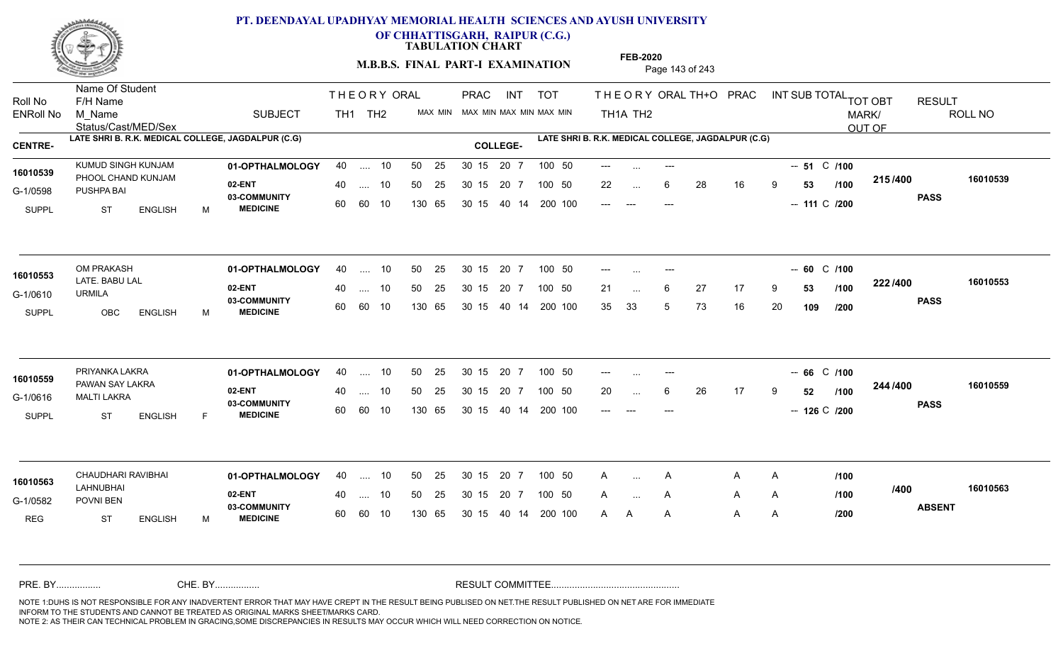

**OF CHHATTISGARH, RAIPUR (C.G.)**

**TABULATION CHART** 

**M.B.B.S. FINAL PART-I EXAMINATION** Page 143 of 243

Status/Cast/MED/Sex Name Of Student Roll No F/H Name M\_Name SUBJECT TH1 TH2 <sup>MAX\_MIN</sup> N PRAC INT TOT THEORY ORAL TH+O PRAC INT TH<sub>1</sub>A TH<sub>2</sub> ORAL TH+ODPRACD INT SUB TOTAL <sub>TOT OBT</sub> RESULT ROLL NO MARK/ OUT OF ENRoll No M Name  $\,$  SUBJECT TH1 TH2 MAX MIN MAX MIN MAX MIN MAX MIN TH1A TH2 **LATE SHRI B. R.K. MEDICAL COLLEGE, JAGDALPUR (C.G) LATE SHRI B. R.K. MEDICAL COLLEGE, JAGDALPUR (C.G) CENTRE- COLLEGE-**THE ORY ORAL PRAC INT PRAC **01-OPTHALMOLOGY** KUMUD SINGH KUNJAM 40 .... 10 30 15 20 7 **02-ENT 03-COMMUNITY MEDICINE** G-1/0598 PUSHPA BAI 16010539 PHOOL CHAND KUNJAM SUPPL ST ENGLISH M --- .... --- **51** C /100 22 ... 6 28 16 9 **53 /100 <sup>213/400</sup>** -- --- --- --- --- -- -- 111 C /200 **215 PASS /400 16010539** .... 10 50 25 60 60 10 50 25 30 15 130 65 30 15 40 14 200 100 --- --- --- ---20 7 100 50 50 25 30 15 20 7 100 50 --- ... ... ... **/100 01-OPTHALMOLOGY** OM PRAKASH 40 .... 10 30 15 20 7 **02-ENT** 03-COMMUNITY 60  **MEDICINE** G-1/0610 LATE. BABU LAL **16010553** URMILA SUPPL OBC ENGLISH M --- .... --- **1990 -- 100 -- 100 -- 60 -- 1100** 21 ... 6 27 17 9 **53 /100 <sup>222 / 4</sup>00** 35 33 5 73 16 20 **109 222 PASS /400 16010553**  $\dots$  10 50 25 30 15 60 60 10 20 7 130 65 30 15 40 14 200 100 30 15 20 7 100 50 50 25 30 15 20 7 100 50 --- ... ---... ... **/100 /200 01-OPTHALMOLOGY** PRIYANKA LAKRA 40 .... 10 30 15 20 7 **02-ENT** 03-COMMUNITY 60  **MEDICINE** G-1/0616 MALTI LAKRA PAWAN SAY LAKRA **16010559** SUPPL ST ENGLISH F --- --- **66 /100** --- C 20 ... 6 26 17 9 **52** /**100 <sup>2——,</sup>** --- --- --- --- --- --- -- -- 126 C /200 **244 PASS /400 16010559** .... 10 50 25 60 60 10 50 25 30 15 130 65 30 15 20 7 100 50 40 14 200 100 50 25 30 15 20 7 100 50 --- ... ---... ... **/100 01-OPTHALMOLOGY** CHAUDHARI RAVIBHAI 40 .... 10 30 15 20 7 **02-ENT** 03-COMMUNITY 60 MEDICINE 60 60 10 G-1/0582 POVNI BEN LAHNUBHAI REG ST ENGLISH M A ... A A A /100 A A A A <sup>A</sup> <sup>A</sup> <sup>A</sup> <sup>A</sup> <sup>A</sup> **ABSENT /400 16010563** .... 10 50 25 130 65 50 25 30 15 130 65 30 15 40 14 200 100 20 7 100 50 50 25 30 15 20 7 100 50 A ... **16010563** CHAUDHARI RAVIBHAI  $\mathsf{A}$ ... **/100 /100 /200** NOTE 1:DUHS IS NOT RESPONSIBLE FOR ANY INADVERTENT ERROR THAT MAY HAVE CREPT IN THE RESULT BEING PUBLISED ON NET.THE RESULT PUBLISHED ON NET ARE FOR IMMEDIATE INFORM TO THE STUDENTS AND CANNOT BE TREATED AS ORIGINAL MARKS SHEET/MARKS CARD. CHE. BY WAREL BY WARE AND THE AVEC THE AVEC THE THE RESULT COMMITTEE AND MULTIME AND THE RESULT COMMITTEE AN A<br>THE STUDENTS AND CANNOT BE TREATED AS ORIGINAL MARKS SHEET/MARKS CARD.<br>INFORM TO THE STUDENTS AND CANNOT BE TRE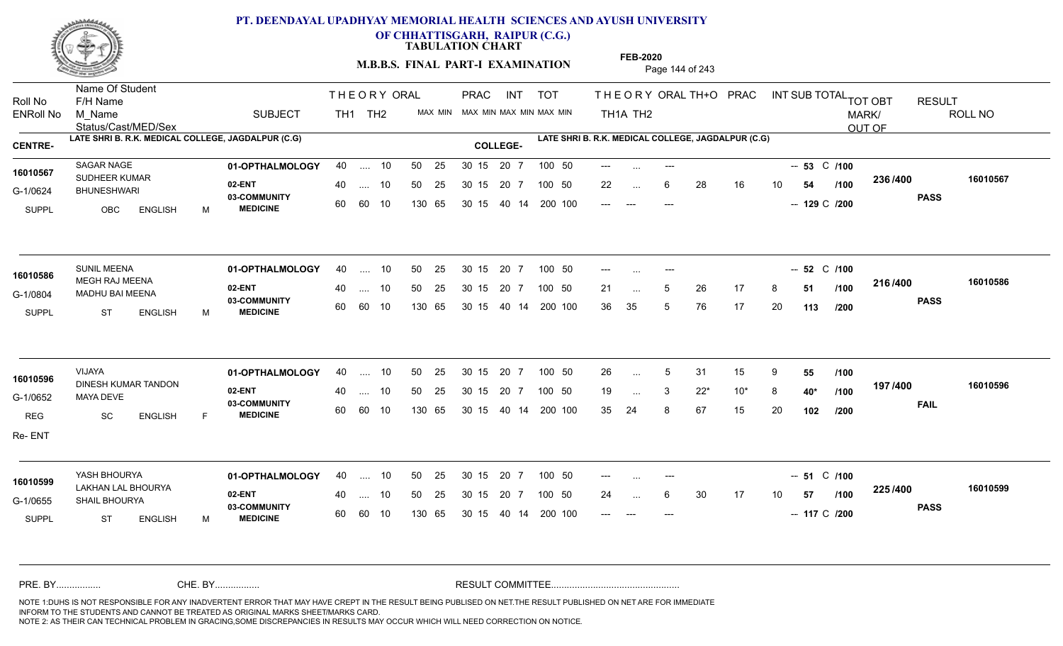

**OF CHHATTISGARH, RAIPUR (C.G.)**

**TABULATION CHART** 

**FEB-2020**

**M.B.B.S. FINAL PART-I EXAMINATION** Page 144 of 243

Status/Cast/MED/Sex Name Of Student Roll No F/H Name M\_Name SUBJECT TH1 TH2 <sup>MAX\_MIN</sup> N PRAC INT TOT THEORY ORAL TH+O PRAC INT TH<sub>1</sub>A TH<sub>2</sub> ORAL TH+ODPRACD INT SUB TOTAL <sub>TOT OBT</sub> RESULT ROLL NO MARK/ OUT OF ENRoll No M Name  $\,$  SUBJECT TH1 TH2 MAX MIN MAX MIN MAX MIN MAX MIN TH1A TH2 **LATE SHRI B. R.K. MEDICAL COLLEGE, JAGDALPUR (C.G) LATE SHRI B. R.K. MEDICAL COLLEGE, JAGDALPUR (C.G) CENTRE- COLLEGE-**THE ORY ORAL PRAC INT PRAC **01-OPTHALMOLOGY** SAGAR NAGE 40 .... 10 30 15 20 7 **02-ENT** 03-COMMUNITY 60  **MEDICINE** G-1/0624 BHUNESHWARI 16010567 SUDHEER KUMAR<br>
SUDHEER KUMAR SUPPL OBC ENGLISH M --- .... --- **100** -- **53** C /**100** 22 ... 6 28 16 10 **54 /100 <sup>2007</sup> 100** --- --- --- --- --- -- -- -- -- 129 C /200 **236 PASS /400 16010567** .... 10 50 25 60 60 10 50 25 30 15 130 65 30 15 40 14 200 100 --- --- --- ---20 7 100 50 50 25 30 15 20 7 100 50 --- ... ... ... **/100 01-OPTHALMOLOGY** SUNIL MEENA 40 .... 10 30 15 20 7 **02-ENT** 03-COMMUNITY 60  **MEDICINE** G-1/0804 MADHU BAI MEENA **CHRÍOSTAIR** 16010586 MEGH RAJ MEENA SUPPL ST ENGLISH M --- .... --- **52** C /100 21 ... 5 26 17 8 **51 /100 <sup>210/400</sup>** 36 35 5 76 17 20 **113 216 PASS /400 16010586** .... 10 50 25 60 60 10 30 15 20 7 130 65 30 15 40 14 200 100 30 15 20 7 100 50 50 25 30 15 20 7 100 50 --- ... ---... ... 5 **/100 /200 01-OPTHALMOLOGY** VIJAYA 40 .... 10 30 15 20 7 **02-ENT** 03-COMMUNITY 60  **MEDICINE** G-1/0652 MAYA DEVE 16010596 DINESH KUMAR TANDON REG SC ENGLISH F 26 ... 5 31 15 9 **55 /100** 19 3 22\* 10\* 8 **40\*** 35 24 8 67 15 20 **102 197 FAIL 16010596 /400** Re- ENT .... 10 50 25 30 15 60 60 10 20 7 130 65 30 15 30 15 20 7 100 50 40 14 200 100 50 25 30 15 20 7 100 50 26 ... 5 ... ... 3 **/100 /100 /200 01-OPTHALMOLOGY** YASH BHOURYA 40 .... 10 30 15 20 7 **02-ENT** 03-COMMUNITY 60 MEDICINE 60 60 10 G-1/0655 SHAIL BHOURYA LAKHAN LAL BHOURYA **16010599** SUPPL ST ENGLISH M --- --- **51 /100** --- C 24 ... 6 30 17 10 **57 /100 <sup>223</sup>/\*<sup>00</sup>** -- --- --- --- --- -- -- 117 C /200 **225 PASS /400 16010599** .... 10 50 25 130 65 50 25 30 15 130 65 30 15 20 7 100 50 40 14 200 100 50 25 30 15 20 7 100 50 ---... ... **/100** NOTE 1:DUHS IS NOT RESPONSIBLE FOR ANY INADVERTENT ERROR THAT MAY HAVE CREPT IN THE RESULT BEING PUBLISED ON NET.THE RESULT PUBLISHED ON NET ARE FOR IMMEDIATE INFORM TO THE STUDENTS AND CANNOT BE TREATED AS ORIGINAL MARKS SHEET/MARKS CARD. CHE. BY WAREL BY WARE AND THE AVEC THE AVEC THE THE RESULT COMMITTEE AND MULTIME AND THE RESULT COMMITTEE AN A<br>THE STUDENTS AND CANNOT BE TREATED AS ORIGINAL MARKS SHEET/MARKS CARD.<br>INFORM TO THE STUDENTS AND CANNOT BE TRE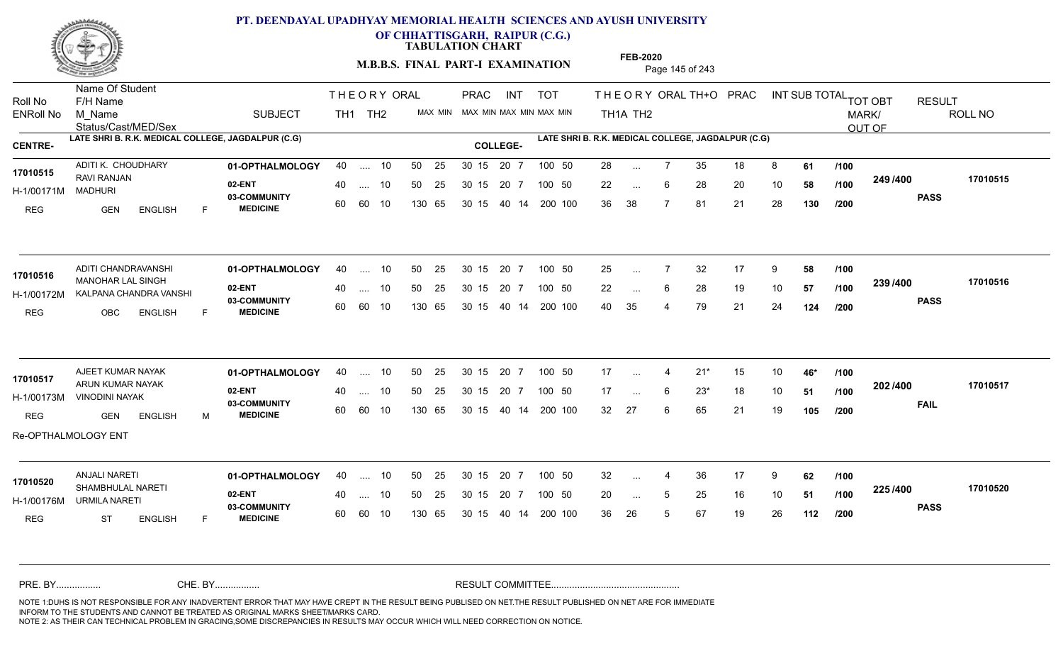

**OF CHHATTISGARH, RAIPUR (C.G.)**

**TABULATION CHART** 

**M.B.B.S. FINAL PART-I EXAMINATION** Page 145 of 243

Status/Cast/MED/Sex Name Of Student Roll No F/H Name M\_Name SUBJECT TH1 TH2 <sup>MAX\_MIN</sup> N PRAC INT TOT THEORY ORAL TH+O PRAC INT TH<sub>1</sub>A TH<sub>2</sub> ORAL TH+ODPRACD INT SUB TOTAL <sub>TOT OBT</sub> RESULT ROLL NO MARK/ OUT OF ENRoll No M Name  $\,$  SUBJECT TH1 TH2 MAX MIN MAX MIN MAX MIN MAX MIN TH1A TH2 **LATE SHRI B. R.K. MEDICAL COLLEGE, JAGDALPUR (C.G) LATE SHRI B. R.K. MEDICAL COLLEGE, JAGDALPUR (C.G) CENTRE- COLLEGE-**THE ORY ORAL PRAC INT PRAC **01-OPTHALMOLOGY** ADITI K. CHOUDHARY 40 .... 10 30 15 20 7 **02-ENT** 03-COMMUNITY 60  **MEDICINE** H-1/00171M 17010515 RAVI RANJAN MADHURI REG GEN ENGLISH F 28 ... 7 35 18 8 **61 /100** 22 ... 6 28 20 10 **58 /100 <sup>243 /400</sup>** 36 38 7 81 21 28 **130 249 PASS /400 17010515** .... 10 50 25 60 60 10 50 25 30 15 130 65 30 15 40 14 200 100 20 7 100 50 50 25 30 15 20 7 100 50 28 ... ... ... 6 **/100 /100 /200 01-OPTHALMOLOGY** ADITI CHANDRAVANSHI 40 .... 10 30 15 20 7 **02-ENT** 03-COMMUNITY 60  **MEDICINE** H-1/00172M KALPANA CHANDRA VANSHI 17010516 MANOHAR LAL SINGH REG OBC ENGLISH F 25 ... 7 32 17 9 **58 /100** 22 ... 6 28 19 10 **57 /100 <sup>2007</sup> 700** 40 35 4 79 21 24 **124 239 PASS /400 17010516** .... 10 50 25 60 60 10 30 15 20 7 130 65 30 15 40 14 200 100 30 15 20 7 100 50 50 25 30 15 20 7 100 50 25 ... ... ... **/100 /100 /200 01-OPTHALMOLOGY** AJEET KUMAR NAYAK 40 .... 10 30 15 20 7 **02-ENT** 03-COMMUNITY 60  **MEDICINE** H-1/00173M VINODINI NAYAK ARUN KUMAR NAYAK **17010517** REG GEN ENGLISH M 17 4 21\* 15 10 **46\*** 17 ... 6 23\* 18 10 **51** /**100 <sup>202</sup>** 32 27 6 65 21 19 **105 202 FAIL 17010517 /400** Re-OPTHALMOLOGY ENT .... 10 50 25 30 15 60 60 10 20 7 130 65 30 15 30 15 20 7 100 50 40 14 200 100 50 25 30 15 20 7 100 50 17 ... 4 ... ... 6 **/100 /100 /200 01-OPTHALMOLOGY** ANJALI NARETI 40 .... 10 30 15 20 7 **02-ENT** 03-COMMUNITY 60 **MEDICINE** 60 60 10 H-1/00176M URMILA NARETI SHAMBHULAL NARETI **17010520** REG ST ENGLISH F 32 ... 4 36 17 9 **62** /**100** 20 ... 5 25 16 10 **51 /100 <sup>223</sup>/\*<sup>00</sup>** 36 26 5 67 19 26 **112 225 PASS /400 17010520** 40 .... 10 50 25 130 65 130 65 30 15 30 15 20 7 100 50 40 14 200 100 50 25 30 15 20 7 100 50 32 ... 4 ... ... 5 **/100 /100 /200** NOTE 1:DUHS IS NOT RESPONSIBLE FOR ANY INADVERTENT ERROR THAT MAY HAVE CREPT IN THE RESULT BEING PUBLISED ON NET.THE RESULT PUBLISHED ON NET ARE FOR IMMEDIATE INFORM TO THE STUDENTS AND CANNOT BE TREATED AS ORIGINAL MARKS SHEET/MARKS CARD. CHE. BY WAREL BY WARE AND THE AVEC THE AVEC THE THE RESULT COMMITTEE AND MULTIME MOTE 1:DUHS IS NOT RESPONSIBLE FOR ANY INADVERTENT ERROR THAT MAY HAVE CREPT IN THE RESULT BEING PUBLISED ON NET.THE RESULT PUBLISHED ON NET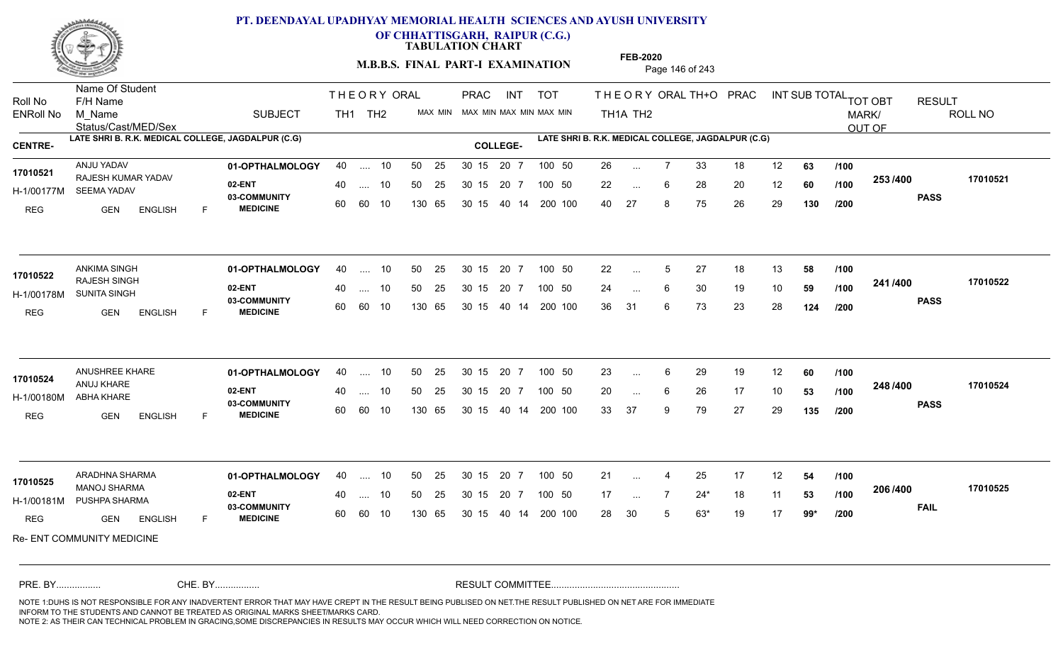

**OF CHHATTISGARH, RAIPUR (C.G.)**

**TABULATION CHART** 

**M.B.B.S. FINAL PART-I EXAMINATION** Page 146 of 243

Status/Cast/MED/Sex Name Of Student Roll No F/H Name M\_Name SUBJECT TH1 TH2 <sup>MAX\_MIN</sup> N PRAC INT TOT THEORY ORAL TH+O PRAC INT TH<sub>1</sub>A TH<sub>2</sub> ORAL TH+ODPRACD INT SUB TOTAL <sub>TOT OBT</sub> RESULT ROLL NO MARK/ OUT OF ENRoll No M Name  $\,$  SUBJECT TH1 TH2 MAX MIN MAX MIN MAX MIN MAX MIN TH1A TH2 **LATE SHRI B. R.K. MEDICAL COLLEGE, JAGDALPUR (C.G) LATE SHRI B. R.K. MEDICAL COLLEGE, JAGDALPUR (C.G) CENTRE- COLLEGE-**THE ORY ORAL PRAC INT PRAC **01-OPTHALMOLOGY** ANJU YADAV 40 .... 10 30 15 20 7 **02-ENT** 03-COMMUNITY 60  **MEDICINE** H-1/00177M SEEMA YADAV RAJESH KUMAR YADAV **17010521** REG **GEN ENGLISH** F 26 7 33 18 12 **63** 22 ... 6 28 20 12 **60 /100 <sup>2007</sup> 700** 40 27 8 75 26 29 **130 253 PASS /400 17010521** .... 10 50 25 60 60 10 50 25 30 15 130 65 30 15 40 14 200 100 20 7 100 50 50 25 30 15 20 7 100 50 26 ... ... ... 6 **/100 /100 /200 01-OPTHALMOLOGY** ANKIMA SINGH 40 .... 10 30 15 20 7 **02-ENT** 03-COMMUNITY 60  **MEDICINE** H-1/00178M SUNITA SINGH PRESENTED TO A 20 AM RAJESH SINGH REG GEN ENGLISH F 22 ... 5 27 18 13 **58 /100** 24 ... 6 30 19 10 **59 /100 <del>- 1</del>1/<del>1</del>00** 36 31 6 73 23 28 **124 241 PASS /400 17010522** 40 .... 10 50 25 60 60 10 130 65 30 15 40 14 200 100 30 15 20 7 100 50 50 25 30 15 20 7 100 50 22 ... 5 **17010522 17010522** ... 5 ... **/100 /100 /200 01-OPTHALMOLOGY** ANUSHREE KHARE 40 .... 10 30 15 20 7 **02-ENT** 03-COMMUNITY 60  **MEDICINE** H-1/00180M ANUJ KHARE ABHA KHARE REG GEN ENGLISH F 23 ... 6 29 19 12 **60** /**100** 20 ... 6 26 17 10 **53 /100 <sup>2467466</sup>** 33 37 9 79 27 29 **135 248 PASS /400 17010524** .... 10 50 25 30 15 60 60 10 20 7 130 65 30 15 30 15 20 7 100 50 40 14 200 100 50 25 30 15 20 7 100 50 23 ... 6 **17010524**<br> **17010524**<br> **17010524** ... ... 6 **/100 /100 /200 01-OPTHALMOLOGY** ARADHNA SHARMA 40 .... 10 30 15 20 7 **02-ENT** 03-COMMUNITY 60 **MEDICINE** 60 60 10 H-1/00181M PUSHPA SHARMA MANOJ SHARMA **17010525** REG **GEN ENGLISH** F 21 ... 4 25 17 12 **54 /100** 17 ... 7 24\* 18 11 **53 /100 <sup>2007+00</sup>** 28 30 5 63\* 19 17 **99\* 206 FAIL 17010525 /400** Re- ENT COMMUNITY MEDICINE 40 .... 10 50 25 130 65 130 65 30 15 30 15 20 7 100 50 40 14 200 100 50 25 30 15 20 7 100 50 21 ... 4 ... ... **/100 /100 /200** NOTE 1:DUHS IS NOT RESPONSIBLE FOR ANY INADVERTENT ERROR THAT MAY HAVE CREPT IN THE RESULT BEING PUBLISED ON NET.THE RESULT PUBLISHED ON NET ARE FOR IMMEDIATE INFORM TO THE STUDENTS AND CANNOT BE TREATED AS ORIGINAL MARKS SHEET/MARKS CARD. CHE. BY WAREL BY WARE AND THE AVEC THE AVEC THE THE RESULT COMMITTEE AND MULTIME MOTE 1:DUHS IS NOT RESPONSIBLE FOR ANY INADVERTENT ERROR THAT MAY HAVE CREPT IN THE RESULT BEING PUBLISED ON NET.THE RESULT PUBLISHED ON NET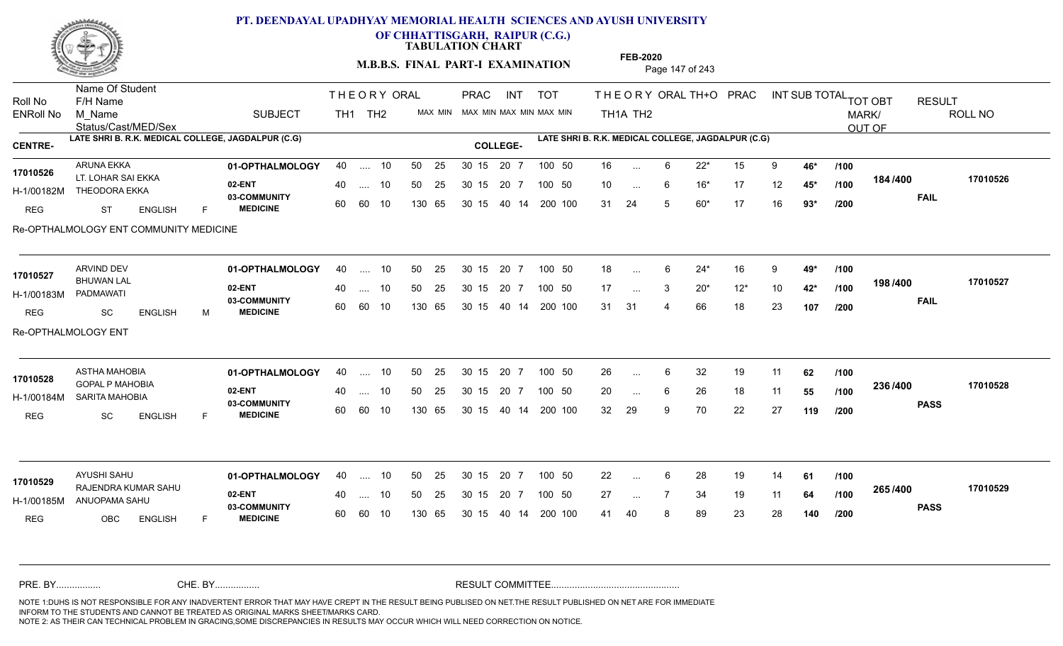

**OF CHHATTISGARH, RAIPUR (C.G.)**

**TABULATION CHART** 

**FEB-2020**

**M.B.B.S. FINAL PART-I EXAMINATION** Page 147 of 243

Status/Cast/MED/Sex Name Of Student Roll No F/H Name M\_Name SUBJECT TH1 TH2 <sup>MAX\_MIN</sup> N PRAC INT TOT THEORY ORAL TH+O PRAC INT TH<sub>1</sub>A TH<sub>2</sub> ORAL TH+ODPRACD INT SUB TOTAL <sub>TOT OBT</sub> RESULT ROLL NO MARK/ OUT OF ENRoll No M Name  $\,$  SUBJECT TH1 TH2 MAX MIN MAX MIN MAX MIN MAX MIN TH1A TH2 **LATE SHRI B. R.K. MEDICAL COLLEGE, JAGDALPUR (C.G) LATE SHRI B. R.K. MEDICAL COLLEGE, JAGDALPUR (C.G) CENTRE- COLLEGE-**THE ORY ORAL PRAC INT PRAC **01-OPTHALMOLOGY** ARUNA EKKA 40 .... 10 30 15 20 7 **02-ENT** 03-COMMUNITY 60  **MEDICINE** H-1/00182M THEODORA EKKA **Andrew SELLING** 17010526 LT. LOHAR SAI EKKA REG ST ENGLISH F 16 6 22\* 15 9 **46\*** 10 6 16\* 17 12 **45\*** 31 24 5 60\* 17 16 **93\* 184 FAIL 17010526 /400** Re-OPTHALMOLOGY ENT COMMUNITY MEDICINE .... 10 50 25 60 60 10 50 25 30 15 130 65 30 15 40 14 200 100 20 7 100 50 50 25 30 15 20 7 100 50 16 ... ... ... 6 **/100 /100 /200 01-OPTHALMOLOGY** ARVIND DEV 40 .... 10 30 15 20 7 **02-ENT** 03-COMMUNITY 60 **MEDICINE** 60 60 10 H-1/00183M PADMAWATI BHUWAN LAL REG SC ENGLISH M 18 6 24\* 16 9 **49\*** 17 3 20\* 12\* 10 **42\*** 31 31 4 66 18 23 **107 198 FAIL 17010527 /400** Re-OPTHALMOLOGY ENT .... 10 50 25 130 65 30 15 20 7 130 65 30 15 40 14 200 100 30 15 20 7 100 50 50 25 30 15 20 7 100 50 18 ... **17010527** ARVIND DEV ... ... **/100 /100 /200** ASTHA MAHOBIA **01-OPTHALMOLOGY** 40 .... 10 50 25 30 15 20 7 100 50 26 **02-ENT** 03-COMMUNITY 60 **MEDICINE** 60 60 10 H-1/00184M SARITA MAHOBIA GOPAL P MAHOBIA **17010528** REG SC ENGLISH F 26 6 32 19 11 **62** 20 ... 6 26 18 11 **55 /100 <sup>2307+00</sup>** 32 29 9 70 22 27 **119 236 PASS /400 17010528** .... 10 50 25 30 15 130 65 20 7 130 65 30 15 30 15 20 7 100 50 40 14 200 100 50 25 30 15 20 7 100 50 26 ... 6 ... ... 6 **/100 /100 /200 01-OPTHALMOLOGY** AYUSHI SAHU 40 .... 10 30 15 20 7 **02-ENT** 03-COMMUNITY 60 **MEDICINE** 60 60 10 H-1/00185M ANUOPAMA SAHU RAJENDRA KUMAR SAHU **17010529** REG OBC ENGLISH F 22 ... 6 28 19 14 **61 /100** 27 ... 7 34 19 11 **64 /100 <sup>2007</sup> 7** 41 40 8 89 23 28 **140 265 PASS /400 17010529** 40 .... 10 50 25 130 65 130 65 30 15 30 15 20 7 100 50 40 14 200 100 50 25 30 15 20 7 100 50 22 ... ... ... **/100 /100 /200** NOTE 1:DUHS IS NOT RESPONSIBLE FOR ANY INADVERTENT ERROR THAT MAY HAVE CREPT IN THE RESULT BEING PUBLISED ON NET.THE RESULT PUBLISHED ON NET ARE FOR IMMEDIATE INFORM TO THE STUDENTS AND CANNOT BE TREATED AS ORIGINAL MARKS SHEET/MARKS CARD. CHE. BY WAREL BY WARE AND THE AVEC THE AVEC THE THE RESULT COMMITTEE AND MULTIME MOTE 1:DUHS IS NOT RESPONSIBLE FOR ANY INADVERTENT ERROR THAT MAY HAVE CREPT IN THE RESULT BEING PUBLISED ON NET.THE RESULT PUBLISHED ON NET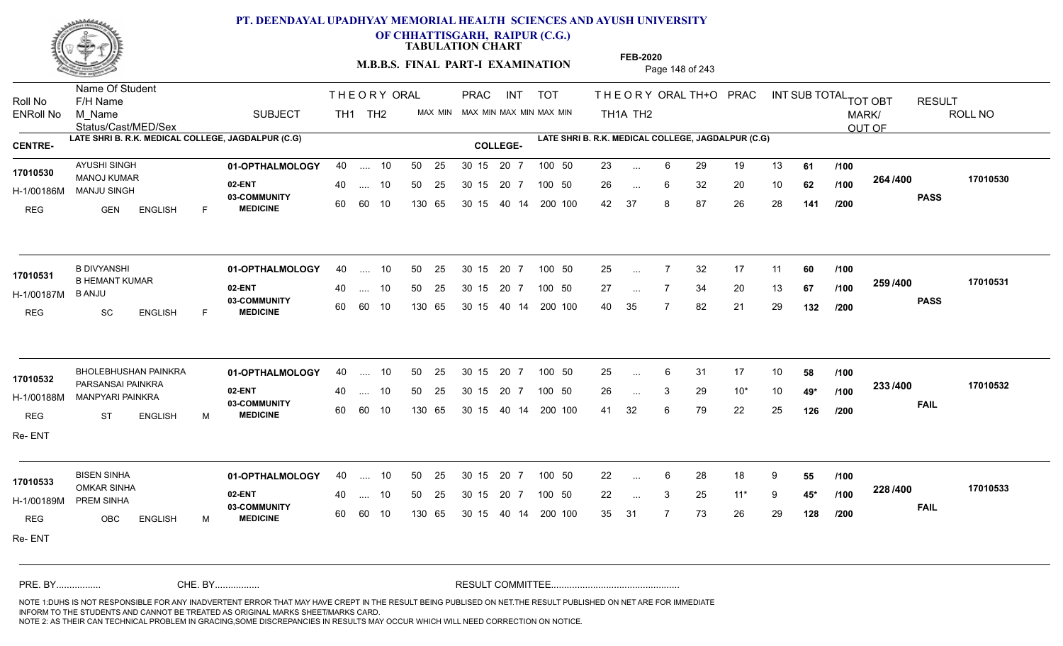

**OF CHHATTISGARH, RAIPUR (C.G.)**

**TABULATION CHART** 

**M.B.B.S. FINAL PART-I EXAMINATION** Page 148 of 243

Status/Cast/MED/Sex Name Of Student Roll No F/H Name M\_Name SUBJECT TH1 TH2 <sup>MAX\_MIN</sup> N PRAC INT TOT THEORY ORAL TH+O PRAC INT TH<sub>1</sub>A TH<sub>2</sub> ORAL TH+ODPRACD INT SUB TOTAL <sub>TOT OBT</sub> RESULT ROLL NO MARK/ OUT OF ENRoll No M Name  $\,$  SUBJECT TH1 TH2 MAX MIN MAX MIN MAX MIN MAX MIN TH1A TH2 **LATE SHRI B. R.K. MEDICAL COLLEGE, JAGDALPUR (C.G) LATE SHRI B. R.K. MEDICAL COLLEGE, JAGDALPUR (C.G) CENTRE- COLLEGE-**THE ORY ORAL PRAC INT PRAC **01-OPTHALMOLOGY** AYUSHI SINGH 40 .... 10 30 15 20 7 **02-ENT** 03-COMMUNITY 60  **MEDICINE** H-1/00186M MANJU SINGH 22 30 80 MANOJ KUMAR **17010530** REG GEN ENGLISH F 23 6 29 19 13 **61** 26 ... 6 32 20 10 **62 /100 <sup>2047</sup> 1** 42 37 8 87 26 28 **141 264 PASS /400 17010530** .... 10 50 25 60 60 10 50 25 30 15 130 65 30 15 40 14 200 100 20 7 100 50 50 25 30 15 20 7 100 50 23 ... ... ... 6 **/100 /100 /200 01-OPTHALMOLOGY** B DIVYANSHI 40 .... 10 30 15 20 7 **02-ENT** 03-COMMUNITY 60 **MEDICINE** 60 60 10 H-1/00187M 17010531 B HEMANT KUMAR B ANJU REG SC ENGLISH F 25 ... 7 32 17 11 **60** /**100** 27 ... 7 34 20 13 **67 /100 <sup>2007</sup> 7** 40 35 7 82 21 29 **132 259 PASS /400 17010531** 40 .... 10 50 25 130 65 130 65 30 15 40 14 200 100 30 15 20 7 100 50 50 25 30 15 20 7 100 50 25 ... ... ... **/100 /100 /200 01-OPTHALMOLOGY 02-ENT** 03-COMMUNITY 60  **MEDICINE** H-1/00188M MANPYARI PAINKRA **1998 - 1999** PARSANSAI PAINKRA **17010532** REG ST ENGLISH M 25 6 31 17 10 **58** 26 3 29 10\* 10 **49\*** 41 32 6 79 22 25 **126 233 FAIL 17010532 /400** Re- ENT BHOLEBHUSHAN PAINKRA 40 .... 10 30 15 20 7 .... 10 50 25 30 15 60 60 10 20 7 130 65 30 15 30 15 20 7 100 50 40 14 200 100 50 25 100 50 ... ... 3 **/100 /100 /200 01-OPTHALMOLOGY** BISEN SINHA 40 .... 10 30 15 20 7 **02-ENT** 03-COMMUNITY 60 **MEDICINE** 60 60 10 H-1/00189M PREM SINHA 17010533<br>- OMKAR SINHA REG OBC ENGLISH M 22 ... 6 28 18 9 **55 /100** 22 3 25 11\* 9 **45\*** 35 31 7 73 26 29 **128 228 FAIL 17010533 /400** Re- ENT 40 .... 10 50 25 130 65 130 65 30 15 30 15 20 7 100 50 40 14 200 100 50 25 30 15 20 7 100 50 22 ... ... ... 3 **/100 /100 /200** NOTE 1:DUHS IS NOT RESPONSIBLE FOR ANY INADVERTENT ERROR THAT MAY HAVE CREPT IN THE RESULT BEING PUBLISED ON NET.THE RESULT PUBLISHED ON NET ARE FOR IMMEDIATE INFORM TO THE STUDENTS AND CANNOT BE TREATED AS ORIGINAL MARKS SHEET/MARKS CARD. CHE. BY WAREL BY WARE AND THE AVEC THE AVEC THE THE RESULT COMMITTEE AND MULTIME MOTE 1:DUHS IS NOT RESPONSIBLE FOR ANY INADVERTENT ERROR THAT MAY HAVE CREPT IN THE RESULT BEING PUBLISED ON NET.THE RESULT PUBLISHED ON NET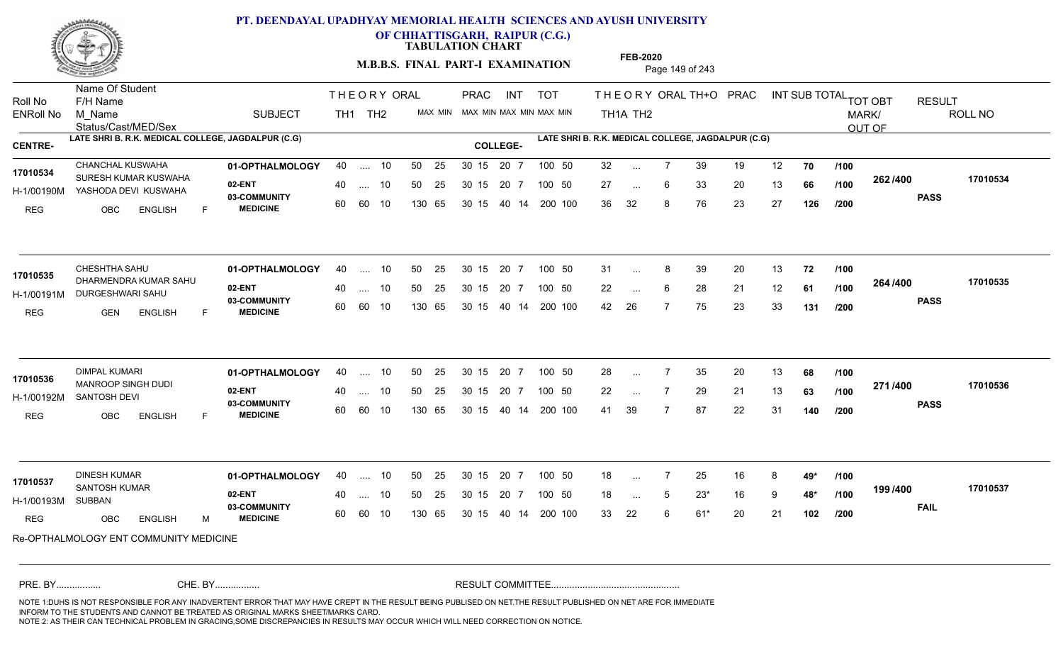

**OF CHHATTISGARH, RAIPUR (C.G.)**

**TABULATION CHART** 

**M.B.B.S. FINAL PART-I EXAMINATION** Page 149 of 243

Status/Cast/MED/Sex Name Of Student Roll No F/H Name M\_Name SUBJECT TH1 TH2 <sup>MAX\_MIN</sup> N PRAC INT TOT THEORY ORAL TH+O PRAC INT TH<sub>1</sub>A TH<sub>2</sub> ORAL TH+ODPRACD INT SUB TOTAL <sub>TOT OBT</sub> RESULT ROLL NO MARK/ OUT OF ENRoll No M Name  $\,$  SUBJECT TH1 TH2 MAX MIN MAX MIN MAX MIN MAX MIN TH1A TH2 **LATE SHRI B. R.K. MEDICAL COLLEGE, JAGDALPUR (C.G) LATE SHRI B. R.K. MEDICAL COLLEGE, JAGDALPUR (C.G) CENTRE- COLLEGE-**THE ORY ORAL PRAC INT PRAC **01-OPTHALMOLOGY** CHANCHAL KUSWAHA 40 .... 10 30 15 20 7 **02-ENT** 03-COMMUNITY 60  **MEDICINE** H-1/00190M YASHODA DEVI KUSWAHA 17010534 SURESH KUMAR KUSWAHA REG OBC ENGLISH F 32 7 39 19 12 **70** 27 ... 6 33 20 13 **66 /100 <sup>2027–00</sup>** 36 32 8 76 23 27 **126 262 PASS /400 17010534** .... 10 50 25 60 60 10 50 25 30 15 130 65 30 15 40 14 200 100 20 7 100 50 50 25 30 15 20 7 100 50 32 ... ... ... 6 **/100 /100 /200 01-OPTHALMOLOGY** CHESHTHA SAHU 40 .... 10 30 15 20 7 **02-ENT** 03-COMMUNITY 60  **MEDICINE** H-1/00191M DURGESHWARI SAHU **1999 - 1999 AQAMULU** 17010535 DHARMENDRA KUMAR SAHU REG GEN ENGLISH F 31 8 39 20 13 **72** 22 ... 6 28 21 12 **61 /100 <sup>2047</sup> 1** 42 26 7 75 23 33 **131 264 PASS /400 17010535**  $\ldots$  10 50 25 30 15 60 60 10 20 7 130 65 30 15 40 14 200 100 30 15 20 7 100 50 50 25 30 15 20 7 100 50 31 ... 8 ...  $\overline{\phantom{a}}$ . 6 **/100 /100 /200 01-OPTHALMOLOGY** DIMPAL KUMARI 40 .... 10 30 15 20 7 **02-ENT** 03-COMMUNITY 60  **MEDICINE** H-1/00192M SANTOSH DEVI MANROOP SINGH DUDI **17010536** REG OBC ENGLISH F 28 7 35 20 13 **68** 22 7 29 21 13 **63** 41 39 7 87 22 31 **140 271 PASS /400 17010536** .... 10 50 25 30 15 60 60 10 20 7 130 65 30 15 30 15 20 7 100 50 40 14 200 100 50 25 30 15 20 7 100 50 28 ... 7 ... ... **/100 /100 /200 01-OPTHALMOLOGY** DINESH KUMAR 40 .... 10 30 15 20 7 **02-ENT** 03-COMMUNITY 60  **MEDICINE** H-1/00193M SANTOSH KUMAR **17010537** SUBBAN REG OBC ENGLISH M 18 7 25 16 8 **49\*** 18 5 23\* 16 9 **48\*** 33 22 6 61\* 20 21 **102 199 FAIL 17010537 /400** Re-OPTHALMOLOGY ENT COMMUNITY MEDICINE .... 10 50 25 60 60 10 30 15 20 7 130 65 30 15 30 15 20 7 100 50 40 14 200 100 50 25 30 15 20 7 100 50 18 ... ... ... 5 **/100 /100 /200** NOTE 1:DUHS IS NOT RESPONSIBLE FOR ANY INADVERTENT ERROR THAT MAY HAVE CREPT IN THE RESULT BEING PUBLISED ON NET.THE RESULT PUBLISHED ON NET ARE FOR IMMEDIATE INFORM TO THE STUDENTS AND CANNOT BE TREATED AS ORIGINAL MARKS SHEET/MARKS CARD. CHE. BY WAREL BY WARE AND THE AVEC THE AVEC THE THE RESULT COMMITTEE AND MULTIME MOTE 1:DUHS IS NOT RESPONSIBLE FOR ANY INADVERTENT ERROR THAT MAY HAVE CREPT IN THE RESULT BEING PUBLISED ON NET.THE RESULT PUBLISHED ON NET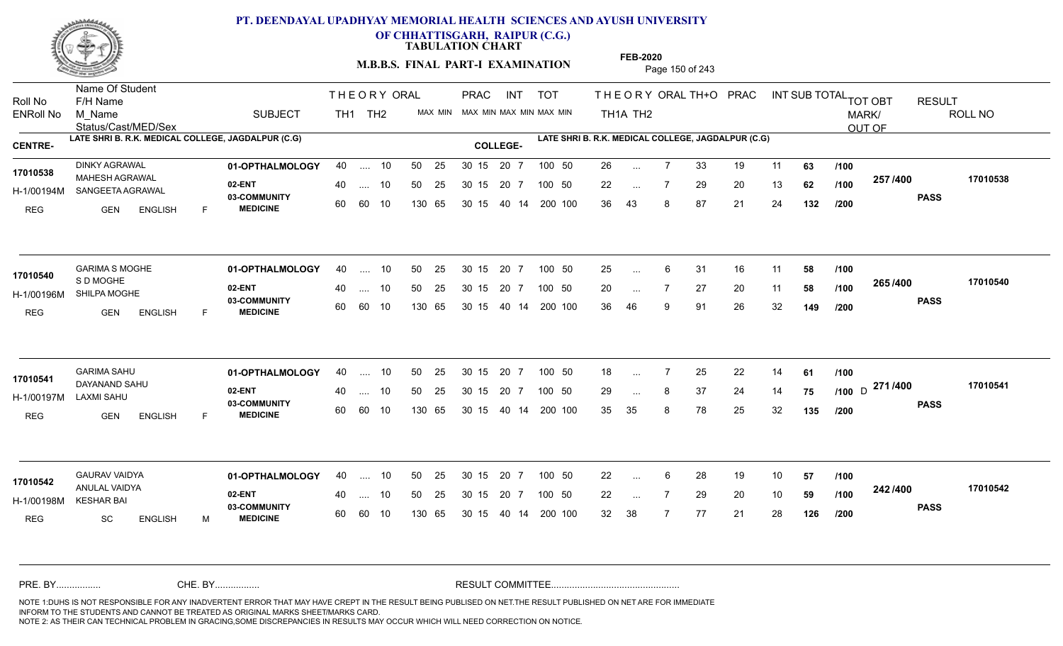

**OF CHHATTISGARH, RAIPUR (C.G.)**

**TABULATION CHART** 

**M.B.B.S. FINAL PART-I EXAMINATION** Page 150 of 243

Status/Cast/MED/Sex Name Of Student Roll No F/H Name M\_Name SUBJECT TH1 TH2 <sup>MAX\_MIN</sup> N PRAC INT TOT THEORY ORAL TH+O PRAC INT TH<sub>1</sub>A TH<sub>2</sub> ORAL TH+ODPRACD INT SUB TOTAL <sub>TOT OBT</sub> RESULT ROLL NO MARK/ OUT OF ENRoll No M Name  $\,$  SUBJECT TH1 TH2 MAX MIN MAX MIN MAX MIN MAX MIN TH1A TH2 **LATE SHRI B. R.K. MEDICAL COLLEGE, JAGDALPUR (C.G) LATE SHRI B. R.K. MEDICAL COLLEGE, JAGDALPUR (C.G) CENTRE- COLLEGE-**THE ORY ORAL PRAC INT PRAC **01-OPTHALMOLOGY** DINKY AGRAWAL 40 .... 10 30 15 20 7 **02-ENT** 03-COMMUNITY 60  **MEDICINE** H-1/00194M SANGEETA AGRAWAL MAHESH AGRAWAL **17010538** REG GEN ENGLISH F 26 7 33 19 11 **63** 22 ... 7 29 20 13 **62** /**100 <sup>201 /</sup>\*<sup>00</sup>** 36 43 8 87 21 24 **132 257 PASS /400 17010538** .... 10 50 25 60 60 10 50 25 30 15 130 65 30 15 40 14 200 100 20 7 100 50 50 25 30 15 20 7 100 50 26 ... ... ... **/100 /100 /200 01-OPTHALMOLOGY** GARIMA S MOGHE 40 .... 10 30 15 20 7 **02-ENT** 03-COMMUNITY 60  **MEDICINE** H-1/00196M SHILPA MOGHE S D MOGHE REG GEN ENGLISH F 25 ... 6 31 16 11 **58 /100** 20 7 27 20 11 **58** 36 46 9 91 26 32 **149 265 PASS /400 17010540** 40 .... 10 50 25 60 60 10 130 65 30 15 40 14 200 100 30 15 20 7 100 50 50 25 30 15 20 7 100 50 25 ... **17010540**<br> **17010540**<br> **180215** ... ... **/100 /100 /200 01-OPTHALMOLOGY** GARIMA SAHU 40 .... 10 30 15 20 7 **02-ENT** 03-COMMUNITY 60  **MEDICINE** H-1/00197M DAYANAND SAHU **17010541** LAXMI SAHU REG GEN ENGLISH F 18 7 25 22 14 **61** 29 ... 8 37 24 14 **75 /100** D <sup>21 1</sup> 1 **- 100** 35 35 8 78 25 32 **135 271** D **PASS /400 17010541** .... 10 50 25 30 15 60 60 10 20 7 130 65 30 15 30 15 20 7 100 50 40 14 200 100 50 25 30 15 20 7 100 50 18 ... 7 ... ... **/100 /100 /200 01-OPTHALMOLOGY** GAURAV VAIDYA 40 .... 10 30 15 20 7 **02-ENT** 03-COMMUNITY 60 **MEDICINE** 60 60 10 H-1/00198M KESHAR BAI ANULAL VAIDYA **17010542** REG SC ENGLISH M 22 6 28 19 10 **57** 22 7 29 20 10 **59** 32 38 7 77 21 28 **126 242 PASS /400 17010542** 40 .... 10 50 25 130 65 130 65 30 15 30 15 20 7 100 50 40 14 200 100 50 25 30 15 20 7 100 50 22 ... ... ... **/100 /100 /200** NOTE 1:DUHS IS NOT RESPONSIBLE FOR ANY INADVERTENT ERROR THAT MAY HAVE CREPT IN THE RESULT BEING PUBLISED ON NET.THE RESULT PUBLISHED ON NET ARE FOR IMMEDIATE INFORM TO THE STUDENTS AND CANNOT BE TREATED AS ORIGINAL MARKS SHEET/MARKS CARD. CHE. BY WAREL BY WARE AND THE AVEC THE AVEC THE THE RESULT COMMITTEE AND MULTIME MOTE 1:DUHS IS NOT RESPONSIBLE FOR ANY INADVERTENT ERROR THAT MAY HAVE CREPT IN THE RESULT BEING PUBLISED ON NET.THE RESULT PUBLISHED ON NET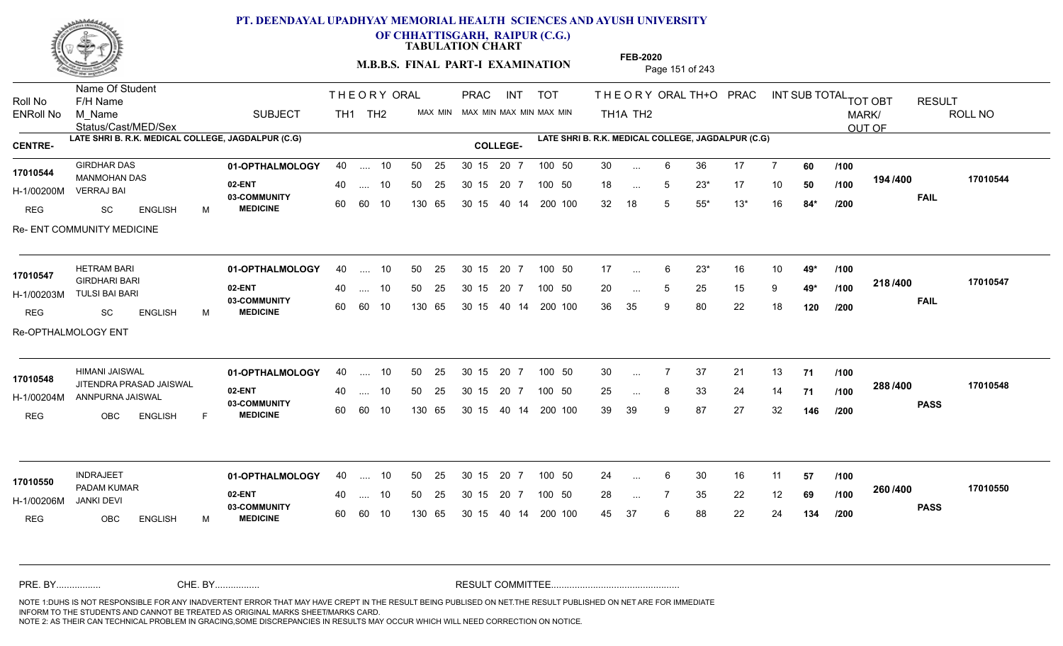

**OF CHHATTISGARH, RAIPUR (C.G.)**

**TABULATION CHART** 

**M.B.B.S. FINAL PART-I EXAMINATION** Page 151 of 243

Status/Cast/MED/Sex Name Of Student Roll No F/H Name M\_Name SUBJECT TH1 TH2 <sup>MAX\_MIN</sup> N PRAC INT TOT THEORY ORAL TH+O PRAC INT TH<sub>1</sub>A TH<sub>2</sub> ORAL TH+ODPRACD INT SUB TOTAL <sub>TOT OBT</sub> RESULT ROLL NO MARK/ OUT OF ENRoll No M Name  $\,$  SUBJECT TH1 TH2 MAX MIN MAX MIN MAX MIN MAX MIN TH1A TH2 **LATE SHRI B. R.K. MEDICAL COLLEGE, JAGDALPUR (C.G) LATE SHRI B. R.K. MEDICAL COLLEGE, JAGDALPUR (C.G) CENTRE- COLLEGE-**THE ORY ORAL PRAC INT PRAC **01-OPTHALMOLOGY** GIRDHAR DAS 40 .... 10 30 15 20 7 **02-ENT** 03-COMMUNITY 60  **MEDICINE** H-1/00200M 17010544 MANMOHAN DAS **17010544** VERRAJ BAI REG SC ENGLISH M 30 6 36 17 7 **60** 18 ... 5 23\* 17 10 **50** /**100** 12<del>1</del>/100 32 18 5 55\* 13\* 16 **84\* 194 FAIL 17010544 /400** Re- ENT COMMUNITY MEDICINE .... 10 50 25 60 60 10 50 25 30 15 130 65 30 15 20 7 100 50 40 14 200 100 50 25 30 15 20 7 100 50 30 ... ... ... 5 **/100 /100 /200 01-OPTHALMOLOGY** HETRAM BARI 40 .... 10 30 15 20 7 **02-ENT** 03-COMMUNITY 60 **MEDICINE** 60 60 10 H-1/00203M TULSI BAI BARI GIRDHARI BARI **17010547** REG SC ENGLISH M 17 6 23\* 16 10 **49\*** 20 ... 5 25 15 9 **49\*** /**100 <sup>41</sup>** 36 35 9 80 22 18 **120 218 FAIL 17010547 /400** Re-OPTHALMOLOGY ENT 40 .... 10 50 25 130 65 130 65 30 15 40 14 200 100 30 15 20 7 100 50 50 25 30 15 20 7 100 50 17 ... ... ... 5 **/100 /100 /200 01-OPTHALMOLOGY** HIMANI JAISWAL 40 .... 10 30 15 20 7 **02-ENT** 03-COMMUNITY 60  **MEDICINE** H-1/00204M ANNPURNA JAISWAL 22 AN JITENDRA PRASAD JAISWAL **17010548** REG OBC ENGLISH F 30 7 37 21 13 **71** 25 ... 8 33 24 14 **71 /100 <sup>2007–00</sup>** 39 39 9 87 27 32 **146 288 PASS /400 17010548** .... 10 50 25 30 15 60 60 10 20 7 130 65 30 15 30 15 20 7 100 50 40 14 200 100 50 25 30 15 20 7 100 50 30 ... 7 ... ... **/100 /100 /200 01-OPTHALMOLOGY** INDRAJEET 40 .... 10 30 15 20 7 **02-ENT** 03-COMMUNITY 60 **MEDICINE** 60 60 10 H-1/00206M PADAM KUMAR **17010550** JANKI DEVI REG OBC ENGLISH M 24 ... 6 30 16 11 **57 /100** 28 ... 7 35 22 12 **69 /100 <sup>2007–00</sup>** 45 37 6 88 22 24 **134 260 PASS /400 17010550** 40 .... 10 50 25 130 65 130 65 30 15 30 15 20 7 100 50 40 14 200 100 50 25 30 15 20 7 100 50 24 ... ... ... **/100 /100 /200** NOTE 1:DUHS IS NOT RESPONSIBLE FOR ANY INADVERTENT ERROR THAT MAY HAVE CREPT IN THE RESULT BEING PUBLISED ON NET.THE RESULT PUBLISHED ON NET ARE FOR IMMEDIATE INFORM TO THE STUDENTS AND CANNOT BE TREATED AS ORIGINAL MARKS SHEET/MARKS CARD. CHE. BY WAREL BY WARE AND THE AVEC THE AVEC THE THE RESULT COMMITTEE AND MULTIME MOTE 1:DUHS IS NOT RESPONSIBLE FOR ANY INADVERTENT ERROR THAT MAY HAVE CREPT IN THE RESULT BEING PUBLISED ON NET.THE RESULT PUBLISHED ON NET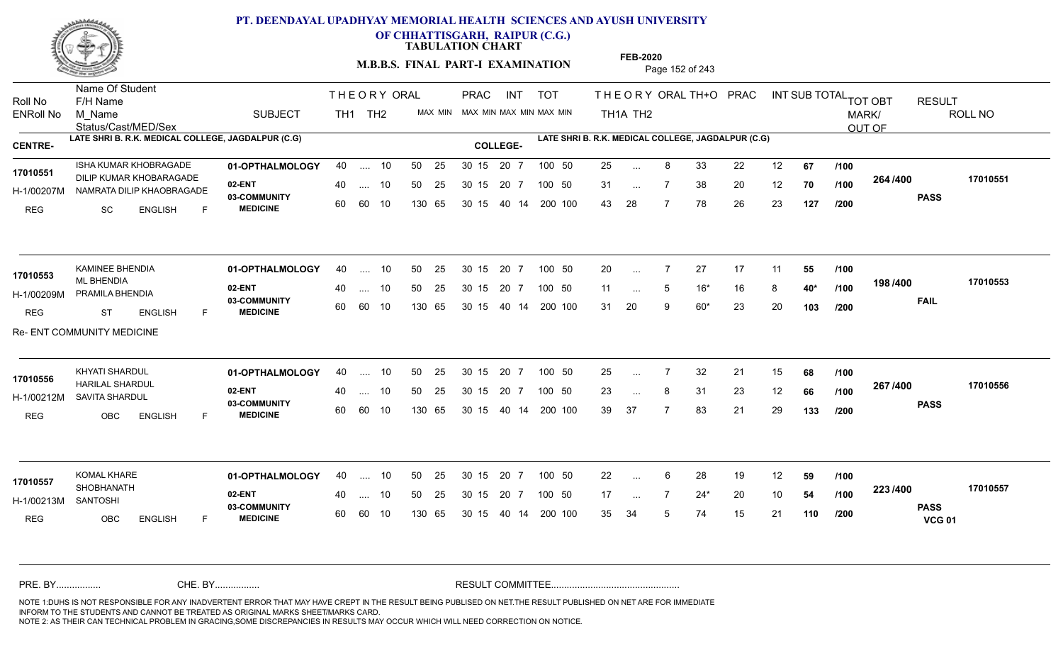

**OF CHHATTISGARH, RAIPUR (C.G.)**

**TABULATION CHART** 

**M.B.B.S. FINAL PART-I EXAMINATION** Page 152 of 243

Status/Cast/MED/Sex Name Of Student Roll No F/H Name M\_Name SUBJECT TH1 TH2 <sup>MAX\_MIN</sup> N PRAC INT TOT THEORYORALTH+O PRAC INT TH<sub>1</sub>A TH<sub>2</sub> ORAL TH+ODPRACD INT SUB TOTAL <sub>TOT OBT</sub> RESULT ROLL NO MARK/ OUT OF ENRoll No M Name  $\,$  SUBJECT TH1 TH2 MAX MIN MAX MIN MAX MIN MAX MIN TH1A TH2 **LATE SHRI B. R.K. MEDICAL COLLEGE, JAGDALPUR (C.G) LATE SHRI B. R.K. MEDICAL COLLEGE, JAGDALPUR (C.G) CENTRE- COLLEGE-**THE ORY ORAL PRAC INT PRAC **01-OPTHALMOLOGY 02-ENT** 03-COMMUNITY 60  **MEDICINE** H-1/00207M NAMRATA DILIP KHAOBRAGADE 17010551 DILIP KUMAR KHOBARAGADE REG SC ENGLISH F 25 8 33 22 12 **67** 31 ... 7 38 20 12 **70 /100 <sup>2047</sup> 70** 43 28 7 78 26 23 **127 264 PASS /400 17010551** ISHA KUMAR KHOBRAGADE **01-OPTHALMOLOGY** 40 .... 10 50 25 30 15 20 7 100 50 25 .... 10 50 25 60 60 10 50 25 30 15 130 65 30 15 40 14 200 100 20 7 100 50 100 50 25 ... ... ... **/100 /100 /200** KAMINEE BHENDIA **01-OPTHALMOLOGY** 40 .... 10 50 25 30 15 20 7 100 50 20 **02-ENT** 03-COMMUNITY 60  **MEDICINE** H-1/00209M PRAMILA BHENDIA **1999 - 1999 PRAMILA BHENDIA** ML BHENDIA REG ST ENGLISH F 20 7 27 17 11 **55** 11 ... 5 16<sup>\*</sup> 16 8 **40**\* /**100** <sup>13</sup> 31 20 9 60\* 23 20 **103 198 FAIL 17010553 /400** Re- ENT COMMUNITY MEDICINE 40 .... 10 50 25 60 60 10 130 65 30 15 40 14 200 100 30 15 20 7 100 50 50 25 30 15 20 7 100 50 20 ... **17010553** KAMINEE BHENDIA ... ... 5 **/100 /100 /200 01-OPTHALMOLOGY** KHYATI SHARDUL 40 .... 10 30 15 20 7 **02-ENT** 03-COMMUNITY 60 **MEDICINE** 60 60 10 H-1/00212M SAVITA SHARDUL HARILAL SHARDUL **17010556** REG OBC ENGLISH F 25 7 32 21 15 **68** 23 ... 8 31 23 12 **66 /100 <sup>207</sup> 1<del>-</del>00** 39 37 7 83 21 29 **133 267 PASS /400 17010556** .... 10 50 25 30 15 130 65 20 7 130 65 30 15 30 15 20 7 100 50 40 14 200 100 50 25 30 15 20 7 100 50 25 ... 7 ... ... **/100 /100 /200 01-OPTHALMOLOGY** KOMAL KHARE 40 .... 10 30 15 20 7 **02-ENT** 03-COMMUNITY 60 **MEDICINE** 60 60 10 H-1/00213M SHOBHANATH **17010557** SANTOSHI REG OBC ENGLISH F 22 6 28 19 12 **59** 17 ... 7 24\* 20 10 **54 /100 <sup>223</sup>/\*\*\*\*** 35 34 5 74 15 21 **110 223 PASS VCG 01 /400 17010557** 40 .... 10 50 25 130 65 130 65 30 15 30 15 20 7 100 50 40 14 200 100 50 25 30 15 20 7 100 50 22 ... ... ... **/100 /100 /200** NOTE 1:DUHS IS NOT RESPONSIBLE FOR ANY INADVERTENT ERROR THAT MAY HAVE CREPT IN THE RESULT BEING PUBLISED ON NET.THE RESULT PUBLISHED ON NET ARE FOR IMMEDIATE INFORM TO THE STUDENTS AND CANNOT BE TREATED AS ORIGINAL MARKS SHEET/MARKS CARD. CHE. BY WAREL BY WARE AND THE AVEC THE AVEC THE THE RESULT COMMITTEE AND MULTIME MOTE 1:DUHS IS NOT RESPONSIBLE FOR ANY INADVERTENT ERROR THAT MAY HAVE CREPT IN THE RESULT BEING PUBLISED ON NET.THE RESULT PUBLISHED ON NET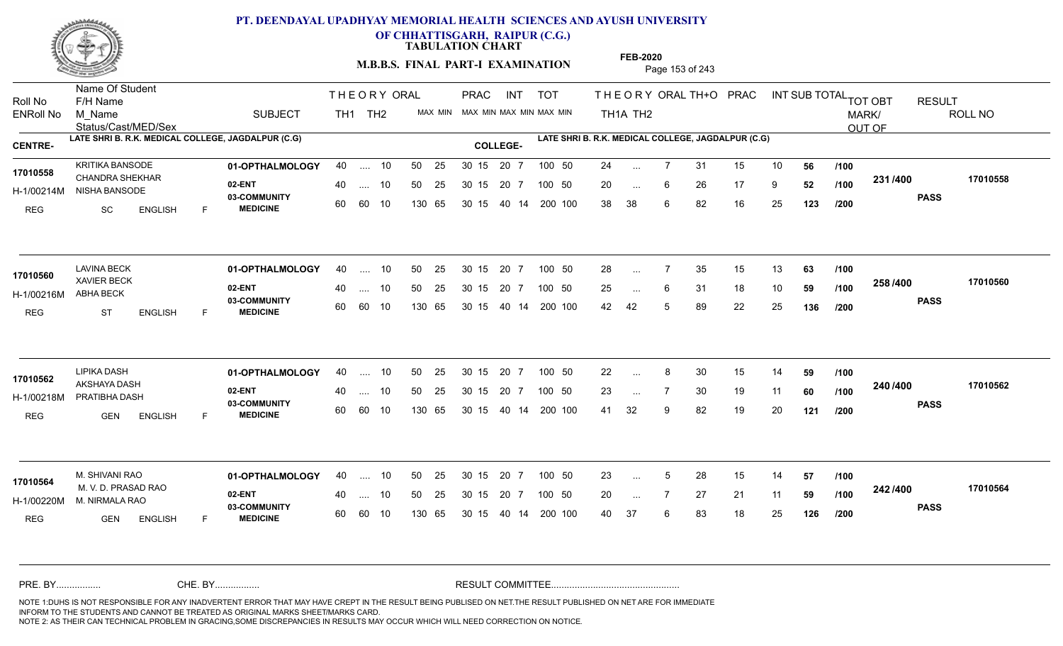

**OF CHHATTISGARH, RAIPUR (C.G.)**

**TABULATION CHART** 

**M.B.B.S. FINAL PART-I EXAMINATION** Page 153 of 243

Status/Cast/MED/Sex Name Of Student Roll No F/H Name M\_Name SUBJECT TH1 TH2 <sup>MAX\_MIN</sup> N PRAC INT TOT THEORYORALTH+O PRAC INT TH<sub>1</sub>A TH<sub>2</sub> ORAL TH+ODPRACD INT SUB TOTAL <sub>TOT OBT</sub> RESULT ROLL NO MARK/ OUT OF ENRoll No M Name  $\,$  SUBJECT TH1 TH2 MAX MIN MAX MIN MAX MIN MAX MIN TH1A TH2 **LATE SHRI B. R.K. MEDICAL COLLEGE, JAGDALPUR (C.G) LATE SHRI B. R.K. MEDICAL COLLEGE, JAGDALPUR (C.G) CENTRE- COLLEGE-**THE ORY ORAL PRAC INT PRAC **01-OPTHALMOLOGY** KRITIKA BANSODE 40 .... 10 30 15 20 7 **02-ENT** 03-COMMUNITY 60  **MEDICINE** H-1/00214M NISHA BANSODE 17010558 CHANDRA SHEKHAR REG SC ENGLISH F 24 7 31 15 10 **56** 20 ... 6 26 17 9 **52** /**100 <sup>2017</sup> 700** 38 38 6 82 16 25 **123 231 PASS /400 17010558** .... 10 50 25 60 60 10 50 25 30 15 130 65 30 15 40 14 200 100 20 7 100 50 50 25 30 15 20 7 100 50 24 ... ... ... 6 **/100 /100 /200 01-OPTHALMOLOGY** LAVINA BECK 40 .... 10 30 15 20 7 **02-ENT** 03-COMMUNITY 60  **MEDICINE** H-1/00216M ABHA BECK **17010560**<br>ANVIER BECK REG ST ENGLISH F 28 ... 7 35 15 13 **63 /100** 25 ... 6 31 18 10 **59 /100 <sup>2007</sup> 100** 42 42 5 89 22 25 **136 258 PASS /400 17010560** 40 .... 10 50 25 60 60 10 130 65 30 15 40 14 200 100 30 15 20 7 100 50 50 25 30 15 20 7 100 50 28 ... ... ... **/100 /100 /200 01-OPTHALMOLOGY** LIPIKA DASH 40 .... 10 30 15 20 7 **02-ENT** 03-COMMUNITY 60 **MEDICINE** 60 60 10 H-1/00218M PRATIBHA DASH AKSHAYA DASH **17010562** REG GEN ENGLISH F 22 8 30 15 14 **59** 23 ... 7 30 19 11 **60** /**100 <sup>2=07=00</sup>** 41 32 9 82 19 20 **121 240 PASS /400 17010562** .... 10 50 25 30 15 130 65 20 7 130 65 30 15 30 15 20 7 100 50 40 14 200 100 50 25 30 15 20 7 100 50 22 ... ... ... **/100 /100 /200 01-OPTHALMOLOGY** M. SHIVANI RAO 40 .... 10 30 15 20 7 **02-ENT** 03-COMMUNITY 60 **MEDICINE** 60 60 10 H-1/00220M M. NIRMALA RAO **17010564** M. V. D. PRASAD RAO REG GEN ENGLISH F 23 ... 5 28 15 14 **57 /100** 20 7 27 21 11 **59** 40 37 6 83 18 25 **126 242 PASS /400 17010564** 40 .... 10 50 25 130 65 130 65 30 15 30 15 20 7 100 50 40 14 200 100 50 25 30 15 20 7 100 50 23 ... 5 ... 5 ... **/100 /100 /200** NOTE 1:DUHS IS NOT RESPONSIBLE FOR ANY INADVERTENT ERROR THAT MAY HAVE CREPT IN THE RESULT BEING PUBLISED ON NET.THE RESULT PUBLISHED ON NET ARE FOR IMMEDIATE INFORM TO THE STUDENTS AND CANNOT BE TREATED AS ORIGINAL MARKS SHEET/MARKS CARD. CHE. BY WAREL BY WARE AND THE AVEC THE AVEC THE THE RESULT COMMITTEE AND MULTIME MOTE 1:DUHS IS NOT RESPONSIBLE FOR ANY INADVERTENT ERROR THAT MAY HAVE CREPT IN THE RESULT BEING PUBLISED ON NET.THE RESULT PUBLISHED ON NET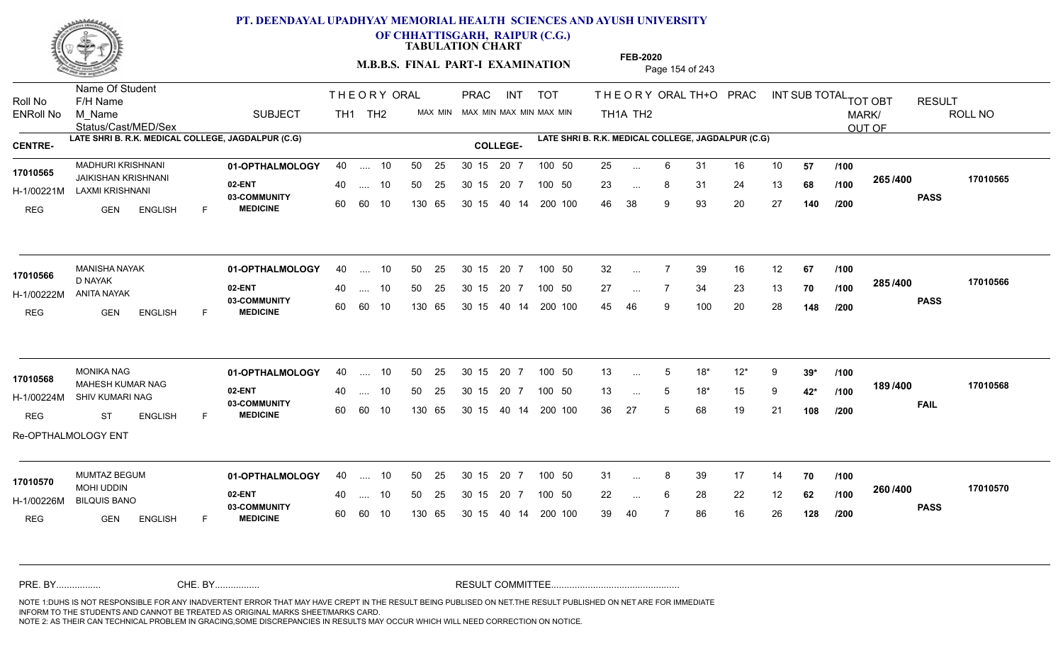

**OF CHHATTISGARH, RAIPUR (C.G.)**

**TABULATION CHART** 

**M.B.B.S. FINAL PART-I EXAMINATION** Page 154 of 243

Status/Cast/MED/Sex Name Of Student Roll No F/H Name M\_Name SUBJECT TH1 TH2 <sup>MAX\_MIN</sup> N PRAC INT TOT THEORYORALTH+O PRAC INT TH<sub>1</sub>A TH<sub>2</sub> ORAL TH+ODPRACD INT SUB TOTAL <sub>TOT OBT</sub> RESULT ROLL NO MARK/ OUT OF ENRoll No M Name  $\,$  SUBJECT TH1 TH2 MAX MIN MAX MIN MAX MIN MAX MIN TH1A TH2 **LATE SHRI B. R.K. MEDICAL COLLEGE, JAGDALPUR (C.G) LATE SHRI B. R.K. MEDICAL COLLEGE, JAGDALPUR (C.G) CENTRE- COLLEGE-**THE ORY ORAL PRAC INT PRAC **01-OPTHALMOLOGY** MADHURI KRISHNANI 40 .... 10 30 15 20 7 **02-ENT** 03-COMMUNITY 60  **MEDICINE** H-1/00221M LAXMI KRISHNANI JAIKISHAN KRISHNANI **17010565** REG GEN ENGLISH F 25 ... 6 31 16 10 **57 /100** 23 ... 8 31 24 13 **68 /100 <sup>2007</sup> 700** 46 38 9 93 20 27 **140 265 PASS /400 17010565** 40 .... 10 50 25 30 15 60 60 10 130 65 30 15 20 7 100 50 40 14 200 100 50 25 30 15 20 7 100 50 25 ... ... ... **/100 /100 /200 01-OPTHALMOLOGY** MANISHA NAYAK 40 .... 10 30 15 20 7 **02-ENT** 03-COMMUNITY 60 **MEDICINE** 60 60 10 H-1/00222M ANITA NAYAK D NAYAK REG GEN ENGLISH F 32 7 39 16 12 **67** 27 ... 7 34 23 13 **70 /100 <sup>2007</sup> 70** 45 46 9 100 20 28 **148 285 PASS /400 17010566** 40 .... 10 50 25 130 65 130 65 30 15 40 14 200 100 30 15 20 7 100 50 50 25 30 15 20 7 100 50 32 ... **17010566** MANISHA NAYAK ... ... **/100 /100 /200 01-OPTHALMOLOGY** MONIKA NAG 40 .... 10 30 15 20 7 **02-ENT** 03-COMMUNITY 60 **MEDICINE** 60 60 10 H-1/00224M SHIV KUMARI NAG **1989-YANG DELAWA DI SELAWA DI SELAWA DI SELAWA DI SELAWA DI SELAWA DI SELAWA DI SE** MAHESH KUMAR NAG **17010568** REG ST ENGLISH F 13 5 18\* 12\* 9 **39\*** 13 ... 5 18<sup>\*</sup> 15 9 **42<sup>\*</sup> /100 <sup>10</sup>** 36 27 5 68 19 21 **108 189 /100 FAIL 17010568 /400** Re-OPTHALMOLOGY ENT .... 10 50 25 30 15 130 65 20 7 130 65 30 15 30 15 20 7 100 50 40 14 200 100 50 25 30 15 20 7 100 50 13 ... 5 ... 5 ... 5 **/100 /200 01-OPTHALMOLOGY** MUMTAZ BEGUM 40 .... 10 30 15 20 7 **02-ENT** 03-COMMUNITY 60 **MEDICINE** 60 60 10 H-1/00226M BILQUIS BANO MOHI UDDIN REG GEN ENGLISH F 31 ... 8 39 17 14 **70** /**100** 22 ... 6 28 22 12 **62 /100 <sup>2007</sup> 1** 39 40 7 86 16 26 **128 260 PASS /400 17010570** 40 .... 10 50 25 130 65 130 65 30 15 30 15 20 7 100 50 40 14 200 100 50 25 30 15 20 7 100 50 31 ... 8 **17010570** MUMTAZ BEGUM ... ... 6 **/100 /100 /200** NOTE 1:DUHS IS NOT RESPONSIBLE FOR ANY INADVERTENT ERROR THAT MAY HAVE CREPT IN THE RESULT BEING PUBLISED ON NET.THE RESULT PUBLISHED ON NET ARE FOR IMMEDIATE INFORM TO THE STUDENTS AND CANNOT BE TREATED AS ORIGINAL MARKS SHEET/MARKS CARD. CHE. BY WAREL BY WARE AND THE AVEC THE AVEC THE THE RESULT COMMITTEE AND MULTIME MOTE 1:DUHS IS NOT RESPONSIBLE FOR ANY INADVERTENT ERROR THAT MAY HAVE CREPT IN THE RESULT BEING PUBLISED ON NET.THE RESULT PUBLISHED ON NET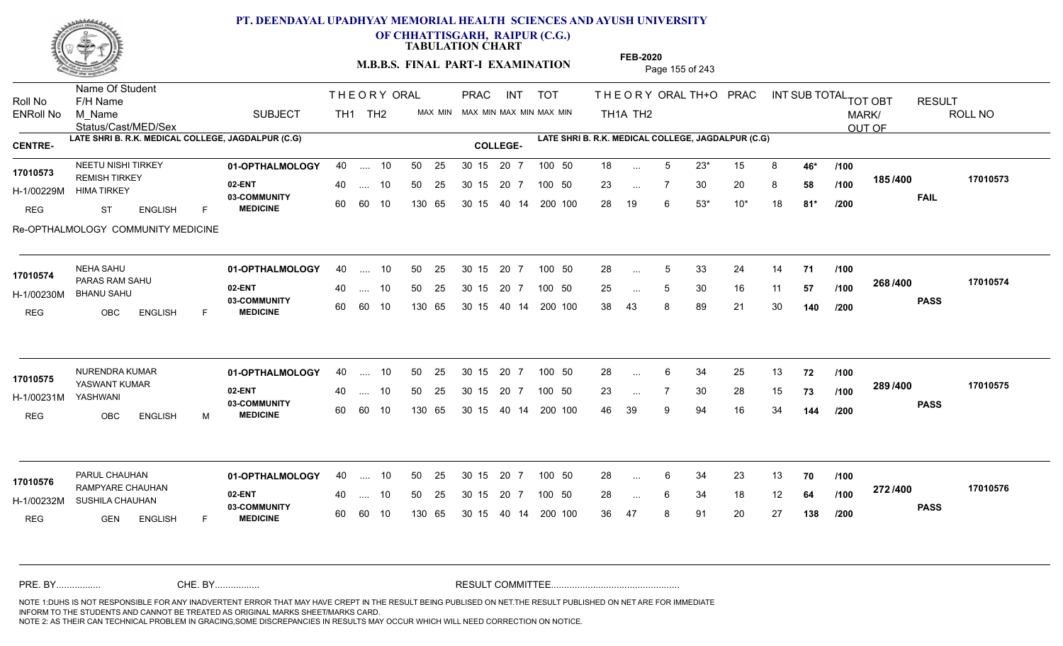

**OF CHHATTISGARH, RAIPUR (C.G.)**

**TABULATION CHART** 

**FEB-2020**

**M.B.B.S. FINAL PART-I EXAMINATION** Page 155 of 243

Status/Cast/MED/Sex Name Of Student Roll No F/H Name M\_Name SUBJECT TH1 TH2 <sup>MAX\_MIN</sup> N PRAC INT TOT THEORYORALTH+O PRAC INT TH<sub>1</sub>A TH<sub>2</sub> ORAL TH+ODPRACD INT SUB TOTAL <sub>TOT OBT</sub> RESULT ROLL NO MARK/ OUT OF ENRoll No M Name  $\,$  SUBJECT TH1 TH2 MAX MIN MAX MIN MAX MIN MAX MIN TH1A TH2 **LATE SHRI B. R.K. MEDICAL COLLEGE, JAGDALPUR (C.G) LATE SHRI B. R.K. MEDICAL COLLEGE, JAGDALPUR (C.G) CENTRE- COLLEGE-**THE ORY ORAL PRAC INT PRAC **01-OPTHALMOLOGY** NEETU NISHI TIRKEY 40 .... 10 30 15 20 7 **02-ENT** 03-COMMUNITY 60  **MEDICINE** H-1/00229M HIMA TIRKEY 17010573 REMISH TIRKEY REG ST ENGLISH F 18 5 23\* 15 8 **46\*** 23 ... 7 30 20 8 **58 /100 <sup>1007</sup> 7** 28 19 6 53\* 10\* 18 **81\* 185 FAIL 17010573 /400** Re-OPTHALMOLOGY COMMUNITY MEDICINE .... 10 50 25 60 60 10 50 25 30 15 130 65 30 15 40 14 200 100 20 7 100 50 50 25 30 15 20 7 100 50 18 ... ... ... **/100 /100 /200 01-OPTHALMOLOGY** NEHA SAHU 40 .... 10 30 15 20 7 **02-ENT** 03-COMMUNITY 60 **MEDICINE** 60 60 10 H-1/00230M BHANU SAHU PARAS RAM SAHU **17010574** REG OBC ENGLISH F 28 ... 5 33 24 14 **71 /100** 25 ... 5 30 16 11 **57 /100 <sup>2007–00</sup>** 38 43 8 89 21 30 **140 268 PASS /400 17010574** 40 .... 10 50 25 130 65 130 65 30 15 40 14 200 100 30 15 20 7 100 50 50 25 30 15 20 7 100 50 28 ... 5 ... 5 ... 5 **/100 /100 /200 01-OPTHALMOLOGY** NURENDRA KUMAR 40 .... 10 30 15 20 7 **02-ENT** 03-COMMUNITY 60  **MEDICINE** H-1/00231M YASWANT KUMAR **17010575** YASHWANI REG OBC ENGLISH M 28 6 34 25 13 **72** 23 ... 7 30 28 15 **73 /100 <sup>2007/400</sup>** 46 39 9 94 16 34 **144 289 PASS /400 17010575** .... 10 50 25 30 15 60 60 10 20 7 130 65 30 15 30 15 20 7 100 50 40 14 200 100 50 25 30 15 20 7 100 50 28 ... 6 ... ... **/100 /100 /200 01-OPTHALMOLOGY** PARUL CHAUHAN 40 .... 10 30 15 20 7 **02-ENT** 03-COMMUNITY 60 **MEDICINE** 60 60 10 H-1/00232M SUSHILA CHAUHAN **DE ENTRE** 17010576 RAMPYARE CHAUHAN REG GEN ENGLISH F 28 6 34 23 13 **70** 28 ... 6 34 18 12 **64 /100 <sup>212/+00</sup>** 36 47 8 91 20 27 **138 272 PASS /400 17010576** 40 .... 10 50 25 130 65 130 65 30 15 30 15 20 7 100 50 40 14 200 100 50 25 30 15 20 7 100 50 28 ... 6 ... ... 6 **/100 /100 /200** NOTE 1:DUHS IS NOT RESPONSIBLE FOR ANY INADVERTENT ERROR THAT MAY HAVE CREPT IN THE RESULT BEING PUBLISED ON NET.THE RESULT PUBLISHED ON NET ARE FOR IMMEDIATE INFORM TO THE STUDENTS AND CANNOT BE TREATED AS ORIGINAL MARKS SHEET/MARKS CARD. CHE. BY WAREL BY WARE AND THE AVEC THE AVEC THE THE RESULT COMMITTEE AND MULTIME MOTE 1:DUHS IS NOT RESPONSIBLE FOR ANY INADVERTENT ERROR THAT MAY HAVE CREPT IN THE RESULT BEING PUBLISED ON NET.THE RESULT PUBLISHED ON NET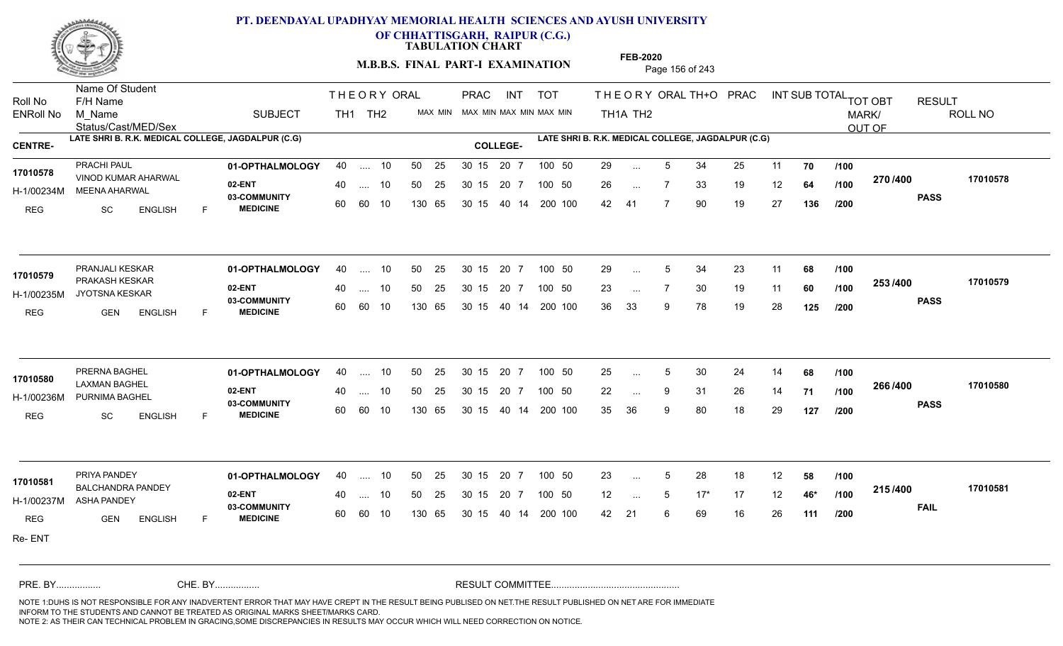

**OF CHHATTISGARH, RAIPUR (C.G.)**

**TABULATION CHART** 

**M.B.B.S. FINAL PART-I EXAMINATION** Page 156 of 243

Status/Cast/MED/Sex Name Of Student Roll No F/H Name M\_Name SUBJECT TH1 TH2 <sup>MAX\_MIN</sup> N PRAC INT TOT THEORYORALTH+O PRAC INT TH<sub>1</sub>A TH<sub>2</sub> ORAL TH+ODPRACD INT SUB TOTAL <sub>TOT OBT</sub> RESULT ROLL NO MARK/ OUT OF ENRoll No M Name  $\,$  SUBJECT TH1 TH2 MAX MIN MAX MIN MAX MIN MAX MIN TH1A TH2 **LATE SHRI B. R.K. MEDICAL COLLEGE, JAGDALPUR (C.G) LATE SHRI B. R.K. MEDICAL COLLEGE, JAGDALPUR (C.G) CENTRE- COLLEGE-**THE ORY ORAL PRAC INT PRAC **01-OPTHALMOLOGY** PRACHI PAUL 40 .... 10 30 15 20 7 **02-ENT** 03-COMMUNITY 60  **MEDICINE** H-1/00234M MEENA AHARWAL VINOD KUMAR AHARWAL **17010578** REG SC ENGLISH F 29 ... 5 34 25 11 **70 /100** 26 7 33 19 12 **64** 42 41 7 90 19 27 **136 270 PASS /400 17010578** .... 10 50 25 60 60 10 50 25 30 15 130 65 30 15 20 7 100 50 40 14 200 100 50 25 30 15 20 7 100 50 29 ... ... ... **/100 /100 /200 01-OPTHALMOLOGY** PRANJALI KESKAR 40 .... 10 30 15 20 7 **02-ENT** 03-COMMUNITY 60  **MEDICINE** H-1/00235M JYOTSNA KESKAR 17010579 PRAKASH KESKAR 20 PRAKASH KESKAR REG GEN ENGLISH F 29 ... 5 34 23 11 **68 /100** 23 ... 7 30 19 11 **60 /100 <sup>2007</sup> 7** 36 33 9 78 19 28 **125 253 PASS /400 17010579** 40 .... 10 50 25 60 60 10 130 65 30 15 40 14 200 100 30 15 20 7 100 50 50 25 30 15 20 7 100 50 29 ... 5 ... 5 ... **/100 /100 /200 01-OPTHALMOLOGY** PRERNA BAGHEL 40 .... 10 30 15 20 7 **02-ENT** 03-COMMUNITY 60 **MEDICINE** 60 60 10 H-1/00236M PURNIMA BAGHEL LAXMAN BAGHEL **17010580** REG SC ENGLISH F 25 ... 5 30 24 14 **68 /100** 22 9 31 26 14 **71** 35 36 9 80 18 29 **127 266 PASS /400 17010580** .... 10 50 25 30 15 130 65 20 7 130 65 30 15 30 15 20 7 100 50 40 14 200 100 50 25 30 15 20 7 100 50 25 ... 5 ... ... 9 **/100 /100 /200 01-OPTHALMOLOGY** PRIYA PANDEY 40 .... 10 30 15 20 7 **02-ENT** 03-COMMUNITY 60 **MEDICINE** 60 60 10 H-1/00237M ASHA PANDEY BALCHANDRA PANDEY **17010581** REG **GEN ENGLISH** F 23 ... 5 28 18 12 **58 /100** 12 5 17\* 17 12 **46\*** 42 21 6 69 16 26 **111 215 FAIL 17010581 /400** Re- ENT 40 .... 10 50 25 130 65 130 65 30 15 30 15 20 7 100 50 40 14 200 100 50 25 30 15 20 7 100 50 23 ... 5 ... 5 ... **/100 /100 /200** NOTE 1:DUHS IS NOT RESPONSIBLE FOR ANY INADVERTENT ERROR THAT MAY HAVE CREPT IN THE RESULT BEING PUBLISED ON NET.THE RESULT PUBLISHED ON NET ARE FOR IMMEDIATE INFORM TO THE STUDENTS AND CANNOT BE TREATED AS ORIGINAL MARKS SHEET/MARKS CARD. CHE. BY WAREL BY WARE AND THE AVEC THE AVEC THE THE RESULT COMMITTEE AND MULTIME MOTE 1:DUHS IS NOT RESPONSIBLE FOR ANY INADVERTENT ERROR THAT MAY HAVE CREPT IN THE RESULT BEING PUBLISED ON NET.THE RESULT PUBLISHED ON NET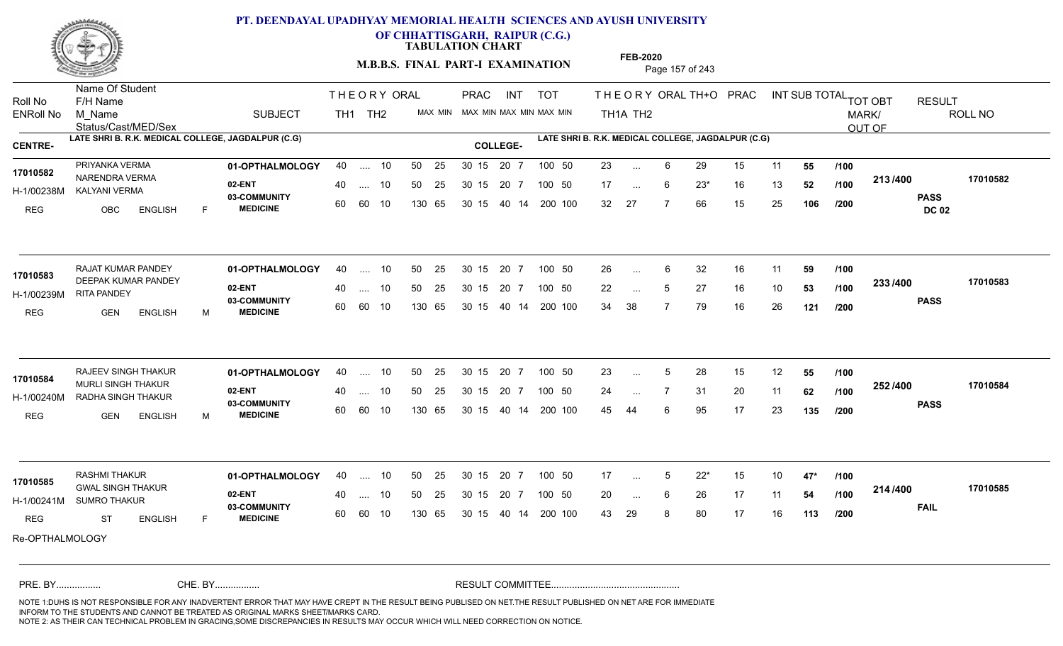

**OF CHHATTISGARH, RAIPUR (C.G.)**

**TABULATION CHART** 

**M.B.B.S. FINAL PART-I EXAMINATION** Page 157 of 243

Status/Cast/MED/Sex Name Of Student Roll No F/H Name M\_Name SUBJECT TH1 TH2 <sup>MAX\_MIN</sup> N PRAC INT TOT THEORYORALTH+O PRAC INT TH<sub>1</sub>A TH<sub>2</sub> ORAL TH+ODPRACD INT SUB TOTAL <sub>TOT OBT</sub> RESULT ROLL NO MARK/ OUT OF ENRoll No M Name  $\,$  SUBJECT TH1 TH2 MAX MIN MAX MIN MAX MIN MAX MIN TH1A TH2 **LATE SHRI B. R.K. MEDICAL COLLEGE, JAGDALPUR (C.G) LATE SHRI B. R.K. MEDICAL COLLEGE, JAGDALPUR (C.G) CENTRE- COLLEGE-**THE ORY ORAL PRAC INT PRAC **01-OPTHALMOLOGY** PRIYANKA VERMA 40 .... 10 30 15 20 7 **02-ENT** 03-COMMUNITY 60  **MEDICINE** H-1/00238M KALYANI VERMA 17010582 NARENDRA VERMA 20 PM REG OBC ENGLISH F 23 ... 6 29 15 11 **55 /100** 17 ... 6 23\* 16 13 **52** /**100 <sup>213/400</sup>** 32 27 7 66 15 25 **106 213 PASS DC 02 /400 17010582** .... 10 50 25 60 60 10 50 25 30 15 130 65 30 15 40 14 200 100 20 7 100 50 50 25 30 15 20 7 100 50 23 ... ... ... 6 **/100 /100 /200 01-OPTHALMOLOGY 02-ENT** 03-COMMUNITY 60  **MEDICINE** H-1/00239M RITA PANDEY 17010583 DEEPAK KUMAR PANDEY REG GEN ENGLISH M 26 6 32 16 11 **59** 22 ... 5 27 16 10 **53 /100 <sup>2007</sup> 700** 34 38 7 79 16 26 **121 233 PASS /400 17010583** RAJAT KUMAR PANDEY **01-OPTHALMOLOGY** 40 .... 10 50 25 30 15 20 7 100 50 26 40 .... 10 50 25 60 60 10 130 65 30 15 40 14 200 100 30 15 20 7 100 50 30 15 20 7 100 50 26 ... ... ... **/100 /100 /200** RAJEEV SINGH THAKUR **01-OPTHALMOLOGY** 40 .... 10 50 25 30 15 20 7 100 50 23 **02-ENT** 03-COMMUNITY 60  **MEDICINE** H-1/00240M RADHA SINGH THAKUR 17010584 MURLI SINGH THAKUR REG GEN ENGLISH M 23 ... 5 28 15 12 **55 /100** 24 7 31 20 11 **62** 45 44 6 95 17 23 **135 252 PASS /400 17010584** .... 10 50 25 30 15 60 60 10 20 7 130 65 30 15 30 15 20 7 100 50 40 14 200 100 50 25 30 15 20 7 100 50 23 ... 5 ... 5 ... **/100 /100 /200 01-OPTHALMOLOGY** RASHMI THAKUR 40 .... 10 30 15 20 7 **02-ENT** 03-COMMUNITY 60 **MEDICINE** 60 60 10 H-1/00241M SUMRO THAKUR GWAL SINGH THAKUR **17010585** REG ST ENGLISH F 17 5 22\* 15 10 **47\*** 20 ... 6 26 17 11 **54 /100 <del>117</del>/+00** 43 29 8 80 17 16 **113 214 FAIL 17010585 /400** Re-OPTHALMOLOGY 40 .... 10 50 25 130 65 130 65 30 15 30 15 20 7 100 50 40 14 200 100 50 25 30 15 20 7 100 50 17 ... 5 ... 5 ... 6 **/100 /100 /200** NOTE 1:DUHS IS NOT RESPONSIBLE FOR ANY INADVERTENT ERROR THAT MAY HAVE CREPT IN THE RESULT BEING PUBLISED ON NET.THE RESULT PUBLISHED ON NET ARE FOR IMMEDIATE INFORM TO THE STUDENTS AND CANNOT BE TREATED AS ORIGINAL MARKS SHEET/MARKS CARD. CHE. BY WAREL BY WARE AND THE AVEC THE AVEC THE THE RESULT COMMITTEE AND MULTIME MOTE 1:DUHS IS NOT RESPONSIBLE FOR ANY INADVERTENT ERROR THAT MAY HAVE CREPT IN THE RESULT BEING PUBLISED ON NET.THE RESULT PUBLISHED ON NET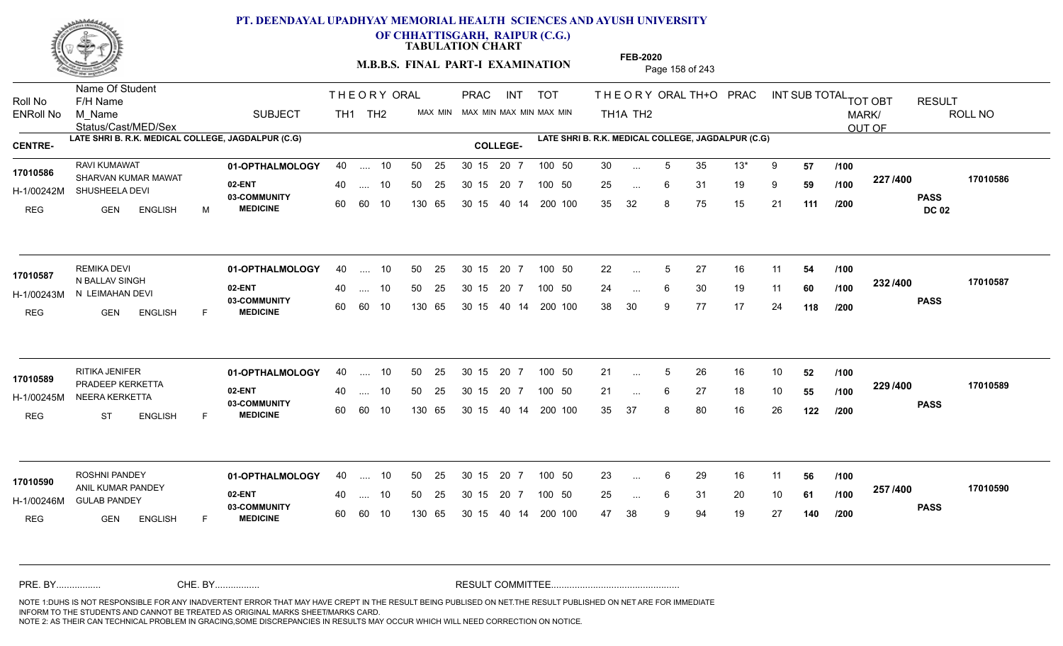

**OF CHHATTISGARH, RAIPUR (C.G.)**

**TABULATION CHART** 

**M.B.B.S. FINAL PART-I EXAMINATION** Page 158 of 243

Status/Cast/MED/Sex Name Of Student Roll No F/H Name M\_Name SUBJECT TH1 TH2 <sup>MAX\_MIN</sup> N PRAC INT TOT THEORYORALTH+O PRAC INT TH<sub>1</sub>A TH<sub>2</sub> ORAL TH+ODPRACD INT SUB TOTAL <sub>TOT OBT</sub> RESULT ROLL NO MARK/ OUT OF ENRoll No M Name  $\,$  SUBJECT TH1 TH2 MAX MIN MAX MIN MAX MIN MAX MIN TH1A TH2 **LATE SHRI B. R.K. MEDICAL COLLEGE, JAGDALPUR (C.G) LATE SHRI B. R.K. MEDICAL COLLEGE, JAGDALPUR (C.G) CENTRE- COLLEGE-**THE ORY ORAL PRAC INT PRAC **01-OPTHALMOLOGY** RAVI KUMAWAT 40 .... 10 30 15 20 7 **02-ENT** 03-COMMUNITY 60  **MEDICINE** H-1/00242M SHUSHEELA DEVI 17010586 SHARVAN KUMAR MAWAT REG GEN ENGLISH M 30 ... 5 35 13\* 9 **57 /100** 25 ... 6 31 19 9 **59 /100 <sup>227 /</sup>=**00 35 32 8 75 15 21 **111 227 PASS DC 02 /400 17010586** .... 10 50 25 60 60 10 50 25 30 15 130 65 30 15 20 7 100 50 40 14 200 100 50 25 30 15 20 7 100 50 30 ... ... ... 6 **/100 /100 /200 01-OPTHALMOLOGY** REMIKA DEVI 40 .... 10 30 15 20 7 **02-ENT** 03-COMMUNITY 60 **MEDICINE** 60 60 10 H-1/00243M N LEIMAHAN DEVI N BALLAV SINGH **17010587** REG GEN ENGLISH F 22 ... 5 27 16 11 **54 /100** 24 ... 6 30 19 11 **60 /100 <sup>2027–00</sup>** 38 30 9 77 17 24 **118 232 PASS /400 17010587** 40 .... 10 50 25 130 65 130 65 30 15 40 14 200 100 30 15 20 7 100 50 50 25 30 15 20 7 100 50 22 ... 5 ... 5 ... 6 **/100 /100 /200 01-OPTHALMOLOGY** RITIKA JENIFER 40 .... 10 30 15 20 7 **02-ENT** 03-COMMUNITY 60 **MEDICINE** 60 60 10 H-1/00245M NEERA KERKETTA PRADEEP KERKETTA **17010589** REG ST ENGLISH F 21 ... 5 26 16 10 **52** /**100** 21 ... 6 27 18 10 **55 /100 <sup>223</sup> 1** 35 37 8 80 16 26 **122 229 /100 PASS /400 17010589** .... 10 50 25 30 15 130 65 20 7 130 65 30 15 30 15 20 7 100 50 40 14 200 100 50 25 30 15 20 7 100 50 21 ... 5 ... 5 ... 6 **/100 /200 01-OPTHALMOLOGY** ROSHNI PANDEY 40 .... 10 30 15 20 7 **02-ENT** 03-COMMUNITY 60 **MEDICINE** 60 60 10 H-1/00246M GULAB PANDEY 17010590 ANIL KUMAR PANDEY REG GEN ENGLISH F 23 ... 6 29 16 11 **56 /100** 25 ... 6 31 20 10 **61 /100 <sup>237</sup> /\*\*** 47 38 9 94 19 27 **140 257 PASS /400 17010590** 40 .... 10 50 25 130 65 130 65 30 15 30 15 20 7 100 50 40 14 200 100 50 25 30 15 20 7 100 50 23 ... ... ... 6 **/100 /100 /200** NOTE 1:DUHS IS NOT RESPONSIBLE FOR ANY INADVERTENT ERROR THAT MAY HAVE CREPT IN THE RESULT BEING PUBLISED ON NET.THE RESULT PUBLISHED ON NET ARE FOR IMMEDIATE INFORM TO THE STUDENTS AND CANNOT BE TREATED AS ORIGINAL MARKS SHEET/MARKS CARD. CHE. BY WAREL BY WARE AND THE AVEC THE AVEC THE THE RESULT COMMITTEE AND MULTIME MOTE 1:DUHS IS NOT RESPONSIBLE FOR ANY INADVERTENT ERROR THAT MAY HAVE CREPT IN THE RESULT BEING PUBLISED ON NET.THE RESULT PUBLISHED ON NET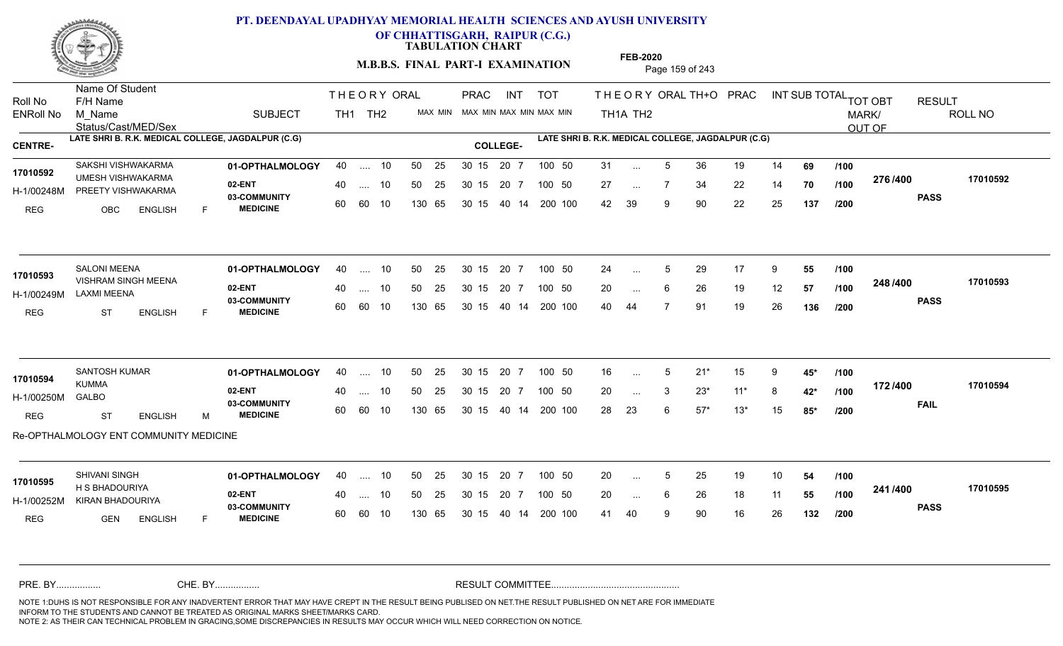

**OF CHHATTISGARH, RAIPUR (C.G.)**

**TABULATION CHART** 

**M.B.B.S. FINAL PART-I EXAMINATION** Page 159 of 243

Status/Cast/MED/Sex Name Of Student Roll No F/H Name M\_Name SUBJECT TH1 TH2 <sup>MAX\_MIN</sup> N PRAC INT TOT THEORYORALTH+O PRAC INT TH<sub>1</sub>A TH<sub>2</sub> ORAL TH+ODPRACD INT SUB TOTAL <sub>TOT OBT</sub> RESULT ROLL NO MARK/ OUT OF ENRoll No M Name  $\,$  SUBJECT TH1 TH2 MAX MIN MAX MIN MAX MIN MAX MIN TH1A TH2 **LATE SHRI B. R.K. MEDICAL COLLEGE, JAGDALPUR (C.G) LATE SHRI B. R.K. MEDICAL COLLEGE, JAGDALPUR (C.G) CENTRE- COLLEGE-**THE ORY ORAL PRAC INT PRAC SAKSHI VISHWAKARMA **01-OPTHALMOLOGY** 40 .... 10 50 25 30 15 20 7 100 50 31 **02-ENT** 03-COMMUNITY 60  **MEDICINE** H-1/00248M PREETY VISHWAKARMA UMESH VISHWAKARMA **17010592** REG OBC ENGLISH F 31 ... 5 36 19 14 **69 /100** 27 ... 7 34 22 14 **70 /100 <sup>21 01</sup> 70** 42 39 9 90 22 25 **137 276 PASS /400 17010592** .... 10 50 25 60 60 10 50 25 30 15 130 65 30 15 40 14 200 100 20 7 100 50 50 25 30 15 20 7 100 50 31 ... ... ... **/100 /100 /200 01-OPTHALMOLOGY** SALONI MEENA 40 .... 10 30 15 20 7 **02-ENT** 03-COMMUNITY 60 **MEDICINE** 60 60 10 H-1/00249M LAXMI MEENA 17010593 VISHRAM SINGH MEENA<br>
VISHRAM SINGH MEENA REG ST ENGLISH F 24 ... 5 29 17 9 **55 /100** 20 ... 6 26 19 12 **57 /100 <sup>2407400</sup>** 40 44 7 91 19 26 **136 248 PASS /400 17010593** 40 .... 10 50 25 130 65 130 65 30 15 40 14 200 100 30 15 20 7 100 50 50 25 30 15 20 7 100 50 24 ... 5 ... 5 ... **/100 /100 /200 01-OPTHALMOLOGY** SANTOSH KUMAR 40 .... 10 30 15 20 7 **02-ENT** 03-COMMUNITY 60 **MEDICINE** 60 60 10 H-1/00250M KUMMA GALBO REG ST ENGLISH M 16 5 21\* 15 9 **45\*** 20 3 23\* 11\* 8 **42\*** 28 23 6 57\* 13\* 15 **85\* 172 FAIL 17010594 /400** Re-OPTHALMOLOGY ENT COMMUNITY MEDICINE .... 10 50 25 30 15 130 65 20 7 130 65 30 15 30 15 20 7 100 50 40 14 200 100 50 25 30 15 20 7 100 50 16 ... 5 **17010594 17010594 17010594** ... ... 3 **/100 /100 /200 01-OPTHALMOLOGY** SHIVANI SINGH 40 .... 10 30 15 20 7 **02-ENT** 03-COMMUNITY 60 **MEDICINE** 60 60 10 H-1/00252M KIRAN BHADOURIYA **1999 - 1999 BA** 17010595<br>
H S BHADOURIYA **17010595** REG GEN ENGLISH F 20 ... 5 25 19 10 **54 /100** 20 ... 6 26 18 11 **55 /100 <sup>24 / 14</sup>00** 41 40 9 90 16 26 **132 241 PASS /400 17010595** 40 .... 10 50 25 130 65 130 65 30 15 30 15 20 7 100 50 40 14 200 100 50 25 30 15 20 7 100 50 20 ... 5 ... 5 ... 6 **/100 /100 /200** NOTE 1:DUHS IS NOT RESPONSIBLE FOR ANY INADVERTENT ERROR THAT MAY HAVE CREPT IN THE RESULT BEING PUBLISED ON NET.THE RESULT PUBLISHED ON NET ARE FOR IMMEDIATE INFORM TO THE STUDENTS AND CANNOT BE TREATED AS ORIGINAL MARKS SHEET/MARKS CARD. CHE. BY WAREL BY WARE AND THE AVEC THE AVEC THE THE RESULT COMMITTEE AND MULTIME MOTE 1:DUHS IS NOT RESPONSIBLE FOR ANY INADVERTENT ERROR THAT MAY HAVE CREPT IN THE RESULT BEING PUBLISED ON NET.THE RESULT PUBLISHED ON NET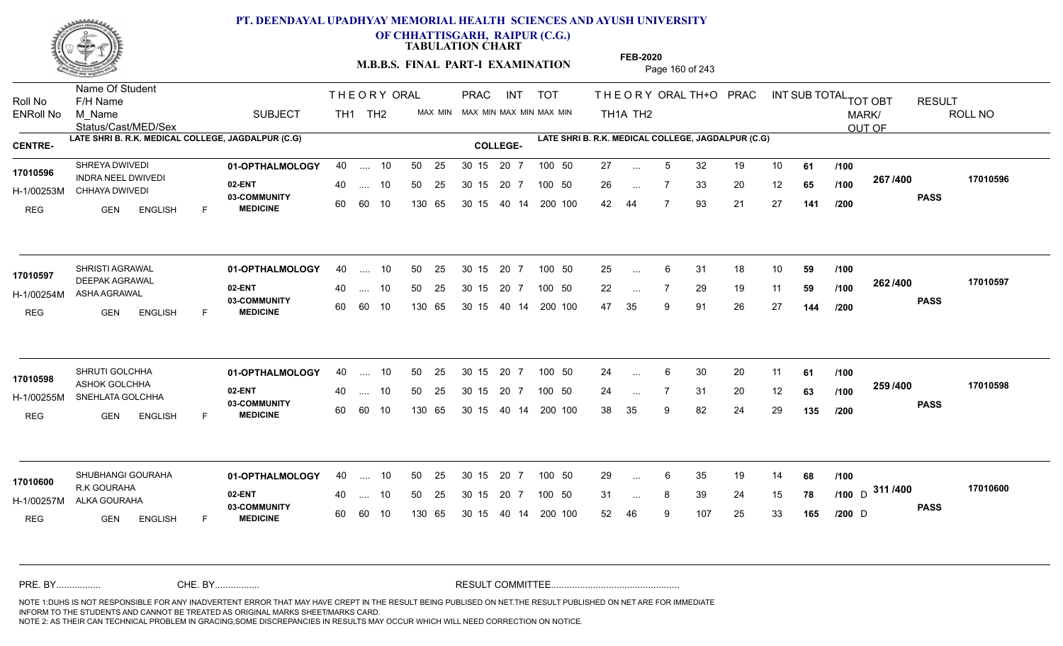

**OF CHHATTISGARH, RAIPUR (C.G.)**

**TABULATION CHART** 

**M.B.B.S. FINAL PART-I EXAMINATION** Page 160 of 243

Status/Cast/MED/Sex Name Of Student Roll No F/H Name M\_Name SUBJECT TH1 TH2 <sup>MAX\_MIN</sup> N PRAC INT TOT THEORYORALTH+O PRAC INT TH<sub>1</sub>A TH<sub>2</sub> ORAL TH+ODPRACD INT SUB TOTAL <sub>TOT OBT</sub> RESULT ROLL NO MARK/ OUT OF ENRoll No M Name  $\,$  SUBJECT TH1 TH2 MAX MIN MAX MIN MAX MIN MAX MIN TH1A TH2 **LATE SHRI B. R.K. MEDICAL COLLEGE, JAGDALPUR (C.G) LATE SHRI B. R.K. MEDICAL COLLEGE, JAGDALPUR (C.G) CENTRE- COLLEGE-**THE ORY ORAL PRAC INT PRAC **01-OPTHALMOLOGY** SHREYA DWIVEDI 40 .... 10 30 15 20 7 **02-ENT** 03-COMMUNITY 60  **MEDICINE** H-1/00253M CHHAYA DWIVEDI 17010596 **INDRA NEEL DWIVEDI** REG GEN ENGLISH F 27 ... 5 32 19 10 **61 /100** 26 7 33 20 12 **65** 42 44 7 93 21 27 **141 267 PASS /400 17010596** .... 10 50 25 60 60 10 50 25 30 15 130 65 30 15 40 14 200 100 20 7 100 50 50 25 30 15 20 7 100 50 27 ... ... ... **/100 /100 /200 01-OPTHALMOLOGY** SHRISTI AGRAWAL 40 .... 10 30 15 20 7 **02-ENT** 03-COMMUNITY 60  **MEDICINE** H-1/00254M ASHA AGRAWAL DEEPAK AGRAWAL **17010597** REG GEN ENGLISH F 25 ... 6 31 18 10 **59 /100** 22 7 29 19 11 **59** 47 35 9 91 26 27 **144 262 PASS /400 17010597** .... 10 50 25 60 60 10 30 15 20 7 130 65 30 15 40 14 200 100 30 15 20 7 100 50 50 25 30 15 20 7 100 50 25 ... ... ... **/100 /100 /200 01-OPTHALMOLOGY** SHRUTI GOLCHHA 40 .... 10 30 15 20 7 **02-ENT** 03-COMMUNITY 60  **MEDICINE** H-1/00255M SNEHLATA GOLCHHA ASHOK GOLCHHA **17010598** REG GEN ENGLISH F 24 ... 6 30 20 11 **61 /100** 24 7 31 20 12 **63** 38 35 9 82 24 29 **135 259 PASS /400 17010598** .... 10 50 25 30 15 60 60 10 20 7 130 65 30 15 30 15 20 7 100 50 40 14 200 100 50 25 30 15 20 7 100 50 24 ... 6 ... ... **/100 /100 /200 01-OPTHALMOLOGY** SHUBHANGI GOURAHA 40 .... 10 30 15 20 7 **02-ENT** 03-COMMUNITY 60 **MEDICINE** 60 60 10 H-1/00257M ALKA GOURAHA R.K GOURAHA **17010600** REG GEN ENGLISH F 29 ... 6 35 19 14 **68 /100** 31 ... 8 39 24 15 **78 /100** D **117<del>1</del>00** 52 46 9 107 25 33 **165** <sub>D</sub> 311 /400 170106 **PASS /400 17010600** 40 .... 10 50 25 130 65 130 65 30 15 30 15 20 7 100 50 40 14 200 100 50 25 30 15 20 7 100 50 29 ...  $D \qquad \qquad \text{and}$ ... ... **/100 /200** NOTE 1:DUHS IS NOT RESPONSIBLE FOR ANY INADVERTENT ERROR THAT MAY HAVE CREPT IN THE RESULT BEING PUBLISED ON NET.THE RESULT PUBLISHED ON NET ARE FOR IMMEDIATE INFORM TO THE STUDENTS AND CANNOT BE TREATED AS ORIGINAL MARKS SHEET/MARKS CARD. CHE. BY WAREL BY WARE AND THE AVEC THE AVEC THE THE RESULT COMMITTEE AND MULTIME MOTE 1:DUHS IS NOT RESPONSIBLE FOR ANY INADVERTENT ERROR THAT MAY HAVE CREPT IN THE RESULT BEING PUBLISED ON NET.THE RESULT PUBLISHED ON NET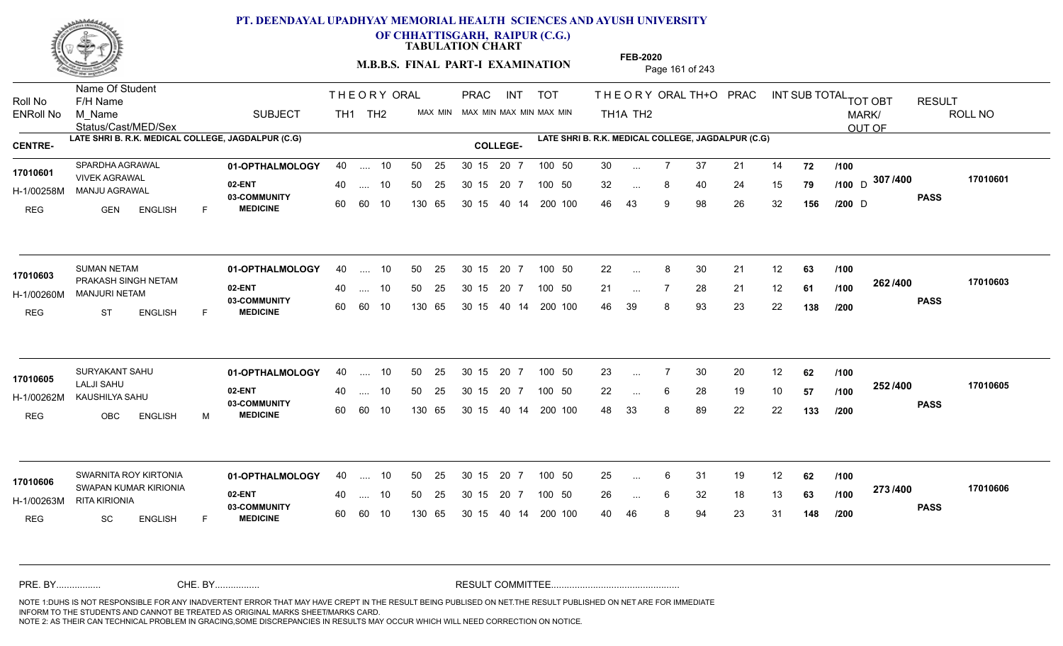

**OF CHHATTISGARH, RAIPUR (C.G.)**

**TABULATION CHART** 

**M.B.B.S. FINAL PART-I EXAMINATION** Page 161 of 243

Status/Cast/MED/Sex Name Of Student Roll No F/H Name M\_Name SUBJECT TH1 TH2 <sup>MAX\_MIN</sup> N PRAC INT TOT THEORYORALTH+O PRAC INT TH<sub>1</sub>A TH<sub>2</sub> ORAL TH+ODPRACD INT SUB TOTAL <sub>TOT OBT</sub> RESULT ROLL NO MARK/ OUT OF ENRoll No M Name  $\,$  SUBJECT TH1 TH2 MAX MIN MAX MIN MAX MIN MAX MIN TH1A TH2 **LATE SHRI B. R.K. MEDICAL COLLEGE, JAGDALPUR (C.G) LATE SHRI B. R.K. MEDICAL COLLEGE, JAGDALPUR (C.G) CENTRE- COLLEGE-**THE ORY ORAL PRAC INT PRAC **01-OPTHALMOLOGY** SPARDHA AGRAWAL 40 .... 10 30 15 20 7 **02-ENT** 03-COMMUNITY 60  **MEDICINE** H-1/00258M MANJU AGRAWAL VIVEK AGRAWAL **17010601** REG GEN ENGLISH F 30 7 37 21 14 **72** 32 ... 8 40 24 15 **79** /**100** D <sup>307</sup> / <del>1</del>00 46 43 9 98 26 32 **156** <sub>D</sub> 307 /400 170106 **PASS /400 17010601** .... 10 50 25 60 60 10 50 25 30 15 130 65 30 15 40 14 200 100 20 7 100 50 50 25 30 15 20 7 100 50 30 ...  $D \rightarrow \text{Cov}$ ... ... **/100 /100 /200 01-OPTHALMOLOGY** SUMAN NETAM 40 .... 10 30 15 20 7 **02-ENT** 03-COMMUNITY 60  **MEDICINE** H-1/00260M MANJURI NETAM 17010603 PRAKASH SINGH NETAM REG ST ENGLISH F 22 8 30 21 12 **63** 21 7 28 21 12 **61** 46 39 8 93 23 22 **138 262 PASS /400 17010603** .... 10 50 25 60 60 10 30 15 20 7 130 65 30 15 40 14 200 100 30 15 20 7 100 50 50 25 30 15 20 7 100 50 22 ... 8 ... ... **/100 /100 /200 01-OPTHALMOLOGY** SURYAKANT SAHU 40 .... 10 30 15 20 7 **02-ENT** 03-COMMUNITY 60  **MEDICINE** H-1/00262M KAUSHILYA SAHU LALJI SAHU REG OBC ENGLISH M 23 7 30 20 12 **62** 22 ... 6 28 19 10 **57 /100 <sup>2027–00</sup>** 48 33 8 89 22 22 **133 252 PASS /400 17010605** .... 10 50 25 30 15 60 60 10 20 7 130 65 30 15 30 15 20 7 100 50 40 14 200 100 50 25 30 15 20 7 100 50 23 ... 7 **17010605** SURYAKANT SAHU ... ... 6 **/100 /100 /200 01-OPTHALMOLOGY 02-ENT** 03-COMMUNITY 60 **MEDICINE** 60 60 10 H-1/00263M RITA KIRIONIA SWAPAN KUMAR KIRIONIA **17010606** REG SC ENGLISH F 25 6 31 19 12 **62** 26 ... 6 32 18 13 **63 /100 <sup>2137–00</sup>** 40 46 8 94 23 31 **148 273 PASS /400 17010606** SWARNITA ROY KIRTONIA **101-OPTHALMOLOGY** 40 .... 10 50 25 30 15 20 7 100 50 25 .... 10 50 25 130 65 30 15 20 7 130 65 30 15 30 15 20 7 100 50 40 14 200 100 30 15 20 7 100 50 25 ... ... ... 6 **/100 /100 /200** NOTE 1:DUHS IS NOT RESPONSIBLE FOR ANY INADVERTENT ERROR THAT MAY HAVE CREPT IN THE RESULT BEING PUBLISED ON NET.THE RESULT PUBLISHED ON NET ARE FOR IMMEDIATE INFORM TO THE STUDENTS AND CANNOT BE TREATED AS ORIGINAL MARKS SHEET/MARKS CARD. CHE. BY WAREL BY WARE AND THE AVEC THE AVEC THE THE RESULT COMMITTEE AND MULTIME MOTE 1:DUHS IS NOT RESPONSIBLE FOR ANY INADVERTENT ERROR THAT MAY HAVE CREPT IN THE RESULT BEING PUBLISED ON NET.THE RESULT PUBLISHED ON NET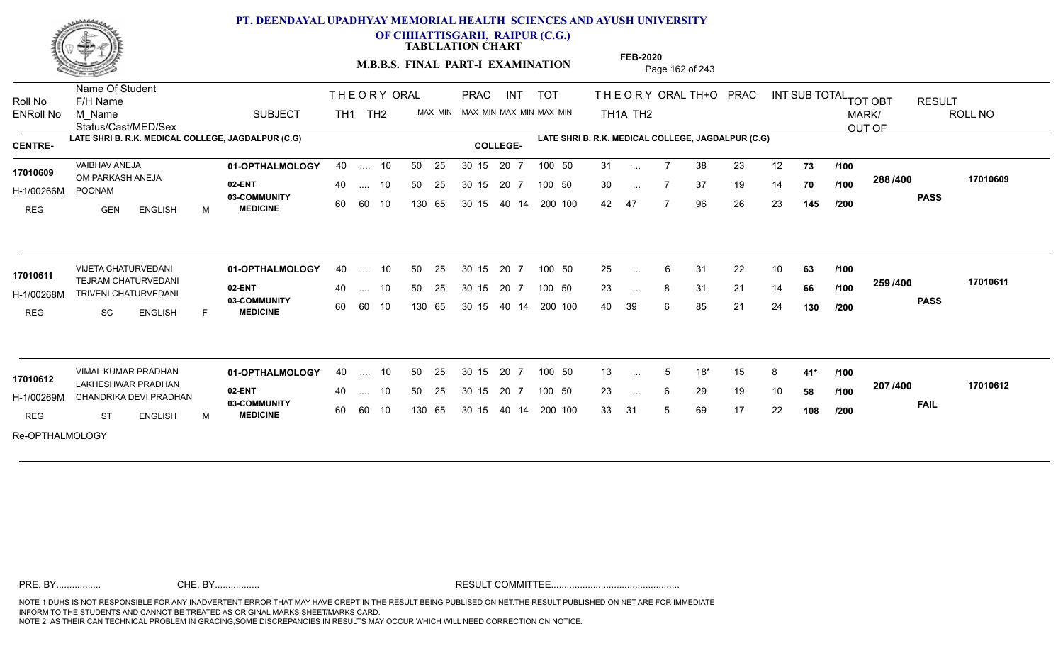

**OF CHHATTISGARH, RAIPUR (C.G.)**

**TABULATION CHART** 

**M.B.B.S. FINAL PART-I EXAMINATION** Page 162 of 243

Status/Cast/MED/Sex Name Of Student Roll No F/H Name M\_Name SUBJECT TH1 TH2 <sup>MAX\_MIN</sup> N TOT THE OR YORAL TH+O PRAC INT TH<sub>1</sub>A TH<sub>2</sub> ORAL TH+ODPRACD INT SUB TOTAL <sub>TOT OBT</sub> RESULT ROLL NO MARK/ OUT OF ENRoll No M Name  $\,$  SUBJECT TH1 TH2 MAX MIN MAX MIN MAX MIN MAX MIN TH1A TH2 **LATE SHRI B. R.K. MEDICAL COLLEGE, JAGDALPUR (C.G) LATE SHRI B. R.K. MEDICAL COLLEGE, JAGDALPUR (C.G) CENTRE- COLLEGE-**THE ORY ORAL PRAC INT TOT THEOR PRAC **01-OPTHALMOLOGY** VAIBHAV ANEJA 40 .... 10 30 15 20 7 **02-ENT 03-COMMUNITY MEDICINE** H-1/00266M 17010609 OM PARKASH ANEJA POONAM REG GEN ENGLISH M 31 7 38 23 12 **73** 30 ... 7 37 19 14 **70 /100 <sup>2007–00</sup>** 42 47 7 96 26 23 **145 288 PASS /400 17010609** .... 10 50 25 60 60 10 50 25 30 15 130 65 30 15 40 14 200 100 20 7 100 50 50 25 30 15 20 7 100 50 31 ... ... ... 7 **/100 /100 /200 01-OPTHALMOLOGY** VIJETA CHATURVEDANI 40 .... 10 30 15 20 7 **02-ENT 03-COMMUNITY MEDICINE** H-1/00268M TRIVENI CHATURVEDANI TEJRAM CHATURVEDANI **17010611** REG SC ENGLISH F 25 6 31 22 10 **63** 23 ... 8 31 21 14 **66 /100 <sup>2007</sup> +00** 40 39 6 85 21 24 **130 259 PASS /400 17010611** .... 10 50 25 60 60 10 50 25 30 15 130 65 30 15 40 14 200 100 20 7 100 50 50 25 30 15 20 7 100 50 25 ... ... ... **/100 /100 /200** VIMAL KUMAR PRADHAN **01-OPTHALMOLOGY** 40 .... 10 50 25 30 15 20 7 100 50 13 **02-ENT** 03-COMMUNITY 60  **MEDICINE** H-1/00269M CHANDRIKA DEVI PRADHAN 22 EN 1 17010612 LAKHESHWAR PRADHAN REG ST ENGLISH M 13 5 18\* 15 8 **41\*** 23 ... 6 29 19 10 **58 /100 <sup>207</sup> 1<del>-</del>00** 33 31 5 69 17 22 **108 207 FAIL 17010612 /400** Re-OPTHALMOLOGY .... 10 50 25 60 60 10 50 25 30 15 130 65 30 15 40 14 200 100 20 7 100 50 50 25 30 15 20 7 100 50 13 ... ... ... 6 **/100 /100 /200**

**FEB-2020**

NOTE 1:DUHS IS NOT RESPONSIBLE FOR ANY INADVERTENT ERROR THAT MAY HAVE CREPT IN THE RESULT BEING PUBLISED ON NET.THE RESULT PUBLISHED ON NET ARE FOR IMMEDIATE INFORM TO THE STUDENTS AND CANNOT BE TREATED AS ORIGINAL MARKS SHEET/MARKS CARD. CHE. BY WAREL BY WARE AND THE AVEC THE AVEC THE THE RESULT COMMITTEE AND MULTIME MOTE 1:DUHS IS NOT RESPONSIBLE FOR ANY INADVERTENT ERROR THAT MAY HAVE CREPT IN THE RESULT BEING PUBLISED ON NET.THE RESULT PUBLISHED ON NET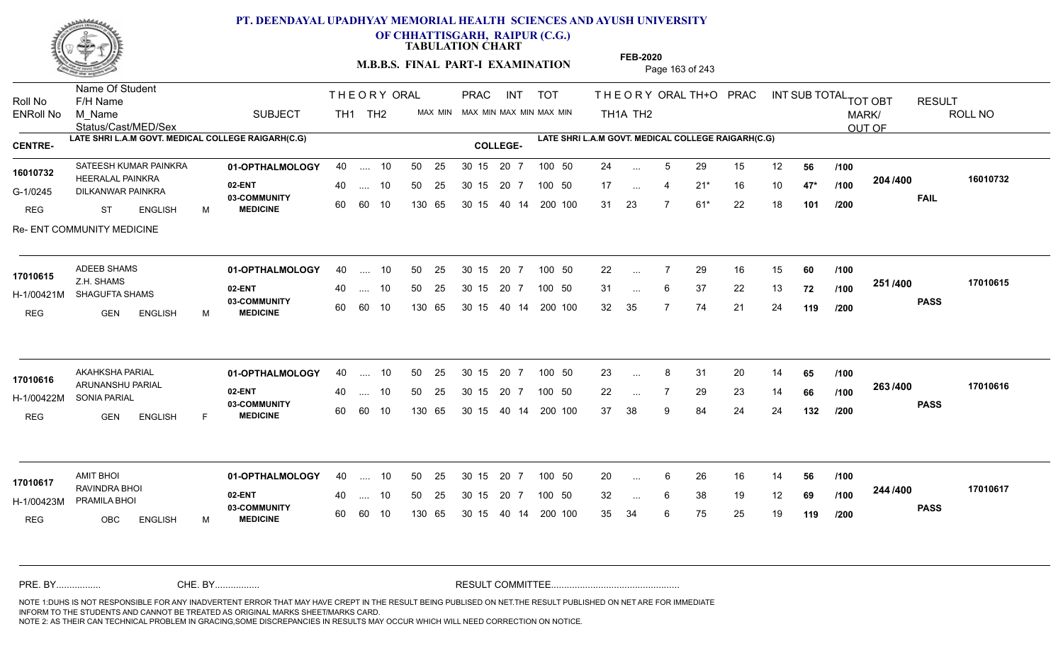

**OF CHHATTISGARH, RAIPUR (C.G.)**

**TABULATION CHART** 

**M.B.B.S. FINAL PART-I EXAMINATION** Page 163 of 243

Status/Cast/MED/Sex Name Of Student Roll No F/H Name M\_Name SUBJECT TH1 TH2 <sup>MAX\_MIN</sup> N PRAC INT TOT THEORYORALTH+O PRAC INT TH<sub>1</sub>A TH<sub>2</sub> ORAL TH+ODPRACD INT SUB TOTAL <sub>TOT OBT</sub> RESULT ROLL NO MARK/ OUT OF ENRoll No M Name  $\,$  SUBJECT TH1 TH2 MAX MIN MAX MIN MAX MIN MAX MIN TH1A TH2 **LATE SHRI L.A.M GOVT. MEDICAL COLLEGE RAIGARH(C.G) LATE SHRI L.A.M GOVT. MEDICAL COLLEGE RAIGARH(C.G) CENTRE- COLLEGE-**THE ORY ORAL PRAC INT PRAC **01-OPTHALMOLOGY 02-ENT** 03-COMMUNITY 60  **MEDICINE** G-1/0245 DILKANWAR PAINKRA **DILKANWAR PAINKRA** HEERALAL PAINKRA **16010732** REG ST ENGLISH M 24 ... 5 29 15 12 **56 /100** 17 ... 4 21<sup>\*</sup> 16 10 **47<sup>\*</sup> /100 <sup>40</sup>** 31 23 7 61\* 22 18 **101 204 FAIL 16010732 /400** Re- ENT COMMUNITY MEDICINE SATEESH KUMAR PAINKRA **40 11 - OPTHALMOLOGY** 40 .... 10 50 25 30 15 20 7 100 50 24 40 .... 10 50 25 30 15 60 60 10 130 65 30 15 40 14 200 100 20 7 100 50 30 15 20 7 100 50 24 ... ... ... **/100 /100 /200 01-OPTHALMOLOGY** ADEEB SHAMS 40 .... 10 30 15 20 7 **02-ENT** 03-COMMUNITY 60  **MEDICINE** H-1/00421M SHAGUFTA SHAMS Z.H. SHAMS REG GEN ENGLISH M 22 7 29 16 15 **60** 31 ... 6 37 22 13 **72 /100 <sup>2317400</sup>** 32 35 7 74 21 24 **119 251 PASS /400 17010615** 40 .... 10 50 25 30 15 60 60 10 130 65 30 15 40 14 200 100 20 7 100 50 50 25 30 15 20 7 100 50 22 ... 7 **17010615** ... ... 6 **/100 /100 /200 01-OPTHALMOLOGY** AKAHKSHA PARIAL 40 .... 10 30 15 20 7 **02-ENT** 03-COMMUNITY 60  **MEDICINE** H-1/00422M SONIA PARIAL ARUNANSHU PARIAL **17010616** REG **GEN ENGLISH** F 23 ... 8 31 20 14 **65 /100** 22 ... 7 29 23 14 **66 /100 <sup>2007/400</sup>** 37 38 9 84 24 24 **132 263 PASS /400 17010616** 40 .... 10 50 25 30 15 60 60 10 130 65 30 15 40 14 200 100 20 7 100 50 50 25 30 15 20 7 100 50 23 ... ... ... **/100 /100 /200 01-OPTHALMOLOGY** AMIT BHOI 40 .... 10 30 15 20 7 **02-ENT** 03-COMMUNITY 60  **MEDICINE** H-1/00423M PRAMILA BHOI RAVINDRA BHOI **17010617** REG OBC ENGLISH M 20 ... 6 26 16 14 **56 /100** 32 ... 6 38 19 12 **69 /100 <sup>244</sup> /400** 35 34 6 75 25 19 **119 244 PASS /400 17010617** 40 .... 10 50 25 30 15 60 60 10 130 65 30 15 20 7 100 50 40 14 200 100 50 25 30 15 20 7 100 50 20 ... 6 ... ... **/100 /100 /200** NOTE 1:DUHS IS NOT RESPONSIBLE FOR ANY INADVERTENT ERROR THAT MAY HAVE CREPT IN THE RESULT BEING PUBLISED ON NET.THE RESULT PUBLISHED ON NET ARE FOR IMMEDIATE INFORM TO THE STUDENTS AND CANNOT BE TREATED AS ORIGINAL MARKS SHEET/MARKS CARD. CHE. BY WAREL BY WARE AND THE AVEC THE AVEC THE THE RESULT COMMITTEE AND MULTIME MOTE 1:DUHS IS NOT RESPONSIBLE FOR ANY INADVERTENT ERROR THAT MAY HAVE CREPT IN THE RESULT BEING PUBLISED ON NET.THE RESULT PUBLISHED ON NET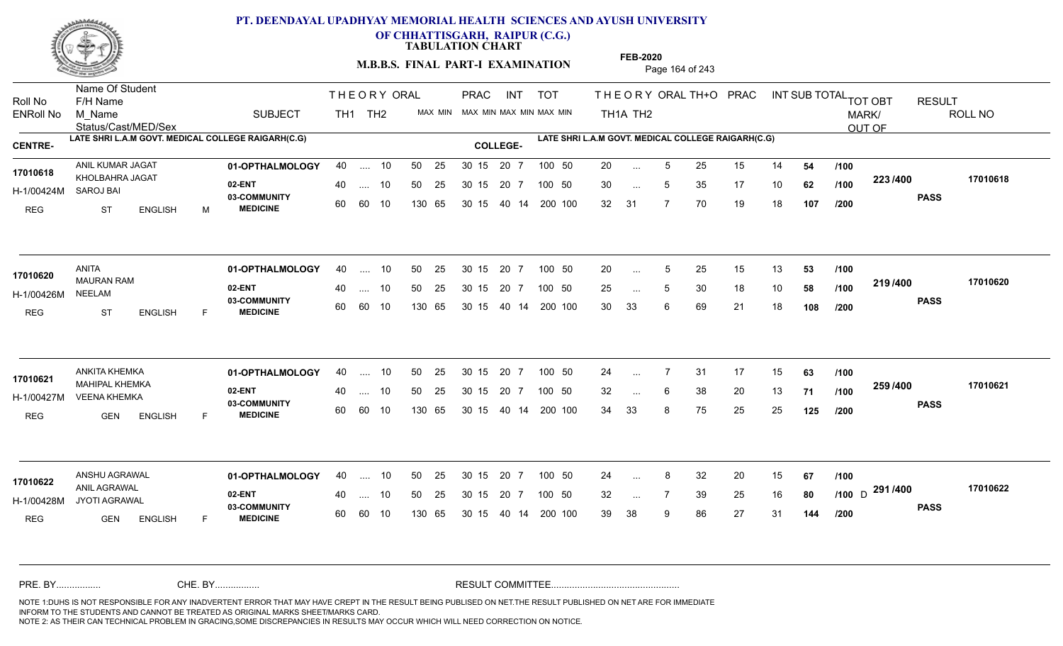

**OF CHHATTISGARH, RAIPUR (C.G.)**

**TABULATION CHART** 

**M.B.B.S. FINAL PART-I EXAMINATION** Page 164 of 243

Status/Cast/MED/Sex Name Of Student Roll No F/H Name M\_Name SUBJECT TH1 TH2 <sup>MAX\_MIN</sup> N PRAC INT TOT THEORYORALTH+O PRAC INT TH<sub>1</sub>A TH<sub>2</sub> ORAL TH+ODPRACD INT SUB TOTAL <sub>TOT OBT</sub> RESULT ROLL NO MARK/ OUT OF ENRoll No M Name  $\,$  SUBJECT TH1 TH2 MAX MIN MAX MIN MAX MIN MAX MIN TH1A TH2 **LATE SHRI L.A.M GOVT. MEDICAL COLLEGE RAIGARH(C.G) LATE SHRI L.A.M GOVT. MEDICAL COLLEGE RAIGARH(C.G) CENTRE- COLLEGE-**THE ORY ORAL PRAC INT PRAC **01-OPTHALMOLOGY** ANIL KUMAR JAGAT 40 .... 10 30 15 20 7 **02-ENT** 03-COMMUNITY 60  **MEDICINE** H-1/00424M 17010618 KHOLBAHRA JAGAT SAROJ BAI REG ST ENGLISH M 20 ... 5 25 15 14 **54 /100** 30 ... 5 35 17 10 **62 /100 <sup>223/400</sup>** 32 31 7 70 19 18 **107 223 PASS /400 17010618** .... 10 50 25 60 60 10 50 25 30 15 130 65 30 15 40 14 200 100 20 7 100 50 50 25 30 15 20 7 100 50 20 ... ... ... 5 **/100 /100 /200 01-OPTHALMOLOGY** ANITA 40 .... 10 30 15 20 7 **02-ENT** 03-COMMUNITY 60 **MEDICINE** 60 60 10 H-1/00426M 17010620 MAURAN RAM 20 PM NEELAM REG ST ENGLISH F 20 ... 5 25 15 13 **53 /100** 25 ... 5 30 18 10 **58 /100 <del>11974</del>00** 30 33 6 69 21 18 **108 219 PASS /400 17010620** .... 10 50 25 130 65 30 15 20 7 130 65 30 15 40 14 200 100 30 15 20 7 100 50 50 25 30 15 20 7 100 50 20 ... 5 ... 5 ... **/100 /100 /200 01-OPTHALMOLOGY** ANKITA KHEMKA 40 .... 10 30 15 20 7 **02-ENT** 03-COMMUNITY 60  **MEDICINE** H-1/00427M VEENA KHEMKA NA MARA AA GA GA MAHIPAL KHEMKA **17010621** REG GEN ENGLISH F 24 7 31 17 15 **63** 32 ... 6 38 20 13 **71 /100 <sup>2007/400</sup>** 34 33 8 75 25 25 **125 259 PASS /400 17010621** .... 10 50 25 30 15 60 60 10 20 7 130 65 30 15 30 15 20 7 100 50 40 14 200 100 50 25 30 15 20 7 100 50 24 ... 7 ... ... 6 **/100 /100 /200 01-OPTHALMOLOGY** ANSHU AGRAWAL 40 .... 10 30 15 20 7 **02-ENT** 03-COMMUNITY 60 **MEDICINE** 60 60 10 H-1/00428M JYOTI AGRAWAL ANIL AGRAWAL **17010622** REG **GEN ENGLISH** F 24 ... 8 32 20 15 **67 /100** 32 ... 7 39 25 16 **80 /100** D <sup>251</sup> / <del>1</del>00 39 38 9 86 27 31 **144 291** D **PASS /400 17010622** 40 .... 10 50 25 130 65 130 65 30 15 30 15 20 7 100 50 40 14 200 100 50 25 30 15 20 7 100 50 24 ... 8 ... ... **/100 /200** NOTE 1:DUHS IS NOT RESPONSIBLE FOR ANY INADVERTENT ERROR THAT MAY HAVE CREPT IN THE RESULT BEING PUBLISED ON NET.THE RESULT PUBLISHED ON NET ARE FOR IMMEDIATE INFORM TO THE STUDENTS AND CANNOT BE TREATED AS ORIGINAL MARKS SHEET/MARKS CARD. CHE. BY WAREL BY WARE AND THE AVEC THE AVEC THE THE RESULT COMMITTEE AND MULTIME MOTE 1:DUHS IS NOT RESPONSIBLE FOR ANY INADVERTENT ERROR THAT MAY HAVE CREPT IN THE RESULT BEING PUBLISED ON NET.THE RESULT PUBLISHED ON NET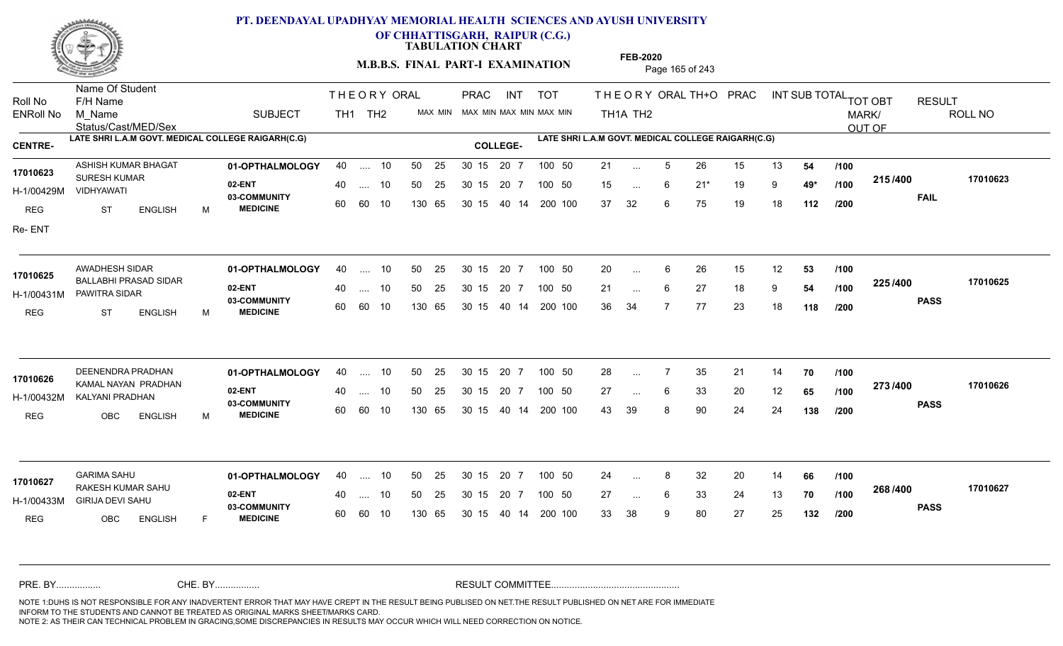

**OF CHHATTISGARH, RAIPUR (C.G.)**

**TABULATION CHART** 

**M.B.B.S. FINAL PART-I EXAMINATION** Page 165 of 243

Status/Cast/MED/Sex Name Of Student Roll No F/H Name M\_Name SUBJECT TH1 TH2 <sup>MAX\_MIN</sup> N PRAC INT TOT THEORYORALTH+O PRAC INT TH<sub>1</sub>A TH<sub>2</sub> ORAL TH+ODPRACD INT SUB TOTAL <sub>TOT OBT</sub> RESULT ROLL NO MARK/ OUT OF ENRoll No M Name  $\,$  SUBJECT TH1 TH2 MAX MIN MAX MIN MAX MIN MAX MIN TH1A TH2 **LATE SHRI L.A.M GOVT. MEDICAL COLLEGE RAIGARH(C.G) LATE SHRI L.A.M GOVT. MEDICAL COLLEGE RAIGARH(C.G) CENTRE- COLLEGE-**THE ORY ORAL PRAC INT PRAC ASHISH KUMAR BHAGAT **01-OPTHALMOLOGY** 40 .... 10 50 25 30 15 20 7 100 50 21 **02-ENT** 03-COMMUNITY 60  **MEDICINE** H-1/00429M VIDHYAWATI 17010623 SURESH KUMAR REG ST ENGLISH M 21 ... 5 26 15 13 **54 /100** 15 6 21\* 19 9 **49\*** 37 32 6 75 19 18 **112 215 FAIL 17010623 /400** Re- ENT .... 10 50 25 60 60 10 50 25 30 15 130 65 30 15 40 14 200 100 20 7 100 50 50 25 30 15 20 7 100 50 21 ... ... ... 6 **/100 /100 /200 01-OPTHALMOLOGY** AWADHESH SIDAR 40 .... 10 30 15 20 7 **02-ENT** 03-COMMUNITY 60  **MEDICINE** H-1/00431M PAWITRA SIDAR BALLABHI PRASAD SIDAR **17010625** REG ST ENGLISH M 20 ... 6 26 15 12 **53 /100** 21 ... 6 27 18 9 **54 /100 <sup>223</sup>/+**00 36 34 7 77 23 18 **118 225 PASS /400 17010625**  $\ldots$  10 50 25 30 15 60 60 10 20 7 130 65 30 15 40 14 200 100 30 15 20 7 100 50 50 25 30 15 20 7 100 50 20 ... ...  $\overline{\phantom{a}}$ . 6 **/100 /100 /200 01-OPTHALMOLOGY** DEENENDRA PRADHAN 40 .... 10 30 15 20 7 **02-ENT** 03-COMMUNITY 60 **MEDICINE** 60 60 10 H-1/00432M KALYANI PRADHAN 17010626 KAMAL NAYAN PRADHAN REG OBC ENGLISH M 28 7 35 21 14 **70** 27 ... 6 33 20 12 **65 /100 <sup>2137400</sup>** 43 39 8 90 24 24 **138 273 PASS /400 17010626** .... 10 50 25 30 15 130 65 20 7 130 65 30 15 30 15 20 7 100 50 40 14 200 100 50 25 30 15 20 7 100 50 28 ... 7 ... ... **/100 /100 /200 01-OPTHALMOLOGY** GARIMA SAHU 40 .... 10 30 15 20 7 **02-ENT** 03-COMMUNITY 60 **MEDICINE** 60 60 10 H-1/00433M GIRIJA DEVI SAHU 22 BARAH RAKESH KUMAR SAHU **17010627** REG OBC ENGLISH F 24 ... 8 32 20 14 **66 /100** 27 ... 6 33 24 13 **70 /100 <sup>2007–00</sup>** 33 38 9 80 27 25 **132 268 PASS /400 17010627** 40 .... 10 50 25 130 65 130 65 30 15 30 15 20 7 100 50 40 14 200 100 50 25 30 15 20 7 100 50 24 ... 8 ... ... 6 **/100 /100 /200** NOTE 1:DUHS IS NOT RESPONSIBLE FOR ANY INADVERTENT ERROR THAT MAY HAVE CREPT IN THE RESULT BEING PUBLISED ON NET.THE RESULT PUBLISHED ON NET ARE FOR IMMEDIATE INFORM TO THE STUDENTS AND CANNOT BE TREATED AS ORIGINAL MARKS SHEET/MARKS CARD. CHE. BY WAREL BY WARE AND THE AVEC THE AVEC THE THE RESULT COMMITTEE AND MULTIME MOTE 1:DUHS IS NOT RESPONSIBLE FOR ANY INADVERTENT ERROR THAT MAY HAVE CREPT IN THE RESULT BEING PUBLISED ON NET.THE RESULT PUBLISHED ON NET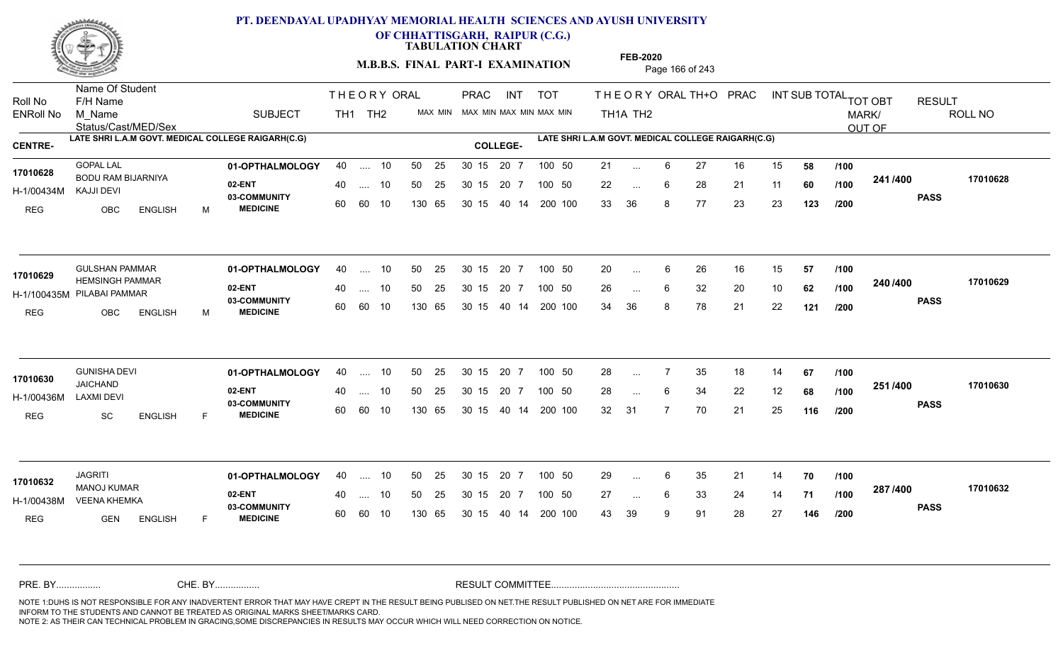

**OF CHHATTISGARH, RAIPUR (C.G.)**

**TABULATION CHART** 

**M.B.B.S. FINAL PART-I EXAMINATION** Page 166 of 243

Status/Cast/MED/Sex Name Of Student Roll No F/H Name M\_Name SUBJECT TH1 TH2 <sup>MAX\_MIN</sup> N PRAC INT TOT THEORYORALTH+O PRAC INT TH<sub>1</sub>A TH<sub>2</sub> ORAL TH+ODPRACD INT SUB TOTAL <sub>TOT OBT</sub> RESULT ROLL NO MARK/ OUT OF ENRoll No M Name  $\,$  SUBJECT TH1 TH2 MAX MIN MAX MIN MAX MIN MAX MIN TH1A TH2 **LATE SHRI L.A.M GOVT. MEDICAL COLLEGE RAIGARH(C.G) LATE SHRI L.A.M GOVT. MEDICAL COLLEGE RAIGARH(C.G) CENTRE- COLLEGE-**THE ORY ORAL PRAC INT PRAC **01-OPTHALMOLOGY** 40 .... 10 50 25 30 15 20 7 100 50 21 **02-ENT** 03-COMMUNITY 60  **MEDICINE** H-1/00434M BODU RAM BIJARNIYA **17010628** KAJJI DEVI REG OBC ENGLISH M 21 ... 6 27 16 15 **58 /100** 22 ... 6 28 21 11 **60 /100 <sup>2411/400</sup>** 33 36 8 77 23 23 **123 241 PASS /400 17010628** 40 .... 10 50 25 30 15 60 60 10 130 65 30 15 40 14 200 100 20 7 100 50 50 25 30 15 20 7 100 50 21 ... ... ... 6 **/100 /100 /200 01-OPTHALMOLOGY** GULSHAN PAMMAR 40 .... 10 30 15 20 7 **02-ENT** 03-COMMUNITY 60 **MEDICINE** 60 60 10 H-1/100435M PILABAI PAMMAR 17010629 HEMSINGH PAMMAR REG OBC ENGLISH M 20 ... 6 26 16 15 **57 /100** 26 ... 6 32 20 10 **62 /100 <sup>2-407-400</sup>** 34 36 8 78 21 22 **121 240 PASS /400 17010629** 40 .... 10 50 25 130 65 130 65 30 15 40 14 200 100 30 15 20 7 100 50 50 25 30 15 20 7 100 50 20 ... ...  $\overline{\phantom{a}}$ . 6 **/100 /100 /200 01-OPTHALMOLOGY** GUNISHA DEVI 40 .... 10 30 15 20 7 **02-ENT** 03-COMMUNITY 60 **MEDICINE** 60 60 10 H-1/00436M JAICHAND LAXMI DEVI REG SC ENGLISH F 28 7 35 18 14 **67** 28 ... 6 34 22 12 **68 /100 <sup>2317</sup> 1** 32 31 7 70 21 25 **116 251 PASS /400 17010630** .... 10 50 25 30 15 130 65 20 7 130 65 30 15 30 15 20 7 100 50 40 14 200 100 50 25 30 15 20 7 100 50 28 ... 7 **17010630 17010630** ... ... **/100 /100 /200 01-OPTHALMOLOGY** JAGRITI 40 .... 10 30 15 20 7 **02-ENT** 03-COMMUNITY 60 **MEDICINE** 60 60 10 H-1/00438M VEENA KHEMKA NA MARA AA GA GA MANOJ KUMAR **17010632** REG **GEN ENGLISH** F 29 ... 6 35 21 14 **70 /100** 27 6 33 24 14 **71** 43 39 9 91 28 27 **146 287 PASS /400 17010632** 40 .... 10 50 25 130 65 130 65 30 15 30 15 20 7 100 50 40 14 200 100 50 25 30 15 20 7 100 50 29 ... ... ... 6 **/100 /100 /200** NOTE 1:DUHS IS NOT RESPONSIBLE FOR ANY INADVERTENT ERROR THAT MAY HAVE CREPT IN THE RESULT BEING PUBLISED ON NET.THE RESULT PUBLISHED ON NET ARE FOR IMMEDIATE INFORM TO THE STUDENTS AND CANNOT BE TREATED AS ORIGINAL MARKS SHEET/MARKS CARD. CHE. BY WAREL BY WARE AND THE AVEC THE AVEC THE THE RESULT COMMITTEE AND MULTIME MOTE 1:DUHS IS NOT RESPONSIBLE FOR ANY INADVERTENT ERROR THAT MAY HAVE CREPT IN THE RESULT BEING PUBLISED ON NET.THE RESULT PUBLISHED ON NET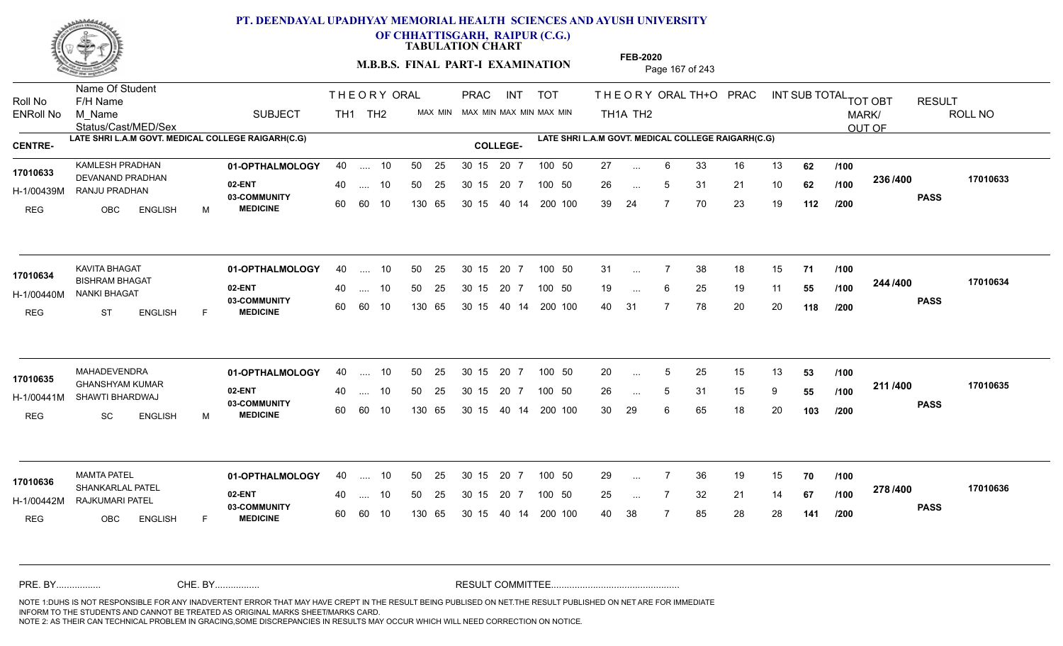

**OF CHHATTISGARH, RAIPUR (C.G.)**

**TABULATION CHART** 

**M.B.B.S. FINAL PART-I EXAMINATION** Page 167 of 243

Status/Cast/MED/Sex Name Of Student Roll No F/H Name M\_Name SUBJECT TH1 TH2 <sup>MAX\_MIN</sup> N PRAC INT TOT THEORYORALTH+O PRAC INT TH<sub>1</sub>A TH<sub>2</sub> ORAL TH+ODPRACD INT SUB TOTAL <sub>TOT OBT</sub> RESULT ROLL NO MARK/ OUT OF ENRoll No M Name  $\,$  SUBJECT TH1 TH2 MAX MIN MAX MIN MAX MIN MAX MIN TH1A TH2 **LATE SHRI L.A.M GOVT. MEDICAL COLLEGE RAIGARH(C.G) LATE SHRI L.A.M GOVT. MEDICAL COLLEGE RAIGARH(C.G) CENTRE- COLLEGE-**THE ORY ORAL PRAC INT PRAC **01-OPTHALMOLOGY** KAMLESH PRADHAN 40 .... 10 30 15 20 7 **02-ENT** 03-COMMUNITY 60  **MEDICINE** H-1/00439M RANJU PRADHAN PRADHAN 17010633 DEVANAND PRADHAN REG OBC ENGLISH M 27 ... 6 33 16 13 **62** /**100** 26 5 31 21 10 **62** 39 24 7 70 23 19 **112 236 PASS /400 17010633** .... 10 50 25 60 60 10 50 25 30 15 130 65 30 15 40 14 200 100 20 7 100 50 50 25 30 15 20 7 100 50 27 ... ... ... 5 **/100 /100 /200 01-OPTHALMOLOGY** KAVITA BHAGAT 40 .... 10 30 15 20 7 **02-ENT** 03-COMMUNITY 60  **MEDICINE** H-1/00440M NANKI BHAGAT 17010634 **BISHRAM BHAGAT** REG ST ENGLISH F 31 7 38 18 15 **71** 19 ... 6 25 19 11 **55 /100 <sup>244</sup>/400** 40 31 7 78 20 20 **118 244 PASS /400 17010634** .... 10 50 25 60 60 10 30 15 20 7 130 65 30 15 40 14 200 100 30 15 20 7 100 50 50 25 30 15 20 7 100 50 31 ... ... ... **/100 /100 /200 01-OPTHALMOLOGY** MAHADEVENDRA 40 .... 10 30 15 20 7 **02-ENT** 03-COMMUNITY 60  **MEDICINE** H-1/00441M SHAWTI BHARDWAJ GHANSHYAM KUMAR **17010635** REG SC ENGLISH M 20 ... 5 25 15 13 **53 /100** 26 ... 5 31 15 9 **55 /100 <del>111</del>** 30 29 6 65 18 20 **103 211 PASS /400 17010635** .... 10 50 25 30 15 60 60 10 20 7 130 65 30 15 30 15 20 7 100 50 40 14 200 100 50 25 30 15 20 7 100 50 20 ... 5 ... ... 5 **/100 /100 /200 01-OPTHALMOLOGY** MAMTA PATEL 40 .... 10 30 15 20 7 **02-ENT** 03-COMMUNITY 60 **MEDICINE** 60 60 10 H-1/00442M RAJKUMARI PATEL SHANKARLAL PATEL **17010636** REG OBC ENGLISH F 29 ... 7 36 19 15 **70** /**100** 25 ... 7 32 21 14 **67 /100 <sup>21 07</sup> 700** 40 38 7 85 28 28 **141 278 PASS /400 17010636** 40 .... 10 50 25 130 65 130 65 30 15 30 15 20 7 100 50 40 14 200 100 50 25 30 15 20 7 100 50 29 ... ... ... **/100 /100 /200** NOTE 1:DUHS IS NOT RESPONSIBLE FOR ANY INADVERTENT ERROR THAT MAY HAVE CREPT IN THE RESULT BEING PUBLISED ON NET.THE RESULT PUBLISHED ON NET ARE FOR IMMEDIATE INFORM TO THE STUDENTS AND CANNOT BE TREATED AS ORIGINAL MARKS SHEET/MARKS CARD. CHE. BY WAREL BY WARE AND THE AVEC THE AVEC THE THE RESULT COMMITTEE AND MULTIME MOTE 1:DUHS IS NOT RESPONSIBLE FOR ANY INADVERTENT ERROR THAT MAY HAVE CREPT IN THE RESULT BEING PUBLISED ON NET.THE RESULT PUBLISHED ON NET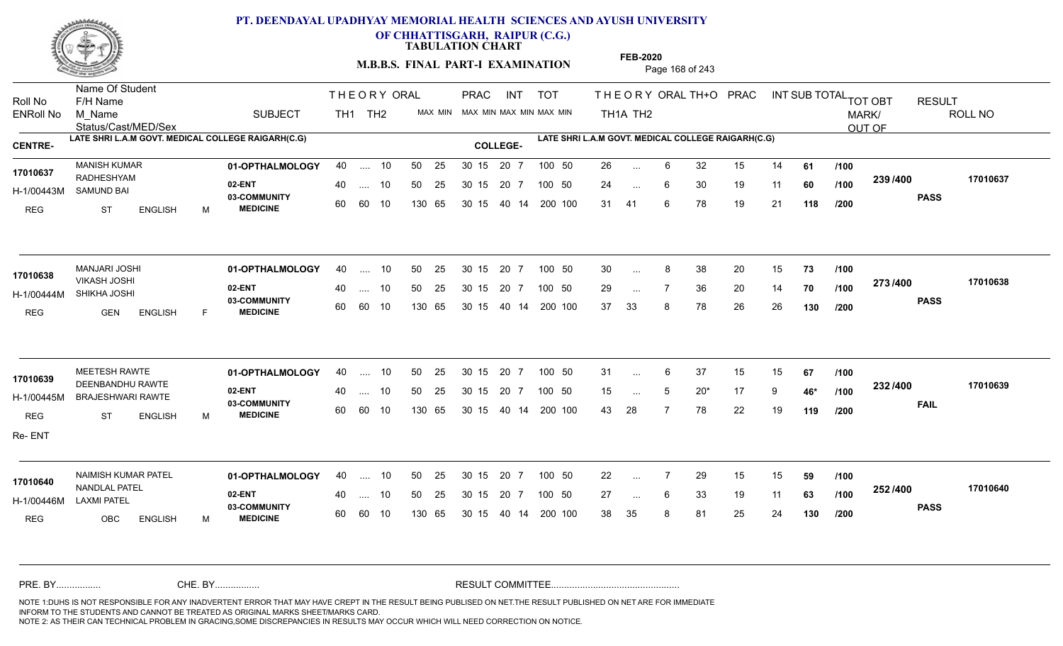

**OF CHHATTISGARH, RAIPUR (C.G.)**

**TABULATION CHART** 

**M.B.B.S. FINAL PART-I EXAMINATION** Page 168 of 243

Status/Cast/MED/Sex Name Of Student Roll No F/H Name M\_Name SUBJECT TH1 TH2 <sup>MAX\_MIN</sup> N PRAC INT TOT THEORYORALTH+O PRAC INT TH<sub>1</sub>A TH<sub>2</sub> ORAL TH+ODPRACD INT SUB TOTAL <sub>TOT OBT</sub> RESULT ROLL NO MARK/ OUT OF ENRoll No M Name  $\,$  SUBJECT TH1 TH2 MAX MIN MAX MIN MAX MIN MAX MIN TH1A TH2 **LATE SHRI L.A.M GOVT. MEDICAL COLLEGE RAIGARH(C.G) LATE SHRI L.A.M GOVT. MEDICAL COLLEGE RAIGARH(C.G) CENTRE- COLLEGE-**THE ORY ORAL PRAC INT PRAC **01-OPTHALMOLOGY** MANISH KUMAR 40 .... 10 30 15 20 7 **02-ENT** 03-COMMUNITY 60  **MEDICINE** H-1/00443M SAMUND BAI 17010637 RADHESHYAM 20 PM REG ST ENGLISH M 26 6 32 15 14 **61** 24 ... 6 30 19 11 **60 /100 <sup>2007</sup> 700** 31 41 6 78 19 21 **118 239 PASS /400 17010637** .... 10 50 25 60 60 10 50 25 30 15 130 65 30 15 40 14 200 100 20 7 100 50 50 25 30 15 20 7 100 50 26 ... ... ... **/100 /100 /200 01-OPTHALMOLOGY** MANJARI JOSHI 40 .... 10 30 15 20 7 **02-ENT** 03-COMMUNITY 60  **MEDICINE** H-1/00444M SHIKHA JOSHI VIKASH JOSHI REG GEN ENGLISH F 30 8 38 20 15 **73** 29 ... 7 36 20 14 **70 /100 <sup>213/400</sup>** 37 33 8 78 26 26 **130 273 PASS /400 17010638** .... 10 50 25 60 60 10 30 15 20 7 130 65 30 15 40 14 200 100 30 15 20 7 100 50 50 25 30 15 20 7 100 50 30 ... 8 **17010638** MANJARI JOSHI ... ... **/100 /100 /200 01-OPTHALMOLOGY** MEETESH RAWTE 40 .... 10 30 15 20 7 **02-ENT** 03-COMMUNITY 60 **MEDICINE** 60 60 10 H-1/00445M BRAJESHWARI RAWTE 17010639 DEENBANDHU RAWTE REG ST ENGLISH M 31 ... 6 37 15 15 **67 /100** 15 ... 5 20<sup>\*</sup> 17 9 **46<sup>\*</sup> /100 <sup>20</sup>** 43 28 7 78 22 19 **119 232 FAIL 17010639 /400** Re- ENT .... 10 50 25 30 15 130 65 20 7 130 65 30 15 30 15 20 7 100 50 40 14 200 100 50 25 30 15 20 7 100 50 31 ... 6 ... 5 **/100 /100 /200 01-OPTHALMOLOGY** NAIMISH KUMAR PATEL 40 .... 10 30 15 20 7 **02-ENT** 03-COMMUNITY 60 **MEDICINE** 60 60 10 H-1/00446M **17010640** NANDLAL PATEL LAXMI PATEL REG OBC ENGLISH M 22 7 29 15 15 **59** 27 ... 6 33 19 11 **63 /100 <sup>2027–00</sup>** 38 35 8 81 25 24 **130 252 PASS /400 17010640** 40 .... 10 50 25 130 65 130 65 30 15 30 15 20 7 100 50 40 14 200 100 50 25 30 15 20 7 100 50 22 ... ... ... 6 **/100 /100 /200** NOTE 1:DUHS IS NOT RESPONSIBLE FOR ANY INADVERTENT ERROR THAT MAY HAVE CREPT IN THE RESULT BEING PUBLISED ON NET.THE RESULT PUBLISHED ON NET ARE FOR IMMEDIATE INFORM TO THE STUDENTS AND CANNOT BE TREATED AS ORIGINAL MARKS SHEET/MARKS CARD. CHE. BY WAREL BY WARE AND THE AVEC THE AVEC THE THE RESULT COMMITTEE AND MULTIME MOTE 1:DUHS IS NOT RESPONSIBLE FOR ANY INADVERTENT ERROR THAT MAY HAVE CREPT IN THE RESULT BEING PUBLISED ON NET.THE RESULT PUBLISHED ON NET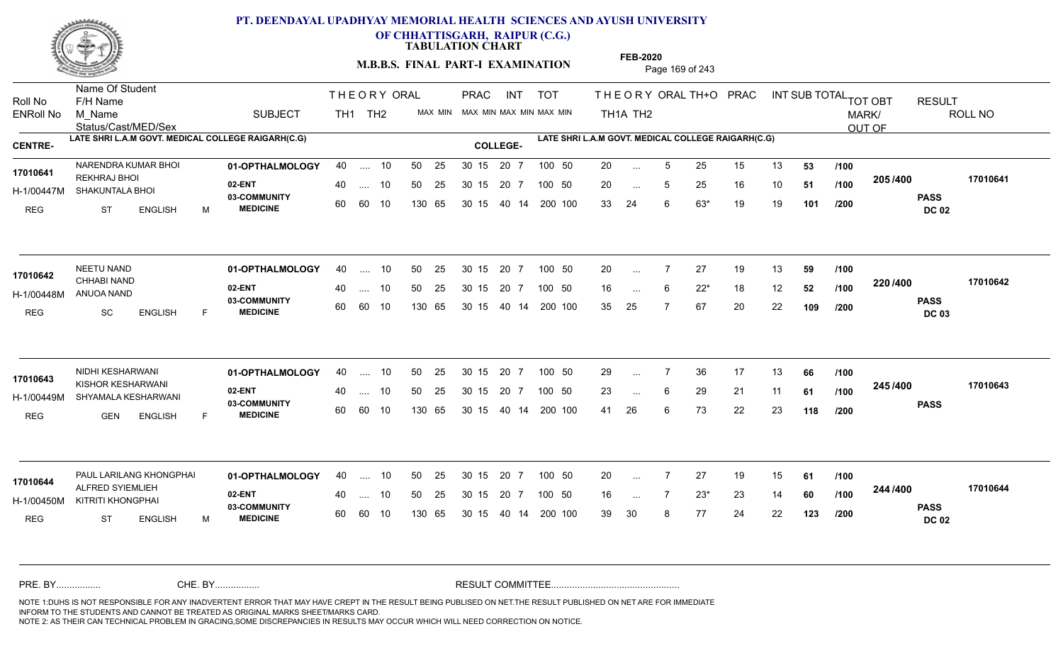

**OF CHHATTISGARH, RAIPUR (C.G.)**

**TABULATION CHART** 

**M.B.B.S. FINAL PART-I EXAMINATION** Page 169 of 243

Status/Cast/MED/Sex Name Of Student Roll No F/H Name M\_Name SUBJECT TH1 TH2 <sup>MAX\_MIN</sup> N PRAC INT TOT THEORYORALTH+O PRAC INT TH<sub>1</sub>A TH<sub>2</sub> ORAL TH+ODPRACD INT SUB TOTAL <sub>TOT OBT</sub> RESULT ROLL NO MARK/ OUT OF ENRoll No M Name  $\,$  SUBJECT TH1 TH2 MAX MIN MAX MIN MAX MIN MAX MIN TH1A TH2 **LATE SHRI L.A.M GOVT. MEDICAL COLLEGE RAIGARH(C.G) LATE SHRI L.A.M GOVT. MEDICAL COLLEGE RAIGARH(C.G) CENTRE- COLLEGE-**THE ORY ORAL PRAC INT PRAC NARENDRA KUMAR BHOI **01-OPTHALMOLOGY** 40 .... 10 50 25 30 15 20 7 100 50 20 **02-ENT** 03-COMMUNITY 60  **MEDICINE** H-1/00447M SHAKUNTALA BHOI REKHRAJ BHOI **17010641** REG ST ENGLISH M 20 ... 5 25 15 13 **53 /100** 20 ... 5 25 16 10 **51 /100 <sup>2007</sup> 700** 33 24 6 63\* 19 19 **101 205 PASS DC 02 /400 17010641** 40 .... 10 50 25 30 15 60 60 10 130 65 30 15 20 7 100 50 40 14 200 100 50 25 30 15 20 7 100 50 20 ... ... ... 5 **/100 /100 /200 01-OPTHALMOLOGY** NEETU NAND 40 .... 10 30 15 20 7 **02-ENT** 03-COMMUNITY 60 **MEDICINE** 60 60 10 H-1/00448M ANUOA NAND 17010642 **CHHABI NAND** REG SC ENGLISH F 20 7 27 19 13 **59** 16 ... 6 22<sup>\*</sup> 18 12 **52** /**100 <sup>220</sup>/\*\*\*\*** 35 25 7 67 20 22 **109 220 PASS DC 03 /400 17010642** 40 .... 10 50 25 130 65 130 65 30 15 40 14 200 100 30 15 20 7 100 50 50 25 30 15 20 7 100 50 20 ... ... ... **/100 /100 /200 01-OPTHALMOLOGY** NIDHI KESHARWANI 40 .... 10 30 15 20 7 **02-ENT** 03-COMMUNITY 60 **MEDICINE** 60 60 10 H-1/00449M SHYAMALA KESHARWANI KISHOR KESHARWANI **17010643** REG GEN ENGLISH F 29 ... 7 36 17 13 **66** /**100** 23 ... 6 29 21 11 **61 /100 <sup>2457/400</sup>** 41 26 6 73 22 23 **118 245 PASS /400 17010643** .... 10 50 25 30 15 130 65 20 7 130 65 30 15 30 15 20 7 100 50 40 14 200 100 50 25 30 15 20 7 100 50 29 ... 7 ... ... **/100 /100 /200 01-OPTHALMOLOGY 02-ENT** 03-COMMUNITY 60 **MEDICINE** 60 60 10 H-1/00450M KITRITI KHONGPHAI ALFRED SYIEMLIEH **17010644** REG ST ENGLISH M 20 7 27 19 15 **61** 16 ... 7 23\* 23 14 **60 /100 <sup>244</sup> /\*00** 39 30 8 77 24 22 **123 244 PASS DC 02 /400 17010644** PAUL LARILANG KHONGPHAI **01-OPTHALMOLOGY** 40 .... 10 50 25 30 15 20 7 100 50 20 40 .... 10 50 25 130 65 130 65 30 15 30 15 20 7 100 50 40 14 200 100 100 50 20 ... ... ... **/100 /100 /200** NOTE 1:DUHS IS NOT RESPONSIBLE FOR ANY INADVERTENT ERROR THAT MAY HAVE CREPT IN THE RESULT BEING PUBLISED ON NET.THE RESULT PUBLISHED ON NET ARE FOR IMMEDIATE INFORM TO THE STUDENTS AND CANNOT BE TREATED AS ORIGINAL MARKS SHEET/MARKS CARD. CHE. BY WAREL BY WARE AND THE AVEC THE AVEC THE THE RESULT COMMITTEE AND MULTIME MOTE 1:DUHS IS NOT RESPONSIBLE FOR ANY INADVERTENT ERROR THAT MAY HAVE CREPT IN THE RESULT BEING PUBLISED ON NET.THE RESULT PUBLISHED ON NET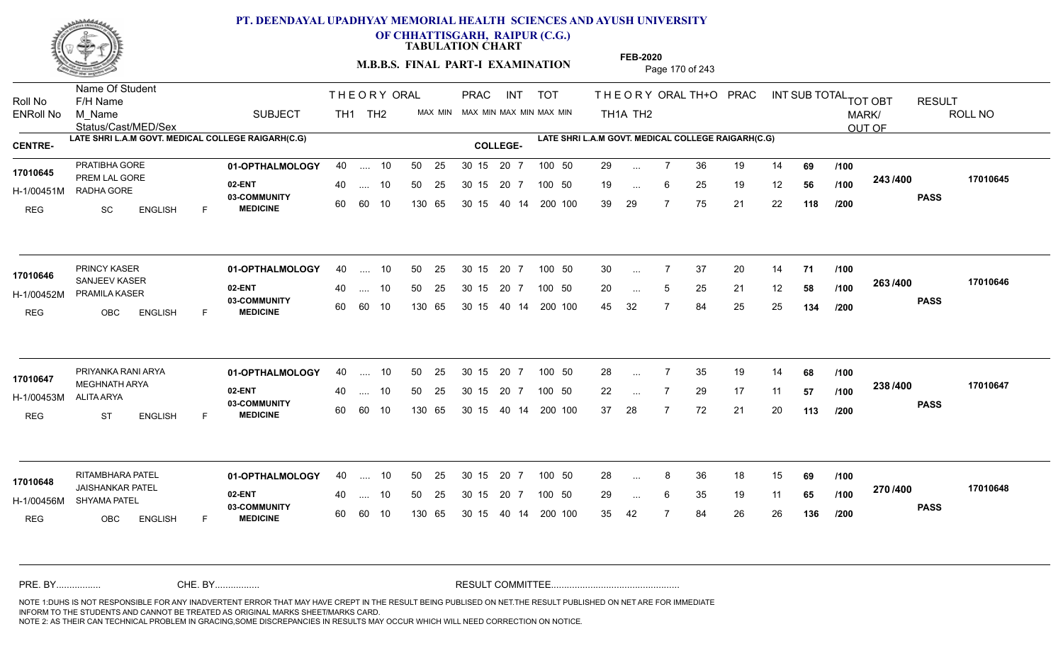

**OF CHHATTISGARH, RAIPUR (C.G.)**

**TABULATION CHART** 

**M.B.B.S. FINAL PART-I EXAMINATION** Page 170 of 243

Status/Cast/MED/Sex Name Of Student Roll No F/H Name M\_Name SUBJECT TH1 TH2 <sup>MAX\_MIN</sup> N PRAC INT TOT THEORYORALTH+O PRAC INT TH<sub>1</sub>A TH<sub>2</sub> ORAL TH+ODPRACD INT SUB TOTAL <sub>TOT OBT</sub> RESULT ROLL NO MARK/ OUT OF ENRoll No M Name  $\,$  SUBJECT TH1 TH2 MAX MIN MAX MIN MAX MIN MAX MIN TH1A TH2 **LATE SHRI L.A.M GOVT. MEDICAL COLLEGE RAIGARH(C.G) LATE SHRI L.A.M GOVT. MEDICAL COLLEGE RAIGARH(C.G) CENTRE- COLLEGE-**THE ORY ORAL PRAC INT PRAC **01-OPTHALMOLOGY** PRATIBHA GORE 40 .... 10 30 15 20 7 **02-ENT** 03-COMMUNITY 60  **MEDICINE** H-1/00451M RADHA GORE 17010645 **PREM LAL GORE 17010645** REG SC ENGLISH F 29 ... 7 36 19 14 **69** /**100** 19 ... 6 25 19 12 **56 /100 <sup>243</sup>/400** 39 29 7 75 21 22 **118 243 PASS /400 17010645** .... 10 50 25 60 60 10 50 25 30 15 130 65 30 15 40 14 200 100 20 7 100 50 50 25 30 15 20 7 100 50 29 ... ... ... 6 **/100 /100 /200 01-OPTHALMOLOGY** PRINCY KASER 40 .... 10 30 15 20 7 **02-ENT** 03-COMMUNITY 60  **MEDICINE** H-1/00452M PRAMILA KASER SANJEEV KASER **17010646** REG OBC ENGLISH F 30 7 37 20 14 **71** 20 ... 5 25 21 12 **58 /100 <sup>2007</sup> F** 45 32 7 84 25 25 **134 263 PASS /400 17010646** .... 10 50 25 60 60 10 30 15 20 7 130 65 30 15 40 14 200 100 30 15 20 7 100 50 50 25 30 15 20 7 100 50 30 ... ... ... 5 **/100 /100 /200 01-OPTHALMOLOGY** PRIYANKA RANI ARYA 40 .... 10 30 15 20 7 **02-ENT** 03-COMMUNITY 60  **MEDICINE** H-1/00453M MEGHNATH ARYA **17010647** ALITA ARYA REG ST ENGLISH F 28 7 35 19 14 **68** 22 ... 7 29 17 11 **57 /100 <sup>2307+00</sup>** 37 28 7 72 21 20 **113 238 PASS /400 17010647** .... 10 50 25 30 15 60 60 10 20 7 130 65 30 15 30 15 20 7 100 50 40 14 200 100 50 25 30 15 20 7 100 50 28 ... 7 ... ... **/100 /100 /200 01-OPTHALMOLOGY** RITAMBHARA PATEL 40 .... 10 30 15 20 7 **02-ENT** 03-COMMUNITY 60 **MEDICINE** 60 60 10 H-1/00456M SHYAMA PATEL JAISHANKAR PATEL **17010648** REG OBC ENGLISH F 28 ... 8 36 18 15 **69** /**100** 29 ... 6 35 19 11 **65 /100 <sup>21 0</sup> 1 -**35 42 7 84 26 26 **136 270 PASS /400 17010648** 40 .... 10 50 25 130 65 130 65 30 15 30 15 20 7 100 50 40 14 200 100 50 25 30 15 20 7 100 50 28 ... 8 ... ... 6 **/100 /100 /200** NOTE 1:DUHS IS NOT RESPONSIBLE FOR ANY INADVERTENT ERROR THAT MAY HAVE CREPT IN THE RESULT BEING PUBLISED ON NET.THE RESULT PUBLISHED ON NET ARE FOR IMMEDIATE INFORM TO THE STUDENTS AND CANNOT BE TREATED AS ORIGINAL MARKS SHEET/MARKS CARD. CHE. BY WAREL BY WARE AND THE AVEC THE AVEC THE THE RESULT COMMITTEE AND MULTIME MOTE 1:DUHS IS NOT RESPONSIBLE FOR ANY INADVERTENT ERROR THAT MAY HAVE CREPT IN THE RESULT BEING PUBLISED ON NET.THE RESULT PUBLISHED ON NET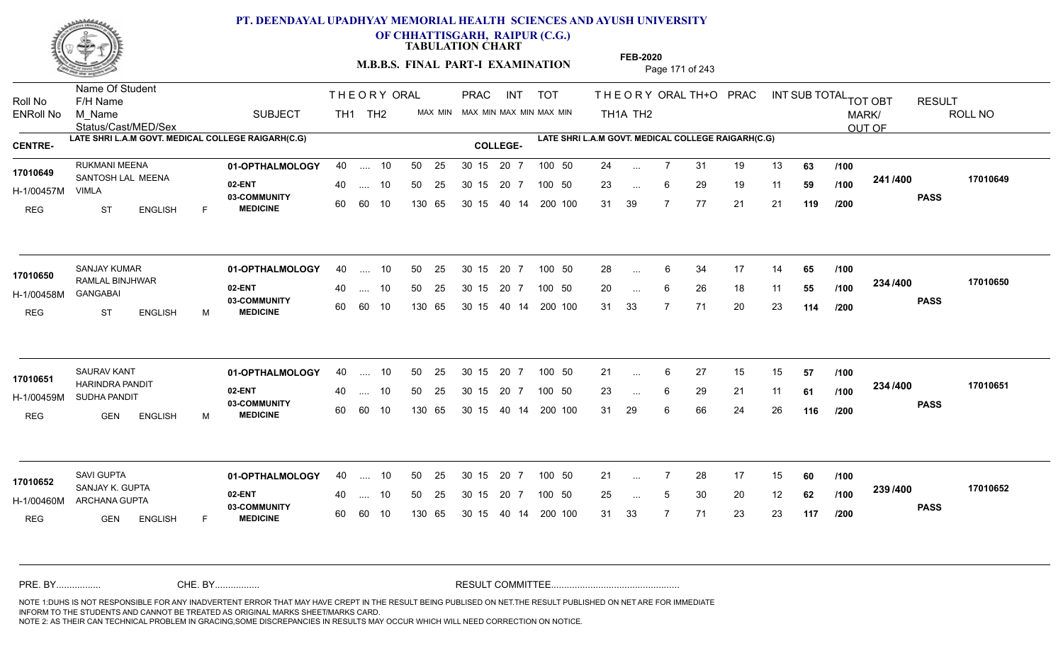

**OF CHHATTISGARH, RAIPUR (C.G.)**

**TABULATION CHART** 

**M.B.B.S. FINAL PART-I EXAMINATION** Page 171 of 243

Status/Cast/MED/Sex Name Of Student Roll No F/H Name M\_Name SUBJECT TH1 TH2 <sup>MAX\_MIN</sup> N PRAC INT TOT THEORYORALTH+O PRAC INT TH<sub>1</sub>A TH<sub>2</sub> ORAL TH+ODPRACD INT SUB TOTAL <sub>TOT OBT</sub> RESULT ROLL NO MARK/ OUT OF ENRoll No M Name  $\,$  SUBJECT TH1 TH2 MAX MIN MAX MIN MAX MIN MAX MIN TH1A TH2 **LATE SHRI L.A.M GOVT. MEDICAL COLLEGE RAIGARH(C.G) LATE SHRI L.A.M GOVT. MEDICAL COLLEGE RAIGARH(C.G) CENTRE- COLLEGE-**THE ORY ORAL PRAC INT PRAC **01-OPTHALMOLOGY** RUKMANI MEENA 40 .... 10 30 15 20 7 **02-ENT** 03-COMMUNITY 60  **MEDICINE** H-1/00457M 17010649 SANTOSH LAL MEENA VIMLA REG ST ENGLISH F 24 7 31 19 13 **63** 23 ... 6 29 19 11 **59 /100 <sup>2411/400</sup>** 31 39 7 77 21 21 **119 241 PASS /400 17010649** .... 10 50 25 60 60 10 50 25 30 15 130 65 30 15 40 14 200 100 20 7 100 50 50 25 30 15 20 7 100 50 24 ... ... ... 6 **/100 /100 /200 01-OPTHALMOLOGY** SANJAY KUMAR 40 .... 10 30 15 20 7 **02-ENT** 03-COMMUNITY 60  **MEDICINE** H-1/00458M RAMLAL BINJHWAR **17010650** GANGABAI REG ST ENGLISH M 28 ... 6 34 17 14 **65 /100** 20 ... 6 26 18 11 **55 /100 <sup>2047</sup> 1** 31 33 7 71 20 23 **114 234 PASS /400 17010650** .... 10 50 25 60 60 10 30 15 20 7 130 65 30 15 40 14 200 100 30 15 20 7 100 50 50 25 30 15 20 7 100 50 28 ... ...  $\overline{\phantom{a}}$ . 6 **/100 /100 /200 01-OPTHALMOLOGY** SAURAV KANT 40 .... 10 30 15 20 7 **02-ENT** 03-COMMUNITY 60  **MEDICINE** H-1/00459M SUDHA PANDIT HARINDRA PANDIT **17010651** REG GEN ENGLISH M 21 ... 6 27 15 15 **57 /100** 23 ... 6 29 21 11 **61 /100 <sup>204</sup> /\*00** 31 29 6 66 24 26 **116 234 PASS /400 17010651** .... 10 50 25 30 15 60 60 10 20 7 130 65 30 15 30 15 20 7 100 50 40 14 200 100 50 25 30 15 20 7 100 50 21 ... 6 ... ... 6 **/100 /100 /200 01-OPTHALMOLOGY** SAVI GUPTA 40 .... 10 30 15 20 7 **02-ENT** 03-COMMUNITY 60 **MEDICINE** 60 60 10 H-1/00460M ARCHANA GUPTA **ARCHANA GUPTA** SANJAY K. GUPTA **17010652** REG **GEN ENGLISH** F 21 ... 7 28 17 15 **60** /**100** 25 ... 5 30 20 12 **62 /100 <sup>2007/400</sup>** 31 33 7 71 23 23 **117 239 PASS /400 17010652** 40 .... 10 50 25 130 65 130 65 30 15 30 15 20 7 100 50 40 14 200 100 50 25 30 15 20 7 100 50 21 ... ... ... 5 **/100 /100 /200** NOTE 1:DUHS IS NOT RESPONSIBLE FOR ANY INADVERTENT ERROR THAT MAY HAVE CREPT IN THE RESULT BEING PUBLISED ON NET.THE RESULT PUBLISHED ON NET ARE FOR IMMEDIATE INFORM TO THE STUDENTS AND CANNOT BE TREATED AS ORIGINAL MARKS SHEET/MARKS CARD. CHE. BY WAREL BY WARE AND THE AVEC THE AVEC THE THE RESULT COMMITTEE AND MULTIME MOTE 1:DUHS IS NOT RESPONSIBLE FOR ANY INADVERTENT ERROR THAT MAY HAVE CREPT IN THE RESULT BEING PUBLISED ON NET.THE RESULT PUBLISHED ON NET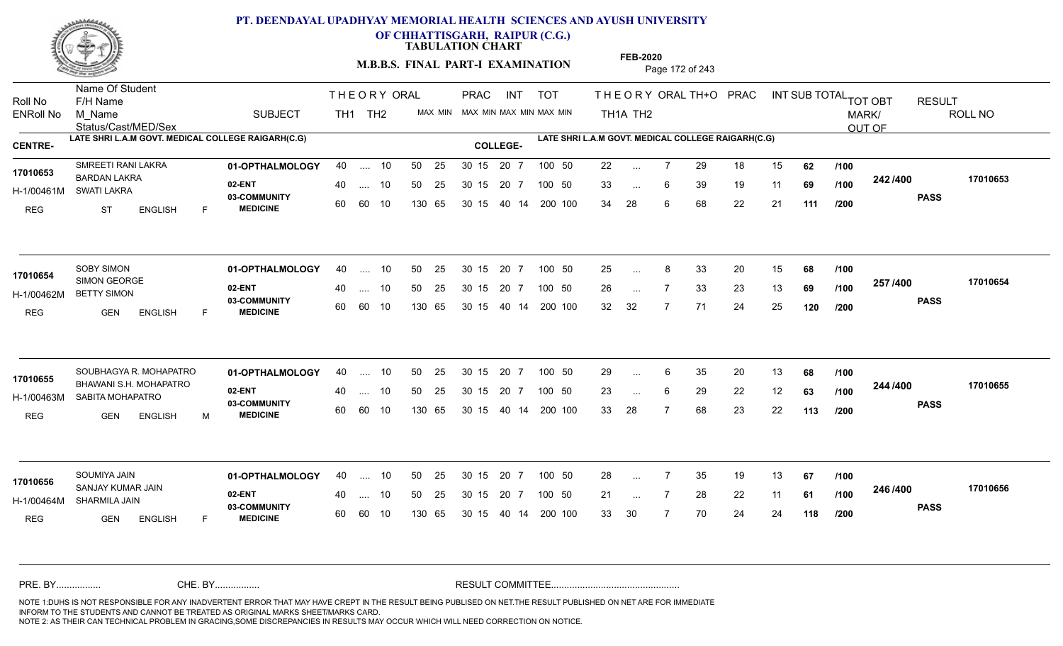

**OF CHHATTISGARH, RAIPUR (C.G.)**

**TABULATION CHART** 

**M.B.B.S. FINAL PART-I EXAMINATION** Page 172 of 243

Status/Cast/MED/Sex Name Of Student Roll No F/H Name M\_Name SUBJECT TH1 TH2 <sup>MAX\_MIN</sup> N PRAC INT TOT THEORY ORAL TH+O PRAC INT TH<sub>1</sub>A TH<sub>2</sub> ORAL TH+ODPRACD INT SUB TOTAL <sub>TOT OBT</sub> RESULT ROLL NO MARK/ OUT OF ENRoll No M Name  $\,$  SUBJECT TH1 TH2 MAX MIN MAX MIN MAX MIN MAX MIN TH1A TH2 **LATE SHRI L.A.M GOVT. MEDICAL COLLEGE RAIGARH(C.G) LATE SHRI L.A.M GOVT. MEDICAL COLLEGE RAIGARH(C.G) CENTRE- COLLEGE-**THE ORY ORAL PRAC INT PRAC **01-OPTHALMOLOGY** SMREETI RANI LAKRA 40 .... 10 30 15 20 7 **02-ENT** 03-COMMUNITY 60  **MEDICINE** H-1/00461M SWATI LAKRA 17010653 BARDAN LAKRA REG ST ENGLISH F 22 7 29 18 15 **62** 33 ... 6 39 19 11 **69 /100 <sup>242 /400</sup>** 34 28 6 68 22 21 **111 242 PASS /400 17010653** .... 10 50 25 60 60 10 50 25 30 15 130 65 30 15 40 14 200 100 20 7 100 50 50 25 30 15 20 7 100 50 22 ... ... ... 6 **/100 /100 /200 01-OPTHALMOLOGY** 40 .... 10 50 25 30 15 20 7 100 50 25 **02-ENT** 03-COMMUNITY 60  **MEDICINE** H-1/00462M BETTY SIMON 17010654 SIMON GEORGE **17010654** REG GEN ENGLISH F 25 8 33 20 15 **68** 26 7 33 23 13 **69** 32 32 7 71 24 25 **120 257 PASS /400 17010654** .... 10 50 25 60 60 10 30 15 20 7 130 65 30 15 40 14 200 100 30 15 20 7 100 50 50 25 30 15 20 7 100 50 25 ... 8 ... ... **/100 /100 /200 01-OPTHALMOLOGY 02-ENT** 03-COMMUNITY 60  **MEDICINE** H-1/00463M SABITA MOHAPATRO 17010655 BHAWANI S.H. MOHAPATRO REG GEN ENGLISH M 29 ... 6 35 20 13 **68 /100** 23 ... 6 29 22 12 **63 /100 <sup>244 /400</sup>** 33 28 7 68 23 22 **113 244 PASS /400 17010655** SOUBHAGYA R. MOHAPATRO **01-OPTHALMOLOGY** 40 .... 10 50 25 30 15 20 7 100 50 29 .... 10 50 25 30 15 60 60 10 20 7 130 65 30 15 30 15 20 7 100 50 40 14 200 100 100 50 29 ... 6 ... ... 6 **/100 /100 /200 01-OPTHALMOLOGY** SOUMIYA JAIN 40 .... 10 30 15 20 7 **02-ENT** 03-COMMUNITY 60 **MEDICINE** 60 60 10 H-1/00464M SHARMILA JAIN SANJAY KUMAR JAIN **17010656** REG **GEN ENGLISH** F 28 7 35 19 13 **67** 21 7 28 22 11 **61** 33 30 7 70 24 24 **118 246 PASS /400 17010656** 40 .... 10 50 25 30 15 130 65 130 65 30 15 20 7 100 50 40 14 200 100 50 25 30 15 20 7 100 50 28 ... ... ... **/100 /100 /200** NOTE 1:DUHS IS NOT RESPONSIBLE FOR ANY INADVERTENT ERROR THAT MAY HAVE CREPT IN THE RESULT BEING PUBLISED ON NET.THE RESULT PUBLISHED ON NET ARE FOR IMMEDIATE INFORM TO THE STUDENTS AND CANNOT BE TREATED AS ORIGINAL MARKS SHEET/MARKS CARD. CHE. BY WAREL BY WARE AND THE AVEC THE AVEC THE THE RESULT COMMITTEE AND MULTIME MOTE 1:DUHS IS NOT RESPONSIBLE FOR ANY INADVERTENT ERROR THAT MAY HAVE CREPT IN THE RESULT BEING PUBLISED ON NET.THE RESULT PUBLISHED ON NET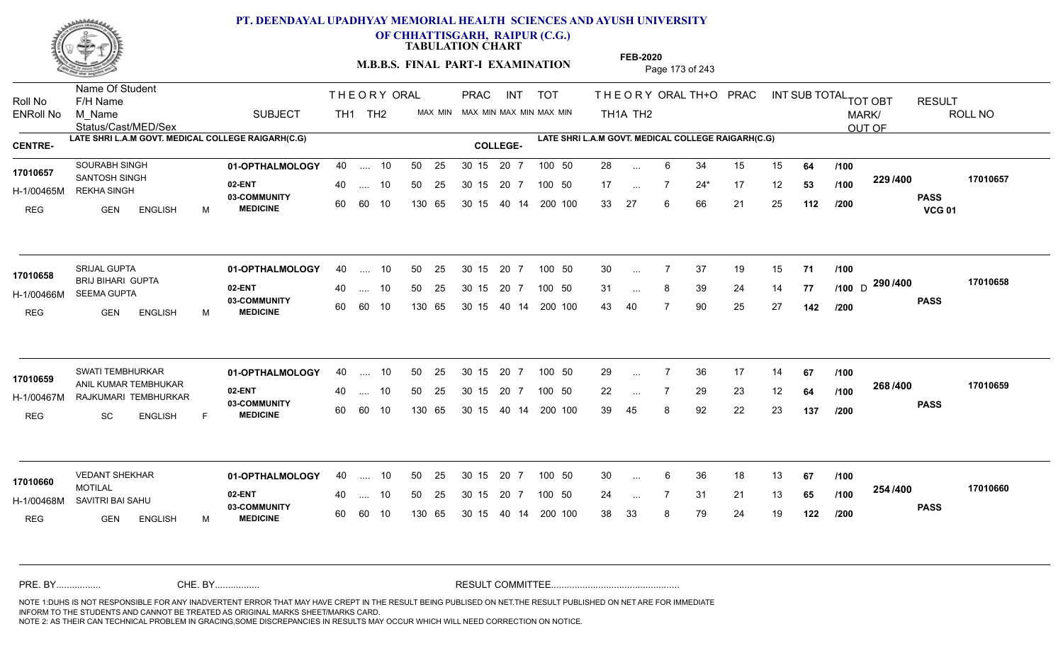

**OF CHHATTISGARH, RAIPUR (C.G.)**

**TABULATION CHART** 

**M.B.B.S. FINAL PART-I EXAMINATION** Page 173 of 243

Status/Cast/MED/Sex Name Of Student Roll No F/H Name M\_Name SUBJECT TH1 TH2 <sup>MAX\_MIN</sup> N PRAC INT TOT THEORY ORAL TH+O PRAC INT TH<sub>1</sub>A TH<sub>2</sub> ORAL TH+ODPRACD INT SUB TOTAL <sub>TOT OBT</sub> RESULT ROLL NO MARK/ OUT OF ENRoll No M Name  $\,$  SUBJECT TH1 TH2 MAX MIN MAX MIN MAX MIN MAX MIN TH1A TH2 **LATE SHRI L.A.M GOVT. MEDICAL COLLEGE RAIGARH(C.G) LATE SHRI L.A.M GOVT. MEDICAL COLLEGE RAIGARH(C.G) CENTRE- COLLEGE-**THE ORY ORAL PRAC INT PRAC **01-OPTHALMOLOGY** SOURABH SINGH 40 .... 10 30 15 20 7 **02-ENT** 03-COMMUNITY 60  **MEDICINE** H-1/00465M REKHA SINGH SANTOSH SINGH **17010657** REG GEN ENGLISH M 28 ... 6 34 15 15 **64 /100** 17 ... 7 24\* 17 12 **53** /**100 <sup>223</sup>/+00** 33 27 6 66 21 25 **112 229 PASS VCG 01 /400 17010657** .... 10 50 25 60 60 10 50 25 30 15 130 65 30 15 40 14 200 100 20 7 100 50 50 25 30 15 20 7 100 50 28 ... ... ... **/100 /100 /200 01-OPTHALMOLOGY** SRIJAL GUPTA 40 .... 10 30 15 20 7 **02-ENT** 03-COMMUNITY 60  **MEDICINE** H-1/00466M SEEMA GUPTA 17010658 BRIJ BIHARI GUPTA **17010658** REG GEN ENGLISH M 30 7 37 19 15 **71** 31 ... 8 39 24 14 **77 /100** D <sup>2.30</sup> / <sup>30</sup> 43 40 7 90 25 27 **142 290** D **PASS /400 17010658** .... 10 50 25 60 60 10 30 15 20 7 130 65 30 15 40 14 200 100 30 15 20 7 100 50 50 25 30 15 20 7 100 50 30 ... ... ... **/100 /200 01-OPTHALMOLOGY** SWATI TEMBHURKAR 40 .... 10 30 15 20 7 **02-ENT** 03-COMMUNITY 60  **MEDICINE** H-1/00467M RAJKUMARI TEMBHURKAR 17010659 ANIL KUMAR TEMBHUKAR REG SC ENGLISH F 29 ... 7 36 17 14 **67** /**100** 22 ... 7 29 23 12 **64 /100 <sup>2007</sup> 100** 39 45 8 92 22 23 **137 268 PASS /400 17010659** .... 10 50 25 30 15 60 60 10 20 7 130 65 30 15 30 15 20 7 100 50 40 14 200 100 50 25 30 15 20 7 100 50 29 ... 7 ... ... **/100 /100 /200 01-OPTHALMOLOGY** VEDANT SHEKHAR 40 .... 10 30 15 20 7 **02-ENT** 03-COMMUNITY 60 **MEDICINE** 60 60 10 H-1/00468M SAVITRI BAI SAHU **1999 - 1999** MOTILAL REG GEN ENGLISH M 30 ... 6 36 18 13 **67 /100** 24 7 31 21 13 **65** 38 33 8 79 24 19 **122 254 PASS /400 17010660** 40 .... 10 50 25 130 65 130 65 30 15 30 15 20 7 100 50 40 14 200 100 50 25 30 15 20 7 100 50 30 ... **17010660 VEDANT SHEKHAR** ... ... **/100 /100 /200** NOTE 1:DUHS IS NOT RESPONSIBLE FOR ANY INADVERTENT ERROR THAT MAY HAVE CREPT IN THE RESULT BEING PUBLISED ON NET.THE RESULT PUBLISHED ON NET ARE FOR IMMEDIATE INFORM TO THE STUDENTS AND CANNOT BE TREATED AS ORIGINAL MARKS SHEET/MARKS CARD. CHE. BY WAREL BY WARE AND THE AVEC THE AVEC THE THE RESULT COMMITTEE AND MULTIME MOTE 1:DUHS IS NOT RESPONSIBLE FOR ANY INADVERTENT ERROR THAT MAY HAVE CREPT IN THE RESULT BEING PUBLISED ON NET.THE RESULT PUBLISHED ON NET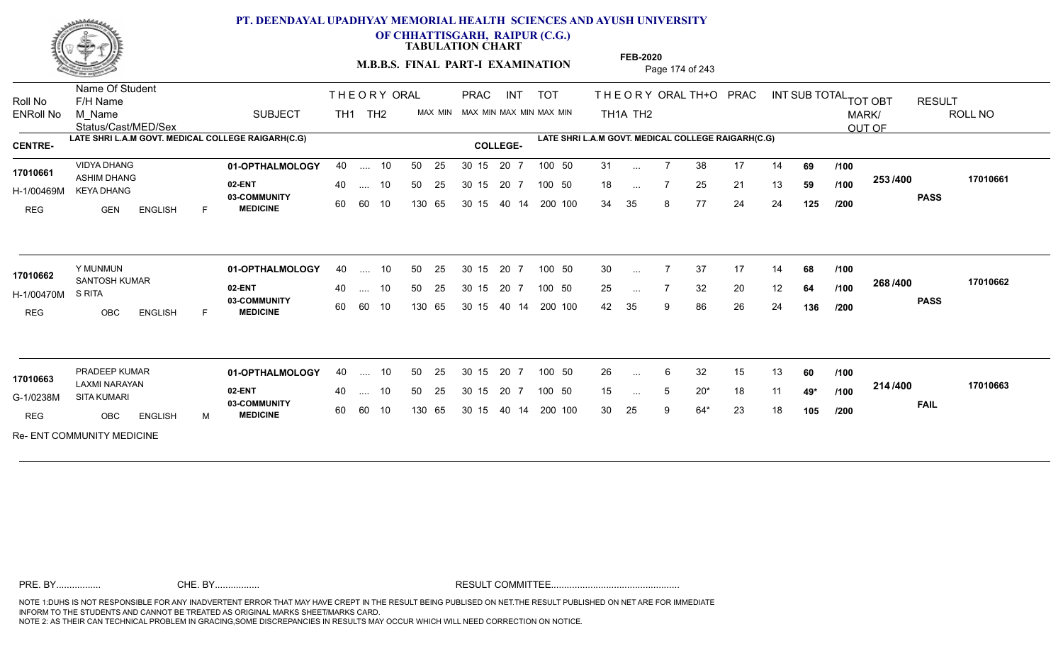

**OF CHHATTISGARH, RAIPUR (C.G.)**

**TABULATION CHART** 

**M.B.B.S. FINAL PART-I EXAMINATION** Page 174 of 243

Status/Cast/MED/Sex Name Of Student Roll No F/H Name M\_Name SUBJECT TOT THE OR YORAL TH+O PRAC INT TH<sub>1</sub>A TH<sub>2</sub> ORAL TH+ODPRACD INT SUB TOTAL <sub>TOT OBT</sub> RESULT ROLL NO MARK/ OUT OF ENRoll No M Name  $\,$  SUBJECT TH1 TH2 MAX MIN MAX MIN MAX MIN MAX MIN TH1A TH2 **LATE SHRI L.A.M GOVT. MEDICAL COLLEGE RAIGARH(C.G) LATE SHRI L.A.M GOVT. MEDICAL COLLEGE RAIGARH(C.G) CENTRE- COLLEGE-**THE ORY ORAL TH<sub>1</sub> TH<sub>2</sub> PRAC INT TOT THEOR PRAC **01-OPTHALMOLOGY** VIDYA DHANG 40 .... 10 30 15 20 7 **02-ENT 03-COMMUNITY MEDICINE** H-1/00469M KEYA DHANG 17010661 **ASHIM DHANG 17010661** REG **GEN ENGLISH** F 31 ... 7 38 17 14 **69** /**100** 18 ... 7 25 21 13 **59 /100 <sup>2007</sup>** 34 35 8 77 24 24 **125 253 PASS /400 17010661** .... 10 50 25 60 60 10 50 25 30 15 130 65 30 15 40 14 200 100 20 7 100 50 50 25 30 15 20 7 100 50 31 ... ... ... 7 **/100 /100 /200 01-OPTHALMOLOGY** Y MUNMUN 40 .... 10 30 15 20 7 **02-ENT** 03-COMMUNITY 60 **MEDICINE** 60 60 10 H-1/00470M SANTOSH KUMAR **17010662** S RITA REG OBC ENGLISH F 30 7 37 17 14 **68** 25 ... 7 32 20 12 **64 /100 <sup>2007–00</sup>** 42 35 9 86 26 24 **136 268 PASS /400 17010662** .... 10 50 25 130 65 50 25 30 15 130 65 30 15 40 14 200 100 20 7 100 50 50 25 30 15 20 7 100 50 30 ... ... ... **/100 /100 /200 01-OPTHALMOLOGY** PRADEEP KUMAR 40 .... 10 30 15 20 7 **02-ENT** 03-COMMUNITY 60  **MEDICINE** G-1/0238M SITA KUMARI LAXMI NARAYAN **17010663** REG OBC ENGLISH M 26 6 32 15 13 **60** 15 ... 5 20\* 18 11 **49\* /100 <sup>4</sup> '**' 30 25 9 64\* 23 18 **105 214 FAIL 17010663 /400** Re- ENT COMMUNITY MEDICINE .... 10 50 25 60 60 10 50 25 30 15 130 65 30 15 40 14 200 100 20 7 100 50 50 25 30 15 20 7 100 50 26 ... ... ... 5 **/100 /100 /200**

**FEB-2020**

NOTE 1:DUHS IS NOT RESPONSIBLE FOR ANY INADVERTENT ERROR THAT MAY HAVE CREPT IN THE RESULT BEING PUBLISED ON NET.THE RESULT PUBLISHED ON NET ARE FOR IMMEDIATE INFORM TO THE STUDENTS AND CANNOT BE TREATED AS ORIGINAL MARKS SHEET/MARKS CARD. CHE. BY WAREL BY WARE AND THE AVEC THE AVEC THE THE RESULT COMMITTEE AND MULTIME MOTE 1:DUHS IS NOT RESPONSIBLE FOR ANY INADVERTENT ERROR THAT MAY HAVE CREPT IN THE RESULT BEING PUBLISED ON NET.THE RESULT PUBLISHED ON NET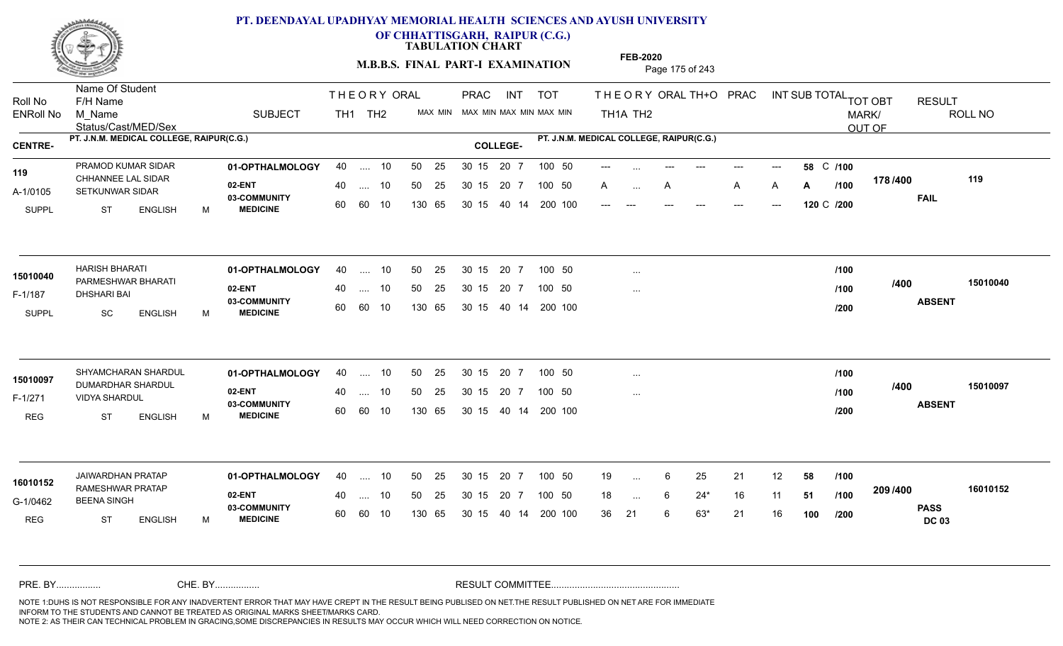

**OF CHHATTISGARH, RAIPUR (C.G.)**

**TABULATION CHART** 

**FEB-2020**

**M.B.B.S. FINAL PART-I EXAMINATION** Page 175 of 243

Status/Cast/MED/Sex Name Of Student Roll No F/H Name M\_Name SUBJECT TOT THE OR YORAL TH+O PRAC INT TH<sub>1</sub>A TH<sub>2</sub> ORAL TH+ODPRACD INT SUB TOTAL <sub>TOT OBT</sub> RESULT ROLL NO MARK/ OUT OF ENRoll No M Name  $\,$  SUBJECT TH1 TH2 MAX MIN MAX MIN MAX MIN MAX MIN TH1A TH2 **PT. J.N.M. MEDICAL COLLEGE, RAIPUR(C.G.) PT. J.N.M. MEDICAL COLLEGE, RAIPUR(C.G.) CENTRE- COLLEGE-**THE ORY ORAL TH<sub>1</sub> TH<sub>2</sub> PRAC INT TOT THEOR PRAC PRAMOD KUMAR SIDAR **01-OPTHALMOLOGY** 40 .... 10 50 25 30 15 20 7 100 50 ---**02-ENT** 03-COMMUNITY 60  **MEDICINE** A-1/0105 SETKUNWAR SIDAR 119 CHHANNEE LAL SIDAR<br>
<sub>22</sub> SUPPL ST ENGLISH M --- --- --- --- --- **58 /100** C A … A A A **A A /100 1107<del>4</del>00** --- --- --- --- --- --- **120 /200** C **178 FAIL /400 119** .... 10 50 25 60 60 10 50 25 30 15 130 65 30 15 40 14 200 100 --- --- --- ---20 7 100 50 50 25 30 15 20 7 100 50 --- ... ---... ... **A /100 01-OPTHALMOLOGY** HARISH BHARATI 40 .... 10 30 15 20 7 **02-ENT 03-COMMUNITY MEDICINE** F-1/187 DHSHARI BAI PARMESHWAR BHARATI **15010040** SUPPL SC ENGLISH M **ABSENT /400 15010040** .... 10 50 25 60 60 10 50 25 30 15 130 65 30 15 40 14 200 100 20 7 100 50 50 25 30 15 20 7 100 50 ... ... ... **/100 /100 /200** SHYAMCHARAN SHARDUL **01-OPTHALMOLOGY** 40 .... 10 50 25 30 15 20 7 100 50 **02-ENT** 03-COMMUNITY 60  **MEDICINE** F-1/271 VIDYA SHARDUL 15010097 DUMARDHAR SHARDUL REG ST ENGLISH M **ABSENT /400 15010097** .... 10 50 25 60 60 10 50 25 30 15 130 65 30 15 40 14 200 100 20 7 100 50 50 25 30 15 20 7 100 50 ... ... ... **/100 /100 /200 01-OPTHALMOLOGY** JAIWARDHAN PRATAP 40 .... 10 30 15 20 7 **02-ENT** 03-COMMUNITY 60  **MEDICINE** G-1/0462 BEENA SINGH RAMESHWAR PRATAP **16010152** REG ST ENGLISH M 19 ... 6 25 21 12 **58 /100** 18 ... 6 24\* 16 11 **51 /100 <sup>2007/400</sup>** 36 21 6 63\* 21 16 **100 209 PASS DC 03 /400 16010152** .... 10 50 25 60 60 10 50 25 30 15 130 65 30 15 40 14 200 100 20 7 100 50 50 25 30 15 20 7 100 50 19 ... 6 ... ... **/100 /100 /200** NOTE 1:DUHS IS NOT RESPONSIBLE FOR ANY INADVERTENT ERROR THAT MAY HAVE CREPT IN THE RESULT BEING PUBLISED ON NET.THE RESULT PUBLISHED ON NET ARE FOR IMMEDIATE INFORM TO THE STUDENTS AND CANNOT BE TREATED AS ORIGINAL MARKS SHEET/MARKS CARD. CHE. BY WAREL BY WARE AND THE AVEC THE AVEC THE THE RESULT COMMITTEE AND MULTIME MOTE 1:DUHS IS NOT RESPONSIBLE FOR ANY INADVERTENT ERROR THAT MAY HAVE CREPT IN THE RESULT BEING PUBLISED ON NET.THE RESULT PUBLISHED ON NET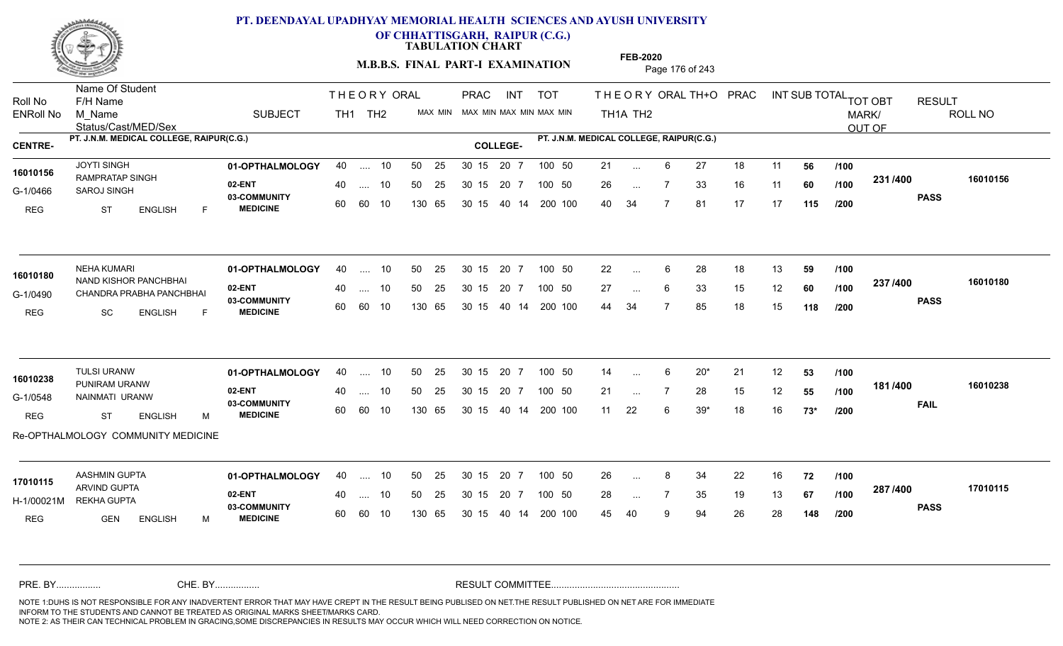

**OF CHHATTISGARH, RAIPUR (C.G.)**

**TABULATION CHART** 

**M.B.B.S. FINAL PART-I EXAMINATION** Page 176 of 243

Status/Cast/MED/Sex Name Of Student Roll No F/H Name M\_Name SUBJECT TH1 TH2 <sup>MAX\_MIN</sup> N PRAC INT TOT THEORY ORAL TH+O PRAC INT TH<sub>1</sub>A TH<sub>2</sub> ORAL TH+ODPRACD INT SUB TOTAL <sub>TOT OBT</sub> RESULT ROLL NO MARK/ OUT OF ENRoll No M Name  $\,$  SUBJECT TH1 TH2 MAX MIN MAX MIN MAX MIN MAX MIN TH1A TH2 **PT. J.N.M. MEDICAL COLLEGE, RAIPUR(C.G.) PT. J.N.M. MEDICAL COLLEGE, RAIPUR(C.G.) CENTRE- COLLEGE-**THE ORY ORAL PRAC INT PRAC **01-OPTHALMOLOGY** 40 .... 10 50 25 30 15 20 7 100 50 21 100 50 21 **02-ENT** 03-COMMUNITY 60  **MEDICINE** G-1/0466 SAROJ SINGH 22 - 20 16010156 RAMPRATAP SINGH REG ST ENGLISH F 21 ... 6 27 18 11 **56 /100** 26 7 33 16 11 **60** 40 34 7 81 17 17 **115 231 PASS /400 16010156** 40 .... 10 50 25 30 15 60 60 10 130 65 30 15 20 7 100 50 40 14 200 100 50 25 30 15 20 7 100 50 21 ... ... ... **/100 /100 /200 01-OPTHALMOLOGY** NEHA KUMARI 40 .... 10 30 15 20 7 **02-ENT** 03-COMMUNITY 60  **MEDICINE** G-1/0490 CHANDRA PRABHA PANCHBHAI NAND KISHOR PANCHBHAI **16010180** REG SC ENGLISH F 22 ... 6 28 18 13 **59 /100** 27 ... 6 33 15 12 **60 /100 <sup>237 /400</sup>** 44 34 7 85 18 15 **118 237 PASS /400 16010180** .... 10 50 25 60 60 10 30 15 20 7 130 65 30 15 40 14 200 100 30 15 20 7 100 50 50 25 30 15 20 7 100 50 22 ... ...  $\overline{\phantom{a}}$ . 6 **/100 /100 /200 01-OPTHALMOLOGY** TULSI URANW 40 .... 10 30 15 20 7 **02-ENT** 03-COMMUNITY 60  **MEDICINE** G-1/0548 NAINMATI URANW DE CALLA DE COMMUNITY 16010238 PUNIRAM URANW REG ST ENGLISH M 14 6 20\* 21 12 **53** 21 ... 7 28 15 12 **55 /100 <sup>1017–00</sup>** 11 22 6 39\* 18 16 **73\* 181 /100 FAIL 16010238 /400** Re-OPTHALMOLOGY COMMUNITY MEDICINE .... 10 50 25 30 15 60 60 10 20 7 130 65 30 15 30 15 20 7 100 50 40 14 200 100 50 25 30 15 20 7 100 50 14 ... 6 ... **/100 /200 01-OPTHALMOLOGY** AASHMIN GUPTA 40 .... 10 30 15 20 7 **02-ENT** 03-COMMUNITY 60 **MEDICINE** 60 60 10 H-1/00021M REKHA GUPTA ARVIND GUPTA **17010115** REG GEN ENGLISH M 26 8 34 22 16 **72** 28 ... 7 35 19 13 **67 /100 <sup>207</sup> /<del>1</del>00** 45 40 9 94 26 28 **148 287 PASS /400 17010115** 40 .... 10 50 25 130 65 130 65 30 15 30 15 20 7 100 50 40 14 200 100 50 25 30 15 20 7 100 50 26 ... 8 ... ... **/100 /100 /200** NOTE 1:DUHS IS NOT RESPONSIBLE FOR ANY INADVERTENT ERROR THAT MAY HAVE CREPT IN THE RESULT BEING PUBLISED ON NET.THE RESULT PUBLISHED ON NET ARE FOR IMMEDIATE INFORM TO THE STUDENTS AND CANNOT BE TREATED AS ORIGINAL MARKS SHEET/MARKS CARD. CHE. BY WAREL BY WARE AND THE AVEC THE AVEC THE THE RESULT COMMITTEE AND MULTIME MOTE 1:DUHS IS NOT RESPONSIBLE FOR ANY INADVERTENT ERROR THAT MAY HAVE CREPT IN THE RESULT BEING PUBLISED ON NET.THE RESULT PUBLISHED ON NET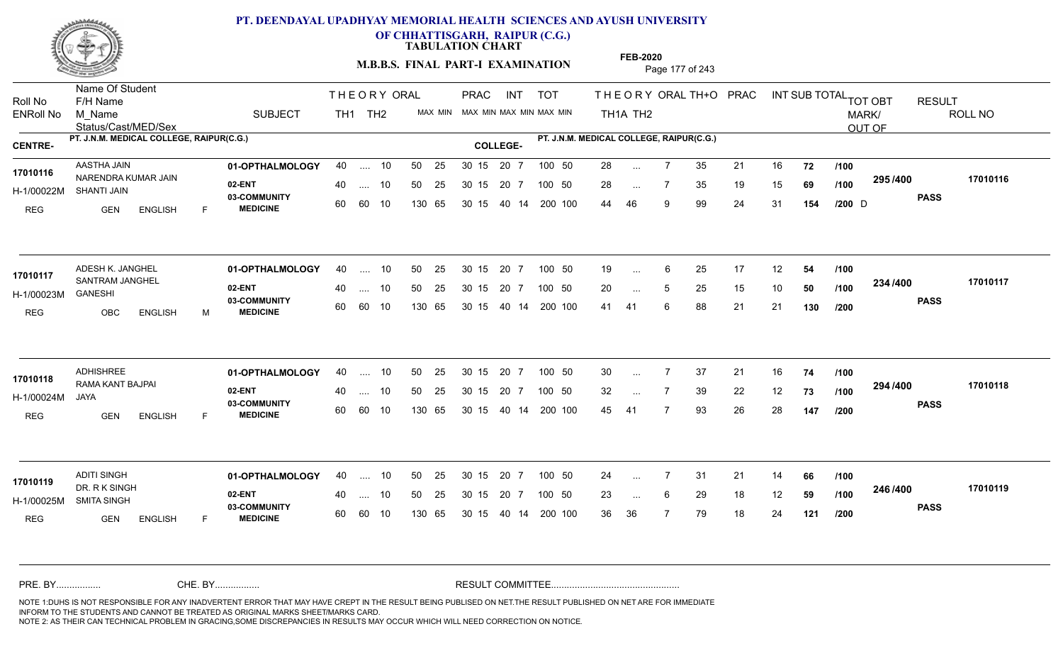

**OF CHHATTISGARH, RAIPUR (C.G.)**

**TABULATION CHART** 

**M.B.B.S. FINAL PART-I EXAMINATION** Page 177 of 243

Status/Cast/MED/Sex Name Of Student Roll No F/H Name M\_Name SUBJECT PRAC INT TOT THEORY ORAL TH+O PRAC INT TH<sub>1</sub>A TH<sub>2</sub> ORAL TH+ODPRACD INT SUB TOTAL <sub>TOT OBT</sub> RESULT ROLL NO MARK/ OUT OF ENRoll No M Name  $\,$  SUBJECT TH1 TH2 MAX MIN MAX MIN MAX MIN MAX MIN TH1A TH2 **PT. J.N.M. MEDICAL COLLEGE, RAIPUR(C.G.) PT. J.N.M. MEDICAL COLLEGE, RAIPUR(C.G.) CENTRE- COLLEGE-**THE ORY ORAL PRAC INT TH<sub>1</sub> TH<sub>2</sub> PRAC **01-OPTHALMOLOGY** AASTHA JAIN 40 .... 10 30 15 20 7 **02-ENT** 03-COMMUNITY 60  **MEDICINE** H-1/00022M SHANTI JAIN 17010116 NARENDRA KUMAR JAIN REG GEN ENGLISH F 28 7 35 21 16 **72** 28 ... 7 35 19 15 **69 /100 <sup>2557</sup> 7** 44 46 9 99 24 31 **154 295 PASS /400 17010116** .... 10 50 25 60 60 10 50 25 30 15 130 65 30 15 20 7 100 50 40 14 200 100 50 25 30 15 20 7 100 50 28 ...  $D \rightarrow \text{Cov}$ ... ... **/100 /100 /200 01-OPTHALMOLOGY** ADESH K. JANGHEL 40 .... 10 30 15 20 7 **02-ENT** 03-COMMUNITY 60 **MEDICINE** 60 60 10 H-1/00023M 17010117 SANTRAM JANGHEL GANESHI REG OBC ENGLISH M 19 ... 6 25 17 12 **54 /100** 20 ... 5 25 15 10 **50 /100 <sup>2047</sup> 1** 41 41 6 88 21 21 **130 234 PASS /400 17010117** .... 10 50 25 130 65 30 15 20 7 130 65 30 15 40 14 200 100 30 15 20 7 100 50 50 25 30 15 20 7 100 50 19 ... ... ... 5 **/100 /100 /200 01-OPTHALMOLOGY** ADHISHREE 40 .... 10 30 15 20 7 **02-ENT** 03-COMMUNITY 60  **MEDICINE** H-1/00024M RAMA KANT BAJPAI **17010118** JAYA REG GEN ENGLISH F 30 7 37 21 16 **74** 32 ... 7 39 22 12 **73 /100 <sup>234</sup> /\*00** 45 41 7 93 26 28 **147 294 PASS /400 17010118** .... 10 50 25 60 60 10 30 15 20 7 130 65 30 15 30 15 20 7 100 50 40 14 200 100 50 25 30 15 20 7 100 50 30 ... ... ... **/100 /100 /200 01-OPTHALMOLOGY** ADITI SINGH 40 .... 10 30 15 20 7 **02-ENT** 03-COMMUNITY 60 MEDICINE 60 60 10 H-1/00025M SMITA SINGH DR. R K SINGH **17010119** REG GEN ENGLISH F 24 7 31 21 14 **66** 23 ... 6 29 18 12 **59 /100 <sup>2467466</sup>** 36 36 7 79 18 24 **121 246 PASS /400 17010119** 40 .... 10 50 25 130 65 130 65 30 15 30 15 20 7 100 50 40 14 200 100 50 25 30 15 20 7 100 50 24 ... ... ... **/100 /100 /200** NOTE 1:DUHS IS NOT RESPONSIBLE FOR ANY INADVERTENT ERROR THAT MAY HAVE CREPT IN THE RESULT BEING PUBLISED ON NET.THE RESULT PUBLISHED ON NET ARE FOR IMMEDIATE INFORM TO THE STUDENTS AND CANNOT BE TREATED AS ORIGINAL MARKS SHEET/MARKS CARD. CHE. BY WAREL BY WARE AND THE AVEC THE AVEC THE THE RESULT COMMITTEE AND MULTIME MOTE 1:DUHS IS NOT RESPONSIBLE FOR ANY INADVERTENT ERROR THAT MAY HAVE CREPT IN THE RESULT BEING PUBLISED ON NET.THE RESULT PUBLISHED ON NET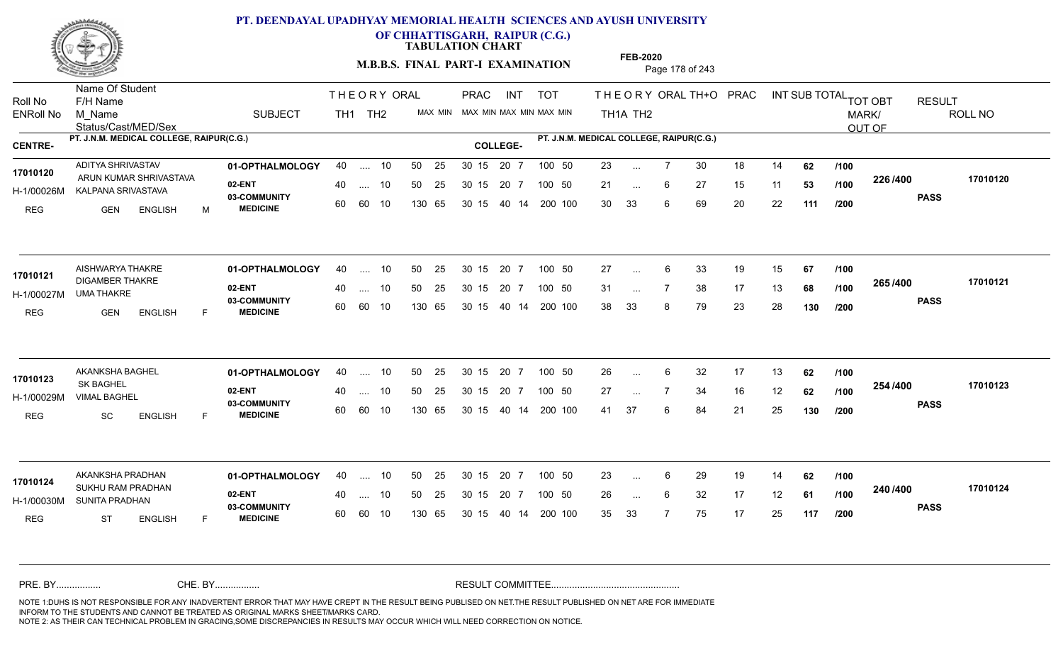

**OF CHHATTISGARH, RAIPUR (C.G.)**

**TABULATION CHART** 

**M.B.B.S. FINAL PART-I EXAMINATION** Page 178 of 243

Status/Cast/MED/Sex Name Of Student Roll No F/H Name M\_Name SUBJECT TH1 TH2 <sup>MAX\_MIN</sup> N PRAC INT TOT THEORY ORAL TH+O PRAC INT TH<sub>1</sub>A TH<sub>2</sub> ORAL TH+ODPRACD INT SUB TOTAL <sub>TOT OBT</sub> RESULT ROLL NO MARK/ OUT OF ENRoll No M Name  $\,$  SUBJECT TH1 TH2 MAX MIN MAX MIN MAX MIN MAX MIN TH1A TH2 **PT. J.N.M. MEDICAL COLLEGE, RAIPUR(C.G.) PT. J.N.M. MEDICAL COLLEGE, RAIPUR(C.G.) CENTRE- COLLEGE-**THE ORY ORAL PRAC INT PRAC **01-OPTHALMOLOGY** ADITYA SHRIVASTAV 40 .... 10 30 15 20 7 **02-ENT** 03-COMMUNITY 60  **MEDICINE** H-1/00026M KALPANA SRIVASTAVA **1990 - 1990 - 1990 - 1990 - 1990 - 1990**  ARUN KUMAR SHRIVASTAVA **17010120** REG GEN ENGLISH M 23 ... 7 30 18 14 **62** /**100** 21 ... 6 27 15 11 **53 /100 <sup>2207400</sup>** 30 33 6 69 20 22 **111 226 PASS /400 17010120** .... 10 50 25 60 60 10 50 25 30 15 130 65 30 15 40 14 200 100 20 7 100 50 50 25 30 15 20 7 100 50 23 ... ... ... **/100 /100 /200 01-OPTHALMOLOGY** AISHWARYA THAKRE 40 .... 10 30 15 20 7 **02-ENT** 03-COMMUNITY 60  **MEDICINE** H-1/00027M UMA THAKRE 17010121 DIGAMBER THAKRE REG GEN ENGLISH F 27 ... 6 33 19 15 **67 /100** 31 ... 7 38 17 13 **68 /100 <sup>2007–00</sup>** 38 33 8 79 23 28 **130 265 PASS /400 17010121**  $\ldots$  10 50 25 30 15 60 60 10 20 7 130 65 30 15 40 14 200 100 30 15 20 7 100 50 50 25 30 15 20 7 100 50 27 ... ... ... **/100 /100 /200 01-OPTHALMOLOGY** AKANKSHA BAGHEL 40 .... 10 30 15 20 7 **02-ENT** 03-COMMUNITY 60  **MEDICINE** H-1/00029M VIMAL BAGHEL SK BAGHEL REG SC ENGLISH F 26 6 32 17 13 **62** 27 7 34 16 12 **62** 41 37 6 84 21 25 **130 254 PASS /400 17010123** .... 10 50 25 30 15 60 60 10 20 7 130 65 30 15 30 15 20 7 100 50 40 14 200 100 50 25 30 15 20 7 100 50 26 ... 6 **17010123**<br>**17010123**<br>**17010123** ... ... **/100 /100 /200 01-OPTHALMOLOGY** AKANKSHA PRADHAN 40 .... 10 30 15 20 7 **02-ENT** 03-COMMUNITY 60 **MEDICINE** 60 60 10 H-1/00030M SUNITA PRADHAN **1999 - 11-1** 17010124<br>SUKHU RAM PRADHAN REG ST ENGLISH F 23 ... 6 29 19 14 **62 /100** 26 6 32 17 12 **61** 35 33 7 75 17 25 **117 240 PASS /400 17010124** 40 .... 10 50 25 130 65 130 65 30 15 30 15 20 7 100 50 40 14 200 100 50 25 30 15 20 7 100 50 23 ... ... ... **/100 /100 /200** NOTE 1:DUHS IS NOT RESPONSIBLE FOR ANY INADVERTENT ERROR THAT MAY HAVE CREPT IN THE RESULT BEING PUBLISED ON NET.THE RESULT PUBLISHED ON NET ARE FOR IMMEDIATE INFORM TO THE STUDENTS AND CANNOT BE TREATED AS ORIGINAL MARKS SHEET/MARKS CARD. CHE. BY WAREL BY WARE AND THE AVEC THE AVEC THE THE RESULT COMMITTEE AND MULTIME MOTE 1:DUHS IS NOT RESPONSIBLE FOR ANY INADVERTENT ERROR THAT MAY HAVE CREPT IN THE RESULT BEING PUBLISED ON NET.THE RESULT PUBLISHED ON NET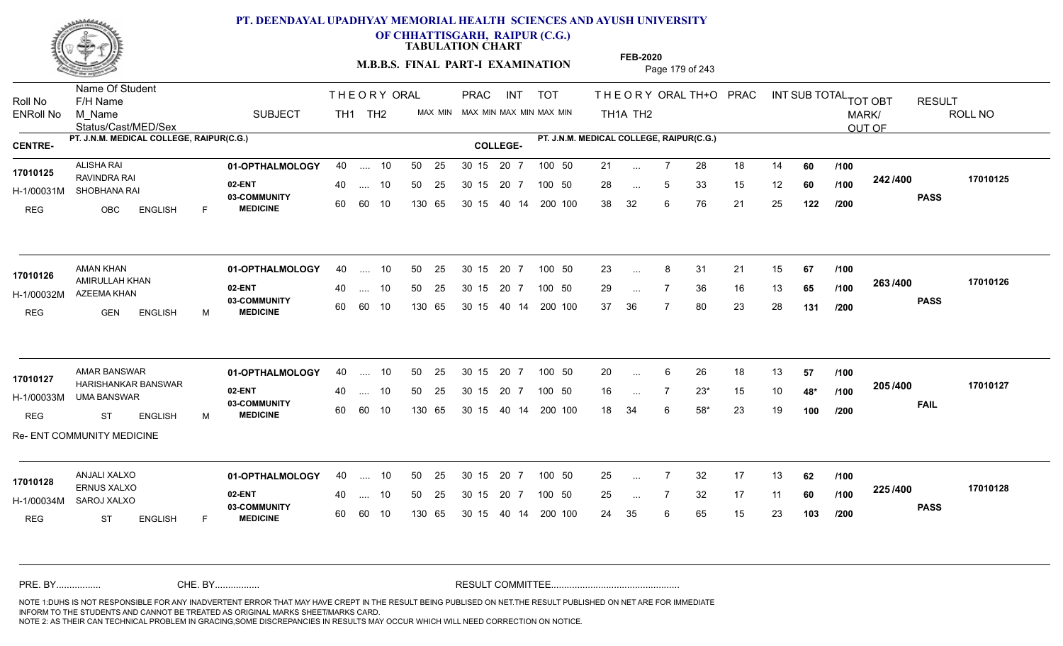

**OF CHHATTISGARH, RAIPUR (C.G.)**

**TABULATION CHART** 

**M.B.B.S. FINAL PART-I EXAMINATION** Page 179 of 243

Status/Cast/MED/Sex Name Of Student Roll No F/H Name M\_Name SUBJECT PRAC INT TOT THEORY ORAL TH+O PRAC INT TH<sub>1</sub>A TH<sub>2</sub> ORAL TH+ODPRACD INT SUB TOTAL <sub>TOT OBT</sub> RESULT ROLL NO MARK/ OUT OF ENRoll No M Name  $\,$  SUBJECT TH1 TH2 MAX MIN MAX MIN MAX MIN MAX MIN TH1A TH2 **PT. J.N.M. MEDICAL COLLEGE, RAIPUR(C.G.) PT. J.N.M. MEDICAL COLLEGE, RAIPUR(C.G.) CENTRE- COLLEGE-**THE ORY ORAL PRAC INT TH<sub>1</sub> TH<sub>2</sub> PRAC **01-OPTHALMOLOGY** ALISHA RAI 40 .... 10 30 15 20 7 **02-ENT** 03-COMMUNITY 60  **MEDICINE** H-1/00031M SHOBHANA RAI RAVINDRA RAI **17010125** REG OBC ENGLISH F 21 ... 7 28 18 14 **60** /**100** 28 ... 5 33 15 12 **60 /100 <sup>242 /400</sup>** 38 32 6 76 21 25 **122 242 PASS /400 17010125** .... 10 50 25 60 60 10 50 25 30 15 130 65 30 15 40 14 200 100 20 7 100 50 50 25 30 15 20 7 100 50 21 ... ... ... 5 **/100 /100 /200 01-OPTHALMOLOGY** AMAN KHAN 40 .... 10 30 15 20 7 **02-ENT** 03-COMMUNITY 60 **MEDICINE** 60 60 10 H-1/00032M AZEEMA KHAN 17010126 **AMIRULLAH KHAN** REG GEN ENGLISH M 23 8 31 21 15 **67** 29 ... 7 36 16 13 **65 /100 <sup>2007</sup> 7** 37 36 7 80 23 28 **131 263 PASS /400 17010126** .... 10 50 25 130 65 30 15 20 7 130 65 30 15 40 14 200 100 30 15 20 7 100 50 50 25 30 15 20 7 100 50 23 ... 8 ... ... **/100 /100 /200 01-OPTHALMOLOGY** AMAR BANSWAR 40 .... 10 30 15 20 7 **02-ENT** 03-COMMUNITY 60  **MEDICINE** H-1/00033M UMA BANSWAR 17010127 HARISHANKAR BANSWAR REG ST ENGLISH M 20 ... 6 26 18 13 **57 /100** 16 7 23\* 15 10 **48\*** 18 34 6 58\* 23 19 **100 205 FAIL 17010127 /400** Re- ENT COMMUNITY MEDICINE .... 10 50 25 30 15 60 60 10 20 7 130 65 30 15 30 15 20 7 100 50 40 14 200 100 50 25 30 15 20 7 100 50 20 ... 6 ... ... **/100 /100 /200 01-OPTHALMOLOGY** ANJALI XALXO 40 .... 10 30 15 20 7 **02-ENT** 03-COMMUNITY 60 **MEDICINE** 60 60 10 H-1/00034M SAROJ XALXO ERNUS XALXO REG ST ENGLISH F 25 7 32 17 13 **62** 25 ... 7 32 17 11 **60** /**100 <sup>223</sup>/\*<sup>00</sup>** 24 35 6 65 15 23 **103 225 PASS /400 17010128** 40 .... 10 50 25 130 65 130 65 30 15 30 15 20 7 100 50 40 14 200 100 50 25 30 15 20 7 100 50 25 ... **17010128 ANJALI XALXO** ... ... **/100 /100 /200** NOTE 1:DUHS IS NOT RESPONSIBLE FOR ANY INADVERTENT ERROR THAT MAY HAVE CREPT IN THE RESULT BEING PUBLISED ON NET.THE RESULT PUBLISHED ON NET ARE FOR IMMEDIATE INFORM TO THE STUDENTS AND CANNOT BE TREATED AS ORIGINAL MARKS SHEET/MARKS CARD. CHE. BY WAREL BY WARE AND THE AVEC THE AVEC THE THE RESULT COMMITTEE AND MULTIME MOTE 1:DUHS IS NOT RESPONSIBLE FOR ANY INADVERTENT ERROR THAT MAY HAVE CREPT IN THE RESULT BEING PUBLISED ON NET.THE RESULT PUBLISHED ON NET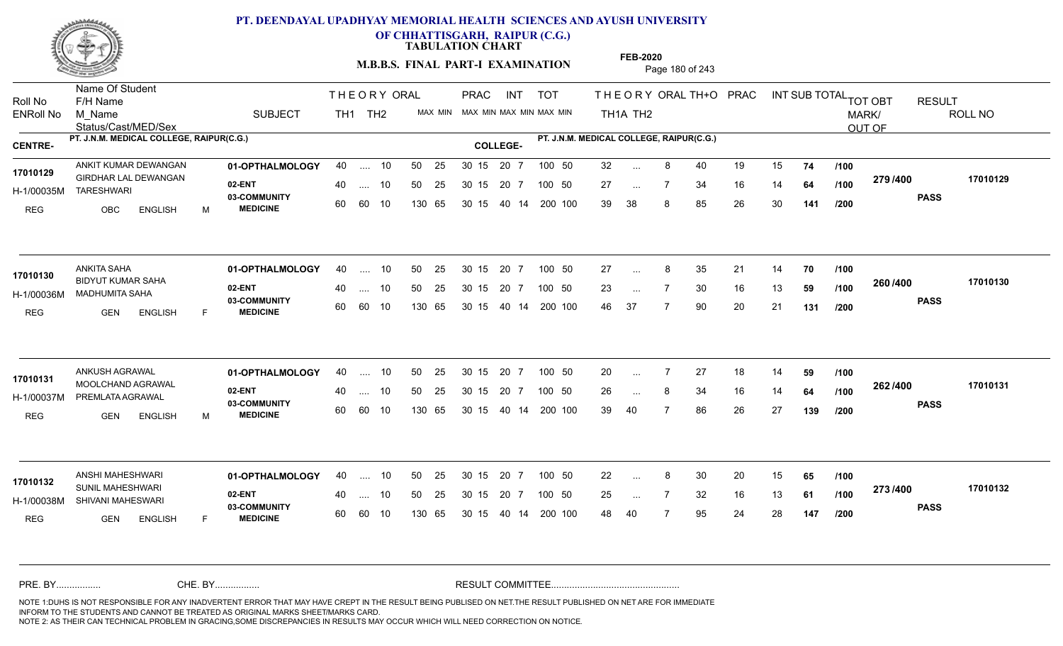

**OF CHHATTISGARH, RAIPUR (C.G.)**

**TABULATION CHART** 

**M.B.B.S. FINAL PART-I EXAMINATION** Page 180 of 243

Status/Cast/MED/Sex Name Of Student Roll No F/H Name M\_Name SUBJECT TH1 TH2 <sup>MAX\_MIN</sup> N PRAC INT TOT THEORY ORAL TH+O PRAC INT TH<sub>1</sub>A TH<sub>2</sub> ORAL TH+ODPRACD INT SUB TOTAL <sub>TOT OBT</sub> RESULT ROLL NO MARK/ OUT OF ENRoll No M Name  $\,$  SUBJECT TH1 TH2 MAX MIN MAX MIN MAX MIN MAX MIN TH1A TH2 **PT. J.N.M. MEDICAL COLLEGE, RAIPUR(C.G.) PT. J.N.M. MEDICAL COLLEGE, RAIPUR(C.G.) CENTRE- COLLEGE-**THE ORY ORAL PRAC INT PRAC **01-OPTHALMOLOGY 02-ENT** 03-COMMUNITY 60  **MEDICINE** H-1/00035M TARESHWARI GIRDHAR LAL DEWANGAN **17010129** REG OBC ENGLISH M 32 ... 8 40 19 15 **74 /100** 27 ... 7 34 16 14 **64 /100 <sup>213/400</sup>** 39 38 8 85 26 30 **141 279 PASS /400 17010129** ANKIT KUMAR DEWANGAN **01-OPTHALMOLOGY** 40 .... 10 50 25 30 15 20 7 100 50 32 .... 10 50 25 60 60 10 50 25 30 15 130 65 30 15 40 14 200 100 20 7 100 50 100 50 32 ... ... ... **/100 /100 /200 01-OPTHALMOLOGY** ANKITA SAHA 40 .... 10 30 15 20 7 **02-ENT** 03-COMMUNITY 60  **MEDICINE** H-1/00036M MADHUMITA SAHA BIDYUT KUMAR SAHA REG GEN ENGLISH F 27 ... 8 35 21 14 **70 /100** 23 ... 7 30 16 13 **59 /100 <sup>2007–00</sup>** 46 37 7 90 20 21 **131 260 PASS /400 17010130** .... 10 50 25 60 60 10 30 15 20 7 130 65 30 15 40 14 200 100 30 15 20 7 100 50 50 25 30 15 20 7 100 50 27 ... 8 **17010130**<br>17010130 ... ... **/100 /100 /200 01-OPTHALMOLOGY** ANKUSH AGRAWAL 40 .... 10 30 15 20 7 **02-ENT** 03-COMMUNITY 60  **MEDICINE** H-1/00037M PREMLATA AGRAWAL MOOLCHAND AGRAWAL **17010131** REG GEN ENGLISH M 20 7 27 18 14 **59** 26 ... 8 34 16 14 **64 /100 <sup>2027–00</sup>** 39 40 7 86 26 27 **139 262 PASS /400 17010131** .... 10 50 25 30 15 60 60 10 20 7 130 65 30 15 30 15 20 7 100 50 40 14 200 100 50 25 30 15 20 7 100 50 20 ... 7 ... ... **/100 /100 /200 01-OPTHALMOLOGY** ANSHI MAHESHWARI 40 .... 10 30 15 20 7 **02-ENT** 03-COMMUNITY 60 **MEDICINE** 60 60 10 H-1/00038M SHIVANI MAHESWARI SUNIL MAHESHWARI **17010132** REG **GEN ENGLISH** F 22 ... 8 30 20 15 **65 /100** 25 ... 7 32 16 13 **61 /100 <sup>2137400</sup>** 48 40 7 95 24 28 **147 273 PASS /400 17010132** 40 .... 10 50 25 130 65 130 65 30 15 30 15 20 7 100 50 40 14 200 100 50 25 30 15 20 7 100 50 22 ... 8 ... ... **/100 /100 /200** NOTE 1:DUHS IS NOT RESPONSIBLE FOR ANY INADVERTENT ERROR THAT MAY HAVE CREPT IN THE RESULT BEING PUBLISED ON NET.THE RESULT PUBLISHED ON NET ARE FOR IMMEDIATE INFORM TO THE STUDENTS AND CANNOT BE TREATED AS ORIGINAL MARKS SHEET/MARKS CARD. CHE. BY WAREL BY WARE AND THE AVEC THE AVEC THE THE RESULT COMMITTEE AND MULTIME MOTE 1:DUHS IS NOT RESPONSIBLE FOR ANY INADVERTENT ERROR THAT MAY HAVE CREPT IN THE RESULT BEING PUBLISED ON NET.THE RESULT PUBLISHED ON NET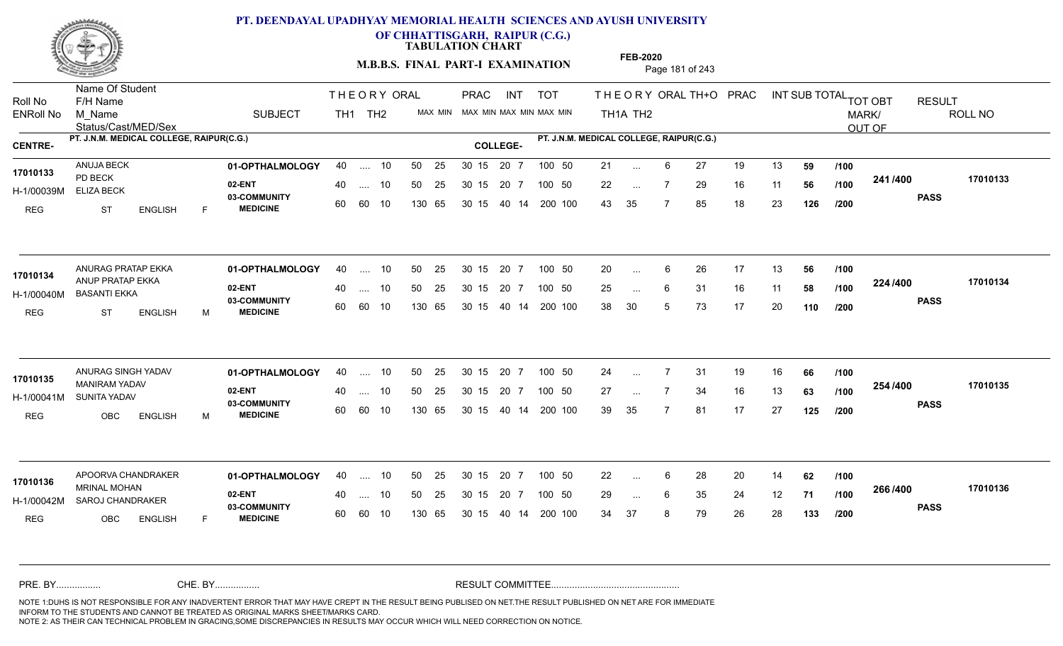

**OF CHHATTISGARH, RAIPUR (C.G.)**

**TABULATION CHART** 

**M.B.B.S. FINAL PART-I EXAMINATION** Page 181 of 243

Status/Cast/MED/Sex Name Of Student Roll No F/H Name M\_Name SUBJECT TH1 TH2 <sup>MAX\_MIN</sup> N PRAC INT TOT THEORY ORAL TH+O PRAC INT TH<sub>1</sub>A TH<sub>2</sub> ORAL TH+ODPRACD INT SUB TOTAL <sub>TOT OBT</sub> RESULT ROLL NO MARK/ OUT OF ENRoll No M Name  $\,$  SUBJECT TH1 TH2 MAX MIN MAX MIN MAX MIN MAX MIN TH1A TH2 **PT. J.N.M. MEDICAL COLLEGE, RAIPUR(C.G.) PT. J.N.M. MEDICAL COLLEGE, RAIPUR(C.G.) CENTRE- COLLEGE-**THE ORY ORAL PRAC INT PRAC **01-OPTHALMOLOGY** ANUJA BECK 40 .... 10 30 15 20 7 **02-ENT** 03-COMMUNITY 60  **MEDICINE** H-1/00039M ELIZA BECK PD BECK REG ST ENGLISH F 21 ... 6 27 19 13 **59 /100** 22 ... 7 29 16 11 **56 /100 <sup>2411/400</sup>** 43 35 7 85 18 23 **126 241 PASS /400 17010133** .... 10 50 25 60 60 10 50 25 30 15 130 65 30 15 40 14 200 100 20 7 100 50 50 25 30 15 20 7 100 50 21 ... **17010133** ANUJA BECK ... ... 7 **/100 /100 /200 01-OPTHALMOLOGY** ANURAG PRATAP EKKA 40 .... 10 30 15 20 7 **02-ENT** 03-COMMUNITY 60 **MEDICINE** 60 60 10 H-1/00040M BASANTI EKKA ANUP PRATAP EKKA **17010134** REG ST ENGLISH M 20 ... 6 26 17 13 **56 /100** 25 ... 6 31 16 11 **58 /100 <sup>22=11=00</sup>** 38 30 5 73 17 20 **110 224 PASS /400 17010134**  $\ldots$  10 50 25 30 15 130 65 20 7 130 65 30 15 40 14 200 100 30 15 20 7 100 50 50 25 30 15 20 7 100 50 20 ... ... ... 6 **/100 /100 /200 01-OPTHALMOLOGY** ANURAG SINGH YADAV 40 .... 10 30 15 20 7 **02-ENT** 03-COMMUNITY 60  **MEDICINE** H-1/00041M SUNITA YADAV MANIRAM YADAV **17010135** REG OBC ENGLISH M 24 7 31 19 16 **66** 27 7 34 16 13 **63** 39 35 7 81 17 27 **125 254 PASS /400 17010135** .... 10 50 25 30 15 60 60 10 20 7 130 65 30 15 30 15 20 7 100 50 40 14 200 100 50 25 30 15 20 7 100 50 24 ... 7 ... ... **/100 /100 /200 01-OPTHALMOLOGY 02-ENT** 03-COMMUNITY 60 **MEDICINE** 60 60 10 H-1/00042M SAROJ CHANDRAKER 22 SARAHANT MRINAL MOHAN **17010136** REG OBC ENGLISH F 22 ... 6 28 20 14 **62 /100** 29 ... 6 35 24 12 **71 /100 <sup>2007</sup> \*** 34 37 8 79 26 28 **133 266 PASS /400 17010136** APOORVA CHANDRAKER **01-OPTHALMOLOGY** 40 .... 10 50 25 30 15 20 7 100 50 22 40 .... 10 50 25 130 65 130 65 30 15 30 15 20 7 100 50 40 14 200 100 100 50 22 ... ... ... 6 **/100 /100 /200** NOTE 1:DUHS IS NOT RESPONSIBLE FOR ANY INADVERTENT ERROR THAT MAY HAVE CREPT IN THE RESULT BEING PUBLISED ON NET.THE RESULT PUBLISHED ON NET ARE FOR IMMEDIATE INFORM TO THE STUDENTS AND CANNOT BE TREATED AS ORIGINAL MARKS SHEET/MARKS CARD. CHE. BY WAREL BY WARE AND THE AVEC THE AVEC THE THE RESULT COMMITTEE AND MULTIME MOTE 1:DUHS IS NOT RESPONSIBLE FOR ANY INADVERTENT ERROR THAT MAY HAVE CREPT IN THE RESULT BEING PUBLISED ON NET.THE RESULT PUBLISHED ON NET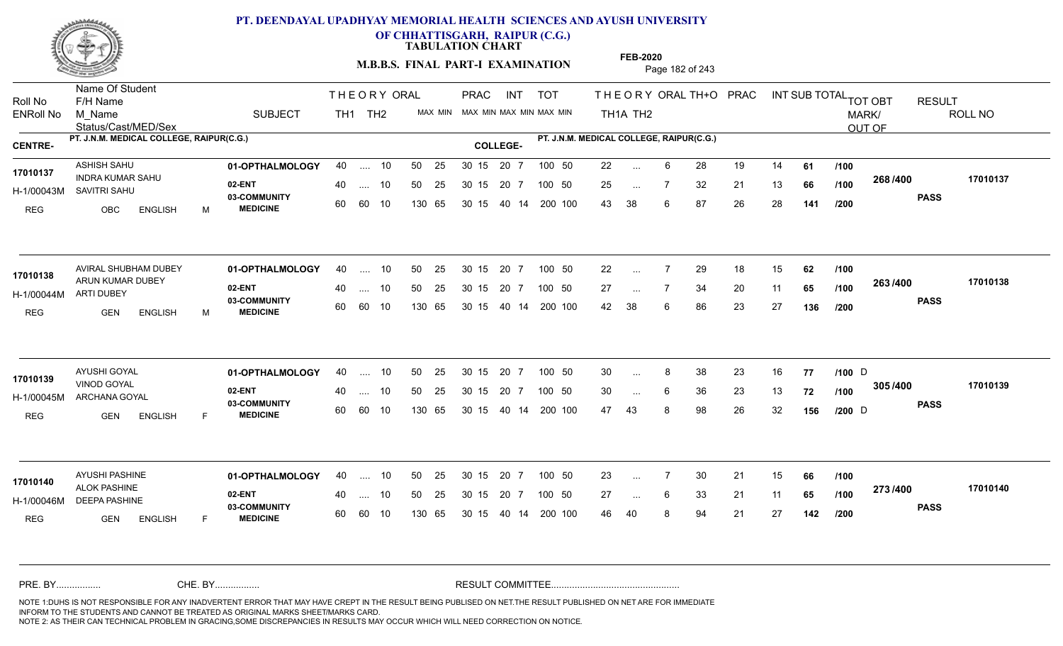

**OF CHHATTISGARH, RAIPUR (C.G.)**

**TABULATION CHART** 

**M.B.B.S. FINAL PART-I EXAMINATION** Page 182 of 243

Status/Cast/MED/Sex Name Of Student Roll No F/H Name M\_Name SUBJECT TH1 TH2 <sup>MAX\_MIN</sup> N PRAC INT TOT THEORY ORAL TH+O PRAC INT TH<sub>1</sub>A TH<sub>2</sub> ORAL TH+ODPRACD INT SUB TOTAL <sub>TOT OBT</sub> RESULT ROLL NO MARK/ OUT OF ENRoll No M Name  $\,$  SUBJECT TH1 TH2 MAX MIN MAX MIN MAX MIN MAX MIN TH1A TH2 **PT. J.N.M. MEDICAL COLLEGE, RAIPUR(C.G.) PT. J.N.M. MEDICAL COLLEGE, RAIPUR(C.G.) CENTRE- COLLEGE-**THE ORY ORAL PRAC INT PRAC **01-OPTHALMOLOGY** ASHISH SAHU 40 .... 10 30 15 20 7 **02-ENT** 03-COMMUNITY 60  **MEDICINE** H-1/00043M SAVITRI SAHU INDRA KUMAR SAHU **17010137** REG OBC ENGLISH M 22 ... 6 28 19 14 **61 /100** 25 ... 7 32 21 13 **66 /100 <sup>2007–00</sup>** 43 38 6 87 26 28 **141 268 PASS /400 17010137** .... 10 50 25 60 60 10 50 25 30 15 130 65 30 15 40 14 200 100 20 7 100 50 50 25 30 15 20 7 100 50 22 ... ... ... **/100 /100 /200** AVIRAL SHUBHAM DUBEY **01-OPTHALMOLOGY** 40 .... 10 50 25 30 15 20 7 100 50 22 **02-ENT** 03-COMMUNITY 60  **MEDICINE** H-1/00044M ARTI DUBEY 17010138 ARUN KUMAR DUBEY REG GEN ENGLISH M 22 7 29 18 15 **62** 27 ... 7 34 20 11 **65 /100 <sup>2007</sup> 7** 42 38 6 86 23 27 **136 263 PASS /400 17010138** .... 10 50 25 60 60 10 30 15 20 7 130 65 30 15 40 14 200 100 30 15 20 7 100 50 50 25 30 15 20 7 100 50 22 ... ... ... **/100 /100 /200 01-OPTHALMOLOGY** AYUSHI GOYAL 40 .... 10 30 15 20 7 **02-ENT** 03-COMMUNITY 60  **MEDICINE** H-1/00045M ARCHANA GOYAL VINOD GOYAL **17010139** REG GEN ENGLISH F 30 ... 8 38 23 16 **77 /100** D 30 ... 6 36 23 13 **72 /100 <sup>3037400</sup>** 47 43 8 98 26 32 **156 305 PASS /400 17010139** .... 10 50 25 30 15 60 60 10 20 7 130 65 30 15 30 15 20 7 100 50 40 14 200 100 50 25 30 15 20 7 100 50 30 … 8 38 23 16 **77 /100** D  $D \rightarrow \text{Cov}$ ... ... 6 **/100 /100 /200 01-OPTHALMOLOGY** AYUSHI PASHINE 40 .... 10 30 15 20 7 **02-ENT** 03-COMMUNITY 60 **MEDICINE** 60 60 10 H-1/00046M DEEPA PASHINE ALOK PASHINE **17010140** REG **GEN ENGLISH** F 23 7 30 21 15 **66** 27 ... 6 33 21 11 **65 /100 <sup>2137400</sup>** 46 40 8 94 21 27 **142 273 PASS /400 17010140** .... 10 50 25 130 65 30 15 20 7 130 65 30 15 30 15 20 7 100 50 40 14 200 100 50 25 30 15 20 7 100 50 23 ... ... ... 6 **/100 /100 /200** NOTE 1:DUHS IS NOT RESPONSIBLE FOR ANY INADVERTENT ERROR THAT MAY HAVE CREPT IN THE RESULT BEING PUBLISED ON NET.THE RESULT PUBLISHED ON NET ARE FOR IMMEDIATE INFORM TO THE STUDENTS AND CANNOT BE TREATED AS ORIGINAL MARKS SHEET/MARKS CARD. CHE. BY WAREL BY WARE AND THE AVEC THE AVEC THE THE RESULT COMMITTEE AND MULTIME MOTE 1:DUHS IS NOT RESPONSIBLE FOR ANY INADVERTENT ERROR THAT MAY HAVE CREPT IN THE RESULT BEING PUBLISED ON NET.THE RESULT PUBLISHED ON NET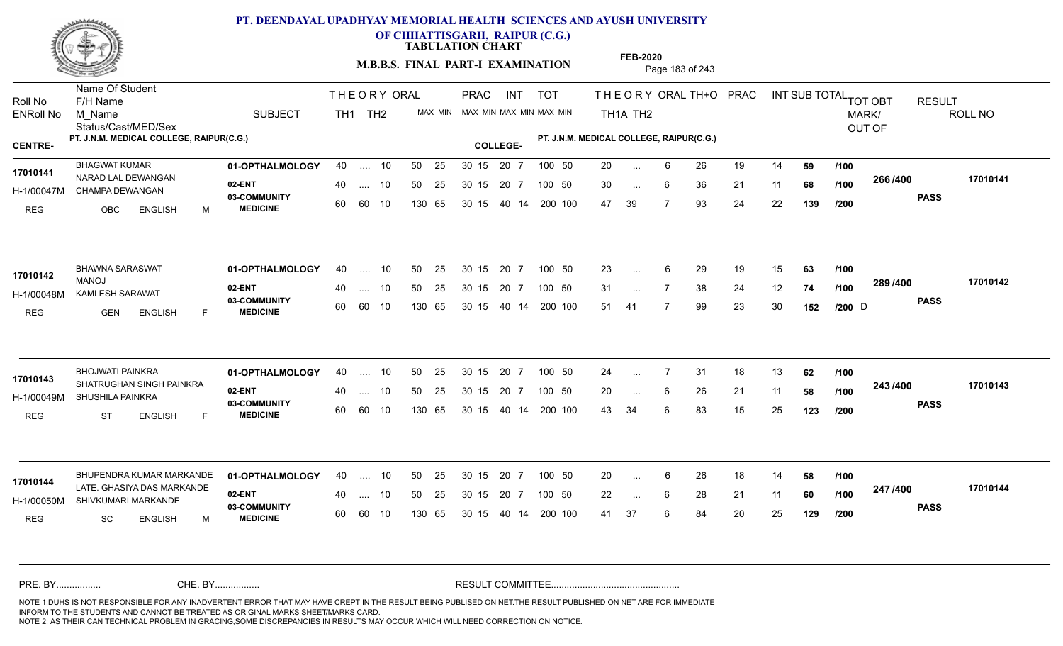

**OF CHHATTISGARH, RAIPUR (C.G.)**

**TABULATION CHART** 

**M.B.B.S. FINAL PART-I EXAMINATION** Page 183 of 243

Status/Cast/MED/Sex Name Of Student Roll No F/H Name M\_Name SUBJECT TH1 TH2 <sup>MAX\_MIN</sup> N PRAC INT TOT THEORY ORAL TH+O PRAC INT TH<sub>1</sub>A TH<sub>2</sub> ORAL TH+ODPRACD INT SUB TOTAL <sub>TOT OBT</sub> RESULT ROLL NO MARK/ OUT OF ENRoll No M Name  $\,$  SUBJECT TH1 TH2 MAX MIN MAX MIN MAX MIN MAX MIN TH1A TH2 **PT. J.N.M. MEDICAL COLLEGE, RAIPUR(C.G.) PT. J.N.M. MEDICAL COLLEGE, RAIPUR(C.G.) CENTRE- COLLEGE-**THE ORY ORAL PRAC INT PRAC **01-OPTHALMOLOGY** BHAGWAT KUMAR 40 .... 10 30 15 20 7 **02-ENT** 03-COMMUNITY 60  **MEDICINE** H-1/00047M CHAMPA DEWANGAN 17010141 NARAD LAL DEWANGAN REG OBC ENGLISH M 20 6 26 19 14 **59** 30 ... 6 36 21 11 **68 /100 <sup>2007–00</sup>** 47 39 7 93 24 22 **139 266 PASS /400 17010141** 40 .... 10 50 25 30 15 60 60 10 130 65 30 15 20 7 100 50 40 14 200 100 50 25 30 15 20 7 100 50 20 ... ... ... 6 **/100 /100 /200 01-OPTHALMOLOGY** BHAWNA SARASWAT 40 .... 10 30 15 20 7 **02-ENT** 03-COMMUNITY 60 **MEDICINE** 60 60 10 H-1/00048M KAMLESH SARAWAT MANOJ REG GEN ENGLISH F 23 ... 6 29 19 15 **63 /100** 31 ... 7 38 24 12 **74 /100 <sup>2007</sup> 74** 51 41 7 99 23 30 **152 289 PASS /400 17010142** 40 .... 10 50 25 130 65 130 65 30 15 40 14 200 100 30 15 20 7 100 50 50 25 30 15 20 7 100 50 23 ...  $D \rightarrow \text{Cov}$ **17010142 17010142 17010142** ... ... **/100 /100 /200 01-OPTHALMOLOGY** BHOJWATI PAINKRA 40 .... 10 30 15 20 7 **02-ENT** 03-COMMUNITY 60  **MEDICINE** H-1/00049M SHUSHILA PAINKRA **SHUSHILA PAINKRA** 17010143 SHATRUGHAN SINGH PAINKRA REG ST ENGLISH F 24 7 31 18 13 **62** 20 ... 6 26 21 11 **58 /100 <sup>245</sup> /\*\*\*** 43 34 6 83 15 25 **123 243 PASS /400 17010143** .... 10 50 25 30 15 60 60 10 20 7 130 65 30 15 30 15 20 7 100 50 40 14 200 100 50 25 30 15 20 7 100 50 24 ... 7 ... ... **/100 /100 /200 01-OPTHALMOLOGY 02-ENT** 03-COMMUNITY 60 **MEDICINE** 60 60 10 H-1/00050M SHIVKUMARI MARKANDE 17010144 LATE. GHASIYA DAS MARKANDE REG SC ENGLISH M 20 6 26 18 14 **58** 22 ... 6 28 21 11 **60 /100 <sup>247</sup> /\*<sup>00</sup>** 41 37 6 84 20 25 **129 247 PASS /400 17010144** BHUPENDRA KUMAR MARKANDE 01-OPTHALMOLOGY 40 .... 10 50 25 30 15 20 7 100 50 20 .... 10 50 25 130 65 30 15 20 7 130 65 30 15 30 15 20 7 100 50 40 14 200 100 100 50 20 ... ... ... 6 **/100 /100 /200** NOTE 1:DUHS IS NOT RESPONSIBLE FOR ANY INADVERTENT ERROR THAT MAY HAVE CREPT IN THE RESULT BEING PUBLISED ON NET.THE RESULT PUBLISHED ON NET ARE FOR IMMEDIATE INFORM TO THE STUDENTS AND CANNOT BE TREATED AS ORIGINAL MARKS SHEET/MARKS CARD. CHE. BY WAREL BY WARE AND THE AVEC THE AVEC THE THE RESULT COMMITTEE AND MULTIME MOTE 1:DUHS IS NOT RESPONSIBLE FOR ANY INADVERTENT ERROR THAT MAY HAVE CREPT IN THE RESULT BEING PUBLISED ON NET.THE RESULT PUBLISHED ON NET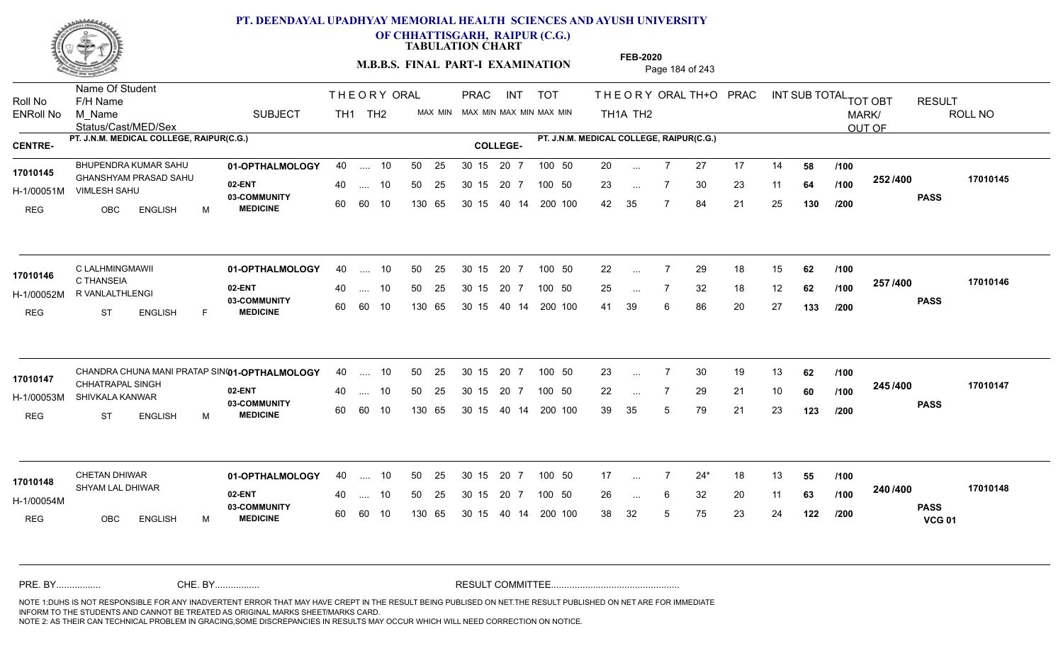

**OF CHHATTISGARH, RAIPUR (C.G.)**

**TABULATION CHART** 

**M.B.B.S. FINAL PART-I EXAMINATION** Page 184 of 243

Status/Cast/MED/Sex Name Of Student Roll No F/H Name M\_Name SUBJECT TH1 TH2 <sup>MAX\_MIN</sup> N PRAC INT TOT THEORY ORAL TH+O PRAC INT TH<sub>1</sub>A TH<sub>2</sub> ORAL TH+ODPRACD INT SUB TOTAL <sub>TOT OBT</sub> RESULT ROLL NO MARK/ OUT OF ENRoll No M Name  $\,$  SUBJECT TH1 TH2 MAX MIN MAX MIN MAX MIN MAX MIN TH1A TH2 **PT. J.N.M. MEDICAL COLLEGE, RAIPUR(C.G.) PT. J.N.M. MEDICAL COLLEGE, RAIPUR(C.G.) CENTRE- COLLEGE-**THE ORY ORAL PRAC INT PRAC **01-OPTHALMOLOGY 02-ENT** 03-COMMUNITY 60  **MEDICINE** H-1/00051M VIMLESH SAHU GHANSHYAM PRASAD SAHU **17010145** REG OBC ENGLISH M 20 7 27 17 14 **58** 23 ... 7 30 23 11 **64 /100 <sup>2027–00</sup>** 42 35 7 84 21 25 **130 252 PASS /400 17010145** BHUPENDRA KUMAR SAHU 01-OPTHALMOLOGY 40 .... 10 50 25 30 15 20 7 100 50 20 .... 10 50 25 60 60 10 50 25 30 15 130 65 30 15 40 14 200 100 20 7 100 50 100 50 20 ... ... ... 7 **/100 /100 /200 01-OPTHALMOLOGY** C LALHMINGMAWII 40 .... 10 30 15 20 7 **02-ENT** 03-COMMUNITY 60  **MEDICINE** H-1/00052M R VANLALTHLENGI C THANSEIA REG ST ENGLISH F 22 7 29 18 15 **62** 25 7 32 18 12 **62** 41 39 6 86 20 27 **133 257 PASS /400 17010146** .... 10 50 25 60 60 10 30 15 20 7 130 65 30 15 40 14 200 100 30 15 20 7 100 50 50 25 30 15 20 7 100 50 22 ... **17010146 CLALHMINGMAWII** ... ... **/100 /100 /200** CHANDRA CHUNA MANI PRATAP SIN**(01-OPTHALMOLOGY** 40 .... 10 50 25 30 15 20 7 100 50 23 **02-ENT** 03-COMMUNITY 60  **MEDICINE** H-1/00053M SHIVKALA KANWAR 17010147 CHHATRAPAL SINGH REG ST ENGLISH M 23 7 30 19 13 **62** 22 7 29 21 10 **60** 39 35 5 79 21 23 **123 245 PASS /400 17010147** .... 10 50 25 30 15 60 60 10 20 7 130 65 30 15 30 15 20 7 100 50 40 14 200 100 50 25 30 15 20 7 100 50 23 ... 7 ... ... **/100 /100 /200 01-OPTHALMOLOGY** CHETAN DHIWAR 40 .... 10 30 15 20 7 **02-ENT** 03-COMMUNITY 60 **MEDICINE** 60 60 10 H-1/00054M SHYAM LAL DHIWAR **17010148** REG OBC ENGLISH M 17 7 24\* 18 13 **55** 26 6 32 20 11 **63** 38 32 5 75 23 24 **122 240 PASS VCG 01 /400 17010148** 40 .... 10 50 25 130 65 130 65 30 15 30 15 20 7 100 50 40 14 200 100 50 25 30 15 20 7 100 50 17 ... ... ... 6 **/100 /100 /200** NOTE 1:DUHS IS NOT RESPONSIBLE FOR ANY INADVERTENT ERROR THAT MAY HAVE CREPT IN THE RESULT BEING PUBLISED ON NET.THE RESULT PUBLISHED ON NET ARE FOR IMMEDIATE INFORM TO THE STUDENTS AND CANNOT BE TREATED AS ORIGINAL MARKS SHEET/MARKS CARD. CHE. BY WAREL BY WARE AND THE AVEC THE AVEC THE THE RESULT COMMITTEE AND MULTIME MOTE 1:DUHS IS NOT RESPONSIBLE FOR ANY INADVERTENT ERROR THAT MAY HAVE CREPT IN THE RESULT BEING PUBLISED ON NET.THE RESULT PUBLISHED ON NET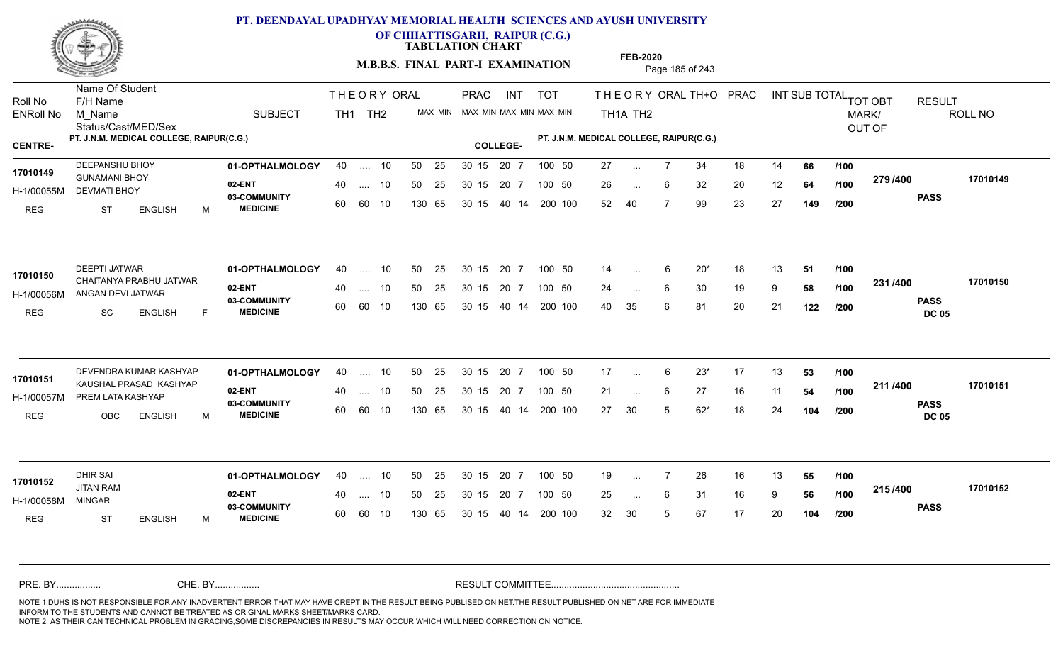

**OF CHHATTISGARH, RAIPUR (C.G.)**

**TABULATION CHART** 

**M.B.B.S. FINAL PART-I EXAMINATION** Page 185 of 243

Status/Cast/MED/Sex Name Of Student Roll No F/H Name M\_Name SUBJECT TH1 TH2 <sup>MAX\_MIN</sup> N PRAC INT TOT THEORY ORAL TH+O PRAC INT TH<sub>1</sub>A TH<sub>2</sub> ORAL TH+ODPRACD INT SUB TOTAL <sub>TOT OBT</sub> RESULT ROLL NO MARK/ OUT OF ENRoll No M Name  $\,$  SUBJECT TH1 TH2 MAX MIN MAX MIN MAX MIN MAX MIN TH1A TH2 **PT. J.N.M. MEDICAL COLLEGE, RAIPUR(C.G.) PT. J.N.M. MEDICAL COLLEGE, RAIPUR(C.G.) CENTRE- COLLEGE-**THE ORY ORAL PRAC INT PRAC **01-OPTHALMOLOGY** DEEPANSHU BHOY 40 .... 10 30 15 20 7 **02-ENT** 03-COMMUNITY 60  **MEDICINE** H-1/00055M DEVMATI BHOY GUNAMANI BHOY **17010149** REG ST ENGLISH M 27 ... 7 34 18 14 **66 /100** 26 ... 6 32 20 12 **64 /100 <sup>213/400</sup>** 52 40 7 99 23 27 **149 279 PASS /400 17010149** 40 .... 10 50 25 30 15 60 60 10 130 65 30 15 20 7 100 50 40 14 200 100 50 25 30 15 20 7 100 50 27 ... ... ... 6 **/100 /100 /200 01-OPTHALMOLOGY** DEEPTI JATWAR 40 .... 10 30 15 20 7 **02-ENT** 03-COMMUNITY 60 **MEDICINE** 60 60 10 H-1/00056M ANGAN DEVI JATWAR 17010150 CHAITANYA PRABHU JATWAR REG SC ENGLISH F 14 6 20\* 18 13 **51** 24 ... 6 30 19 9 **58 /100 <sup>2017</sup> 700** 40 35 6 81 20 21 **122 231 PASS DC 05 /400 17010150** 40 .... 10 50 25 130 65 130 65 30 15 40 14 200 100 30 15 20 7 100 50 50 25 30 15 20 7 100 50 14 ... ...  $\overline{\phantom{a}}$ . 6 **/100 /100 /200 01-OPTHALMOLOGY 02-ENT** 03-COMMUNITY 60  **MEDICINE** H-1/00057M PREM LATA KASHYAP KAUSHAL PRASAD KASHYAP **17010151** REG OBC ENGLISH M 17 6 23\* 17 13 **53** 21 ... 6 27 16 11 **54 /100 <del>111</del>** 27 30 5 62\* 18 24 **104 211 PASS DC 05 /400 17010151** DEVENDRA KUMAR KASHYAP 40 .... 10 30 15 20 7 .... 10 50 25 30 15 60 60 10 20 7 130 65 30 15 30 15 20 7 100 50 40 14 200 100 100 50 17 ... 6 ... ... 6 **/100 /100 /200 01-OPTHALMOLOGY** DHIR SAI 40 .... 10 30 15 20 7 **02-ENT** 03-COMMUNITY 60 **MEDICINE** 60 60 10 H-1/00058M JITAN RAM MINGAR REG ST ENGLISH M 19 ... 7 26 16 13 **55 /100** 25 ... 6 31 16 9 **56 /100 <sup>2137400</sup>** 32 30 5 67 17 20 **104 215 PASS /400 17010152** 40 .... 10 50 25 130 65 130 65 30 15 30 15 20 7 100 50 40 14 200 100 50 25 30 15 20 7 100 50 19 ... **17010152** ... ... 6 **/100 /100 /200** NOTE 1:DUHS IS NOT RESPONSIBLE FOR ANY INADVERTENT ERROR THAT MAY HAVE CREPT IN THE RESULT BEING PUBLISED ON NET.THE RESULT PUBLISHED ON NET ARE FOR IMMEDIATE INFORM TO THE STUDENTS AND CANNOT BE TREATED AS ORIGINAL MARKS SHEET/MARKS CARD. CHE. BY WAREL BY WARE AND THE AVEC THE AVEC THE THE RESULT COMMITTEE AND MULTIME MOTE 1:DUHS IS NOT RESPONSIBLE FOR ANY INADVERTENT ERROR THAT MAY HAVE CREPT IN THE RESULT BEING PUBLISED ON NET.THE RESULT PUBLISHED ON NET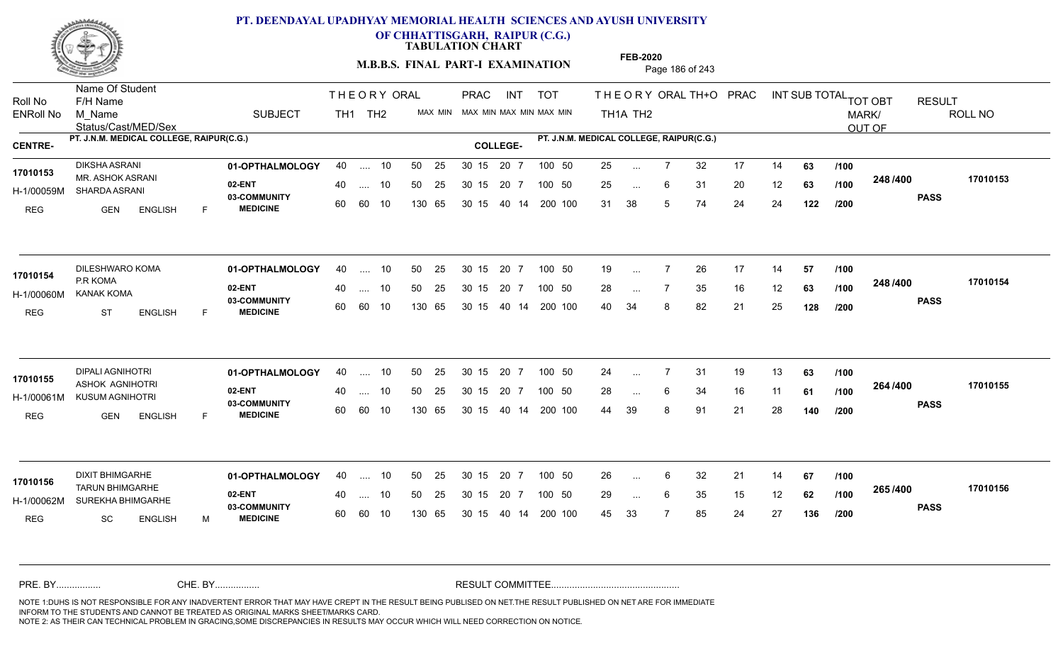

**OF CHHATTISGARH, RAIPUR (C.G.)**

**TABULATION CHART** 

**M.B.B.S. FINAL PART-I EXAMINATION** Page 186 of 243

Status/Cast/MED/Sex Name Of Student Roll No F/H Name M\_Name SUBJECT TH1 TH2 <sup>MAX\_MIN</sup> N PRAC INT TOT THEORY ORAL TH+O PRAC INT TH<sub>1</sub>A TH<sub>2</sub> ORAL TH+ODPRACD INT SUB TOTAL <sub>TOT OBT</sub> RESULT ROLL NO MARK/ OUT OF ENRoll No M Name  $\,$  SUBJECT TH1 TH2 MAX MIN MAX MIN MAX MIN MAX MIN TH1A TH2 **PT. J.N.M. MEDICAL COLLEGE, RAIPUR(C.G.) PT. J.N.M. MEDICAL COLLEGE, RAIPUR(C.G.) CENTRE- COLLEGE-**THE ORY ORAL PRAC INT PRAC **01-OPTHALMOLOGY** DIKSHA ASRANI 40 .... 10 30 15 20 7 **02-ENT** 03-COMMUNITY 60  **MEDICINE** H-1/00059M SHARDA ASRANI MR. ASHOK ASRANI **17010153** REG GEN ENGLISH F 25 ... 7 32 17 14 **63** /**100** 25 ... 6 31 20 12 **63 /100 <sup>240 /400</sup>** 31 38 5 74 24 24 **122 248 PASS /400 17010153** .... 10 50 25 60 60 10 50 25 30 15 130 65 30 15 40 14 200 100 20 7 100 50 50 25 30 15 20 7 100 50 25 ... ... ... 6 **/100 /100 /200 01-OPTHALMOLOGY** DILESHWARO KOMA 40 .... 10 30 15 20 7 **02-ENT** 03-COMMUNITY 60 **MEDICINE** 60 60 10 H-1/00060M KANAK KOMA P.R KOMA REG ST ENGLISH F 19 ... 7 26 17 14 **57 /100** 28 ... 7 35 16 12 **63 /100 <sup>2-407-400</sup>** 40 34 8 82 21 25 **128 248 PASS /400 17010154** 40 .... 10 50 25 130 65 130 65 30 15 40 14 200 100 30 15 20 7 100 50 50 25 30 15 20 7 100 50 19 ... **17010154** DILESHWARO KOMA ... ... **/100 /100 /200 01-OPTHALMOLOGY** DIPALI AGNIHOTRI 40 .... 10 30 15 20 7 **02-ENT** 03-COMMUNITY 60  **MEDICINE** H-1/00061M KUSUM AGNIHOTRI 17010155 ASHOK AGNIHOTRI REG GEN ENGLISH F 24 7 31 19 13 **63** 28 ... 6 34 16 11 **61 /100 <sup>204</sup> /\*00** 44 39 8 91 21 28 **140 264 PASS /400 17010155** .... 10 50 25 30 15 60 60 10 20 7 130 65 30 15 30 15 20 7 100 50 40 14 200 100 50 25 30 15 20 7 100 50 24 ... 7 ... ... **/100 /100 /200 01-OPTHALMOLOGY** DIXIT BHIMGARHE 40 .... 10 30 15 20 7 **02-ENT** 03-COMMUNITY 60 **MEDICINE** 60 60 10 H-1/00062M SUREKHA BHIMGARHE 22 COMMUNI TARUN BHIMGARHE **17010156** REG SC ENGLISH M 26 6 32 21 14 **67** 29 ... 6 35 15 12 **62 /100 <sup>2007</sup> 700** 45 33 7 85 24 27 **136 265 PASS /400 17010156** 40 .... 10 50 25 130 65 130 65 30 15 30 15 20 7 100 50 40 14 200 100 50 25 30 15 20 7 100 50 26 ... ... ... 6 **/100 /100 /200** NOTE 1:DUHS IS NOT RESPONSIBLE FOR ANY INADVERTENT ERROR THAT MAY HAVE CREPT IN THE RESULT BEING PUBLISED ON NET.THE RESULT PUBLISHED ON NET ARE FOR IMMEDIATE INFORM TO THE STUDENTS AND CANNOT BE TREATED AS ORIGINAL MARKS SHEET/MARKS CARD. CHE. BY WAREL BY WARE AND THE AVEC THE AVEC THE THE RESULT COMMITTEE AND MULTIME MOTE 1:DUHS IS NOT RESPONSIBLE FOR ANY INADVERTENT ERROR THAT MAY HAVE CREPT IN THE RESULT BEING PUBLISED ON NET.THE RESULT PUBLISHED ON NET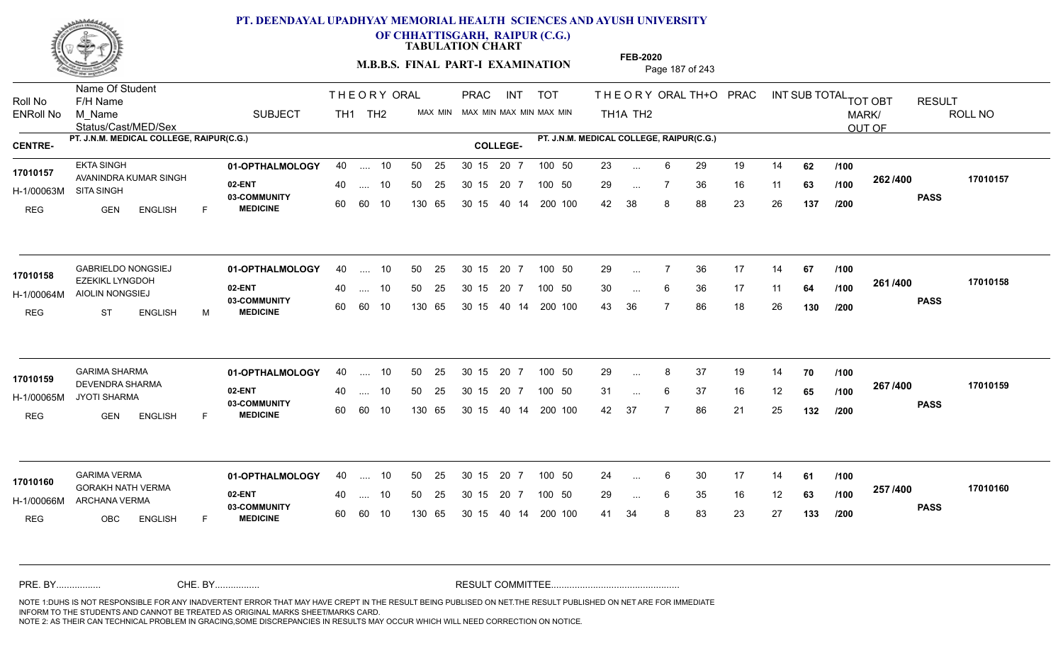

**OF CHHATTISGARH, RAIPUR (C.G.)**

**TABULATION CHART** 

**M.B.B.S. FINAL PART-I EXAMINATION** Page 187 of 243

Status/Cast/MED/Sex Name Of Student Roll No F/H Name M\_Name SUBJECT TH1 TH2 <sup>MAX\_MIN</sup> N PRAC INT TOT THEORY ORAL TH+O PRAC INT TH<sub>1</sub>A TH<sub>2</sub> ORAL TH+ODPRACD INT SUB TOTAL <sub>TOT OBT</sub> RESULT ROLL NO MARK/ OUT OF ENRoll No M Name  $\,$  SUBJECT TH1 TH2 MAX MIN MAX MIN MAX MIN MAX MIN TH1A TH2 **PT. J.N.M. MEDICAL COLLEGE, RAIPUR(C.G.) PT. J.N.M. MEDICAL COLLEGE, RAIPUR(C.G.) CENTRE- COLLEGE-**THE ORY ORAL PRAC INT PRAC **01-OPTHALMOLOGY** EKTA SINGH 40 .... 10 30 15 20 7 **02-ENT** 03-COMMUNITY 60  **MEDICINE** H-1/00063M 17010157 AVANINDRA KUMAR SINGH SITA SINGH REG GEN ENGLISH F 23 ... 6 29 19 14 **62** /**100** 29 ... 7 36 16 11 **63 /100 <sup>2027–00</sup>** 42 38 8 88 23 26 **137 262 PASS /400 17010157** .... 10 50 25 60 60 10 50 25 30 15 130 65 30 15 40 14 200 100 20 7 100 50 50 25 30 15 20 7 100 50 23 ... ... ... **/100 /100 /200** GABRIELDO NONGSIEJ **01-OPTHALMOLOGY** 40 .... 10 50 25 30 15 20 7 100 50 29 **02-ENT** 03-COMMUNITY 60  **MEDICINE** H-1/00064M AIOLIN NONGSIEJ EZEKIKL LYNGDOH **17010158** REG ST ENGLISH M 29 ... 7 36 17 14 **67 /100** 30 ... 6 36 17 11 **64 /100 <sup>2017–00</sup>** 43 36 7 86 18 26 **130 261 PASS /400 17010158** .... 10 50 25 60 60 10 30 15 20 7 130 65 30 15 40 14 200 100 30 15 20 7 100 50 50 25 30 15 20 7 100 50 29 ... ... ... **/100 /100 /200 01-OPTHALMOLOGY** GARIMA SHARMA 40 .... 10 30 15 20 7 **02-ENT** 03-COMMUNITY 60  **MEDICINE** H-1/00065M JYOTI SHARMA DEVENDRA SHARMA **17010159** REG GEN ENGLISH F 29 ... 8 37 19 14 **70** /**100** 31 ... 6 37 16 12 **65 /100 <sup>207</sup> 1<del>-</del>00** 42 37 7 86 21 25 **132 267 PASS /400 17010159** .... 10 50 25 30 15 60 60 10 20 7 130 65 30 15 30 15 20 7 100 50 40 14 200 100 50 25 30 15 20 7 100 50 29 ... ... ... 6 **/100 /100 /200 01-OPTHALMOLOGY** GARIMA VERMA 40 .... 10 30 15 20 7 **02-ENT** 03-COMMUNITY 60 **MEDICINE** 60 60 10 H-1/00066M ARCHANA VERMA GORAKH NATH VERMA **17010160** REG OBC ENGLISH F 24 ... 6 30 17 14 **61 /100** 29 ... 6 35 16 12 **63 /100 <sup>237</sup> 1<del>-</del>00** 41 34 8 83 23 27 **133 257 PASS /400 17010160** 40 .... 10 50 25 130 65 130 65 30 15 30 15 20 7 100 50 40 14 200 100 50 25 30 15 20 7 100 50 24 ... 6 ... ... 6 **/100 /100 /200** NOTE 1:DUHS IS NOT RESPONSIBLE FOR ANY INADVERTENT ERROR THAT MAY HAVE CREPT IN THE RESULT BEING PUBLISED ON NET.THE RESULT PUBLISHED ON NET ARE FOR IMMEDIATE INFORM TO THE STUDENTS AND CANNOT BE TREATED AS ORIGINAL MARKS SHEET/MARKS CARD. CHE. BY WAREL BY WARE AND THE AVEC THE AVEC THE THE RESULT COMMITTEE AND MULTIME MOTE 1:DUHS IS NOT RESPONSIBLE FOR ANY INADVERTENT ERROR THAT MAY HAVE CREPT IN THE RESULT BEING PUBLISED ON NET.THE RESULT PUBLISHED ON NET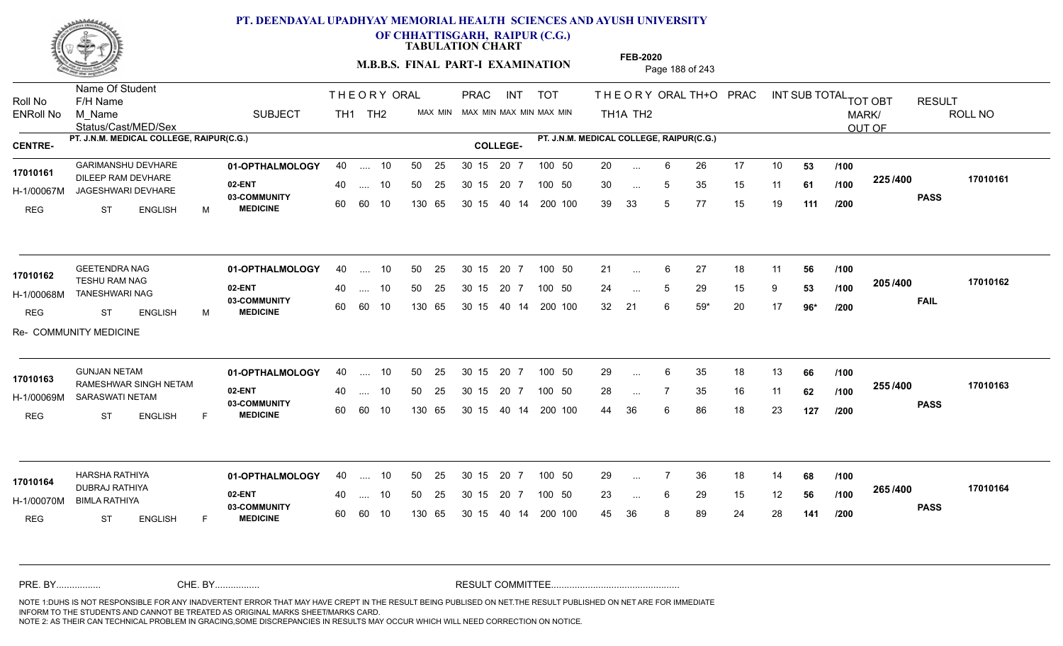

**OF CHHATTISGARH, RAIPUR (C.G.)**

**TABULATION CHART** 

**M.B.B.S. FINAL PART-I EXAMINATION** Page 188 of 243

Status/Cast/MED/Sex Name Of Student Roll No F/H Name M\_Name SUBJECT TH1 TH2 <sup>MAX\_MIN</sup> N PRAC INT TOT THEORY ORAL TH+O PRAC INT TH<sub>1</sub>A TH<sub>2</sub> ORAL TH+ODPRACD INT SUB TOTAL <sub>TOT OBT</sub> RESULT ROLL NO MARK/ OUT OF ENRoll No M Name  $\,$  SUBJECT TH1 TH2 MAX MIN MAX MIN MAX MIN MAX MIN TH1A TH2 **PT. J.N.M. MEDICAL COLLEGE, RAIPUR(C.G.) PT. J.N.M. MEDICAL COLLEGE, RAIPUR(C.G.) CENTRE- COLLEGE-**THE ORY ORAL PRAC INT PRAC GARIMANSHU DEVHARE **01-OPTHALMOLOGY** 40 .... 10 50 25 30 15 20 7 100 50 20 **02-ENT** 03-COMMUNITY 60  **MEDICINE** H-1/00067M JAGESHWARI DEVHARE **1999 - 1999 AQAMU DE** 17010161 DILEEP RAM DEVHARE REG ST ENGLISH M 20 6 26 17 10 **53** 30 ... 5 35 15 11 **61 /100 <sup>223/400</sup>** 39 33 5 77 15 19 **111 225 PASS /400 17010161** .... 10 50 25 60 60 10 50 25 30 15 130 65 30 15 40 14 200 100 20 7 100 50 50 25 30 15 20 7 100 50 20 ... ... ... 5 **/100 /100 /200 01-OPTHALMOLOGY** GEETENDRA NAG 40 .... 10 30 15 20 7 **02-ENT** 03-COMMUNITY 60  **MEDICINE** H-1/00068M TANESHWARI NAG 17010162 **TESHU RAM NAG** 20 **CL 11.** REG ST ENGLISH M 21 ... 6 27 18 11 **56 /100** 24 ... 5 29 15 9 **53 /100 <sup>2007</sup> 700** 32 21 6 59\* 20 17 **96\* 205 FAIL 17010162 /400** Re- COMMUNITY MEDICINE .... 10 50 25 60 60 10 30 15 20 7 130 65 30 15 40 14 200 100 30 15 20 7 100 50 50 25 30 15 20 7 100 50 21 ... ... ... 5 **/100 /100 /200 01-OPTHALMOLOGY** GUNJAN NETAM 40 .... 10 30 15 20 7 **02-ENT** 03-COMMUNITY 60  **MEDICINE** H-1/00069M SARASWATI NETAM 17010163 RAMESHWAR SINGH NETAM REG ST ENGLISH F 29 ... 6 35 18 13 **66** /**100** 28 ... 7 35 16 11 **62 /100 <sup>2007</sup> 100** 44 36 6 86 18 23 **127 255 PASS /400 17010163** .... 10 50 25 30 15 60 60 10 20 7 130 65 30 15 30 15 20 7 100 50 40 14 200 100 50 25 30 15 20 7 100 50 29 ... 6 ... ... **/100 /100 /200 01-OPTHALMOLOGY** HARSHA RATHIYA 40 .... 10 30 15 20 7 **02-ENT** 03-COMMUNITY 60 **MEDICINE** 60 60 10 H-1/00070M BIMLA RATHIYA DUBRAJ RATHIYA **17010164** REG ST ENGLISH F 29 7 36 18 14 **68** 23 ... 6 29 15 12 **56 /100 <sup>2007</sup> 700** 45 36 8 89 24 28 **141 265 PASS /400 17010164** 40 .... 10 50 25 130 65 130 65 30 15 30 15 20 7 100 50 40 14 200 100 50 25 30 15 20 7 100 50 29 ... ... ... **/100 /100 /200** NOTE 1:DUHS IS NOT RESPONSIBLE FOR ANY INADVERTENT ERROR THAT MAY HAVE CREPT IN THE RESULT BEING PUBLISED ON NET.THE RESULT PUBLISHED ON NET ARE FOR IMMEDIATE INFORM TO THE STUDENTS AND CANNOT BE TREATED AS ORIGINAL MARKS SHEET/MARKS CARD. CHE. BY WAREL BY WARE AND THE AVEC THE AVEC THE THE RESULT COMMITTEE AND MULTIME MOTE 1:DUHS IS NOT RESPONSIBLE FOR ANY INADVERTENT ERROR THAT MAY HAVE CREPT IN THE RESULT BEING PUBLISED ON NET.THE RESULT PUBLISHED ON NET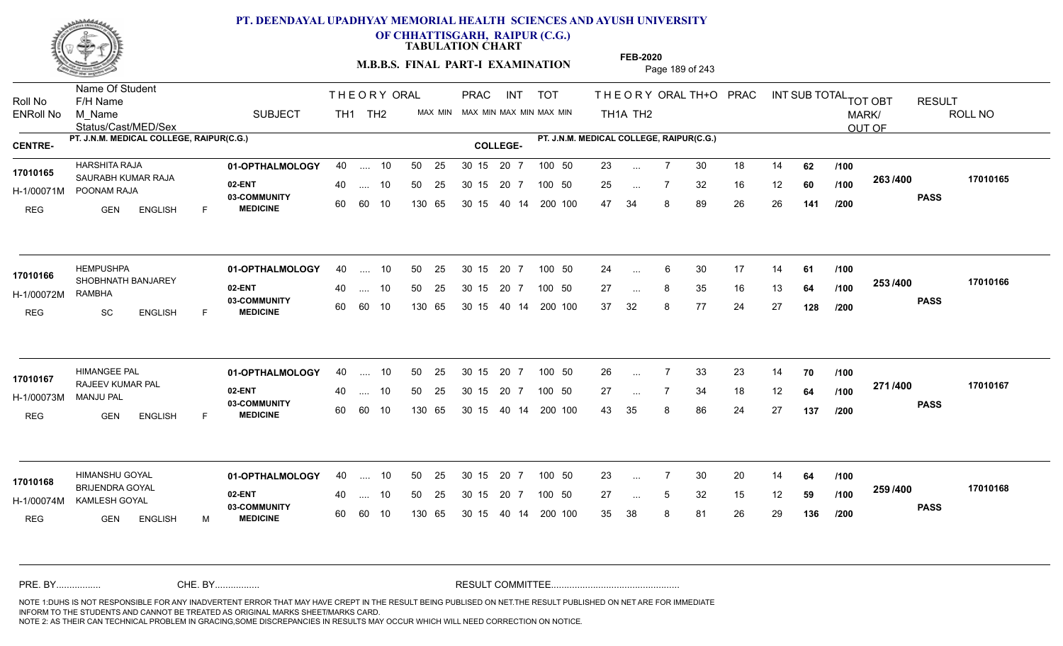

**OF CHHATTISGARH, RAIPUR (C.G.)**

**TABULATION CHART** 

**M.B.B.S. FINAL PART-I EXAMINATION** Page 189 of 243

Status/Cast/MED/Sex Name Of Student Roll No F/H Name M\_Name SUBJECT TH1 TH2 <sup>MAX\_MIN</sup> N PRAC INT TOT THEORY ORAL TH+O PRAC INT TH<sub>1</sub>A TH<sub>2</sub> ORAL TH+ODPRACD INT SUB TOTAL <sub>TOT OBT</sub> RESULT ROLL NO MARK/ OUT OF ENRoll No M Name  $\,$  SUBJECT TH1 TH2 MAX MIN MAX MIN MAX MIN MAX MIN TH1A TH2 **PT. J.N.M. MEDICAL COLLEGE, RAIPUR(C.G.) PT. J.N.M. MEDICAL COLLEGE, RAIPUR(C.G.) CENTRE- COLLEGE-**THE ORY ORAL PRAC INT PRAC **01-OPTHALMOLOGY** HARSHITA RAJA 40 .... 10 30 15 20 7 **02-ENT** 03-COMMUNITY 60  **MEDICINE** H-1/00071M POONAM RAJA 17010165 SAURABH KUMAR RAJA REG GEN ENGLISH F 23 ... 7 30 18 14 **62** /**100** 25 ... 7 32 16 12 **60 /100 <sup>2007</sup> 7** 47 34 8 89 26 26 **141 263 PASS /400 17010165** 40 .... 10 50 25 30 15 60 60 10 130 65 30 15 20 7 100 50 40 14 200 100 50 25 30 15 20 7 100 50 23 ... ... ... **/100 /100 /200 HEMPUSHPA <b>01-OPTHALMOLOGY** 40 .... 10 50 25 30 15 20 7 100 50 24 **02-ENT** 03-COMMUNITY 60  **MEDICINE** H-1/00072M 17010166 SHOBHNATH BANJAREY **17010166** RAMBHA REG SC ENGLISH F 24 ... 6 30 17 14 **61 /100** 27 ... 8 35 16 13 **64 /100 <sup>2007</sup> 700** 37 32 8 77 24 27 **128 253 PASS /400 17010166** 40 .... 10 50 25 60 60 10 130 65 30 15 40 14 200 100 30 15 20 7 100 50 50 25 30 15 20 7 100 50 24 ... ... ... **/100 /100 /200 HIMANGEE PAL 01-OPTHALMOLOGY** 40 .... 10 50 25 30 15 20 7 100 50 26 **02-ENT** 03-COMMUNITY 60  **MEDICINE** H-1/00073M RAJEEV KUMAR PAL **17010167** MANJU PAL REG GEN ENGLISH F 26 7 33 23 14 **70** 27 ... 7 34 18 12 **64 /100 <del>1111</del>00** 43 35 8 86 24 27 **137 271 PASS /400 17010167** .... 10 50 25 30 15 60 60 10 20 7 130 65 30 15 30 15 20 7 100 50 40 14 200 100 50 25 30 15 20 7 100 50 26 ... 7 ... ... **/100 /100 /200 01-OPTHALMOLOGY** HIMANSHU GOYAL 40 .... 10 30 15 20 7 **02-ENT** 03-COMMUNITY 60 **MEDICINE** 60 60 10 H-1/00074M KAMLESH GOYAL BRIJENDRA GOYAL **17010168** REG GEN ENGLISH M 23 ... 7 30 20 14 **64 /100** 27 ... 5 32 15 12 **59 /100 <sup>2007/400</sup>** 35 38 8 81 26 29 **136 259 PASS /400 17010168** 40 .... 10 50 25 130 65 130 65 30 15 30 15 20 7 100 50 40 14 200 100 50 25 30 15 20 7 100 50 23 ... ... ... **/100 /100 /200** NOTE 1:DUHS IS NOT RESPONSIBLE FOR ANY INADVERTENT ERROR THAT MAY HAVE CREPT IN THE RESULT BEING PUBLISED ON NET.THE RESULT PUBLISHED ON NET ARE FOR IMMEDIATE INFORM TO THE STUDENTS AND CANNOT BE TREATED AS ORIGINAL MARKS SHEET/MARKS CARD. CHE. BY WAREL BY WARE AND THE AVEC THE AVEC THE THE RESULT COMMITTEE AND MULTIME MOTE 1:DUHS IS NOT RESPONSIBLE FOR ANY INADVERTENT ERROR THAT MAY HAVE CREPT IN THE RESULT BEING PUBLISED ON NET.THE RESULT PUBLISHED ON NET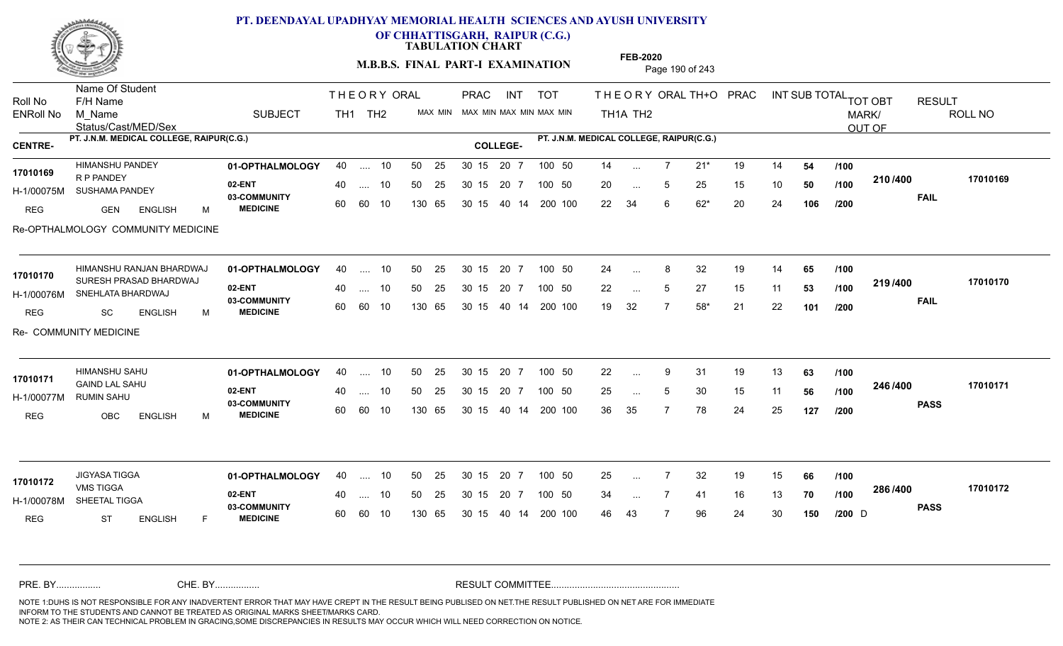

**OF CHHATTISGARH, RAIPUR (C.G.)**

**TABULATION CHART** 

**FEB-2020**

**M.B.B.S. FINAL PART-I EXAMINATION** Page 190 of 243

Status/Cast/MED/Sex Name Of Student Roll No F/H Name M\_Name SUBJECT TH1 TH2 <sup>MAX\_MIN</sup> N PRAC INT TOT THEORY ORAL TH+O PRAC INT TH<sub>1</sub>A TH<sub>2</sub> ORAL TH+ODPRACD INT SUB TOTAL <sub>TOT OBT</sub> RESULT ROLL NO MARK/ OUT OF ENRoll No M Name  $\,$  SUBJECT TH1 TH2 MAX MIN MAX MIN MAX MIN MAX MIN TH1A TH2 **PT. J.N.M. MEDICAL COLLEGE, RAIPUR(C.G.) PT. J.N.M. MEDICAL COLLEGE, RAIPUR(C.G.) CENTRE- COLLEGE-**THE ORY ORAL PRAC INT PRAC **01-OPTHALMOLOGY** HIMANSHU PANDEY 40 .... 10 30 15 20 7 **02-ENT** 03-COMMUNITY 60  **MEDICINE** H-1/00075M SUSHAMA PANDEY 2 - 200 ACH R P PANDEY REG GEN ENGLISH M 14 7 21\* 19 14 **54** 20 ... 5 25 15 10 **50 /100 <del>1</del>107+00** 22 34 6 62\* 20 24 **106 210 FAIL 17010169 /400** Re-OPTHALMOLOGY COMMUNITY MEDICINE 40 .... 10 50 25 30 15 60 60 10 130 65 30 15 40 14 200 100 20 7 100 50 50 25 30 15 20 7 100 50 14 ... **17010169** HIMANSHU PANDEY ... ... 5 **/100 /100 /200 01-OPTHALMOLOGY 02-ENT** 03-COMMUNITY 60  **MEDICINE** H-1/00076M SNEHLATA BHARDWAJ SURESH PRASAD BHARDWAJ REG SC ENGLISH M 24 ... 8 32 19 14 **65 /100** 22 ... 5 27 15 11 **53 /100 <sup>213/400</sup>** 19 32 7 58\* 21 22 **101 219 FAIL 17010170 /400** Re- COMMUNITY MEDICINE HIMANSHU RANJAN BHARDWAJ 01-OPTHALMOLOGY 40 .... 10 50 25 30 15 20 7 100 50 24 .... 10 50 25 60 60 10 30 15 20 7 130 65 30 15 40 14 200 100 30 15 20 7 100 50 30 15 20 7 100 50 24 ... 8 **17010170** ... ... 5 **/100 /100 /200 01-OPTHALMOLOGY** HIMANSHU SAHU 40 .... 10 30 15 20 7 **02-ENT** 03-COMMUNITY 60  **MEDICINE** H-1/00077M 17010171 **GAIND LAL SAHU** RUMIN SAHU REG OBC ENGLISH M 22 9 31 19 13 **63** 25 ... 5 30 15 11 **56 /100 <sup>246</sup>/\*<sup>00</sup>** 36 35 7 78 24 25 **127 246 PASS /400 17010171** .... 10 50 25 30 15 60 60 10 20 7 130 65 30 15 30 15 20 7 100 50 40 14 200 100 50 25 30 15 20 7 100 50 22 ... ... ... 5 **/100 /100 /200** JIGYASA TIGGA **01-OPTHALMOLOGY** 40 .... 10 50 25 30 15 20 7 100 50 25 **02-ENT** 03-COMMUNITY 60 **MEDICINE** 60 60 10 H-1/00078M SHEETAL TIGGA VMS TIGGA REG ST ENGLISH F 25 7 32 19 15 **66** 34 ... 7 41 16 13 **70 /100 <sup>2007–00</sup>** 46 43 7 96 24 30 **150 286 PASS /400 17010172** 40 .... 10 50 25 130 65 130 65 30 15 30 15 20 7 100 50 40 14 200 100 50 25 30 15 20 7 100 50 25 ...  $D \qquad \qquad \text{and}$ **17010172** JIGYASA TIGGA ... ... **/100 /100 /200** NOTE 1:DUHS IS NOT RESPONSIBLE FOR ANY INADVERTENT ERROR THAT MAY HAVE CREPT IN THE RESULT BEING PUBLISED ON NET.THE RESULT PUBLISHED ON NET ARE FOR IMMEDIATE INFORM TO THE STUDENTS AND CANNOT BE TREATED AS ORIGINAL MARKS SHEET/MARKS CARD. CHE. BY WAREL BY WARE AND THE AVEC THE AVEC THE THE RESULT COMMITTEE AND MULTIME MOTE 1:DUHS IS NOT RESPONSIBLE FOR ANY INADVERTENT ERROR THAT MAY HAVE CREPT IN THE RESULT BEING PUBLISED ON NET.THE RESULT PUBLISHED ON NET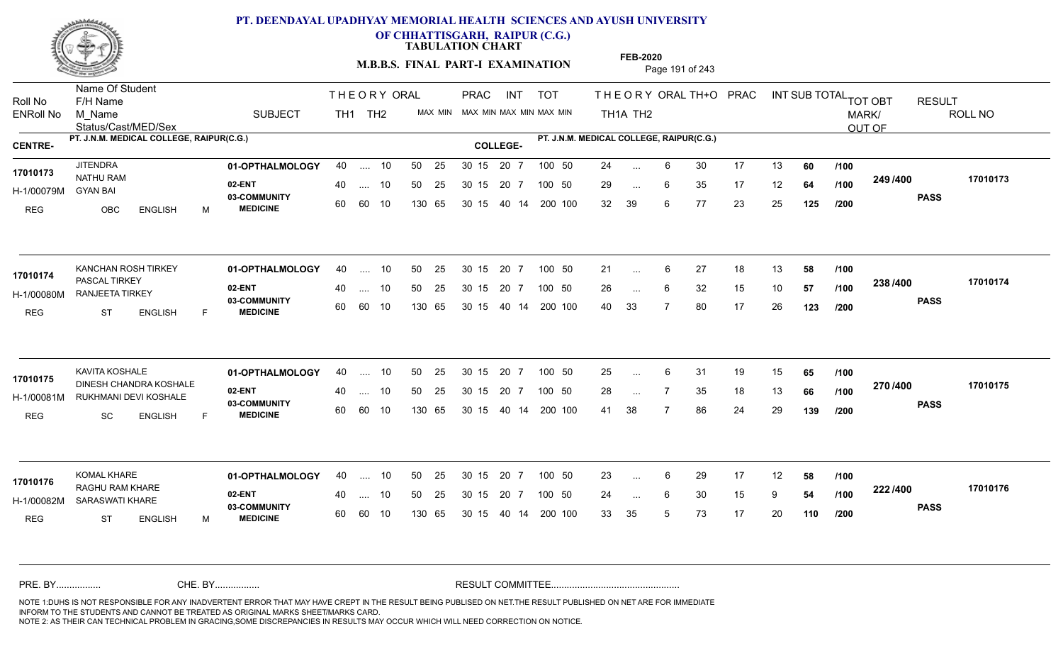

**OF CHHATTISGARH, RAIPUR (C.G.)**

**TABULATION CHART** 

**M.B.B.S. FINAL PART-I EXAMINATION** Page 191 of 243

Status/Cast/MED/Sex Name Of Student Roll No F/H Name M\_Name SUBJECT TH1 TH2 <sup>MAX\_MIN</sup> N PRAC INT TOT THEORY ORAL TH+O PRAC INT TH<sub>1</sub>A TH<sub>2</sub> ORAL TH+ODPRACD INT SUB TOTAL <sub>TOT OBT</sub> RESULT ROLL NO MARK/ OUT OF ENRoll No M Name  $\,$  SUBJECT TH1 TH2 MAX MIN MAX MIN MAX MIN MAX MIN TH1A TH2 **PT. J.N.M. MEDICAL COLLEGE, RAIPUR(C.G.) PT. J.N.M. MEDICAL COLLEGE, RAIPUR(C.G.) CENTRE- COLLEGE-**THE ORY ORAL PRAC INT PRAC **01-OPTHALMOLOGY** JITENDRA 40 .... 10 30 15 20 7 **02-ENT** 03-COMMUNITY 60  **MEDICINE** H-1/00079M NATHU RAM GYAN BAI REG OBC ENGLISH M 24 ... 6 30 17 13 **60** /**100** 29 ... 6 35 17 12 **64 /100 <sup>243 /400</sup>** 32 39 6 77 23 25 **125 249 PASS /400 17010173** .... 10 50 25 60 60 10 50 25 30 15 130 65 30 15 40 14 200 100 20 7 100 50 50 25 30 15 20 7 100 50 24 ... **17010173** JITENDRA ... ... 6 **/100 /100 /200** KANCHAN ROSH TIRKEY **01-OPTHALMOLOGY** 40 .... 10 50 25 30 15 20 7 100 50 21 **02-ENT** 03-COMMUNITY 60 **MEDICINE** 60 60 10 H-1/00080M RANJEETA TIRKEY 17010174 **PASCAL TIRKEY** REG ST ENGLISH F 21 ... 6 27 18 13 **58 /100** 26 ... 6 32 15 10 **57 /100 <sup>2007</sup> +** 40 33 7 80 17 26 **123 238 PASS /400 17010174**  $\ldots$  10 50 25 30 15 130 65 20 7 130 65 30 15 40 14 200 100 30 15 20 7 100 50 50 25 30 15 20 7 100 50 21 ... ...  $\overline{\phantom{a}}$ . 6 **/100 /100 /200 01-OPTHALMOLOGY** KAVITA KOSHALE 40 .... 10 30 15 20 7 **02-ENT** 03-COMMUNITY 60  **MEDICINE** H-1/00081M RUKHMANI DEVI KOSHALE **198 ADAMI DEVI** 17010175 DINESH CHANDRA KOSHALE REG SC ENGLISH F 25 6 31 19 15 **65** 28 ... 7 35 18 13 **66** /**100 <sup>2107–00</sup>** 41 38 7 86 24 29 **139 270 PASS /400 17010175** .... 10 50 25 30 15 60 60 10 20 7 130 65 30 15 30 15 20 7 100 50 40 14 200 100 50 25 30 15 20 7 100 50 25 ... 6 ... ... **/100 /100 /200 01-OPTHALMOLOGY** KOMAL KHARE 40 .... 10 30 15 20 7 **02-ENT** 03-COMMUNITY 60 **MEDICINE** 60 60 10 H-1/00082M SARASWATI KHARE **1998 - 1999 M** RAGHU RAM KHARE **17010176** REG ST ENGLISH M 23 ... 6 29 17 12 **58 /100** 24 ... 6 30 15 9 **54 /100 <sup>222 / 4</sup>00** 33 35 5 73 17 20 **110 222 PASS /400 17010176** 40 .... 10 50 25 130 65 130 65 30 15 30 15 20 7 100 50 40 14 200 100 50 25 30 15 20 7 100 50 23 ... ... ... 6 **/100 /100 /200** NOTE 1:DUHS IS NOT RESPONSIBLE FOR ANY INADVERTENT ERROR THAT MAY HAVE CREPT IN THE RESULT BEING PUBLISED ON NET.THE RESULT PUBLISHED ON NET ARE FOR IMMEDIATE INFORM TO THE STUDENTS AND CANNOT BE TREATED AS ORIGINAL MARKS SHEET/MARKS CARD. CHE. BY WAREL BY WARE AND THE AVEC THE AVEC THE THE RESULT COMMITTEE AND MULTIME MOTE 1:DUHS IS NOT RESPONSIBLE FOR ANY INADVERTENT ERROR THAT MAY HAVE CREPT IN THE RESULT BEING PUBLISED ON NET.THE RESULT PUBLISHED ON NET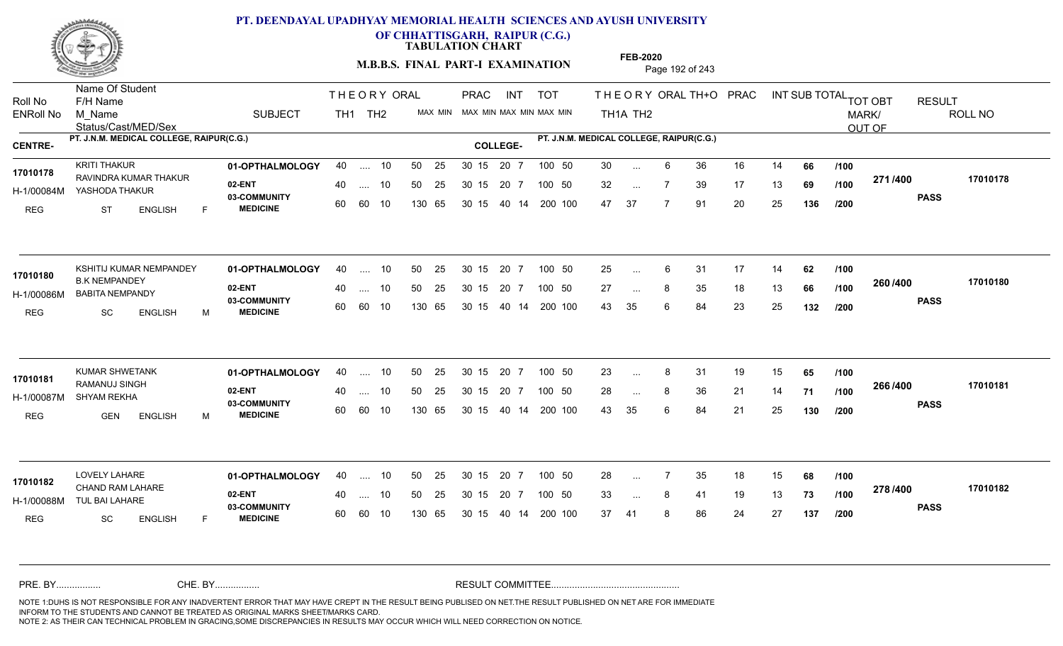

**OF CHHATTISGARH, RAIPUR (C.G.)**

**TABULATION CHART** 

**M.B.B.S. FINAL PART-I EXAMINATION** Page 192 of 243

Status/Cast/MED/Sex Name Of Student Roll No F/H Name M\_Name SUBJECT TH1 TH2 <sup>MAX\_MIN</sup> N PRAC INT TOT THEORY ORAL TH+O PRAC INT TH<sub>1</sub>A TH<sub>2</sub> ORAL TH+ODPRACD INT SUB TOTAL <sub>TOT OBT</sub> RESULT ROLL NO MARK/ OUT OF ENRoll No M Name  $\,$  SUBJECT TH1 TH2 MAX MIN MAX MIN MAX MIN MAX MIN TH1A TH2 **PT. J.N.M. MEDICAL COLLEGE, RAIPUR(C.G.) PT. J.N.M. MEDICAL COLLEGE, RAIPUR(C.G.) CENTRE- COLLEGE-**THE ORY ORAL PRAC INT PRAC **01-OPTHALMOLOGY** KRITI THAKUR 40 .... 10 30 15 20 7 **02-ENT** 03-COMMUNITY 60  **MEDICINE** H-1/00084M YASHODA THAKUR 17010178 RAVINDRA KUMAR THAKUR<br>**17010178 RAVINDRA KUMAR THAKUR** REG ST ENGLISH F 30 6 36 16 14 **66** 32 ... 7 39 17 13 **69 /100 <del>11111</del>** 47 37 7 91 20 25 **136 271 PASS /400 17010178** .... 10 50 25 60 60 10 50 25 30 15 130 65 30 15 40 14 200 100 20 7 100 50 50 25 30 15 20 7 100 50 30 ... ... ... **/100 /100 /200 01-OPTHALMOLOGY 02-ENT** 03-COMMUNITY 60  **MEDICINE** H-1/00086M BABITA NEMPANDY 22 PM 17010180 **B.K NEMPANDEY** REG SC ENGLISH M 25 ... 6 31 17 14 **62** /**100** 27 ... 8 35 18 13 **66 /100 <sup>2007–00</sup>** 43 35 6 84 23 25 **132 260 PASS /400 17010180** KSHITIJ KUMAR NEMPANDEY **01-OPTHALMOLOGY** 40 .... 10 50 25 30 15 20 7 100 50 25 .... 10 50 25 60 60 10 30 15 20 7 130 65 30 15 40 14 200 100 30 15 20 7 100 50 30 15 20 7 100 50 25 ... ... ... **/100 /100 /200 01-OPTHALMOLOGY** KUMAR SHWETANK 40 .... 10 30 15 20 7 **02-ENT** 03-COMMUNITY 60  **MEDICINE** H-1/00087M SHYAM REKHA RAMANUJ SINGH **17010181** REG GEN ENGLISH M 23 ... 8 31 19 15 **65 /100** 28 ... 8 36 21 14 **71 /100 <sup>2007–00</sup>** 43 35 6 84 21 25 **130 266 PASS /400 17010181** .... 10 50 25 30 15 60 60 10 20 7 130 65 30 15 30 15 20 7 100 50 40 14 200 100 50 25 30 15 20 7 100 50 23 ... 8 ... ... **/100 /100 /200 01-OPTHALMOLOGY** LOVELY LAHARE 40 .... 10 30 15 20 7 **02-ENT** 03-COMMUNITY 60 **MEDICINE** 60 60 10 H-1/00088M TUL BAI LAHARE 17010182 CHAND RAM LAHARE REG SC ENGLISH F 28 7 35 18 15 **68** 33 ... 8 41 19 13 **73 /100 <sup>2107–00</sup>** 37 41 8 86 24 27 **137 278 PASS /400 17010182** .... 10 50 25 130 65 30 15 20 7 130 65 30 15 30 15 20 7 100 50 40 14 200 100 50 25 30 15 20 7 100 50 28 ... ... ... **/100 /100 /200** NOTE 1:DUHS IS NOT RESPONSIBLE FOR ANY INADVERTENT ERROR THAT MAY HAVE CREPT IN THE RESULT BEING PUBLISED ON NET.THE RESULT PUBLISHED ON NET ARE FOR IMMEDIATE INFORM TO THE STUDENTS AND CANNOT BE TREATED AS ORIGINAL MARKS SHEET/MARKS CARD. CHE. BY WAREL BY WARE AND THE AVEC THE AVEC THE THE RESULT COMMITTEE AND MULTIME MOTE 1:DUHS IS NOT RESPONSIBLE FOR ANY INADVERTENT ERROR THAT MAY HAVE CREPT IN THE RESULT BEING PUBLISED ON NET.THE RESULT PUBLISHED ON NET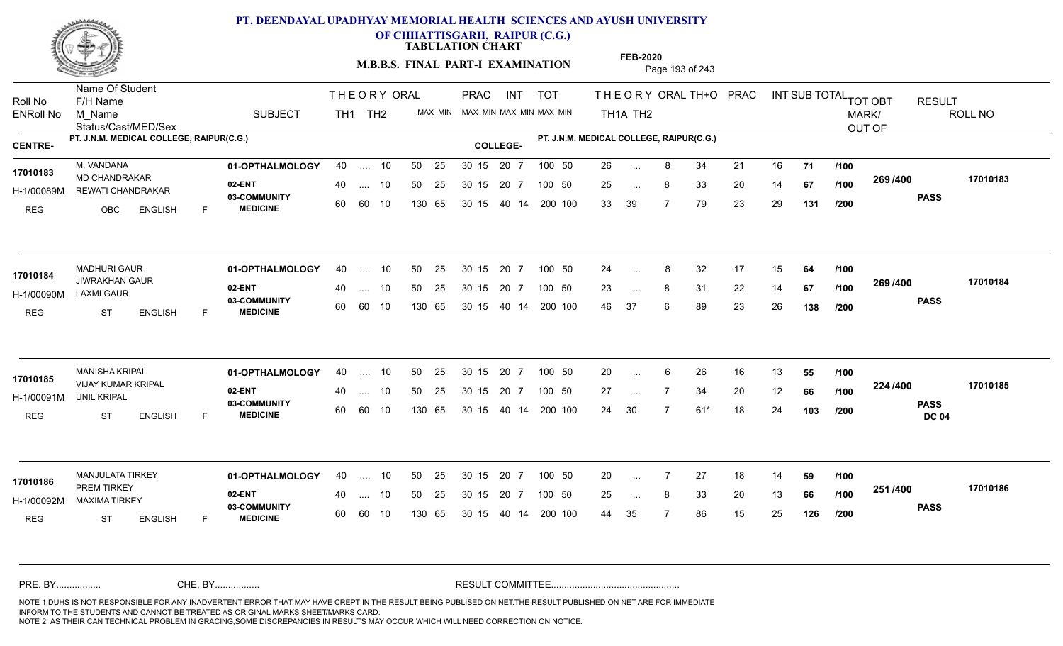

**OF CHHATTISGARH, RAIPUR (C.G.)**

**TABULATION CHART** 

**M.B.B.S. FINAL PART-I EXAMINATION** Page 193 of 243

Status/Cast/MED/Sex Name Of Student Roll No F/H Name M\_Name SUBJECT TH1 TH2 <sup>MAX\_MIN</sup> N PRAC INT TOT THEORY ORAL TH+O PRAC INT TH<sub>1</sub>A TH<sub>2</sub> ORAL TH+ODPRACD INT SUB TOTAL <sub>TOT OBT</sub> RESULT ROLL NO MARK/ OUT OF ENRoll No M Name  $\,$  SUBJECT TH1 TH2 MAX MIN MAX MIN MAX MIN MAX MIN TH1A TH2 **PT. J.N.M. MEDICAL COLLEGE, RAIPUR(C.G.) PT. J.N.M. MEDICAL COLLEGE, RAIPUR(C.G.) CENTRE- COLLEGE-**THE ORY ORAL PRAC INT PRAC **01-OPTHALMOLOGY** M. VANDANA 40 .... 10 30 15 20 7 **02-ENT** 03-COMMUNITY 60  **MEDICINE** H-1/00089M REWATI CHANDRAKAR 17010183 MD CHANDRAKAR **17010183** REG OBC ENGLISH F 26 8 34 21 16 **71** 25 ... 8 33 20 14 **67 /100 <sup>2007/400</sup>** 33 39 7 79 23 29 **131 269 PASS /400 17010183** .... 10 50 25 60 60 10 50 25 30 15 130 65 30 15 40 14 200 100 20 7 100 50 50 25 30 15 20 7 100 50 26 ... ... ... **/100 /100 /200 01-OPTHALMOLOGY** MADHURI GAUR 40 .... 10 30 15 20 7 **02-ENT** 03-COMMUNITY 60 **MEDICINE** 60 60 10 H-1/00090M LAXMI GAUR 17010184 JIWRAKHAN GAUR REG ST ENGLISH F 24 ... 8 32 17 15 **64 /100** 23 ... 8 31 22 14 **67 /100 <sup>2007/400</sup>** 46 37 6 89 23 26 **138 269 PASS /400 17010184**  $\ldots$  10 50 25 30 15 130 65 20 7 130 65 30 15 40 14 200 100 30 15 20 7 100 50 50 25 30 15 20 7 100 50 24 ... 8 ... ... **/100 /100 /200 01-OPTHALMOLOGY** MANISHA KRIPAL 40 .... 10 30 15 20 7 **02-ENT** 03-COMMUNITY 60  **MEDICINE** H-1/00091M VIJAY KUMAR KRIPAL **17010185** UNIL KRIPAL REG ST ENGLISH F 20 ... 6 26 16 13 **55 /100** 27 ... 7 34 20 12 **66 /100 <sup>224</sup> /\*** 24 30 7 61\* 18 24 **103 224 PASS DC 04 /400 17010185** .... 10 50 25 30 15 60 60 10 20 7 130 65 30 15 30 15 20 7 100 50 40 14 200 100 50 25 30 15 20 7 100 50 20 ... 6 ... ... **/100 /100 /200 01-OPTHALMOLOGY** MANJULATA TIRKEY 40 .... 10 30 15 20 7 **02-ENT** 03-COMMUNITY 60 **MEDICINE** 60 60 10 H-1/00092M MAXIMA TIRKEY 22 BY PREM TIRKEY REG ST ENGLISH F 20 7 27 18 14 **59** 25 ... 8 33 20 13 **66 /100 <sup>2017</sup> 700** 44 35 7 86 15 25 **126 251 PASS /400 17010186** 40 .... 10 50 25 130 65 130 65 30 15 30 15 20 7 100 50 40 14 200 100 50 25 30 15 20 7 100 50 20 ... **17010186** MANJULATA TIRKEY ... ... **/100 /100 /200** NOTE 1:DUHS IS NOT RESPONSIBLE FOR ANY INADVERTENT ERROR THAT MAY HAVE CREPT IN THE RESULT BEING PUBLISED ON NET.THE RESULT PUBLISHED ON NET ARE FOR IMMEDIATE INFORM TO THE STUDENTS AND CANNOT BE TREATED AS ORIGINAL MARKS SHEET/MARKS CARD. CHE. BY WAREL BY WARE AND THE AVEC THE AVEC THE THE RESULT COMMITTEE AND MULTIME MOTE 1:DUHS IS NOT RESPONSIBLE FOR ANY INADVERTENT ERROR THAT MAY HAVE CREPT IN THE RESULT BEING PUBLISED ON NET.THE RESULT PUBLISHED ON NET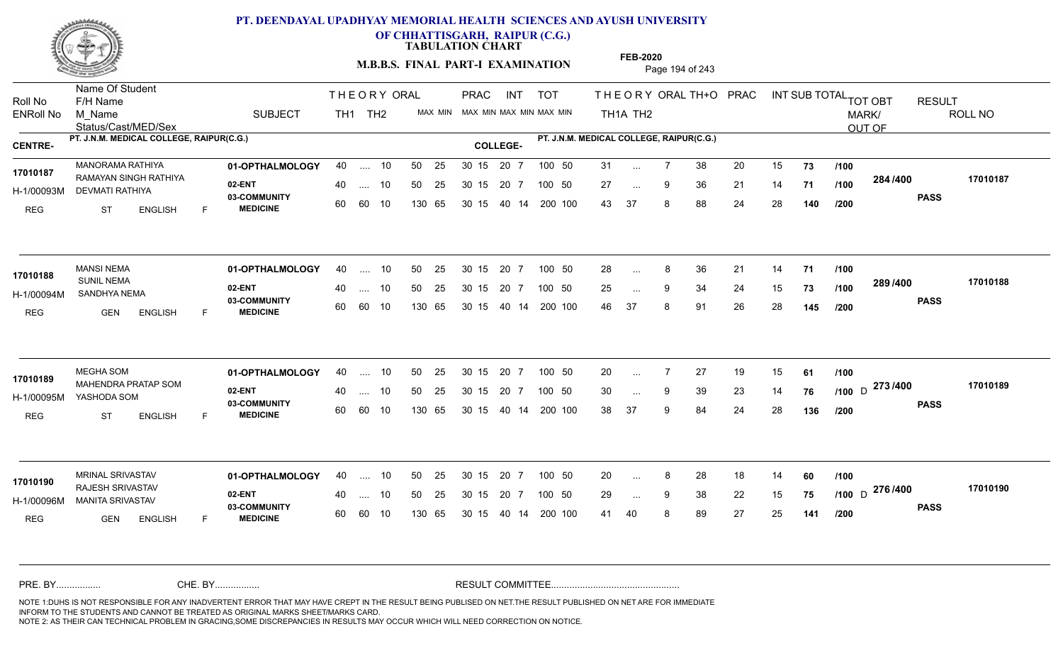

**OF CHHATTISGARH, RAIPUR (C.G.)**

**TABULATION CHART** 

**M.B.B.S. FINAL PART-I EXAMINATION** Page 194 of 243

Status/Cast/MED/Sex Name Of Student Roll No F/H Name M\_Name SUBJECT TH1 TH2 <sup>MAX\_MIN</sup> N PRAC INT TOT THEORY ORAL TH+O PRAC INT TH<sub>1</sub>A TH<sub>2</sub> ORAL TH+ODPRACD INT SUB TOTAL <sub>TOT OBT</sub> RESULT ROLL NO MARK/ OUT OF ENRoll No M Name  $\,$  SUBJECT TH1 TH2 MAX MIN MAX MIN MAX MIN MAX MIN TH1A TH2 **PT. J.N.M. MEDICAL COLLEGE, RAIPUR(C.G.) PT. J.N.M. MEDICAL COLLEGE, RAIPUR(C.G.) CENTRE- COLLEGE-**THE ORY ORAL PRAC INT PRAC **01-OPTHALMOLOGY** MANORAMA RATHIYA 40 .... 10 30 15 20 7 **02-ENT** 03-COMMUNITY 60  **MEDICINE** H-1/00093M DEVMATI RATHIYA RAMAYAN SINGH RATHIYA **17010187** REG ST ENGLISH F 31 ... 7 38 20 15 **73 /100** 27 ... 9 36 21 14 **71 /100 <sup>2047</sup> \*\*\*** 43 37 8 88 24 28 **140 284 PASS /400 17010187** .... 10 50 25 60 60 10 50 25 30 15 130 65 30 15 40 14 200 100 20 7 100 50 50 25 30 15 20 7 100 50 31 ... ... ... 9 **/100 /100 /200 01-OPTHALMOLOGY** MANSI NEMA 40 .... 10 30 15 20 7 **02-ENT** 03-COMMUNITY 60  **MEDICINE** H-1/00094M SANDHYA NEMA SUNIL NEMA REG GEN ENGLISH F 28 8 36 21 14 **71** 25 ... 9 34 24 15 **73 /100 <sup>2007</sup> 700** 46 37 8 91 26 28 **145 289 PASS /400 17010188** .... 10 50 25 60 60 10 30 15 20 7 130 65 30 15 40 14 200 100 30 15 20 7 100 50 50 25 30 15 20 7 100 50 28 ... 8 **17010188** MANSI NEMA ... ... **/100 /100 /200 01-OPTHALMOLOGY** MEGHA SOM 40 .... 10 30 15 20 7 **02-ENT** 03-COMMUNITY 60  **MEDICINE** H-1/00095M YASHODA SOM 17010189 MAHENDRA PRATAP SOM **17010189** REG ST ENGLISH F 20 7 27 19 15 **61** 30 ... 9 39 23 14 **76** /1**00** D <sup>2137466</sup> 38 37 9 84 24 28 **136** <sub>D</sub> 273 /400 170101 **PASS /400 17010189** .... 10 50 25 30 15 60 60 10 20 7 130 65 30 15 30 15 20 7 100 50 40 14 200 100 50 25 30 15 20 7 100 50 20 ... 7 ... ... 9 **/100 /100 /200 01-OPTHALMOLOGY** MRINAL SRIVASTAV 40 .... 10 30 15 20 7 **02-ENT** 03-COMMUNITY 60 MEDICINE 60 60 10 H-1/00096M MANITA SRIVASTAV RAJESH SRIVASTAV **17010190** REG GEN ENGLISH F 20 ... 8 28 18 14 **60** /**100** 29 ... 9 38 22 15 **75 /100** D <del>1101700</del> 41 40 8 89 27 25 **141 276** D **PASS /400 17010190** .... 10 50 25 130 65 30 15 20 7 130 65 30 15 30 15 20 7 100 50 40 14 200 100 50 25 30 15 20 7 100 50 20 ... 8 ... ... 9 **/100 /200** NOTE 1:DUHS IS NOT RESPONSIBLE FOR ANY INADVERTENT ERROR THAT MAY HAVE CREPT IN THE RESULT BEING PUBLISED ON NET.THE RESULT PUBLISHED ON NET ARE FOR IMMEDIATE INFORM TO THE STUDENTS AND CANNOT BE TREATED AS ORIGINAL MARKS SHEET/MARKS CARD. CHE. BY WAREL BY WARE AND THE AVEC THE AVEC THE THE RESULT COMMITTEE AND MULTIME MOTE 1:DUHS IS NOT RESPONSIBLE FOR ANY INADVERTENT ERROR THAT MAY HAVE CREPT IN THE RESULT BEING PUBLISED ON NET.THE RESULT PUBLISHED ON NET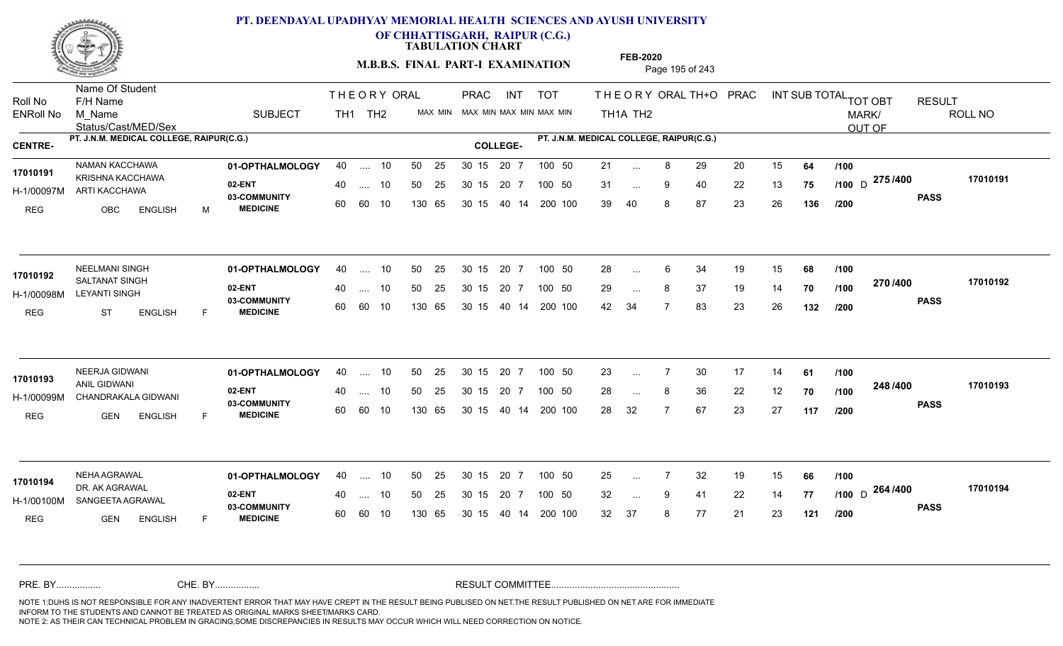

**OF CHHATTISGARH, RAIPUR (C.G.)**

**TABULATION CHART** 

**M.B.B.S. FINAL PART-I EXAMINATION** Page 195 of 243

Status/Cast/MED/Sex Name Of Student Roll No F/H Name M\_Name SUBJECT PRAC INT TOT THEORY ORAL TH+O PRAC INT TH<sub>1</sub>A TH<sub>2</sub> ORAL TH+ODPRACD INT SUB TOTAL <sub>TOT OBT</sub> RESULT ROLL NO MARK/ OUT OF ENRoll No M Name  $\,$  SUBJECT TH1 TH2 MAX MIN MAX MIN MAX MIN MAX MIN TH1A TH2 **PT. J.N.M. MEDICAL COLLEGE, RAIPUR(C.G.) PT. J.N.M. MEDICAL COLLEGE, RAIPUR(C.G.) CENTRE- COLLEGE-**THE ORY ORAL PRAC INT TH<sub>1</sub> TH<sub>2</sub> PRAC **01-OPTHALMOLOGY** NAMAN KACCHAWA 40 .... 10 30 15 20 7 **02-ENT** 03-COMMUNITY 60  **MEDICINE** H-1/00097M ARTI KACCHAWA KRISHNA KACCHAWA **17010191** REG OBC ENGLISH M 21 ... 8 29 20 15 **64 /100** 31 ... 9 40 22 13 **75 /100** D Alon<del>u</del>vo 39 40 8 87 23 26 **136 275** D **PASS /400 17010191** .... 10 50 25 60 60 10 50 25 30 15 130 65 30 15 40 14 200 100 20 7 100 50 50 25 30 15 20 7 100 50 21 ... ... ... 9 **/100 /100 /200 01-OPTHALMOLOGY** NEELMANI SINGH 40 .... 10 30 15 20 7 **02-ENT** 03-COMMUNITY 60  **MEDICINE** H-1/00098M LEYANTI SINGH SALTANAT SINGH **17010192** REG ST ENGLISH F 28 6 34 19 15 **68** 29 ... 8 37 19 14 **70 /100 <sup>21 01</sup> 7** 42 34 7 83 23 26 **132 270 PASS /400 17010192**  $\ldots$  10 50 25 30 15 60 60 10 20 7 130 65 30 15 40 14 200 100 30 15 20 7 100 50 50 25 30 15 20 7 100 50 28 ... 6 ... ... **/100 /100 /200 01-OPTHALMOLOGY** NEERJA GIDWANI 40 .... 10 30 15 20 7 **02-ENT** 03-COMMUNITY 60  **MEDICINE** H-1/00099M CHANDRAKALA GIDWANI ANIL GIDWANI **17010193** REG GEN ENGLISH F 23 ... 7 30 17 14 **61** /**100** 28 ... 8 36 22 12 **70 /100 <sup>2-10</sup> /\*<sup>100</sup>** 28 32 7 67 23 27 **117 248 PASS /400 17010193** .... 10 50 25 30 15 60 60 10 20 7 130 65 30 15 30 15 20 7 100 50 40 14 200 100 50 25 30 15 20 7 100 50 23 ... 7 ... ... **/100 /100 /200 01-OPTHALMOLOGY** NEHA AGRAWAL 40 .... 10 30 15 20 7 **02-ENT** 03-COMMUNITY 60 MEDICINE 60 60 10 H-1/00100M SANGEETA AGRAWAL 22 ACL DR. AK AGRAWAL **17010194** REG GEN ENGLISH F 25 7 32 19 15 **66** 32 9 41 22 14 **77 /100** 32 37 8 77 21 23 **121** <sub>D</sub> 264 /400 170101 **PASS /400 17010194** .... 10 50 25 130 65 30 15 20 7 130 65 30 15 40 14 200 100 30 15 20 7 100 50 50 25 30 15 20 7 100 50 25 ... ... ... 9 **/100 /200** NOTE 1:DUHS IS NOT RESPONSIBLE FOR ANY INADVERTENT ERROR THAT MAY HAVE CREPT IN THE RESULT BEING PUBLISED ON NET.THE RESULT PUBLISHED ON NET ARE FOR IMMEDIATE INFORM TO THE STUDENTS AND CANNOT BE TREATED AS ORIGINAL MARKS SHEET/MARKS CARD. CHE. BY WAREL BY WARE AND THE AVEC THE AVEC THE THE RESULT COMMITTEE AND MULTIME MOTE 1:DUHS IS NOT RESPONSIBLE FOR ANY INADVERTENT ERROR THAT MAY HAVE CREPT IN THE RESULT BEING PUBLISED ON NET.THE RESULT PUBLISHED ON NET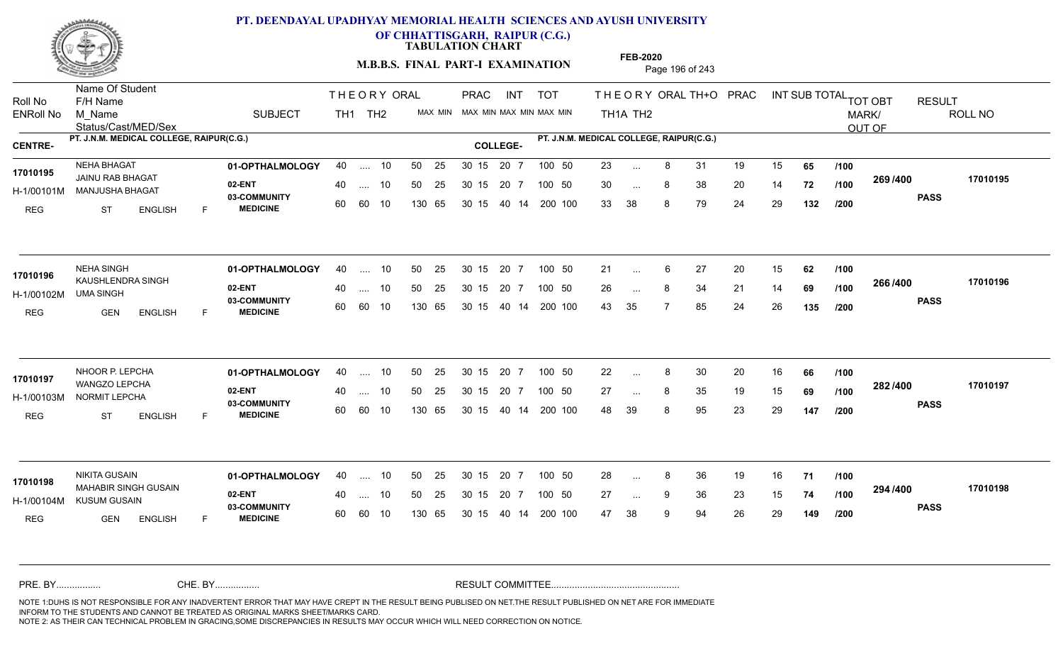

**OF CHHATTISGARH, RAIPUR (C.G.)**

**TABULATION CHART** 

**M.B.B.S. FINAL PART-I EXAMINATION** Page 196 of 243

Status/Cast/MED/Sex Name Of Student Roll No F/H Name M\_Name SUBJECT TH1 TH2 <sup>MAX\_MIN</sup> N PRAC INT TOT THEORY ORAL TH+O PRAC INT TH<sub>1</sub>A TH<sub>2</sub> ORAL TH+ODPRACD INT SUB TOTAL <sub>TOT OBT</sub> RESULT ROLL NO MARK/ OUT OF ENRoll No M Name  $\,$  SUBJECT TH1 TH2 MAX MIN MAX MIN MAX MIN MAX MIN TH1A TH2 **PT. J.N.M. MEDICAL COLLEGE, RAIPUR(C.G.) PT. J.N.M. MEDICAL COLLEGE, RAIPUR(C.G.) CENTRE- COLLEGE-**THE ORY ORAL PRAC INT PRAC **01-OPTHALMOLOGY** NEHA BHAGAT 40 .... 10 30 15 20 7 **02-ENT** 03-COMMUNITY 60  **MEDICINE** H-1/00101M MANJUSHA BHAGAT **1999 - 1999 M** JAINU RAB BHAGAT **17010195** REG ST ENGLISH F 23 ... 8 31 19 15 **65 /100** 30 ... 8 38 20 14 **72 /100 <sup>2007/400</sup>** 33 38 8 79 24 29 **132 269 PASS /400 17010195** .... 10 50 25 60 60 10 50 25 30 15 130 65 30 15 40 14 200 100 20 7 100 50 50 25 30 15 20 7 100 50 23 ... ... ... **/100 /100 /200 01-OPTHALMOLOGY** NEHA SINGH 40 .... 10 30 15 20 7 **02-ENT** 03-COMMUNITY 60  **MEDICINE** H-1/00102M 17010196 KAUSHLENDRA SINGH UMA SINGH REG GEN ENGLISH F 21 ... 6 27 20 15 **62** /**100** 26 ... 8 34 21 14 **69 /100 <sup>2007–00</sup>** 43 35 7 85 24 26 **135 266 PASS /400 17010196** .... 10 50 25 60 60 10 30 15 20 7 130 65 30 15 40 14 200 100 30 15 20 7 100 50 50 25 30 15 20 7 100 50 21 ... ... ... **/100 /100 /200** NHOOR P. LEPCHA **01-OPTHALMOLOGY** 40 .... 10 50 25 30 15 20 7 100 50 22 **02-ENT** 03-COMMUNITY 60  **MEDICINE** H-1/00103M NORMIT LEPCHA 22 BM WANGZO LEPCHA **17010197** REG ST ENGLISH F 22 ... 8 30 20 16 **66** /**100** 27 ... 8 35 19 15 **69 /100 <sup>2027–00</sup>** 48 39 8 95 23 29 **147 282 PASS /400 17010197** .... 10 50 25 30 15 60 60 10 20 7 130 65 30 15 30 15 20 7 100 50 40 14 200 100 50 25 30 15 20 7 100 50 22 ... 8 ... ... **/100 /100 /200 01-OPTHALMOLOGY** NIKITA GUSAIN 40 .... 10 30 15 20 7 **02-ENT** 03-COMMUNITY 60 **MEDICINE** 60 60 10 H-1/00104M KUSUM GUSAIN CHEATH MAHABIR SINGH GUSAIN **17010198** REG GEN ENGLISH F 28 8 36 19 16 **71** 27 ... 9 36 23 15 **74 /100 <sup>234</sup> /\*00** 47 38 9 94 26 29 **149 294 PASS /400 17010198** 40 .... 10 50 25 130 65 130 65 30 15 30 15 20 7 100 50 40 14 200 100 50 25 30 15 20 7 100 50 28 ... 8 ... ... 9 **/100 /100 /200** NOTE 1:DUHS IS NOT RESPONSIBLE FOR ANY INADVERTENT ERROR THAT MAY HAVE CREPT IN THE RESULT BEING PUBLISED ON NET.THE RESULT PUBLISHED ON NET ARE FOR IMMEDIATE INFORM TO THE STUDENTS AND CANNOT BE TREATED AS ORIGINAL MARKS SHEET/MARKS CARD. CHE. BY WAREL BY WARE AND THE AVEC THE AVEC THE THE RESULT COMMITTEE AND MULTIME MOTE 1:DUHS IS NOT RESPONSIBLE FOR ANY INADVERTENT ERROR THAT MAY HAVE CREPT IN THE RESULT BEING PUBLISED ON NET.THE RESULT PUBLISHED ON NET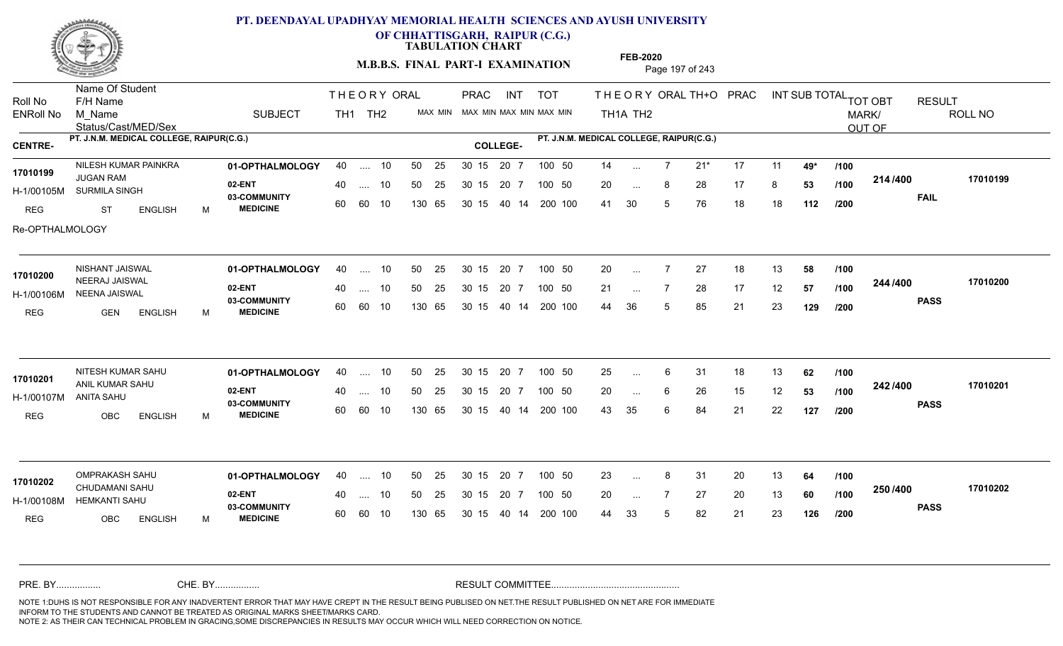

**OF CHHATTISGARH, RAIPUR (C.G.)**

**TABULATION CHART** 

**M.B.B.S. FINAL PART-I EXAMINATION** Page 197 of 243

Status/Cast/MED/Sex Name Of Student Roll No F/H Name M\_Name SUBJECT TH1 TH2 <sup>MAX\_MIN</sup> N PRAC INT TOT THEORY ORAL TH+O PRAC INT TH<sub>1</sub>A TH<sub>2</sub> ORAL TH+ODPRACD INT SUB TOTAL <sub>TOT OBT</sub> RESULT ROLL NO MARK/ OUT OF ENRoll No M Name  $\,$  SUBJECT TH1 TH2 MAX MIN MAX MIN MAX MIN MAX MIN TH1A TH2 **PT. J.N.M. MEDICAL COLLEGE, RAIPUR(C.G.) PT. J.N.M. MEDICAL COLLEGE, RAIPUR(C.G.) CENTRE- COLLEGE-**THE ORY ORAL PRAC INT PRAC NILESH KUMAR PAINKRA **01-OPTHALMOLOGY** 40 .... 10 50 25 30 15 20 7 100 50 14 **02-ENT** 03-COMMUNITY 60  **MEDICINE** H-1/00105M SURMILA SINGH JUGAN RAM REG ST ENGLISH M 14 7 21\* 17 11 **49\*** 20 ... 8 28 17 8 **53 /100 <del>117</del>/+00** 41 30 5 76 18 18 **112 214 FAIL 17010199 /400** Re-OPTHALMOLOGY .... 10 50 25 60 60 10 50 25 30 15 130 65 30 15 40 14 200 100 20 7 100 50 50 25 30 15 20 7 100 50 14 ... **17010199** NILESH KUMAR PAINKRA ... ... **/100 /100 /200 01-OPTHALMOLOGY** NISHANT JAISWAL 40 .... 10 30 15 20 7 **02-ENT** 03-COMMUNITY 60  **MEDICINE** H-1/00106M NEENA JAISWAL 17010200 **INCERAJ JAISWAL** REG GEN ENGLISH M 20 7 27 18 13 **58** 21 ... 7 28 17 12 **57 /100 <sup>244 /400</sup>** 44 36 5 85 21 23 **129 244 PASS /400 17010200** 40 .... 10 50 25 60 60 10 130 65 30 15 40 14 200 100 30 15 20 7 100 50 50 25 30 15 20 7 100 50 20 ... ... ... **/100 /100 /200** NITESH KUMAR SAHU **01-OPTHALMOLOGY** 40 .... 10 50 25 30 15 20 7 100 50 25 **02-ENT** 03-COMMUNITY 60  **MEDICINE** H-1/00107M ANIL KUMAR SAHU **17010201** ANITA SAHU REG OBC ENGLISH M 25 ... 6 31 18 13 **62** /**100** 20 ... 6 26 15 12 **53 /100 <sup>242 /400</sup>** 43 35 6 84 21 22 **127 242 PASS /400 17010201** .... 10 50 25 30 15 60 60 10 20 7 130 65 30 15 30 15 20 7 100 50 40 14 200 100 50 25 30 15 20 7 100 50 25 ... 6 ... ... 6 **/100 /100 /200 01-OPTHALMOLOGY** OMPRAKASH SAHU 40 .... 10 30 15 20 7 **02-ENT** 03-COMMUNITY 60 **MEDICINE** 60 60 10 H-1/00108M HEMKANTI SAHU CHUDAMANI SAHU **17010202** REG OBC ENGLISH M 23 ... 8 31 20 13 **64 /100** 20 7 27 20 13 **60** 44 33 5 82 21 23 **126 250 PASS /400 17010202** 40 .... 10 50 25 130 65 130 65 30 15 30 15 20 7 100 50 40 14 200 100 50 25 30 15 20 7 100 50 23 ... 8 ... ... **/100 /100 /200** NOTE 1:DUHS IS NOT RESPONSIBLE FOR ANY INADVERTENT ERROR THAT MAY HAVE CREPT IN THE RESULT BEING PUBLISED ON NET.THE RESULT PUBLISHED ON NET ARE FOR IMMEDIATE INFORM TO THE STUDENTS AND CANNOT BE TREATED AS ORIGINAL MARKS SHEET/MARKS CARD. CHE. BY WAREL BY WARE AND THE AVEC THE AVEC THE THE RESULT COMMITTEE AND MULTIME MOTE 1:DUHS IS NOT RESPONSIBLE FOR ANY INADVERTENT ERROR THAT MAY HAVE CREPT IN THE RESULT BEING PUBLISED ON NET.THE RESULT PUBLISHED ON NET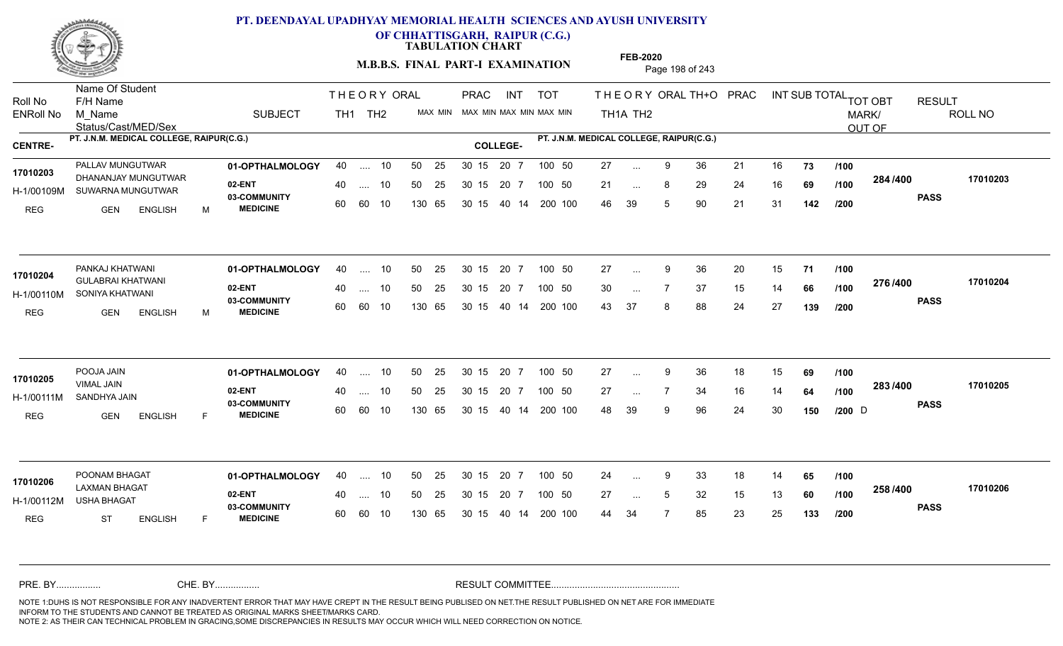

**OF CHHATTISGARH, RAIPUR (C.G.)**

**TABULATION CHART** 

**M.B.B.S. FINAL PART-I EXAMINATION** Page 198 of 243

Status/Cast/MED/Sex Name Of Student Roll No F/H Name M\_Name SUBJECT TH1 TH2 <sup>MAX\_MIN</sup> N PRAC INT TOT THEORY ORAL TH+O PRAC INT TH<sub>1</sub>A TH<sub>2</sub> ORAL TH+ODPRACD INT SUB TOTAL <sub>TOT OBT</sub> RESULT ROLL NO MARK/ OUT OF ENRoll No M Name  $\,$  SUBJECT TH1 TH2 MAX MIN MAX MIN MAX MIN MAX MIN TH1A TH2 **PT. J.N.M. MEDICAL COLLEGE, RAIPUR(C.G.) PT. J.N.M. MEDICAL COLLEGE, RAIPUR(C.G.) CENTRE- COLLEGE-**THE ORY ORAL PRAC INT PRAC **01-OPTHALMOLOGY** PALLAV MUNGUTWAR 40 .... 10 30 15 20 7 **02-ENT** 03-COMMUNITY 60  **MEDICINE** H-1/00109M SUWARNA MUNGUTWAR DHANANJAY MUNGUTWAR **17010203** REG GEN ENGLISH M 27 9 36 21 16 **73** 21 ... 8 29 24 16 **69 /100 <sup>204 /400</sup>** 46 39 5 90 21 31 **142 284 PASS /400 17010203** 40 .... 10 50 25 30 15 60 60 10 130 65 30 15 20 7 100 50 40 14 200 100 50 25 30 15 20 7 100 50 27 ... ... ... **/100 /100 /200 01-OPTHALMOLOGY** PANKAJ KHATWANI 40 .... 10 30 15 20 7 **02-ENT** 03-COMMUNITY 60  **MEDICINE** H-1/00110M SONIYA KHATWANI GULABRAI KHATWANI **17010204** REG GEN ENGLISH M 27 ... 9 36 20 15 **71 /100** 30 ... 7 37 15 14 **66 /100 <sup>21 0</sup> 1 - 0** 43 37 8 88 24 27 **139 276 PASS /400 17010204** 40 .... 10 50 25 60 60 10 130 65 30 15 40 14 200 100 30 15 20 7 100 50 50 25 30 15 20 7 100 50 27 ... 9 ... 9 ... **/100 /100 /200 01-OPTHALMOLOGY** POOJA JAIN 40 .... 10 30 15 20 7 **02-ENT** 03-COMMUNITY 60  **MEDICINE** H-1/00111M SANDHYA JAIN VIMAL JAIN REG GEN ENGLISH F 27 ... 9 36 18 15 **69** /**100** 27 ... 7 34 16 14 **64 /100 <sup>2007</sup> 7** 48 39 9 96 24 30 **150 283 /100 PASS /400 17010205** .... 10 50 25 30 15 60 60 10 20 7 130 65 30 15 30 15 20 7 100 50 40 14 200 100 50 25 30 15 20 7 100 50 27 ...  $D \rightarrow \text{Cov}$ POOJA JAIN<br>17**010205** ... ... **/100 /200 01-OPTHALMOLOGY** POONAM BHAGAT 40 .... 10 30 15 20 7 **02-ENT** 03-COMMUNITY 60 **MEDICINE** 60 60 10 H-1/00112M USHA BHAGAT LAXMAN BHAGAT **17010206** REG ST ENGLISH F 24 ... 9 33 18 14 **65 /100** 27 ... 5 32 15 13 **60** /**100 <sup>2007</sup> \*\*\*\*** 44 34 7 85 23 25 **133 258 PASS /400 17010206** 40 .... 10 50 25 130 65 130 65 30 15 30 15 20 7 100 50 40 14 200 100 50 25 30 15 20 7 100 50 24 ... 9 ... 9 ... **/100 /100 /200** NOTE 1:DUHS IS NOT RESPONSIBLE FOR ANY INADVERTENT ERROR THAT MAY HAVE CREPT IN THE RESULT BEING PUBLISED ON NET.THE RESULT PUBLISHED ON NET ARE FOR IMMEDIATE INFORM TO THE STUDENTS AND CANNOT BE TREATED AS ORIGINAL MARKS SHEET/MARKS CARD. CHE. BY WAREL BY WARE AND THE AVEC THE AVEC THE THE RESULT COMMITTEE AND MULTIME MOTE 1:DUHS IS NOT RESPONSIBLE FOR ANY INADVERTENT ERROR THAT MAY HAVE CREPT IN THE RESULT BEING PUBLISED ON NET.THE RESULT PUBLISHED ON NET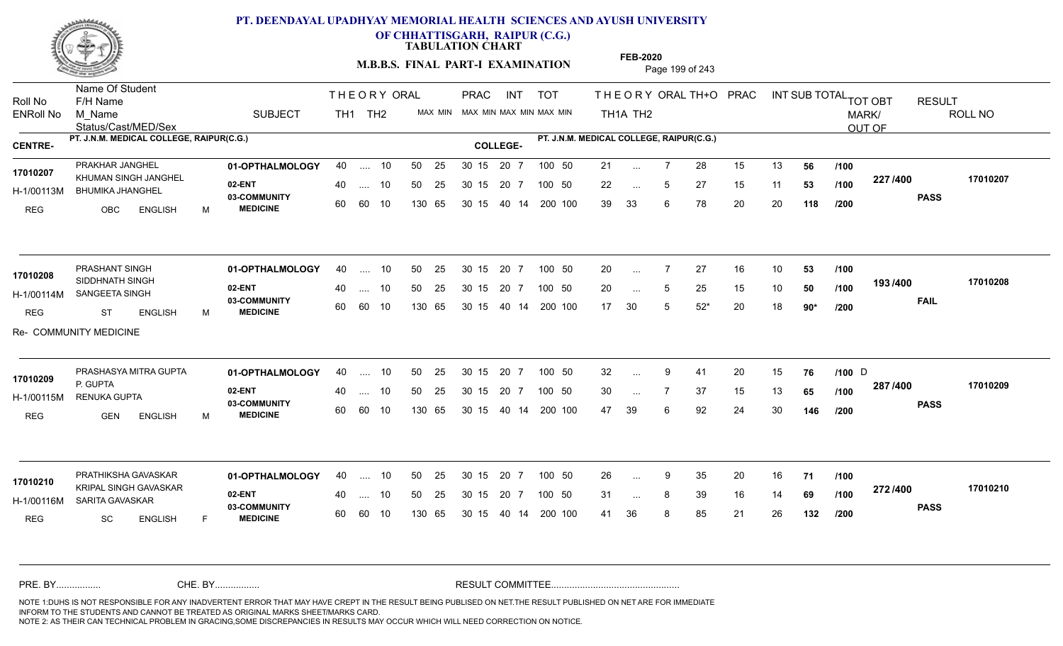

**OF CHHATTISGARH, RAIPUR (C.G.)**

**TABULATION CHART** 

**M.B.B.S. FINAL PART-I EXAMINATION** Page 199 of 243

Status/Cast/MED/Sex Name Of Student Roll No F/H Name M\_Name SUBJECT TH1 TH2 <sup>MAX\_MIN</sup> N PRAC INT TOT THEORY ORAL TH+O PRAC INT TH<sub>1</sub>A TH<sub>2</sub> ORAL TH+ODPRACD INT SUB TOTAL <sub>TOT OBT</sub> RESULT ROLL NO MARK/ OUT OF ENRoll No M Name  $\,$  SUBJECT TH1 TH2 MAX MIN MAX MIN MAX MIN MAX MIN TH1A TH2 **PT. J.N.M. MEDICAL COLLEGE, RAIPUR(C.G.) PT. J.N.M. MEDICAL COLLEGE, RAIPUR(C.G.) CENTRE- COLLEGE-**THE ORY ORAL PRAC INT PRAC **01-OPTHALMOLOGY** PRAKHAR JANGHEL 40 .... 10 30 15 20 7 **02-ENT** 03-COMMUNITY 60  **MEDICINE** H-1/00113M BHUMIKA JHANGHEL 22 BA 17010207 KHUMAN SINGH JANGHEL REG OBC ENGLISH M 21 ... 7 28 15 13 **56 /100** 22 ... 5 27 15 11 **53 /100 <sup>227</sup> 1<del>-</del>00** 39 33 6 78 20 20 **118 227 PASS /400 17010207** .... 10 50 25 60 60 10 50 25 30 15 130 65 30 15 40 14 200 100 20 7 100 50 50 25 30 15 20 7 100 50 21 ... ... ... 5 **/100 /100 /200 01-OPTHALMOLOGY** PRASHANT SINGH 40 .... 10 30 15 20 7 **02-ENT** 03-COMMUNITY 60  **MEDICINE** H-1/00114M SANGEETA SINGH 17010208 SIDDHNATH SINGH REG ST ENGLISH M 20 7 27 16 10 **53** 20 ... 5 25 15 10 **50 /100 <sup>1937</sup> 700** 17 30 5 52\* 20 18 **90\* 193 FAIL 17010208 /400** Re- COMMUNITY MEDICINE .... 10 50 25 60 60 10 30 15 20 7 130 65 30 15 40 14 200 100 30 15 20 7 100 50 50 25 30 15 20 7 100 50 20 ... ... ... 5 **/100 /100 /200 01-OPTHALMOLOGY 02-ENT** 03-COMMUNITY 60  **MEDICINE** H-1/00115M RENUKA GUPTA 22 P. P. GUPTA REG GEN ENGLISH M 32 ... 9 41 20 15 **76** /1**00** D 30 ... 7 37 15 13 **65 /100 <sup>207</sup> 1<del>-</del>00** 47 39 6 92 24 30 **146 287 PASS /400 17010209** PRASHASYA MITRA GUPTA **01-OPTHALMOLOGY** 40 .... 10 50 25 30 15 20 7 100 50 32 .... 10 50 25 30 15 60 60 10 20 7 130 65 30 15 30 15 20 7 100 50 40 14 200 100 50 25 30 15 20 7 100 50 32 ... 9 41 20 15 **76 /100** D **17010209** ... ... **/100 /100 /200 01-OPTHALMOLOGY 02-ENT** 03-COMMUNITY 60 **MEDICINE** 60 60 10 H-1/00116M SARITA GAVASKAR 17010210 KRIPAL SINGH GAVASKAR REG SC ENGLISH F 26 9 35 20 16 **71** 31 ... 8 39 16 14 **69 /100 <sup>212/+00</sup>** 41 36 8 85 21 26 **132 272 PASS /400 17010210** PRATHIKSHA GAVASKAR 40 .... 10 30 15 20 7 40 .... 10 50 25 130 65 130 65 30 15 30 15 20 7 100 50 40 14 200 100 50 25 100 50 ... 9 ... **/100 /100 /200** NOTE 1:DUHS IS NOT RESPONSIBLE FOR ANY INADVERTENT ERROR THAT MAY HAVE CREPT IN THE RESULT BEING PUBLISED ON NET.THE RESULT PUBLISHED ON NET ARE FOR IMMEDIATE INFORM TO THE STUDENTS AND CANNOT BE TREATED AS ORIGINAL MARKS SHEET/MARKS CARD. CHE. BY WAREL BY WARE AND THE AVEC THE AVEC THE THE RESULT COMMITTEE AND MULTIME MOTE 1:DUHS IS NOT RESPONSIBLE FOR ANY INADVERTENT ERROR THAT MAY HAVE CREPT IN THE RESULT BEING PUBLISED ON NET.THE RESULT PUBLISHED ON NET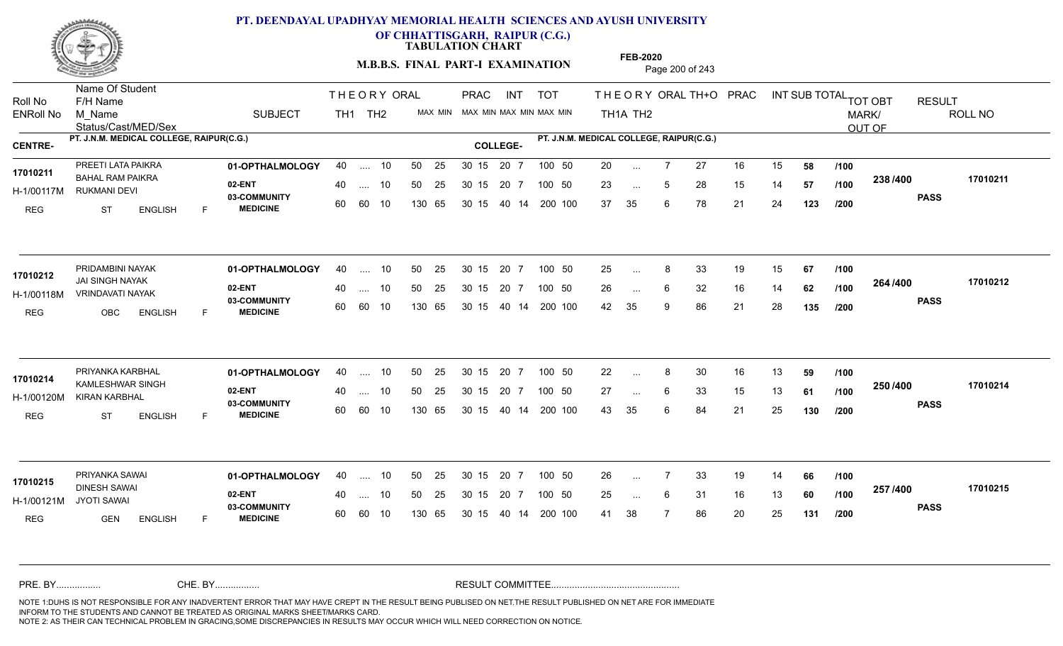

**OF CHHATTISGARH, RAIPUR (C.G.)**

**TABULATION CHART** 

**M.B.B.S. FINAL PART-I EXAMINATION** Page 200 of 243

Status/Cast/MED/Sex Name Of Student Roll No F/H Name M\_Name SUBJECT TH1 TH2 <sup>MAX\_MIN</sup> N PRAC INT TOT THEORY ORAL TH+O PRAC INT TH<sub>1</sub>A TH<sub>2</sub> ORAL TH+ODPRACD INT SUB TOTAL <sub>TOT OBT</sub> RESULT ROLL NO MARK/ OUT OF ENRoll No M Name  $\,$  SUBJECT TH1 TH2 MAX MIN MAX MIN MAX MIN MAX MIN TH1A TH2 **PT. J.N.M. MEDICAL COLLEGE, RAIPUR(C.G.) PT. J.N.M. MEDICAL COLLEGE, RAIPUR(C.G.) CENTRE- COLLEGE-**THE ORY ORAL PRAC INT PRAC **01-OPTHALMOLOGY** PREETI LATA PAIKRA 40 .... 10 30 15 20 7 **02-ENT** 03-COMMUNITY 60  **MEDICINE** H-1/00117M RUKMANI DEVI 17010211 **BAHAL RAM PAIKRA 17010211 BAHAL RAM PAIKRA** REG ST ENGLISH F 20 7 27 16 15 **58** 23 ... 5 28 15 14 **57 /100 <sup>2007</sup> +** 37 35 6 78 21 24 **123 238 PASS /400 17010211** .... 10 50 25 60 60 10 50 25 30 15 130 65 30 15 40 14 200 100 20 7 100 50 50 25 30 15 20 7 100 50 20 ... ... ... 5 **/100 /100 /200 01-OPTHALMOLOGY** PRIDAMBINI NAYAK 40 .... 10 30 15 20 7 **02-ENT** 03-COMMUNITY 60  **MEDICINE** H-1/00118M VRINDAVATI NAYAK JAI SINGH NAYAK **17010212** REG OBC ENGLISH F 25 8 33 19 15 **67** 26 ... 6 32 16 14 **62 /100 <sup>2047</sup> 1** 42 35 9 86 21 28 **135 264 PASS /400 17010212** .... 10 50 25 60 60 10 30 15 20 7 130 65 30 15 40 14 200 100 30 15 20 7 100 50 50 25 30 15 20 7 100 50 25 ... 8 ...  $\overline{\phantom{a}}$ . 6 **/100 /100 /200 01-OPTHALMOLOGY** PRIYANKA KARBHAL 40 .... 10 30 15 20 7 **02-ENT** 03-COMMUNITY 60  **MEDICINE** H-1/00120M KIRAN KARBHAL 17010214 KAMLESHWAR SINGH REG ST ENGLISH F 22 8 30 16 13 **59** 27 ... 6 33 15 13 **61 /100 <sup>2307-400</sup>** 43 35 6 84 21 25 **130 250 PASS /400 17010214** .... 10 50 25 30 15 60 60 10 20 7 130 65 30 15 30 15 20 7 100 50 40 14 200 100 50 25 30 15 20 7 100 50 22 ... 8 ... ... 6 **/100 /100 /200 01-OPTHALMOLOGY** PRIYANKA SAWAI 40 .... 10 30 15 20 7 **02-ENT** 03-COMMUNITY 60 **MEDICINE** 60 60 10 H-1/00121M DINESH SAWAI **17010215** JYOTI SAWAI REG GEN ENGLISH F 26 7 33 19 14 **66** 25 ... 6 31 16 13 **60** /**100 <sup>237</sup> /\*\*** 41 38 7 86 20 25 **131 257 PASS /400 17010215** 40 .... 10 50 25 130 65 130 65 30 15 30 15 20 7 100 50 40 14 200 100 50 25 30 15 20 7 100 50 26 ... ... ... 6 **/100 /100 /200** NOTE 1:DUHS IS NOT RESPONSIBLE FOR ANY INADVERTENT ERROR THAT MAY HAVE CREPT IN THE RESULT BEING PUBLISED ON NET.THE RESULT PUBLISHED ON NET ARE FOR IMMEDIATE INFORM TO THE STUDENTS AND CANNOT BE TREATED AS ORIGINAL MARKS SHEET/MARKS CARD. CHE. BY WAREL BY WARE AND THE AVEC THE AVEC THE THE RESULT COMMITTEE AND MULTIME MOTE 1:DUHS IS NOT RESPONSIBLE FOR ANY INADVERTENT ERROR THAT MAY HAVE CREPT IN THE RESULT BEING PUBLISED ON NET.THE RESULT PUBLISHED ON NET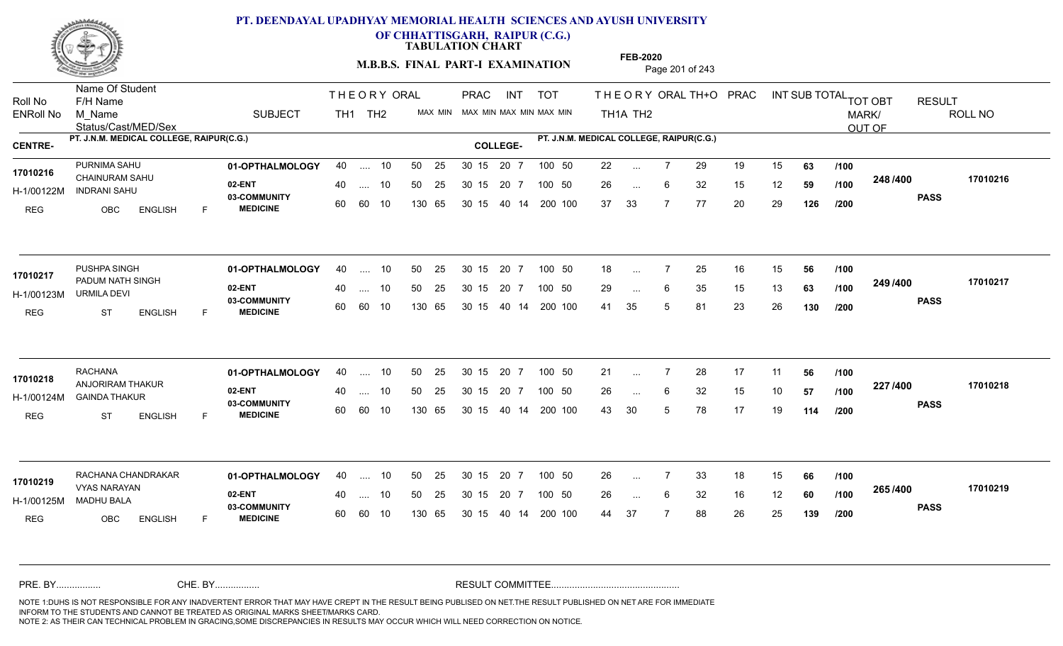

**OF CHHATTISGARH, RAIPUR (C.G.)**

**TABULATION CHART** 

**M.B.B.S. FINAL PART-I EXAMINATION** Page 201 of 243

Status/Cast/MED/Sex Name Of Student Roll No F/H Name M\_Name SUBJECT TH1 TH2 <sup>MAX\_MIN</sup> N PRAC INT TOT THEORY ORAL TH+O PRAC INT TH<sub>1</sub>A TH<sub>2</sub> ORAL TH+ODPRACD INT SUB TOTAL <sub>TOT OBT</sub> RESULT ROLL NO MARK/ OUT OF ENRoll No M Name  $\,$  SUBJECT TH1 TH2 MAX MIN MAX MIN MAX MIN MAX MIN TH1A TH2 **PT. J.N.M. MEDICAL COLLEGE, RAIPUR(C.G.) PT. J.N.M. MEDICAL COLLEGE, RAIPUR(C.G.) CENTRE- COLLEGE-**THE ORY ORAL PRAC INT PRAC **01-OPTHALMOLOGY** PURNIMA SAHU 40 .... 10 30 15 20 7 **02-ENT** 03-COMMUNITY 60  **MEDICINE** H-1/00122M INDRANI SAHU 17010216 CHAINURAM SAHU 20 PM REG OBC ENGLISH F 22 7 29 19 15 **63** 26 ... 6 32 15 12 **59 /100 <sup>2407400</sup>** 37 33 7 77 20 29 **126 248 PASS /400 17010216** .... 10 50 25 60 60 10 50 25 30 15 130 65 30 15 40 14 200 100 20 7 100 50 50 25 30 15 20 7 100 50 22 ... ... ... 6 **/100 /100 /200 01-OPTHALMOLOGY** PUSHPA SINGH 40 .... 10 30 15 20 7 **02-ENT** 03-COMMUNITY 60  **MEDICINE** H-1/00123M URMILA DEVI 17010217 PADUM NATH SINGH REG ST ENGLISH F 18 ... 7 25 16 15 **56 /100** 29 ... 6 35 15 13 **63 /100 <sup>243/400</sup>** 41 35 5 81 23 26 **130 249 PASS /400 17010217** .... 10 50 25 60 60 10 30 15 20 7 130 65 30 15 40 14 200 100 30 15 20 7 100 50 50 25 30 15 20 7 100 50 18 ... ... ... **/100 /100 /200 01-OPTHALMOLOGY** RACHANA 40 .... 10 30 15 20 7 **02-ENT** 03-COMMUNITY 60  **MEDICINE** H-1/00124M GAINDA THAKUR ANJORIRAM THAKUR **17010218** REG ST ENGLISH F 21 ... 7 28 17 11 **56** /**100** 26 ... 6 32 15 10 **57 /100 <sup>227</sup> /\*\*** 43 30 5 78 17 19 **114 227 PASS /400 17010218** .... 10 50 25 30 15 60 60 10 20 7 130 65 30 15 30 15 20 7 100 50 40 14 200 100 50 25 30 15 20 7 100 50 21 ... 7 ... ... 6 **/100 /100 /200 01-OPTHALMOLOGY 02-ENT** 03-COMMUNITY 60 **MEDICINE** 60 60 10 H-1/00125M MADHU BALA VYAS NARAYAN **17010219** REG OBC ENGLISH F 26 7 33 18 15 **66** 26 ... 6 32 16 12 **60 /100 <sup>2007</sup> 700** 44 37 7 88 26 25 **139 265 PASS /400 17010219** RACHANA CHANDRAKAR **101-OPTHALMOLOGY** 40 .... 10 50 25 30 15 20 7 100 50 26 .... 10 50 25 130 65 30 15 20 7 130 65 30 15 30 15 20 7 100 50 40 14 200 100 50 25 100 50 ... ... 6 **/100 /100 /200** NOTE 1:DUHS IS NOT RESPONSIBLE FOR ANY INADVERTENT ERROR THAT MAY HAVE CREPT IN THE RESULT BEING PUBLISED ON NET.THE RESULT PUBLISHED ON NET ARE FOR IMMEDIATE INFORM TO THE STUDENTS AND CANNOT BE TREATED AS ORIGINAL MARKS SHEET/MARKS CARD. CHE. BY WAREL BY WARE AND THE AVEC THE AVEC THE THE RESULT COMMITTEE AND MULTIME MOTE 1:DUHS IS NOT RESPONSIBLE FOR ANY INADVERTENT ERROR THAT MAY HAVE CREPT IN THE RESULT BEING PUBLISED ON NET.THE RESULT PUBLISHED ON NET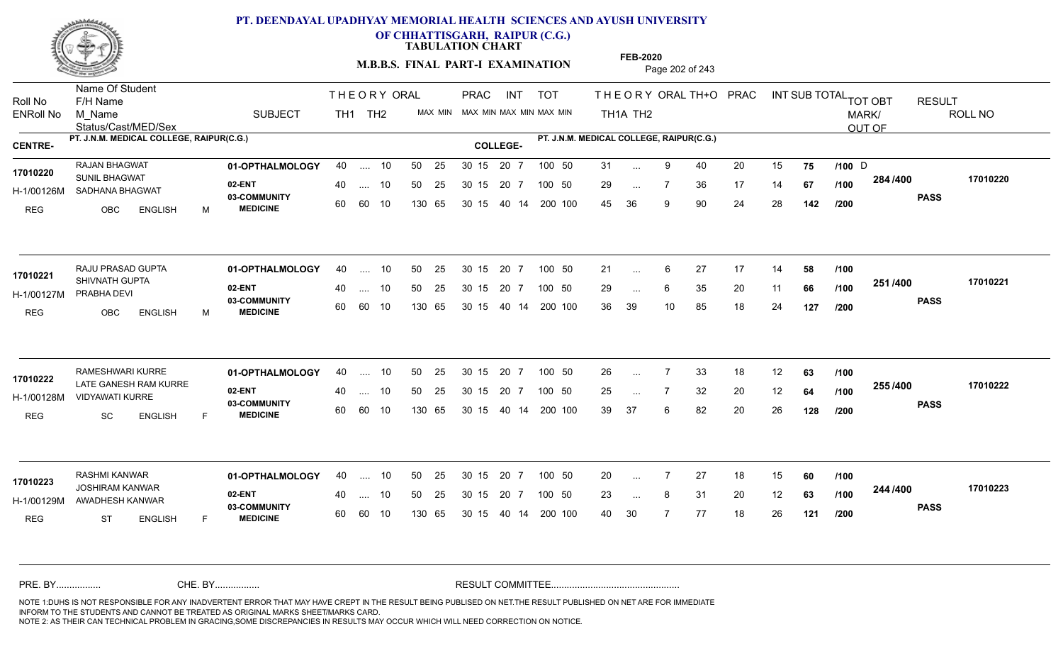

**OF CHHATTISGARH, RAIPUR (C.G.)**

**TABULATION CHART** 

**M.B.B.S. FINAL PART-I EXAMINATION** Page 202 of 243

Status/Cast/MED/Sex Name Of Student Roll No F/H Name M\_Name SUBJECT TH1 TH2 <sup>MAX\_MIN</sup> N PRAC INT TOT THEORY ORAL TH+O PRAC INT TH<sub>1</sub>A TH<sub>2</sub> ORAL TH+ODPRACD INT SUB TOTAL <sub>TOT OBT</sub> RESULT ROLL NO MARK/ OUT OF ENRoll No M Name  $\,$  SUBJECT TH1 TH2 MAX MIN MAX MIN MAX MIN MAX MIN TH1A TH2 **PT. J.N.M. MEDICAL COLLEGE, RAIPUR(C.G.) PT. J.N.M. MEDICAL COLLEGE, RAIPUR(C.G.) CENTRE- COLLEGE-**THE ORY ORAL PRAC INT PRAC **01-OPTHALMOLOGY** RAJAN BHAGWAT 40 .... 10 30 15 20 7 **02-ENT** 03-COMMUNITY 60  **MEDICINE** H-1/00126M SADHANA BHAGWAT **17010220** SUNIL BHAGWAT REG OBC ENGLISH M 31 ... 9 40 20 15 **75 /100** D 29 ... 7 36 17 14 **67 /100 <sup>2047</sup> 1** 45 36 9 90 24 28 **142 284 PASS /400 17010220** .... 10 50 25 60 60 10 50 25 30 15 130 65 30 15 40 14 200 100 20 7 100 50 50 25 30 15 20 7 100 50 31 ... 9 40 20 15 **75 /100** D ... 9 ... **/100 /100 /200** RAJU PRASAD GUPTA **01-OPTHALMOLOGY** 40 .... 10 50 25 30 15 20 7 100 50 21 **02-ENT** 03-COMMUNITY 60  **MEDICINE** H-1/00127M PRABHA DEVI 17010221 SHIVNATH GUPTA REG OBC ENGLISH M 21 ... 6 27 17 14 **58 /100** 29 ... 6 35 20 11 **66 /100 <sup>2017–00</sup>** 36 39 10 85 18 24 **127 251 PASS /400 17010221** .... 10 50 25 60 60 10 30 15 20 7 130 65 30 15 40 14 200 100 30 15 20 7 100 50 50 25 30 15 20 7 100 50 21 ... ...  $\overline{\phantom{a}}$ . 6 **/100 /100 /200** RAMESHWARI KURRE **01-OPTHALMOLOGY** 40 .... 10 50 25 30 15 20 7 100 50 26 **02-ENT** 03-COMMUNITY 60  **MEDICINE** H-1/00128M VIDYAWATI KURRE 17010222 LATE GANESH RAM KURRE REG SC ENGLISH F 26 7 33 18 12 **63** 25 ... 7 32 20 12 **64 /100 <sup>2007</sup> 7** 39 37 6 82 20 26 **128 255 PASS /400 17010222** .... 10 50 25 30 15 60 60 10 20 7 130 65 30 15 30 15 20 7 100 50 40 14 200 100 50 25 30 15 20 7 100 50 26 ... 7 ... ... **/100 /100 /200 01-OPTHALMOLOGY** RASHMI KANWAR 40 .... 10 30 15 20 7 **02-ENT** 03-COMMUNITY 60 **MEDICINE** 60 60 10 H-1/00129M AWADHESH KANWAR JOSHIRAM KANWAR **17010223** REG ST ENGLISH F 20 7 27 18 15 **60** 23 ... 8 31 20 12 **63 /100 <sup>244 /400</sup>** 40 30 7 77 18 26 **121 244 PASS /400 17010223** .... 10 50 25 130 65 30 15 20 7 130 65 30 15 30 15 20 7 100 50 40 14 200 100 50 25 30 15 20 7 100 50 20 ... ... ... **/100 /100 /200** NOTE 1:DUHS IS NOT RESPONSIBLE FOR ANY INADVERTENT ERROR THAT MAY HAVE CREPT IN THE RESULT BEING PUBLISED ON NET.THE RESULT PUBLISHED ON NET ARE FOR IMMEDIATE INFORM TO THE STUDENTS AND CANNOT BE TREATED AS ORIGINAL MARKS SHEET/MARKS CARD. CHE. BY WAREL BY WARE AND THE AVEC THE AVEC THE THE RESULT COMMITTEE AND MULTIME MOTE 1:DUHS IS NOT RESPONSIBLE FOR ANY INADVERTENT ERROR THAT MAY HAVE CREPT IN THE RESULT BEING PUBLISED ON NET.THE RESULT PUBLISHED ON NET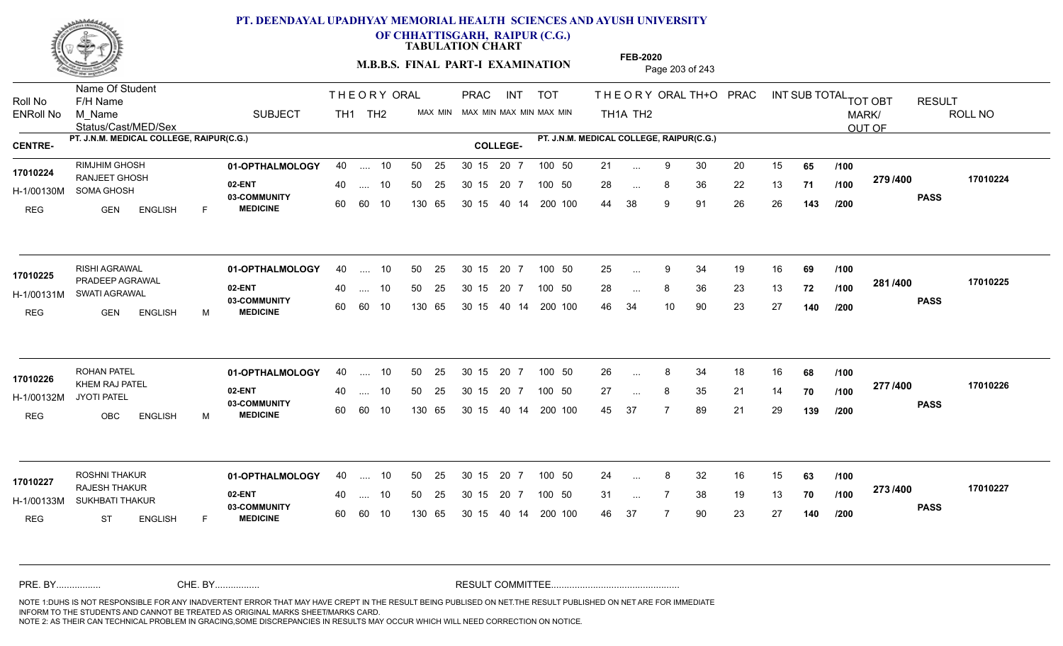

**OF CHHATTISGARH, RAIPUR (C.G.)**

**TABULATION CHART** 

**M.B.B.S. FINAL PART-I EXAMINATION** Page 203 of 243

Status/Cast/MED/Sex Name Of Student Roll No F/H Name M\_Name SUBJECT TH1 TH2 <sup>MAX\_MIN</sup> N PRAC INT TOT THEORY ORAL TH+O PRAC INT TH<sub>1</sub>A TH<sub>2</sub> ORAL TH+ODPRACD INT SUB TOTAL <sub>TOT OBT</sub> RESULT ROLL NO MARK/ OUT OF ENRoll No M Name  $\,$  SUBJECT TH1 TH2 MAX MIN MAX MIN MAX MIN MAX MIN TH1A TH2 **PT. J.N.M. MEDICAL COLLEGE, RAIPUR(C.G.) PT. J.N.M. MEDICAL COLLEGE, RAIPUR(C.G.) CENTRE- COLLEGE-**THE ORY ORAL PRAC INT PRAC **01-OPTHALMOLOGY** RIMJHIM GHOSH 40 .... 10 30 15 20 7 **02-ENT** 03-COMMUNITY 60  **MEDICINE** H-1/00130M SOMA GHOSH 17010224 RANJEET GHOSH REG GEN ENGLISH F 21 ... 9 30 20 15 **65 /100** 28 ... 8 36 22 13 **71 /100 <sup>213/400</sup>** 44 38 9 91 26 26 **143 279 PASS /400 17010224** .... 10 50 25 60 60 10 50 25 30 15 130 65 30 15 20 7 100 50 40 14 200 100 50 25 30 15 20 7 100 50 21 ... ... ... **/100 /100 /200 01-OPTHALMOLOGY** RISHI AGRAWAL 40 .... 10 30 15 20 7 **02-ENT** 03-COMMUNITY 60  **MEDICINE** H-1/00131M SWATI AGRAWAL PRADEEP AGRAWAL **17010225** REG GEN ENGLISH M 25 9 34 19 16 **69** 28 ... 8 36 23 13 **72 /100 <sup>2017–00</sup>** 46 34 10 90 23 27 **140 281 PASS /400 17010225** 40 .... 10 50 25 60 60 10 130 65 30 15 40 14 200 100 30 15 20 7 100 50 50 25 30 15 20 7 100 50 25 ... 9 ... 9 ... **/100 /100 /200 01-OPTHALMOLOGY** ROHAN PATEL 40 .... 10 30 15 20 7 **02-ENT** 03-COMMUNITY 60  **MEDICINE** H-1/00132M **17010226 KHEM RAJ PATEL** JYOTI PATEL REG OBC ENGLISH M 26 8 34 18 16 **68** 27 8 35 21 14 **70** 45 37 7 89 21 29 **139 277 PASS /400 17010226** .... 10 50 25 30 15 60 60 10 20 7 130 65 30 15 30 15 20 7 100 50 40 14 200 100 50 25 30 15 20 7 100 50 26 ... 8 ... ... 8 **/100 /100 /200 01-OPTHALMOLOGY** ROSHNI THAKUR 40 .... 10 30 15 20 7 **02-ENT** 03-COMMUNITY 60 **MEDICINE** 60 60 10 H-1/00133M SUKHBATI THAKUR RAJESH THAKUR **17010227** REG ST ENGLISH F 24 ... 8 32 16 15 **63 /100** 31 ... 7 38 19 13 **70 /100 <sup>2137400</sup>** 46 37 7 90 23 27 **140 273 PASS /400 17010227** 40 .... 10 50 25 130 65 130 65 30 15 30 15 20 7 100 50 40 14 200 100 50 25 30 15 20 7 100 50 24 ... 8 ... ... **/100 /100 /200** NOTE 1:DUHS IS NOT RESPONSIBLE FOR ANY INADVERTENT ERROR THAT MAY HAVE CREPT IN THE RESULT BEING PUBLISED ON NET.THE RESULT PUBLISHED ON NET ARE FOR IMMEDIATE INFORM TO THE STUDENTS AND CANNOT BE TREATED AS ORIGINAL MARKS SHEET/MARKS CARD. CHE. BY WAREL BY WARE AND THE AVEC THE AVEC THE THE RESULT COMMITTEE AND MULTIME MOTE 1:DUHS IS NOT RESPONSIBLE FOR ANY INADVERTENT ERROR THAT MAY HAVE CREPT IN THE RESULT BEING PUBLISED ON NET.THE RESULT PUBLISHED ON NET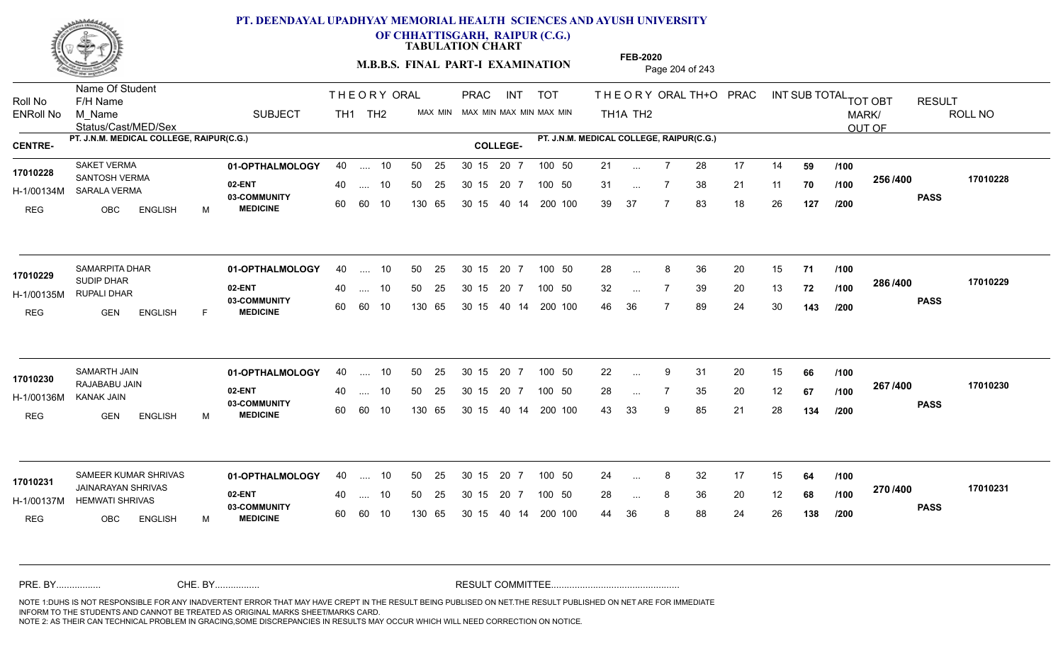

**OF CHHATTISGARH, RAIPUR (C.G.)**

**TABULATION CHART** 

**M.B.B.S. FINAL PART-I EXAMINATION** Page 204 of 243

Status/Cast/MED/Sex Name Of Student Roll No F/H Name M\_Name SUBJECT TH1 TH2 <sup>MAX\_MIN</sup> N PRAC INT TOT THEORY ORAL TH+O PRAC INT TH<sub>1</sub>A TH<sub>2</sub> ORAL TH+ODPRACD INT SUB TOTAL <sub>TOT OBT</sub> RESULT ROLL NO MARK/ OUT OF ENRoll No M Name  $\,$  SUBJECT TH1 TH2 MAX MIN MAX MIN MAX MIN MAX MIN TH1A TH2 **PT. J.N.M. MEDICAL COLLEGE, RAIPUR(C.G.) PT. J.N.M. MEDICAL COLLEGE, RAIPUR(C.G.) CENTRE- COLLEGE-**THE ORY ORAL PRAC INT PRAC **01-OPTHALMOLOGY** SAKET VERMA 40 .... 10 30 15 20 7 **02-ENT** 03-COMMUNITY 60  **MEDICINE** H-1/00134M SARALA VERMA SANTOSH VERMA **17010228** REG OBC ENGLISH M 21 ... 7 28 17 14 **59** /**100** 31 ... 7 38 21 11 **70 /100 <sup>2007–00</sup>** 39 37 7 83 18 26 **127 256 PASS /400 17010228** .... 10 50 25 60 60 10 50 25 30 15 130 65 30 15 40 14 200 100 20 7 100 50 50 25 30 15 20 7 100 50 21 ... ... ... 7 **/100 /100 /200 01-OPTHALMOLOGY** SAMARPITA DHAR 40 .... 10 30 15 20 7 **02-ENT** 03-COMMUNITY 60 **MEDICINE** 60 60 10 H-1/00135M RUPALI DHAR 17010229 SUDIP DHAR REG GEN ENGLISH F 28 ... 8 36 20 15 **71 /100** 32 ... 7 39 20 13 **72 /100 <sup>2007–00</sup>** 46 36 7 89 24 30 **143 286 PASS /400 17010229** .... 10 50 25 130 65 30 15 20 7 130 65 30 15 40 14 200 100 30 15 20 7 100 50 50 25 30 15 20 7 100 50 28 ... 8 ... ... **/100 /100 /200 01-OPTHALMOLOGY** SAMARTH JAIN 40 .... 10 30 15 20 7 **02-ENT** 03-COMMUNITY 60  **MEDICINE** H-1/00136M RAJABABU JAIN **17010230** KANAK JAIN REG GEN ENGLISH M 22 9 31 20 15 **66** 28 ... 7 35 20 12 **67 /100 <sup>207</sup> /<del>1</del>00** 43 33 9 85 21 28 **134 267 PASS /400 17010230** .... 10 50 25 30 15 60 60 10 20 7 130 65 30 15 30 15 20 7 100 50 40 14 200 100 50 25 30 15 20 7 100 50 22 ... ... ... **/100 /100 /200 01-OPTHALMOLOGY 02-ENT** 03-COMMUNITY 60 **MEDICINE** 60 60 10 H-1/00137M HEMWATI SHRIVAS **1999 - 1999 - 1999** JAINARAYAN SHRIVAS **17010231** REG OBC ENGLISH M 24 ... 8 32 17 15 **64 /100** 28 ... 8 36 20 12 **68 /100 <sup>21 07</sup> 100** 44 36 8 88 24 26 **138 270 PASS /400 17010231** SAMEER KUMAR SHRIVAS **01-OPTHALMOLOGY** 40 .... 10 50 25 30 15 20 7 100 50 24 40 .... 10 50 25 130 65 130 65 30 15 30 15 20 7 100 50 40 14 200 100 30 15 20 7 100 50 24 ... 8 ... ... **/100 /100 /200** NOTE 1:DUHS IS NOT RESPONSIBLE FOR ANY INADVERTENT ERROR THAT MAY HAVE CREPT IN THE RESULT BEING PUBLISED ON NET.THE RESULT PUBLISHED ON NET ARE FOR IMMEDIATE INFORM TO THE STUDENTS AND CANNOT BE TREATED AS ORIGINAL MARKS SHEET/MARKS CARD. CHE. BY WAREL BY WARE AND THE AVEC THE AVEC THE THE RESULT COMMITTEE AND MULTIME MOTE 1:DUHS IS NOT RESPONSIBLE FOR ANY INADVERTENT ERROR THAT MAY HAVE CREPT IN THE RESULT BEING PUBLISED ON NET.THE RESULT PUBLISHED ON NET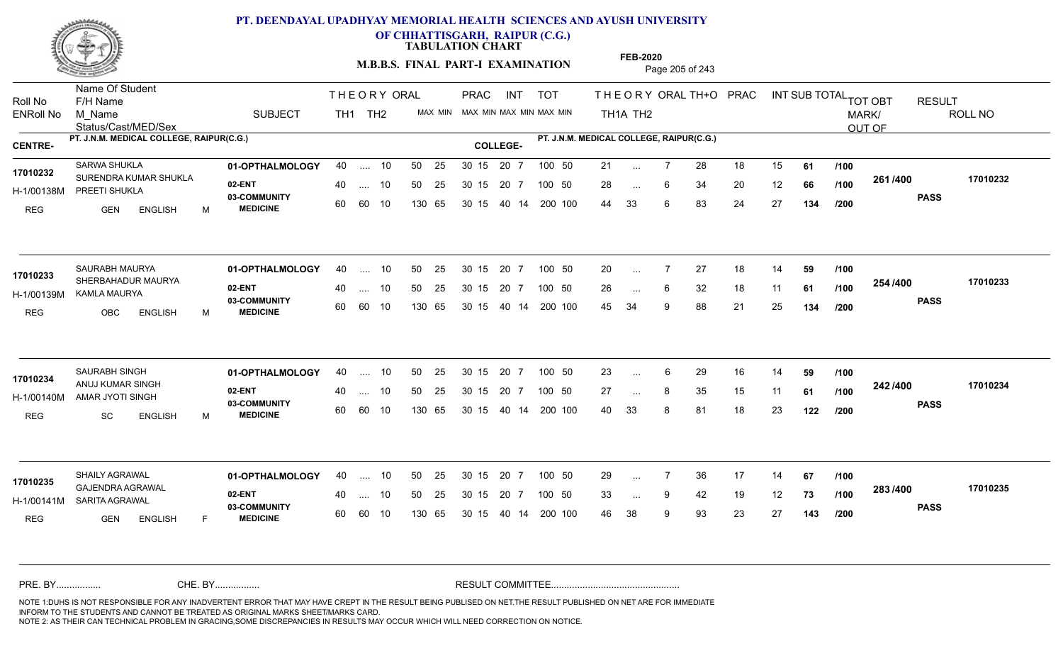

**OF CHHATTISGARH, RAIPUR (C.G.)**

**TABULATION CHART** 

**M.B.B.S. FINAL PART-I EXAMINATION** Page 205 of 243

Status/Cast/MED/Sex Name Of Student Roll No F/H Name M\_Name SUBJECT TH1 TH2 <sup>MAX\_MIN</sup> N PRAC INT TOT THEORY ORAL TH+O PRAC INT TH<sub>1</sub>A TH<sub>2</sub> ORAL TH+ODPRACD INT SUB TOTAL <sub>TOT OBT</sub> RESULT ROLL NO MARK/ OUT OF ENRoll No M Name  $\,$  SUBJECT TH1 TH2 MAX MIN MAX MIN MAX MIN MAX MIN TH1A TH2 **PT. J.N.M. MEDICAL COLLEGE, RAIPUR(C.G.) PT. J.N.M. MEDICAL COLLEGE, RAIPUR(C.G.) CENTRE- COLLEGE-**THE ORY ORAL PRAC INT PRAC **01-OPTHALMOLOGY** SARWA SHUKLA 40 .... 10 30 15 20 7 **02-ENT** 03-COMMUNITY 60  **MEDICINE** H-1/00138M PREETI SHUKLA 17010232 SURENDRA KUMAR SHUKLA REG GEN ENGLISH M 21 7 28 18 15 **61** 28 ... 6 34 20 12 **66 /100 <sup>2017–00</sup>** 44 33 6 83 24 27 **134 261 PASS /400 17010232** .... 10 50 25 60 60 10 50 25 30 15 130 65 30 15 20 7 100 50 40 14 200 100 50 25 30 15 20 7 100 50 21 ... ... ... 6 **/100 /100 /200 01-OPTHALMOLOGY** SAURABH MAURYA 40 .... 10 30 15 20 7 **02-ENT** 03-COMMUNITY 60  **MEDICINE** H-1/00139M KAMLA MAURYA SHERBAHADUR MAURYA **17010233** REG OBC ENGLISH M 20 7 27 18 14 **59** 26 ... 6 32 18 11 **61 /100 <sup>2047</sup> 1** 45 34 9 88 21 25 **134 254 PASS /400 17010233** .... 10 50 25 60 60 10 30 15 20 7 130 65 30 15 40 14 200 100 30 15 20 7 100 50 50 25 30 15 20 7 100 50 20 ... ... ... **/100 /100 /200 01-OPTHALMOLOGY** SAURABH SINGH 40 .... 10 30 15 20 7 **02-ENT** 03-COMMUNITY 60  **MEDICINE** H-1/00140M AMAR JYOTI SINGH **AMAR JYOTI SINGH** ANUJ KUMAR SINGH **17010234** REG SC ENGLISH M 23 ... 6 29 16 14 **59 /100** 27 ... 8 35 15 11 **61 /100 <sup>242 /400</mark>**</sup> 40 33 8 81 18 23 **122 242 PASS /400 17010234** .... 10 50 25 30 15 60 60 10 20 7 130 65 30 15 30 15 20 7 100 50 40 14 200 100 50 25 30 15 20 7 100 50 23 ... 6 ... ... **/100 /100 /200 01-OPTHALMOLOGY** SHAILY AGRAWAL 40 .... 10 30 15 20 7 **02-ENT** 03-COMMUNITY 60 **MEDICINE** 60 60 10 H-1/00141M SARITA AGRAWAL GAJENDRA AGRAWAL **17010235** REG **GEN ENGLISH** F 29 ... 7 36 17 14 **67 /100** 33 ... 9 42 19 12 **73 /100 <sup>2007</sup> 700** 46 38 9 93 23 27 **143 283 PASS /400 17010235** 40 .... 10 50 25 130 65 130 65 30 15 30 15 20 7 100 50 40 14 200 100 50 25 30 15 20 7 100 50 29 ... ... ... 9 **/100 /100 /200** NOTE 1:DUHS IS NOT RESPONSIBLE FOR ANY INADVERTENT ERROR THAT MAY HAVE CREPT IN THE RESULT BEING PUBLISED ON NET.THE RESULT PUBLISHED ON NET ARE FOR IMMEDIATE INFORM TO THE STUDENTS AND CANNOT BE TREATED AS ORIGINAL MARKS SHEET/MARKS CARD. CHE. BY WAREL BY WARE AND THE AVEC THE AVEC THE THE RESULT COMMITTEE AND MULTIME MOTE 1:DUHS IS NOT RESPONSIBLE FOR ANY INADVERTENT ERROR THAT MAY HAVE CREPT IN THE RESULT BEING PUBLISED ON NET.THE RESULT PUBLISHED ON NET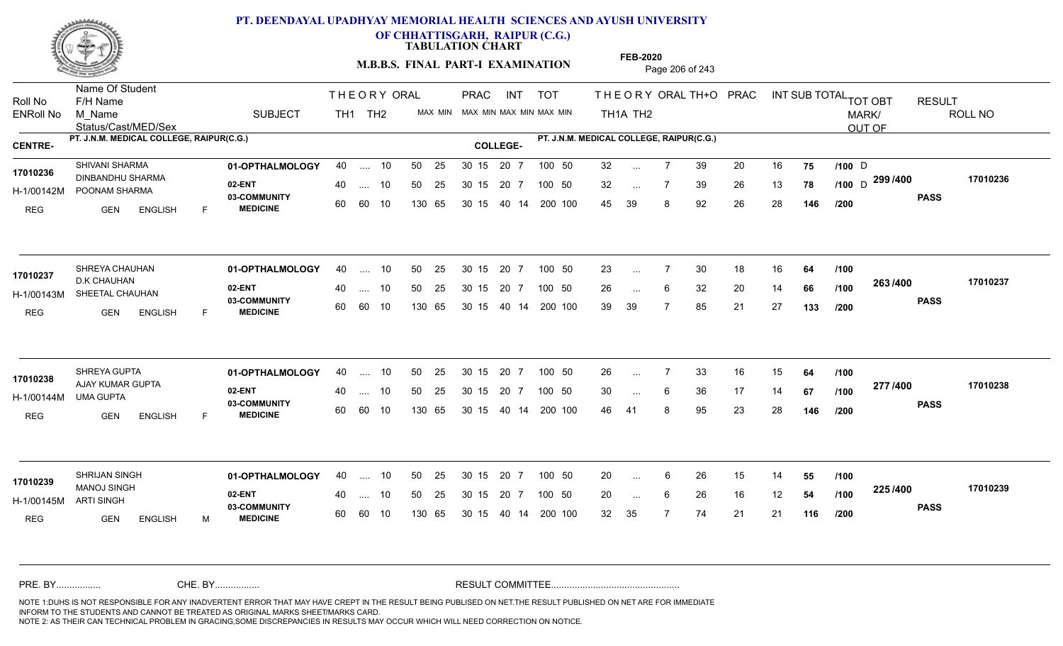

**OF CHHATTISGARH, RAIPUR (C.G.)**

**TABULATION CHART** 

**M.B.B.S. FINAL PART-I EXAMINATION** Page 206 of 243

Status/Cast/MED/Sex Name Of Student Roll No F/H Name M\_Name SUBJECT TH1 TH2 <sup>MAX\_MIN</sup> N PRAC INT TOT THEORY ORAL TH+O PRAC INT TH<sub>1</sub>A TH<sub>2</sub> ORAL TH+ODPRACD INT SUB TOTAL <sub>TOT OBT</sub> RESULT ROLL NO MARK/ OUT OF ENRoll No M Name  $\,$  SUBJECT TH1 TH2 MAX MIN MAX MIN MAX MIN MAX MIN TH1A TH2 **PT. J.N.M. MEDICAL COLLEGE, RAIPUR(C.G.) PT. J.N.M. MEDICAL COLLEGE, RAIPUR(C.G.) CENTRE- COLLEGE-**THE ORY ORAL PRAC INT PRAC **01-OPTHALMOLOGY** SHIVANI SHARMA 40 .... 10 30 15 20 7 **02-ENT** 03-COMMUNITY 60  **MEDICINE** H-1/00142M POONAM SHARMA DINBANDHU SHARMA **17010236** REG **GEN ENGLISH** F 32 ... 7 39 20 16 **75 /100** D 32 ... 7 39 26 13 **78 /100** D <sup>299 /400 170102</sup> 45 39 8 92 26 28 **146 PASS /400 17010236** .... 10 50 25 60 60 10 50 25 30 15 130 65 30 15 40 14 200 100 20 7 100 50 50 25 30 15 20 7 100 50 32 ... 7 39 20 16 **75 /100** D ... 7 ... **/100 /200 01-OPTHALMOLOGY** SHREYA CHAUHAN 40 .... 10 30 15 20 7 **02-ENT** 03-COMMUNITY 60  **MEDICINE** H-1/00143M SHEETAL CHAUHAN **SEARCH AND A SOLIGARISM** 17010237 D.K CHAUHAN REG GEN ENGLISH F 23 ... 7 30 18 16 **64 /100** 26 ... 6 32 20 14 **66 /100 <sup>2007</sup> 700** 39 39 7 85 21 27 **133 263 PASS /400 17010237**  $\ldots$  10 50 25 30 15 60 60 10 20 7 130 65 30 15 40 14 200 100 30 15 20 7 100 50 50 25 30 15 20 7 100 50 23 ... ...  $\overline{\phantom{a}}$ . 6 **/100 /100 /200 01-OPTHALMOLOGY** SHREYA GUPTA 40 .... 10 30 15 20 7 **02-ENT** 03-COMMUNITY 60  **MEDICINE** H-1/00144M AJAY KUMAR GUPTA **17010238** UMA GUPTA REG GEN ENGLISH F 26 7 33 16 15 **64** 30 ... 6 36 17 14 **67 /100 <sup>217</sup> 1<del>-</del>00** 46 41 8 95 23 28 **146 277 PASS /400 17010238** .... 10 50 25 30 15 60 60 10 20 7 130 65 30 15 30 15 20 7 100 50 40 14 200 100 50 25 30 15 20 7 100 50 26 ... 7 ... ... **/100 /100 /200 01-OPTHALMOLOGY** SHRIJAN SINGH 40 .... 10 30 15 20 7 **02-ENT** 03-COMMUNITY 60 **MEDICINE** 60 60 10 H-1/00145M MANOJ SINGH **17010239** ARTI SINGH REG GEN ENGLISH M 20 ... 6 26 15 14 **55 /100** 20 ... 6 26 16 12 **54 /100 <sup>223</sup>/\*<sup>00</sup>** 32 35 7 74 21 21 **116 225 PASS /400 17010239** 40 .... 10 50 25 130 65 130 65 30 15 30 15 20 7 100 50 40 14 200 100 50 25 30 15 20 7 100 50 20 ... ... ... 6 **/100 /100 /200** NOTE 1:DUHS IS NOT RESPONSIBLE FOR ANY INADVERTENT ERROR THAT MAY HAVE CREPT IN THE RESULT BEING PUBLISED ON NET.THE RESULT PUBLISHED ON NET ARE FOR IMMEDIATE INFORM TO THE STUDENTS AND CANNOT BE TREATED AS ORIGINAL MARKS SHEET/MARKS CARD. CHE. BY WAREL BY WARE AND THE AVEC THE AVEC THE THE RESULT COMMITTEE AND MULTIME MOTE 1:DUHS IS NOT RESPONSIBLE FOR ANY INADVERTENT ERROR THAT MAY HAVE CREPT IN THE RESULT BEING PUBLISED ON NET.THE RESULT PUBLISHED ON NET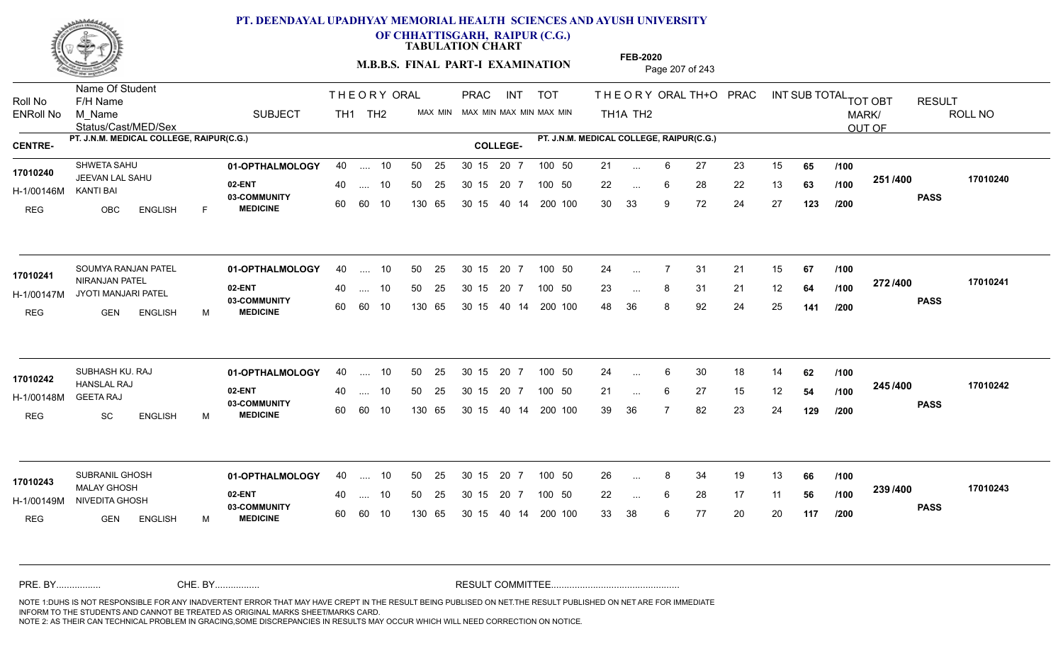

**OF CHHATTISGARH, RAIPUR (C.G.)**

**TABULATION CHART** 

**M.B.B.S. FINAL PART-I EXAMINATION** Page 207 of 243

Status/Cast/MED/Sex Name Of Student Roll No F/H Name M\_Name SUBJECT PRAC INT TOT THEORY ORAL TH+O PRAC INT TH<sub>1</sub>A TH<sub>2</sub> ORAL TH+ODPRACD INT SUB TOTAL <sub>TOT OBT</sub> RESULT ROLL NO MARK/ OUT OF ENRoll No M Name  $\,$  SUBJECT TH1 TH2 MAX MIN MAX MIN MAX MIN MAX MIN TH1A TH2 **PT. J.N.M. MEDICAL COLLEGE, RAIPUR(C.G.) PT. J.N.M. MEDICAL COLLEGE, RAIPUR(C.G.) CENTRE- COLLEGE-**THE ORY ORAL PRAC INT TH<sub>1</sub> TH<sub>2</sub> PRAC **01-OPTHALMOLOGY** SHWETA SAHU 40 .... 10 30 15 20 7 **02-ENT** 03-COMMUNITY 60  **MEDICINE** H-1/00146M JEEVAN LAL SAHU **17010240** KANTI BAI REG OBC ENGLISH F 21 ... 6 27 23 15 **65 /100** 22 ... 6 28 22 13 **63 /100 <sup>2017</sup> 700** 30 33 9 72 24 27 **123 251 PASS /400 17010240** .... 10 50 25 60 60 10 50 25 30 15 130 65 30 15 40 14 200 100 20 7 100 50 50 25 30 15 20 7 100 50 21 ... ... ... 6 **/100 /100 /200 01-OPTHALMOLOGY** SOUMYA RANJAN PATEL 40 .... 10 30 15 20 7 **02-ENT** 03-COMMUNITY 60 **MEDICINE** 60 60 10 H-1/00147M JYOTI MANJARI PATEL **1999 - 1999** 17010241 NIRANJAN PATEL REG GEN ENGLISH M 24 7 31 21 15 **67** 23 ... 8 31 21 12 **64 /100 <sup>212/400</sup>** 48 36 8 92 24 25 **141 272 PASS /400 17010241**  $\ldots$  10 50 25 30 15 130 65 20 7 130 65 30 15 40 14 200 100 30 15 20 7 100 50 50 25 30 15 20 7 100 50 24 ... ... ... **/100 /100 /200 01-OPTHALMOLOGY** SUBHASH KU. RAJ 40 .... 10 30 15 20 7 **02-ENT** 03-COMMUNITY 60  **MEDICINE** H-1/00148M HANSLAL RAJ **17010242** GEETA RAJ REG SC ENGLISH M 24 ... 6 30 18 14 **62 /100** 21 ... 6 27 15 12 **54 /100 <sup>2437466</sup>** 39 36 7 82 23 24 **129 245 PASS /400 17010242** .... 10 50 25 30 15 60 60 10 20 7 130 65 30 15 30 15 20 7 100 50 40 14 200 100 50 25 30 15 20 7 100 50 24 ... 6 ... ... 6 **/100 /100 /200** SUBRANIL GHOSH **01-OPTHALMOLOGY** 40 .... 10 50 25 30 15 20 7 100 50 26 **02-ENT** 03-COMMUNITY 60 **MEDICINE** 60 60 10 H-1/00149M NIVEDITA GHOSH **1999 - 1999 NATION** MALAY GHOSH **17010243** REG GEN ENGLISH M 26 8 34 19 13 **66** 22 ... 6 28 17 11 **56 /100 <sup>2007/400</sup>** 33 38 6 77 20 20 **117 239 PASS /400 17010243** 40 .... 10 50 25 130 65 130 65 30 15 30 15 20 7 100 50 40 14 200 100 50 25 30 15 20 7 100 50 26 ... 8 ... ... 6 **/100 /100 /200** NOTE 1:DUHS IS NOT RESPONSIBLE FOR ANY INADVERTENT ERROR THAT MAY HAVE CREPT IN THE RESULT BEING PUBLISED ON NET.THE RESULT PUBLISHED ON NET ARE FOR IMMEDIATE INFORM TO THE STUDENTS AND CANNOT BE TREATED AS ORIGINAL MARKS SHEET/MARKS CARD. CHE. BY WAREL BY WARE AND THE AVEC THE AVEC THE THE RESULT COMMITTEE AND MULTIME MOTE 1:DUHS IS NOT RESPONSIBLE FOR ANY INADVERTENT ERROR THAT MAY HAVE CREPT IN THE RESULT BEING PUBLISED ON NET.THE RESULT PUBLISHED ON NET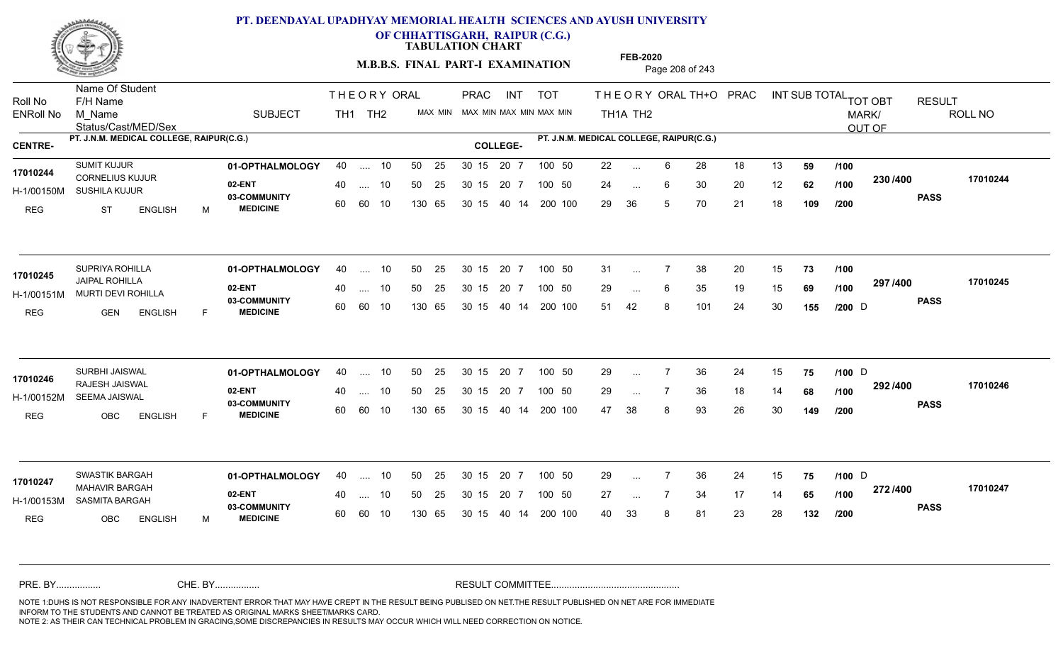

**OF CHHATTISGARH, RAIPUR (C.G.)**

**TABULATION CHART** 

**FEB-2020**

**M.B.B.S. FINAL PART-I EXAMINATION** Page 208 of 243

Status/Cast/MED/Sex Name Of Student Roll No F/H Name M\_Name SUBJECT TH1 TH2 <sup>MAX\_MIN</sup> N PRAC INT TOT THEORY ORAL TH+O PRAC INT TH<sub>1</sub>A TH<sub>2</sub> ORAL TH+ODPRACD INT SUB TOTAL <sub>TOT OBT</sub> RESULT ROLL NO MARK/ OUT OF ENRoll No M Name  $\,$  SUBJECT TH1 TH2 MAX MIN MAX MIN MAX MIN MAX MIN TH1A TH2 **PT. J.N.M. MEDICAL COLLEGE, RAIPUR(C.G.) PT. J.N.M. MEDICAL COLLEGE, RAIPUR(C.G.) CENTRE- COLLEGE-**THE ORY ORAL PRAC INT PRAC **01-OPTHALMOLOGY** SUMIT KUJUR 40 .... 10 30 15 20 7 **02-ENT** 03-COMMUNITY 60  **MEDICINE** H-1/00150M SUSHILA KUJUR 17010244 CORNELIUS KUJUR REG ST ENGLISH M 22 ... 6 28 18 13 **59 /100** 24 ... 6 30 20 12 **62 /100 <sup>2007</sup> 1** 29 36 5 70 21 18 **109 230 PASS /400 17010244** .... 10 50 25 60 60 10 50 25 30 15 130 65 30 15 40 14 200 100 20 7 100 50 50 25 30 15 20 7 100 50 22 ... ... ... 6 **/100 /100 /200 01-OPTHALMOLOGY** SUPRIYA ROHILLA 40 .... 10 30 15 20 7 **02-ENT** 03-COMMUNITY 60  **MEDICINE** H-1/00151M MURTI DEVI ROHILLA **1999 - 1999 POMIL** JAIPAL ROHILLA **17010245** REG GEN ENGLISH F 31 ... 7 38 20 15 **73 /100** 29 ... 6 35 19 15 **69 /100 <sup>297 / 400</mark>**</sup> 51 42 8 101 24 30 **155 297 PASS /400 17010245** .... 10 50 25 60 60 10 30 15 20 7 130 65 30 15 40 14 200 100 30 15 20 7 100 50 50 25 30 15 20 7 100 50 31 ...  $D \rightarrow \text{Cov}$ ... ... **/100 /100 /200 01-OPTHALMOLOGY** SURBHI JAISWAL 40 .... 10 30 15 20 7 **02-ENT** 03-COMMUNITY 60  **MEDICINE** H-1/00152M SEEMA JAISWAL RAJESH JAISWAL **17010246** REG OBC ENGLISH F 29 ... 7 36 24 15 **75 /100** D 29 ... 7 36 18 14 **68 /100 <sup>232</sup> 1** 47 38 8 93 26 30 **149 292 PASS /400 17010246** .... 10 50 25 30 15 60 60 10 20 7 130 65 30 15 30 15 20 7 100 50 40 14 200 100 50 25 30 15 20 7 100 50 29 ... 7 36 24 15 **75 /100** D ... 7 ... **/100 /100 /200 01-OPTHALMOLOGY** SWASTIK BARGAH 40 .... 10 30 15 20 7 **02-ENT** 03-COMMUNITY 60 **MEDICINE** 60 60 10 H-1/00153M SASMITA BARGAH MAHAVIR BARGAH **17010247** REG OBC ENGLISH M 29 ... 7 36 24 15 **75 /100** D 27 ... 7 34 17 14 **65 /100 <sup>212/+00</sup>** 40 33 8 81 23 28 **132 272 PASS /400 17010247** .... 10 50 25 130 65 30 15 20 7 130 65 30 15 30 15 20 7 100 50 40 14 200 100 50 25 30 15 20 7 100 50 29 ... 7 36 24 15 **75 /100** D ... 7 ... **/100 /200** NOTE 1:DUHS IS NOT RESPONSIBLE FOR ANY INADVERTENT ERROR THAT MAY HAVE CREPT IN THE RESULT BEING PUBLISED ON NET.THE RESULT PUBLISHED ON NET ARE FOR IMMEDIATE INFORM TO THE STUDENTS AND CANNOT BE TREATED AS ORIGINAL MARKS SHEET/MARKS CARD. CHE. BY WAREL BY WARE AND THE AVEC THE AVEC THE THE RESULT COMMITTEE AND MULTIME MOTE 1:DUHS IS NOT RESPONSIBLE FOR ANY INADVERTENT ERROR THAT MAY HAVE CREPT IN THE RESULT BEING PUBLISED ON NET.THE RESULT PUBLISHED ON NET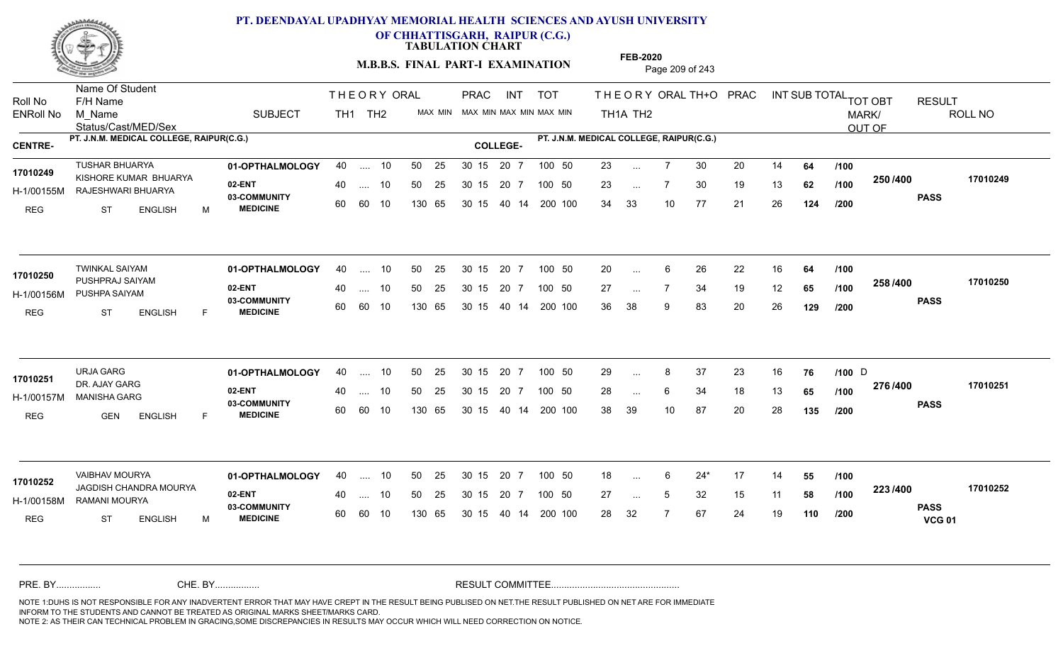

**OF CHHATTISGARH, RAIPUR (C.G.)**

**TABULATION CHART** 

**M.B.B.S. FINAL PART-I EXAMINATION** Page 209 of 243

Status/Cast/MED/Sex Name Of Student Roll No F/H Name M\_Name SUBJECT TH1 TH2 <sup>MAX\_MIN</sup> N PRAC INT TOT THEORY ORAL TH+O PRAC INT TH<sub>1</sub>A TH<sub>2</sub> ORAL TH+ODPRACD INT SUB TOTAL <sub>TOT OBT</sub> RESULT ROLL NO MARK/ OUT OF ENRoll No M Name  $\,$  SUBJECT TH1 TH2 MAX MIN MAX MIN MAX MIN MAX MIN TH1A TH2 **PT. J.N.M. MEDICAL COLLEGE, RAIPUR(C.G.) PT. J.N.M. MEDICAL COLLEGE, RAIPUR(C.G.) CENTRE- COLLEGE-**THE ORY ORAL PRAC INT PRAC **01-OPTHALMOLOGY** TUSHAR BHUARYA 40 .... 10 30 15 20 7 **02-ENT** 03-COMMUNITY 60  **MEDICINE** H-1/00155M RAJESHWARI BHUARYA **1999 - 1999 AGAMULYU** KISHORE KUMAR BHUARYA **17010249** REG ST ENGLISH M 23 ... 7 30 20 14 **64 /100** 23 ... 7 30 19 13 **62 /100 <sup>2007</sup> 1** 34 33 10 77 21 26 **124 250 PASS /400 17010249** .... 10 50 25 60 60 10 50 25 30 15 130 65 30 15 40 14 200 100 20 7 100 50 50 25 30 15 20 7 100 50 23 ... ... ... 7 **/100 /100 /200 01-OPTHALMOLOGY** TWINKAL SAIYAM 40 .... 10 30 15 20 7 **02-ENT** 03-COMMUNITY 60  **MEDICINE** H-1/00156M PUSHPA SAIYAM 17010250 PUSHPRAJ SAIYAM REG ST ENGLISH F 20 ... 6 26 22 16 **64 /100** 27 ... 7 34 19 12 **65 /100 <sup>2007</sup> 1** 36 38 9 83 20 26 **129 258 PASS /400 17010250** .... 10 50 25 60 60 10 30 15 20 7 130 65 30 15 40 14 200 100 30 15 20 7 100 50 50 25 30 15 20 7 100 50 20 ... ... ... **/100 /100 /200 01-OPTHALMOLOGY** URJA GARG 40 .... 10 30 15 20 7 **02-ENT** 03-COMMUNITY 60  **MEDICINE** H-1/00157M MANISHA GARG 22 AM DR. AJAY GARG **17010251** REG GEN ENGLISH F 29 ... 8 37 23 16 **76** /**100** D 28 ... 6 34 18 13 **65 /100 <sup>2107–00</sup>** 38 39 10 87 20 28 **135 276 PASS /400 17010251** .... 10 50 25 30 15 60 60 10 20 7 130 65 30 15 30 15 20 7 100 50 40 14 200 100 50 25 30 15 20 7 100 50 29 ... 8 37 23 16 **76 /100** D ... ... **/100 /100 /200 01-OPTHALMOLOGY** VAIBHAV MOURYA 40 .... 10 30 15 20 7 **02-ENT** 03-COMMUNITY 60 **MEDICINE** 60 60 10 H-1/00158M RAMANI MOURYA JAGDISH CHANDRA MOURYA **17010252** REG ST ENGLISH M 18 6 24\* 17 14 **55** 27 ... 5 32 15 11 **58 /100 <sup>223</sup>/\*<sup>00</sup>** 28 32 7 67 24 19 **110 223 PASS VCG 01 /400 17010252** 40 .... 10 50 25 130 65 130 65 30 15 30 15 20 7 100 50 40 14 200 100 50 25 30 15 20 7 100 50 18 ... ... ... **/100 /100 /200** NOTE 1:DUHS IS NOT RESPONSIBLE FOR ANY INADVERTENT ERROR THAT MAY HAVE CREPT IN THE RESULT BEING PUBLISED ON NET.THE RESULT PUBLISHED ON NET ARE FOR IMMEDIATE INFORM TO THE STUDENTS AND CANNOT BE TREATED AS ORIGINAL MARKS SHEET/MARKS CARD. CHE. BY WAREL BY WARE AND THE AVEC THE AVEC THE THE RESULT COMMITTEE AND MULTIME MOTE 1:DUHS IS NOT RESPONSIBLE FOR ANY INADVERTENT ERROR THAT MAY HAVE CREPT IN THE RESULT BEING PUBLISED ON NET.THE RESULT PUBLISHED ON NET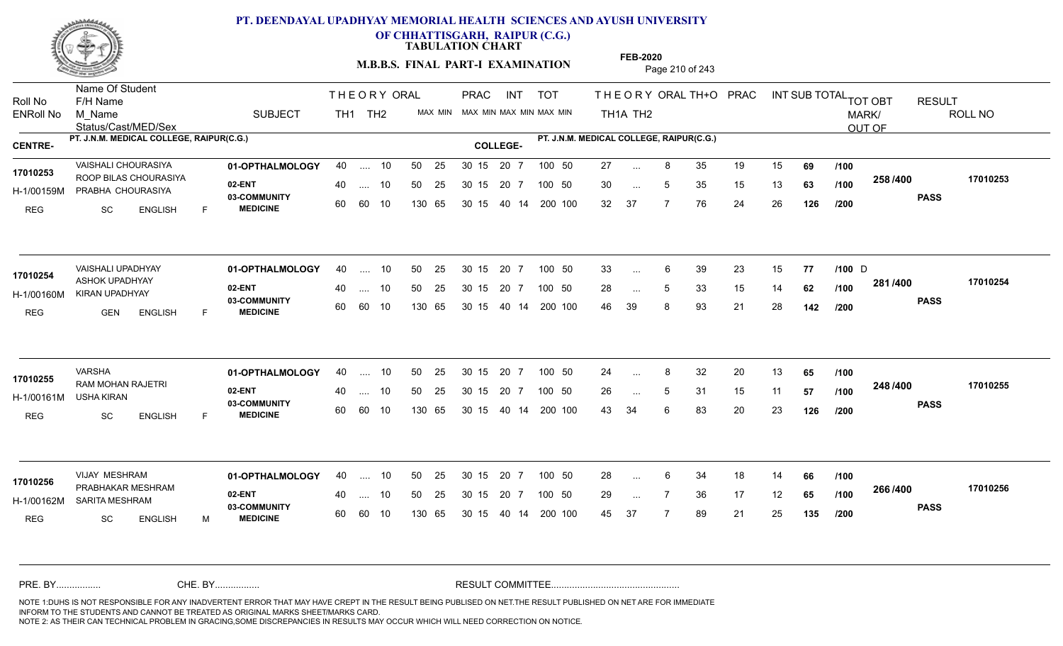

**OF CHHATTISGARH, RAIPUR (C.G.)**

**TABULATION CHART** 

**M.B.B.S. FINAL PART-I EXAMINATION** Page 210 of 243

Status/Cast/MED/Sex Name Of Student Roll No F/H Name M\_Name SUBJECT TH1 TH2 <sup>MAX\_MIN</sup> N PRAC INT TOT THEORY ORAL TH+O PRAC INT TH<sub>1</sub>A TH<sub>2</sub> ORAL TH+ODPRACD INT SUB TOTAL <sub>TOT OBT</sub> RESULT ROLL NO MARK/ OUT OF ENRoll No M Name  $\,$  SUBJECT TH1 TH2 MAX MIN MAX MIN MAX MIN MAX MIN TH1A TH2 **PT. J.N.M. MEDICAL COLLEGE, RAIPUR(C.G.) PT. J.N.M. MEDICAL COLLEGE, RAIPUR(C.G.) CENTRE- COLLEGE-**THE ORY ORAL PRAC INT PRAC VAISHALI CHOURASIYA **01-OPTHALMOLOGY** 40 .... 10 50 25 30 15 20 7 100 50 27 **02-ENT** 03-COMMUNITY 60  **MEDICINE** H-1/00159M PRABHA CHOURASIYA 17010253 ROOP BILAS CHOURASIYA REG SC ENGLISH F 27 ... 8 35 19 15 **69** /**100** 30 ... 5 35 15 13 **63 /100 <sup>2007</sup> 1** 32 37 7 76 24 26 **126 258 PASS /400 17010253** .... 10 50 25 60 60 10 50 25 30 15 130 65 30 15 40 14 200 100 20 7 100 50 50 25 30 15 20 7 100 50 27 ... ... ... **/100 /100 /200 01-OPTHALMOLOGY** VAISHALI UPADHYAY 40 .... 10 30 15 20 7 **02-ENT** 03-COMMUNITY 60  **MEDICINE** H-1/00160M KIRAN UPADHYAY ASHOK UPADHYAY **17010254** REG GEN ENGLISH F 33 6 39 23 15 **77 /100** 28 ... 5 33 15 14 **62 /100 <sup>2017–00</sup>** 46 39 8 93 21 28 **142 281 PASS /400 17010254** .... 10 50 25 60 60 10 30 15 20 7 130 65 30 15 40 14 200 100 30 15 20 7 100 50 50 25 30 15 20 7 100 50 33 ... 6 39 23 15 **77 /100** D ... 6 ... **/100 /200 01-OPTHALMOLOGY** VARSHA 40 .... 10 30 15 20 7 **02-ENT** 03-COMMUNITY 60  **MEDICINE** H-1/00161M RAM MOHAN RAJETRI **17010255** USHA KIRAN REG SC ENGLISH F 24 ... 8 32 20 13 **65 /100** 26 ... 5 31 15 11 **57 /100 <sup>2467466</sup>** 43 34 6 83 20 23 **126 248 PASS /400 17010255** .... 10 50 25 30 15 60 60 10 20 7 130 65 30 15 30 15 20 7 100 50 40 14 200 100 50 25 30 15 20 7 100 50 24 ... 8 ... ... **/100 /100 /200 01-OPTHALMOLOGY** VIJAY MESHRAM 40 .... 10 30 15 20 7 **02-ENT** 03-COMMUNITY 60 **MEDICINE** 60 60 10 H-1/00162M SARITA MESHRAM 22 COMMUNITY 17010256 PRABHAKAR MESHRAM REG SC ENGLISH M 28 ... 6 34 18 14 **66 /100** 29 ... 7 36 17 12 **65 /100 <sup>2007–00</sup>** 45 37 7 89 21 25 **135 266 PASS /400 17010256** 40 .... 10 50 25 130 65 130 65 30 15 30 15 20 7 100 50 40 14 200 100 50 25 30 15 20 7 100 50 28 ... ... ... **/100 /100 /200** NOTE 1:DUHS IS NOT RESPONSIBLE FOR ANY INADVERTENT ERROR THAT MAY HAVE CREPT IN THE RESULT BEING PUBLISED ON NET.THE RESULT PUBLISHED ON NET ARE FOR IMMEDIATE INFORM TO THE STUDENTS AND CANNOT BE TREATED AS ORIGINAL MARKS SHEET/MARKS CARD. CHE. BY WAREL BY WARE AND THE AVEC THE AVEC THE THE RESULT COMMITTEE AND MULTIME MOTE 1:DUHS IS NOT RESPONSIBLE FOR ANY INADVERTENT ERROR THAT MAY HAVE CREPT IN THE RESULT BEING PUBLISED ON NET.THE RESULT PUBLISHED ON NET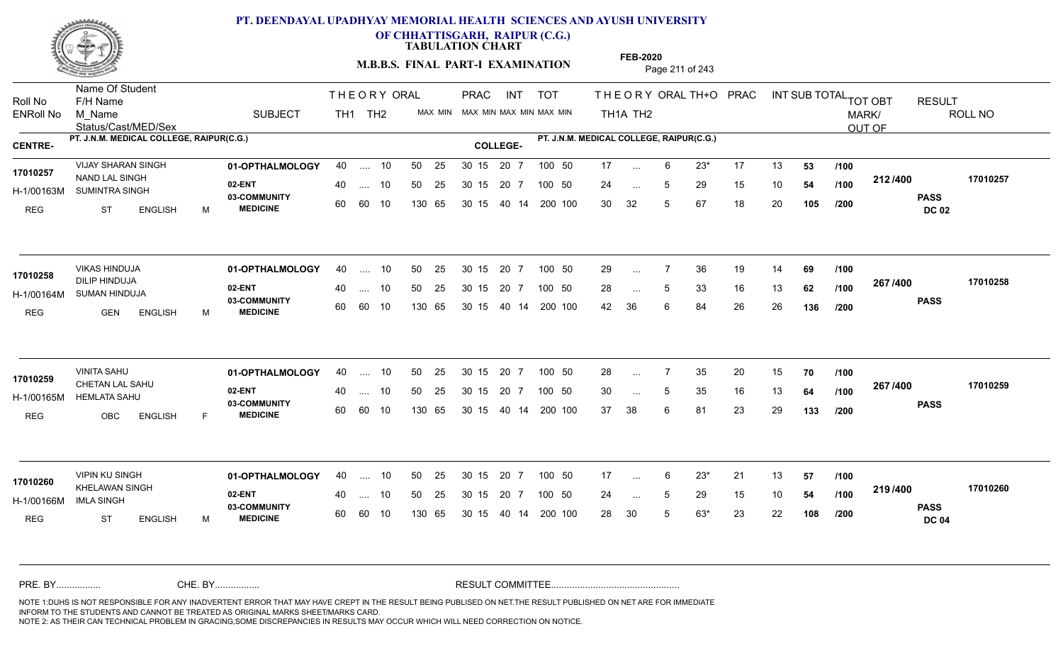

**OF CHHATTISGARH, RAIPUR (C.G.)**

**TABULATION CHART** 

**M.B.B.S. FINAL PART-I EXAMINATION** Page 211 of 243

Status/Cast/MED/Sex Name Of Student Roll No F/H Name M\_Name SUBJECT TH1 TH2 <sup>MAX\_MIN</sup> N PRAC INT TOT THEORY ORAL TH+O PRAC INT TH<sub>1</sub>A TH<sub>2</sub> ORAL TH+ODPRACD INT SUB TOTAL <sub>TOT OBT</sub> RESULT ROLL NO MARK/ OUT OF ENRoll No M Name  $\,$  SUBJECT TH1 TH2 MAX MIN MAX MIN MAX MIN MAX MIN TH1A TH2 **PT. J.N.M. MEDICAL COLLEGE, RAIPUR(C.G.) PT. J.N.M. MEDICAL COLLEGE, RAIPUR(C.G.) CENTRE- COLLEGE-**THE ORY ORAL PRAC INT PRAC **01-OPTHALMOLOGY** VIJAY SHARAN SINGH 40 .... 10 30 15 20 7 **02-ENT** 03-COMMUNITY 60  **MEDICINE** H-1/00163M SUMINTRA SINGH **11/00163M** 17010257 NAND LAL SINGH 2012 17010257 REG ST ENGLISH M 17 6 23\* 17 13 **53** 24 ... 5 29 15 10 **54 /100 <del>1</del>127+00** 30 32 5 67 18 20 **105 212 PASS DC 02 /400 17010257** 40 .... 10 50 25 30 15 60 60 10 130 65 30 15 20 7 100 50 40 14 200 100 50 25 30 15 20 7 100 50 17 ... ... ... **/100 /100 /200 01-OPTHALMOLOGY** VIKAS HINDUJA 40 .... 10 30 15 20 7 **02-ENT** 03-COMMUNITY 60  **MEDICINE** H-1/00164M SUMAN HINDUJA **17010258** DILIP HINDUJA REG GEN ENGLISH M 29 ... 7 36 19 14 **69** /**100** 28 ... 5 33 16 13 **62 /100 <sup>2077</sup> 700** 42 36 6 84 26 26 **136 267 PASS /400 17010258** 40 .... 10 50 25 60 60 10 130 65 30 15 40 14 200 100 30 15 20 7 100 50 50 25 30 15 20 7 100 50 29 ... ... ... 5 **/100 /100 /200 01-OPTHALMOLOGY** VINITA SAHU 40 .... 10 30 15 20 7 **02-ENT** 03-COMMUNITY 60  **MEDICINE** H-1/00165M HEMLATA SAHU CHETAN LAL SAHU **17010259** REG OBC ENGLISH F 28 7 35 20 15 **70** 30 ... 5 35 16 13 **64 /100 <sup>207</sup> 1<del>-</del>00** 37 38 6 81 23 29 **133 267 PASS /400 17010259** .... 10 50 25 30 15 60 60 10 20 7 130 65 30 15 30 15 20 7 100 50 40 14 200 100 50 25 30 15 20 7 100 50 28 ... 7 ... ... 5 **/100 /100 /200 01-OPTHALMOLOGY** VIPIN KU SINGH 40 .... 10 30 15 20 7 **02-ENT** 03-COMMUNITY 60 **MEDICINE** 60 60 10 H-1/00166M 17010260<br>**KHELAWAN SINGH** 20 ---IMLA SINGH REG ST ENGLISH M 17 6 23\* 21 13 **57** 24 ... 5 29 15 10 **54 /100 <del>1137</del>+00** 28 30 5 63\* 23 22 **108 219 PASS DC 04 /400 17010260** 40 .... 10 50 25 130 65 130 65 30 15 30 15 20 7 100 50 40 14 200 100 50 25 30 15 20 7 100 50 17 ... ... ... **/100 /100 /200** NOTE 1:DUHS IS NOT RESPONSIBLE FOR ANY INADVERTENT ERROR THAT MAY HAVE CREPT IN THE RESULT BEING PUBLISED ON NET.THE RESULT PUBLISHED ON NET ARE FOR IMMEDIATE INFORM TO THE STUDENTS AND CANNOT BE TREATED AS ORIGINAL MARKS SHEET/MARKS CARD. CHE. BY WAREL BY WARE AND THE AVEC THE AVEC THE THE RESULT COMMITTEE AND MULTIME MOTE 1:DUHS IS NOT RESPONSIBLE FOR ANY INADVERTENT ERROR THAT MAY HAVE CREPT IN THE RESULT BEING PUBLISED ON NET.THE RESULT PUBLISHED ON NET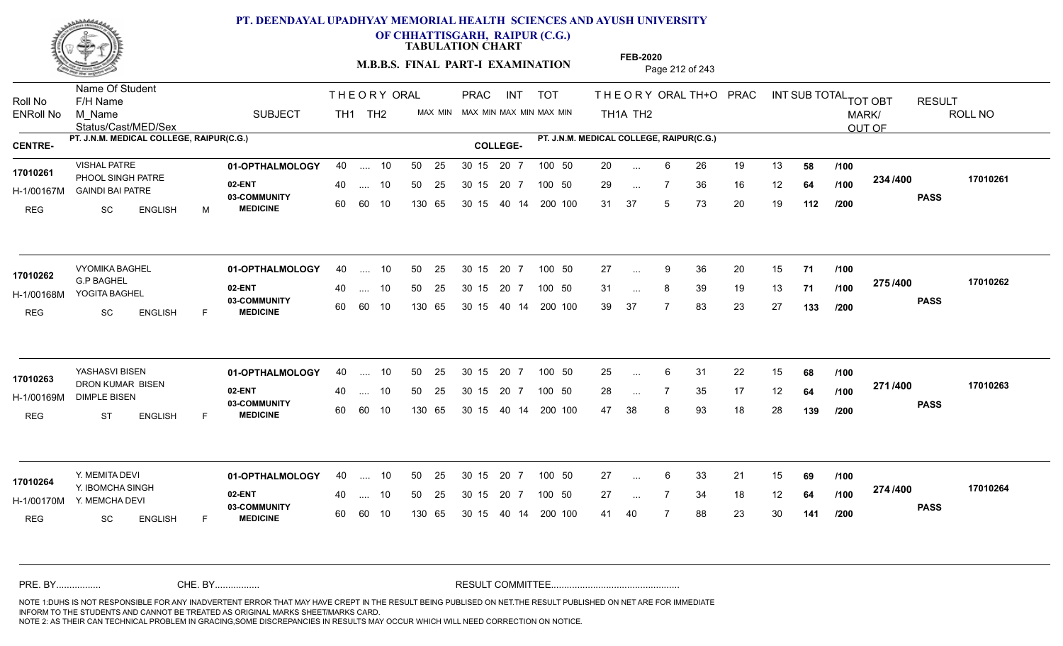

**OF CHHATTISGARH, RAIPUR (C.G.)**

**TABULATION CHART** 

**M.B.B.S. FINAL PART-I EXAMINATION** Page 212 of 243

Status/Cast/MED/Sex Name Of Student Roll No F/H Name M\_Name SUBJECT TH1 TH2 <sup>MAX\_MIN</sup> N PRAC INT TOT THEORY ORAL TH+O PRAC INT TH<sub>1</sub>A TH<sub>2</sub> ORAL TH+ODPRACD INT SUB TOTAL <sub>TOT OBT</sub> RESULT ROLL NO MARK/ OUT OF ENRoll No M Name  $\,$  SUBJECT TH1 TH2 MAX MIN MAX MIN MAX MIN MAX MIN TH1A TH2 **PT. J.N.M. MEDICAL COLLEGE, RAIPUR(C.G.) PT. J.N.M. MEDICAL COLLEGE, RAIPUR(C.G.) CENTRE- COLLEGE-**THE ORY ORAL PRAC INT PRAC **01-OPTHALMOLOGY** VISHAL PATRE 40 .... 10 30 15 20 7 **02-ENT** 03-COMMUNITY 60  **MEDICINE** H-1/00167M GAINDI BAI PATRE 17010261 PHOOL SINGH PATRE REG SC ENGLISH M 20 6 26 19 13 **58** 29 ... 7 36 16 12 **64 /100 <sup>2047</sup> 1** 31 37 5 73 20 19 **112 234 PASS /400 17010261** .... 10 50 25 60 60 10 50 25 30 15 130 65 30 15 40 14 200 100 20 7 100 50 50 25 30 15 20 7 100 50 20 ... ... ... **/100 /100 /200 01-OPTHALMOLOGY** VYOMIKA BAGHEL 40 .... 10 30 15 20 7 **02-ENT** 03-COMMUNITY 60  **MEDICINE** H-1/00168M YOGITA BAGHEL G.P BAGHEL REG SC ENGLISH F 27 ... 9 36 20 15 **71 /100** 31 ... 8 39 19 13 **71 /100 <sup>21 31</sup> 7** 39 37 7 83 23 27 **133 275 PASS /400 17010262** .... 10 50 25 60 60 10 30 15 20 7 130 65 30 15 40 14 200 100 30 15 20 7 100 50 50 25 30 15 20 7 100 50 27 ... 9 **17010262 17010262** ... 9 ... **/100 /100 /200 01-OPTHALMOLOGY** YASHASVI BISEN 40 .... 10 30 15 20 7 **02-ENT** 03-COMMUNITY 60  **MEDICINE** H-1/00169M DIMPLE BISEN 22 BM 17010263 **DRON KUMAR BISEN 17010263** REG ST ENGLISH F 25 6 31 22 15 **68** 28 ... 7 35 17 12 **64 /100 <del>1111</del>00** 47 38 8 93 18 28 **139 271 PASS /400 17010263** .... 10 50 25 30 15 60 60 10 20 7 130 65 30 15 30 15 20 7 100 50 40 14 200 100 50 25 30 15 20 7 100 50 25 ... 6 ... ... **/100 /100 /200 01-OPTHALMOLOGY** Y. MEMITA DEVI 40 .... 10 30 15 20 7 **02-ENT** 03-COMMUNITY 60 MEDICINE 60 60 10 H-1/00170M Y. MEMCHA DEVI 17010264<br>
Y. IBOMCHA SINGH REG SC ENGLISH F 27 ... 6 33 21 15 **69 /100** 27 ... 7 34 18 12 **64 /100 <del>11</del>11100** 41 40 7 88 23 30 **141 274 PASS /400 17010264** .... 10 50 25 130 65 30 15 20 7 130 65 30 15 30 15 20 7 100 50 40 14 200 100 50 25 30 15 20 7 100 50 27 ... ... ... **/100 /100 /200** NOTE 1:DUHS IS NOT RESPONSIBLE FOR ANY INADVERTENT ERROR THAT MAY HAVE CREPT IN THE RESULT BEING PUBLISED ON NET.THE RESULT PUBLISHED ON NET ARE FOR IMMEDIATE INFORM TO THE STUDENTS AND CANNOT BE TREATED AS ORIGINAL MARKS SHEET/MARKS CARD. CHE. BY WAREL BY WARE AND THE AVEC THE AVEC THE THE RESULT COMMITTEE AND MULTIME MOTE 1:DUHS IS NOT RESPONSIBLE FOR ANY INADVERTENT ERROR THAT MAY HAVE CREPT IN THE RESULT BEING PUBLISED ON NET.THE RESULT PUBLISHED ON NET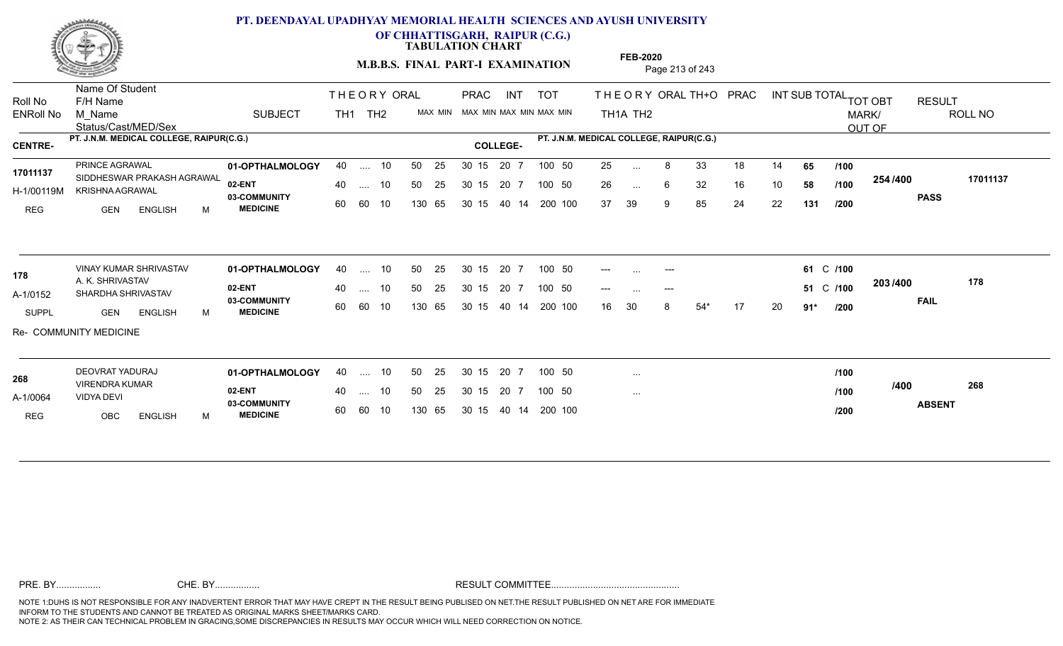

**OF CHHATTISGARH, RAIPUR (C.G.)**

**TABULATION CHART** 

**M.B.B.S. FINAL PART-I EXAMINATION** Page 213 of 243

Status/Cast/MED/Sex Name Of Student Roll No F/H Name M\_Name SUBJECT TOT THE ORY ORAL TH+O PRAC INT TH<sub>1</sub>A TH<sub>2</sub> ORAL TH+ODPRACD INT SUB TOTAL <sub>TOT OBT</sub> RESULT ROLL NO MARK/ OUT OF ENRoll No M Name  $\,$  SUBJECT TH1 TH2 MAX MIN MAX MIN MAX MIN MAX MIN TH1A TH2 **PT. J.N.M. MEDICAL COLLEGE, RAIPUR(C.G.) PT. J.N.M. MEDICAL COLLEGE, RAIPUR(C.G.) CENTRE- COLLEGE-**THE ORY ORAL TH<sub>1</sub> TH<sub>2</sub> PRAC INT TOT THEOR PRAC **01-OPTHALMOLOGY** PRINCE AGRAWAL 40 .... 10 30 15 20 7 **02-ENT 03-COMMUNITY MEDICINE** REG GEN ENGLISH M H-1/00119M KRISHNA AGRAWAL 17011137 SIDDHESWAR PRAKASH AGRAWAL 25 ... 8 33 18 14 **65 /100** 26 ... 6 32 16 10 **58 /100 <sup>2047</sup> 1** 37 39 9 85 24 22 **131 254 PASS /400 17011137** .... 10 50 25 60 60 10 50 25 30 15 130 65 30 15 40 14 200 100 20 7 100 50 50 25 30 15 20 7 100 50 25 ... ... ... **/100 /100 /200 01-OPTHALMOLOGY 02-ENT 03-COMMUNITY MEDICINE** A-1/0152 SHARDHA SHRIVASTAV 178 A. K. SHRIVASTAV **178** SUPPL **GEN ENGLISH** M --- --- **61 /100** C --- ... --- 51 C /100 <sup>2037400</sup> 16 30 8 54\* 17 20 **91\* 203 /400 FAIL 178** Re- COMMUNITY MEDICINE VINAY KUMAR SHRIVASTAV **01-OPTHALMOLOGY** 40 .... 10 50 25 30 15 20 7 100 50 .... 10 50 25 60 60 10 50 25 30 15 130 65 30 15 40 14 200 100 20 7 100 50 30 15 20 7 ... ... **/200 01-OPTHALMOLOGY** DEOVRAT YADURAJ 40 .... 10 30 15 20 7 **02-ENT 03-COMMUNITY MEDICINE** A-1/0064 VIDYA DEVI VIRENDRA KUMAR **268** REG OBC ENGLISH M **ABSENT /400 268** .... 10 50 25 60 60 10 50 25 30 15 130 65 30 15 40 14 200 100 20 7 100 50 50 25 30 15 20 7 100 50 ... ... ... **/100 /100 /200**

**FEB-2020**

NOTE 1:DUHS IS NOT RESPONSIBLE FOR ANY INADVERTENT ERROR THAT MAY HAVE CREPT IN THE RESULT BEING PUBLISED ON NET.THE RESULT PUBLISHED ON NET ARE FOR IMMEDIATE INFORM TO THE STUDENTS AND CANNOT BE TREATED AS ORIGINAL MARKS SHEET/MARKS CARD. CHE. BY WAREL BY WARE AND THE AVEC THE AVEC THE THE RESULT COMMITTEE AND MULTIME MOTE 1:DUHS IS NOT RESPONSIBLE FOR ANY INADVERTENT ERROR THAT MAY HAVE CREPT IN THE RESULT BEING PUBLISED ON NET.THE RESULT PUBLISHED ON NET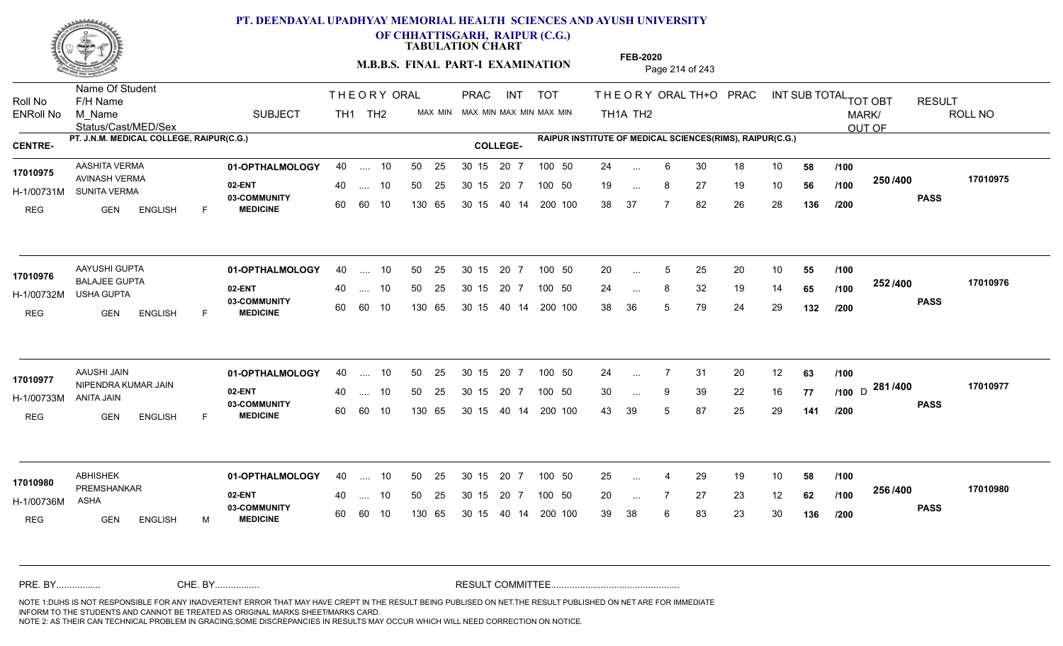

**OF CHHATTISGARH, RAIPUR (C.G.)**

**TABULATION CHART** 

**FEB-2020**

**M.B.B.S. FINAL PART-I EXAMINATION** Page 214 of 243

Status/Cast/MED/Sex Name Of Student Roll No F/H Name M\_Name SUBJECT PRAC INT TOT THEORY ORAL TH+O PRAC INT TH<sub>1</sub>A TH<sub>2</sub> ORAL TH+ODPRACD INT SUB TOTAL <sub>TOT OBT</sub> RESULT ROLL NO MARK/ OUT OF ENRoll No M Name  $\,$  SUBJECT TH1 TH2 MAX MIN MAX MIN MAX MIN MAX MIN TH1A TH2 **PT. J.N.M. MEDICAL COLLEGE, RAIPUR(C.G.) RAIPUR INSTITUTE OF MEDICAL SCIENCES(RIMS), RAIPUR(C.G.) CENTRE- COLLEGE-**THE ORY ORAL PRAC INT TH<sub>1</sub> TH<sub>2</sub> PRAC **01-OPTHALMOLOGY** AASHITA VERMA 40 .... 10 30 15 20 7 **02-ENT** 03-COMMUNITY 60  **MEDICINE** H-1/00731M SUNITA VERMA AVINASH VERMA REG GEN ENGLISH F 24 ... 6 30 18 10 **58 /100** 19 ... 8 27 19 10 **56 /100 <sup>2507/400</sup>** 38 37 7 82 26 28 **136 250 PASS /400 17010975** 40 .... 10 50 25 30 15 60 60 10 130 65 30 15 40 14 200 100 20 7 100 50 50 25 30 15 20 7 100 50 24 ... **17010975**<br>17010975 ... ... **/100 /100 /200 01-OPTHALMOLOGY** AAYUSHI GUPTA 40 .... 10 30 15 20 7 **02-ENT** 03-COMMUNITY 60  **MEDICINE** H-1/00732M USHA GUPTA BALAJEE GUPTA **17010976** REG GEN ENGLISH F 20 ... 5 25 20 10 **55 /100** 24 ... 8 32 19 14 **65 /100 <sup>232 /400</sup>** 38 36 5 79 24 29 **132 252 PASS /400 17010976** 40 .... 10 50 25 30 15 60 60 10 130 65 30 15 40 14 200 100 20 7 100 50 50 25 30 15 20 7 100 50 20 ... 5 ... ... 8 **/100 /100 /200 01-OPTHALMOLOGY** AAUSHI JAIN 40 .... 10 30 15 20 7 **02-ENT** 03-COMMUNITY 60  **MEDICINE** H-1/00733M 17010977 NIPENDRA KUMAR JAIN ANITA JAIN REG **GEN** ENGLISH F 24 7 31 20 12 **63** 30 ... 9 39 22 16 **77 /100** D <sup>2017400</sup> 43 39 5 87 25 29 **141** <sub>D</sub> 281 /400 170109 **PASS /400 17010977** 40 .... 10 50 25 30 15 60 60 10 130 65 30 15 40 14 200 100 20 7 100 50 50 25 30 15 20 7 100 50 24 ... ... ... **/100 /100 /200 01-OPTHALMOLOGY** ABHISHEK 40 .... 10 30 15 20 7 **02-ENT** 03-COMMUNITY 60  **MEDICINE** H-1/00736M PREMSHANKAR **17010980** ASHA REG GEN ENGLISH M 25 4 29 19 10 **58** 20 7 27 23 12 **62** 39 38 6 83 23 30 **136 256 PASS /400 17010980** 40 .... 10 50 25 30 15 60 60 10 130 65 30 15 20 7 100 50 40 14 200 100 50 25 30 15 20 7 100 50 25 ... 4 ... ... **/100 /100 /200** NOTE 1:DUHS IS NOT RESPONSIBLE FOR ANY INADVERTENT ERROR THAT MAY HAVE CREPT IN THE RESULT BEING PUBLISED ON NET.THE RESULT PUBLISHED ON NET ARE FOR IMMEDIATE INFORM TO THE STUDENTS AND CANNOT BE TREATED AS ORIGINAL MARKS SHEET/MARKS CARD. CHE. BY WAREL BY WARE AND THE AVEC THE AVEC THE THE RESULT COMMITTEE AND MULTIME MOTE 1:DUHS IS NOT RESPONSIBLE FOR ANY INADVERTENT ERROR THAT MAY HAVE CREPT IN THE RESULT BEING PUBLISED ON NET.THE RESULT PUBLISHED ON NET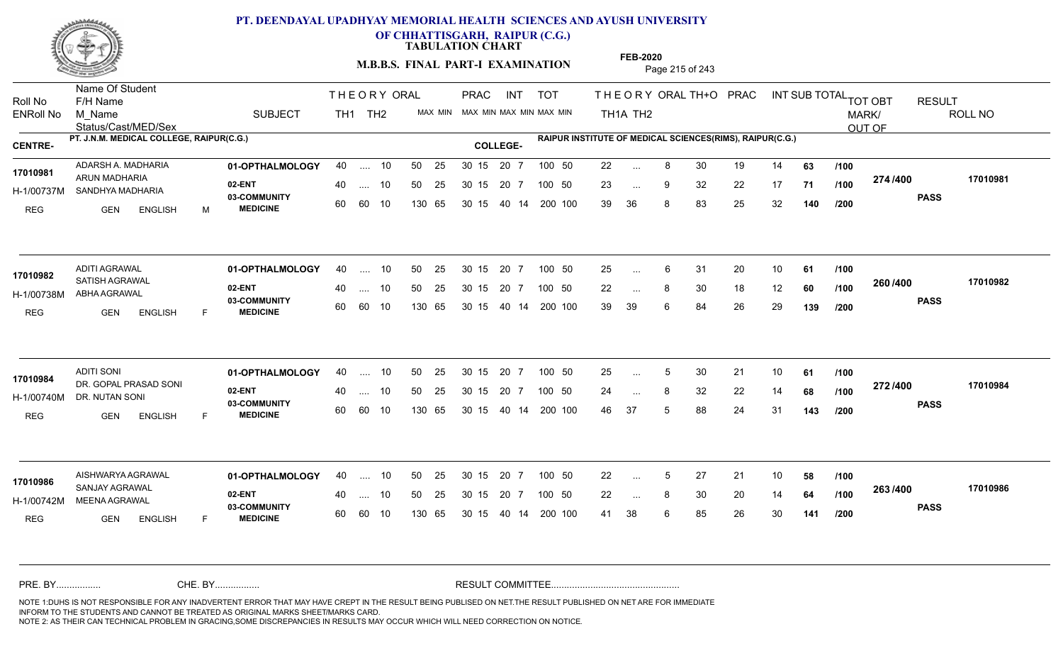

**OF CHHATTISGARH, RAIPUR (C.G.)**

**TABULATION CHART** 

**M.B.B.S. FINAL PART-I EXAMINATION** Page 215 of 243

Status/Cast/MED/Sex Name Of Student Roll No F/H Name M\_Name SUBJECT TH1 TH2 <sup>MAX\_MIN</sup> N PRAC INT TOT THEORY ORAL TH+O PRAC INT TH<sub>1</sub>A TH<sub>2</sub> ORAL TH+ODPRACD INT SUB TOTAL <sub>TOT OBT</sub> RESULT ROLL NO MARK/ OUT OF ENRoll No M Name  $\,$  SUBJECT TH1 TH2 MAX MIN MAX MIN MAX MIN MAX MIN TH1A TH2 **PT. J.N.M. MEDICAL COLLEGE, RAIPUR(C.G.) RAIPUR INSTITUTE OF MEDICAL SCIENCES(RIMS), RAIPUR(C.G.) CENTRE- COLLEGE-**THE ORY ORAL PRAC INT PRAC **01-OPTHALMOLOGY** ADARSH A. MADHARIA 40 .... 10 30 15 20 7 **02-ENT** 03-COMMUNITY 60  **MEDICINE** H-1/00737M SANDHYA MADHARIA ARUN MADHARIA **17010981** REG GEN ENGLISH M 22 8 30 19 14 **63** 23 ... 9 32 22 17 **71 /100 <del>11 1</del> 1** 39 36 8 83 25 32 **140 274 PASS /400 17010981** 40 .... 10 50 25 30 15 60 60 10 130 65 30 15 20 7 100 50 40 14 200 100 50 25 30 15 20 7 100 50 22 ... ... ... 9 **/100 /100 /200 01-OPTHALMOLOGY** ADITI AGRAWAL 40 .... 10 30 15 20 7 **02-ENT** 03-COMMUNITY 60 **MEDICINE** 60 60 10 H-1/00738M ABHA AGRAWAL 17010982 SATISH AGRAWAL REG GEN ENGLISH F 25 ... 6 31 20 10 **61 /100** 22 ... 8 30 18 12 **60 /100 <sup>2007–00</sup>** 39 39 6 84 26 29 **139 260 PASS /400 17010982** 40 .... 10 50 25 130 65 130 65 30 15 40 14 200 100 30 15 20 7 100 50 50 25 30 15 20 7 100 50 25 ... ... ... **/100 /100 /200 01-OPTHALMOLOGY** ADITI SONI 40 .... 10 30 15 20 7 **02-ENT** 03-COMMUNITY 60  **MEDICINE** H-1/00740M DR. NUTAN SONI DR. GOPAL PRASAD SONI **17010984** REG GEN ENGLISH F 25 5 30 21 10 **61** 24 ... 8 32 22 14 **68 /100 <sup>212/+00</sup>** 46 37 5 88 24 31 **143 272 PASS /400 17010984** .... 10 50 25 30 15 60 60 10 20 7 130 65 30 15 30 15 20 7 100 50 40 14 200 100 50 25 30 15 20 7 100 50 25 ... 5 ... ... **/100 /100 /200 01-OPTHALMOLOGY** AISHWARYA AGRAWAL 40 .... 10 30 15 20 7 **02-ENT** 03-COMMUNITY 60 **MEDICINE** 60 60 10 H-1/00742M MEENA AGRAWAL 17010986 SANJAY AGRAWAL **2006** REG GEN ENGLISH F 22 5 27 21 10 **58** 22 ... 8 30 20 14 **64 /100 <sup>2007</sup> 700** 41 38 6 85 26 30 **141 263 PASS /400 17010986** 40 .... 10 50 25 130 65 130 65 30 15 30 15 20 7 100 50 40 14 200 100 50 25 30 15 20 7 100 50 22 ... 5 ... 5 ... **/100 /100 /200** NOTE 1:DUHS IS NOT RESPONSIBLE FOR ANY INADVERTENT ERROR THAT MAY HAVE CREPT IN THE RESULT BEING PUBLISED ON NET.THE RESULT PUBLISHED ON NET ARE FOR IMMEDIATE INFORM TO THE STUDENTS AND CANNOT BE TREATED AS ORIGINAL MARKS SHEET/MARKS CARD. CHE. BY WAREL BY WARE AND THE AVEC THE AVEC THE THE RESULT COMMITTEE AND MULTIME MOTE 1:DUHS IS NOT RESPONSIBLE FOR ANY INADVERTENT ERROR THAT MAY HAVE CREPT IN THE RESULT BEING PUBLISED ON NET.THE RESULT PUBLISHED ON NET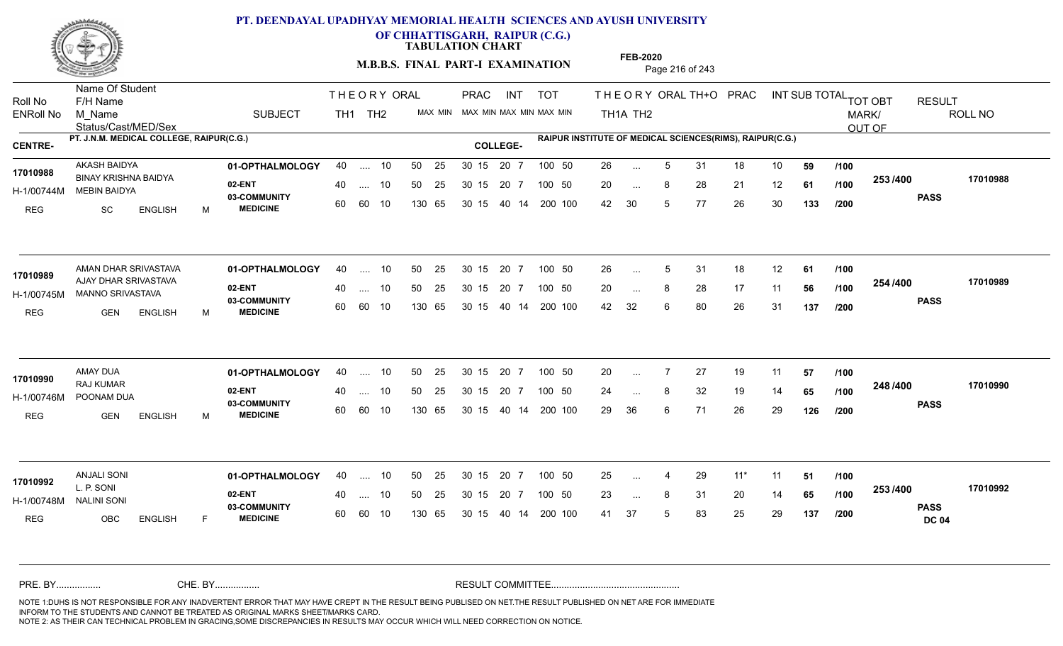

**OF CHHATTISGARH, RAIPUR (C.G.)**

**TABULATION CHART** 

**M.B.B.S. FINAL PART-I EXAMINATION** Page 216 of 243

Status/Cast/MED/Sex Name Of Student Roll No F/H Name M\_Name SUBJECT PRAC INT TOT THEORY ORAL TH+O PRAC INT TH<sub>1</sub>A TH<sub>2</sub> ORAL TH+ODPRACD INT SUB TOTAL <sub>TOT OBT</sub> RESULT ROLL NO MARK/ OUT OF ENRoll No M Name  $\,$  SUBJECT TH1 TH2 MAX MIN MAX MIN MAX MIN MAX MIN TH1A TH2 **PT. J.N.M. MEDICAL COLLEGE, RAIPUR(C.G.) RAIPUR INSTITUTE OF MEDICAL SCIENCES(RIMS), RAIPUR(C.G.) CENTRE- COLLEGE-**THE ORY ORAL PRAC INT TH<sub>1</sub> TH<sub>2</sub> PRAC **01-OPTHALMOLOGY** AKASH BAIDYA 40 .... 10 30 15 20 7 **02-ENT** 03-COMMUNITY 60  **MEDICINE** H-1/00744M MEBIN BAIDYA BINAY KRISHNA BAIDYA **17010988** REG SC ENGLISH M 26 5 31 18 10 **59** 20 ... 8 28 21 12 **61 /100 <sup>2007</sup> 700** 42 30 5 77 26 30 **133 253 PASS /400 17010988** 40 .... 10 50 25 30 15 60 60 10 130 65 30 15 20 7 100 50 40 14 200 100 50 25 30 15 20 7 100 50 26 ... ... ... **/100 /100 /200** AMAN DHAR SRIVASTAVA **01-OPTHALMOLOGY** 40 .... 10 50 25 30 15 20 7 100 50 26 **02-ENT** 03-COMMUNITY 60 **MEDICINE** 60 60 10 H-1/00745M MANNO SRIVASTAVA AJAY DHAR SRIVASTAVA **17010989** REG GEN ENGLISH M 26 5 31 18 12 **61** 20 ... 8 28 17 11 **56 /100 <sup>2047</sup> 1** 42 32 6 80 26 31 **137 254 PASS /400 17010989** 40 .... 10 50 25 130 65 130 65 30 15 40 14 200 100 30 15 20 7 100 50 50 25 30 15 20 7 100 50 26 ... 5 ... 5 ... **/100 /100 /200** AMAY DUA **01-OPTHALMOLOGY** 40 .... 10 50 25 30 15 20 7 100 50 20 **02-ENT** 03-COMMUNITY 60 **MEDICINE** 60 60 10 H-1/00746M POONAM DUA RAJ KUMAR REG GEN ENGLISH M 20 7 27 19 11 **57** 24 ... 8 32 19 14 **65 /100 <sup>2-10</sup> /\*U** 29 36 6 71 26 29 **126 248 PASS /400 17010990** .... 10 50 25 30 15 130 65 20 7 130 65 30 15 30 15 20 7 100 50 40 14 200 100 50 25 30 15 20 7 100 50 20 ... 7 AMAY DUA<br>**17010990** ... ... **/100 /100 /200 01-OPTHALMOLOGY** ANJALI SONI 40 .... 10 30 15 20 7 **02-ENT** 03-COMMUNITY 60 **MEDICINE** 60 60 10 H-1/00748M L. P. SONI NALINI SONI REG OBC ENGLISH F 25 4 29 11\* 11 **51** 23 ... 8 31 20 14 **65 /100 <sup>2007</sup> 1** 41 37 5 83 25 29 **137 253 PASS DC 04 /400 17010992** 40 .... 10 50 25 130 65 130 65 30 15 30 15 20 7 100 50 40 14 200 100 50 25 30 15 20 7 100 50 25 ... 4 **17010992 ANJALI SONI** ... ... **/100 /100 /200** NOTE 1:DUHS IS NOT RESPONSIBLE FOR ANY INADVERTENT ERROR THAT MAY HAVE CREPT IN THE RESULT BEING PUBLISED ON NET.THE RESULT PUBLISHED ON NET ARE FOR IMMEDIATE INFORM TO THE STUDENTS AND CANNOT BE TREATED AS ORIGINAL MARKS SHEET/MARKS CARD. CHE. BY WAREL BY WARE AND THE AVEC THE AVEC THE THE RESULT COMMITTEE AND MULTIME MOTE 1:DUHS IS NOT RESPONSIBLE FOR ANY INADVERTENT ERROR THAT MAY HAVE CREPT IN THE RESULT BEING PUBLISED ON NET.THE RESULT PUBLISHED ON NET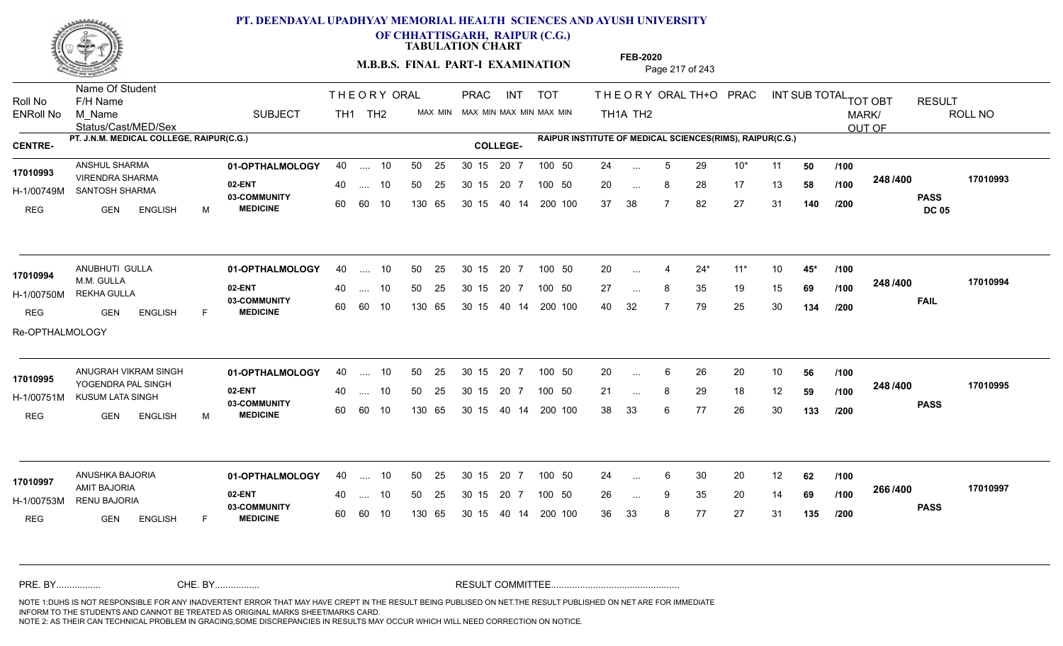

**OF CHHATTISGARH, RAIPUR (C.G.)**

**TABULATION CHART** 

**M.B.B.S. FINAL PART-I EXAMINATION** Page 217 of 243

Status/Cast/MED/Sex Name Of Student Roll No F/H Name M\_Name SUBJECT TH1 TH2 <sup>MAX\_MIN</sup> N PRAC INT TOT THEORYORALTH+O PRAC INT TH<sub>1</sub>A TH<sub>2</sub> ORAL TH+ODPRACD INT SUB TOTAL <sub>TOT OBT</sub> RESULT ROLL NO MARK/ OUT OF ENRoll No M Name  $\,$  SUBJECT TH1 TH2 MAX MIN MAX MIN MAX MIN MAX MIN TH1A TH2 **PT. J.N.M. MEDICAL COLLEGE, RAIPUR(C.G.) RAIPUR INSTITUTE OF MEDICAL SCIENCES(RIMS), RAIPUR(C.G.) CENTRE- COLLEGE-**THE ORY ORAL PRAC INT PRAC **01-OPTHALMOLOGY** ANSHUL SHARMA 40 .... 10 30 15 20 7 **02-ENT** 03-COMMUNITY 60  **MEDICINE** H-1/00749M SANTOSH SHARMA VIRENDRA SHARMA **17010993** REG GEN ENGLISH M 24 ... 5 29 10\* 11 **50** /**100** 20 ... 8 28 17 13 **58 /100 <sup>2-40 / 400</mark>**</sup> 37 38 7 82 27 31 **140 248 PASS DC 05 /400 17010993** 40 .... 10 50 25 30 15 60 60 10 130 65 30 15 20 7 100 50 40 14 200 100 50 25 30 15 20 7 100 50 24 ... ... ... **/100 /100 /200 01-OPTHALMOLOGY** ANUBHUTI GULLA 40 .... 10 30 15 20 7 **02-ENT** 03-COMMUNITY 60 **MEDICINE** 60 60 10 H-1/00750M REKHA GULLA M.M. GULLA REG GEN ENGLISH F 20 4 24\* 11\* 10 **45\*** 27 ... 8 35 19 15 **69 /100 <sup>2-40 / 400</mark>**</sup> 40 32 7 79 25 30 **134 248 FAIL 17010994 /400** Re-OPTHALMOLOGY 40 .... 10 50 25 130 65 130 65 30 15 40 14 200 100 30 15 20 7 100 50 50 25 30 15 20 7 100 50 20 ... 4 **17010994 ANUBHUTI GULLA** ... ... **/100 /100 /200 01-OPTHALMOLOGY 02-ENT** 03-COMMUNITY 60 **MEDICINE** 60 60 10 H-1/00751M KUSUM LATA SINGH 17010995<br>
YOGENDRA PAL SINGH REG GEN ENGLISH M 20 6 26 20 10 **56** 21 ... 8 29 18 12 **59 /100 <sup>2-10 / 100</mark>**</sup> 38 33 6 77 26 30 **133 248 PASS /400 17010995** ANUGRAH VIKRAM SINGH **01-OPTHALMOLOGY** 40 .... 10 50 25 30 15 20 7 100 50 20 .... 10 50 25 30 15 130 65 20 7 130 65 30 15 30 15 20 7 100 50 40 14 200 100 100 50 20 ... 6 ... ... **/100 /100 /200 01-OPTHALMOLOGY** ANUSHKA BAJORIA 40 .... 10 30 15 20 7 **02-ENT** 03-COMMUNITY 60 **MEDICINE** 60 60 10 H-1/00753M RENU BAJORIA AMIT BAJORIA **17010997** REG GEN ENGLISH F 24 ... 6 30 20 12 **62 /100** 26 ... 9 35 20 14 **69 /100 <sup>2007–00</sup>** 36 33 8 77 27 31 **135 266 PASS /400 17010997** 40 .... 10 50 25 130 65 130 65 30 15 30 15 20 7 100 50 40 14 200 100 50 25 30 15 20 7 100 50 24 ... 6 ... ... 9 **/100 /100 /200** NOTE 1:DUHS IS NOT RESPONSIBLE FOR ANY INADVERTENT ERROR THAT MAY HAVE CREPT IN THE RESULT BEING PUBLISED ON NET.THE RESULT PUBLISHED ON NET ARE FOR IMMEDIATE INFORM TO THE STUDENTS AND CANNOT BE TREATED AS ORIGINAL MARKS SHEET/MARKS CARD. CHE. BY WAREL BY WARE AND THE AVEC THE AVEC THE THE RESULT COMMITTEE AND MULTIME MOTE 1:DUHS IS NOT RESPONSIBLE FOR ANY INADVERTENT ERROR THAT MAY HAVE CREPT IN THE RESULT BEING PUBLISED ON NET.THE RESULT PUBLISHED ON NET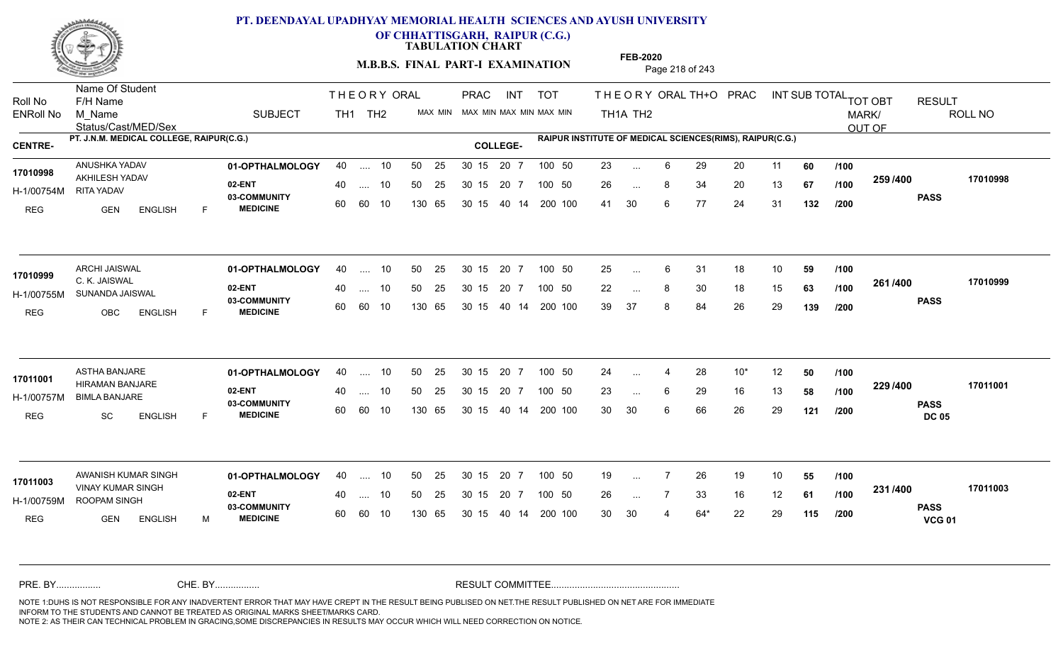

**OF CHHATTISGARH, RAIPUR (C.G.)**

**TABULATION CHART** 

**M.B.B.S. FINAL PART-I EXAMINATION** Page 218 of 243

Status/Cast/MED/Sex Name Of Student Roll No F/H Name M\_Name SUBJECT TH1 TH2 <sup>MAX\_MIN</sup> N PRAC INT TOT THEORYORALTH+O PRAC INT TH<sub>1</sub>A TH<sub>2</sub> ORAL TH+ODPRACD INT SUB TOTAL <sub>TOT OBT</sub> RESULT ROLL NO MARK/ OUT OF ENRoll No M Name  $\,$  SUBJECT TH1 TH2 MAX MIN MAX MIN MAX MIN MAX MIN TH1A TH2 **PT. J.N.M. MEDICAL COLLEGE, RAIPUR(C.G.) RAIPUR INSTITUTE OF MEDICAL SCIENCES(RIMS), RAIPUR(C.G.) CENTRE- COLLEGE-**THE ORY ORAL PRAC INT PRAC **01-OPTHALMOLOGY** ANUSHKA YADAV 40 .... 10 30 15 20 7 **02-ENT** 03-COMMUNITY 60  **MEDICINE** H-1/00754M 17010998 AKHILESH YADAV **17010998** RITA YADAV REG GEN ENGLISH F 23 ... 6 29 20 11 **60** /**100** 26 ... 8 34 20 13 **67 /100 <sup>2007</sup> +00** 41 30 6 77 24 31 **132 259 PASS /400 17010998** 40 .... 10 50 25 30 15 60 60 10 130 65 30 15 20 7 100 50 40 14 200 100 50 25 30 15 20 7 100 50 23 ... ... ... **/100 /100 /200 01-OPTHALMOLOGY** ARCHI JAISWAL 40 .... 10 30 15 20 7 **02-ENT** 03-COMMUNITY 60 **MEDICINE** 60 60 10 H-1/00755M SUNANDA JAISWAL C. K. JAISWAL **17010999** REG OBC ENGLISH F 25 ... 6 31 18 10 **59 /100** 22 ... 8 30 18 15 **63 /100 <sup>2017–00</sup>** 39 37 8 84 26 29 **139 261 PASS /400 17010999** 40 .... 10 50 25 130 65 130 65 30 15 40 14 200 100 30 15 20 7 100 50 50 25 30 15 20 7 100 50 25 ... ... ... **/100 /100 /200 01-OPTHALMOLOGY** ASTHA BANJARE 40 .... 10 30 15 20 7 **02-ENT** 03-COMMUNITY 60 **MEDICINE** 60 60 10 H-1/00757M BIMLA BANJARE 17011001 HIRAMAN BANJARE REG SC ENGLISH F 24 ... 4 28 10\* 12 **50** /**100** 23 ... 6 29 16 13 **58 /100 <sup>223</sup> /\*\*** 30 30 6 66 26 29 **121 229 PASS DC 05 /400 17011001** .... 10 50 25 30 15 130 65 20 7 130 65 30 15 30 15 20 7 100 50 40 14 200 100 50 25 30 15 20 7 100 50 24 ... 4 ... ... 6 **/100 /100 /200 01-OPTHALMOLOGY 02-ENT** 03-COMMUNITY 60 **MEDICINE** 60 60 10 H-1/00759M ROOPAM SINGH **Extra** the second of the second of the second of the second of the second of the second of the second of the second of the second of the second of the second of the second of the second of the seco VINAY KUMAR SINGH **17011003** REG GEN ENGLISH M 19 7 26 19 10 **55** 26 7 33 16 12 **61** 30 30 4 64\* 22 29 **115 231 PASS VCG 01 /400 17011003** AWANISH KUMAR SINGH **01-OPTHALMOLOGY** 40 .... 10 50 25 30 15 20 7 100 50 19 40 .... 10 50 25 130 65 130 65 30 15 30 15 20 7 100 50 40 14 200 100 100 50 19 ... ... ... **/100 /100 /200** NOTE 1:DUHS IS NOT RESPONSIBLE FOR ANY INADVERTENT ERROR THAT MAY HAVE CREPT IN THE RESULT BEING PUBLISED ON NET.THE RESULT PUBLISHED ON NET ARE FOR IMMEDIATE INFORM TO THE STUDENTS AND CANNOT BE TREATED AS ORIGINAL MARKS SHEET/MARKS CARD. CHE. BY WAREL BY WARE AND THE AVEC THE AVEC THE THE RESULT COMMITTEE AND MULTIME MOTE 1:DUHS IS NOT RESPONSIBLE FOR ANY INADVERTENT ERROR THAT MAY HAVE CREPT IN THE RESULT BEING PUBLISED ON NET.THE RESULT PUBLISHED ON NET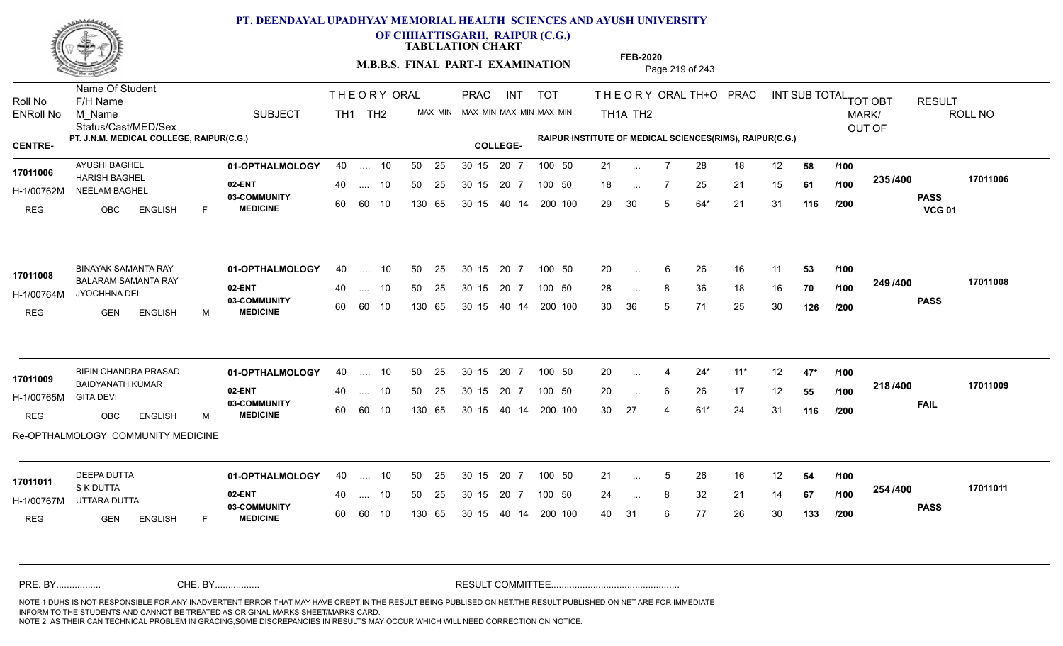

**OF CHHATTISGARH, RAIPUR (C.G.)**

**TABULATION CHART** 

**M.B.B.S. FINAL PART-I EXAMINATION** Page 219 of 243

Status/Cast/MED/Sex Name Of Student Roll No F/H Name M\_Name SUBJECT TH1 TH2 <sup>MAX\_MIN</sup> N PRAC INT TOT THEORYORALTH+O PRAC INT TH<sub>1</sub>A TH<sub>2</sub> ORAL TH+ODPRACD INT SUB TOTAL <sub>TOT OBT</sub> RESULT ROLL NO MARK/ OUT OF ENRoll No M Name  $\,$  SUBJECT TH1 TH2 MAX MIN MAX MIN MAX MIN MAX MIN TH1A TH2 **PT. J.N.M. MEDICAL COLLEGE, RAIPUR(C.G.) RAIPUR INSTITUTE OF MEDICAL SCIENCES(RIMS), RAIPUR(C.G.) CENTRE- COLLEGE-**THE ORY ORAL PRAC INT PRAC **01-OPTHALMOLOGY** AYUSHI BAGHEL 40 .... 10 30 15 20 7 **02-ENT** 03-COMMUNITY 60  **MEDICINE** H-1/00762M NEELAM BAGHEL 17011006 **HARISH BAGHEL** REG OBC ENGLISH F 21 7 28 18 12 **58** 18 ... 7 25 21 15 **61 /100 <sup>2007</sup> 100** 29 30 5 64\* 21 31 **116 235 PASS VCG 01 /400 17011006** 40 .... 10 50 25 30 15 60 60 10 130 65 30 15 20 7 100 50 40 14 200 100 50 25 30 15 20 7 100 50 21 ... ... ... **/100 /100 /200** BINAYAK SAMANTA RAY **01-OPTHALMOLOGY** 40 .... 10 50 25 30 15 20 7 100 50 20 **02-ENT** 03-COMMUNITY 60 **MEDICINE** 60 60 10 H-1/00764M JYOCHHNA DEI BALARAM SAMANTA RAY **17011008** REG GEN ENGLISH M 20 ... 6 26 16 11 **53 /100** 28 ... 8 36 18 16 **70 /100 <sup>2—37—00</sup>** 30 36 5 71 25 30 **126 249 PASS /400 17011008** 40 .... 10 50 25 130 65 130 65 30 15 40 14 200 100 30 15 20 7 100 50 50 25 30 15 20 7 100 50 20 ... ... ... **/100 /100 /200** BIPIN CHANDRA PRASAD **01-OPTHALMOLOGY** 40 .... 10 50 25 30 15 20 7 100 50 20 **02-ENT** 03-COMMUNITY 60  **MEDICINE** H-1/00765M BAIDYANATH KUMAR **17011009** GITA DEVI REG OBC ENGLISH M 20 4 24\* 11\* 12 **47\*** 20 ... 6 26 17 12 **55 /100 <sup>2107–00</sup>** 30 27 4 61\* 24 31 **116 218 FAIL 17011009 /400** Re-OPTHALMOLOGY COMMUNITY MEDICINE .... 10 50 25 30 15 60 60 10 20 7 130 65 30 15 30 15 20 7 100 50 40 14 200 100 50 25 30 15 20 7 100 50 20 ... 4 ... ... 6 **/100 /100 /200 01-OPTHALMOLOGY** DEEPA DUTTA 40 .... 10 30 15 20 7 **02-ENT** 03-COMMUNITY 60 **MEDICINE** 60 60 10 H-1/00767M UTTARA DUTTA S K DUTTA REG GEN ENGLISH F 21 ... 5 26 16 12 **54 /100** 24 ... 8 32 21 14 **67 /100 <sup>2047</sup> 1** 40 31 6 77 26 30 **133 254 PASS /400 17011011** 40 .... 10 50 25 130 65 130 65 30 15 30 15 20 7 100 50 40 14 200 100 50 25 30 15 20 7 100 50 21 ... 5 **17011011 DEEPA DUTTA** ... 5 ... **/100 /100 /200** NOTE 1:DUHS IS NOT RESPONSIBLE FOR ANY INADVERTENT ERROR THAT MAY HAVE CREPT IN THE RESULT BEING PUBLISED ON NET.THE RESULT PUBLISHED ON NET ARE FOR IMMEDIATE INFORM TO THE STUDENTS AND CANNOT BE TREATED AS ORIGINAL MARKS SHEET/MARKS CARD. CHE. BY WAREL BY WARE AND THE AVEC THE AVEC THE THE RESULT COMMITTEE AND MULTIME MOTE 1:DUHS IS NOT RESPONSIBLE FOR ANY INADVERTENT ERROR THAT MAY HAVE CREPT IN THE RESULT BEING PUBLISED ON NET.THE RESULT PUBLISHED ON NET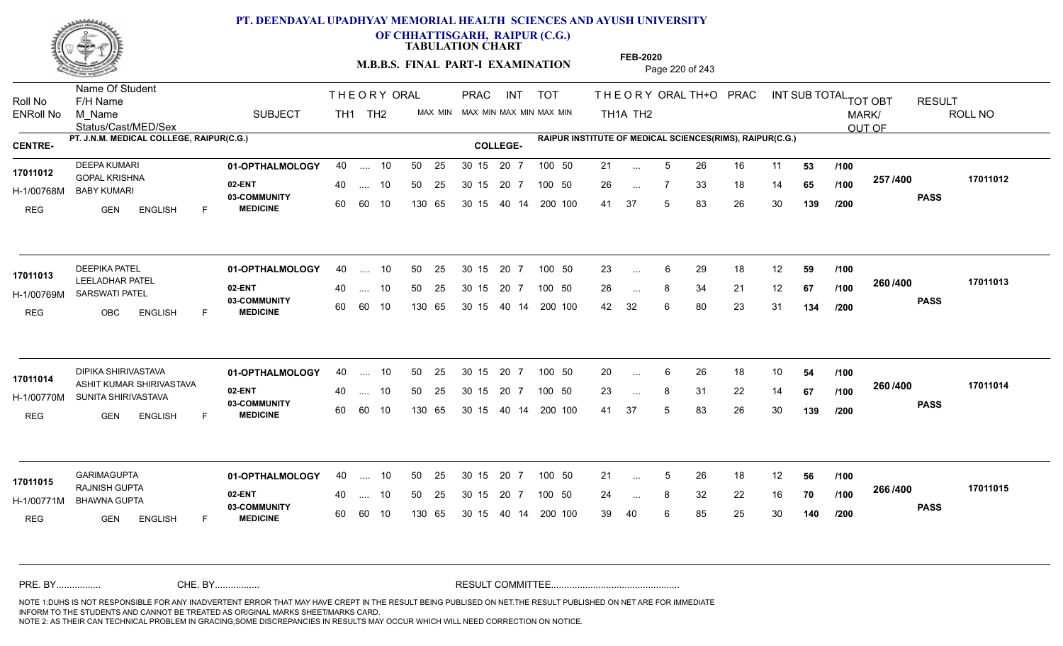

**OF CHHATTISGARH, RAIPUR (C.G.)**

**TABULATION CHART** 

**M.B.B.S. FINAL PART-I EXAMINATION** Page 220 of 243

Status/Cast/MED/Sex Name Of Student Roll No F/H Name M\_Name SUBJECT TH1 TH2 <sup>MAX\_MIN</sup> N PRAC INT TOT THEORYORALTH+O PRAC INT TH<sub>1</sub>A TH<sub>2</sub> ORAL TH+ODPRACD INT SUB TOTAL <sub>TOT OBT</sub> RESULT ROLL NO MARK/ OUT OF ENRoll No M Name  $\,$  SUBJECT TH1 TH2 MAX MIN MAX MIN MAX MIN MAX MIN TH1A TH2 **PT. J.N.M. MEDICAL COLLEGE, RAIPUR(C.G.) RAIPUR INSTITUTE OF MEDICAL SCIENCES(RIMS), RAIPUR(C.G.) CENTRE- COLLEGE-**THE ORY ORAL PRAC INT PRAC **01-OPTHALMOLOGY** DEEPA KUMARI 40 .... 10 30 15 20 7 **02-ENT** 03-COMMUNITY 60  **MEDICINE** H-1/00768M BABY KUMARI GOPAL KRISHNA **17011012** REG GEN ENGLISH F 21 ... 5 26 16 11 **53 /100** 26 7 33 18 14 **65** 41 37 5 83 26 30 **139 257 PASS /400 17011012** 40 .... 10 50 25 30 15 60 60 10 130 65 30 15 20 7 100 50 40 14 200 100 50 25 30 15 20 7 100 50 21 ... ... ... **/100 /100 /200** 01**-OPTHALMOLOGY** 40 .... 10 50 25 30 15 20 7 100 50 23 **02-ENT** 03-COMMUNITY 60 **MEDICINE** 60 60 10 H-1/00769M SARSWATI PATEL LEELADHAR PATEL **17011013** REG OBC ENGLISH F 23 ... 6 29 18 12 **59 /100** 26 ... 8 34 21 12 **67 /100 <sup>2007–00</sup>** 42 32 6 80 23 31 **134 260 PASS /400 17011013** 40 .... 10 50 25 130 65 130 65 30 15 40 14 200 100 30 15 20 7 100 50 50 25 30 15 20 7 100 50 23 ... ... ... **/100 /100 /200 01-OPTHALMOLOGY** DIPIKA SHIRIVASTAVA 40 .... 10 30 15 20 7 **02-ENT** 03-COMMUNITY 60  **MEDICINE** H-1/00770M SUNITA SHIRIVASTAVA 17011014 ASHIT KUMAR SHIRIVASTAVA REG GEN ENGLISH F 20 ... 6 26 18 10 **54 /100** 23 ... 8 31 22 14 **67 /100 <sup>2007–00</sup>** 41 37 5 83 26 30 **139 260 PASS /400 17011014** .... 10 50 25 30 15 60 60 10 20 7 130 65 30 15 30 15 20 7 100 50 40 14 200 100 50 25 30 15 20 7 100 50 20 ... 6 ... ... **/100 /100 /200 01-OPTHALMOLOGY** GARIMAGUPTA 40 .... 10 30 15 20 7 **02-ENT** 03-COMMUNITY 60 **MEDICINE** 60 60 10 H-1/00771M BHAWNA GUPTA RAJNISH GUPTA **17011015** REG GEN ENGLISH F 21 ... 5 26 18 12 **56 /100** 24 ... 8 32 22 16 **70 /100 <sup>2007</sup> \*** 39 40 6 85 25 30 **140 266 PASS /400 17011015** 40 .... 10 50 25 130 65 130 65 30 15 30 15 20 7 100 50 40 14 200 100 50 25 30 15 20 7 100 50 21 ... 5 ... 5 ... **/100 /100 /200** NOTE 1:DUHS IS NOT RESPONSIBLE FOR ANY INADVERTENT ERROR THAT MAY HAVE CREPT IN THE RESULT BEING PUBLISED ON NET.THE RESULT PUBLISHED ON NET ARE FOR IMMEDIATE INFORM TO THE STUDENTS AND CANNOT BE TREATED AS ORIGINAL MARKS SHEET/MARKS CARD. CHE. BY WAREL BY WARE AND THE AVEC THE AVEC THE THE RESULT COMMITTEE AND MULTIME MOTE 1:DUHS IS NOT RESPONSIBLE FOR ANY INADVERTENT ERROR THAT MAY HAVE CREPT IN THE RESULT BEING PUBLISED ON NET.THE RESULT PUBLISHED ON NET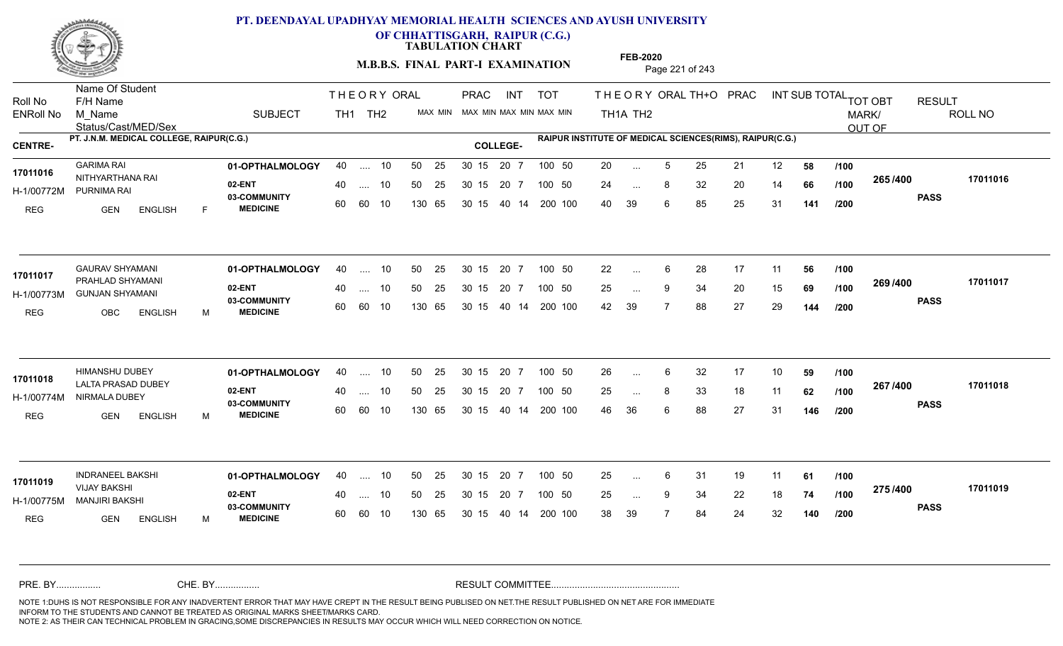

**OF CHHATTISGARH, RAIPUR (C.G.)**

**TABULATION CHART** 

**M.B.B.S. FINAL PART-I EXAMINATION** Page 221 of 243

Status/Cast/MED/Sex Name Of Student Roll No F/H Name M\_Name SUBJECT TH1 TH2 <sup>MAX\_MIN</sup> N PRAC INT TOT THEORYORALTH+O PRAC INT TH<sub>1</sub>A TH<sub>2</sub> ORAL TH+ODPRACD INT SUB TOTAL <sub>TOT OBT</sub> RESULT ROLL NO MARK/ OUT OF ENRoll No M Name  $\,$  SUBJECT TH1 TH2 MAX MIN MAX MIN MAX MIN MAX MIN TH1A TH2 **PT. J.N.M. MEDICAL COLLEGE, RAIPUR(C.G.) RAIPUR INSTITUTE OF MEDICAL SCIENCES(RIMS), RAIPUR(C.G.) CENTRE- COLLEGE-**THE ORY ORAL PRAC INT PRAC **01-OPTHALMOLOGY** GARIMA RAI 40 .... 10 30 15 20 7 **02-ENT** 03-COMMUNITY 60  **MEDICINE** H-1/00772M PURNIMA RAI 17011016 NITHYARTHANA RAI REG GEN ENGLISH F 20 ... 5 25 21 12 **58 /100** 24 ... 8 32 20 14 **66 /100 <sup>2007</sup> 700** 40 39 6 85 25 31 **141 265 PASS /400 17011016** 40 .... 10 50 25 30 15 60 60 10 130 65 30 15 20 7 100 50 40 14 200 100 50 25 30 15 20 7 100 50 20 ... ... ... **/100 /100 /200 01-OPTHALMOLOGY** GAURAV SHYAMANI 40 .... 10 30 15 20 7 **02-ENT** 03-COMMUNITY 60 **MEDICINE** 60 60 10 H-1/00773M GUNJAN SHYAMANI PRAHLAD SHYAMANI **17011017** REG OBC ENGLISH M 22 ... 6 28 17 11 **56 /100** 25 ... 9 34 20 15 **69 /100 <sup>2007/400</sup>** 42 39 7 88 27 29 **144 269 PASS /400 17011017** 40 .... 10 50 25 130 65 130 65 30 15 40 14 200 100 30 15 20 7 100 50 50 25 30 15 20 7 100 50 22 ... ... ... **/100 /100 /200 01-OPTHALMOLOGY** HIMANSHU DUBEY 40 .... 10 30 15 20 7 **02-ENT** 03-COMMUNITY 60  **MEDICINE** H-1/00774M NIRMALA DUBEY LALTA PRASAD DUBEY **17011018** REG GEN ENGLISH M 26 6 32 17 10 **59** 25 ... 8 33 18 11 **62 /100 <sup>207</sup> 1<del>-</del>00** 46 36 6 88 27 31 **146 267 PASS /400 17011018** .... 10 50 25 30 15 60 60 10 20 7 130 65 30 15 30 15 20 7 100 50 40 14 200 100 50 25 30 15 20 7 100 50 26 ... 6 ... ... **/100 /100 /200 01-OPTHALMOLOGY** INDRANEEL BAKSHI 40 .... 10 30 15 20 7 **02-ENT** 03-COMMUNITY 60 **MEDICINE** 60 60 10 H-1/00775M MANJIRI BAKSHI VIJAY BAKSHI **17011019** REG GEN ENGLISH M 25 ... 6 31 19 11 **61 /100** 25 ... 9 34 22 18 **74 /100 <sup>21 31 4</sup> 4** 38 39 7 84 24 32 **140 275 PASS /400 17011019** 40 .... 10 50 25 130 65 130 65 30 15 30 15 20 7 100 50 40 14 200 100 50 25 30 15 20 7 100 50 25 ... 6 ... ... 9 **/100 /100 /200** NOTE 1:DUHS IS NOT RESPONSIBLE FOR ANY INADVERTENT ERROR THAT MAY HAVE CREPT IN THE RESULT BEING PUBLISED ON NET.THE RESULT PUBLISHED ON NET ARE FOR IMMEDIATE INFORM TO THE STUDENTS AND CANNOT BE TREATED AS ORIGINAL MARKS SHEET/MARKS CARD. CHE. BY WAREL BY WARE AND THE AVEC THE AVEC THE THE RESULT COMMITTEE AND MULTIME MOTE 1:DUHS IS NOT RESPONSIBLE FOR ANY INADVERTENT ERROR THAT MAY HAVE CREPT IN THE RESULT BEING PUBLISED ON NET.THE RESULT PUBLISHED ON NET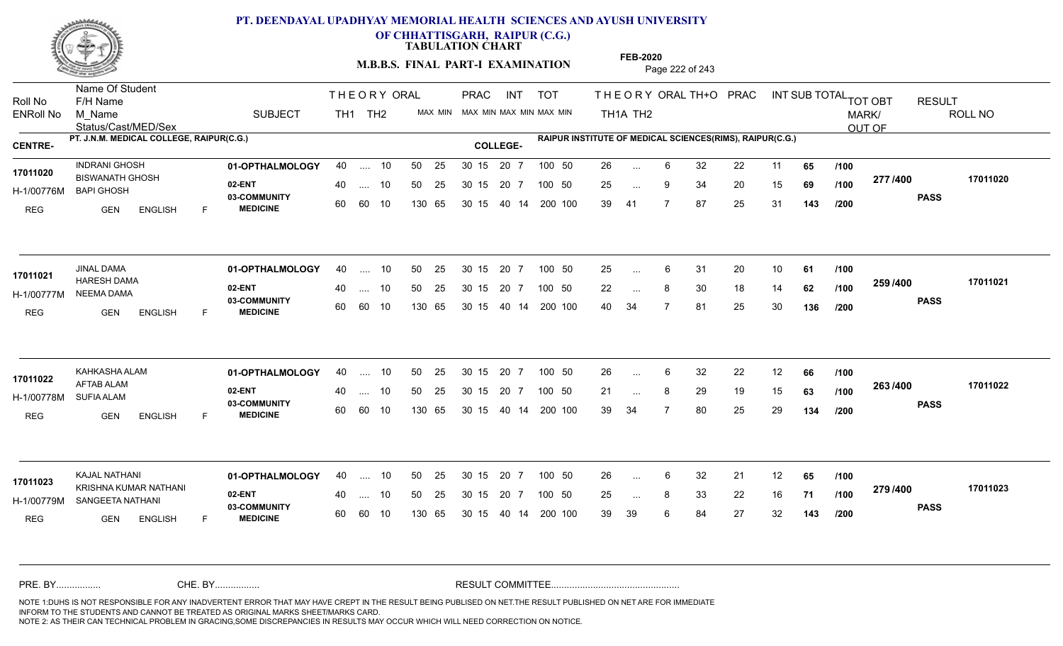

**OF CHHATTISGARH, RAIPUR (C.G.)**

**TABULATION CHART** 

**FEB-2020**

**M.B.B.S. FINAL PART-I EXAMINATION** Page 222 of 243

Status/Cast/MED/Sex Name Of Student Roll No F/H Name M\_Name SUBJECT TH1 TH2 <sup>MAX\_MIN</sup> N PRAC INT TOT THEORYORALTH+O PRAC INT TH<sub>1</sub>A TH<sub>2</sub> ORAL TH+ODPRACD INT SUB TOTAL <sub>TOT OBT</sub> RESULT ROLL NO MARK/ OUT OF ENRoll No M Name  $\,$  SUBJECT TH1 TH2 MAX MIN MAX MIN MAX MIN MAX MIN TH1A TH2 **PT. J.N.M. MEDICAL COLLEGE, RAIPUR(C.G.) RAIPUR INSTITUTE OF MEDICAL SCIENCES(RIMS), RAIPUR(C.G.) CENTRE- COLLEGE-**THE ORY ORAL PRAC INT PRAC **01-OPTHALMOLOGY** INDRANI GHOSH 40 .... 10 30 15 20 7 **02-ENT** 03-COMMUNITY 60  **MEDICINE** H-1/00776M 17011020 BISWANATH GHOSH BAPI GHOSH REG GEN ENGLISH F 26 6 32 22 11 **65** 25 ... 9 34 20 15 **69 /100 <del>1111</del>-00** 39 41 7 87 25 31 **143 277 PASS /400 17011020** 40 .... 10 50 25 30 15 60 60 10 130 65 30 15 20 7 100 50 40 14 200 100 50 25 30 15 20 7 100 50 26 ... ... ... 9 **/100 /100 /200 01-OPTHALMOLOGY** JINAL DAMA 40 .... 10 30 15 20 7 **02-ENT** 03-COMMUNITY 60 **MEDICINE** 60 60 10 H-1/00777M NEEMA DAMA 17011021 **HARESH DAMA** 2.1 REG GEN ENGLISH F 25 ... 6 31 20 10 **61 /100** 22 ... 8 30 18 14 **62 /100 <sup>2007</sup> +00** 40 34 7 81 25 30 **136 259 PASS /400 17011021** 40 .... 10 50 25 130 65 130 65 30 15 40 14 200 100 30 15 20 7 100 50 50 25 30 15 20 7 100 50 25 ... ... ... **/100 /100 /200 01-OPTHALMOLOGY** KAHKASHA ALAM 40 .... 10 30 15 20 7 **02-ENT** 03-COMMUNITY 60  **MEDICINE** H-1/00778M AFTAB ALAM SUFIA ALAM REG GEN ENGLISH F 26 6 32 22 12 **66** 21 ... 8 29 19 15 **63 /100 <sup>2007</sup> 700** 39 34 7 80 25 29 **134 263 PASS /400 17011022** .... 10 50 25 30 15 60 60 10 20 7 130 65 30 15 30 15 20 7 100 50 40 14 200 100 50 25 30 15 20 7 100 50 26 ... 6 **17011022 17011022** ... ... **/100 /100 /200 01-OPTHALMOLOGY** KAJAL NATHANI 40 .... 10 30 15 20 7 **02-ENT** 03-COMMUNITY 60 **MEDICINE** 60 60 10 H-1/00779M SANGEETA NATHANI KRISHNA KUMAR NATHANI **17011023** REG GEN ENGLISH F 26 6 32 21 12 **65** 25 ... 8 33 22 16 **71 /100 <sup>2137400</sup>** 39 39 6 84 27 32 **143 279 PASS /400 17011023** 40 .... 10 50 25 130 65 130 65 30 15 30 15 20 7 100 50 40 14 200 100 50 25 30 15 20 7 100 50 26 ... ... ... **/100 /100 /200** NOTE 1:DUHS IS NOT RESPONSIBLE FOR ANY INADVERTENT ERROR THAT MAY HAVE CREPT IN THE RESULT BEING PUBLISED ON NET.THE RESULT PUBLISHED ON NET ARE FOR IMMEDIATE INFORM TO THE STUDENTS AND CANNOT BE TREATED AS ORIGINAL MARKS SHEET/MARKS CARD. CHE. BY WAREL BY WARE AND THE AVEC THE AVEC THE THE RESULT COMMITTEE AND MULTIME MOTE 1:DUHS IS NOT RESPONSIBLE FOR ANY INADVERTENT ERROR THAT MAY HAVE CREPT IN THE RESULT BEING PUBLISED ON NET.THE RESULT PUBLISHED ON NET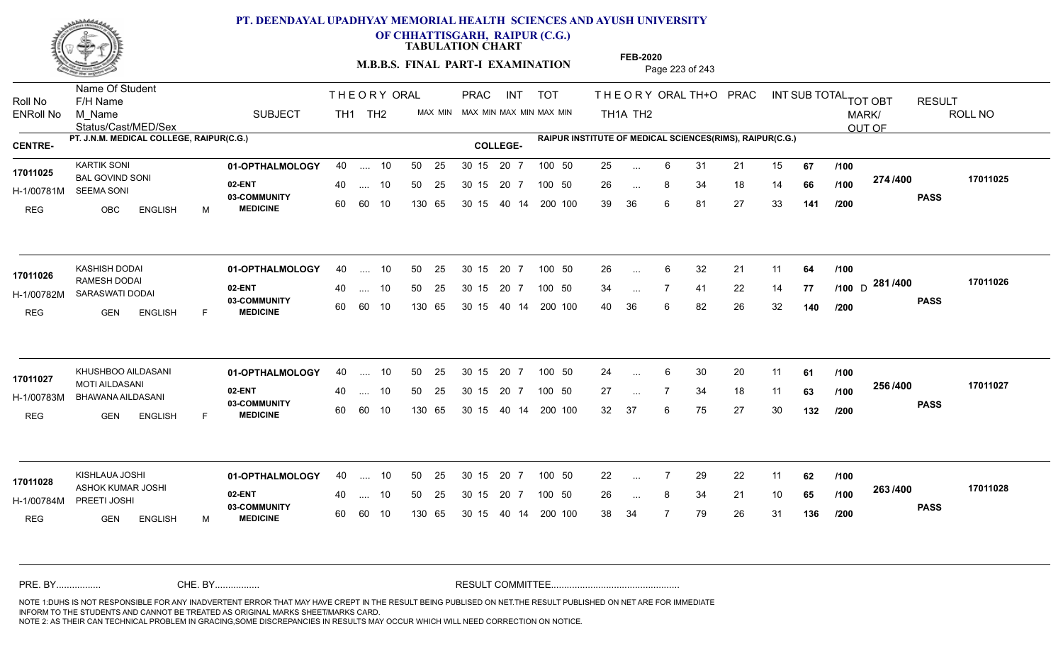

**OF CHHATTISGARH, RAIPUR (C.G.)**

**TABULATION CHART** 

**FEB-2020**

**M.B.B.S. FINAL PART-I EXAMINATION** Page 223 of 243

Status/Cast/MED/Sex Name Of Student Roll No F/H Name M\_Name SUBJECT TH1 TH2 <sup>MAX\_MIN</sup> N PRAC INT TOT THEORYORALTH+O PRAC INT TH<sub>1</sub>A TH<sub>2</sub> ORAL TH+ODPRACD INT SUB TOTAL <sub>TOT OBT</sub> RESULT ROLL NO MARK/ OUT OF ENRoll No M Name  $\,$  SUBJECT TH1 TH2 MAX MIN MAX MIN MAX MIN MAX MIN TH1A TH2 **PT. J.N.M. MEDICAL COLLEGE, RAIPUR(C.G.) RAIPUR INSTITUTE OF MEDICAL SCIENCES(RIMS), RAIPUR(C.G.) CENTRE- COLLEGE-**THE ORY ORAL PRAC INT PRAC **01-OPTHALMOLOGY** KARTIK SONI 40 .... 10 30 15 20 7 **02-ENT** 03-COMMUNITY 60  **MEDICINE** H-1/00781M SEEMA SONI 17011025 BAL GOVIND SONI REG OBC ENGLISH M 25 6 31 21 15 **67** 26 ... 8 34 18 14 **66 /100 <del>11 1</del> 1** 39 36 6 81 27 33 **141 274 PASS /400 17011025** .... 10 50 25 60 60 10 50 25 30 15 130 65 30 15 40 14 200 100 20 7 100 50 50 25 30 15 20 7 100 50 25 ... ... ... **/100 /100 /200 01-OPTHALMOLOGY** KASHISH DODAI 40 .... 10 30 15 20 7 **02-ENT** 03-COMMUNITY 60  **MEDICINE** H-1/00782M SARASWATI DODAI RAMESH DODAI **17011026** REG GEN ENGLISH F 26 6 32 21 11 **64** 34 ... 7 41 22 14 **77 /100** D <sup>2017</sup> 7<sup>0</sup> 40 36 6 82 26 32 **140 281** D **PASS /400 17011026** .... 10 50 25 60 60 10 30 15 20 7 130 65 30 15 40 14 200 100 30 15 20 7 100 50 50 25 30 15 20 7 100 50 26 ... ... ... **/100 /100 /200 01-OPTHALMOLOGY** KHUSHBOO AILDASANI 40 .... 10 30 15 20 7 **02-ENT** 03-COMMUNITY 60  **MEDICINE** H-1/00783M BHAWANA AILDASANI MOTI AILDASANI **17011027** REG GEN ENGLISH F 24 ... 6 30 20 11 **61 /100** 27 7 34 18 11 **63** 32 37 6 75 27 30 **132 256 PASS /400 17011027** .... 10 50 25 30 15 60 60 10 20 7 130 65 30 15 30 15 20 7 100 50 40 14 200 100 50 25 30 15 20 7 100 50 24 ... 6 ... ... **/100 /100 /200 01-OPTHALMOLOGY** KISHLAUA JOSHI 40 .... 10 30 15 20 7 **02-ENT** 03-COMMUNITY 60 **MEDICINE** 60 60 10 H-1/00784M PREETI JOSHI ASHOK KUMAR JOSHI **17011028** REG GEN ENGLISH M 22 7 29 22 11 **62** 26 ... 8 34 21 10 **65 /100 <sup>2007</sup> 700** 38 34 7 79 26 31 **136 263 PASS /400 17011028** 40 .... 10 50 25 130 65 130 65 30 15 30 15 20 7 100 50 40 14 200 100 50 25 30 15 20 7 100 50 22 ... ... ... **/100 /100 /200** NOTE 1:DUHS IS NOT RESPONSIBLE FOR ANY INADVERTENT ERROR THAT MAY HAVE CREPT IN THE RESULT BEING PUBLISED ON NET.THE RESULT PUBLISHED ON NET ARE FOR IMMEDIATE INFORM TO THE STUDENTS AND CANNOT BE TREATED AS ORIGINAL MARKS SHEET/MARKS CARD. CHE. BY WAREL BY WARE AND THE AVEC THE AVEC THE THE RESULT COMMITTEE AND MULTIME MOTE 1:DUHS IS NOT RESPONSIBLE FOR ANY INADVERTENT ERROR THAT MAY HAVE CREPT IN THE RESULT BEING PUBLISED ON NET.THE RESULT PUBLISHED ON NET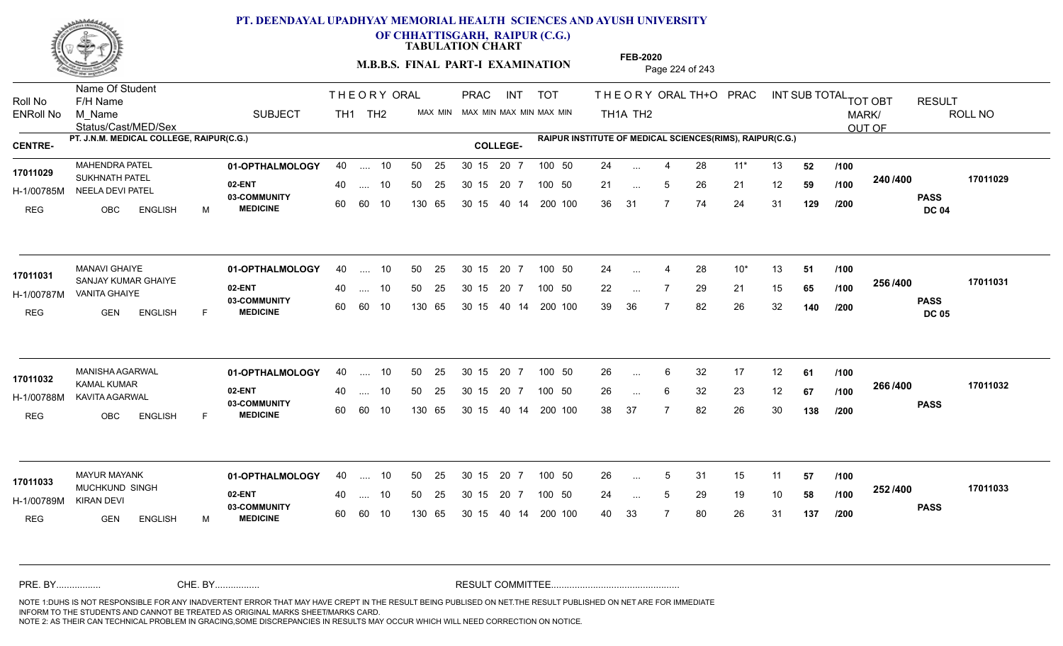

**OF CHHATTISGARH, RAIPUR (C.G.)**

**TABULATION CHART** 

**M.B.B.S. FINAL PART-I EXAMINATION** Page 224 of 243

Status/Cast/MED/Sex Name Of Student Roll No F/H Name M\_Name SUBJECT TH1 TH2 <sup>MAX\_MIN</sup> N PRAC INT TOT THEORYORALTH+O PRAC INT TH<sub>1</sub>A TH<sub>2</sub> ORAL TH+ODPRACD INT SUB TOTAL <sub>TOT OBT</sub> RESULT ROLL NO MARK/ OUT OF ENRoll No M Name  $\,$  SUBJECT TH1 TH2 MAX MIN MAX MIN MAX MIN MAX MIN TH1A TH2 **PT. J.N.M. MEDICAL COLLEGE, RAIPUR(C.G.) RAIPUR INSTITUTE OF MEDICAL SCIENCES(RIMS), RAIPUR(C.G.) CENTRE- COLLEGE-**THE ORY ORAL PRAC INT PRAC **01-OPTHALMOLOGY** MAHENDRA PATEL 40 .... 10 30 15 20 7 **02-ENT** 03-COMMUNITY 60  **MEDICINE** H-1/00785M NEELA DEVI PATEL 17011029 SUKHNATH PATEL REG OBC ENGLISH M 24 ... 4 28 11\* 13 **52** /**100** 21 ... 5 26 21 12 **59 /100 <sup>2467466</sup>** 36 31 7 74 24 31 **129 240 PASS DC 04 /400 17011029** 40 .... 10 50 25 30 15 60 60 10 130 65 30 15 20 7 100 50 40 14 200 100 50 25 30 15 20 7 100 50 24 ... ... ... 5 **/100 /100 /200 01-OPTHALMOLOGY** MANAVI GHAIYE 40 .... 10 30 15 20 7 **02-ENT** 03-COMMUNITY 60 **MEDICINE** 60 60 10 H-1/00787M VANITA GHAIYE 17011031 SANJAY KUMAR GHAIYE REG GEN ENGLISH F 24 ... 4 28 10<sup>\*</sup> 13 **51 /100** 22 ... 7 29 21 15 **65 /100 <sup>2007</sup> 1** 39 36 7 82 26 32 **140 256 PASS DC 05 /400 17011031** 40 .... 10 50 25 130 65 130 65 30 15 40 14 200 100 30 15 20 7 100 50 50 25 30 15 20 7 100 50 24 ... 4 ... ... **/100 /100 /200 01-OPTHALMOLOGY** MANISHA AGARWAL 40 .... 10 30 15 20 7 **02-ENT** 03-COMMUNITY 60 **MEDICINE** 60 60 10 H-1/00788M KAVITA AGARWAL KAMAL KUMAR **17011032** REG OBC ENGLISH F 26 6 32 17 12 **61** 26 ... 6 32 23 12 **67 /100 <sup>2007–00</sup>** 38 37 7 82 26 30 **138 266 PASS /400 17011032** .... 10 50 25 30 15 130 65 20 7 130 65 30 15 30 15 20 7 100 50 40 14 200 100 50 25 30 15 20 7 100 50 26 ... 6 ... ... 6 **/100 /100 /200 01-OPTHALMOLOGY** MAYUR MAYANK 40 .... 10 30 15 20 7 **02-ENT** 03-COMMUNITY 60 **MEDICINE** 60 60 10 H-1/00789M 17011033<br>MUCHKUND SINGH KIRAN DEVI REG GEN ENGLISH M 26 ... 5 31 15 11 **57 /100** 24 ... 5 29 19 10 **58 /100 <sup>2027–00</sup>** 40 33 7 80 26 31 **137 252 PASS /400 17011033** 40 .... 10 50 25 130 65 130 65 30 15 30 15 20 7 100 50 40 14 200 100 50 25 30 15 20 7 100 50 26 ... 5 ... 5 ... **/100 /100 /200** NOTE 1:DUHS IS NOT RESPONSIBLE FOR ANY INADVERTENT ERROR THAT MAY HAVE CREPT IN THE RESULT BEING PUBLISED ON NET.THE RESULT PUBLISHED ON NET ARE FOR IMMEDIATE INFORM TO THE STUDENTS AND CANNOT BE TREATED AS ORIGINAL MARKS SHEET/MARKS CARD. CHE. BY WAREL BY WARE AND THE AVEC THE AVEC THE THE RESULT COMMITTEE AND MULTIME MOTE 1:DUHS IS NOT RESPONSIBLE FOR ANY INADVERTENT ERROR THAT MAY HAVE CREPT IN THE RESULT BEING PUBLISED ON NET.THE RESULT PUBLISHED ON NET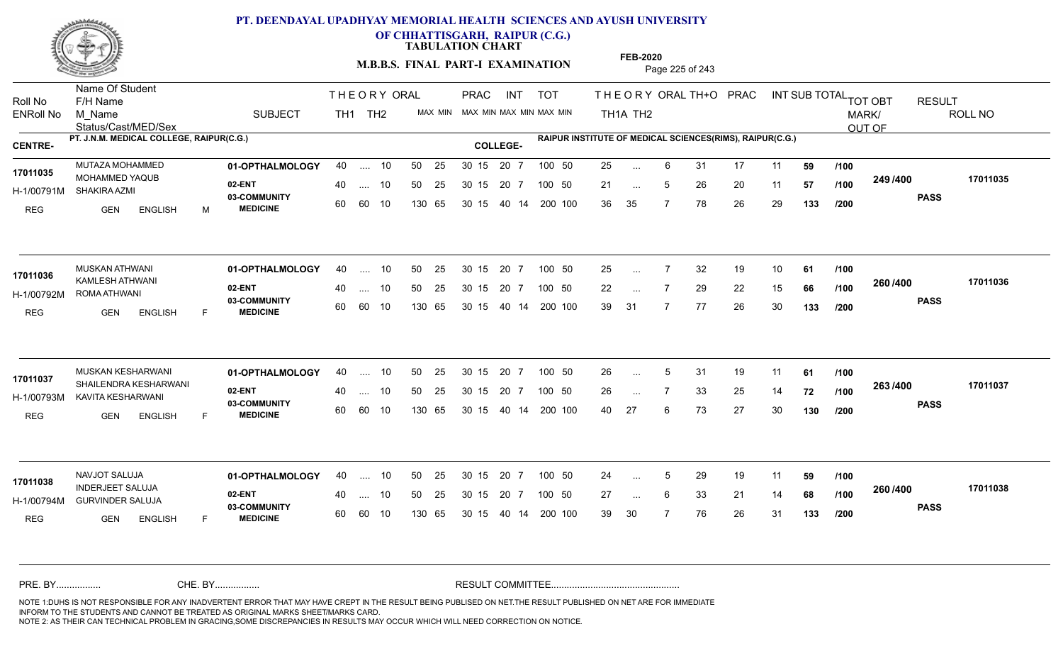

**OF CHHATTISGARH, RAIPUR (C.G.)**

**TABULATION CHART** 

**M.B.B.S. FINAL PART-I EXAMINATION** Page 225 of 243

Status/Cast/MED/Sex Name Of Student Roll No F/H Name M\_Name SUBJECT TH1 TH2 <sup>MAX\_MIN</sup> N PRAC INT TOT THEORYORALTH+O PRAC INT TH<sub>1</sub>A TH<sub>2</sub> ORAL TH+ODPRACD INT SUB TOTAL <sub>TOT OBT</sub> RESULT ROLL NO MARK/ OUT OF ENRoll No M Name  $\,$  SUBJECT TH1 TH2 MAX MIN MAX MIN MAX MIN MAX MIN TH1A TH2 **PT. J.N.M. MEDICAL COLLEGE, RAIPUR(C.G.) RAIPUR INSTITUTE OF MEDICAL SCIENCES(RIMS), RAIPUR(C.G.) CENTRE- COLLEGE-**THE ORY ORAL PRAC INT PRAC **01-OPTHALMOLOGY** MUTAZA MOHAMMED 40 .... 10 30 15 20 7 **02-ENT** 03-COMMUNITY 60  **MEDICINE** H-1/00791M SHAKIRA AZMI 17011035 MOHAMMED YAQUB REG GEN ENGLISH M 25 ... 6 31 17 11 **59 /100** 21 ... 5 26 20 11 **57 /100 <sup>2437400</sup>** 36 35 7 78 26 29 **133 249 PASS /400 17011035** .... 10 50 25 60 60 10 50 25 30 15 130 65 30 15 40 14 200 100 20 7 100 50 50 25 30 15 20 7 100 50 25 ... ... ... 5 **/100 /100 /200 01-OPTHALMOLOGY** MUSKAN ATHWANI 40 .... 10 30 15 20 7 **02-ENT** 03-COMMUNITY 60  **MEDICINE** H-1/00792M ROMA ATHWANI KAMLESH ATHWANI **17011036** REG GEN ENGLISH F 25 7 32 19 10 **61** 22 ... 7 29 22 15 **66 /100 <sup>2007–00</sup>** 39 31 7 77 26 30 **133 260 PASS /400 17011036**  $\ldots$  10 50 25 30 15 60 60 10 20 7 130 65 30 15 40 14 200 100 30 15 20 7 100 50 50 25 30 15 20 7 100 50 25 ... ... ... **/100 /100 /200** MUSKAN KESHARWANI **01-OPTHALMOLOGY** 40 .... 10 50 25 30 15 20 7 100 50 26 **02-ENT** 03-COMMUNITY 60  **MEDICINE** H-1/00793M KAVITA KESHARWANI SHAILENDRA KESHARWANI **17011037** REG GEN ENGLISH F 26 ... 5 31 19 11 **61 /100** 26 7 33 25 14 **72** 40 27 6 73 27 30 **130 263 PASS /400 17011037** .... 10 50 25 30 15 60 60 10 20 7 130 65 30 15 30 15 20 7 100 50 40 14 200 100 50 25 30 15 20 7 100 50 26 ... 5 ... 5 ... **/100 /100 /200 01-OPTHALMOLOGY** NAVJOT SALUJA 40 .... 10 30 15 20 7 **02-ENT** 03-COMMUNITY 60 **MEDICINE** 60 60 10 H-1/00794M GURVINDER SALUJA PROGRAM SALU INDERJEET SALUJA **17011038** REG GEN ENGLISH F 24 ... 5 29 19 11 **59 /100** 27 ... 6 33 21 14 **68 /100 <sup>2007–00</sup>** 39 30 7 76 26 31 **133 260 PASS /400 17011038** 40 .... 10 50 25 130 65 130 65 30 15 30 15 20 7 100 50 40 14 200 100 50 25 30 15 20 7 100 50 24 ... 5 ... 5 ... **/100 /100 /200** NOTE 1:DUHS IS NOT RESPONSIBLE FOR ANY INADVERTENT ERROR THAT MAY HAVE CREPT IN THE RESULT BEING PUBLISED ON NET.THE RESULT PUBLISHED ON NET ARE FOR IMMEDIATE INFORM TO THE STUDENTS AND CANNOT BE TREATED AS ORIGINAL MARKS SHEET/MARKS CARD. CHE. BY WAREL BY WARE AND THE AVEC THE AVEC THE THE RESULT COMMITTEE AND MULTIME MOTE 1:DUHS IS NOT RESPONSIBLE FOR ANY INADVERTENT ERROR THAT MAY HAVE CREPT IN THE RESULT BEING PUBLISED ON NET.THE RESULT PUBLISHED ON NET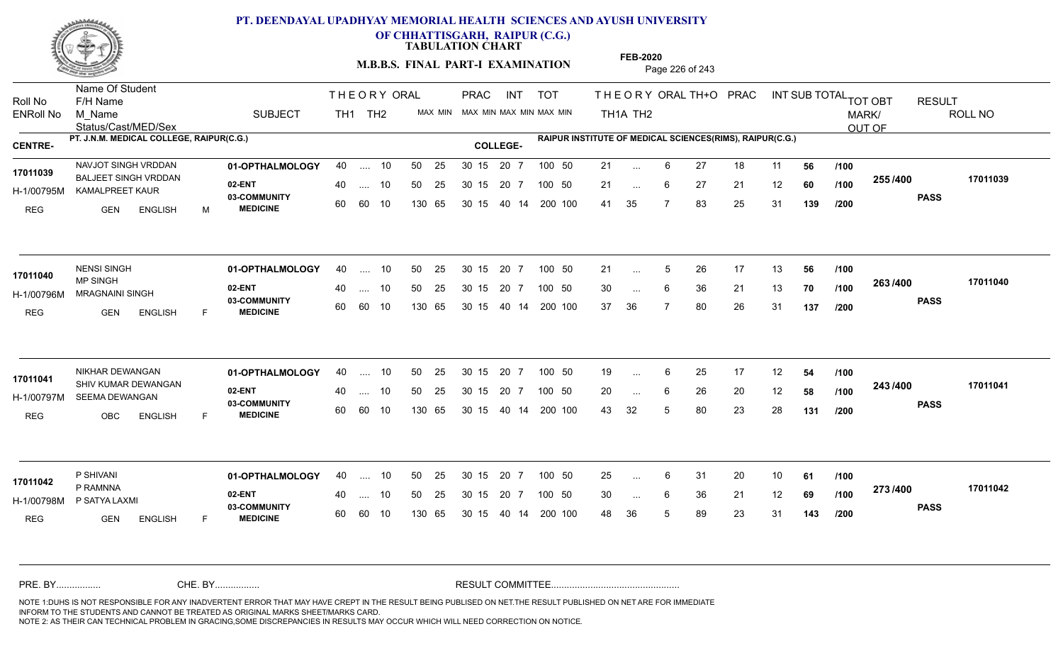

**OF CHHATTISGARH, RAIPUR (C.G.)**

**TABULATION CHART** 

**M.B.B.S. FINAL PART-I EXAMINATION** Page 226 of 243

Status/Cast/MED/Sex Name Of Student Roll No F/H Name M\_Name SUBJECT TH1 TH2 <sup>MAX\_MIN</sup> N PRAC INT TOT THEORYORALTH+O PRAC INT TH<sub>1</sub>A TH<sub>2</sub> ORAL TH+ODPRACD INT SUB TOTAL <sub>TOT OBT</sub> RESULT ROLL NO MARK/ OUT OF ENRoll No M Name  $\,$  SUBJECT TH1 TH2 MAX MIN MAX MIN MAX MIN MAX MIN TH1A TH2 **PT. J.N.M. MEDICAL COLLEGE, RAIPUR(C.G.) RAIPUR INSTITUTE OF MEDICAL SCIENCES(RIMS), RAIPUR(C.G.) CENTRE- COLLEGE-**THE ORY ORAL PRAC INT PRAC NAVJOT SINGH VRDDAN **01-OPTHALMOLOGY** 40 .... 10 50 25 30 15 20 7 100 50 21 **02-ENT** 03-COMMUNITY 60  **MEDICINE** H-1/00795M KAMALPREET KAUR 17011039 BALJEET SINGH VRDDAN <sub>oo h</sub> REG GEN ENGLISH M 21 ... 6 27 18 11 **56 /100** 21 ... 6 27 21 12 **60 /100 <sup>2007</sup> 700** 41 35 7 83 25 31 **139 255 PASS /400 17011039** 40 .... 10 50 25 30 15 60 60 10 130 65 30 15 20 7 100 50 40 14 200 100 50 25 30 15 20 7 100 50 21 ... ... ... 6 **/100 /100 /200 01-OPTHALMOLOGY** NENSI SINGH 40 .... 10 30 15 20 7 **02-ENT** 03-COMMUNITY 60 **MEDICINE** 60 60 10 H-1/00796M MRAGNAINI SINGH MP SINGH REG GEN ENGLISH F 21 ... 5 26 17 13 **56 /100** 30 ... 6 36 21 13 **70 /100 <sup>2007</sup> 70** 37 36 7 80 26 31 **137 263 PASS /400 17011040** 40 .... 10 50 25 130 65 130 65 30 15 40 14 200 100 30 15 20 7 100 50 50 25 30 15 20 7 100 50 21 ... 5 **17011040 NENSI SINGH** ... 5  $\overline{\phantom{a}}$ . 6 **/100 /100 /200 01-OPTHALMOLOGY** NIKHAR DEWANGAN 40 .... 10 30 15 20 7 **02-ENT** 03-COMMUNITY 60 **MEDICINE** 60 60 10 H-1/00797M SEEMA DEWANGAN 17011041 SHIV KUMAR DEWANGAN REG OBC ENGLISH F 19 ... 6 25 17 12 **54 /100** 20 ... 6 26 20 12 **58 /100 <sup>2-+3</sup> /\*<sup>00</sup>** 43 32 5 80 23 28 **131 243 PASS /400 17011041** .... 10 50 25 30 15 130 65 20 7 130 65 30 15 30 15 20 7 100 50 40 14 200 100 50 25 30 15 20 7 100 50 19 ... 6 ... ... 6 **/100 /100 /200 01-OPTHALMOLOGY** P SHIVANI 40 .... 10 30 15 20 7 **02-ENT** 03-COMMUNITY 60 **MEDICINE** 60 60 10 H-1/00798M P SATYA LAXMI P RAMNNA REG GEN ENGLISH F 25 ... 6 31 20 10 **61 /100** 30 ... 6 36 21 12 **69 /100 <sup>2137–60</sup>** 48 36 5 89 23 31 **143 273 PASS /400 17011042** 40 .... 10 50 25 130 65 130 65 30 15 30 15 20 7 100 50 40 14 200 100 50 25 30 15 20 7 100 50 25 ... **17011042** P SHIVANI ... ... 6 **/100 /100 /200** NOTE 1:DUHS IS NOT RESPONSIBLE FOR ANY INADVERTENT ERROR THAT MAY HAVE CREPT IN THE RESULT BEING PUBLISED ON NET.THE RESULT PUBLISHED ON NET ARE FOR IMMEDIATE INFORM TO THE STUDENTS AND CANNOT BE TREATED AS ORIGINAL MARKS SHEET/MARKS CARD. CHE. BY WAREL BY WARE AND THE AVEC THE AVEC THE THE RESULT COMMITTEE AND MULTIME MOTE 1:DUHS IS NOT RESPONSIBLE FOR ANY INADVERTENT ERROR THAT MAY HAVE CREPT IN THE RESULT BEING PUBLISED ON NET.THE RESULT PUBLISHED ON NET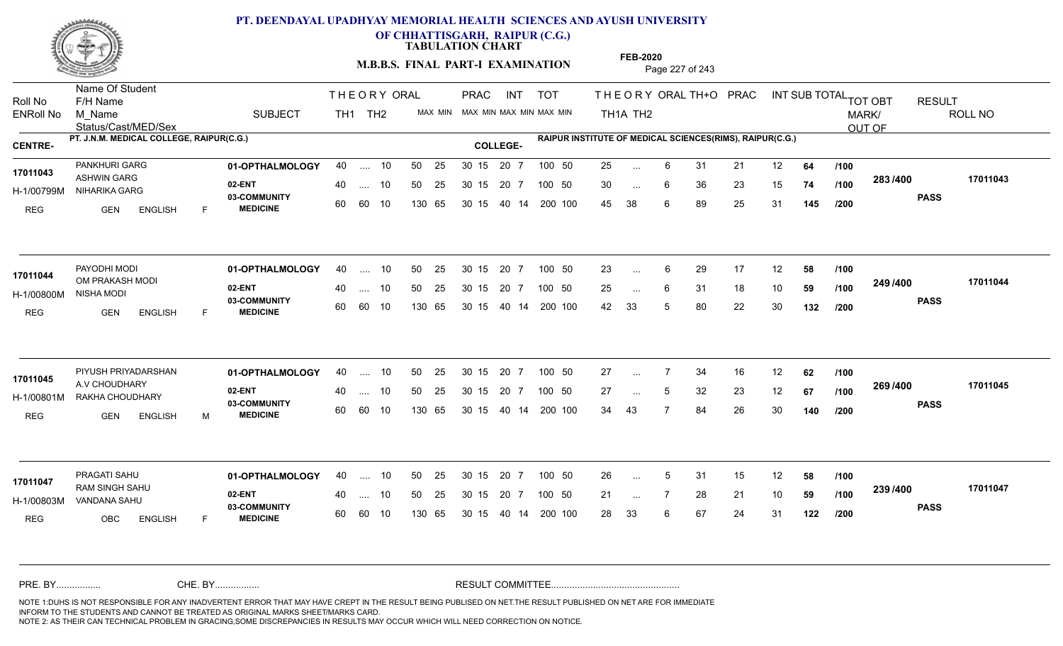

Name Of Student

# **PT. DEENDAYAL UPADHYAY MEMORIAL HEALTH SCIENCES AND AYUSH UNIVERSITY**

**OF CHHATTISGARH, RAIPUR (C.G.)**

**TABULATION CHART** 

**M.B.B.S. FINAL PART-I EXAMINATION** Page 227 of 243

Status/Cast/MED/Sex Roll No F/H Name M\_Name SUBJECT TH1 TH2 <sup>MAX\_MIN</sup> N PRAC INT TOT THEORYORALTH+O PRAC INT TH<sub>1</sub>A TH<sub>2</sub> ORAL TH+ODPRACD INT SUB TOTAL <sub>TOT OBT</sub> RESULT ROLL NO MARK/ OUT OF ENRoll No M Name  $\,$  SUBJECT TH1 TH2 MAX MIN MAX MIN MAX MIN MAX MIN TH1A TH2 **PT. J.N.M. MEDICAL COLLEGE, RAIPUR(C.G.) RAIPUR INSTITUTE OF MEDICAL SCIENCES(RIMS), RAIPUR(C.G.) CENTRE- COLLEGE-**THE ORY ORAL PRAC INT PRAC **01-OPTHALMOLOGY** PANKHURI GARG 40 .... 10 30 15 20 7 **02-ENT** 03-COMMUNITY 60  **MEDICINE** H-1/00799M NIHARIKA GARG 17011043 ASHWIN GARG 20 PM REG GEN ENGLISH F 25 ... 6 31 21 12 **64 /100** 30 ... 6 36 23 15 **74 /100 <sup>2007</sup> 700** 45 38 6 89 25 31 **145 283 PASS /400 17011043** 40 .... 10 50 25 30 15 60 60 10 130 65 30 15 20 7 100 50 40 14 200 100 50 25 30 15 20 7 100 50 25 ... ... ... 6 **/100 /100 /200 01-OPTHALMOLOGY** PAYODHI MODI 40 .... 10 30 15 20 7 **02-ENT** 03-COMMUNITY 60  **MEDICINE** H-1/00800M NISHA MODI 17011044 OM PRAKASH MODI REG GEN ENGLISH F 23 ... 6 29 17 12 **58 /100** 25 ... 6 31 18 10 **59 /100 <sup>243 /400</sup>** 42 33 5 80 22 30 **132 249 PASS /400 17011044** 40 .... 10 50 25 60 60 10 130 65 30 15 40 14 200 100 30 15 20 7 100 50 50 25 30 15 20 7 100 50 23 ... ...  $\overline{\phantom{a}}$ . 6 **/100 /100 /200** PIYUSH PRIYADARSHAN **01-OPTHALMOLOGY** 40 .... 10 50 25 30 15 20 7 100 50 27 **02-ENT** 03-COMMUNITY 60  **MEDICINE** H-1/00801M RAKHA CHOUDHARY **1999 PARTICLE** 17011045 A.V CHOUDHARY REG GEN ENGLISH M 27 7 34 16 12 **62** 27 ... 5 32 23 12 **67 /100 <sup>2007/400</sup>** 34 43 7 84 26 30 **140 269 /100 PASS /400 17011045** .... 10 50 25 30 15 60 60 10 20 7 130 65 30 15 30 15 20 7 100 50 40 14 200 100 50 25 30 15 20 7 100 50 27 ... 7 ... ... **/100 /200 01-OPTHALMOLOGY** PRAGATI SAHU 40 .... 10 30 15 20 7 **02-ENT** 03-COMMUNITY 60 **MEDICINE** 60 60 10 H-1/00803M VANDANA SAHU 22 BALLAMA RAM SINGH SAHU **17011047** REG OBC ENGLISH F 26 ... 5 31 15 12 **58 /100** 21 7 28 21 10 **59** 28 33 6 67 24 31 **122 239 PASS /400 17011047** 40 .... 10 50 25 130 65 130 65 30 15 30 15 20 7 100 50 40 14 200 100 50 25 30 15 20 7 100 50 26 ... 5 ... 5 ... **/100 /100 /200** NOTE 1:DUHS IS NOT RESPONSIBLE FOR ANY INADVERTENT ERROR THAT MAY HAVE CREPT IN THE RESULT BEING PUBLISED ON NET.THE RESULT PUBLISHED ON NET ARE FOR IMMEDIATE INFORM TO THE STUDENTS AND CANNOT BE TREATED AS ORIGINAL MARKS SHEET/MARKS CARD. CHE. BY WAREL BY WARE AND THE AVEC THE AVEC THE THE RESULT COMMITTEE AND MULTIME MOTE 1:DUHS IS NOT RESPONSIBLE FOR ANY INADVERTENT ERROR THAT MAY HAVE CREPT IN THE RESULT BEING PUBLISED ON NET.THE RESULT PUBLISHED ON NET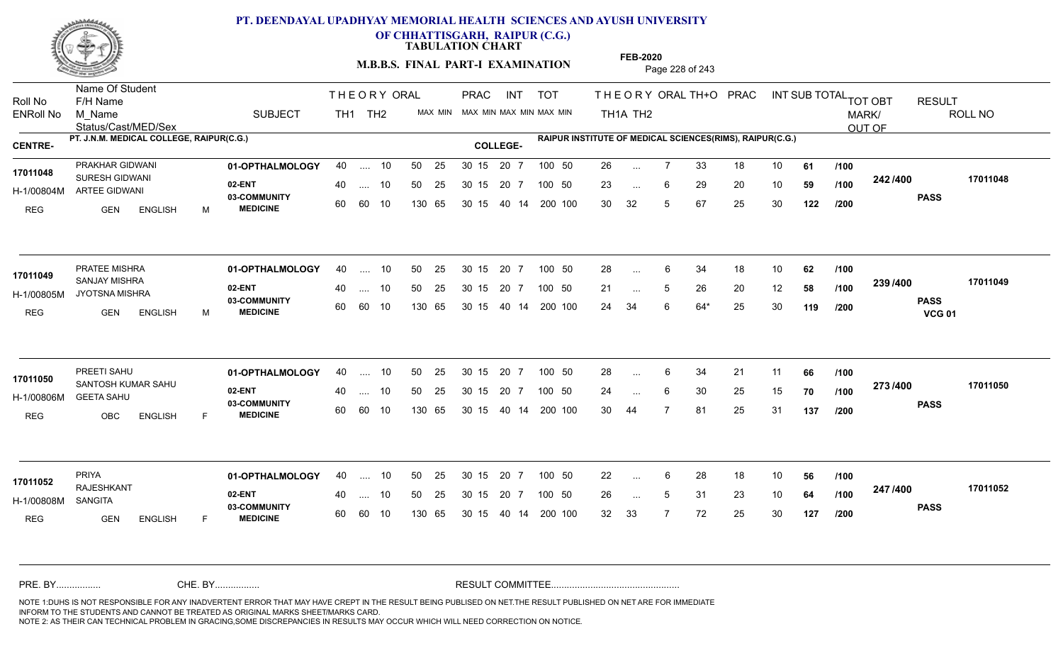

**OF CHHATTISGARH, RAIPUR (C.G.)**

**TABULATION CHART** 

**M.B.B.S. FINAL PART-I EXAMINATION** Page 228 of 243

Status/Cast/MED/Sex Name Of Student Roll No F/H Name M\_Name SUBJECT PRAC INT TOT THEORY ORAL TH+O PRAC INT TH<sub>1</sub>A TH<sub>2</sub> ORAL TH+ODPRACD INT SUB TOTAL <sub>TOT OBT</sub> RESULT ROLL NO MARK/ OUT OF ENRoll No M Name  $\,$  SUBJECT TH1 TH2 MAX MIN MAX MIN MAX MIN MAX MIN TH1A TH2 **PT. J.N.M. MEDICAL COLLEGE, RAIPUR(C.G.) RAIPUR INSTITUTE OF MEDICAL SCIENCES(RIMS), RAIPUR(C.G.) CENTRE- COLLEGE-**THE ORY ORAL PRAC INT TH<sub>1</sub> TH<sub>2</sub> PRAC **01-OPTHALMOLOGY** PRAKHAR GIDWANI 40 .... 10 30 15 20 7 **02-ENT** 03-COMMUNITY 60  **MEDICINE** H-1/00804M ARTEE GIDWANI **17011048** SURESH GIDWANI REG GEN ENGLISH M 26 7 33 18 10 **61** 23 ... 6 29 20 10 **59 /100 <sup>242 /400</sup>** 30 32 5 67 25 30 **122 242 PASS /400 17011048** 40 .... 10 50 25 30 15 60 60 10 130 65 30 15 20 7 100 50 40 14 200 100 50 25 30 15 20 7 100 50 26 ... ... ... 6 **/100 /100 /200 01-OPTHALMOLOGY** PRATEE MISHRA 40 .... 10 30 15 20 7 **02-ENT** 03-COMMUNITY 60 **MEDICINE** 60 60 10 H-1/00805M JYOTSNA MISHRA **ANG ANG TANGGA 17011049**<br>
SANJAY MISHRA REG GEN ENGLISH M 28 6 34 18 10 **62** 21 ... 5 26 20 12 **58 /100 <sup>2007</sup> 700** 24 34 6 64\* 25 30 **119 239 PASS VCG 01 /400 17011049** 40 .... 10 50 25 130 65 130 65 30 15 40 14 200 100 30 15 20 7 100 50 50 25 30 15 20 7 100 50 28 ... ... ... 5 **/100 /100 /200 01-OPTHALMOLOGY** PREETI SAHU 40 .... 10 30 15 20 7 **02-ENT** 03-COMMUNITY 60 **MEDICINE** 60 60 10 H-1/00806M GEETA SAHU SANTOSH KUMAR SAHU **17011050** REG OBC ENGLISH F 28 6 34 21 11 **66** 24 ... 6 30 25 15 **70 /100 <sup>2137466</sup>** 30 44 7 81 25 31 **137 273 PASS /400 17011050** .... 10 50 25 30 15 130 65 20 7 130 65 30 15 30 15 20 7 100 50 40 14 200 100 50 25 30 15 20 7 100 50 28 ... 6 ... ... **/100 /100 /200 01-OPTHALMOLOGY** PRIYA 40 .... 10 30 15 20 7 **02-ENT** 03-COMMUNITY 60 **MEDICINE** 60 60 10 H-1/00808M RAJESHKANT **17011052** SANGITA REG GEN ENGLISH F 22 ... 6 28 18 10 **56 /100** 26 ... 5 31 23 10 **64 /100 <sup>247</sup> /\*<sup>00</sup>** 32 33 7 72 25 30 **127 247 PASS /400 17011052** 40 .... 10 50 25 130 65 130 65 30 15 30 15 20 7 100 50 40 14 200 100 50 25 30 15 20 7 100 50 22 ... ... ... **/100 /100 /200** NOTE 1:DUHS IS NOT RESPONSIBLE FOR ANY INADVERTENT ERROR THAT MAY HAVE CREPT IN THE RESULT BEING PUBLISED ON NET.THE RESULT PUBLISHED ON NET ARE FOR IMMEDIATE INFORM TO THE STUDENTS AND CANNOT BE TREATED AS ORIGINAL MARKS SHEET/MARKS CARD. CHE. BY WAREL BY WARE AND THE AVEC THE AVEC THE THE RESULT COMMITTEE AND MULTIME MOTE 1:DUHS IS NOT RESPONSIBLE FOR ANY INADVERTENT ERROR THAT MAY HAVE CREPT IN THE RESULT BEING PUBLISED ON NET.THE RESULT PUBLISHED ON NET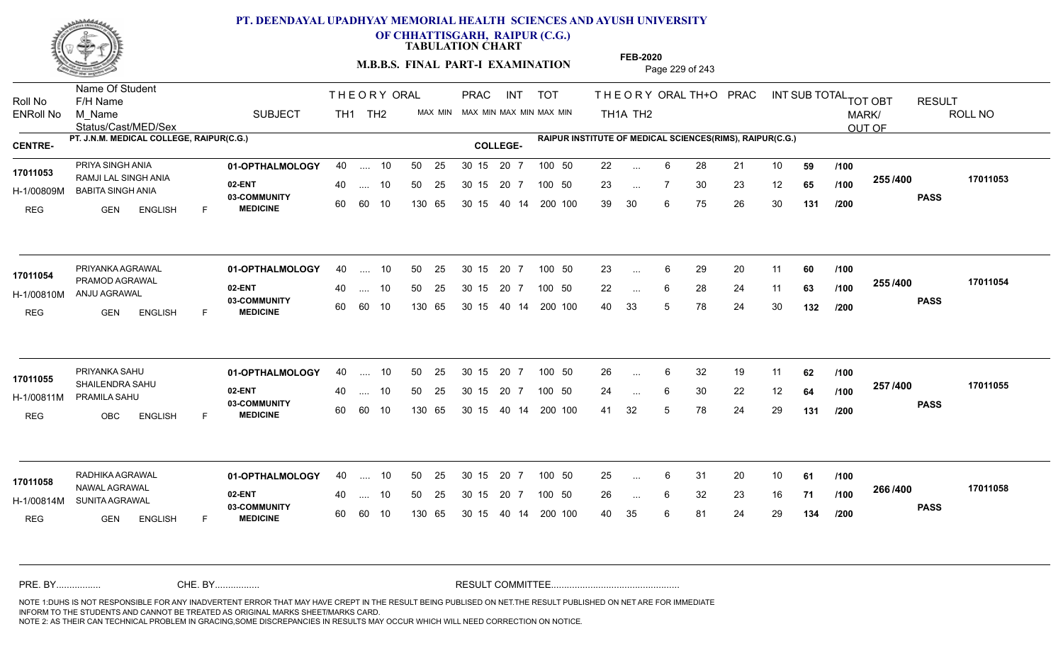

**OF CHHATTISGARH, RAIPUR (C.G.)**

**TABULATION CHART** 

**M.B.B.S. FINAL PART-I EXAMINATION** Page 229 of 243

Status/Cast/MED/Sex Name Of Student Roll No F/H Name M\_Name SUBJECT TH1 TH2 <sup>MAX\_MIN</sup> N PRAC INT TOT THEORY ORAL TH+O PRAC INT TH<sub>1</sub>A TH<sub>2</sub> ORAL TH+ODPRACD INT SUB TOTAL <sub>TOT OBT</sub> RESULT ROLL NO MARK/ OUT OF ENRoll No M Name  $\,$  SUBJECT TH1 TH2 MAX MIN MAX MIN MAX MIN MAX MIN TH1A TH2 **PT. J.N.M. MEDICAL COLLEGE, RAIPUR(C.G.) RAIPUR INSTITUTE OF MEDICAL SCIENCES(RIMS), RAIPUR(C.G.) CENTRE- COLLEGE-**THE ORY ORAL PRAC INT PRAC **01-OPTHALMOLOGY** PRIYA SINGH ANIA 40 .... 10 30 15 20 7 **02-ENT** 03-COMMUNITY 60  **MEDICINE** H-1/00809M BABITA SINGH ANIA RAMJI LAL SINGH ANIA **17011053** REG GEN ENGLISH F 22 6 28 21 10 **59** 23 ... 7 30 23 12 **65 /100 <sup>2007</sup> 7** 39 30 6 75 26 30 **131 255 PASS /400 17011053** 40 .... 10 50 25 30 15 60 60 10 130 65 30 15 20 7 100 50 40 14 200 100 50 25 30 15 20 7 100 50 22 ... ... ... **/100 /100 /200 01-OPTHALMOLOGY** PRIYANKA AGRAWAL 40 .... 10 30 15 20 7 **02-ENT** 03-COMMUNITY 60 **MEDICINE** 60 60 10 H-1/00810M ANJU AGRAWAL 17011054 **PRAMOD AGRAWAL** REG GEN ENGLISH F 23 ... 6 29 20 11 **60** /**100** 22 ... 6 28 24 11 **63 /100 <sup>2007</sup> 700** 40 33 5 78 24 30 **132 255 PASS /400 17011054** 40 .... 10 50 25 130 65 130 65 30 15 40 14 200 100 30 15 20 7 100 50 50 25 30 15 20 7 100 50 23 ... ...  $\overline{\phantom{a}}$ . 6 **/100 /100 /200 01-OPTHALMOLOGY** PRIYANKA SAHU 40 .... 10 30 15 20 7 **02-ENT** 03-COMMUNITY 60  **MEDICINE** H-1/00811M PRAMILA SAHU 17011055 SHAILENDRA SAHU REG OBC ENGLISH F 26 6 32 19 11 **62** 24 ... 6 30 22 12 **64 /100 <sup>237</sup> /\*\***00 41 32 5 78 24 29 **131 257 PASS /400 17011055** .... 10 50 25 30 15 60 60 10 20 7 130 65 30 15 30 15 20 7 100 50 40 14 200 100 50 25 30 15 20 7 100 50 26 ... 6 ... ... **/100 /100 /200 01-OPTHALMOLOGY** RADHIKA AGRAWAL 40 .... 10 30 15 20 7 **02-ENT** 03-COMMUNITY 60 **MEDICINE** 60 60 10 H-1/00814M SUNITA AGRAWAL NAWAL AGRAWAL **17011058** REG **GEN ENGLISH** F 25 ... 6 31 20 10 **61 /100** 26 6 32 23 16 **71** 40 35 6 81 24 29 **134 266 PASS /400 17011058** 40 .... 10 50 25 130 65 130 65 30 15 30 15 20 7 100 50 40 14 200 100 50 25 30 15 20 7 100 50 25 ... ... ... 6 **/100 /100 /200** NOTE 1:DUHS IS NOT RESPONSIBLE FOR ANY INADVERTENT ERROR THAT MAY HAVE CREPT IN THE RESULT BEING PUBLISED ON NET.THE RESULT PUBLISHED ON NET ARE FOR IMMEDIATE INFORM TO THE STUDENTS AND CANNOT BE TREATED AS ORIGINAL MARKS SHEET/MARKS CARD. CHE. BY WAREL BY WARE AND THE AVEC THE AVEC THE THE RESULT COMMITTEE AND MULTIME MOTE 1:DUHS IS NOT RESPONSIBLE FOR ANY INADVERTENT ERROR THAT MAY HAVE CREPT IN THE RESULT BEING PUBLISED ON NET.THE RESULT PUBLISHED ON NET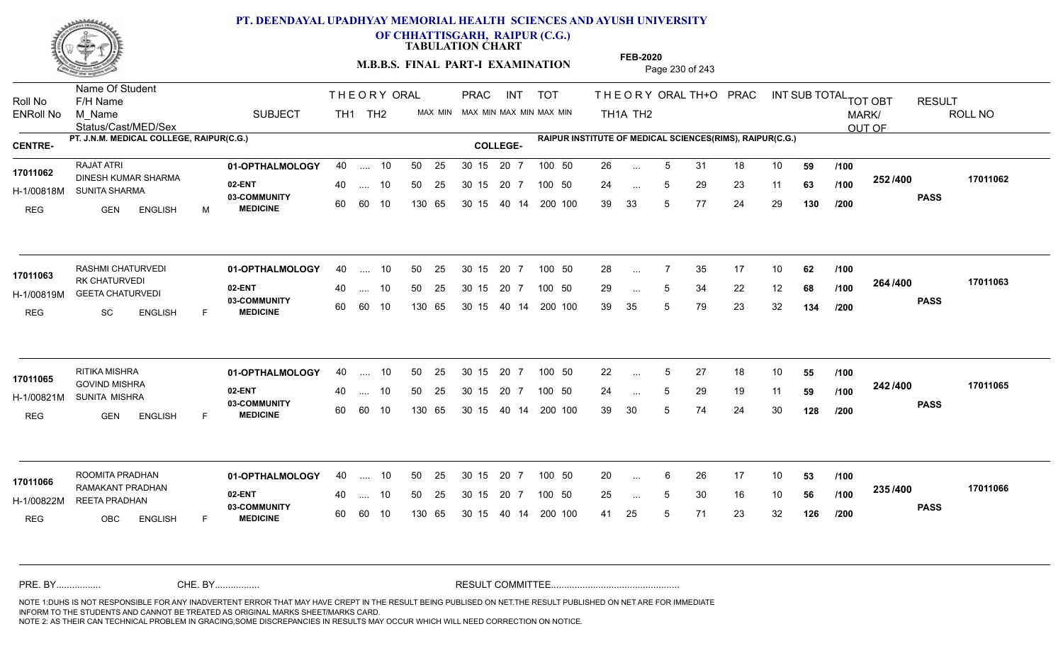

**OF CHHATTISGARH, RAIPUR (C.G.)**

**TABULATION CHART** 

**M.B.B.S. FINAL PART-I EXAMINATION** Page 230 of 243

Status/Cast/MED/Sex Name Of Student Roll No F/H Name M\_Name SUBJECT TH1 TH2 <sup>MAX\_MIN</sup> N PRAC INT TOT THEORY ORAL TH+O PRAC INT TH<sub>1</sub>A TH<sub>2</sub> ORAL TH+ODPRACD INT SUB TOTAL <sub>TOT OBT</sub> RESULT ROLL NO MARK/ OUT OF ENRoll No M Name  $\,$  SUBJECT TH1 TH2 MAX MIN MAX MIN MAX MIN MAX MIN TH1A TH2 **PT. J.N.M. MEDICAL COLLEGE, RAIPUR(C.G.) RAIPUR INSTITUTE OF MEDICAL SCIENCES(RIMS), RAIPUR(C.G.) CENTRE- COLLEGE-**THE ORY ORAL PRAC INT PRAC **01-OPTHALMOLOGY** RAJAT ATRI 40 .... 10 30 15 20 7 **02-ENT** 03-COMMUNITY 60  **MEDICINE** H-1/00818M SUNITA SHARMA 17011062 DINESH KUMAR SHARMA<br>And the state of the state of the state of the state of the state of the state of the state of the state of the REG GEN ENGLISH M 26 5 31 18 10 **59** 24 ... 5 29 23 11 **63 /100 <sup>2027</sup> 100** 39 33 5 77 24 29 **130 252 PASS /400 17011062** 40 .... 10 50 25 30 15 60 60 10 130 65 30 15 20 7 100 50 40 14 200 100 50 25 30 15 20 7 100 50 26 ... ... ... **/100 /100 /200 01-OPTHALMOLOGY** RASHMI CHATURVEDI 40 .... 10 30 15 20 7 **02-ENT** 03-COMMUNITY 60  **MEDICINE** H-1/00819M GEETA CHATURVEDI 17011063<br>RK CHATURVEDI REG SC ENGLISH F 28 ... 7 35 17 10 **62** /**100** 29 ... 5 34 22 12 **68 /100 <sup>2047</sup> 1** 39 35 5 79 23 32 **134 264 PASS /400 17011063** 40 .... 10 50 25 60 60 10 130 65 30 15 40 14 200 100 30 15 20 7 100 50 50 25 30 15 20 7 100 50 28 ... ... ... 5 **/100 /100 /200 01-OPTHALMOLOGY** RITIKA MISHRA 40 .... 10 30 15 20 7 **02-ENT** 03-COMMUNITY 60  **MEDICINE** H-1/00821M SUNITA MISHRA GOVIND MISHRA **17011065** REG GEN ENGLISH F 22 ... 5 27 18 10 **55 /100** 24 ... 5 29 19 11 **59 /100 <sup>242 /4</sup>00** 39 30 5 74 24 30 **128 242 PASS /400 17011065** .... 10 50 25 30 15 60 60 10 20 7 130 65 30 15 30 15 20 7 100 50 40 14 200 100 50 25 30 15 20 7 100 50 22 ... 5 ... ... 5 **/100 /100 /200 01-OPTHALMOLOGY** ROOMITA PRADHAN 40 .... 10 30 15 20 7 **02-ENT** 03-COMMUNITY 60 **MEDICINE** 60 60 10 H-1/00822M REETA PRADHAN RAMAKANT PRADHAN **17011066** REG OBC ENGLISH F 20 6 26 17 10 **53** 25 ... 5 30 16 10 **56 /100 <sup>2007</sup> 700** 41 25 5 71 23 32 **126 235 PASS /400 17011066** 40 .... 10 50 25 130 65 130 65 30 15 30 15 20 7 100 50 40 14 200 100 50 25 30 15 20 7 100 50 20 ... ... ... **/100 /100 /200** NOTE 1:DUHS IS NOT RESPONSIBLE FOR ANY INADVERTENT ERROR THAT MAY HAVE CREPT IN THE RESULT BEING PUBLISED ON NET.THE RESULT PUBLISHED ON NET ARE FOR IMMEDIATE INFORM TO THE STUDENTS AND CANNOT BE TREATED AS ORIGINAL MARKS SHEET/MARKS CARD. CHE. BY WAREL BY WARE AND THE AVEC THE AVEC THE THE RESULT COMMITTEE AND MULTIME MOTE 1:DUHS IS NOT RESPONSIBLE FOR ANY INADVERTENT ERROR THAT MAY HAVE CREPT IN THE RESULT BEING PUBLISED ON NET.THE RESULT PUBLISHED ON NET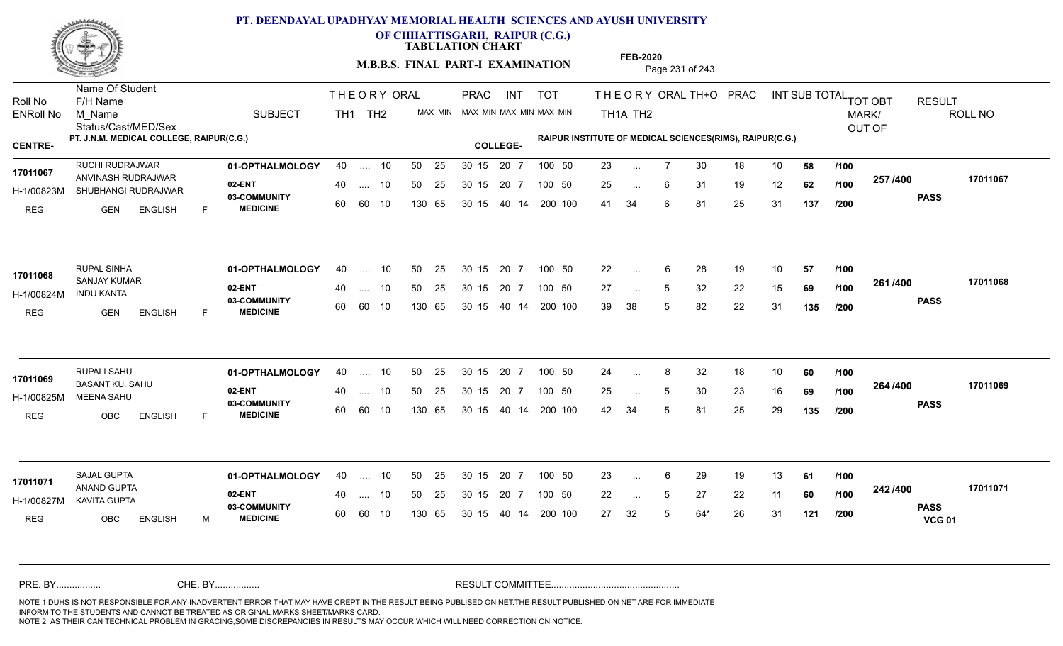

**OF CHHATTISGARH, RAIPUR (C.G.)**

**TABULATION CHART** 

**M.B.B.S. FINAL PART-I EXAMINATION** Page 231 of 243

Status/Cast/MED/Sex Name Of Student Roll No F/H Name M\_Name SUBJECT TH1 TH2 <sup>MAX\_MIN</sup> N PRAC INT TOT THEORY ORAL TH+O PRAC INT TH<sub>1</sub>A TH<sub>2</sub> ORAL TH+ODPRACD INT SUB TOTAL <sub>TOT OBT</sub> RESULT ROLL NO MARK/ OUT OF ENRoll No M Name  $\,$  SUBJECT TH1 TH2 MAX MIN MAX MIN MAX MIN MAX MIN TH1A TH2 **PT. J.N.M. MEDICAL COLLEGE, RAIPUR(C.G.) RAIPUR INSTITUTE OF MEDICAL SCIENCES(RIMS), RAIPUR(C.G.) CENTRE- COLLEGE-**THE ORY ORAL PRAC INT PRAC **01-OPTHALMOLOGY** RUCHI RUDRAJWAR 40 .... 10 30 15 20 7 **02-ENT** 03-COMMUNITY 60  **MEDICINE** H-1/00823M SHUBHANGI RUDRAJWAR **DE ENTRETTION SHUBHANGI RUDRAJWAR** ANVINASH RUDRAJWAR **17011067** REG GEN ENGLISH F 23 7 30 18 10 **58** 25 ... 6 31 19 12 **62 /100 <sup>201 /400</sup>** 41 34 6 81 25 31 **137 257 PASS /400 17011067** 40 .... 10 50 25 30 15 60 60 10 130 65 30 15 20 7 100 50 40 14 200 100 50 25 30 15 20 7 100 50 23 ... ... ... 6 **/100 /100 /200 01-OPTHALMOLOGY** RUPAL SINHA 40 .... 10 30 15 20 7 **02-ENT** 03-COMMUNITY 60 **MEDICINE** 60 60 10 H-1/00824M INDU KANTA SANJAY KUMAR REG GEN ENGLISH F 22 6 28 19 10 **57** 27 ... 5 32 22 15 **69 /100 <sup>2017–00</sup>** 39 38 5 82 22 31 **135 261 PASS /400 17011068** 40 .... 10 50 25 130 65 130 65 30 15 40 14 200 100 30 15 20 7 100 50 50 25 30 15 20 7 100 50 22 ... **17011068 17011068** ... ... **/100 /100 /200 01-OPTHALMOLOGY** RUPALI SAHU 40 .... 10 30 15 20 7 **02-ENT** 03-COMMUNITY 60 **MEDICINE** 60 60 10 H-1/00825M MEENA SAHU BASANT KU. SAHU **17011069** REG OBC ENGLISH F 24 ... 8 32 18 10 **60** /**100** 25 ... 5 30 23 16 **69 /100 <sup>204</sup> /\*vv** 42 34 5 81 25 29 **135 264 PASS /400 17011069** .... 10 50 25 30 15 130 65 20 7 130 65 30 15 30 15 20 7 100 50 40 14 200 100 50 25 30 15 20 7 100 50 24 ... 8 ... ... **/100 /100 /200 01-OPTHALMOLOGY** SAJAL GUPTA 40 .... 10 30 15 20 7 **02-ENT** 03-COMMUNITY 60 **MEDICINE** 60 60 10 H-1/00827M KAVITA GUPTA ANAND GUPTA **17011071** REG OBC ENGLISH M 23 6 29 19 13 **61** 22 5 27 22 11 **60** 27 32 5 64\* 26 31 **121 242 PASS VCG 01 /400 17011071** 40 .... 10 50 25 130 65 130 65 30 15 30 15 20 7 100 50 40 14 200 100 50 25 30 15 20 7 100 50 23 ... ... ... **/100 /100 /200** NOTE 1:DUHS IS NOT RESPONSIBLE FOR ANY INADVERTENT ERROR THAT MAY HAVE CREPT IN THE RESULT BEING PUBLISED ON NET.THE RESULT PUBLISHED ON NET ARE FOR IMMEDIATE INFORM TO THE STUDENTS AND CANNOT BE TREATED AS ORIGINAL MARKS SHEET/MARKS CARD. CHE. BY WAREL BY WARE AND THE AVEC THE AVEC THE THE RESULT COMMITTEE AND MULTIME MOTE 1:DUHS IS NOT RESPONSIBLE FOR ANY INADVERTENT ERROR THAT MAY HAVE CREPT IN THE RESULT BEING PUBLISED ON NET.THE RESULT PUBLISHED ON NET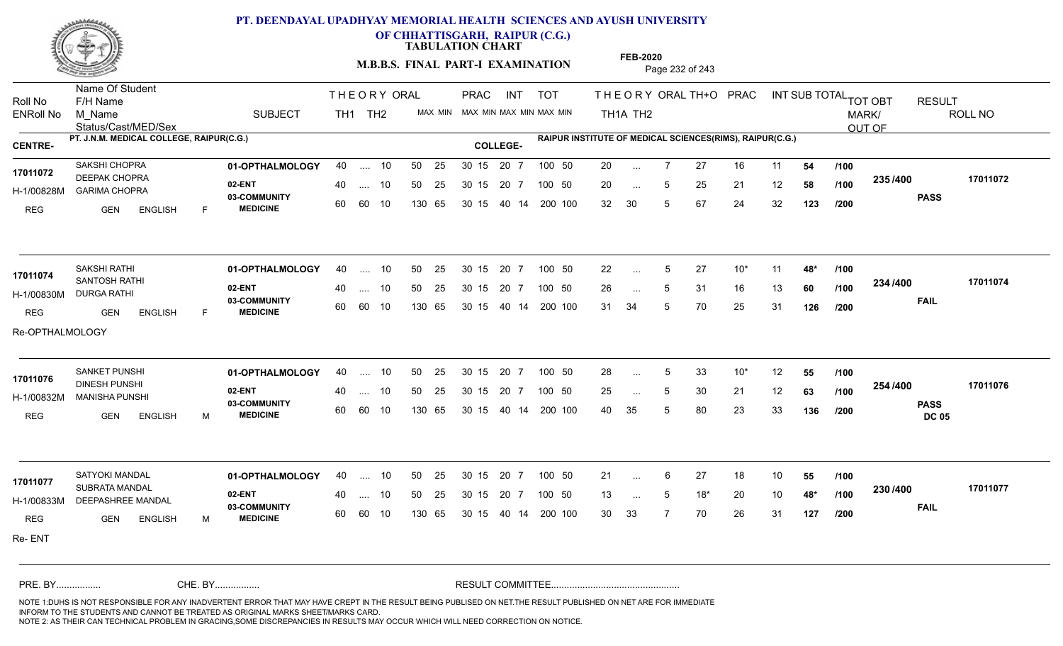

**OF CHHATTISGARH, RAIPUR (C.G.)**

**TABULATION CHART** 

**M.B.B.S. FINAL PART-I EXAMINATION** Page 232 of 243

Status/Cast/MED/Sex Name Of Student Roll No F/H Name M\_Name SUBJECT TH1 TH2 <sup>MAX\_MIN</sup> N PRAC INT TOT THEORY ORAL TH+O PRAC INT TH<sub>1</sub>A TH<sub>2</sub> ORAL TH+ODPRACD INT SUB TOTAL <sub>TOT OBT</sub> RESULT ROLL NO MARK/ OUT OF ENRoll No M Name  $\,$  SUBJECT TH1 TH2 MAX MIN MAX MIN MAX MIN MAX MIN TH1A TH2 **PT. J.N.M. MEDICAL COLLEGE, RAIPUR(C.G.) RAIPUR INSTITUTE OF MEDICAL SCIENCES(RIMS), RAIPUR(C.G.) CENTRE- COLLEGE-**THE ORY ORAL PRAC INT PRAC **01-OPTHALMOLOGY** SAKSHI CHOPRA 40 .... 10 30 15 20 7 **02-ENT** 03-COMMUNITY 60  **MEDICINE** H-1/00828M GARIMA CHOPRA **SECTION CONTRA** 17011072 DEEPAK CHOPRA **17011072** REG GEN ENGLISH F 20 7 27 16 11 **54** 20 ... 5 25 21 12 **58 /100 <sup>2007</sup> 700** 32 30 5 67 24 32 **123 235 PASS /400 17011072** 40 .... 10 50 25 30 15 60 60 10 130 65 30 15 20 7 100 50 40 14 200 100 50 25 30 15 20 7 100 50 20 ... ... ... 5 **/100 /100 /200 01-OPTHALMOLOGY** SAKSHI RATHI 40 .... 10 30 15 20 7 **02-ENT** 03-COMMUNITY 60 **MEDICINE** 60 60 10 H-1/00830M DURGA RATHI **17011074** SANTOSH RATHI REG GEN ENGLISH F 22 5 27 10\* 11 **48\*** 26 ... 5 31 16 13 **60 /100 <sup>2047</sup> 1** 31 34 5 70 25 31 **126 234 FAIL 17011074 /400** Re-OPTHALMOLOGY 40 .... 10 50 25 130 65 130 65 30 15 40 14 200 100 30 15 20 7 100 50 50 25 30 15 20 7 100 50 22 ... 5 ... 5 ... 5 **/100 /100 /200 01-OPTHALMOLOGY** SANKET PUNSHI 40 .... 10 30 15 20 7 **02-ENT** 03-COMMUNITY 60  **MEDICINE** H-1/00832M MANISHA PUNSHI 17011076 DINESH PUNSHI REG GEN ENGLISH M 28 ... 5 33 10<sup>\*</sup> 12 **55 /100** 25 ... 5 30 21 12 **63 /100 <sup>2047</sup> 1** 40 35 5 80 23 33 **136 254 PASS DC 05 /400 17011076** .... 10 50 25 30 15 60 60 10 20 7 130 65 30 15 30 15 20 7 100 50 40 14 200 100 50 25 30 15 20 7 100 50 28 ... 5 ... ... 5 **/100 /100 /200 01-OPTHALMOLOGY** SATYOKI MANDAL 40 .... 10 30 15 20 7 **02-ENT** 03-COMMUNITY 60 **MEDICINE** 60 60 10 H-1/00833M DEEPASHREE MANDAL **1.1** 22 H 17011077<br><sub>-</sub> - SUBRATA MANDAL REG GEN ENGLISH M 21 ... 6 27 18 10 **55 /100** 13 ... 5 18<sup>\*</sup> 20 10 **48<sup>\*</sup> /100 <sup>20</sup>** 30 33 7 70 26 31 **127 230 FAIL 17011077 /400** Re- ENT 40 .... 10 50 25 130 65 130 65 30 15 30 15 20 7 100 50 40 14 200 100 50 25 30 15 20 7 100 50 21 ... ... ... **/100 /100 /200** NOTE 1:DUHS IS NOT RESPONSIBLE FOR ANY INADVERTENT ERROR THAT MAY HAVE CREPT IN THE RESULT BEING PUBLISED ON NET.THE RESULT PUBLISHED ON NET ARE FOR IMMEDIATE INFORM TO THE STUDENTS AND CANNOT BE TREATED AS ORIGINAL MARKS SHEET/MARKS CARD. CHE. BY WAREL BY WARE AND THE AVEC THE AVEC THE THE RESULT COMMITTEE AND MULTIME MOTE 1:DUHS IS NOT RESPONSIBLE FOR ANY INADVERTENT ERROR THAT MAY HAVE CREPT IN THE RESULT BEING PUBLISED ON NET.THE RESULT PUBLISHED ON NET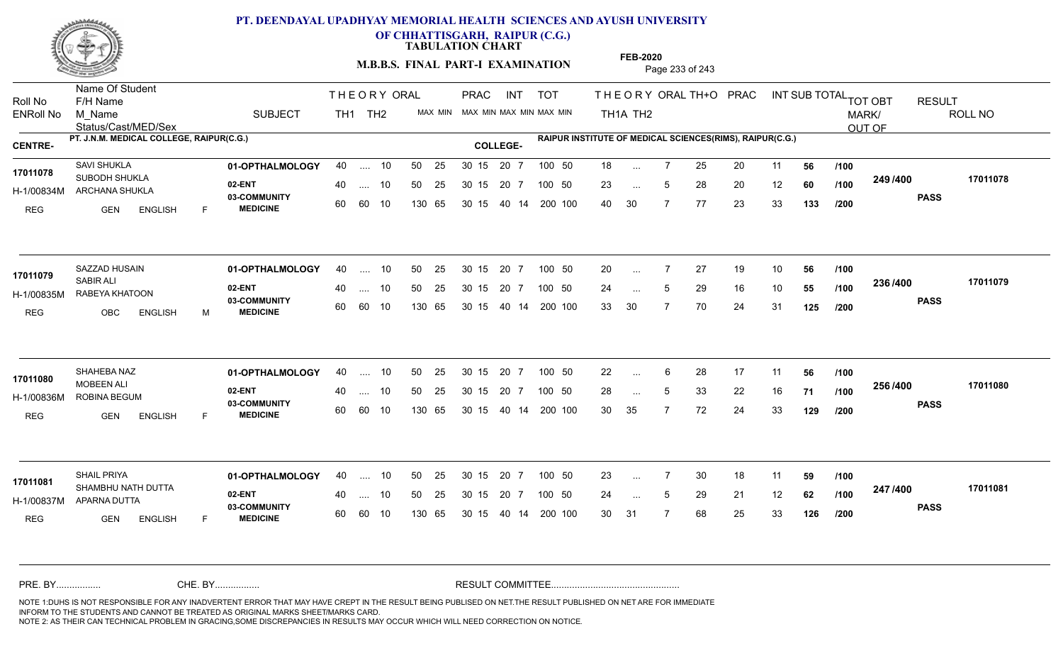

**OF CHHATTISGARH, RAIPUR (C.G.)**

**TABULATION CHART** 

**M.B.B.S. FINAL PART-I EXAMINATION** Page 233 of 243

Status/Cast/MED/Sex Name Of Student Roll No F/H Name M\_Name SUBJECT PRAC INT TOT THEORY ORAL TH+O PRAC INT TH<sub>1</sub>A TH<sub>2</sub> ORAL TH+ODPRACD INT SUB TOTAL <sub>TOT OBT</sub> RESULT ROLL NO MARK/ OUT OF ENRoll No M Name  $\,$  SUBJECT TH1 TH2 MAX MIN MAX MIN MAX MIN MAX MIN TH1A TH2 **PT. J.N.M. MEDICAL COLLEGE, RAIPUR(C.G.) RAIPUR INSTITUTE OF MEDICAL SCIENCES(RIMS), RAIPUR(C.G.) CENTRE- COLLEGE-**THE ORY ORAL PRAC INT TH<sub>1</sub> TH<sub>2</sub> PRAC **01-OPTHALMOLOGY** SAVI SHUKLA 40 .... 10 30 15 20 7 **02-ENT** 03-COMMUNITY 60  **MEDICINE** H-1/00834M ARCHANA SHUKLA SUBODH SHUKLA **17011078** REG **GEN ENGLISH** F 18 ... 7 25 20 11 **56 /100** 23 ... 5 28 20 12 **60 /100 <sup>243 /400</sup>** 40 30 7 77 23 33 **133 249 PASS /400 17011078** 40 .... 10 50 25 30 15 60 60 10 130 65 30 15 20 7 100 50 40 14 200 100 50 25 30 15 20 7 100 50 18 ... ... ... 5 **/100 /100 /200 01-OPTHALMOLOGY** SAZZAD HUSAIN 40 .... 10 30 15 20 7 **02-ENT** 03-COMMUNITY 60 **MEDICINE** 60 60 10 H-1/00835M RABEYA KHATOON SABIR ALI REG OBC ENGLISH M 20 7 27 19 10 **56** 24 ... 5 29 16 10 **55 /100 <sup>2007</sup> 100** 33 30 7 70 24 31 **125 236 PASS /400 17011079** 40 .... 10 50 25 130 65 130 65 30 15 40 14 200 100 30 15 20 7 100 50 50 25 30 15 20 7 100 50 20 ... **17011079** SAZZAD HUSAIN ... ... 5 **/100 /100 /200 01-OPTHALMOLOGY** SHAHEBA NAZ 40 .... 10 30 15 20 7 **02-ENT** 03-COMMUNITY 60 **MEDICINE** 60 60 10 H-1/00836M ROBINA BEGUM MOBEEN ALI REG GEN ENGLISH F 22 ... 6 28 17 11 **56** /**100** 28 ... 5 33 22 16 **71 /100 <sup>2307+00</sup>** 30 35 7 72 24 33 **129 256 PASS /400 17011080** .... 10 50 25 30 15 130 65 20 7 130 65 30 15 30 15 20 7 100 50 40 14 200 100 50 25 30 15 20 7 100 50 22 ... 6 **17011080**<br>**17011080** ... ... **/100 /100 /200 01-OPTHALMOLOGY** SHAIL PRIYA 40 .... 10 30 15 20 7 **02-ENT** 03-COMMUNITY 60 **MEDICINE** 60 60 10 H-1/00837M APARNA DUTTA 17011081 SHAMBHU NATH DUTTA REG **GEN ENGLISH** F 23 7 30 18 11 **59** 24 5 29 21 12 **62** 30 31 7 68 25 33 **126 247 PASS /400 17011081** 40 .... 10 50 25 130 65 130 65 30 15 30 15 20 7 100 50 40 14 200 100 50 25 30 15 20 7 100 50 23 ... ... ... 5 **/100 /100 /200** NOTE 1:DUHS IS NOT RESPONSIBLE FOR ANY INADVERTENT ERROR THAT MAY HAVE CREPT IN THE RESULT BEING PUBLISED ON NET.THE RESULT PUBLISHED ON NET ARE FOR IMMEDIATE INFORM TO THE STUDENTS AND CANNOT BE TREATED AS ORIGINAL MARKS SHEET/MARKS CARD. CHE. BY WAREL BY WARE AND THE AVEC THE AVEC THE THE RESULT COMMITTEE AND MULTIME MOTE 1:DUHS IS NOT RESPONSIBLE FOR ANY INADVERTENT ERROR THAT MAY HAVE CREPT IN THE RESULT BEING PUBLISED ON NET.THE RESULT PUBLISHED ON NET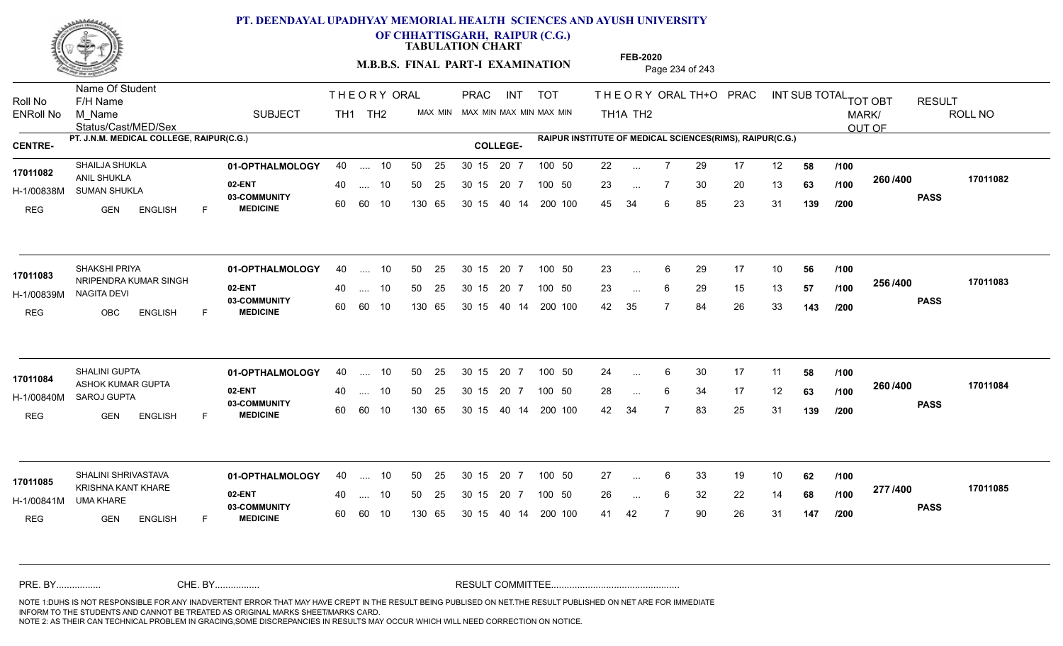

**OF CHHATTISGARH, RAIPUR (C.G.)**

**TABULATION CHART** 

**M.B.B.S. FINAL PART-I EXAMINATION** Page 234 of 243

Status/Cast/MED/Sex Name Of Student Roll No F/H Name M\_Name SUBJECT TH1 TH2 <sup>MAX\_MIN</sup> N PRAC INT TOT THEORY ORAL TH+O PRAC INT TH<sub>1</sub>A TH<sub>2</sub> ORAL TH+ODPRACD INT SUB TOTAL <sub>TOT OBT</sub> RESULT ROLL NO MARK/ OUT OF ENRoll No M Name  $\,$  SUBJECT TH1 TH2 MAX MIN MAX MIN MAX MIN MAX MIN TH1A TH2 **PT. J.N.M. MEDICAL COLLEGE, RAIPUR(C.G.) RAIPUR INSTITUTE OF MEDICAL SCIENCES(RIMS), RAIPUR(C.G.) CENTRE- COLLEGE-**THE ORY ORAL PRAC INT PRAC **01-OPTHALMOLOGY** SHAILJA SHUKLA 40 .... 10 30 15 20 7 **02-ENT** 03-COMMUNITY 60  **MEDICINE** H-1/00838M SUMAN SHUKLA AREA AREA **17011082** ANIL SHUKLA REG GEN ENGLISH F 22 7 29 17 12 **58** 23 ... 7 30 20 13 **63 /100 <sup>2007–00</sup>** 45 34 6 85 23 31 **139 260 PASS /400 17011082** 40 .... 10 50 25 30 15 60 60 10 130 65 30 15 20 7 100 50 40 14 200 100 50 25 30 15 20 7 100 50 22 ... ... ... **/100 /100 /200 01-OPTHALMOLOGY** SHAKSHI PRIYA 40 .... 10 30 15 20 7 **02-ENT** 03-COMMUNITY 60 **MEDICINE** 60 60 10 H-1/00839M NAGITA DEVI 17011083 NRIPENDRA KUMAR SINGH REG OBC ENGLISH F 23 ... 6 29 17 10 **56 /100** 23 ... 6 29 15 13 **57 /100 <sup>2007</sup> 700** 42 35 7 84 26 33 **143 256 PASS /400 17011083** 40 .... 10 50 25 130 65 130 65 30 15 40 14 200 100 30 15 20 7 100 50 50 25 30 15 20 7 100 50 23 ... ...  $\overline{\phantom{a}}$ . 6 **/100 /100 /200 01-OPTHALMOLOGY** SHALINI GUPTA 40 .... 10 30 15 20 7 **02-ENT** 03-COMMUNITY 60  **MEDICINE** H-1/00840M SAROJ GUPTA ASHOK KUMAR GUPTA **17011084** REG GEN ENGLISH F 24 ... 6 30 17 11 **58 /100** 28 ... 6 34 17 12 **63 /100 <sup>2007–00</sup>** 42 34 7 83 25 31 **139 260 /100 PASS /400 17011084** .... 10 50 25 30 15 60 60 10 20 7 130 65 30 15 30 15 20 7 100 50 40 14 200 100 50 25 30 15 20 7 100 50 24 ... 6 ... ... 6 **/100 /200** SHALINI SHRIVASTAVA **01-OPTHALMOLOGY** 40 .... 10 50 25 30 15 20 7 100 50 27 **02-ENT** 03-COMMUNITY 60 **MEDICINE** 60 60 10 H-1/00841M 17011085<br>**KRISHNA KANT KHARE** UMA KHARE REG **GEN ENGLISH** F 27 ... 6 33 19 10 **62 /100** 26 ... 6 32 22 14 **68 /100 <del>111</del>00** 41 42 7 90 26 31 **147 277 PASS /400 17011085** 40 .... 10 50 25 130 65 130 65 30 15 30 15 20 7 100 50 40 14 200 100 50 25 30 15 20 7 100 50 27 ... ... ... 6 **/100 /100 /200** NOTE 1:DUHS IS NOT RESPONSIBLE FOR ANY INADVERTENT ERROR THAT MAY HAVE CREPT IN THE RESULT BEING PUBLISED ON NET.THE RESULT PUBLISHED ON NET ARE FOR IMMEDIATE INFORM TO THE STUDENTS AND CANNOT BE TREATED AS ORIGINAL MARKS SHEET/MARKS CARD. CHE. BY WAREL BY WARE AND THE AVEC THE AVEC THE THE RESULT COMMITTEE AND MULTIME MOTE 1:DUHS IS NOT RESPONSIBLE FOR ANY INADVERTENT ERROR THAT MAY HAVE CREPT IN THE RESULT BEING PUBLISED ON NET.THE RESULT PUBLISHED ON NET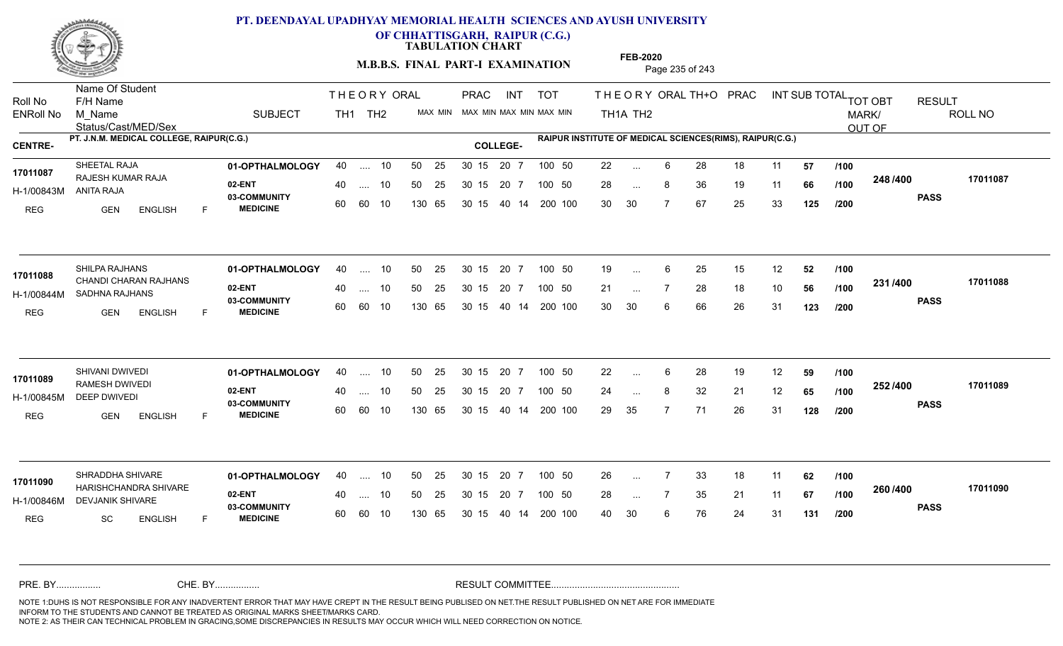

**OF CHHATTISGARH, RAIPUR (C.G.)**

**TABULATION CHART** 

**M.B.B.S. FINAL PART-I EXAMINATION** Page 235 of 243

Status/Cast/MED/Sex Name Of Student Roll No F/H Name M\_Name SUBJECT TH1 TH2 <sup>MAX\_MIN</sup> N PRAC INT TOT THEORY ORAL TH+O PRAC INT TH<sub>1</sub>A TH<sub>2</sub> ORAL TH+ODPRACD INT SUB TOTAL <sub>TOT OBT</sub> RESULT ROLL NO MARK/ OUT OF ENRoll No M Name  $\,$  SUBJECT TH1 TH2 MAX MIN MAX MIN MAX MIN MAX MIN TH1A TH2 **PT. J.N.M. MEDICAL COLLEGE, RAIPUR(C.G.) RAIPUR INSTITUTE OF MEDICAL SCIENCES(RIMS), RAIPUR(C.G.) CENTRE- COLLEGE-**THE ORY ORAL PRAC INT PRAC **01-OPTHALMOLOGY** SHEETAL RAJA 40 .... 10 30 15 20 7 **02-ENT** 03-COMMUNITY 60  **MEDICINE** H-1/00843M RAJESH KUMAR RAJA **17011087** ANITA RAJA REG GEN ENGLISH F 22 ... 6 28 18 11 **57 /100** 28 ... 8 36 19 11 **66 /100 <sup>2-40 / 400**</sup> 30 30 7 67 25 33 **125 248 PASS /400 17011087** 40 .... 10 50 25 30 15 60 60 10 130 65 30 15 40 14 200 100 20 7 100 50 50 25 30 15 20 7 100 50 22 ... ... ... **/100 /100 /200 01-OPTHALMOLOGY** SHILPA RAJHANS 40 .... 10 30 15 20 7 **02-ENT** 03-COMMUNITY 60  **MEDICINE** H-1/00844M SADHNA RAJHANS 17011088 CHANDI CHARAN RAJHANS REG GEN ENGLISH F 19 ... 6 25 15 12 **52 /100** 21 ... 7 28 18 10 **56 /100 <sup>2017</sup> 7** 30 30 6 66 26 31 **123 231 PASS /400 17011088** .... 10 50 25 60 60 10 30 15 20 7 130 65 30 15 40 14 200 100 30 15 20 7 100 50 50 25 30 15 20 7 100 50 19 ... ... ... **/100 /100 /200 01-OPTHALMOLOGY** SHIVANI DWIVEDI 40 .... 10 30 15 20 7 **02-ENT** 03-COMMUNITY 60  **MEDICINE** H-1/00845M DEEP DWIVEDI 17011089 RAMESH DWIVEDI REG GEN ENGLISH F 22 6 28 19 12 **59** 24 ... 8 32 21 12 **65 /100 <sup>2027</sup> 1** 29 35 7 71 26 31 **128 252 PASS /400 17011089** .... 10 50 25 30 15 60 60 10 20 7 130 65 30 15 30 15 20 7 100 50 40 14 200 100 50 25 30 15 20 7 100 50 22 ... 6 ... ... **/100 /100 /200 01-OPTHALMOLOGY** SHRADDHA SHIVARE 40 .... 10 30 15 20 7 **02-ENT** 03-COMMUNITY 60 **MEDICINE** 60 60 10 H-1/00846M DEVJANIK SHIVARE **1999 - 1999 PARA** 17011090 HARISHCHANDRA SHIVARE REG SC ENGLISH F 26 7 33 18 11 **62** 28 ... 7 35 21 11 **67 /100 <sup>2007–00</sup>** 40 30 6 76 24 31 **131 260 PASS /400 17011090** 40 .... 10 50 25 130 65 130 65 30 15 30 15 20 7 100 50 40 14 200 100 50 25 30 15 20 7 100 50 26 ... ... ... **/100 /100 /200** NOTE 1:DUHS IS NOT RESPONSIBLE FOR ANY INADVERTENT ERROR THAT MAY HAVE CREPT IN THE RESULT BEING PUBLISED ON NET.THE RESULT PUBLISHED ON NET ARE FOR IMMEDIATE INFORM TO THE STUDENTS AND CANNOT BE TREATED AS ORIGINAL MARKS SHEET/MARKS CARD. CHE. BY WAREL BY WARE AND THE AVEC THE AVEC THE THE RESULT COMMITTEE AND MULTIME MOTE 1:DUHS IS NOT RESPONSIBLE FOR ANY INADVERTENT ERROR THAT MAY HAVE CREPT IN THE RESULT BEING PUBLISED ON NET.THE RESULT PUBLISHED ON NET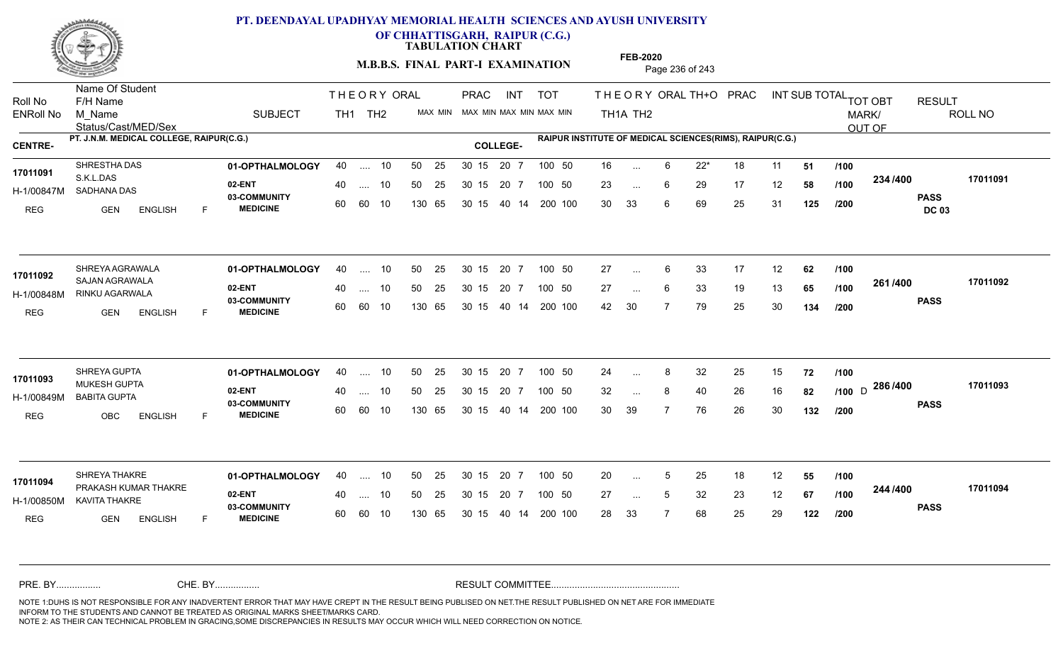

**OF CHHATTISGARH, RAIPUR (C.G.)**

**TABULATION CHART** 

**M.B.B.S. FINAL PART-I EXAMINATION** Page 236 of 243

Status/Cast/MED/Sex Name Of Student Roll No F/H Name M\_Name SUBJECT TH1 TH2 <sup>MAX\_MIN</sup> N PRAC INT TOT THEORY ORAL TH+O PRAC INT TH<sub>1</sub>A TH<sub>2</sub> ORAL TH+ODPRACD INT SUB TOTAL <sub>TOT OBT</sub> RESULT ROLL NO MARK/ OUT OF ENRoll No M Name  $\,$  SUBJECT TH1 TH2 MAX MIN MAX MIN MAX MIN MAX MIN TH1A TH2 **PT. J.N.M. MEDICAL COLLEGE, RAIPUR(C.G.) RAIPUR INSTITUTE OF MEDICAL SCIENCES(RIMS), RAIPUR(C.G.) CENTRE- COLLEGE-**THE ORY ORAL PRAC INT PRAC **01-OPTHALMOLOGY** SHRESTHA DAS 40 .... 10 30 15 20 7 **02-ENT** 03-COMMUNITY 60  **MEDICINE** H-1/00847M SADHANA DAS S.K.L.DAS REG GEN ENGLISH F 16 6 22\* 18 11 **51** 23 ... 6 29 17 12 **58 /100 <sup>2047</sup> 1** 30 33 6 69 25 31 **125 234 PASS DC 03 /400 17011091** 40 .... 10 50 25 30 15 60 60 10 130 65 30 15 20 7 100 50 40 14 200 100 50 25 30 15 20 7 100 50 16 ... **17011091 17011091** ... ... 6 **/100 /100 /200 01-OPTHALMOLOGY** SHREYA AGRAWALA 40 .... 10 30 15 20 7 **02-ENT** 03-COMMUNITY 60  **MEDICINE** H-1/00848M RINKU AGARWALA 17011092 SAJAN AGRAWALA REG GEN ENGLISH F 27 ... 6 33 17 12 **62** /**100** 27 ... 6 33 19 13 **65 /100 <sup>2017–00</sup>** 42 30 7 79 25 30 **134 261 PASS /400 17011092** 40 .... 10 50 25 60 60 10 130 65 30 15 40 14 200 100 30 15 20 7 100 50 50 25 30 15 20 7 100 50 27 ... ...  $\overline{\phantom{a}}$ . 6 **/100 /100 /200 01-OPTHALMOLOGY** SHREYA GUPTA 40 .... 10 30 15 20 7 **02-ENT** 03-COMMUNITY 60  **MEDICINE** H-1/00849M BABITA GUPTA MUKESH GUPTA **17011093** REG OBC ENGLISH F 24 ... 8 32 25 15 **72 /100** 32 ... 8 40 26 16 **82** /1**00** D <sup>2007+00</sup> 30 39 7 76 26 30 **132 286** D **PASS /400 17011093** .... 10 50 25 30 15 60 60 10 20 7 130 65 30 15 30 15 20 7 100 50 40 14 200 100 50 25 30 15 20 7 100 50 24 ... 8 ... ... **/100 /100 /200 01-OPTHALMOLOGY** SHREYA THAKRE 40 .... 10 30 15 20 7 **02-ENT** 03-COMMUNITY 60 **MEDICINE** 60 60 10 H-1/00850M KAVITA THAKRE PRAKASH KUMAR THAKRE **17011094** REG **GEN ENGLISH** F 20 ... 5 25 18 12 **55 /100** 27 ... 5 32 23 12 **67 /100 <sup>244 /4</sup>00** 28 33 7 68 25 29 **122 244 PASS /400 17011094** 40 .... 10 50 25 130 65 130 65 30 15 30 15 20 7 100 50 40 14 200 100 50 25 30 15 20 7 100 50 20 ... 5 ... 5 ... 5 **/100 /100 /200** NOTE 1:DUHS IS NOT RESPONSIBLE FOR ANY INADVERTENT ERROR THAT MAY HAVE CREPT IN THE RESULT BEING PUBLISED ON NET.THE RESULT PUBLISHED ON NET ARE FOR IMMEDIATE INFORM TO THE STUDENTS AND CANNOT BE TREATED AS ORIGINAL MARKS SHEET/MARKS CARD. CHE. BY WAREL BY WARE AND THE AVEC THE AVEC THE THE RESULT COMMITTEE AND MULTIME MOTE 1:DUHS IS NOT RESPONSIBLE FOR ANY INADVERTENT ERROR THAT MAY HAVE CREPT IN THE RESULT BEING PUBLISED ON NET.THE RESULT PUBLISHED ON NET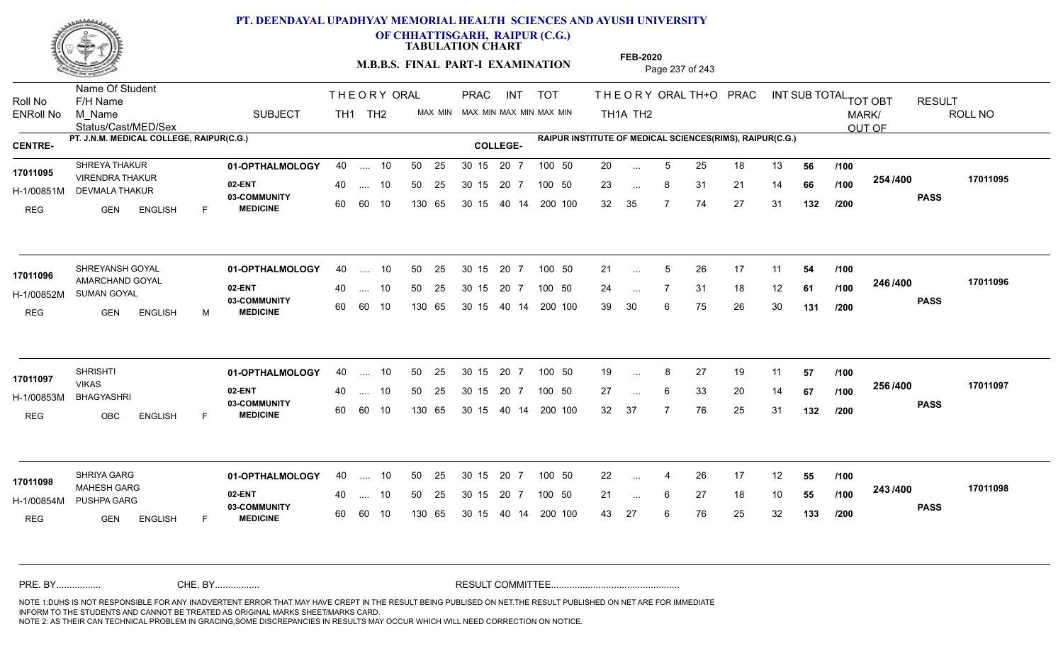

**OF CHHATTISGARH, RAIPUR (C.G.)**

**TABULATION CHART** 

**M.B.B.S. FINAL PART-I EXAMINATION** Page 237 of 243

Status/Cast/MED/Sex Name Of Student Roll No F/H Name M\_Name SUBJECT PRAC INT TOT THEORY ORAL TH+O PRAC INT TH<sub>1</sub>A TH<sub>2</sub> ORAL TH+ODPRACD INT SUB TOTAL <sub>TOT OBT</sub> RESULT ROLL NO MARK/ OUT OF ENRoll No M Name  $\,$  SUBJECT TH1 TH2 MAX MIN MAX MIN MAX MIN MAX MIN TH1A TH2 **PT. J.N.M. MEDICAL COLLEGE, RAIPUR(C.G.) RAIPUR INSTITUTE OF MEDICAL SCIENCES(RIMS), RAIPUR(C.G.) CENTRE- COLLEGE-**THE ORY ORAL PRAC INT TH<sub>1</sub> TH<sub>2</sub> PRAC **01-OPTHALMOLOGY** SHREYA THAKUR 40 .... 10 30 15 20 7 **02-ENT** 03-COMMUNITY 60  **MEDICINE** H-1/00851M DEVMALA THAKUR 17011095 VIRENDRA THAKUR REG GEN ENGLISH F 20 ... 5 25 18 13 **56 /100** 23 ... 8 31 21 14 **66 /100 <sup>2047</sup> 14** 32 35 7 74 27 31 **132 254 PASS /400 17011095** 40 .... 10 50 25 30 15 60 60 10 130 65 30 15 20 7 100 50 40 14 200 100 50 25 30 15 20 7 100 50 20 ... ... ... **/100 /100 /200 01-OPTHALMOLOGY** SHREYANSH GOYAL 40 .... 10 30 15 20 7 **02-ENT** 03-COMMUNITY 60 **MEDICINE** 60 60 10 H-1/00852M SUMAN GOYAL 17011096 **AMARCHAND GOYAL** REG GEN ENGLISH M 21 ... 5 26 17 11 **54 /100** 24 7 31 18 12 **61** 39 30 6 75 26 30 **131 246 PASS /400 17011096** 40 .... 10 50 25 130 65 130 65 30 15 40 14 200 100 30 15 20 7 100 50 50 25 30 15 20 7 100 50 21 ... 5 ... 5 ... **/100 /100 /200 01-OPTHALMOLOGY** SHRISHTI 40 .... 10 30 15 20 7 **02-ENT** 03-COMMUNITY 60 **MEDICINE** 60 60 10 H-1/00853M BHAGYASHRI VIKAS REG OBC ENGLISH F 19 8 27 19 11 **57** 27 ... 6 33 20 14 **67 /100 <sup>2007–00</sup>** 32 37 7 76 25 31 **132 256 PASS /400 17011097** .... 10 50 25 30 15 130 65 20 7 130 65 30 15 30 15 20 7 100 50 40 14 200 100 50 25 30 15 20 7 100 50 19 ... **17011097** SHRISHTI ... ... **/100 /100 /200 01-OPTHALMOLOGY** SHRIYA GARG 40 .... 10 30 15 20 7 **02-ENT** 03-COMMUNITY 60 **MEDICINE** 60 60 10 H-1/00854M PUSHPA GARG MAHESH GARG **17011098** REG GEN ENGLISH F 22 ... 4 26 17 12 **55 /100** 21 ... 6 27 18 10 **55 /100 <sup>245</sup> /\*\*** 43 27 6 76 25 32 **133 243 PASS /400 17011098** 40 .... 10 50 25 130 65 130 65 30 15 30 15 20 7 100 50 40 14 200 100 50 25 30 15 20 7 100 50 22 ... 4 ... ... **/100 /100 /200** NOTE 1:DUHS IS NOT RESPONSIBLE FOR ANY INADVERTENT ERROR THAT MAY HAVE CREPT IN THE RESULT BEING PUBLISED ON NET.THE RESULT PUBLISHED ON NET ARE FOR IMMEDIATE INFORM TO THE STUDENTS AND CANNOT BE TREATED AS ORIGINAL MARKS SHEET/MARKS CARD. CHE. BY WAREL BY WARE AND THE AVEC THE AVEC THE THE RESULT COMMITTEE AND MULTIME AND THE RESULT COMMITTEE AN A<br>THE STUDENTS AND CANNOT BE TREATED AS ORIGINAL MARKS SHEET/MARKS CARD.<br>INFORM TO THE STUDENTS AND CANNOT BE TRE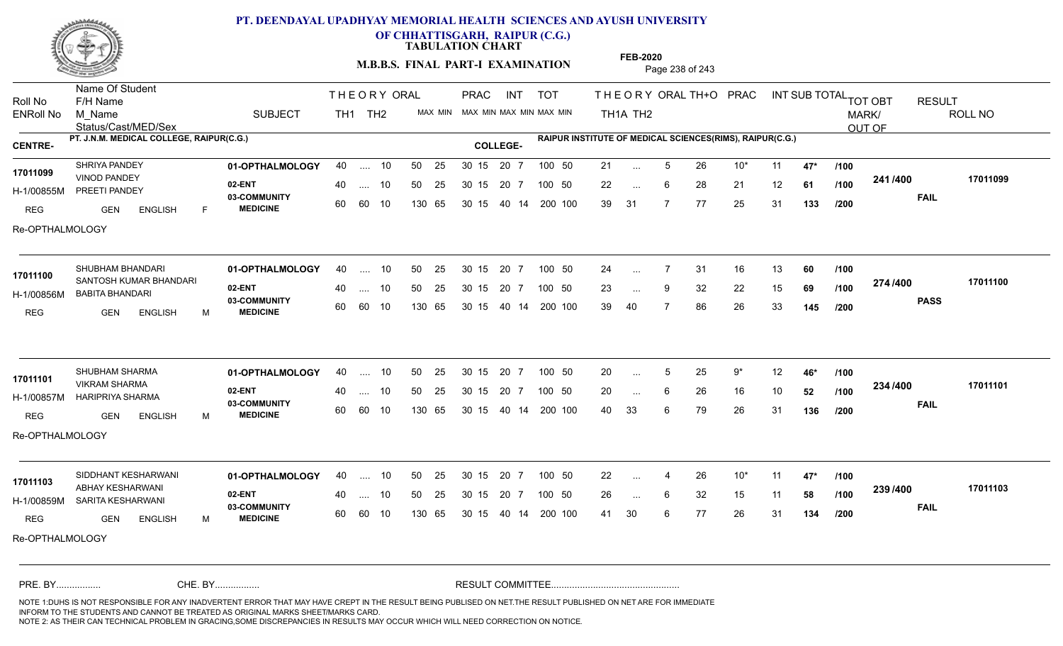

**OF CHHATTISGARH, RAIPUR (C.G.)**

**TABULATION CHART** 

**M.B.B.S. FINAL PART-I EXAMINATION** Page 238 of 243

Status/Cast/MED/Sex Name Of Student Roll No F/H Name M\_Name SUBJECT TH1 TH2 <sup>MAX\_MIN</sup> N PRAC INT TOT THEORY ORAL TH+O PRAC INT TH<sub>1</sub>A TH<sub>2</sub> ORAL TH+ODPRACD INT SUB TOTAL <sub>TOT OBT</sub> RESULT ROLL NO MARK/ OUT OF ENRoll No M Name  $\,$  SUBJECT TH1 TH2 MAX MIN MAX MIN MAX MIN MAX MIN TH1A TH2 **PT. J.N.M. MEDICAL COLLEGE, RAIPUR(C.G.) RAIPUR INSTITUTE OF MEDICAL SCIENCES(RIMS), RAIPUR(C.G.) CENTRE- COLLEGE-**THE ORY ORAL PRAC INT PRAC **01-OPTHALMOLOGY** SHRIYA PANDEY 40 .... 10 30 15 20 7 **02-ENT** 03-COMMUNITY 60  **MEDICINE** H-1/00855M PREETI PANDEY VINOD PANDEY **17011099** REG GEN ENGLISH F 21 5 26 10\* 11 **47\*** 22 ... 6 28 21 12 **61 /100 <sup>2411/400</sup>** 39 31 7 77 25 31 **133 241 FAIL 17011099 /400** Re-OPTHALMOLOGY 40 .... 10 50 25 30 15 60 60 10 130 65 30 15 40 14 200 100 20 7 100 50 50 25 30 15 20 7 100 50 21 ... ... ... 6 **/100 /100 /200 01-OPTHALMOLOGY** SHUBHAM BHANDARI 40 .... 10 30 15 20 7 **02-ENT** 03-COMMUNITY 60 **MEDICINE** 60 60 10 H-1/00856M BABITA BHANDARI **17011100** SANTOSH KUMAR BHANDARI REG GEN ENGLISH M 24 7 31 16 13 **60** 23 ... 9 32 22 15 **69 /100 <del>11 1</del> 1 1** 39 40 7 86 26 33 **145 274 PASS /400 17011100** 40 .... 10 50 25 130 65 130 65 30 15 40 14 200 100 30 15 20 7 100 50 50 25 30 15 20 7 100 50 24 ... ... ... **/100 /100 /200 01-OPTHALMOLOGY** SHUBHAM SHARMA 40 .... 10 30 15 20 7 **02-ENT** 03-COMMUNITY 60  **MEDICINE** H-1/00857M HARIPRIYA SHARMA VIKRAM SHARMA **17011101** REG GEN ENGLISH M 20 5 25 9\* 12 **46\*** 20 ... 6 26 16 10 **52 /100 <sup>2047/400</sup>** 40 33 6 79 26 31 **136 234 FAIL 17011101 /400** Re-OPTHALMOLOGY .... 10 50 25 30 15 60 60 10 20 7 130 65 30 15 30 15 20 7 100 50 40 14 200 100 50 25 30 15 20 7 100 50 20 ... 5 ... ... 6 **/100 /100 /200 01-OPTHALMOLOGY 02-ENT** 03-COMMUNITY 60 **MEDICINE** 60 60 10 H-1/00859M SARITA KESHARWANI ABHAY KESHARWANI **17011103** REG GEN ENGLISH M 22 4 26 10\* 11 **47\*** 26 ... 6 32 15 11 **58 /100 <sup>2007/400</sup>** 41 30 6 77 26 31 **134 239 FAIL 17011103 /400** Re-OPTHALMOLOGY SIDDHANT KESHARWANI **01-OPTHALMOLOGY** 40 .... 10 50 25 30 15 20 7 100 50 22 40 .... 10 50 25 130 65 130 65 30 15 30 15 20 7 100 50 40 14 200 100 100 50 22 ... 4 ... ... **/100 /100 /200** NOTE 1:DUHS IS NOT RESPONSIBLE FOR ANY INADVERTENT ERROR THAT MAY HAVE CREPT IN THE RESULT BEING PUBLISED ON NET.THE RESULT PUBLISHED ON NET ARE FOR IMMEDIATE INFORM TO THE STUDENTS AND CANNOT BE TREATED AS ORIGINAL MARKS SHEET/MARKS CARD. CHE. BY WAREL BY WARE AND THE AVEC THE AVEC THE THE RESULT COMMITTEE AND MULTIME AND THE RESULT COMMITTEE AN A<br>THE STUDENTS AND CANNOT BE TREATED AS ORIGINAL MARKS SHEET/MARKS CARD.<br>INFORM TO THE STUDENTS AND CANNOT BE TRE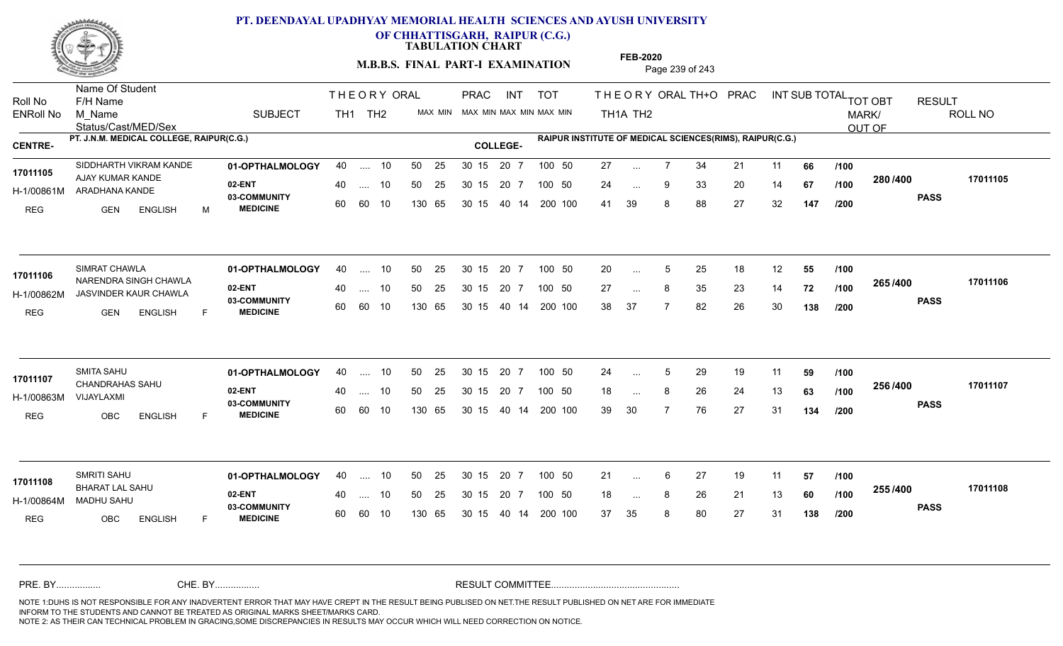

**OF CHHATTISGARH, RAIPUR (C.G.)**

**TABULATION CHART** 

**M.B.B.S. FINAL PART-I EXAMINATION** Page 239 of 243

Status/Cast/MED/Sex Name Of Student Roll No F/H Name M\_Name SUBJECT TH1 TH2 <sup>MAX\_MIN</sup> N PRAC INT TOT THEORY ORAL TH+O PRAC INT TH<sub>1</sub>A TH<sub>2</sub> ORAL TH+ODPRACD INT SUB TOTAL <sub>TOT OBT</sub> RESULT ROLL NO MARK/ OUT OF ENRoll No M Name  $\,$  SUBJECT TH1 TH2 MAX MIN MAX MIN MAX MIN MAX MIN TH1A TH2 **PT. J.N.M. MEDICAL COLLEGE, RAIPUR(C.G.) RAIPUR INSTITUTE OF MEDICAL SCIENCES(RIMS), RAIPUR(C.G.) CENTRE- COLLEGE-**THE ORY ORAL PRAC INT PRAC **01-OPTHALMOLOGY 02-ENT** 03-COMMUNITY 60  **MEDICINE** H-1/00861M ARADHANA KANDE 17011105 **AJAY KUMAR KANDE** REG GEN ENGLISH M 27 ... 7 34 21 11 **66 /100** 24 ... 9 33 20 14 **67 /100 <sup>2007–00</sup>** 41 39 8 88 27 32 **147 280 PASS /400 17011105** SIDDHARTH VIKRAM KANDE **01-OPTHALMOLOGY** 40 .... 10 50 25 30 15 20 7 100 50 27 40 .... 10 50 25 30 15 60 60 10 130 65 30 15 20 7 100 50 40 14 200 100 100 50 27 ... ... ... 9 **/100 /100 /200 01-OPTHALMOLOGY** SIMRAT CHAWLA 40 .... 10 30 15 20 7 **02-ENT** 03-COMMUNITY 60 **MEDICINE** 60 60 10 H-1/00862M JASVINDER KAUR CHAWLA 17011106 NARENDRA SINGH CHAWLA REG GEN ENGLISH F 20 ... 5 25 18 12 **55 /100** 27 ... 8 35 23 14 **72 /100 <sup>2007</sup> 7** 38 37 7 82 26 30 **138 265 PASS /400 17011106** 40 .... 10 50 25 130 65 130 65 30 15 40 14 200 100 30 15 20 7 100 50 50 25 30 15 20 7 100 50 20 ... 5 ... 5 ... **/100 /100 /200 01-OPTHALMOLOGY** SMITA SAHU 40 .... 10 30 15 20 7 **02-ENT** 03-COMMUNITY 60  **MEDICINE** H-1/00863M CHANDRAHAS SAHU **17011107** VIJAYLAXMI REG OBC ENGLISH F 24 ... 5 29 19 11 **59 /100** 18 ... 8 26 24 13 **63** /**100 <sup>2007</sup>** 39 30 7 76 27 31 **134 256 PASS /400 17011107** .... 10 50 25 30 15 60 60 10 20 7 130 65 30 15 30 15 20 7 100 50 40 14 200 100 50 25 30 15 20 7 100 50 24 ... 5 ... ... **/100 /100 /200 01-OPTHALMOLOGY** SMRITI SAHU 40 .... 10 30 15 20 7 **02-ENT** 03-COMMUNITY 60 **MEDICINE** 60 60 10 H-1/00864M MADHU SAHU BHARAT LAL SAHU **17011108** REG OBC ENGLISH F 21 ... 6 27 19 11 **57 /100** 18 ... 8 26 21 13 **60** /1**00 <sup>2007</sup>** 37 35 8 80 27 31 **138 255 PASS /400 17011108** 40 .... 10 50 25 130 65 130 65 30 15 30 15 20 7 100 50 40 14 200 100 50 25 30 15 20 7 100 50 21 ... ... ... **/100 /100 /200** NOTE 1:DUHS IS NOT RESPONSIBLE FOR ANY INADVERTENT ERROR THAT MAY HAVE CREPT IN THE RESULT BEING PUBLISED ON NET.THE RESULT PUBLISHED ON NET ARE FOR IMMEDIATE INFORM TO THE STUDENTS AND CANNOT BE TREATED AS ORIGINAL MARKS SHEET/MARKS CARD. CHE. BY WAREL BY WARE AND THE AVEC THE AVEC THE THE RESULT COMMITTEE AND MULTIME AND THE RESULT COMMITTEE AN A<br>THE STUDENTS AND CANNOT BE TREATED AS ORIGINAL MARKS SHEET/MARKS CARD.<br>INFORM TO THE STUDENTS AND CANNOT BE TRE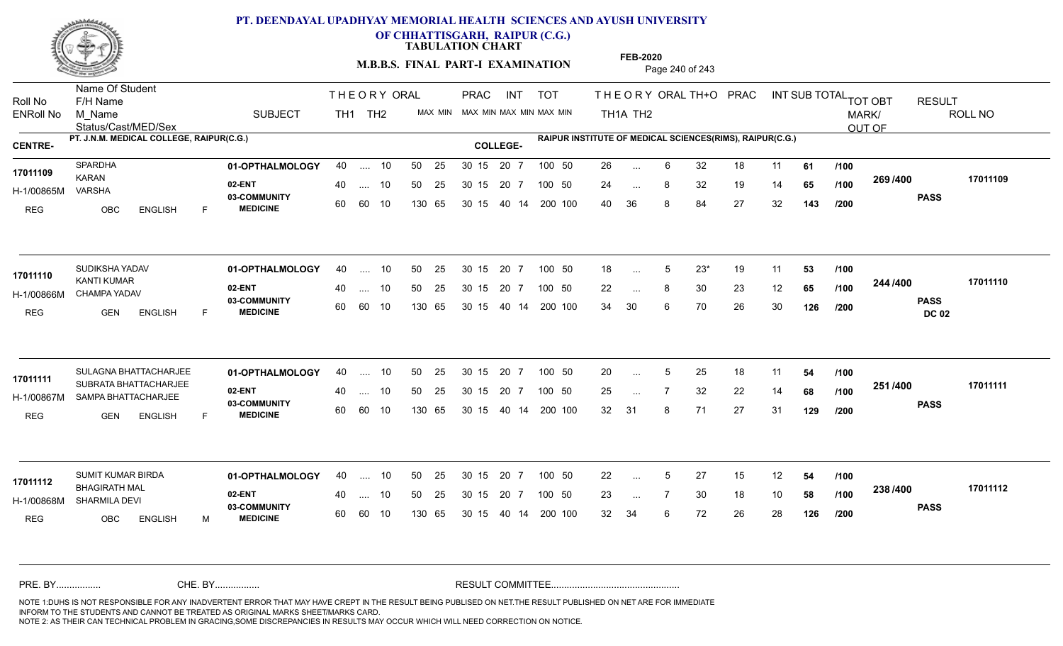

**OF CHHATTISGARH, RAIPUR (C.G.)**

**TABULATION CHART** 

**FEB-2020**

**M.B.B.S. FINAL PART-I EXAMINATION** Page 240 of 243

Status/Cast/MED/Sex Name Of Student Roll No F/H Name M\_Name SUBJECT PRAC INT TOT THEORY ORAL TH+O PRAC INT TH<sub>1</sub>A TH<sub>2</sub> ORAL TH+ODPRACD INT SUB TOTAL <sub>TOT OBT</sub> RESULT ROLL NO MARK/ OUT OF ENRoll No M Name  $\,$  SUBJECT TH1 TH2 MAX MIN MAX MIN MAX MIN MAX MIN TH1A TH2 **PT. J.N.M. MEDICAL COLLEGE, RAIPUR(C.G.) RAIPUR INSTITUTE OF MEDICAL SCIENCES(RIMS), RAIPUR(C.G.) CENTRE- COLLEGE-**THE ORY ORAL PRAC INT TH<sub>1</sub> TH<sub>2</sub> PRAC **01-OPTHALMOLOGY** 40 .... 10 50 25 30 15 20 7 100 50 26 16 20 16 20 17 100 50 26 **02-ENT** 03-COMMUNITY 60  **MEDICINE** H-1/00865M KARAN VARSHA REG OBC ENGLISH F 26 6 32 18 11 **61** 24 ... 8 32 19 14 **65 /100 <sup>2007/400</sup>** 40 36 8 84 27 32 **143 269 PASS /400 17011109** 40 .... 10 50 25 30 15 60 60 10 130 65 30 15 20 7 100 50 40 14 200 100 50 25 30 15 20 7 100 50 26 ... **17011109** SPARDHA ... ... **/100 /100 /200 01-OPTHALMOLOGY** SUDIKSHA YADAV 40 .... 10 30 15 20 7 **02-ENT** 03-COMMUNITY 60 **MEDICINE** 60 60 10 H-1/00866M CHAMPA YADAV KANTI KUMAR REG GEN ENGLISH F 18 ... 5 23<sup>\*</sup> 19 11 **53 /100** 22 ... 8 30 23 12 **65 /100 <sup>244 /400</sup>** 34 30 6 70 26 30 **126 244 PASS DC 02 /400 17011110** 40 .... 10 50 25 130 65 130 65 30 15 40 14 200 100 30 15 20 7 100 50 50 25 30 15 20 7 100 50 18 ... 5 **17011110**<br> **17011110** ... 5 ... **/100 /100 /200 01-OPTHALMOLOGY 02-ENT** 03-COMMUNITY 60 **MEDICINE** 60 60 10 H-1/00867M SAMPA BHATTACHARJEE 22 COMMUNITY 17011111 SUBRATA BHATTACHARJEE REG GEN ENGLISH F 20 ... 5 25 18 11 **54 /100** 25 7 32 22 14 **68** 32 31 8 71 27 31 **129 251 PASS /400 17011111** SULAGNA BHATTACHARJEE **01-OPTHALMOLOGY** 40 .... 10 50 25 30 15 20 7 100 50 20 .... 10 50 25 30 15 130 65 20 7 130 65 30 15 30 15 20 7 100 50 40 14 200 100 100 50 20 ... 5 ... 5 ... **/100 /100 /200 01-OPTHALMOLOGY** SUMIT KUMAR BIRDA 40 .... 10 30 15 20 7 **02-ENT** 03-COMMUNITY 60 **MEDICINE** 60 60 10 H-1/00868M SHARMILA DEVI BHAGIRATH MAL **17011112** REG OBC ENGLISH M 22 ... 5 27 15 12 **54 /100** 23 ... 7 30 18 10 **58 /100 <sup>2007–00</sup>** 32 34 6 72 26 28 **126 238 PASS /400 17011112** 40 .... 10 50 25 130 65 130 65 30 15 30 15 20 7 100 50 40 14 200 100 50 25 30 15 20 7 100 50 22 ... 5 ... 5 ... **/100 /100 /200** NOTE 1:DUHS IS NOT RESPONSIBLE FOR ANY INADVERTENT ERROR THAT MAY HAVE CREPT IN THE RESULT BEING PUBLISED ON NET.THE RESULT PUBLISHED ON NET ARE FOR IMMEDIATE INFORM TO THE STUDENTS AND CANNOT BE TREATED AS ORIGINAL MARKS SHEET/MARKS CARD. CHE. BY WAREL BY WARE AND THE AVEC THE AVEC THE THE RESULT COMMITTEE AND MULTIME AND THE RESULT COMMITTEE AN A<br>THE STUDENTS AND CANNOT BE TREATED AS ORIGINAL MARKS SHEET/MARKS CARD.<br>INFORM TO THE STUDENTS AND CANNOT BE TRE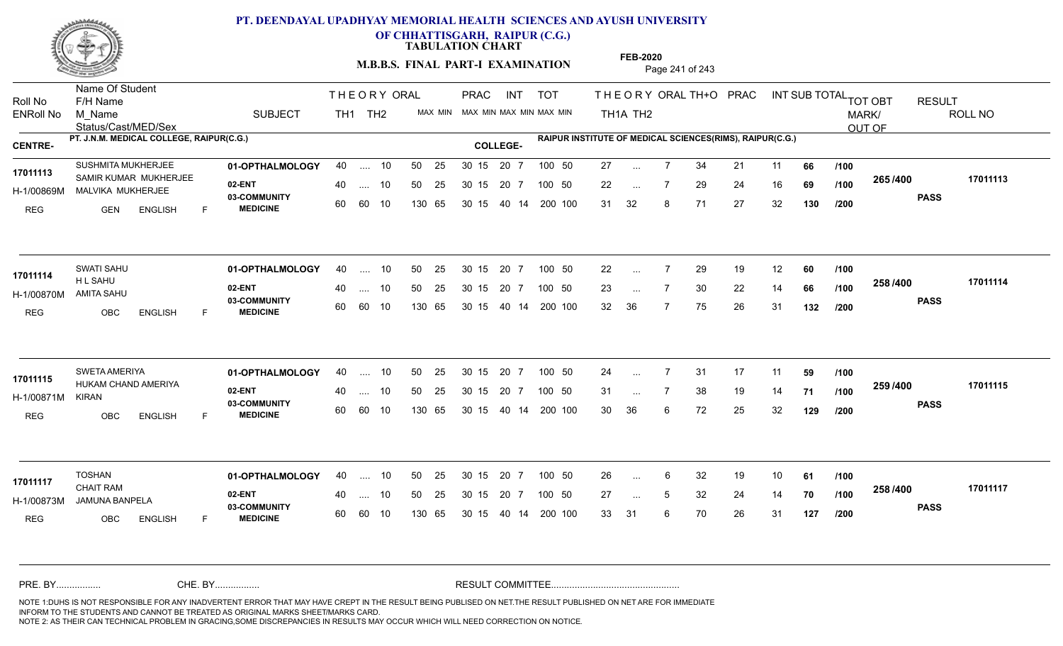

**OF CHHATTISGARH, RAIPUR (C.G.)**

**TABULATION CHART** 

**M.B.B.S. FINAL PART-I EXAMINATION** Page 241 of 243

Status/Cast/MED/Sex Name Of Student Roll No F/H Name M\_Name SUBJECT PRAC INT TOT THEORY ORAL TH+O PRAC INT TH<sub>1</sub>A TH<sub>2</sub> ORAL TH+ODPRACD INT SUB TOTAL <sub>TOT OBT</sub> RESULT ROLL NO MARK/ OUT OF ENRoll No M Name  $\,$  SUBJECT TH1 TH2 MAX MIN MAX MIN MAX MIN MAX MIN TH1A TH2 **PT. J.N.M. MEDICAL COLLEGE, RAIPUR(C.G.) RAIPUR INSTITUTE OF MEDICAL SCIENCES(RIMS), RAIPUR(C.G.) CENTRE- COLLEGE-**THE ORY ORAL PRAC INT TH<sub>1</sub> TH<sub>2</sub> PRAC **01-OPTHALMOLOGY** SUSHMITA MUKHERJEE 40 .... 10 30 15 20 7 **02-ENT** 03-COMMUNITY 60  **MEDICINE** H-1/00869M MALVIKA MUKHERJEE **ALL DE SAMAN** 17011113 SAMIR KUMAR MUKHERJEE REG GEN ENGLISH F 27 ... 7 34 21 11 **66 /100** 22 ... 7 29 24 16 **69 /100 <sup>2007</sup> 7** 31 32 8 71 27 32 **130 265 PASS /400 17011113** .... 10 50 25 60 60 10 50 25 30 15 130 65 30 15 40 14 200 100 20 7 100 50 50 25 30 15 20 7 100 50 27 ... ... ... 7 **/100 /100 /200 01-OPTHALMOLOGY** SWATI SAHU 40 .... 10 30 15 20 7 **02-ENT** 03-COMMUNITY 60 **MEDICINE** 60 60 10 H-1/00870M AMITA SAHU H L SAHU REG OBC ENGLISH F 22 7 29 19 12 **60** 23 ... 7 30 22 14 **66 /100 <sup>2007</sup> 1** 32 36 7 75 26 31 **132 258 PASS /400 17011114**  $\ldots$  10 50 25 30 15 130 65 20 7 130 65 30 15 40 14 200 100 30 15 20 7 100 50 50 25 30 15 20 7 100 50 22 ... **17011114** SWATI SAHU ... ... **/100 /100 /200 01-OPTHALMOLOGY** SWETA AMERIYA 40 .... 10 30 15 20 7 **02-ENT** 03-COMMUNITY 60  **MEDICINE** H-1/00871M 17011115 HUKAM CHAND AMERIYA KIRAN REG OBC ENGLISH F 24 7 31 17 11 **59** 31 ... 7 38 19 14 **71 /100 <sup>2007/400</sup>** 30 36 6 72 25 32 **129 259 PASS /400 17011115** .... 10 50 25 30 15 60 60 10 20 7 130 65 30 15 30 15 20 7 100 50 40 14 200 100 50 25 30 15 20 7 100 50 24 ... ... ... **/100 /100 /200 01-OPTHALMOLOGY** 40 .... 10 50 25 30 15 20 7 100 50 26 **02-ENT** 03-COMMUNITY 60 **MEDICINE** 60 60 10 H-1/00873M JAMUNA BANPELA CHAIT RAM REG OBC ENGLISH F 26 6 32 19 10 **61** 27 ... 5 32 24 14 **70 /100 <sup>2007</sup> \*\*\*** 33 31 6 70 26 31 **127 258 PASS /400 17011117** 40 .... 10 50 25 130 65 130 65 30 15 30 15 20 7 100 50 40 14 200 100 50 25 30 15 20 7 100 50 26 ... **17011117** ... ... **/100 /100 /200** NOTE 1:DUHS IS NOT RESPONSIBLE FOR ANY INADVERTENT ERROR THAT MAY HAVE CREPT IN THE RESULT BEING PUBLISED ON NET.THE RESULT PUBLISHED ON NET ARE FOR IMMEDIATE INFORM TO THE STUDENTS AND CANNOT BE TREATED AS ORIGINAL MARKS SHEET/MARKS CARD. CHE. BY WAREL BY WARE AND THE AVEC THE AVEC THE THE RESULT COMMITTEE AND MULTIME AND THE RESULT COMMITTEE AN A<br>THE STUDENTS AND CANNOT BE TREATED AS ORIGINAL MARKS SHEET/MARKS CARD.<br>INFORM TO THE STUDENTS AND CANNOT BE TRE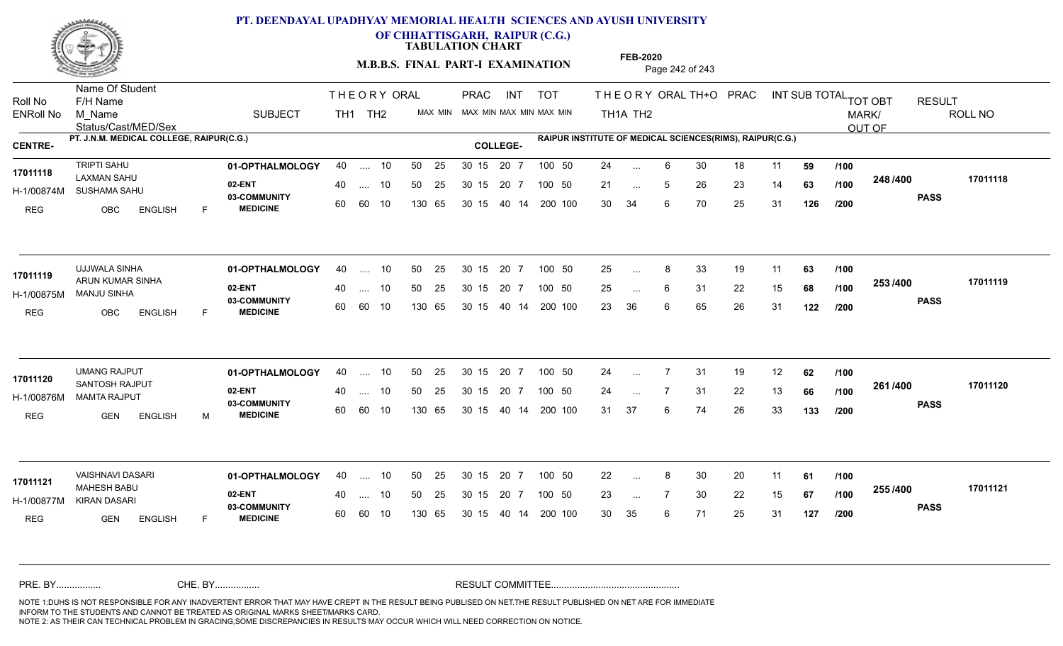

**OF CHHATTISGARH, RAIPUR (C.G.)**

**TABULATION CHART** 

**M.B.B.S. FINAL PART-I EXAMINATION** Page 242 of 243

Status/Cast/MED/Sex Name Of Student Roll No F/H Name M\_Name SUBJECT TH1 TH2 <sup>MAX\_MIN</sup> N PRAC INT TOT THEORY ORAL TH+O PRAC INT TH<sub>1</sub>A TH<sub>2</sub> ORAL TH+ODPRACD INT SUB TOTAL <sub>TOT OBT</sub> RESULT ROLL NO MARK/ OUT OF ENRoll No M Name  $\,$  SUBJECT TH1 TH2 MAX MIN MAX MIN MAX MIN MAX MIN TH1A TH2 **PT. J.N.M. MEDICAL COLLEGE, RAIPUR(C.G.) RAIPUR INSTITUTE OF MEDICAL SCIENCES(RIMS), RAIPUR(C.G.) CENTRE- COLLEGE-**THE ORY ORAL PRAC INT PRAC **01-OPTHALMOLOGY** TRIPTI SAHU 40 .... 10 30 15 20 7 **02-ENT** 03-COMMUNITY 60  **MEDICINE** H-1/00874M SUSHAMA SAHU LAXMAN SAHU **17011118** REG OBC ENGLISH F 24 ... 6 30 18 11 **59 /100** 21 ... 5 26 23 14 **63 /100 <sup>2-40 / 400</mark>**</sup> 30 34 6 70 25 31 **126 248 PASS /400 17011118** 40 .... 10 50 25 30 15 60 60 10 130 65 30 15 20 7 100 50 40 14 200 100 50 25 30 15 20 7 100 50 24 ... ... ... 5 **/100 /100 /200 01-OPTHALMOLOGY** UJJWALA SINHA 40 .... 10 30 15 20 7 **02-ENT** 03-COMMUNITY 60  **MEDICINE** H-1/00875M MANJU SINHA ARUN KUMAR SINHA **17011119** REG OBC ENGLISH F 25 ... 8 33 19 11 **63 /100** 25 ... 6 31 22 15 **68 /100 <sup>2007</sup> 700** 23 36 6 65 26 31 **122 253 PASS /400 17011119** 40 .... 10 50 25 60 60 10 130 65 30 15 40 14 200 100 30 15 20 7 100 50 50 25 30 15 20 7 100 50 25 ... 8 ...  $\overline{\phantom{a}}$ . 6 **/100 /100 /200 01-OPTHALMOLOGY** UMANG RAJPUT 40 .... 10 30 15 20 7 **02-ENT** 03-COMMUNITY 60  **MEDICINE** H-1/00876M MAMTA RAJPUT **17011120**<br>
SANTOSH RAJPUT REG GEN ENGLISH M 24 7 31 19 12 **62** 24 7 31 22 13 **66** 31 37 6 74 26 33 **133 261 PASS /400 17011120** .... 10 50 25 30 15 60 60 10 20 7 130 65 30 15 30 15 20 7 100 50 40 14 200 100 50 25 30 15 20 7 100 50 24 ... 7 ... ... **/100 /100 /200 01-OPTHALMOLOGY** VAISHNAVI DASARI 40 .... 10 30 15 20 7 **02-ENT** 03-COMMUNITY 60 **MEDICINE** 60 60 10 H-1/00877M KIRAN DASARI MAHESH BABU **17011121** REG GEN ENGLISH F 22 8 30 20 11 **61** 23 ... 7 30 22 15 **67 /100 <sup>2007</sup> 700** 30 35 6 71 25 31 **127 255 PASS /400 17011121** 40 .... 10 50 25 130 65 130 65 30 15 30 15 20 7 100 50 40 14 200 100 50 25 30 15 20 7 100 50 22 ... 8 ... ... **/100 /100 /200** NOTE 1:DUHS IS NOT RESPONSIBLE FOR ANY INADVERTENT ERROR THAT MAY HAVE CREPT IN THE RESULT BEING PUBLISED ON NET.THE RESULT PUBLISHED ON NET ARE FOR IMMEDIATE INFORM TO THE STUDENTS AND CANNOT BE TREATED AS ORIGINAL MARKS SHEET/MARKS CARD. CHE. BY WAREL BY WARE AND THE AVEC THE AVEC THE THE RESULT COMMITTEE AND MULTIME AND THE RESULT COMMITTEE AN A<br>THE STUDENTS AND CANNOT BE TREATED AS ORIGINAL MARKS SHEET/MARKS CARD.<br>INFORM TO THE STUDENTS AND CANNOT BE TRE